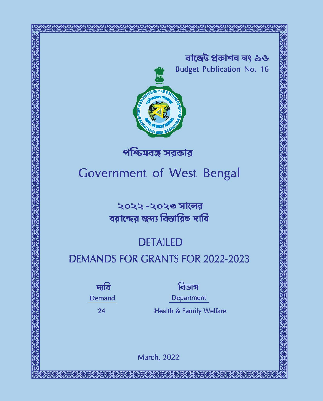বাজেট প্ৰকাশন নং ১ও **Budget Publication No. 16** 



পশ্চিমবঙ্গ সরকার

Government of West Bengal

২০২২ -২০২৩ সালের বরাদ্দের জন্য বিস্তারিত দাবি

# **DETAILED**

# **DEMANDS FOR GRANTS FOR 2022-2023**

দাবি Demand

24

বিডাগ

Department

**Health & Family Welfare** 

**March, 2022**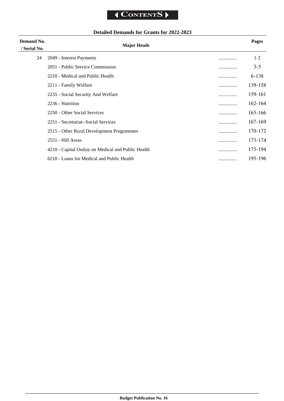# **Detailed Demands for Grants for 2022-2023**

| Demand No.   |                                                    |   | Pages       |
|--------------|----------------------------------------------------|---|-------------|
| / Serial No. | <b>Major Heads</b>                                 |   |             |
| 24           | 2049 - Interest Payments                           |   | $1-2$       |
|              | 2051 - Public Service Commission                   |   | $3 - 5$     |
|              | 2210 - Medical and Public Health                   |   | $6 - 138$   |
|              | 2211 - Family Welfare                              | . | 139-158     |
|              | 2235 - Social Security And Welfare                 |   | 159-161     |
|              | 2236 - Nutrition                                   |   | $162 - 164$ |
|              | 2250 - Other Social Services                       |   | 165-166     |
|              | 2251 - Secretariat--Social Services                |   | $167 - 169$ |
|              | 2515 - Other Rural Development Programmes          | . | 170-172     |
|              | 2551 - Hill Areas                                  |   | 173-174     |
|              | 4210 - Capital Outlay on Medical and Public Health |   | 175-194     |
|              | 6210 - Loans for Medical and Public Health         |   | 195-196     |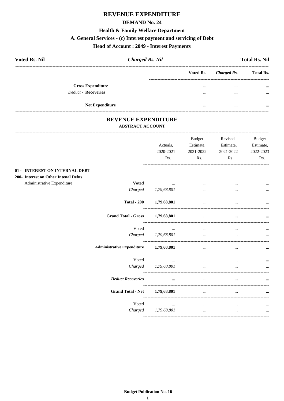# REVENUE EXPENDITURE

#### **DEMAND No. 24**

#### **Health & Family Welfare Department**

# A. General Services - (c) Interest payment and servicing of Debt

# **Head of Account : 2049 - Interest Payments**

| <b>Voted Rs. Nil</b>     | <b>Charged Rs. Nil</b> |          |                       | <b>Total Rs. Nil</b> |
|--------------------------|------------------------|----------|-----------------------|----------------------|
|                          |                        |          | Voted Rs. Charged Rs. | <b>Total Rs.</b>     |
| <b>Gross Expenditure</b> |                        | $\cdots$ |                       | $\cdots$             |
| Deduct - Recoveries      |                        |          | $\cdots$              | $\cdots$             |
| <b>Net Expenditure</b>   |                        |          |                       |                      |

#### REVENUE EXPENDITURE **ABSTRACT ACCOUNT**

---------------------------------

|                                            | Actuals,<br>2020-2021<br>Rs. | <b>Budget</b><br>Estimate,<br>2021-2022<br>Rs. | Revised<br>Estimate,<br>2021-2022<br>Rs. | <b>Budget</b><br>Estimate,<br>2022-2023<br>Rs. |
|--------------------------------------------|------------------------------|------------------------------------------------|------------------------------------------|------------------------------------------------|
| 01 - INTEREST ON INTERNAL DEBT             |                              |                                                |                                          |                                                |
| 200- Interest on Other Intenal Debts       |                              |                                                |                                          |                                                |
| Administrative Expenditure<br><b>Voted</b> | and the company of the       |                                                |                                          |                                                |
| Charged                                    | 1,79,68,801                  |                                                |                                          |                                                |
| <b>Total - 200</b>                         | 1,79,68,801                  | $\cdots$                                       | $\cdots$                                 |                                                |
| <b>Grand Total - Gross</b>                 | 1,79,68,801                  | $\ddotsc$                                      |                                          |                                                |
| Voted                                      | $\ddotsc$                    | $\cdots$                                       | $\cdots$                                 |                                                |
|                                            | Charged 1,79,68,801          | $\cdots$                                       |                                          |                                                |
| <b>Administrative Expenditure</b>          | 1,79,68,801                  | $\cdots$                                       | $\cdots$                                 |                                                |
| Voted                                      | $\cdots$                     | $\cdots$                                       | $\cdots$                                 |                                                |
| Charged                                    | 1,79,68,801                  | $\cdots$                                       | $\cdots$                                 | $\cdots$                                       |
| <b>Deduct Recoveries</b>                   | $\cdots$                     | $\cdots$                                       |                                          |                                                |
| <b>Grand Total - Net</b>                   | 1,79,68,801                  | $\cdots$                                       | $\cdots$                                 |                                                |
| Voted                                      | $\cdots$                     | $\cdots$                                       | $\cdots$                                 |                                                |
|                                            | Charged 1,79,68,801          | $\cdots$                                       | $\cdots$                                 | $\cdots$                                       |
|                                            |                              |                                                |                                          |                                                |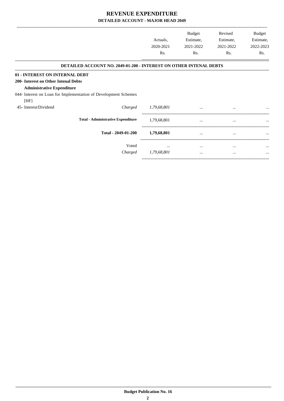|                                      |                                                                           |             | <b>Budget</b> | Revised   | Budget    |
|--------------------------------------|---------------------------------------------------------------------------|-------------|---------------|-----------|-----------|
|                                      |                                                                           | Actuals,    | Estimate,     | Estimate, | Estimate, |
|                                      |                                                                           | 2020-2021   | 2021-2022     | 2021-2022 | 2022-2023 |
|                                      |                                                                           | Rs.         | Rs.           | Rs.       | Rs.       |
|                                      | <b>DETAILED ACCOUNT NO. 2049-01-200 - INTEREST ON OTHER INTENAL DEBTS</b> |             |               |           |           |
| 01 - INTEREST ON INTERNAL DEBT       |                                                                           |             |               |           |           |
| 200- Interest on Other Intenal Debts |                                                                           |             |               |           |           |
| <b>Administrative Expenditure</b>    |                                                                           |             |               |           |           |
|                                      | 044- Interest on Loan for Implementation of Development Schemes           |             |               |           |           |
| [HF]                                 |                                                                           |             |               |           |           |
| 45- Interest/Dividend                | Charged                                                                   | 1,79,68,801 | $\cdots$      |           | $\cdots$  |
|                                      | <b>Total - Administrative Expenditure</b>                                 | 1,79,68,801 |               |           |           |
|                                      | Total - 2049-01-200                                                       | 1,79,68,801 | $\cdots$      | $\cdots$  |           |
|                                      | Voted                                                                     | $\cdots$    | $\cdots$      | $\cdots$  | $\cdots$  |
|                                      | Charged                                                                   | 1,79,68,801 | $\cdots$      | $\cdots$  | $\cdots$  |

-----------------------------------------------------------------------------------------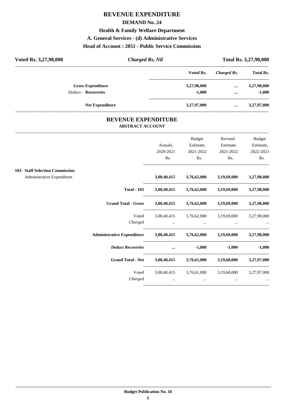### **REVENUE EXPENDITURE**

#### **DEMAND No. 24**

**Health & Family Welfare Department**

**A. General Services - (d) Administrative Services**

#### **Head of Account : 2051 - Public Service Commission**

| Voted Rs. 3,27,98,000      | <b>Charged Rs. Nil</b> |             | Total Rs. 3,27,98,000 |                  |  |
|----------------------------|------------------------|-------------|-----------------------|------------------|--|
|                            |                        | Voted Rs.   | Charged Rs.           | <b>Total Rs.</b> |  |
| <b>Gross Expenditure</b>   |                        | 3,27,98,000 | $\cdots$              | 3,27,98,000      |  |
| <b>Deduct - Recoveries</b> |                        | $-1.000$    | $\cdots$              | $-1,000$         |  |
|                            | <b>Net Expenditure</b> | 3,27,97,000 | $\cdots$              | 3,27,97,000      |  |
|                            |                        |             |                       |                  |  |

#### **REVENUE EXPENDITURE ABSTRACT ACCOUNT**

---------------------------------------------------------------------------------------------------------------------------------------------------------------------------------

|                                                               |                                                                            | Actuals,<br>2020-2021<br>Rs.                                                                                        | <b>Budget</b><br>Estimate,<br>2021-2022<br>Rs.              | Revised<br>Estimate,<br>2021-2022<br>Rs.                                                                                       | <b>Budget</b><br>Estimate,<br>2022-2023<br>Rs. |
|---------------------------------------------------------------|----------------------------------------------------------------------------|---------------------------------------------------------------------------------------------------------------------|-------------------------------------------------------------|--------------------------------------------------------------------------------------------------------------------------------|------------------------------------------------|
| 103- Staff Selection Commission<br>Administrative Expenditure |                                                                            |                                                                                                                     | 3,00,40,415 3,76,62,000 3,19,69,000 3,27,98,000             |                                                                                                                                |                                                |
|                                                               | <b>Total - 103</b>                                                         |                                                                                                                     | 3,00,40,415 3,76,62,000 3,19,69,000 3,27,98,000             |                                                                                                                                |                                                |
|                                                               | <b>Grand Total - Gross</b>                                                 |                                                                                                                     | 3,00,40,415 3,76,62,000 3,19,69,000 3,27,98,000             |                                                                                                                                |                                                |
|                                                               | Voted<br>Charged                                                           | and the contract of the contract of the contract of the contract of the contract of the contract of the contract of | 3,00,40,415 3,76,62,000 3,19,69,000 3,27,98,000             | $\mathbf{r}$ and $\mathbf{r}$ are all $\mathbf{r}$ and $\mathbf{r}$ are all $\mathbf{r}$ and $\mathbf{r}$ are all $\mathbf{r}$ |                                                |
|                                                               | Administrative Expenditure 3,00,40,415 3,76,62,000 3,19,69,000 3,27,98,000 |                                                                                                                     |                                                             |                                                                                                                                |                                                |
|                                                               | <b>Deduct Recoveries</b>                                                   | and the contract of the contract of the                                                                             | $-1,000$                                                    |                                                                                                                                | $-1,000$ $-1,000$                              |
|                                                               | <b>Grand Total - Net</b>                                                   |                                                                                                                     | 3,00,40,415 3,76,61,000 3,19,68,000 3,27,97,000             |                                                                                                                                |                                                |
|                                                               | Voted<br>Charged                                                           | $\cdots$                                                                                                            | 3,00,40,415 3,76,61,000 3,19,68,000 3,27,97,000<br>$\cdots$ | $\cdots$                                                                                                                       |                                                |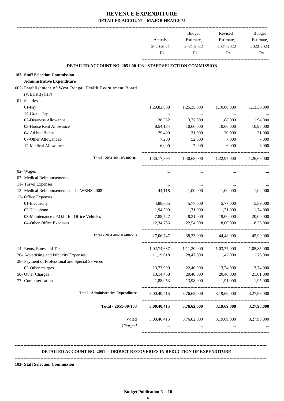|                                                               | Actuals,<br>2020-2021<br>Rs. | <b>Budget</b><br>Estimate,<br>2021-2022<br>Rs. | Revised<br>Estimate,<br>2021-2022<br>Rs. | <b>Budget</b><br>Estimate,<br>2022-2023<br>Rs. |
|---------------------------------------------------------------|------------------------------|------------------------------------------------|------------------------------------------|------------------------------------------------|
| DETAILED ACCOUNT NO. 2051-00-103 - STAFF SELECTION COMMISSION |                              |                                                |                                          |                                                |
| <b>103- Staff Selection Commission</b>                        |                              |                                                |                                          |                                                |
| <b>Administrative Expenditure</b>                             |                              |                                                |                                          |                                                |
| 002- Establishment of West Bengal Health Recruitment Board    |                              |                                                |                                          |                                                |
| (WBHRB) [HF]                                                  |                              |                                                |                                          |                                                |
| 01- Salaries                                                  |                              |                                                |                                          |                                                |
| 01-Pay                                                        | 1,20,82,808                  | 1,25,35,000                                    | 1,10,00,000                              | 1,13,30,000                                    |
| 14-Grade Pay                                                  | $\cdots$                     | $\cdots$                                       | $\cdots$                                 |                                                |
| 02-Dearness Allowance                                         | 38,352                       | 3,77,000                                       | 1,88,000                                 | 1,94,000                                       |
| 03-House Rent Allowance                                       | 8,54,134                     | 10,66,000                                      | 10,66,000                                | 10,98,000                                      |
| 04-Ad hoc Bonus                                               | 29,400                       | 31,000                                         | 30,000                                   | 31,000                                         |
| 07-Other Allowances                                           | 7,200                        | 52,000                                         | 7,000                                    | 7,000                                          |
| 12-Medical Allowance                                          | 6,000                        | 7,000                                          | 6,000                                    | 6,000                                          |
| Total - 2051-00-103-002-01                                    | 1,30,17,894                  | 1.40.68.000                                    | 1,22,97,000                              | 1,26,66,000                                    |
| 02- Wages                                                     | $\cdots$                     | $\cdots$                                       |                                          |                                                |
| 07- Medical Reimbursements                                    |                              | $\cdots$                                       |                                          |                                                |
| 11- Travel Expenses                                           |                              | $\cdots$                                       | $\cdots$                                 |                                                |
| 12- Medical Reimbursements under WBHS 2008                    | 44,118                       | 1,00,000                                       | 1,00,000                                 | 1,02,000                                       |
| 13- Office Expenses                                           |                              |                                                |                                          |                                                |
| 01-Electricity                                                | 4,88,635                     | 5,77,000                                       | 5,77,000                                 | 5,89,000                                       |
| 02-Telephone                                                  | 1,94,599                     | 1,71,000                                       | 1,71,000                                 | 1,74,000                                       |
| 03-Maintenance / P.O.L. for Office Vehicles                   | 7,88,727                     | 8,31,000                                       | 19,00,000                                | 20,00,000                                      |
| 04-Other Office Expenses                                      | 12,34,786                    | 22,54,000                                      | 18,00,000                                | 18,36,000                                      |
| Total - 2051-00-103-002-13                                    | 27,06,747                    | 38,33,000                                      | 44,48,000                                | 45,99,000                                      |
| 14- Rents, Rates and Taxes                                    | 1,02,74,637                  | 1,11,30,000                                    | 1,03,77,000                              | 1,05,85,000                                    |
| 26- Advertising and Publicity Expenses                        | 11,19,618                    | 28,47,000                                      | 11,42,000                                | 11,76,000                                      |
| 28- Payment of Professional and Special Services              |                              |                                                |                                          |                                                |
| 02-Other charges                                              | 13,73,990                    | 22,46,000                                      | 13,74,000                                | 13,74,000                                      |
| 50- Other Charges                                             | 13, 14, 458                  | 20,40,000                                      | 20,40,000                                | 21,01,000                                      |
| 77- Computerisation                                           | 1,88,953                     | 13,98,000                                      | 1,91,000                                 | 1,95,000                                       |
| <b>Total - Administrative Expenditure</b>                     | 3,00,40,415                  | 3,76,62,000                                    | 3,19,69,000                              | 3,27,98,000                                    |
| Total - 2051-00-103                                           | 3,00,40,415                  | 3,76,62,000                                    | 3,19,69,000                              | 3,27,98,000                                    |
| Voted<br>Charged                                              | 3,00,40,415                  | 3,76,62,000<br>$\cdots$                        | 3,19,69,000<br>$\cdots$                  | 3,27,98,000                                    |

#### **DETAILED ACCOUNT NO. 2051 - DEDUCT RECOVERIES IN REDUCTION OF EXPENDITURE**

 **\_\_\_\_\_\_\_\_\_\_\_\_\_\_\_\_\_\_\_\_\_\_\_\_\_\_\_\_\_\_\_\_\_\_\_\_\_\_\_\_\_\_\_\_\_\_\_\_\_\_\_\_\_\_\_\_\_\_\_\_\_\_\_\_\_\_\_\_\_\_\_\_\_\_\_\_\_\_\_\_\_\_\_\_\_\_\_\_\_\_\_\_\_\_\_\_\_\_\_\_\_\_\_\_\_\_\_\_\_\_\_\_\_\_\_\_\_\_\_**

**--------------------------------------------------------------------------------------------------------------------------------------------------------------------------------**

**--------------------------------------------------------------------------------------------------------------------------------------------------------------------------------**

**103- Staff Selection Commission**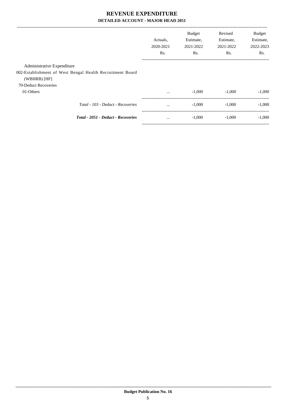|                                                                                                           | Actuals.<br>2020-2021<br>Rs. | Budget<br>Estimate,<br>2021-2022<br>Rs. | Revised<br>Estimate,<br>2021-2022<br>Rs. | <b>Budget</b><br>Estimate,<br>2022-2023<br>Rs. |
|-----------------------------------------------------------------------------------------------------------|------------------------------|-----------------------------------------|------------------------------------------|------------------------------------------------|
| Administrative Expenditure<br>002-Establishment of West Bengal Health Recruitment Board<br>$(WBHRB)$ [HF] |                              |                                         |                                          |                                                |
| 70-Deduct Recoveries<br>01-Others                                                                         | $\cdots$                     | -1.000                                  | $-1.000$                                 | $-1.000$                                       |
| Total - 103 - Deduct - Recoveries                                                                         | $\cdots$                     | $-1,000$                                | $-1.000$                                 | $-1,000$                                       |
| Total - 2051 - Deduct - Recoveries                                                                        | $\cdots$                     | $-1,000$                                | $-1.000$                                 | $-1.000$                                       |
|                                                                                                           |                              |                                         |                                          |                                                |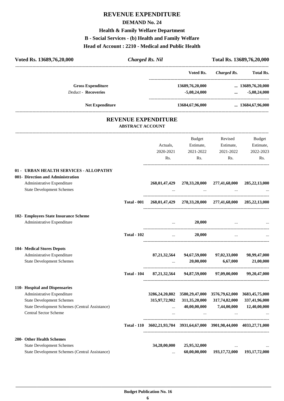# **REVENUE EXPENDITURE DEMAND No. 24 Health & Family Welfare Department B - Social Services - (b) Health and Family Welfare Head of Account : 2210 - Medical and Public Health**

| Voted Rs. 13689,76,20,000                                               |                         | <b>Charged Rs. Nil</b>                                                  |                                                         |                                                  | Total Rs. 13689,76,20,000                              |
|-------------------------------------------------------------------------|-------------------------|-------------------------------------------------------------------------|---------------------------------------------------------|--------------------------------------------------|--------------------------------------------------------|
|                                                                         |                         |                                                                         | Voted Rs.                                               |                                                  | Charged Rs. Total Rs.                                  |
| <b>Gross Expenditure</b><br><b>Deduct - Recoveries</b>                  |                         |                                                                         | 13689,76,20,000<br>$-5,08,24,000$                       |                                                  | $\ldots$ 13689,76,20,000<br>$-5,08,24,000$<br>$\cdots$ |
| <b>Net Expenditure</b>                                                  |                         |                                                                         | 13684,67,96,000                                         |                                                  | $\ldots$ 13684,67,96,000                               |
|                                                                         | <b>ABSTRACT ACCOUNT</b> | <b>REVENUE EXPENDITURE</b>                                              |                                                         |                                                  |                                                        |
|                                                                         |                         |                                                                         | <b>Budget</b>                                           | Revised                                          | Budget                                                 |
|                                                                         |                         | Actuals,                                                                | Estimate,                                               | Estimate,                                        | Estimate,                                              |
|                                                                         |                         | 2020-2021                                                               | 2021-2022                                               | 2021-2022                                        | 2022-2023                                              |
|                                                                         |                         | Rs.                                                                     | Rs.                                                     | Rs.                                              | Rs.                                                    |
| 01 - URBAN HEALTH SERVICES - ALLOPATHY                                  |                         |                                                                         |                                                         |                                                  |                                                        |
| 001- Direction and Administration                                       |                         |                                                                         |                                                         |                                                  |                                                        |
| Administrative Expenditure                                              |                         |                                                                         | 268,01,47,429 278,33,28,000 277,41,68,000 285,22,13,000 |                                                  |                                                        |
| <b>State Development Schemes</b>                                        |                         |                                                                         |                                                         |                                                  |                                                        |
|                                                                         | <b>Total - 001</b>      |                                                                         | 268,01,47,429 278,33,28,000 277,41,68,000 285,22,13,000 |                                                  |                                                        |
| 102- Employees State Insurance Scheme                                   |                         |                                                                         |                                                         |                                                  |                                                        |
| Administrative Expenditure                                              |                         |                                                                         | 20,000                                                  |                                                  |                                                        |
|                                                                         | <b>Total - 102</b>      | $\mathbf{1}$                                                            | 20,000                                                  |                                                  |                                                        |
| <b>104- Medical Stores Depots</b>                                       |                         |                                                                         |                                                         |                                                  |                                                        |
| Administrative Expenditure<br><b>State Development Schemes</b>          |                         | 87, 21, 32, 564                                                         | 94,67,59,000<br>20,00,000                               | 97,02,33,000<br>6,67,000                         | 98,99,47,000<br>21,00,000                              |
|                                                                         | <b>Total - 104</b>      |                                                                         | 87,21,32,564 94,87,59,000 97,09,00,000 99,20,47,000     |                                                  |                                                        |
| 110- Hospital and Dispensaries                                          |                         |                                                                         |                                                         |                                                  |                                                        |
| Administrative Expenditure                                              |                         |                                                                         | 3286,24,20,802 3580,29,47,000 3576,79,62,000            |                                                  | 3683,45,75,000                                         |
| <b>State Development Schemes</b>                                        |                         | 315,97,72,902                                                           | 311,35,20,000                                           | 317,74,82,000                                    | 337,41,96,000                                          |
| State Development Schemes (Central Assistance)<br>Central Sector Scheme |                         |                                                                         | $\cdots$                                                | 40,00,00,000 7,44,00,000                         | 12,40,00,000                                           |
|                                                                         |                         |                                                                         |                                                         | and the same of the same of the same<br>$\cdots$ |                                                        |
|                                                                         |                         | Total - 110 3602,21,93,704 3931,64,67,000 3901,98,44,000 4033,27,71,000 |                                                         |                                                  |                                                        |
| 200- Other Health Schemes                                               |                         |                                                                         |                                                         |                                                  |                                                        |
| <b>State Development Schemes</b>                                        |                         | 34,28,00,000                                                            | 25,95,32,000                                            |                                                  |                                                        |
| State Development Schemes (Central Assistance)                          |                         | $\cdots$                                                                | 60,00,00,000                                            | 193,17,72,000                                    | 193, 17, 72, 000                                       |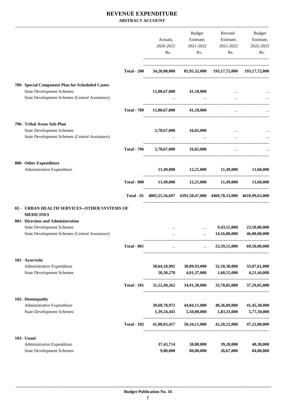|                                                                                    |                    |              | <b>Budget</b>                                                                                                                                                                                                                        | Revised               | Budget       |
|------------------------------------------------------------------------------------|--------------------|--------------|--------------------------------------------------------------------------------------------------------------------------------------------------------------------------------------------------------------------------------------|-----------------------|--------------|
|                                                                                    |                    | Actuals,     |                                                                                                                                                                                                                                      | Estimate, Estimate,   | Estimate,    |
|                                                                                    |                    | 2020-2021    | 2021-2022                                                                                                                                                                                                                            | 2021-2022             | 2022-2023    |
|                                                                                    |                    | Rs.          | Rs.                                                                                                                                                                                                                                  | Rs.                   | Rs.          |
|                                                                                    | <b>Total - 200</b> |              | 34,28,00,000 85,95,32,000 193,17,72,000 193,17,72,000                                                                                                                                                                                |                       |              |
| 789- Special Component Plan for Scheduled Castes                                   |                    |              |                                                                                                                                                                                                                                      |                       |              |
| <b>State Development Schemes</b><br>State Development Schemes (Central Assistance) |                    |              | $11,00,67,000$ $41,18,000$<br><b><i>Committee States</i></b>                                                                                                                                                                         |                       |              |
|                                                                                    | <b>Total - 789</b> |              | $11,00,67,000$ $41,18,000$                                                                                                                                                                                                           | $\cdots$              |              |
| 796- Tribal Areas Sub-Plan                                                         |                    |              |                                                                                                                                                                                                                                      |                       |              |
| <b>State Development Schemes</b>                                                   |                    |              | 2,70,67,000 16,02,000                                                                                                                                                                                                                |                       |              |
| State Development Schemes (Central Assistance)                                     |                    |              | $\mathbf{r}$ and $\mathbf{r}$ are all the set of the set of the set of the set of the set of the set of the set of the set of the set of the set of the set of the set of the set of the set of the set of the set of the set of the |                       |              |
|                                                                                    | <b>Total - 796</b> |              | 2,70,67,000 16,02,000                                                                                                                                                                                                                |                       |              |
| 800- Other Expenditure                                                             |                    |              |                                                                                                                                                                                                                                      |                       |              |
| Administrative Expenditure                                                         |                    |              | 11,49,000 12,21,000 11,49,000 11,60,000                                                                                                                                                                                              |                       |              |
|                                                                                    |                    |              | Total - 800 11,49,000 12,21,000 11,49,000 11,60,000                                                                                                                                                                                  |                       |              |
|                                                                                    |                    |              | Total - 01 4005,55,56,697 4391,50,47,000 4469,78,33,000 4610,99,63,000                                                                                                                                                               |                       |              |
| 02 - URBAN HEALTH SERVICES--OTHER SYSTEMS OF<br><b>MEDICINES</b>                   |                    |              |                                                                                                                                                                                                                                      |                       |              |
| 001- Direction and Administration                                                  |                    |              |                                                                                                                                                                                                                                      |                       |              |
| <b>State Development Schemes</b>                                                   |                    |              | $\cdots$                                                                                                                                                                                                                             | 9,43,55,000           | 23,50,00,000 |
| State Development Schemes (Central Assistance)                                     |                    |              | $\cdots$                                                                                                                                                                                                                             | 14,16,00,000          | 46,00,00,000 |
|                                                                                    | <b>Total - 001</b> | $\ddots$     |                                                                                                                                                                                                                                      | $\ldots$ 23,59,55,000 | 69,50,00,000 |
| 101- Ayurveda                                                                      |                    |              |                                                                                                                                                                                                                                      |                       |              |
| Administrative Expenditure                                                         |                    | 30,64,18,992 | 30,89,93,000                                                                                                                                                                                                                         | 32,18,30,000          | 33,07,61,000 |
| <b>State Development Schemes</b>                                                   |                    | 58,30,270    | 4,01,37,000                                                                                                                                                                                                                          | 1,60,55,000           | 4,21,44,000  |
|                                                                                    | <b>Total - 101</b> | 31,22,49,262 | 34,91,30,000                                                                                                                                                                                                                         | 33,78,85,000          | 37,29,05,000 |
| 102- Homeopathy                                                                    |                    |              |                                                                                                                                                                                                                                      |                       |              |
| Administrative Expenditure                                                         |                    | 39,60,78,972 | 44,84,11,000                                                                                                                                                                                                                         | 40,36,89,000          | 41,45,30,000 |
| <b>State Development Schemes</b>                                                   |                    | 1,39,24,445  | 5,50,00,000                                                                                                                                                                                                                          | 1,83,33,000           | 5,77,50,000  |
|                                                                                    | <b>Total - 102</b> | 41,00,03,417 | 50,34,11,000                                                                                                                                                                                                                         | 42,20,22,000          | 47,22,80,000 |
| 103- Unani                                                                         |                    |              |                                                                                                                                                                                                                                      |                       |              |
| Administrative Expenditure                                                         |                    | 37, 43, 714  | 38,80,000                                                                                                                                                                                                                            | 39,20,000             | 40,38,000    |
| <b>State Development Schemes</b>                                                   |                    | 9,00,000     | 80,00,000                                                                                                                                                                                                                            | 26,67,000             | 84,00,000    |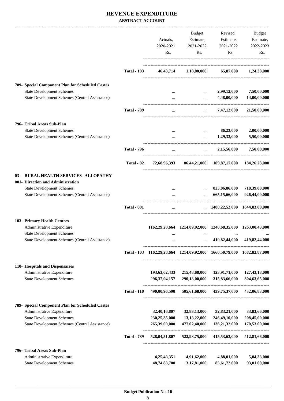|                                                                                           |                    |                  | Budget                                     | Revised                                                                 | Budget                     |
|-------------------------------------------------------------------------------------------|--------------------|------------------|--------------------------------------------|-------------------------------------------------------------------------|----------------------------|
|                                                                                           |                    | Actuals,         | Estimate,                                  | Estimate,                                                               | Estimate,                  |
|                                                                                           |                    | 2020-2021        | 2021-2022                                  | 2021-2022                                                               | 2022-2023                  |
|                                                                                           |                    | Rs.              | Rs.                                        | Rs.                                                                     | Rs.                        |
|                                                                                           | <b>Total - 103</b> | 46,43,714        |                                            | 1,18,80,000 65,87,000                                                   | 1,24,38,000                |
| 789- Special Component Plan for Scheduled Castes                                          |                    |                  |                                            |                                                                         |                            |
| <b>State Development Schemes</b>                                                          |                    |                  | $\cdots$                                   | 2,99,12,000                                                             | 7,50,00,000                |
| State Development Schemes (Central Assistance)                                            |                    |                  | $\ddotsc$                                  | 4,48,00,000                                                             | 14,00,00,000               |
|                                                                                           | <b>Total - 789</b> | $\cdots$         | $\cdots$                                   | 7,47,12,000                                                             | 21,50,00,000               |
| 796- Tribal Areas Sub-Plan                                                                |                    |                  |                                            |                                                                         |                            |
| <b>State Development Schemes</b><br><b>State Development Schemes (Central Assistance)</b> |                    |                  | $\cdots$<br>$\ddotsc$                      | 86,23,000<br>1,29,33,000                                                | 2,00,00,000<br>5,50,00,000 |
|                                                                                           |                    |                  |                                            |                                                                         |                            |
|                                                                                           | <b>Total - 796</b> | $\cdots$         |                                            | 2,15,56,000<br>$\mathbf{L}$ and $\mathbf{L}$ and $\mathbf{L}$           | 7,50,00,000                |
|                                                                                           | Total - 02         | 72,68,96,393     |                                            | 86,44,21,000 109,87,17,000                                              | 184, 26, 23, 000           |
| 03 - RURAL HEALTH SERVICES--ALLOPATHY<br>001- Direction and Administration                |                    |                  |                                            |                                                                         |                            |
| <b>State Development Schemes</b>                                                          |                    |                  |                                            | 823,06,86,000                                                           | 718,39,00,000              |
| State Development Schemes (Central Assistance)                                            |                    |                  | $\ddotsc$                                  | 665,15,66,000                                                           | 926,44,00,000              |
|                                                                                           | <b>Total - 001</b> | $\cdots$         |                                            | $\ldots$ 1488,22,52,000 1644,83,00,000                                  |                            |
| 103- Primary Health Centres                                                               |                    |                  |                                            |                                                                         |                            |
| Administrative Expenditure                                                                |                    |                  |                                            | 1162,29,28,664 1214,09,92,000 1240,68,35,000 1263,00,43,000             |                            |
| <b>State Development Schemes</b><br>State Development Schemes (Central Assistance)        |                    | $\ddotsc$        | $\mathbf{r}$ , $\mathbf{r}$ , $\mathbf{r}$ | 419,82,44,000                                                           | 419,82,44,000              |
|                                                                                           |                    |                  |                                            | Total - 103 1162,29,28,664 1214,09,92,000 1660,50,79,000 1682,82,87,000 |                            |
|                                                                                           |                    |                  |                                            |                                                                         |                            |
| 110- Hospitals and Dispensaries<br>Administrative Expenditure                             |                    | 193,63,02,433    | 215,48,68,000                              | 123,91,71,000                                                           | 127,43,18,000              |
| <b>State Development Schemes</b>                                                          |                    | 296, 37, 94, 157 | 290,13,00,000                              | 315,83,66,000                                                           | 304,63,65,000              |
|                                                                                           | <b>Total - 110</b> | 490,00,96,590    | 505,61,68,000                              | 439,75,37,000                                                           | 432,06,83,000              |
| 789- Special Component Plan for Scheduled Castes                                          |                    |                  |                                            |                                                                         |                            |
| Administrative Expenditure                                                                |                    | 32,40,16,807     | 32,83,13,000                               | 32,83,21,000                                                            | 33,83,66,000               |
| <b>State Development Schemes</b>                                                          |                    | 230, 25, 35, 000 | 13, 13, 22, 000                            | 246,49,10,000                                                           | 208,45,00,000              |
| State Development Schemes (Central Assistance)                                            |                    | 265,39,00,000    | 477,02,40,000                              | 136,21,32,000                                                           | 170,53,00,000              |
|                                                                                           | <b>Total - 789</b> | 528,04,51,807    | 522,98,75,000                              | 415,53,63,000                                                           | 412,81,66,000              |
| 796- Tribal Areas Sub-Plan                                                                |                    |                  |                                            |                                                                         |                            |
| Administrative Expenditure                                                                |                    | 4,25,48,351      | 4,91,62,000                                | 4,88,01,000                                                             | 5,04,38,000                |
| <b>State Development Schemes</b>                                                          |                    | 48,74,83,700     | 3,17,81,000                                | 85,61,72,000                                                            | 93,01,00,000               |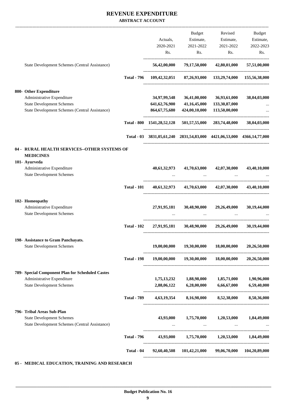|                                                                                                                                                                                                                                                                                                                                                                                                                                                                                                                                                                                                                                                                                                               |                                              | <b>Budget</b>                                        | Revised                                                                                                                                 | Budget                                                                                                                                                                                                                                                                                                                                                                                                                                                                   |
|---------------------------------------------------------------------------------------------------------------------------------------------------------------------------------------------------------------------------------------------------------------------------------------------------------------------------------------------------------------------------------------------------------------------------------------------------------------------------------------------------------------------------------------------------------------------------------------------------------------------------------------------------------------------------------------------------------------|----------------------------------------------|------------------------------------------------------|-----------------------------------------------------------------------------------------------------------------------------------------|--------------------------------------------------------------------------------------------------------------------------------------------------------------------------------------------------------------------------------------------------------------------------------------------------------------------------------------------------------------------------------------------------------------------------------------------------------------------------|
|                                                                                                                                                                                                                                                                                                                                                                                                                                                                                                                                                                                                                                                                                                               |                                              |                                                      |                                                                                                                                         | Estimate,                                                                                                                                                                                                                                                                                                                                                                                                                                                                |
|                                                                                                                                                                                                                                                                                                                                                                                                                                                                                                                                                                                                                                                                                                               | Rs.                                          | Rs.                                                  | Rs.                                                                                                                                     | 2022-2023<br>Rs.                                                                                                                                                                                                                                                                                                                                                                                                                                                         |
|                                                                                                                                                                                                                                                                                                                                                                                                                                                                                                                                                                                                                                                                                                               |                                              |                                                      | 42,80,01,000                                                                                                                            | 57,51,00,000                                                                                                                                                                                                                                                                                                                                                                                                                                                             |
| <b>Total - 796</b>                                                                                                                                                                                                                                                                                                                                                                                                                                                                                                                                                                                                                                                                                            |                                              |                                                      |                                                                                                                                         | 155,56,38,000                                                                                                                                                                                                                                                                                                                                                                                                                                                            |
|                                                                                                                                                                                                                                                                                                                                                                                                                                                                                                                                                                                                                                                                                                               |                                              |                                                      |                                                                                                                                         |                                                                                                                                                                                                                                                                                                                                                                                                                                                                          |
|                                                                                                                                                                                                                                                                                                                                                                                                                                                                                                                                                                                                                                                                                                               |                                              |                                                      |                                                                                                                                         | 38,04,03,000                                                                                                                                                                                                                                                                                                                                                                                                                                                             |
|                                                                                                                                                                                                                                                                                                                                                                                                                                                                                                                                                                                                                                                                                                               | 641, 62, 76, 900                             | 41,16,45,000                                         | 133,30,87,000                                                                                                                           |                                                                                                                                                                                                                                                                                                                                                                                                                                                                          |
|                                                                                                                                                                                                                                                                                                                                                                                                                                                                                                                                                                                                                                                                                                               |                                              | 424,00,10,000                                        | 113,50,00,000                                                                                                                           |                                                                                                                                                                                                                                                                                                                                                                                                                                                                          |
|                                                                                                                                                                                                                                                                                                                                                                                                                                                                                                                                                                                                                                                                                                               |                                              |                                                      |                                                                                                                                         | 38,04,03,000                                                                                                                                                                                                                                                                                                                                                                                                                                                             |
|                                                                                                                                                                                                                                                                                                                                                                                                                                                                                                                                                                                                                                                                                                               |                                              |                                                      |                                                                                                                                         |                                                                                                                                                                                                                                                                                                                                                                                                                                                                          |
|                                                                                                                                                                                                                                                                                                                                                                                                                                                                                                                                                                                                                                                                                                               |                                              |                                                      |                                                                                                                                         |                                                                                                                                                                                                                                                                                                                                                                                                                                                                          |
|                                                                                                                                                                                                                                                                                                                                                                                                                                                                                                                                                                                                                                                                                                               |                                              |                                                      |                                                                                                                                         |                                                                                                                                                                                                                                                                                                                                                                                                                                                                          |
|                                                                                                                                                                                                                                                                                                                                                                                                                                                                                                                                                                                                                                                                                                               | 40,61,32,973                                 | 41,70,63,000                                         | 42,07,30,000                                                                                                                            | 43,40,10,000                                                                                                                                                                                                                                                                                                                                                                                                                                                             |
|                                                                                                                                                                                                                                                                                                                                                                                                                                                                                                                                                                                                                                                                                                               |                                              |                                                      |                                                                                                                                         |                                                                                                                                                                                                                                                                                                                                                                                                                                                                          |
| <b>Total - 101</b>                                                                                                                                                                                                                                                                                                                                                                                                                                                                                                                                                                                                                                                                                            |                                              |                                                      | 42,07,30,000                                                                                                                            | 43,40,10,000                                                                                                                                                                                                                                                                                                                                                                                                                                                             |
|                                                                                                                                                                                                                                                                                                                                                                                                                                                                                                                                                                                                                                                                                                               |                                              |                                                      |                                                                                                                                         |                                                                                                                                                                                                                                                                                                                                                                                                                                                                          |
|                                                                                                                                                                                                                                                                                                                                                                                                                                                                                                                                                                                                                                                                                                               | 27,91,95,181                                 | 30,48,90,000                                         | 29,26,49,000                                                                                                                            | 30,19,44,000                                                                                                                                                                                                                                                                                                                                                                                                                                                             |
|                                                                                                                                                                                                                                                                                                                                                                                                                                                                                                                                                                                                                                                                                                               |                                              |                                                      |                                                                                                                                         |                                                                                                                                                                                                                                                                                                                                                                                                                                                                          |
| <b>Total - 102</b>                                                                                                                                                                                                                                                                                                                                                                                                                                                                                                                                                                                                                                                                                            |                                              |                                                      | 29,26,49,000                                                                                                                            | 30,19,44,000                                                                                                                                                                                                                                                                                                                                                                                                                                                             |
|                                                                                                                                                                                                                                                                                                                                                                                                                                                                                                                                                                                                                                                                                                               |                                              |                                                      |                                                                                                                                         |                                                                                                                                                                                                                                                                                                                                                                                                                                                                          |
|                                                                                                                                                                                                                                                                                                                                                                                                                                                                                                                                                                                                                                                                                                               | 19,00,00,000                                 | 19,30,00,000                                         | 18,00,00,000                                                                                                                            | 20,26,50,000                                                                                                                                                                                                                                                                                                                                                                                                                                                             |
| <b>Total - 198</b>                                                                                                                                                                                                                                                                                                                                                                                                                                                                                                                                                                                                                                                                                            |                                              |                                                      | 18,00,00,000                                                                                                                            | 20,26,50,000                                                                                                                                                                                                                                                                                                                                                                                                                                                             |
|                                                                                                                                                                                                                                                                                                                                                                                                                                                                                                                                                                                                                                                                                                               |                                              |                                                      |                                                                                                                                         |                                                                                                                                                                                                                                                                                                                                                                                                                                                                          |
|                                                                                                                                                                                                                                                                                                                                                                                                                                                                                                                                                                                                                                                                                                               | 1,75,13,232                                  | 1,88,98,000                                          | 1,85,71,000                                                                                                                             | 1,90,96,000                                                                                                                                                                                                                                                                                                                                                                                                                                                              |
|                                                                                                                                                                                                                                                                                                                                                                                                                                                                                                                                                                                                                                                                                                               |                                              |                                                      |                                                                                                                                         | 6,59,40,000                                                                                                                                                                                                                                                                                                                                                                                                                                                              |
| <b>Total - 789</b>                                                                                                                                                                                                                                                                                                                                                                                                                                                                                                                                                                                                                                                                                            |                                              |                                                      |                                                                                                                                         |                                                                                                                                                                                                                                                                                                                                                                                                                                                                          |
|                                                                                                                                                                                                                                                                                                                                                                                                                                                                                                                                                                                                                                                                                                               |                                              |                                                      |                                                                                                                                         |                                                                                                                                                                                                                                                                                                                                                                                                                                                                          |
|                                                                                                                                                                                                                                                                                                                                                                                                                                                                                                                                                                                                                                                                                                               | 43,93,000                                    | 1,75,70,000<br>$\cdots$                              |                                                                                                                                         | 1,84,49,000                                                                                                                                                                                                                                                                                                                                                                                                                                                              |
| <b>Total - 796</b>                                                                                                                                                                                                                                                                                                                                                                                                                                                                                                                                                                                                                                                                                            |                                              |                                                      |                                                                                                                                         | 1,84,49,000                                                                                                                                                                                                                                                                                                                                                                                                                                                              |
| Total - 04                                                                                                                                                                                                                                                                                                                                                                                                                                                                                                                                                                                                                                                                                                    |                                              |                                                      |                                                                                                                                         |                                                                                                                                                                                                                                                                                                                                                                                                                                                                          |
| State Development Schemes (Central Assistance)<br>800- Other Expenditure<br>Administrative Expenditure<br><b>State Development Schemes</b><br>State Development Schemes (Central Assistance)<br><b>MEDICINES</b><br>101- Ayurveda<br>Administrative Expenditure<br><b>State Development Schemes</b><br>102- Homeopathy<br>Administrative Expenditure<br><b>State Development Schemes</b><br>198- Assistance to Gram Panchayats.<br><b>State Development Schemes</b><br>789- Special Component Plan for Scheduled Castes<br>Administrative Expenditure<br><b>State Development Schemes</b><br>796- Tribal Areas Sub-Plan<br><b>State Development Schemes</b><br>State Development Schemes (Central Assistance) | 04 - RURAL HEALTH SERVICES--OTHER SYSTEMS OF | Actuals,<br>2020-2021<br>34,97,99,548<br>2,88,06,122 | Estimate,<br>2021-2022<br>56,42,00,000<br>109,42,32,051<br>36,41,00,000<br>864,67,75,680<br>40,61,32,973<br>27,91,95,181<br>6,28,00,000 | Estimate,<br>2021-2022<br>79,17,50,000<br>87,26,93,000 133,29,74,000<br>36,93,61,000<br>Total - 800 1541,28,52,128 501,57,55,000 283,74,48,000<br>Total - 03 3831,05,61,240 2831,54,83,000 4421,06,53,000 4366,14,77,000<br>41,70,63,000<br>30,48,90,000<br>$19,00,00,000$ $19,30,00,000$<br>6,66,67,000<br>4,63,19,354 8,16,98,000 8,52,38,000 8,50,36,000<br>1,20,53,000<br>43,93,000 1,75,70,000 1,20,53,000<br>92,60,40,508 101,42,21,000 99,06,70,000 104,20,89,000 |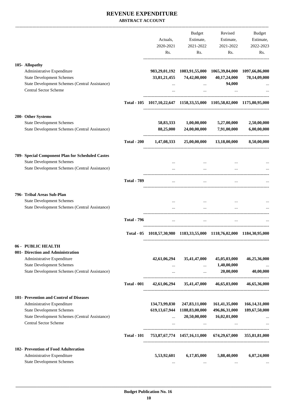|                                                       |                    |                      | Budget                             | Revised                                                                        | Budget           |
|-------------------------------------------------------|--------------------|----------------------|------------------------------------|--------------------------------------------------------------------------------|------------------|
|                                                       |                    |                      |                                    |                                                                                |                  |
|                                                       |                    | Actuals,             | Estimate,                          | Estimate,                                                                      | Estimate,        |
|                                                       |                    | 2020-2021            | 2021-2022                          | 2021-2022                                                                      | 2022-2023        |
|                                                       |                    | Rs.                  | Rs.                                | Rs.                                                                            | Rs.              |
| 105- Allopathy                                        |                    |                      |                                    |                                                                                |                  |
| Administrative Expenditure                            |                    |                      |                                    | 983,29,01,192 1083,91,55,000 1065,39,84,000 1097,66,86,000                     |                  |
| <b>State Development Schemes</b>                      |                    | 33,81,21,455         | 74,42,00,000                       | 40,17,24,000                                                                   | 78,14,09,000     |
| <b>State Development Schemes (Central Assistance)</b> |                    |                      |                                    | 94,000                                                                         |                  |
|                                                       |                    | $\cdots$             | $\cdots$                           |                                                                                |                  |
| <b>Central Sector Scheme</b>                          |                    | $\cdots$             | $\cdots$                           |                                                                                |                  |
|                                                       |                    |                      |                                    | Total - 105 1017,10,22,647 1158,33,55,000 1105,58,02,000 1175,80,95,000        |                  |
| 200- Other Systems                                    |                    |                      |                                    |                                                                                |                  |
| <b>State Development Schemes</b>                      |                    |                      | 58,83,333 1,00,00,000 5,27,00,000  |                                                                                | 2,50,00,000      |
| State Development Schemes (Central Assistance)        |                    | 88,25,000            |                                    | 24,00,00,000 7,91,00,000                                                       | 6,00,00,000      |
|                                                       | <b>Total - 200</b> | 1,47,08,333          |                                    | 25,00,00,000 13,18,00,000 8,50,00,000                                          |                  |
| 789- Special Component Plan for Scheduled Castes      |                    |                      |                                    |                                                                                |                  |
| <b>State Development Schemes</b>                      |                    |                      |                                    |                                                                                |                  |
| State Development Schemes (Central Assistance)        |                    |                      | $\cdots$                           |                                                                                |                  |
|                                                       |                    |                      |                                    |                                                                                |                  |
|                                                       | <b>Total - 789</b> |                      | $\cdots$                           |                                                                                |                  |
| 796- Tribal Areas Sub-Plan                            |                    |                      |                                    |                                                                                |                  |
| <b>State Development Schemes</b>                      |                    |                      |                                    |                                                                                |                  |
| State Development Schemes (Central Assistance)        |                    | $\cdots$<br>$\cdots$ | $\cdots$<br>$\cdots$               | $\cdots$<br>$\cdots$                                                           |                  |
|                                                       | <b>Total - 796</b> | $\cdots$             | $\cdots$                           | $\cdots$                                                                       |                  |
|                                                       |                    |                      |                                    |                                                                                |                  |
|                                                       |                    |                      |                                    | Total - 05 1018,57,30,980 1183,33,55,000 1118,76,02,000 1184,30,95,000         |                  |
| 06 - PUBLIC HEALTH                                    |                    |                      |                                    |                                                                                |                  |
| 001- Direction and Administration                     |                    |                      |                                    |                                                                                |                  |
| Administrative Expenditure                            |                    | 42,61,06,294         | 35,41,47,000                       | 45,05,03,000                                                                   | 46,25,36,000     |
| <b>State Development Schemes</b>                      |                    |                      | $\cdots$                           | 1,40,00,000                                                                    |                  |
| State Development Schemes (Central Assistance)        |                    | $\cdots$             |                                    | $20,00,000$                                                                    | 40,00,000        |
|                                                       | <b>Total - 001</b> |                      |                                    | $42,61,06,294$ $35,41,47,000$ $46,65,03,000$                                   | 46,65,36,000     |
| 101- Prevention and Control of Diseases               |                    |                      |                                    |                                                                                |                  |
| Administrative Expenditure                            |                    |                      | 134,73,99,830 247,83,11,000        | 161,41,35,000                                                                  | 166, 14, 31, 000 |
| <b>State Development Schemes</b>                      |                    |                      | 619, 13, 67, 944 1188, 83, 00, 000 | 496,86,31,000                                                                  | 189,67,50,000    |
| State Development Schemes (Central Assistance)        |                    |                      | $\ldots$ 20,50,00,000              | 16,02,01,000                                                                   |                  |
| Central Sector Scheme                                 |                    |                      |                                    | and the control of the control of the control of the control of the control of | $\ddots$         |
|                                                       | <b>Total - 101</b> |                      |                                    | 753,87,67,774 1457,16,11,000 674,29,67,000 355,81,81,000                       |                  |
| 102- Prevention of Food Adulteration                  |                    |                      |                                    |                                                                                |                  |
| Administrative Expenditure                            |                    | 5,53,92,601          | 6,17,85,000                        | 5,88,40,000                                                                    | 6,07,24,000      |
| <b>State Development Schemes</b>                      |                    |                      |                                    |                                                                                |                  |
|                                                       |                    | $\cdots$             | $\cdots$                           | $\cdots$                                                                       |                  |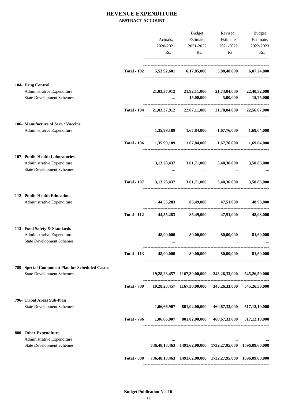|                                                                  |                    |             | Budget                              | Revised                                                         | Budget        |
|------------------------------------------------------------------|--------------------|-------------|-------------------------------------|-----------------------------------------------------------------|---------------|
|                                                                  |                    | Actuals,    | Estimate,                           | Estimate,                                                       | Estimate,     |
|                                                                  |                    | 2020-2021   | 2021-2022                           | 2021-2022                                                       | 2022-2023     |
|                                                                  |                    | Rs.         | Rs.                                 | Rs.                                                             | Rs.           |
|                                                                  | <b>Total - 102</b> |             | 5,53,92,601 6,17,85,000 5,88,40,000 |                                                                 | 6,07,24,000   |
| 104- Drug Control                                                |                    |             |                                     |                                                                 |               |
| Administrative Expenditure<br><b>State Development Schemes</b>   |                    |             | $\dots$ 15,00,000                   | 21,03,37,912 21,92,11,000 21,73,04,000 22,40,32,000<br>5,00,000 | 15,75,000     |
|                                                                  | <b>Total - 104</b> |             |                                     | 21,03,37,912 22,07,11,000 21,78,04,000 22,56,07,000             |               |
| 106- Manufacture of Sera / Vaccine<br>Administrative Expenditure |                    |             |                                     |                                                                 |               |
|                                                                  |                    |             | 1,35,99,189 1,67,84,000 1,67,76,000 |                                                                 | 1,69,04,000   |
|                                                                  | <b>Total - 106</b> |             |                                     | 1,35,99,189 1,67,84,000 1,67,76,000 1,69,04,000                 |               |
| 107- Public Health Laboratories<br>Administrative Expenditure    |                    |             | 3,13,28,437 3,61,71,000 3,40,36,000 |                                                                 | 3,50,83,000   |
| <b>State Development Schemes</b>                                 |                    |             | $\sim$ 100 $\mu$                    |                                                                 |               |
|                                                                  | <b>Total - 107</b> |             |                                     | $3,13,28,437$ $3,61,71,000$ $3,40,36,000$                       | 3,50,83,000   |
| 112- Public Health Education<br>Administrative Expenditure       |                    |             | 44,55,283 86,49,000 47,51,000       |                                                                 | 48,93,000     |
|                                                                  | <b>Total - 112</b> |             |                                     | 44,55,283 86,49,000 47,51,000                                   | 48,93,000     |
|                                                                  |                    |             |                                     |                                                                 |               |
| 113- Food Safety & Standards<br>Administrative Expenditure       |                    | 48,00,000   | 80,00,000                           | 80,00,000                                                       | 81,60,000     |
| <b>State Development Schemes</b>                                 |                    |             |                                     |                                                                 |               |
|                                                                  | <b>Total - 113</b> |             |                                     | 48,00,000 80,00,000 80,00,000 81,60,000                         |               |
| 789- Special Component Plan for Scheduled Castes                 |                    |             |                                     |                                                                 |               |
| <b>State Development Schemes</b>                                 |                    |             |                                     | 19,28,23,457 1167,30,00,000 343,26,33,000                       | 545,26,50,000 |
|                                                                  | <b>Total - 789</b> |             |                                     | 19,28,23,457 1167,30,00,000 343,26,33,000 545,26,50,000         |               |
| 796- Tribal Areas Sub-Plan<br><b>State Development Schemes</b>   |                    |             |                                     | 1,06,66,907 801,02,00,000 460,67,33,000 517,12,10,000           |               |
|                                                                  | <b>Total - 796</b> | 1,06,66,907 |                                     | 801,02,00,000 460,67,33,000 517,12,10,000                       |               |
|                                                                  |                    |             |                                     |                                                                 |               |
| 800- Other Expenditure<br>Administrative Expenditure             |                    |             |                                     |                                                                 |               |
| <b>State Development Schemes</b>                                 |                    |             |                                     | 736,48,13,463 1491,62,00,000 1732,27,95,000 1596,09,60,000      |               |
|                                                                  | <b>Total - 800</b> |             |                                     | 736,48,13,463 1491,62,00,000 1732,27,95,000 1596,09,60,000      |               |
|                                                                  |                    |             |                                     |                                                                 |               |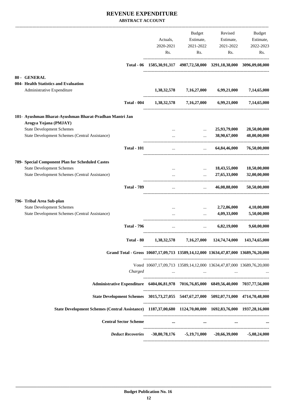|                                                                                                            |                                                                       | Budget                | Revised                                                                                         | Budget       |
|------------------------------------------------------------------------------------------------------------|-----------------------------------------------------------------------|-----------------------|-------------------------------------------------------------------------------------------------|--------------|
|                                                                                                            | Actuals,                                                              | Estimate,             | Estimate,                                                                                       | Estimate,    |
|                                                                                                            | 2020-2021                                                             | 2021-2022             | 2021-2022                                                                                       | 2022-2023    |
|                                                                                                            | Rs.                                                                   | Rs.                   | Rs.                                                                                             | Rs.          |
| Total - 06                                                                                                 |                                                                       |                       | 1585,30,91,317 4987,72,58,000 3291,18,38,000 3096,09,08,000                                     |              |
| 80 - GENERAL                                                                                               |                                                                       |                       |                                                                                                 |              |
| 004- Health Statistics and Evaluation                                                                      |                                                                       |                       |                                                                                                 |              |
| Administrative Expenditure                                                                                 | 1,38,32,578                                                           | 7,16,27,000           | 6,99,21,000                                                                                     | 7,14,65,000  |
| <b>Total - 004</b>                                                                                         | 1,38,32,578                                                           | 7,16,27,000           | 6,99,21,000                                                                                     | 7,14,65,000  |
| 101- Ayushman Bharat-Ayushman Bharat-Pradhan Mantri Jan                                                    |                                                                       |                       |                                                                                                 |              |
| Arogya Yojana (PMJAY)                                                                                      |                                                                       |                       |                                                                                                 |              |
| <b>State Development Schemes</b>                                                                           |                                                                       | $\ddotsc$             | 25,93,79,000                                                                                    | 28,50,00,000 |
| State Development Schemes (Central Assistance)                                                             |                                                                       | $\cdots$              | 38,90,67,000                                                                                    | 48,00,00,000 |
| <b>Total - 101</b>                                                                                         |                                                                       | $\dddot{\phantom{0}}$ | 64,84,46,000                                                                                    | 76,50,00,000 |
| 789- Special Component Plan for Scheduled Castes                                                           |                                                                       |                       |                                                                                                 |              |
| <b>State Development Schemes</b>                                                                           |                                                                       | $\cdots$              | 18,43,55,000                                                                                    | 18,50,00,000 |
| State Development Schemes (Central Assistance)                                                             |                                                                       |                       | 27,65,33,000                                                                                    | 32,00,00,000 |
| <b>Total - 789</b>                                                                                         |                                                                       |                       | 46,08,88,000                                                                                    | 50,50,00,000 |
| 796- Tribal Area Sub-plan                                                                                  |                                                                       |                       |                                                                                                 |              |
| <b>State Development Schemes</b>                                                                           | $\cdots$                                                              | $\cdots$              | 2,72,86,000                                                                                     | 4,10,00,000  |
| State Development Schemes (Central Assistance)                                                             |                                                                       | $\ddotsc$             | 4,09,33,000                                                                                     | 5,50,00,000  |
| <b>Total - 796</b>                                                                                         |                                                                       | $\cdots$              | 6,82,19,000                                                                                     | 9,60,00,000  |
|                                                                                                            | Total - 80  1,38,32,578  7,16,27,000  124,74,74,000  143,74,65,000    |                       |                                                                                                 |              |
| Grand Total - Gross 10607,17,09,713 13589,14,12,000 13634,47,87,000 13689,76,20,000                        |                                                                       |                       |                                                                                                 |              |
|                                                                                                            | Voted 10607,17,09,713 13589,14,12,000 13634,47,87,000 13689,76,20,000 |                       |                                                                                                 |              |
| Charged                                                                                                    |                                                                       |                       | the contract of the contract of the contract of the contract of the contract of the contract of |              |
| Administrative Expenditure 6404,06,81,978 7016,76,85,000 6849,56,40,000 7037,77,56,000                     |                                                                       |                       |                                                                                                 |              |
| State Development Schemes 3015,73,27,055 5447,67,27,000 5092,07,71,000 4714,70,48,000                      |                                                                       |                       |                                                                                                 |              |
| State Development Schemes (Central Assistance) 1187,37,00,680 1124,70,00,000 1692,83,76,000 1937,28,16,000 |                                                                       |                       |                                                                                                 |              |
| <b>Central Sector Scheme</b>                                                                               |                                                                       |                       | $\cdots$ and $\cdots$ are all $\cdots$ and $\cdots$ are all $\cdots$ and $\cdots$               |              |
| Deduct Recoveries -30,80,78,176 -5,19,71,000 -20,66,39,000 -5,08,24,000                                    |                                                                       |                       |                                                                                                 |              |
|                                                                                                            |                                                                       |                       |                                                                                                 |              |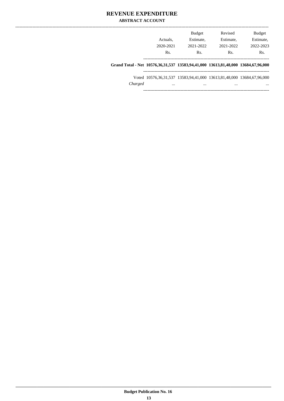| Grand Total - Net 10576,36,31,537 13583,94,41,000 13613,81,48,000 13684,67,96,000 |           |           |               |
|-----------------------------------------------------------------------------------|-----------|-----------|---------------|
| Rs.                                                                               | Rs.       | Rs.       | $\rm Rs$      |
| 2020-2021                                                                         | 2021-2022 | 2021-2022 | 2022-2023     |
| Actuals.                                                                          | Estimate. | Estimate. | Estimate,     |
|                                                                                   | Budget    | Revised   | <b>Budget</b> |
|                                                                                   |           |           |               |

 $Grand To$ 

Voted 10576,36,31,537 13583,94,41,000 13613,81,48,000 13684,67,96,000 *Charged ... ... ... ...* ----------------------------------------------------------------------------------------

----------------------------------------------------------------------------------------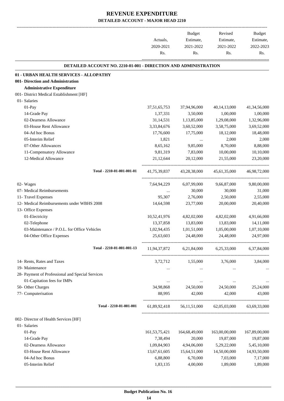|                                                                        | Actuals.<br>2020-2021<br>Rs. | Budget<br>Estimate,<br>2021-2022<br>Rs. | Revised<br>Estimate,<br>2021-2022<br>Rs.               | Budget<br>Estimate,<br>2022-2023<br>Rs. |
|------------------------------------------------------------------------|------------------------------|-----------------------------------------|--------------------------------------------------------|-----------------------------------------|
| <b>DETAILED ACCOUNT NO. 2210-01-001 - DIRECTION AND ADMINISTRATION</b> |                              |                                         |                                                        |                                         |
| 01 - URBAN HEALTH SERVICES - ALLOPATHY                                 |                              |                                         |                                                        |                                         |
| 001- Direction and Administration                                      |                              |                                         |                                                        |                                         |
| <b>Administrative Expenditure</b>                                      |                              |                                         |                                                        |                                         |
| 001- District Medical Establishment [HF]                               |                              |                                         |                                                        |                                         |
| 01- Salaries                                                           |                              |                                         |                                                        |                                         |
| 01-Pay                                                                 | 37, 51, 65, 753              | 37,94,96,000                            | 40, 14, 13, 000                                        | 41,34,56,000                            |
| 14-Grade Pay                                                           | 1,37,331                     | 3,50,000                                | 1,00,000                                               | 1,00,000                                |
| 02-Dearness Allowance                                                  | 31,14,531                    | 1,13,85,000                             | 1,29,08,000                                            | 1,32,96,000                             |
| 03-House Rent Allowance                                                | 3,33,84,676                  | 3,60,52,000                             | 3,58,75,000                                            | 3,69,52,000                             |
| 04-Ad hoc Bonus                                                        | 17,76,600                    | 17,75,000                               | 18,12,000                                              | 18,48,000                               |
| 05-Interim Relief                                                      | 1,821                        | $\cdots$                                | 2,000                                                  | 2,000                                   |
| 07-Other Allowances                                                    | 8,65,162                     | 9,85,000                                | 8,70,000                                               | 8,88,000                                |
| 11-Compensatory Allowance                                              | 9,81,319                     | 7,83,000                                | 10,00,000                                              | 10,10,000                               |
| 12-Medical Allowance                                                   | 21, 12, 644                  | 20,12,000                               | 21,55,000                                              | 23,20,000                               |
| Total - 2210-01-001-001-01                                             | 41,75,39,837                 | 43,28,38,000                            | 45,61,35,000                                           | 46,98,72,000                            |
| 02- Wages                                                              | 7,64,94,229                  | 6,07,99,000                             | 9,66,87,000                                            | 9,80,00,000                             |
| 07- Medical Reimbursements                                             |                              | 30,000                                  | 30,000                                                 | 31,000                                  |
| 11- Travel Expenses                                                    | 95,307                       | 2,76,000                                | 2,50,000                                               | 2,55,000                                |
| 12- Medical Reimbursements under WBHS 2008                             | 14,64,598                    | 23,77,000                               | 20,00,000                                              | 20,40,000                               |
| 13- Office Expenses                                                    |                              |                                         |                                                        |                                         |
| 01-Electricity                                                         | 10,52,41,976                 | 4,82,02,000                             | 4,82,02,000                                            | 4,91,66,000                             |
| 02-Telephone                                                           | 13,37,858                    | 13,83,000                               | 13,83,000                                              | 14,11,000                               |
| 03-Maintenance / P.O.L. for Office Vehicles                            | 1,02,94,435                  | 1,01,51,000                             | 1,05,00,000                                            | 1,07,10,000                             |
| 04-Other Office Expenses                                               | 25,63,603                    | 24,48,000                               | 24,48,000                                              | 24,97,000                               |
| Total - 2210-01-001-001-13                                             |                              |                                         | 11,94,37,872 6,21,84,000 6,25,33,000 6,37,84,000       |                                         |
| 14- Rents, Rates and Taxes                                             |                              | 3,72,712 1,55,000                       | 3,76,000                                               | 3,84,000                                |
| 19- Maintenance                                                        | $\cdots$                     | $\cdots$                                | $\cdots$                                               |                                         |
| 28- Payment of Professional and Special Services                       |                              |                                         |                                                        |                                         |
| 01-Capitation fees for IMPs                                            | $\cdots$                     |                                         |                                                        |                                         |
| 50- Other Charges                                                      | 34,98,868                    | 24,50,000                               | 24,50,000                                              | 25,24,000                               |
| 77- Computerisation                                                    | 88,995                       | 42,000                                  | 42,000                                                 | 43,000                                  |
| Total - 2210-01-001-001                                                |                              |                                         | 61,89,92,418  56,11,51,000  62,05,03,000  63,69,33,000 |                                         |
| 002- Director of Health Services [HF]                                  |                              |                                         |                                                        |                                         |
| 01- Salaries                                                           |                              |                                         |                                                        |                                         |
| $01-Pay$                                                               | 161, 53, 75, 421             | 164,68,49,000                           | 163,00,00,000                                          | 167,89,00,000                           |
| 14-Grade Pay                                                           | 7,38,494                     | 20,000                                  | 19,87,000                                              | 19,87,000                               |
| 02-Dearness Allowance                                                  | 1,09,84,903                  | 4,94,06,000                             | 5,29,22,000                                            | 5,45,10,000                             |
| 03-House Rent Allowance                                                | 13,67,61,605                 | 15,64,51,000                            | 14,50,00,000                                           | 14,93,50,000                            |
| 04-Ad hoc Bonus                                                        | 6,88,800                     | 6,70,000                                | 7,03,000                                               | 7,17,000                                |
| 05-Interim Relief                                                      | 1,83,135                     | 4,00,000                                | 1,89,000                                               | 1,89,000                                |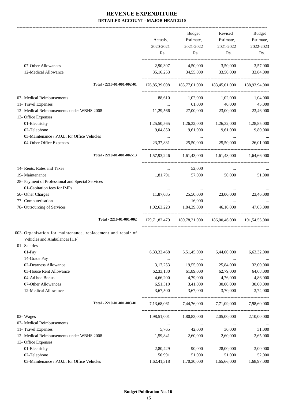|                                                              |                | Budget                   | Revised                                                    | Budget      |
|--------------------------------------------------------------|----------------|--------------------------|------------------------------------------------------------|-------------|
|                                                              | Actuals,       | Estimate,                | Estimate,                                                  | Estimate,   |
|                                                              | 2020-2021      | 2021-2022                | 2021-2022                                                  | 2022-2023   |
|                                                              | Rs.            | Rs.                      | Rs.                                                        | Rs.         |
| 07-Other Allowances                                          | 2,90,397       | 4,50,000                 | 3,50,000                                                   | 3,57,000    |
| 12-Medical Allowance                                         | 35, 16, 253    | 34,55,000                | 33,50,000                                                  | 33,84,000   |
| Total - 2210-01-001-002-01                                   |                |                          | 176,85,39,008  185,77,01,000  183,45,01,000  188,93,94,000 |             |
|                                                              |                |                          |                                                            |             |
| 07- Medical Reimbursements                                   | 88,610         | 1,02,000                 | 1,02,000                                                   | 1,04,000    |
| 11- Travel Expenses                                          | $\cdots$       | 61,000                   | 40,000                                                     | 45,000      |
| 12- Medical Reimbursements under WBHS 2008                   | 11,29,566      | 27,00,000                | 23,00,000                                                  | 23,46,000   |
| 13- Office Expenses                                          |                |                          |                                                            |             |
| 01-Electricity                                               | 1,25,50,565    | 1,26,32,000              | 1,26,32,000                                                | 1,28,85,000 |
| 02-Telephone                                                 | 9,04,850       | 9,61,000                 | 9,61,000                                                   | 9,80,000    |
| 03-Maintenance / P.O.L. for Office Vehicles                  | $\ldots$       | <b>Contract Contract</b> | $\cdots$                                                   |             |
| 04-Other Office Expenses                                     | 23, 37, 831    | 25,50,000                | 25,50,000                                                  | 26,01,000   |
| Total - 2210-01-001-002-13                                   |                |                          | 1,57,93,246 1,61,43,000 1,61,43,000 1,64,66,000            |             |
| 14- Rents, Rates and Taxes                                   | $\cdots$       | 52,000                   | $\cdots$                                                   |             |
| 19- Maintenance                                              | 1,81,791       | 57,000                   | 50,000                                                     | 51,000      |
| 28- Payment of Professional and Special Services             |                |                          |                                                            |             |
| 01-Capitation fees for IMPs                                  | $\cdots$       | $\cdots$                 | $\cdots$                                                   |             |
| 50- Other Charges                                            | 11,87,035      | 25,50,000                | 23,00,000                                                  | 23,46,000   |
| 77- Computerisation                                          | $\cdots$       | 16,000                   | $\ddotsc$                                                  |             |
| 78- Outsourcing of Services                                  | 1,02,63,223    | 1,84,39,000              | 46,10,000                                                  | 47,03,000   |
| Total - 2210-01-001-002                                      | 179.71.82.479  | 189,78,21,000            | 186,00,46,000 191,54,55,000                                |             |
| 003- Organisation for maintenance, replacement and repair of |                |                          |                                                            |             |
| Vehicles and Ambulances [HF]                                 |                |                          |                                                            |             |
| 01- Salaries                                                 |                |                          |                                                            |             |
| 01-Pay                                                       | 6, 33, 32, 468 | 6,51,45,000              | 6,44,00,000                                                | 6,63,32,000 |
| 14-Grade Pay                                                 | $\cdots$       | $\ldots$                 | $\ddots$                                                   |             |
| 02-Dearness Allowance                                        | 3, 17, 253     | 19,55,000                | 25,84,000                                                  | 32,00,000   |
| 03-House Rent Allowance                                      | 62,33,130      | 61,89,000                | 62,79,000                                                  | 64,68,000   |
| 04-Ad hoc Bonus                                              | 4,66,200       | 4,79,000                 | 4,76,000                                                   | 4,86,000    |
| 07-Other Allowances                                          | 6,51,510       | 3,41,000                 | 30,00,000                                                  | 30,00,000   |
| 12-Medical Allowance                                         | 3,67,500       | 3,67,000                 | 3,70,000                                                   | 3,74,000    |
| Total - 2210-01-001-003-01                                   | 7,13,68,061    | 7,44,76,000              | 7,71,09,000                                                | 7,98,60,000 |
| 02- Wages                                                    | 1,98,51,001    | 1,80,83,000              | 2,05,00,000                                                | 2,10,00,000 |
| 07- Medical Reimbursements                                   | $\cdots$       | $\ldots$                 | $\ldots$                                                   |             |
| 11- Travel Expenses                                          | 5,765          | 42,000                   | 30,000                                                     | 31,000      |
| 12- Medical Reimbursements under WBHS 2008                   | 1,59,841       | 2,60,000                 | 2,60,000                                                   | 2,65,000    |
| 13- Office Expenses                                          |                |                          |                                                            |             |
| 01-Electricity                                               | 2,80,429       | 90,000                   | 28,00,000                                                  | 3,00,000    |
| 02-Telephone                                                 | 50,991         | 51,000                   | 51,000                                                     | 52,000      |
| 03-Maintenance / P.O.L. for Office Vehicles                  | 1,62,41,318    | 1,70,30,000              | 1,65,66,000                                                | 1,68,97,000 |
|                                                              |                |                          |                                                            |             |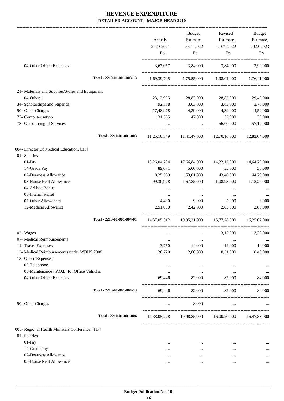|                                                 |              | Budget                  | Revised                                             | Budget       |
|-------------------------------------------------|--------------|-------------------------|-----------------------------------------------------|--------------|
|                                                 | Actuals,     | Estimate,               | Estimate,                                           | Estimate,    |
|                                                 | 2020-2021    | 2021-2022               | 2021-2022                                           | 2022-2023    |
|                                                 | Rs.          | Rs.                     | Rs.                                                 | Rs.          |
| 04-Other Office Expenses                        | 3,67,057     | 3,84,000 3,84,000       |                                                     | 3,92,000     |
| Total - 2210-01-001-003-13                      |              |                         | 1,69,39,795 1,75,55,000 1,98,01,000 1,76,41,000     |              |
| 21- Materials and Supplies/Stores and Equipment |              |                         |                                                     |              |
| 04-Others                                       | 23, 12, 955  | 28,82,000               | 28,82,000                                           | 29,40,000    |
| 34- Scholarships and Stipends                   |              | 92,388 3,63,000         | 3,63,000                                            | 3,70,000     |
| 50- Other Charges                               | 17,48,978    | 4,39,000                | 4,39,000                                            | 4,52,000     |
| 77- Computerisation                             | 31,565       | 47,000                  | 32,000                                              | 33,000       |
| 78- Outsourcing of Services                     |              | <b>Section Contract</b> | 56,00,000                                           | 57,12,000    |
| Total - 2210-01-001-003                         |              |                         | 11,25,10,349 11,41,47,000 12,70,16,000 12,83,04,000 |              |
| 004- Director Of Medical Education. [HF]        |              |                         |                                                     |              |
| 01- Salaries                                    |              |                         |                                                     |              |
| $01-Pay$                                        | 13,26,04,294 | 17,66,84,000            | 14,22,12,000                                        | 14,64,79,000 |
| 14-Grade Pay                                    | 89,071       | 5,00,000                | 35,000                                              | 35,000       |
| 02-Dearness Allowance                           | 8,25,569     | 53,01,000               | 43,48,000                                           | 44,79,000    |
| 03-House Rent Allowance                         | 99, 30, 978  | 1,67,85,000             | 1,08,93,000                                         | 1,12,20,000  |
| 04-Ad hoc Bonus                                 | $\cdots$     | $\cdots$                | $\cdots$                                            |              |
| 05-Interim Relief                               | $\cdots$     | $\cdots$                | $\cdots$                                            |              |
| 07-Other Allowances                             | 4,400        | 9,000                   | 5,000                                               | 6,000        |
| 12-Medical Allowance                            | 2,51,000     | 2,42,000                | 2,85,000                                            | 2,88,000     |
| Total - 2210-01-001-004-01                      |              |                         | 14,37,05,312 19,95,21,000 15,77,78,000 16,25,07,000 |              |
| 02- Wages                                       |              | $\cdots$                | 13,15,000                                           | 13,30,000    |
| 07- Medical Reimbursements                      | $\cdots$     |                         |                                                     | $\cdots$     |
| 11- Travel Expenses                             | 3,750        | 14,000                  | 14,000                                              | 14,000       |
| 12- Medical Reimbursements under WBHS 2008      | 26,720       | 2,60,000                | 8,31,000                                            | 8,48,000     |
| 13- Office Expenses                             |              |                         |                                                     |              |
| 02-Telephone                                    | $\cdots$     | $\cdots$                | $\ddotsc$                                           |              |
| 03-Maintenance / P.O.L. for Office Vehicles     | $\cdots$     | $\cdots$                | $\cdots$                                            | $\cdots$     |
| 04-Other Office Expenses                        | 69,446       | 82,000                  | 82,000                                              | 84,000       |
| Total - 2210-01-001-004-13                      | 69.446       | 82,000                  | 82,000                                              | 84,000       |
| 50- Other Charges                               | $\cdots$     | 8,000                   | $\cdots$                                            |              |
| Total - 2210-01-001-004                         |              |                         | 14,38,05,228 19,98,85,000 16,00,20,000 16,47,83,000 |              |
| 005- Regional Health Ministers Conference. [HF] |              |                         |                                                     |              |
| 01- Salaries                                    |              |                         |                                                     |              |
| 01-Pay                                          |              | $\cdots$                | $\cdots$                                            |              |
| 14-Grade Pay                                    | $\cdots$     | $\cdots$                |                                                     | $\cdots$     |
| 02-Dearness Allowance                           | $\cdots$     |                         |                                                     |              |
| 03-House Rent Allowance                         |              | $\cdots$                |                                                     | $\cdots$     |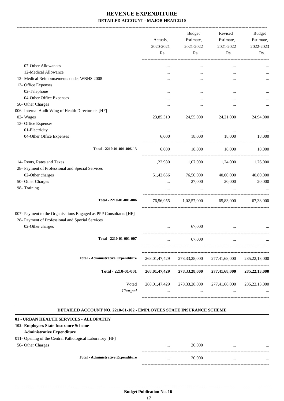|                                                                                                                       | Actuals,<br>2020-2021<br>Rs. | <b>Budget</b><br>Estimate,<br>2021-2022<br>Rs. | Revised<br>Estimate,<br>2021-2022<br>Rs. | Budget<br>Estimate,<br>2022-2023<br>Rs. |
|-----------------------------------------------------------------------------------------------------------------------|------------------------------|------------------------------------------------|------------------------------------------|-----------------------------------------|
|                                                                                                                       |                              |                                                |                                          |                                         |
| 07-Other Allowances                                                                                                   | $\ddotsc$                    | $\cdots$                                       | $\cdots$                                 |                                         |
| 12-Medical Allowance                                                                                                  |                              |                                                |                                          |                                         |
| 12- Medical Reimbursements under WBHS 2008                                                                            |                              |                                                |                                          |                                         |
| 13- Office Expenses                                                                                                   |                              |                                                |                                          |                                         |
| 02-Telephone                                                                                                          |                              |                                                | $\ddotsc$                                |                                         |
| 04-Other Office Expenses                                                                                              |                              |                                                | $\ddotsc$                                |                                         |
| 50- Other Charges                                                                                                     |                              |                                                | $\ddotsc$                                |                                         |
| 006- Internal Audit Wing of Health Directorate. [HF]                                                                  |                              |                                                |                                          |                                         |
| 02- Wages                                                                                                             | 23,85,319                    | 24,55,000                                      | 24,21,000                                | 24,94,000                               |
| 13- Office Expenses                                                                                                   |                              |                                                |                                          |                                         |
| 01-Electricity                                                                                                        | $\cdots$                     | $\cdots$                                       | $\cdots$                                 |                                         |
| 04-Other Office Expenses                                                                                              | 6,000                        | 18,000                                         | 18,000                                   | 18,000                                  |
| Total - 2210-01-001-006-13                                                                                            | 6,000                        | 18,000                                         | 18,000                                   | 18,000                                  |
| 14- Rents, Rates and Taxes                                                                                            | 1,22,980                     | 1,07,000                                       | 1,24,000                                 | 1,26,000                                |
| 28- Payment of Professional and Special Services                                                                      |                              |                                                |                                          |                                         |
| 02-Other charges                                                                                                      | 51,42,656                    | 76,50,000                                      | 40,00,000                                | 40,80,000                               |
| 50- Other Charges                                                                                                     |                              | 27,000                                         | 20,000                                   | 20,000                                  |
|                                                                                                                       | $\cdots$                     |                                                |                                          |                                         |
| 98- Training                                                                                                          |                              |                                                |                                          |                                         |
| Total - 2210-01-001-006                                                                                               | 76,56,955                    | 1,02,57,000                                    | 65,83,000                                | 67,38,000                               |
| 007- Payment to the Organisations Engaged as PPP Consultants [HF]<br>28- Payment of Professional and Special Services |                              |                                                |                                          |                                         |
| 02-Other charges                                                                                                      |                              | 67,000                                         |                                          |                                         |
| Total - 2210-01-001-007                                                                                               |                              | 67,000                                         |                                          |                                         |
| <b>Total - Administrative Expenditure</b>                                                                             | 268,01,47,429                | 278, 33, 28, 000                               | 277,41,68,000                            | 285, 22, 13, 000                        |
| Total - 2210-01-001                                                                                                   | 268,01,47,429                | 278, 33, 28, 000                               | 277,41,68,000                            | 285,22,13,000                           |
| Voted<br>Charged                                                                                                      | 268,01,47,429<br>$\ddotsc$   | 278, 33, 28, 000<br>$\cdots$                   | 277,41,68,000<br>$\ddotsc$               | 285, 22, 13, 000                        |

#### **DETAILED ACCOUNT NO. 2210-01-102 - EMPLOYEES STATE INSURANCE SCHEME .**

.

| 01 - URBAN HEALTH SERVICES - ALLOPATHY                   |          |        |          |          |
|----------------------------------------------------------|----------|--------|----------|----------|
|                                                          |          |        |          |          |
| 102 Employees State Insurance Scheme                     |          |        |          |          |
| <b>Administrative Expenditure</b>                        |          |        |          |          |
| 011- Opening of the Central Pathological Laboratory [HF] |          |        |          |          |
| 50- Other Charges                                        | $\cdots$ | 20,000 | $\cdots$ | $\cdots$ |
|                                                          |          |        |          |          |
| <b>Total - Administrative Expenditure</b>                | $\cdots$ | 20,000 | $\cdots$ | $\cdots$ |
|                                                          |          |        |          |          |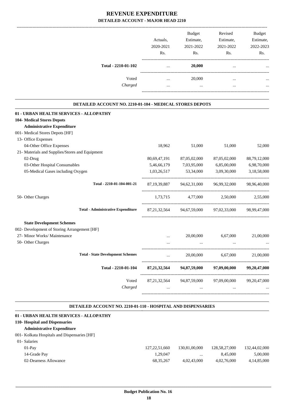|                                                          |                 |                     | Revised                                             |                     |
|----------------------------------------------------------|-----------------|---------------------|-----------------------------------------------------|---------------------|
|                                                          | Actuals,        | Budget<br>Estimate, | Estimate,                                           | Budget<br>Estimate, |
|                                                          | 2020-2021       | 2021-2022           | 2021-2022                                           | 2022-2023           |
|                                                          | Rs.             | Rs.                 | Rs.                                                 | Rs.                 |
|                                                          |                 |                     |                                                     |                     |
| Total - 2210-01-102                                      | $\cdots$        | 20,000              | $\ddots$                                            |                     |
| Voted                                                    | $\cdots$        | 20,000              | $\cdots$                                            |                     |
| Charged                                                  | $\cdots$        | $\cdots$            | $\cdots$                                            |                     |
| DETAILED ACCOUNT NO. 2210-01-104 - MEDICAL STORES DEPOTS |                 |                     |                                                     |                     |
| 01 - URBAN HEALTH SERVICES - ALLOPATHY                   |                 |                     |                                                     |                     |
| <b>104- Medical Stores Depots</b>                        |                 |                     |                                                     |                     |
| <b>Administrative Expenditure</b>                        |                 |                     |                                                     |                     |
| 001- Medical Stores Depots [HF]                          |                 |                     |                                                     |                     |
| 13- Office Expenses                                      |                 |                     |                                                     |                     |
| 04-Other Office Expenses                                 | 18,962          | 51,000              | 51,000                                              | 52,000              |
| 21- Materials and Supplies/Stores and Equipment          |                 |                     |                                                     |                     |
| 02-Drug                                                  | 80,69,47,191    | 87,05,02,000        | 87,05,02,000                                        | 88,79,12,000        |
| 03-Other Hospital Consumables                            | 5,46,66,179     | 7,03,95,000         | 6,85,00,000                                         | 6,98,70,000         |
| 05-Medical Gases including Oxygen                        | 1,03,26,517     | 53,34,000           | 3,09,30,000                                         | 3,18,58,000         |
| Total - 2210-01-104-001-21                               |                 |                     | 87,19,39,887 94,62,31,000 96,99,32,000 98,96,40,000 |                     |
| 50- Other Charges                                        |                 |                     | 1,73,715 4,77,000 2,50,000 2,55,000                 |                     |
| <b>Total - Administrative Expenditure</b>                |                 |                     | 87,21,32,564 94,67,59,000 97,02,33,000 98,99,47,000 |                     |
| <b>State Development Schemes</b>                         |                 |                     |                                                     |                     |
| 002- Development of Storing Arrangement [HF]             |                 |                     |                                                     |                     |
| 27- Minor Works/ Maintenance                             | $\cdots$        | 20,00,000           | 6,67,000                                            | 21,00,000           |
| 50- Other Charges                                        |                 |                     |                                                     |                     |
| <b>Total - State Development Schemes</b>                 | $\cdots$        | 20,00,000           | 6,67,000                                            | 21,00,000           |
| Total - 2210-01-104                                      | 87, 21, 32, 564 | 94,87,59,000        | 97,09,00,000                                        | 99,20,47,000        |
| Voted                                                    | 87, 21, 32, 564 | 94,87,59,000        | 97,09,00,000                                        | 99, 20, 47, 000     |
| Charged                                                  | $\cdots$        | $\cdots$            | $\cdots$                                            |                     |
|                                                          |                 |                     |                                                     |                     |

#### **DETAILED ACCOUNT NO. 2210-01-110 - HOSPITAL AND DISPENSARIES .**

| 01 - URBAN HEALTH SERVICES - ALLOPATHY        |                  |               |               |               |
|-----------------------------------------------|------------------|---------------|---------------|---------------|
| 110- Hospital and Dispensaries                |                  |               |               |               |
| <b>Administrative Expenditure</b>             |                  |               |               |               |
| 001 - Kolkata Hospitals and Dispensaries [HF] |                  |               |               |               |
| 01-Salaries                                   |                  |               |               |               |
| $01-Pav$                                      | 127, 22, 51, 660 | 130.81.00.000 | 128,58,27,000 | 132,44,02,000 |
| 14-Grade Pay                                  | 1.29.047         | $\cdots$      | 8.45.000      | 5,00,000      |
| 02-Dearness Allowance                         | 68, 35, 267      | 4,02,43,000   | 4,02,76,000   | 4,14,85,000   |
|                                               |                  |               |               |               |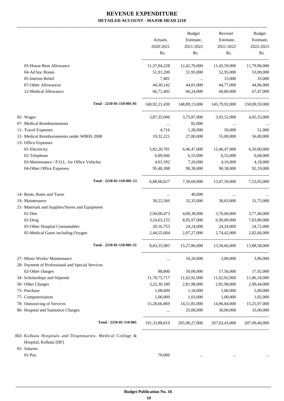-------------------------------------------------------------------------------------------------------------------------------------------------------------------------------

|                                                            |                                                | <b>Budget</b>            | Revised                                          | <b>Budget</b> |
|------------------------------------------------------------|------------------------------------------------|--------------------------|--------------------------------------------------|---------------|
|                                                            | Actuals,                                       | Estimate,                | Estimate,                                        | Estimate,     |
|                                                            | 2020-2021                                      | 2021-2022                | 2021-2022                                        | 2022-2023     |
|                                                            | Rs.                                            | Rs.                      | Rs.                                              | Rs.           |
| 03-House Rent Allowance                                    | 11,37,04,228                                   | 12,42,70,000             | 11,45,59,000                                     | 11,79,96,000  |
| 04-Ad hoc Bonus                                            | 51,91,200                                      | 51,95,000                | 52,95,000                                        | 53,00,000     |
| 05-Interim Relief                                          | 7,481                                          | <b>Contract Contract</b> | 33,000                                           | 33,000        |
| 07-Other Allowances                                        | 44,30,142                                      | 44,81,000                | 44,77,000                                        | 44,96,000     |
| 12-Medical Allowance                                       | 66,72,405                                      | 66,24,000                | 66,80,000                                        | 67,47,000     |
| Total - 2210-01-110-001-01                                 |                                                |                          | 140,92,21,430   148,89,13,000   145,79,92,000    | 150,09,59,000 |
| 02- Wages                                                  |                                                |                          | 3,87,35,096 3,75,87,000 3,93,52,000              | 4,05,33,000   |
| 07- Medical Reimbursements                                 | $\mathbf{1}$ and $\mathbf{1}$ and $\mathbf{1}$ | 82,000                   | $\cdots$                                         |               |
| 11- Travel Expenses                                        |                                                | 4,716 1,28,000           | 50,000                                           | 51,000        |
| 12- Medical Reimbursements under WBHS 2008                 | 19,32,221                                      | 27,80,000                | 55,00,000                                        | 56,00,000     |
| 13- Office Expenses                                        |                                                |                          |                                                  |               |
| 01-Electricity                                             | 5,82,20,781                                    | 6,46,47,000              | 12,46,47,000                                     | 6,50,00,000   |
| 02-Telephone                                               | 6,89,946                                       | 6,55,000                 | 6,55,000                                         | 6,68,000      |
| 03-Maintenance / P.O.L. for Office Vehicles                | 4,01,592                                       | 7,20,000                 | 4,10,000                                         | 4,18,000      |
| 04-Other Office Expenses                                   | 95,48,308                                      | 90,38,000                | 90,38,000                                        | 92,19,000     |
| Total - 2210-01-110-001-13                                 |                                                |                          | 6,88,60,627 7,50,60,000 13,47,50,000 7,53,05,000 |               |
| 14- Rents, Rates and Taxes                                 | $\cdots$                                       | 40,000                   | $\cdots$                                         |               |
| 19- Maintenance                                            | 30,22,560                                      | 32,35,000                | 30,83,000                                        | 31,75,000     |
| 21- Materials and Supplies/Stores and Equipment            |                                                |                          |                                                  |               |
| 01-Diet                                                    | 2,94,00,473                                    | 4,00,38,000              | 3,70,00,000                                      | 3,77,40,000   |
| 02-Drug                                                    | 3, 24, 63, 155                                 | 8,95,97,000              | 6,90,00,000                                      | 7,03,80,000   |
| 03-Other Hospital Consumables                              | 20, 16, 753                                    | 24,24,000                | 24,24,000                                        | 24,72,000     |
| 05-Medical Gases including Oxygen                          | 2,44,55,604                                    | 2,07,27,000 2,74,42,000  |                                                  | 2,82,66,000   |
| Total - 2210-01-110-001-21                                 | 8,83,35,985                                    | 15,27,86,000             | 13,58,66,000                                     | 13,88,58,000  |
| 27- Minor Works/ Maintenance                               | $\cdots$                                       | 10,20,000                | 3,00,000                                         | 3,06,000      |
| 28- Payment of Professional and Special Services           |                                                |                          |                                                  |               |
| 02-Other charges                                           | 88,800                                         | 50,00,000                | 17,56,000                                        | 17,92,000     |
| 34- Scholarships and Stipends                              | 11,78,75,717                                   | 11,62,92,000             | 11,62,92,000                                     | 11,86,18,000  |
| 50- Other Charges                                          | 3,22,30,180                                    | 2,81,98,000              | 2,81,98,000                                      | 2,90,44,000   |
| 75- Purchase                                               | 1,08,609                                       | 1,18,000                 | 5,00,000                                         | 5,00,000      |
| 77- Computerisation                                        | 1,06,009                                       | 1,03,000                 | 1,00,000                                         | 1,02,000      |
| 78- Outsourcing of Services                                | 15,28,66,869                                   | 14,51,85,000             | 14,96,04,000                                     | 15,25,97,000  |
| 86- Hospital and Sanitation Charges                        | $\cdots$                                       | 25,00,000                | 30,00,000                                        | 35,00,000     |
| Total - 2210-01-110-001                                    | 191, 33, 88, 819                               | 205,90,27,000            | 207, 63, 43, 000                                 | 207,09,40,000 |
| 002- Kolkata Hospitals and Dispensaries- Medical College & |                                                |                          |                                                  |               |
| Hospital, Kolkata [HF]                                     |                                                |                          |                                                  |               |
| 01- Salaries                                               |                                                |                          |                                                  |               |
| 01-Pay                                                     | 70,000                                         |                          |                                                  |               |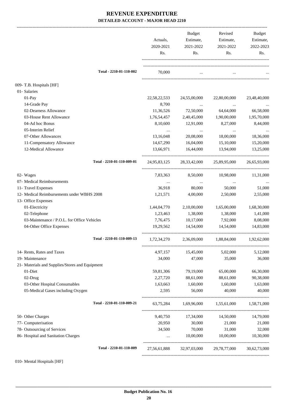|                                                 | Actuals,     | Budget<br>Estimate,   | Revised<br>Estimate,                          | Budget<br>Estimate, |
|-------------------------------------------------|--------------|-----------------------|-----------------------------------------------|---------------------|
|                                                 | 2020-2021    | 2021-2022             | 2021-2022                                     | 2022-2023           |
|                                                 | Rs.          | Rs.                   | Rs.                                           | Rs.                 |
| Total - 2210-01-110-002                         | 70,000       | $\cdots$              | $\ddots$                                      |                     |
| 009- T.B. Hospitals [HF]                        |              |                       |                                               |                     |
| 01- Salaries                                    |              |                       |                                               |                     |
| $01-Pay$                                        | 22,58,22,533 | 24,55,00,000          | 22,80,00,000                                  | 23,48,40,000        |
| 14-Grade Pay                                    | 8,700        | $\cdots$              | $\cdots$                                      |                     |
| 02-Dearness Allowance                           | 11,36,526    | 72,50,000             | 64,64,000                                     | 66,58,000           |
| 03-House Rent Allowance                         | 1,76,54,457  | 2,40,45,000           | 1,90,00,000                                   | 1,95,70,000         |
| 04-Ad hoc Bonus                                 | 8,10,600     | 12,91,000             | 8,27,000                                      | 8,44,000            |
| 05-Interim Relief                               |              | $\ldots$              | $\cdots$                                      |                     |
| 07-Other Allowances                             | 13,16,048    | 20,08,000             | 18,00,000                                     | 18,36,000           |
| 11-Compensatory Allowance                       | 14,67,290    | 16,04,000             | 15,10,000                                     | 15,20,000           |
| 12-Medical Allowance                            | 13,66,971    | 16,44,000             | 13,94,000                                     | 13,25,000           |
| Total - 2210-01-110-009-01                      |              |                       | 24,95,83,125 28,33,42,000 25,89,95,000        | 26,65,93,000        |
| 02- Wages                                       | 7,83,363     | 8,50,000              | 10,98,000                                     | 11,31,000           |
| 07- Medical Reimbursements                      | $\cdots$     | $\sim 100$ km $^{-1}$ | $\ldots$                                      |                     |
| 11- Travel Expenses                             | 36,918       | 80,000                | 50,000                                        | 51,000              |
| 12- Medical Reimbursements under WBHS 2008      | 1,21,571     | 4,00,000              | 2,50,000                                      | 2,55,000            |
| 13- Office Expenses                             |              |                       |                                               |                     |
| 01-Electricity                                  | 1,44,04,770  | 2,10,00,000           | 1,65,00,000                                   | 1,68,30,000         |
| 02-Telephone                                    | 1,23,463     | 1,38,000              | 1,38,000                                      | 1,41,000            |
| 03-Maintenance / P.O.L. for Office Vehicles     | 7,76,475     | 10,17,000             | 7,92,000                                      | 8,08,000            |
| 04-Other Office Expenses                        | 19,29,562    | 14,54,000             | 14,54,000                                     | 14,83,000           |
| Total - 2210-01-110-009-13                      | 1,72,34,270  |                       | 2,36,09,000 1,88,84,000 1,92,62,000           |                     |
| 14- Rents, Rates and Taxes                      | 4,97,157     | 15,45,000             | 5,02,000                                      | 5,12,000            |
| 19- Maintenance                                 | 34,000       | 47,000                | 35,000                                        | 36,000              |
| 21- Materials and Supplies/Stores and Equipment |              |                       |                                               |                     |
| 01-Diet                                         | 59,81,306    | 79,19,000             | 65,00,000                                     | 66,30,000           |
| 02-Drug                                         | 2,27,720     | 88,61,000             | 88,61,000                                     | 90,38,000           |
| 03-Other Hospital Consumables                   | 1,63,663     | 1,60,000              | 1,60,000                                      | 1,63,000            |
| 05-Medical Gases including Oxygen               | 2,595        | 56,000                | 40,000                                        | 40,000              |
| Total - 2210-01-110-009-21                      |              |                       | 63,75,284 1,69,96,000 1,55,61,000 1,58,71,000 |                     |
| 50- Other Charges                               |              | 9,40,750 17,34,000    | 14,50,000                                     | 14,79,000           |
| 77- Computerisation                             | 20,950       | 30,000                | 21,000                                        | 21,000              |
| 78- Outsourcing of Services                     | 34,500       | 70,000                | 31,000                                        | 32,000              |
| 86- Hospital and Sanitation Charges             | $\ddotsc$    | 10,00,000             | 10,00,000                                     | 10,30,000           |
| Total - 2210-01-110-009                         | 27,56,61,888 |                       | 32,97,03,000 29,78,77,000                     | 30,62,73,000        |
|                                                 |              |                       |                                               |                     |

010- Mental Hospitals [HF]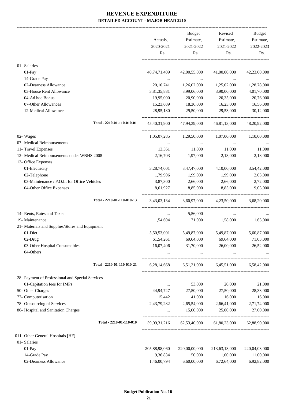|                                                                   | Actuals,<br>2020-2021<br>Rs. | Budget<br>Estimate,<br>2021-2022<br>Rs.         | Revised<br>Estimate,<br>2021-2022<br>Rs. | Budget<br>Estimate,<br>2022-2023<br>Rs. |
|-------------------------------------------------------------------|------------------------------|-------------------------------------------------|------------------------------------------|-----------------------------------------|
| 01- Salaries                                                      |                              |                                                 |                                          |                                         |
| 01-Pay                                                            | 40,74,71,409                 | 42,00,55,000                                    | 41,00,00,000                             | 42,23,00,000                            |
| 14-Grade Pay                                                      |                              | $\sim 100$ and $\sim 100$                       |                                          |                                         |
| 02-Dearness Allowance                                             | 20, 10, 741                  | 1,26,02,000                                     | 1,25,02,000                              | 1,28,78,000                             |
| 03-House Rent Allowance                                           | 3,81,35,881                  | 3,99,06,000                                     | 3,90,00,000                              | 4,01,70,000                             |
| 04-Ad hoc Bonus                                                   | 19,95,000                    | 20,90,000                                       | 20,35,000                                | 20,76,000                               |
| 07-Other Allowances                                               | 15,23,689                    | 18,36,000                                       | 16,23,000                                | 16,56,000                               |
| 12-Medical Allowance                                              | 28,95,180                    | 29,50,000                                       | 29,53,000                                | 30,12,000                               |
| Total - 2210-01-110-010-01                                        |                              | 45,40,31,900 47,94,39,000 46,81,13,000          |                                          | 48,20,92,000                            |
| 02- Wages                                                         |                              | $1,05,07,285$ $1,29,50,000$ $1,07,00,000$       |                                          | 1,10,00,000                             |
| 07- Medical Reimbursements                                        | $\cdots$                     | $\cdots$                                        | $\cdots$                                 |                                         |
| 11- Travel Expenses                                               | 13,361                       | 11,000                                          | 11,000                                   | 11,000                                  |
| 12- Medical Reimbursements under WBHS 2008<br>13- Office Expenses | 2,16,703                     | 1,97,000                                        | 2,13,000                                 | 2,18,000                                |
| 01-Electricity                                                    | 3,28,74,001                  | 3,47,47,000                                     | 4,10,00,000                              | 3,54,42,000                             |
| 02-Telephone                                                      | 1,79,906                     | 1,99,000                                        | 1,99,000                                 | 2,03,000                                |
| 03-Maintenance / P.O.L. for Office Vehicles                       | 3,87,300                     | 2,66,000                                        | 2,66,000                                 | 2,72,000                                |
| 04-Other Office Expenses                                          | 8,61,927                     | 8,85,000                                        | 8,85,000                                 | 9,03,000                                |
| Total - 2210-01-110-010-13                                        |                              | 3,43,03,134 3,60,97,000 4,23,50,000             |                                          | 3,68,20,000                             |
| 14- Rents, Rates and Taxes                                        | $\cdots$                     | 5,56,000                                        | $\ldots$                                 |                                         |
| 19- Maintenance                                                   | 1,54,694                     | 71,000                                          | 1,58,000                                 | 1,63,000                                |
| 21- Materials and Supplies/Stores and Equipment                   |                              |                                                 |                                          |                                         |
| 01-Diet                                                           | 5,50,53,001                  | 5,49,87,000                                     | 5,49,87,000                              | 5,60,87,000                             |
| 02-Drug                                                           | 61,54,261                    | 69,64,000                                       | 69,64,000                                | 71,03,000                               |
| 03-Other Hospital Consumables<br>04-Others                        | 16,07,406                    | 31,70,000                                       | 26,00,000                                | 26,52,000                               |
|                                                                   |                              | $\cdots$                                        | $\cdots$                                 |                                         |
| Total - 2210-01-110-010-21                                        |                              | 6,28,14,668 6,51,21,000 6,45,51,000 6,58,42,000 |                                          |                                         |
| 28- Payment of Professional and Special Services                  |                              |                                                 |                                          |                                         |
| 01-Capitation fees for IMPs                                       | $\cdots$                     | 53,000                                          | 20,000                                   | 21,000                                  |
| 50- Other Charges                                                 | 44,94,747                    | 27,50,000                                       | 27,50,000                                | 28,33,000                               |
| 77- Computerisation                                               | 15,442                       | 41,000                                          | 16,000                                   | 16,000                                  |
| 78- Outsourcing of Services                                       | 2,43,79,282                  | 2,65,54,000                                     | 2,66,41,000                              | 2,71,74,000                             |
| 86- Hospital and Sanitation Charges                               | $\cdots$                     | 15,00,000                                       | 25,00,000                                | 27,00,000                               |
| Total - 2210-01-110-010                                           |                              | 59,09,31,216 62,53,40,000 61,80,23,000          |                                          | 62,88,90,000                            |
| 011- Other General Hospitals [HF]                                 |                              |                                                 |                                          |                                         |
| 01- Salaries                                                      |                              |                                                 |                                          |                                         |
| 01-Pay                                                            | 205,88,98,060                | 220,00,00,000                                   | 213,63,13,000                            | 220,04,03,000                           |
| 14-Grade Pay                                                      | 9,36,834                     | 50,000                                          | 11,00,000                                | 11,00,000                               |
| 02-Dearness Allowance                                             | 1,46,00,794                  | 6,60,00,000                                     | 6,72,64,000                              | 6,92,82,000                             |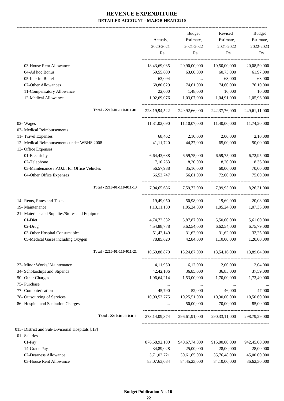-------------------------------------------------------------------------------------------------------------------------------------------------------------------------------

|                                                 | Actuals,<br>2020-2021<br>Rs. | <b>Budget</b><br>Estimate,<br>2021-2022<br>Rs. | Revised<br>Estimate,<br>2021-2022<br>Rs. | <b>Budget</b><br>Estimate,<br>2022-2023<br>Rs. |
|-------------------------------------------------|------------------------------|------------------------------------------------|------------------------------------------|------------------------------------------------|
| 03-House Rent Allowance                         | 18,43,69,035                 | 20,90,00,000                                   | 19,50,00,000                             | 20,08,50,000                                   |
| 04-Ad hoc Bonus                                 | 59,55,600                    | 63,00,000                                      | 60,75,000                                | 61,97,000                                      |
| 05-Interim Relief                               | 63,094                       | $\ddots$                                       | 63,000                                   | 63,000                                         |
| 07-Other Allowances                             | 68,80,029                    | 74,61,000                                      | 74,60,000                                | 76,10,000                                      |
| 11-Compensatory Allowance                       | 22,000                       | 1,48,000                                       | 10,000                                   | 10,000                                         |
| 12-Medical Allowance                            | 1,02,69,076                  | 1,03,07,000                                    | 1,04,91,000                              | 1,05,96,000                                    |
| Total - 2210-01-110-011-01                      | 228, 19, 94, 522             | 249,92,66,000                                  | 242,37,76,000                            | 249,61,11,000                                  |
| 02- Wages                                       | 11,31,02,090                 | 11,10,07,000                                   | 11,40,00,000                             | 11,74,20,000                                   |
| 07- Medical Reimbursements                      |                              | $\cdots$                                       |                                          |                                                |
| 11- Travel Expenses                             | 68,462                       | 2,10,000                                       | 2,00,000                                 | 2,10,000                                       |
| 12- Medical Reimbursements under WBHS 2008      | 41,11,720                    | 44,27,000                                      | 65,00,000                                | 50,00,000                                      |
| 13- Office Expenses                             |                              |                                                |                                          |                                                |
| 01-Electricity                                  | 6,64,43,688                  | 6,59,75,000                                    | 6,59,75,000                              | 6,72,95,000                                    |
| 02-Telephone                                    | 7,10,263                     | 8,20,000                                       | 8,20,000                                 | 8,36,000                                       |
| 03-Maintenance / P.O.L. for Office Vehicles     | 56,57,988                    | 35,16,000                                      | 60,00,000                                | 70,00,000                                      |
| 04-Other Office Expenses                        | 66,53,747                    | 56,61,000                                      | 72,00,000                                | 75,00,000                                      |
| Total - 2210-01-110-011-13                      | 7,94,65,686                  | 7,59,72,000                                    | 7,99,95,000                              | 8,26,31,000                                    |
| 14- Rents, Rates and Taxes                      | 19,49,050                    | 50,98,000                                      | 19,69,000                                | 20,08,000                                      |
| 19- Maintenance                                 | 1,13,11,130                  | 1,05,24,000                                    | 1,05,24,000                              | 1,07,35,000                                    |
| 21- Materials and Supplies/Stores and Equipment |                              |                                                |                                          |                                                |
| 01-Diet                                         | 4,74,72,332                  | 5,87,87,000                                    | 5,50,00,000                              | 5,61,00,000                                    |
| 02-Drug                                         | 4,54,88,778                  | 6,62,54,000                                    | 6,62,54,000                              | 6,75,79,000                                    |
| 03-Other Hospital Consumables                   | 51,42,149                    | 31,62,000                                      | 31,62,000                                | 32,25,000                                      |
| 05-Medical Gases including Oxygen               | 78,85,620                    | 42,84,000                                      | 1,10,00,000                              | 1,20,00,000                                    |
| Total - 2210-01-110-011-21                      | 10,59,88,879                 | 13,24,87,000                                   | 13,54,16,000                             | 13,89,04,000                                   |
| 27- Minor Works/ Maintenance                    | 4,11,950                     | 6,12,000                                       | 2,00,000                                 | 2,04,000                                       |
| 34- Scholarships and Stipends                   | 42, 42, 106                  | 36,85,000                                      | 36,85,000                                | 37,59,000                                      |
| 50- Other Charges                               | 1,96,64,214                  | 1,53,00,000                                    | 1,70,00,000                              | 1,73,40,000                                    |
| 75- Purchase                                    | $\cdots$                     | $\cdots$                                       |                                          |                                                |
| 77- Computerisation                             | 45,790                       | 52,000                                         | 46,000                                   | 47,000                                         |
| 78- Outsourcing of Services                     | 10,90,53,775                 | 10,25,51,000                                   | 10,30,00,000                             | 10,50,60,000                                   |
| 86- Hospital and Sanitation Charges             |                              | 50,00,000                                      | 70,00,000                                | 85,00,000                                      |
| Total - 2210-01-110-011                         | 273, 14, 09, 374             | 296,61,91,000                                  | 290, 33, 11, 000                         | 298,79,29,000                                  |
| 013- District and Sub-Divisional Hospitals [HF] |                              |                                                |                                          |                                                |
| 01- Salaries                                    |                              |                                                |                                          |                                                |
| $01-Pay$                                        | 876, 58, 92, 180             | 940,67,74,000                                  | 915,00,00,000                            | 942,45,00,000                                  |
| 14-Grade Pay                                    | 34,89,028                    | 25,00,000                                      | 28,00,000                                | 28,00,000                                      |
| 02-Dearness Allowance                           | 5,71,02,721                  | 30,61,65,000                                   | 35,76,48,000                             | 45,00,00,000                                   |
| 03-House Rent Allowance                         | 83,07,63,084                 | 84,45,23,000                                   | 84,10,00,000                             | 86,62,30,000                                   |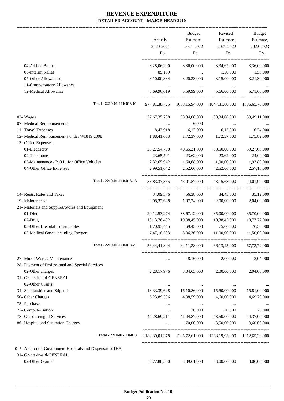-------------------------------------------------------------------------------------------------------------------------------------------------------------------------------

|                                                            | Actuals,<br>2020-2021 | <b>Budget</b><br>Estimate,<br>2021-2022 | Revised<br>Estimate,<br>2021-2022                           | <b>Budget</b><br>Estimate,<br>2022-2023 |
|------------------------------------------------------------|-----------------------|-----------------------------------------|-------------------------------------------------------------|-----------------------------------------|
|                                                            | Rs.                   | Rs.                                     | Rs.                                                         | Rs.                                     |
| 04-Ad hoc Bonus                                            | 3,28,06,200           | 3,36,00,000                             | 3,34,62,000                                                 | 3,36,00,000                             |
| 05-Interim Relief                                          | 89,109                | $\ldots$                                | 1,50,000                                                    | 1,50,000                                |
| 07-Other Allowances                                        | 3,10,00,384           | 3,20,33,000                             | 3,15,00,000                                                 | 3,21,30,000                             |
| 11-Compensatory Allowance                                  |                       |                                         |                                                             |                                         |
| 12-Medical Allowance                                       | 5,69,96,019           | 5,59,99,000                             | 5,66,00,000                                                 | 5,71,66,000                             |
| Total - 2210-01-110-013-01                                 | 977,81,38,725         | 1068, 15, 94, 000                       | 1047,31,60,000                                              | 1086, 65, 76, 000                       |
| 02- Wages                                                  | 37, 67, 35, 288       | 38, 34, 08, 000                         | 38, 34, 08, 000                                             | 39,49,11,000                            |
| 07- Medical Reimbursements                                 | $\cdots$              | 6,000                                   |                                                             |                                         |
| 11- Travel Expenses                                        | 8,43,918              | 6,12,000                                | 6,12,000                                                    | 6,24,000                                |
| 12- Medical Reimbursements under WBHS 2008                 | 1,88,41,063           | 1,72,37,000                             | 1,72,37,000                                                 | 1,75,82,000                             |
| 13- Office Expenses                                        |                       |                                         |                                                             |                                         |
| 01-Electricity                                             | 33, 27, 54, 790       | 40,65,21,000                            | 38,50,00,000                                                | 39,27,00,000                            |
| 02-Telephone                                               | 23,65,591             | 23,62,000                               | 23,62,000                                                   | 24,09,000                               |
| 03-Maintenance / P.O.L. for Office Vehicles                | 2,32,65,942           | 1,60,68,000                             | 1,90,00,000                                                 | 1,93,80,000                             |
| 04-Other Office Expenses                                   | 2,99,51,042           | 2,52,06,000                             | 2,52,06,000                                                 | 2,57,10,000                             |
| Total - 2210-01-110-013-13                                 | 38, 83, 37, 365       | 45,01,57,000                            | 43,15,68,000                                                | 44,01,99,000                            |
| 14- Rents, Rates and Taxes                                 | 34,09,376             | 56,38,000                               | 34,43,000                                                   | 35,12,000                               |
| 19- Maintenance                                            | 3,08,37,688           | 1,97,24,000                             | 2,00,00,000                                                 | 2,04,00,000                             |
| 21- Materials and Supplies/Stores and Equipment            |                       |                                         |                                                             |                                         |
| 01-Diet                                                    | 29, 12, 53, 274       | 38,67,12,000                            | 35,00,00,000                                                | 35,70,00,000                            |
| 02-Drug                                                    | 18, 13, 76, 492       | 19,38,45,000                            | 19,38,45,000                                                | 19,77,22,000                            |
| 03-Other Hospital Consumables                              | 1,70,93,445           | 69,45,000                               | 75,00,000                                                   | 76,50,000                               |
| 05-Medical Gases including Oxygen                          | 7,47,18,593           | 5,36,36,000                             | 11,00,00,000                                                | 11,50,00,000                            |
| Total - 2210-01-110-013-21                                 | 56,44,41,804          | 64, 11, 38, 000                         | 66, 13, 45, 000                                             | 67, 73, 72, 000                         |
| 27- Minor Works/ Maintenance                               | $\cdots$              | 8,16,000                                | 2,00,000                                                    | 2,04,000                                |
| 28- Payment of Professional and Special Services           |                       |                                         |                                                             |                                         |
| 02-Other charges                                           | 2,28,17,976           | 3,04,63,000                             | 2,00,00,000                                                 | 2,04,00,000                             |
| 31- Grants-in-aid-GENERAL                                  |                       |                                         |                                                             |                                         |
| 02-Other Grants                                            |                       |                                         |                                                             |                                         |
| 34- Scholarships and Stipends                              | 13,33,39,628          | 16,10,86,000                            | 15,50,00,000                                                | 15,81,00,000                            |
| 50- Other Charges                                          | 6,23,89,336           | 4,38,59,000                             | 4,60,00,000                                                 | 4,69,20,000                             |
| 75- Purchase                                               | $\cdots$              | $\cdots$                                | $\cdots$                                                    |                                         |
| 77- Computerisation                                        | $\cdots$              | 36,000                                  | 20,000                                                      | 20,000                                  |
| 78- Outsourcing of Services                                | 44,28,69,211          | 41,44,87,000                            | 43,50,00,000                                                | 44,37,00,000                            |
| 86- Hospital and Sanitation Charges                        | $\cdots$              | 70,00,000                               | 3,50,00,000                                                 | 3,60,00,000                             |
| Total - 2210-01-110-013                                    |                       |                                         | 1182,30,01,378 1285,72,61,000 1268,19,93,000 1312,65,20,000 |                                         |
| 015- Aid to non-Government Hospitals and Dispensaries [HF] |                       |                                         |                                                             |                                         |
| 31- Grants-in-aid-GENERAL                                  |                       |                                         |                                                             |                                         |
| 02-Other Grants                                            | 3,77,88,500           | 3,39,61,000                             | 3,00,00,000                                                 | 3,06,00,000                             |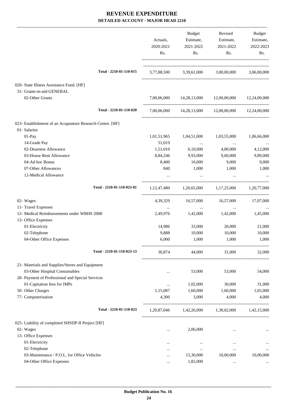|                                                           | Actuals,<br>2020-2021<br>Rs. | Budget<br>Estimate,<br>2021-2022<br>Rs. | Revised<br>Estimate,<br>2021-2022<br>Rs.                | Budget<br>Estimate,<br>2022-2023<br>Rs. |
|-----------------------------------------------------------|------------------------------|-----------------------------------------|---------------------------------------------------------|-----------------------------------------|
| Total - 2210-01-110-015                                   |                              |                                         | 3,77,88,500 3,39,61,000 3,00,00,000 3,06,00,000         |                                         |
| 020- State Illness Assistance Fund. [HF]                  |                              |                                         |                                                         |                                         |
| 31- Grants-in-aid-GENERAL                                 |                              |                                         |                                                         |                                         |
| 02-Other Grants                                           |                              |                                         | 7,00,06,000 14,28,13,000 12,00,00,000 12,24,00,000      |                                         |
| Total - 2210-01-110-020                                   |                              |                                         | 7,00,06,000 14,28,13,000 12,00,00,000 12,24,00,000      |                                         |
| 023- Establishment of an Acupunture Research Centre. [HF] |                              |                                         |                                                         |                                         |
| 01- Salaries                                              |                              |                                         |                                                         |                                         |
| 01-Pay                                                    | 1,01,51,965                  | 1,04,51,000                             | 1,03,55,000                                             | 1,06,66,000                             |
| 14-Grade Pay                                              | 51,019                       | $\cdots$                                | $\cdots$                                                |                                         |
| 02-Dearness Allowance                                     | 1,51,010                     | 6,10,000                                | 4,00,000                                                | 4,12,000                                |
| 03-House Rent Allowance                                   | 8,84,246                     | 9,93,000                                | 9,60,000                                                | 9,89,000                                |
| 04-Ad hoc Bonus                                           | 8,400                        | 10,000                                  | 9,000                                                   | 9,000                                   |
| 07-Other Allowances                                       | 840                          | 1,000                                   | 1,000                                                   | 1,000                                   |
| 12-Medical Allowance                                      |                              |                                         |                                                         |                                         |
| Total - 2210-01-110-023-01                                |                              |                                         | $1,12,47,480$ $1,20,65,000$ $1,17,25,000$ $1,20,77,000$ |                                         |
| 02- Wages                                                 | 4,39,329                     |                                         | 16,57,000 16,57,000 17,07,000                           |                                         |
| 11- Travel Expenses                                       | $\cdots$                     | $\ldots$                                | $\cdots$                                                | $\cdots$                                |
| 12- Medical Reimbursements under WBHS 2008                | 2,49,976                     | 1,42,000                                | 1,42,000                                                | 1,45,000                                |
| 13- Office Expenses                                       |                              |                                         |                                                         |                                         |
| 01-Electricity                                            | 14,986                       | 33,000                                  | 20,000                                                  | 21,000                                  |
| 02-Telephone                                              | 9,888                        | 10,000                                  | 10,000                                                  | 10,000                                  |
| 04-Other Office Expenses                                  | 6,000                        | 1,000                                   | 1,000                                                   | 1,000                                   |
| Total - 2210-01-110-023-13                                | 30,874                       | 44,000                                  | 31,000                                                  | 32,000                                  |
| 21- Materials and Supplies/Stores and Equipment           |                              |                                         |                                                         |                                         |
| 03-Other Hospital Consumables                             | $\cdots$                     | 53,000                                  | 53,000                                                  | 54,000                                  |
| 28- Payment of Professional and Special Services          |                              |                                         |                                                         |                                         |
| 01-Capitation fees for IMPs                               |                              | 1,02,000                                | 30,000                                                  | 31,000                                  |
| 50- Other Charges                                         | 1,15,087                     | 1,60,000                                | 1,60,000                                                | 1,65,000                                |
| 77- Computerisation                                       | 4,300                        | 3,000                                   | 4,000                                                   | 4,000                                   |
| Total - 2210-01-110-023                                   |                              |                                         | 1,20,87,046 1,42,26,000 1,38,02,000                     | 1,42,15,000                             |
| 025- Liability of completed SHSDP-II Project [HF]         |                              |                                         |                                                         |                                         |
| 02- Wages                                                 |                              | 2,06,000                                | $\cdots$                                                |                                         |
| 13- Office Expenses                                       |                              |                                         |                                                         |                                         |
| 01-Electricity                                            |                              | $\cdots$                                | $\cdots$                                                |                                         |
| 02-Telephone                                              | $\cdots$                     | $\cdots$                                | $\cdots$                                                | $\cdots$                                |
| 03-Maintenance / P.O.L. for Office Vehicles               |                              | 15,30,000                               | 10,00,000                                               | 10,00,000                               |
| 04-Other Office Expenses                                  | $\cdots$                     | 1,82,000                                | $\ldots$                                                | $\cdots$                                |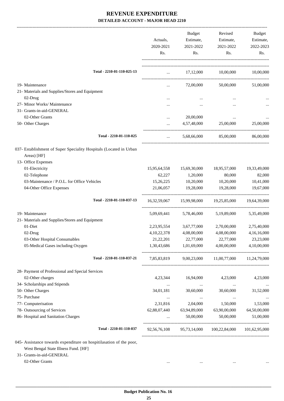|                                                                                   | Actuals,<br>2020-2021<br>Rs.                   | <b>Budget</b><br>Estimate,<br>2021-2022<br>Rs.           | Revised<br>Estimate,<br>2021-2022<br>Rs.          | Budget<br>Estimate,<br>2022-2023<br>Rs. |
|-----------------------------------------------------------------------------------|------------------------------------------------|----------------------------------------------------------|---------------------------------------------------|-----------------------------------------|
| Total - 2210-01-110-025-13                                                        | $\cdots$ . The same is a set of $\mathbb{R}^n$ |                                                          | 17,12,000 10,00,000                               | 10,00,000                               |
| 19- Maintenance                                                                   | $\cdots$                                       | 72,00,000                                                | 50,00,000                                         | 51,00,000                               |
| 21- Materials and Supplies/Stores and Equipment                                   |                                                |                                                          |                                                   |                                         |
| 02-Drug                                                                           |                                                |                                                          |                                                   |                                         |
| 27- Minor Works/ Maintenance                                                      | .                                              |                                                          | $\ddotsc$                                         |                                         |
| 31- Grants-in-aid-GENERAL                                                         |                                                |                                                          |                                                   |                                         |
| 02-Other Grants                                                                   |                                                | 20,00,000                                                |                                                   |                                         |
| 50- Other Charges                                                                 | $\cdots$                                       | 4,57,48,000                                              | 25,00,000                                         | 25,00,000                               |
| Total - 2210-01-110-025                                                           | $\cdots$                                       | 5,68,66,000                                              | 85,00,000                                         | 86,00,000                               |
| 037- Establishment of Super Speciality Hospitals (Located in Urban<br>Areas) [HF] |                                                |                                                          |                                                   |                                         |
| 13- Office Expenses                                                               |                                                |                                                          |                                                   |                                         |
| 01-Electricity                                                                    | 15,95,64,558                                   | 15,69,30,000                                             | 18,95,57,000                                      | 19,33,49,000                            |
| 02-Telephone                                                                      | 62,227                                         | 1,20,000                                                 | 80,000                                            | 82,000                                  |
| 03-Maintenance / P.O.L. for Office Vehicles                                       | 15,26,225                                      | 10,20,000                                                | 10,20,000                                         | 10,41,000                               |
| 04-Other Office Expenses                                                          | 21,06,057                                      | 19,28,000                                                | 19,28,000                                         | 19,67,000                               |
| Total - 2210-01-110-037-13                                                        |                                                |                                                          | 16,32,59,067 15,99,98,000 19,25,85,000            | 19,64,39,000                            |
| 19- Maintenance                                                                   | 5,09,69,441                                    | 5,78,46,000                                              | 5,19,89,000                                       | 5,35,49,000                             |
| 21- Materials and Supplies/Stores and Equipment                                   |                                                |                                                          |                                                   |                                         |
| 01-Diet                                                                           | 2, 23, 95, 554                                 | 3,67,77,000                                              | 2,70,00,000                                       | 2,75,40,000                             |
| 02-Drug                                                                           | 4, 10, 22, 378                                 | 4,08,00,000                                              | 4,08,00,000                                       | 4,16,16,000                             |
| 03-Other Hospital Consumables                                                     | 21,22,201                                      | 22,77,000                                                | 22,77,000                                         | 23,23,000                               |
| 05-Medical Gases including Oxygen                                                 | 1,30,43,686                                    | 1,01,69,000                                              | 4,00,00,000                                       | 4,10,00,000                             |
| Total - 2210-01-110-037-21                                                        |                                                |                                                          | 7,85,83,819 9,00,23,000 11,00,77,000 11,24,79,000 |                                         |
| 28- Payment of Professional and Special Services                                  |                                                |                                                          |                                                   |                                         |
| 02-Other charges                                                                  | 4,23,344                                       | 16,94,000                                                | 4,23,000                                          | 4,23,000                                |
| 34- Scholarships and Stipends                                                     | $\ldots$                                       | <b>Contract Contract</b>                                 | $\cdots$                                          | $\cdots$                                |
| 50- Other Charges                                                                 | 34,01,181                                      | 30,60,000                                                | 30,60,000                                         | 31,52,000                               |
| 75- Purchase                                                                      | $\cdots$                                       | $\ldots$                                                 | $\cdots$                                          |                                         |
| 77- Computerisation                                                               | 2,31,816                                       | 2,04,000                                                 | 1,50,000                                          | 1,53,000                                |
| 78- Outsourcing of Services                                                       | 62,88,07,440                                   | 63,94,89,000                                             | 63,90,00,000                                      | 64,50,00,000                            |
| 86- Hospital and Sanitation Charges                                               |                                                | 50,00,000                                                | 50,00,000                                         | 51,00,000                               |
| Total - 2210-01-110-037                                                           |                                                | 92,56,76,108  95,73,14,000  100,22,84,000  101,62,95,000 |                                                   |                                         |

045- Assistance towards expenditure on hospitilasation of the poor, West Bengal State Illness Fund. [HF]

31- Grants-in-aid-GENERAL

02-Other Grants ... ... ... ...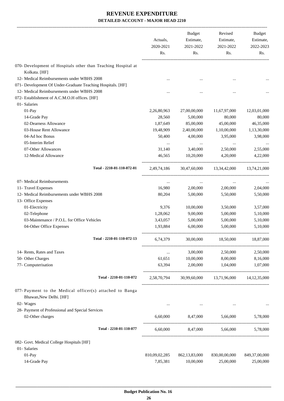|                                                                                     | Actuals,<br>2020-2021<br>Rs. | <b>Budget</b><br>Estimate,<br>2021-2022<br>Rs. | Revised<br>Estimate,<br>2021-2022<br>Rs.           | Budget<br>Estimate,<br>2022-2023<br>Rs. |
|-------------------------------------------------------------------------------------|------------------------------|------------------------------------------------|----------------------------------------------------|-----------------------------------------|
| 070- Development of Hospitals other than Teaching Hospital at                       |                              |                                                |                                                    |                                         |
| Kolkata. [HF]                                                                       |                              |                                                |                                                    |                                         |
| 12- Medical Reimbursements under WBHS 2008                                          |                              |                                                |                                                    |                                         |
| 071- Development Of Under-Graduate Teaching Hospitals. [HF]                         |                              |                                                |                                                    |                                         |
| 12- Medical Reimbursements under WBHS 2008                                          |                              |                                                |                                                    |                                         |
| 072- Establishment of A.C.M.O.H offices. [HF]                                       |                              |                                                |                                                    |                                         |
| 01- Salaries                                                                        |                              |                                                |                                                    |                                         |
| 01-Pay                                                                              | 2,26,80,963                  | 27,00,00,000                                   | 11,67,97,000                                       | 12,03,01,000                            |
| 14-Grade Pay                                                                        | 28,560                       | 5,00,000                                       | 80,000                                             | 80,000                                  |
| 02-Dearness Allowance                                                               | 1,87,649                     | 85,00,000                                      | 45,00,000                                          | 46,35,000                               |
| 03-House Rent Allowance                                                             | 19,48,909                    | 2,40,00,000                                    | 1,10,00,000                                        | 1,13,30,000                             |
| 04-Ad hoc Bonus                                                                     | 50,400                       | 4,00,000                                       | 3,95,000                                           | 3,98,000                                |
| 05-Interim Relief                                                                   | $\cdots$                     | $\cdots$                                       | $\cdots$                                           |                                         |
| 07-Other Allowances                                                                 | 31,140                       | 3,40,000                                       | 2,50,000                                           | 2,55,000                                |
| 12-Medical Allowance                                                                | 46,565                       | 10,20,000                                      | 4,20,000                                           | 4,22,000                                |
| Total - 2210-01-110-072-01                                                          | 2,49,74,186                  | 30,47,60,000                                   | 13,34,42,000                                       | 13,74,21,000                            |
| 07- Medical Reimbursements                                                          | $\cdots$                     | $\cdots$                                       | $\cdots$                                           |                                         |
| 11- Travel Expenses                                                                 | 16,980                       | 2,00,000                                       | 2,00,000                                           | 2,04,000                                |
| 12- Medical Reimbursements under WBHS 2008                                          | 80,204                       | 5,00,000                                       | 5,50,000                                           | 5,50,000                                |
| 13- Office Expenses                                                                 |                              |                                                |                                                    |                                         |
| 01-Electricity                                                                      | 9,376                        | 10,00,000                                      | 3,50,000                                           | 3,57,000                                |
| 02-Telephone                                                                        | 1,28,062                     | 9,00,000                                       | 5,00,000                                           | 5,10,000                                |
| 03-Maintenance / P.O.L. for Office Vehicles                                         | 3,43,057                     | 5,00,000                                       | 5,00,000                                           | 5,10,000                                |
| 04-Other Office Expenses                                                            | 1,93,884                     | 6,00,000                                       | 5.00.000                                           | 5,10,000                                |
| Total - 2210-01-110-072-13                                                          | 6,74,379                     | 30,00,000                                      | 18,50,000                                          | 18,87,000                               |
| 14- Rents, Rates and Taxes                                                          | $\ldots$                     | 3,00,000                                       | 2,50,000                                           | 2,50,000                                |
| 50- Other Charges                                                                   | 61,651                       | 10,00,000                                      | 8,00,000                                           | 8,16,000                                |
| 77- Computerisation                                                                 | 63,394                       | 2,00,000                                       | 1,04,000                                           | 1,07,000                                |
| Total - 2210-01-110-072                                                             |                              |                                                | 2,58,70,794 30,99,60,000 13,71,96,000 14,12,35,000 |                                         |
| 077- Payment to the Medical officer(s) attached to Banga<br>Bhawan, New Delhi. [HF] |                              |                                                |                                                    |                                         |
| 02- Wages                                                                           | $\cdots$                     | $\ldots$                                       |                                                    |                                         |
| 28- Payment of Professional and Special Services                                    |                              |                                                |                                                    |                                         |
| 02-Other charges                                                                    | 6,60,000                     | 8,47,000                                       | 5,66,000                                           | 5,78,000                                |
| Total - 2210-01-110-077                                                             |                              |                                                | $6,60,000$ $8,47,000$ $5,66,000$                   | 5,78,000                                |
| 082- Govt. Medical College Hospitals [HF]                                           |                              |                                                |                                                    |                                         |
| 01- Salaries                                                                        |                              |                                                |                                                    |                                         |
| $01-Pay$                                                                            | 810,09,02,285                | 862,13,83,000                                  | 830,00,00,000                                      | 849,37,00,000                           |
| 14-Grade Pay                                                                        | 7,85,381                     | 10,00,000                                      | 25,00,000                                          | 25,00,000                               |
|                                                                                     |                              |                                                |                                                    |                                         |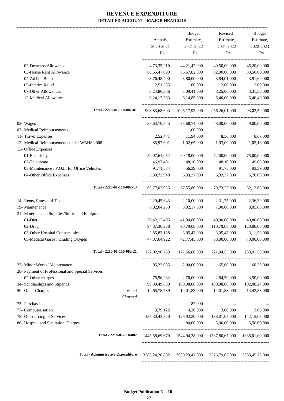-------------------------------------------------------------------------------------------------------------------------------------------------------------------------------

|                                                  |                  | <b>Budget</b>     | Revised                                                        | <b>Budget</b>   |
|--------------------------------------------------|------------------|-------------------|----------------------------------------------------------------|-----------------|
|                                                  | Actuals,         | Estimate,         | Estimate,                                                      | Estimate,       |
|                                                  | 2020-2021        | 2021-2022         | 2021-2022                                                      | 2022-2023       |
|                                                  | Rs.              | Rs.               | Rs.                                                            | Rs.             |
| 02-Dearness Allowance                            | 4,73,35,210      | 44, 21, 42, 000   | 40,50,00,000                                                   | 46,20,00,000    |
| 03-House Rent Allowance                          | 80,65,47,093     | 86,67,82,000      | 82,00,00,000                                                   | 83,50,00,000    |
| 04-Ad hoc Bonus                                  | 3,76,48,400      | 3,80,00,000       | 3,84,01,000                                                    | 3,91,69,000     |
| 05-Interim Relief                                | 2,51,535         | 60,000            | 2,00,000                                                       | 2,00,000        |
| 07-Other Allowances                              | 3,24,86,336      | 3,09,41,000       | 3,25,00,000                                                    | 3,31,50,000     |
| 12-Medical Allowance                             | 6,24,12,363      | 6,14,85,000       | 6,40,00,000                                                    | 6,46,40,000     |
| Total - 2210-01-110-082-01                       | 908, 83, 68, 603 | 1006, 17, 93, 000 | 966,26,01,000                                                  | 993,03,59,000   |
| 02- Wages                                        | 38, 63, 70, 545  | 35,68,74,000      | 48,00,00,000                                                   | 49,00,00,000    |
| 07- Medical Reimbursements                       |                  | 1,00,000          |                                                                |                 |
| 11- Travel Expenses                              | 2,52,471         | 11,94,000         | 8,50,000                                                       | 8,67,000        |
| 12- Medical Reimbursements under WBHS 2008       | 85,97,601        | 1,02,65,000       | 1,03,09,000                                                    | 1,05,16,000     |
| 13- Office Expenses                              |                  |                   |                                                                |                 |
| 01-Electricity                                   | 59,07,61,052     | 60,18,00,000      | 72,00,00,000                                                   | 75,00,00,000    |
| 02-Telephone                                     | 46,97,401        | 48,10,000         | 48,10,000                                                      | 49,06,000       |
| 03-Maintenance / P.O.L. for Office Vehicles      | 91,71,534        | 56,39,000         | 91,75,000                                                      | 93,59,000       |
| 04-Other Office Expenses                         | 5,30,72,948      | 6,33,37,000       | 6,33,37,000                                                    | 5,70,00,000     |
| Total - 2210-01-110-082-13                       | 65,77,02,935     | 67,55,86,000      | 79, 73, 22, 000                                                | 82, 12, 65, 000 |
| 14- Rents, Rates and Taxes                       | 2, 29, 45, 643   | 2,10,00,000       | 2,31,75,000                                                    | 2,36,39,000     |
| 19- Maintenance                                  | 6,02,04,250      | 8,02,17,000       | 7,90,00,000                                                    | 8,05,80,000     |
| 21- Materials and Supplies/Stores and Equipment  |                  |                   |                                                                |                 |
| 01-Diet                                          | 26, 42, 12, 405  | 41,04,86,000      | 40,00,00,000                                                   | 40,80,00,000    |
| 02-Drug                                          | 94,87,36,238     | 90,79,08,000      | 110,79,08,000                                                  | 120,00,00,000   |
| 03-Other Hospital Consumables                    | 2,85,83,188      | 3,05,47,000       | 3,05,47,000                                                    | 3,11,58,000     |
| 05-Medical Gases including Oxygen                | 47,87,64,922     | 42,77,45,000      | 68,00,00,000                                                   | 70,00,00,000    |
| Total - 2210-01-110-082-21                       | 172,02,96,753    | 177,66,86,000     | 221,84,55,000                                                  | 233,91,58,000   |
|                                                  |                  |                   |                                                                |                 |
| 27- Minor Works/ Maintenance                     | 95,23,085        | 2,00,00,000       | 65,00,000                                                      | 66,30,000       |
| 28- Payment of Professional and Special Services |                  |                   |                                                                |                 |
| 02-Other charges                                 | 76,56,232        | 2,70,00,000       | 2,84,59,000                                                    | 3,50,00,000     |
| 34- Scholarships and Stipends                    | 99,39,49,880     | 100,08,08,000     | 100,08,08,000                                                  | 102,08,24,000   |
| 50- Other Charges<br>Voted                       | 14,65,78,739     | 14,01,83,000      | 14,01,83,000                                                   | 14,43,88,000    |
| Charged                                          |                  | $\ldots$          |                                                                |                 |
| 75- Purchase                                     | $\cdots$         | 82,000            |                                                                |                 |
| 77- Computerisation                              | 3,79,122         | 4,20,000          | 3,00,000                                                       | 3,06,000        |
| 78- Outsourcing of Services                      | 135, 30, 43, 820 | 126,92,30,000     | 138,01,05,000                                                  | 142,15,08,000   |
| 86- Hospital and Sanitation Charges              |                  | 80,00,000         | 5,00,00,000                                                    | 5,50,60,000     |
| Total - 2210-01-110-082                          |                  |                   | 1445,58,69,679  1544,94,38,000  1587,80,67,000  1638,01,00,000 |                 |
| <b>Total - Administrative Expenditure</b>        | 3286,24,20,802   |                   | 3580,29,47,000 3576,79,62,000                                  | 3683,45,75,000  |
|                                                  |                  |                   |                                                                |                 |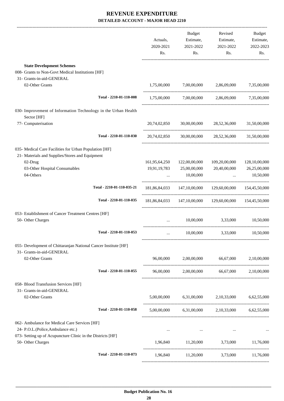|                                                                                                           | Actuals,<br>2020-2021<br>Rs. | Budget<br>Estimate,<br>2021-2022<br>Rs.                     | Revised<br>Estimate,<br>2021-2022<br>Rs.                | Budget<br>Estimate,<br>2022-2023<br>Rs. |
|-----------------------------------------------------------------------------------------------------------|------------------------------|-------------------------------------------------------------|---------------------------------------------------------|-----------------------------------------|
| <b>State Development Schemes</b>                                                                          |                              |                                                             |                                                         |                                         |
| 008- Grants to Non-Govt Medical Institutions [HF]                                                         |                              |                                                             |                                                         |                                         |
| 31- Grants-in-aid-GENERAL                                                                                 |                              |                                                             |                                                         |                                         |
| 02-Other Grants                                                                                           | 1,75,00,000                  | 7,00,00,000                                                 | 2,86,09,000                                             | 7,35,00,000                             |
| Total - 2210-01-110-008                                                                                   |                              |                                                             | $1,75,00,000$ $7,00,00,000$ $2,86,09,000$ $7,35,00,000$ |                                         |
| 030- Improvement of Information Technology in the Urban Health<br>Sector [HF]                             |                              |                                                             |                                                         |                                         |
| 77- Computerisation                                                                                       |                              |                                                             | 20,74,02,850 30,00,00,000 28,52,36,000 31,50,00,000     |                                         |
| Total - 2210-01-110-030                                                                                   | 20,74,02,850                 |                                                             | 30,00,00,000 28,52,36,000 31,50,00,000                  |                                         |
| 035- Medical Care Facilities for Urban Population [HF]<br>21- Materials and Supplies/Stores and Equipment |                              |                                                             |                                                         |                                         |
| 02-Drug                                                                                                   | 161,95,64,250                | 122,00,00,000                                               | 109,20,00,000                                           | 128,10,00,000                           |
| 03-Other Hospital Consumables                                                                             | 19,91,19,783                 | 25,00,00,000                                                | 20,40,00,000                                            | 26,25,00,000                            |
| 04-Others                                                                                                 |                              | $\ldots$ 10,00,000                                          |                                                         | 10,50,000<br><b>Section</b> (1997)      |
| Total - 2210-01-110-035-21                                                                                |                              |                                                             | 181,86,84,033 147,10,00,000 129,60,00,000 154,45,50,000 |                                         |
| Total - 2210-01-110-035                                                                                   |                              |                                                             | 181,86,84,033 147,10,00,000 129,60,00,000 154,45,50,000 |                                         |
| 053- Establishment of Cancer Treatment Centres [HF]                                                       |                              |                                                             |                                                         |                                         |
| 50- Other Charges                                                                                         |                              | 10,00,000<br>$\mathbf{r}$ and $\mathbf{r}$ and $\mathbf{r}$ | 3,33,000 10,50,000                                      |                                         |
| Total - 2210-01-110-053                                                                                   | $\cdots$                     | 10,00,000                                                   | 3,33,000                                                | 10,50,000                               |
| 055- Development of Chittaranjan National Cancer Institute [HF]                                           |                              |                                                             |                                                         |                                         |
| 31- Grants-in-aid-GENERAL<br>02-Other Grants                                                              |                              |                                                             | 96,00,000 2,00,00,000 66,67,000 2,10,00,000             |                                         |
|                                                                                                           |                              |                                                             |                                                         |                                         |
| Total - 2210-01-110-055                                                                                   |                              |                                                             | 96,00,000 2,00,00,000 66,67,000 2,10,00,000             |                                         |
| 058- Blood Transfusion Services [HF]                                                                      |                              |                                                             |                                                         |                                         |
| 31- Grants-in-aid-GENERAL<br>02-Other Grants                                                              |                              |                                                             | $5,00,00,000$ $6,31,00,000$ $2,10,33,000$ $6,62,55,000$ |                                         |
|                                                                                                           |                              |                                                             |                                                         |                                         |
| Total - 2210-01-110-058                                                                                   |                              |                                                             | 5,00,00,000 6,31,00,000 2,10,33,000 6,62,55,000         |                                         |
| 062- Ambulance for Medical Care Services [HF]<br>24- P.O.L.(Police, Ambulance etc.)                       | $\cdots$                     | $\sim$ 0.000 $\mu$                                          | $\cdots$                                                |                                         |
| 073- Setting up of Acupuncture Clinic in the Districts [HF]<br>50- Other Charges                          |                              |                                                             | 1,96,840 11,20,000 3,73,000 11,76,000                   |                                         |
| Total - 2210-01-110-073                                                                                   |                              |                                                             | 1,96,840 11,20,000 3,73,000 11,76,000                   |                                         |
|                                                                                                           |                              |                                                             |                                                         |                                         |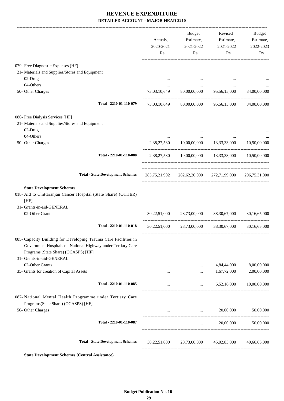|                                                                                                                                                                                                      | Actuals,<br>2020-2021<br>Rs.        | Budget<br>Estimate,<br>2021-2022<br>Rs.        | Revised<br>Estimate,<br>2021-2022<br>Rs.                | Budget<br>Estimate,<br>2022-2023<br>Rs. |
|------------------------------------------------------------------------------------------------------------------------------------------------------------------------------------------------------|-------------------------------------|------------------------------------------------|---------------------------------------------------------|-----------------------------------------|
| 079- Free Diagnostic Expenses [HF]                                                                                                                                                                   |                                     |                                                |                                                         |                                         |
| 21- Materials and Supplies/Stores and Equipment                                                                                                                                                      |                                     |                                                |                                                         |                                         |
| 02-Drug                                                                                                                                                                                              | $\cdots$                            |                                                |                                                         |                                         |
| 04-Others                                                                                                                                                                                            | $\cdots$                            | $\cdots$                                       | $\cdots$                                                |                                         |
| 50- Other Charges                                                                                                                                                                                    | 73,03,10,649                        | 80,00,00,000                                   | 95,56,15,000                                            | 84,00,00,000                            |
| Total - 2210-01-110-079                                                                                                                                                                              |                                     |                                                | 73,03,10,649 80,00,00,000 95,56,15,000 84,00,00,000     |                                         |
| 080- Free Dialysis Services [HF]                                                                                                                                                                     |                                     |                                                |                                                         |                                         |
| 21- Materials and Supplies/Stores and Equipment                                                                                                                                                      |                                     |                                                |                                                         |                                         |
| 02-Drug                                                                                                                                                                                              | $\cdots$                            |                                                | $\ddotsc$                                               |                                         |
| 04-Others                                                                                                                                                                                            |                                     | $\cdots$                                       | $\cdots$                                                |                                         |
| 50- Other Charges                                                                                                                                                                                    | 2,38,27,530<br>-------------------- |                                                | 10,00,00,000 13,33,33,000                               | 10,50,00,000                            |
| Total - 2210-01-110-080                                                                                                                                                                              |                                     |                                                | 2,38,27,530 10,00,00,000 13,33,33,000 10,50,00,000      |                                         |
| <b>Total - State Development Schemes</b>                                                                                                                                                             |                                     |                                                | 285,75,21,902 282,62,20,000 272,71,99,000 296,75,31,000 |                                         |
| <b>State Development Schemes</b>                                                                                                                                                                     |                                     |                                                |                                                         |                                         |
| 018- Aid to Chittaranjan Cancer Hospital (State Share) (OTHER)<br>[HF]                                                                                                                               |                                     |                                                |                                                         |                                         |
| 31- Grants-in-aid-GENERAL                                                                                                                                                                            |                                     |                                                |                                                         |                                         |
| 02-Other Grants                                                                                                                                                                                      |                                     |                                                | 30,22,51,000 28,73,00,000 38,30,67,000                  | 30,16,65,000                            |
| Total - 2210-01-110-018                                                                                                                                                                              | 30,22,51,000                        |                                                | 28,73,00,000 38,30,67,000                               | 30,16,65,000                            |
| 085- Capacity Building for Developing Trauma Care Facilities in<br>Government Hospitals on National Highway under Tertiary Care<br>Programs (State Share) (OCASPS) [HF]<br>31- Grants-in-aid-GENERAL |                                     |                                                |                                                         |                                         |
| 02-Other Grants                                                                                                                                                                                      |                                     | $\cdots$                                       | 4,84,44,000                                             | 8,00,00,000                             |
| 35- Grants for creation of Capital Assets                                                                                                                                                            |                                     | $\mathbf{r}$ and $\mathbf{r}$                  | 1,67,72,000                                             | 2,00,00,000                             |
| Total - 2210-01-110-085                                                                                                                                                                              | $\cdots$                            | $\mathbf{1}$ and $\mathbf{1}$ and $\mathbf{1}$ | 6,52,16,000                                             | 10,00,00,000                            |
| 087- National Mental Health Programme under Tertiary Care                                                                                                                                            |                                     |                                                |                                                         |                                         |
| Programs(State Share) (OCASPS) [HF]<br>50- Other Charges                                                                                                                                             |                                     | and the state of the state of the              | 20,00,000                                               | 50,00,000                               |
| Total - 2210-01-110-087                                                                                                                                                                              | $\cdots$                            |                                                | $\ldots$ 20,00,000                                      | 50,00,000                               |
|                                                                                                                                                                                                      |                                     |                                                |                                                         |                                         |
|                                                                                                                                                                                                      |                                     |                                                |                                                         |                                         |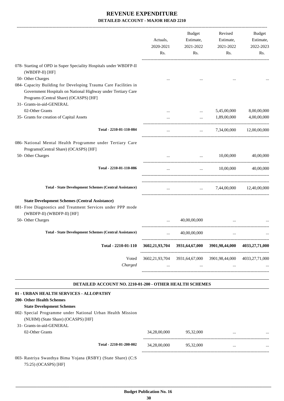|                                                                                                                                                                                                        | Actuals,<br>2020-2021<br>Rs. | Budget<br>Estimate,<br>2021-2022<br>Rs. | Revised<br>Estimate,<br>2021-2022<br>Rs. | Budget<br>Estimate,<br>2022-2023<br>Rs. |
|--------------------------------------------------------------------------------------------------------------------------------------------------------------------------------------------------------|------------------------------|-----------------------------------------|------------------------------------------|-----------------------------------------|
| 078- Starting of OPD in Super Speciality Hospitals under WBDFP-II<br>(WBDFP-II) [HF]                                                                                                                   |                              |                                         |                                          |                                         |
| 50- Other Charges                                                                                                                                                                                      |                              |                                         |                                          |                                         |
| 084- Capacity Building for Developing Trauma Care Facilities in<br>Government Hospitals on National Highway under Tertiary Care<br>Programs (Central Share) (OCASPS) [HF]<br>31- Grants-in-aid-GENERAL |                              |                                         |                                          |                                         |
| 02-Other Grants                                                                                                                                                                                        |                              | $\cdots$                                | 5,45,00,000                              | 8,00,00,000                             |
| 35- Grants for creation of Capital Assets                                                                                                                                                              |                              | $\cdots$                                | 1,89,00,000                              | 4,00,00,000                             |
| Total - 2210-01-110-084                                                                                                                                                                                |                              |                                         | $\ldots$ 7,34,00,000 12,00,00,000        |                                         |
| 086- National Mental Health Programme under Tertiary Care<br>Programs(Central Share) (OCASPS) [HF]                                                                                                     |                              |                                         |                                          |                                         |
| 50- Other Charges                                                                                                                                                                                      | $\cdots$                     |                                         | $\ldots$ 10,00,000                       | 40,00,000                               |
| Total - 2210-01-110-086                                                                                                                                                                                | $\cdots$                     | $\cdots$                                | 10,00,000                                | 40,00,000                               |
| <b>Total - State Development Schemes (Central Assistance)</b>                                                                                                                                          |                              |                                         | $\ldots$ 7,44,00,000 12,40,00,000        |                                         |
| <b>State Development Schemes (Central Assistance)</b><br>081- Free Diagnostics and Treatment Services under PPP mode<br>(WBDFP-II) (WBDFP-II) [HF]                                                     |                              |                                         |                                          |                                         |
| 50- Other Charges                                                                                                                                                                                      |                              | 40,00,00,000                            |                                          |                                         |
| <b>Total - State Development Schemes (Central Assistance)</b>                                                                                                                                          | $\cdots$                     | 40,00,00,000                            | $\cdots$                                 |                                         |
| Total - 2210-01-110                                                                                                                                                                                    |                              | 3602,21,93,704 3931,64,67,000           | 3901,98,44,000                           | 4033,27,71,000                          |
| Voted                                                                                                                                                                                                  |                              | 3602,21,93,704 3931,64,67,000           | 3901,98,44,000                           | 4033,27,71,000                          |
| Charged                                                                                                                                                                                                | $\cdots$                     | $\cdots$                                | $\cdots$                                 |                                         |
| DETAILED ACCOUNT NO. 2210-01-200 - OTHER HEALTH SCHEMES                                                                                                                                                |                              |                                         |                                          |                                         |
| 01 - URBAN HEALTH SERVICES - ALLOPATHY<br>200- Other Health Schemes<br><b>State Development Schemes</b>                                                                                                |                              |                                         |                                          |                                         |

| 002- Special Programme under National Urban Health Mission |  |
|------------------------------------------------------------|--|
| (NUHM) (State Share) (OCASPS) [HF]                         |  |

| 31- Grants-in-aid-GENERAL<br>02-Other Grants |                         | 34,28,00,000 | 95,32,000 | $\cdots$ | $\cdot \cdot \cdot$ |
|----------------------------------------------|-------------------------|--------------|-----------|----------|---------------------|
|                                              | Total - 2210-01-200-002 | 34,28,00,000 | 95,32,000 |          |                     |

003- Rastriya Swasthya Bima Yojana (RSBY) (State Share) (C:S 75:25) (OCASPS) [HF]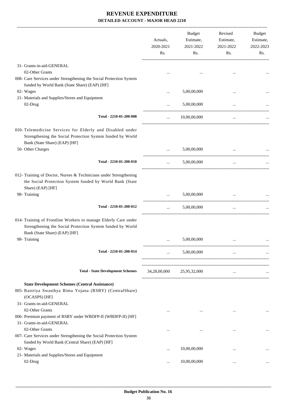|                                                                                                                                                                 | Actuals,<br>2020-2021<br>Rs. | Budget<br>Estimate,<br>2021-2022<br>Rs. | Revised<br>Estimate,<br>2021-2022<br>Rs. | Budget<br>Estimate,<br>2022-2023<br>Rs. |
|-----------------------------------------------------------------------------------------------------------------------------------------------------------------|------------------------------|-----------------------------------------|------------------------------------------|-----------------------------------------|
| 31- Grants-in-aid-GENERAL                                                                                                                                       |                              |                                         |                                          |                                         |
| 02-Other Grants<br>008- Care Services under Strengthening the Social Protection System<br>funded by World Bank (State Share) (EAP) [HF]                         |                              |                                         |                                          |                                         |
| 02- Wages                                                                                                                                                       | $\ddotsc$                    | 5,00,00,000                             |                                          |                                         |
| 21- Materials and Supplies/Stores and Equipment<br>02-Drug                                                                                                      |                              | 5,00,00,000                             |                                          |                                         |
| Total - 2210-01-200-008                                                                                                                                         | $\cdots$                     | 10,00,00,000                            | $\ldots$                                 |                                         |
| 010- Telemedicine Services for Elderly and Disabled under<br>Strengthening the Social Protection System funded by World<br>Bank (State Share) (EAP) [HF]        |                              |                                         |                                          |                                         |
| 50- Other Charges                                                                                                                                               |                              | 5,00,00,000                             |                                          |                                         |
| Total - 2210-01-200-010                                                                                                                                         | $\cdots$                     | 5,00,00,000                             | $\cdots$                                 |                                         |
| 012- Training of Doctor, Nurses & Technicians under Strengthening<br>the Social Protection System funded by World Bank (State<br>Share) (EAP) [HF]              |                              |                                         |                                          |                                         |
| 98- Training                                                                                                                                                    | $\cdots$                     | 5,00,00,000                             |                                          |                                         |
| Total - 2210-01-200-012                                                                                                                                         | $\ldots$                     | 5,00,00,000                             | $\ldots$                                 |                                         |
| 014- Training of Frontline Workers to manage Elderly Care under<br>Strengthening the Social Protection System funded by World<br>Bank (State Share) (EAP) [HF]  |                              |                                         |                                          |                                         |
| 98- Training                                                                                                                                                    |                              | 5,00,00,000                             |                                          |                                         |
| Total - 2210-01-200-014                                                                                                                                         | $\cdots$                     | 5,00,00,000                             | $\cdots$                                 |                                         |
| <b>Total - State Development Schemes</b>                                                                                                                        |                              | 34,28,00,000 25,95,32,000               | $\cdots$                                 |                                         |
| <b>State Development Schemes (Central Assistance)</b><br>005- Rastriya Swasthya Bima Yojana (RSBY) (CentralShare)<br>(OCASPS) [HF]<br>31- Grants-in-aid-GENERAL |                              |                                         |                                          |                                         |
| 02-Other Grants<br>006- Premium payment of RSBY under WBDFP-II (WBDFP-II) [HF]<br>31- Grants-in-aid-GENERAL                                                     | $\cdots$                     | $\cdots$                                | $\cdots$                                 | $\ddotsc$                               |
| 02-Other Grants<br>007- Care Services under Strengthening the Social Protection System                                                                          |                              | $\cdots$                                | $\ddotsc$                                |                                         |
| funded by World Bank (Central Share) (EAP) [HF]<br>02- Wages<br>21- Materials and Supplies/Stores and Equipment                                                 |                              | 10,00,00,000                            | $\cdots$                                 |                                         |
| 02-Drug                                                                                                                                                         | $\cdots$                     | 10,00,00,000                            | $\cdots$                                 |                                         |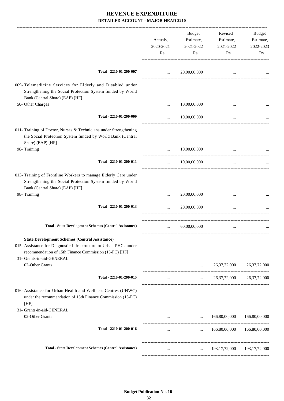|                                                                                                                                                                                                                   | Actuals,<br>2020-2021 | Budget<br>Estimate,<br>2021-2022     | Revised<br>Estimate,<br>2021-2022    | Budget<br>Estimate,<br>2022-2023 |
|-------------------------------------------------------------------------------------------------------------------------------------------------------------------------------------------------------------------|-----------------------|--------------------------------------|--------------------------------------|----------------------------------|
|                                                                                                                                                                                                                   | Rs.                   | Rs.                                  | Rs.                                  | Rs.                              |
| Total - 2210-01-200-007                                                                                                                                                                                           | $\cdots$              | 20,00,00,000                         | $\cdots$                             |                                  |
| 009- Telemedicine Services for Elderly and Disabled under<br>Strengthening the Social Protection System funded by World<br>Bank (Central Share) (EAP) [HF]                                                        |                       |                                      |                                      |                                  |
| 50- Other Charges                                                                                                                                                                                                 | $\cdots$              | 10,00,00,000                         | $\cdots$                             |                                  |
| Total - 2210-01-200-009                                                                                                                                                                                           | $\cdots$              | 10,00,00,000                         | $\ldots$                             |                                  |
| 011- Training of Doctor, Nurses & Technicians under Strengthening<br>the Social Protection System funded by World Bank (Central<br>Share) (EAP) [HF]                                                              |                       |                                      |                                      |                                  |
| 98- Training                                                                                                                                                                                                      |                       | 10,00,00,000                         |                                      |                                  |
| Total - 2210-01-200-011                                                                                                                                                                                           | $\cdots$              | 10,00,00,000                         | $\cdots$                             |                                  |
| 013- Training of Frontline Workers to manage Elderly Care under<br>Strengthening the Social Protection System funded by World<br>Bank (Central Share) (EAP) [HF]                                                  |                       |                                      |                                      |                                  |
| 98- Training                                                                                                                                                                                                      | $\cdots$              | 20,00,00,000                         |                                      |                                  |
| Total - 2210-01-200-013                                                                                                                                                                                           | $\cdots$              | 20,00,00,000                         | $\cdots$                             |                                  |
| <b>Total - State Development Schemes (Central Assistance)</b>                                                                                                                                                     | $\cdots$              | 60,00,00,000                         |                                      |                                  |
| <b>State Development Schemes (Central Assistance)</b><br>015- Assistance for Diagnostic Infrastructure to Urban PHCs under<br>recommendation of 15th Finance Commission (15-FC) [HF]<br>31- Grants-in-aid-GENERAL |                       |                                      |                                      |                                  |
| 02-Other Grants                                                                                                                                                                                                   |                       | $\sim 10^{-10}$                      | 26, 37, 72, 000                      | 26, 37, 72, 000                  |
| Total - 2210-01-200-015                                                                                                                                                                                           | $\cdots$              | $\cdots$ . The set of $\mathbb{R}^n$ |                                      | 26, 37, 72, 000 26, 37, 72, 000  |
| 016- Assistance for Urban Health and Wellness Centres (UHWC)<br>under the recommendation of 15th Finance Commission (15-FC)<br>[HF]                                                                               |                       |                                      |                                      |                                  |
| 31- Grants-in-aid-GENERAL<br>02-Other Grants                                                                                                                                                                      |                       | $\ddotsc$                            | 166,80,00,000                        | 166,80,00,000                    |
| Total - 2210-01-200-016                                                                                                                                                                                           | $\cdots$              | <b>Sales Control</b>                 | 166,80,00,000 166,80,00,000          |                                  |
| <b>Total - State Development Schemes (Central Assistance)</b>                                                                                                                                                     | $\cdots$              |                                      | $\ldots$ 193,17,72,000 193,17,72,000 |                                  |
|                                                                                                                                                                                                                   |                       |                                      |                                      |                                  |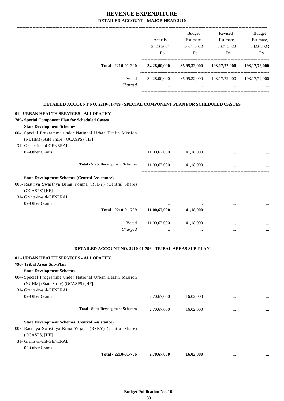#### **REVENUE EXPENDITURE HED LOCOUNT MAJOR HEAD 2210**

| DETAILED ACCOUNT - MAJOR HEAD 2210                                             |              |                                                |                                                       |                  |
|--------------------------------------------------------------------------------|--------------|------------------------------------------------|-------------------------------------------------------|------------------|
|                                                                                |              | <b>Budget</b>                                  | Revised                                               | Budget           |
|                                                                                | Actuals,     | Estimate,                                      | Estimate,                                             | Estimate,        |
|                                                                                | 2020-2021    | 2021-2022                                      | 2021-2022                                             | 2022-2023        |
|                                                                                | Rs.          | Rs.                                            | Rs.                                                   | Rs.              |
| Total - 2210-01-200                                                            | 34,28,00,000 |                                                | 85,95,32,000 193,17,72,000                            | 193, 17, 72, 000 |
| Voted                                                                          |              |                                                | 34,28,00,000 85,95,32,000 193,17,72,000 193,17,72,000 |                  |
| Charged                                                                        | $\cdots$     | <b>Sales Control</b>                           | $\cdots$                                              |                  |
| DETAILED ACCOUNT NO. 2210-01-789 - SPECIAL COMPONENT PLAN FOR SCHEDULED CASTES |              |                                                |                                                       |                  |
| 01 - URBAN HEALTH SERVICES - ALLOPATHY                                         |              |                                                |                                                       |                  |
| 789- Special Component Plan for Scheduled Castes                               |              |                                                |                                                       |                  |
| <b>State Development Schemes</b>                                               |              |                                                |                                                       |                  |
| 004- Special Programme under National Urban Health Mission                     |              |                                                |                                                       |                  |
| (NUHM) (State Share) (OCASPS) [HF]                                             |              |                                                |                                                       |                  |
| 31- Grants-in-aid-GENERAL                                                      |              |                                                |                                                       |                  |
| 02-Other Grants                                                                | 11,00,67,000 | 41,18,000                                      | $\cdots$                                              |                  |
| <b>Total - State Development Schemes</b>                                       | 11,00,67,000 | 41,18,000                                      | $\cdots$                                              |                  |
| <b>State Development Schemes (Central Assistance)</b>                          |              |                                                |                                                       |                  |
| 005- Rastriya Swasthya Bima Yojana (RSBY) (Central Share)                      |              |                                                |                                                       |                  |
| (OCASPS) [HF]<br>31- Grants-in-aid-GENERAL                                     |              |                                                |                                                       |                  |
| 02-Other Grants                                                                |              |                                                |                                                       |                  |
| Total - 2210-01-789                                                            | 11,00,67,000 | 41,18,000                                      |                                                       |                  |
| Voted                                                                          | 11,00,67,000 | ---------------------------------<br>41,18,000 | $\cdots$                                              |                  |
| Charged                                                                        | $\cdots$     |                                                |                                                       |                  |
|                                                                                |              |                                                |                                                       |                  |
| <b>DETAILED ACCOUNT NO. 2210-01-796 - TRIBAL AREAS SUB-PLAN</b>                |              |                                                |                                                       |                  |
| 01 - URBAN HEALTH SERVICES - ALLOPATHY                                         |              |                                                |                                                       |                  |
| 796- Tribal Areas Sub-Plan                                                     |              |                                                |                                                       |                  |
| <b>State Development Schemes</b>                                               |              |                                                |                                                       |                  |
| 004- Special Programme under National Urban Health Mission                     |              |                                                |                                                       |                  |
| (NUHM) (State Share) (OCASPS) [HF]                                             |              |                                                |                                                       |                  |
| 31- Grants-in-aid-GENERAL                                                      |              |                                                |                                                       |                  |
| 02-Other Grants                                                                | 2,70,67,000  | 16,02,000                                      | $\ddotsc$                                             |                  |

02-Other Grants ... ... ... ...

-----------------------------------------------------------------------------------------

-----------------------------------------------------------------------------------------

------------------------------------------------------------------------------------------

**Total - State Development Schemes** 2,70,67,000 16,02,000 ... ... ... ... ... ...

**Total - 2210-01-796 2,70,67,000 16,02,000** ... ... ... ...

 **\_\_\_\_\_\_\_\_\_\_\_\_\_\_\_\_\_\_\_\_\_\_\_\_\_\_\_\_\_\_\_\_\_\_\_\_\_\_\_\_\_\_\_\_\_\_\_\_\_\_\_\_\_\_\_\_\_\_\_\_\_\_\_\_\_\_\_\_\_\_\_\_\_\_\_\_\_\_\_\_\_\_\_\_\_\_\_\_\_\_\_\_\_\_\_\_\_\_\_\_\_\_\_\_\_\_\_\_\_\_\_\_\_\_\_\_\_\_\_**

**State Development Schemes (Central Assistance)**

(OCASPS) [HF] 31- Grants-in-aid-GENERAL

005- Rastriya Swasthya Bima Yojana (RSBY) (Central Share)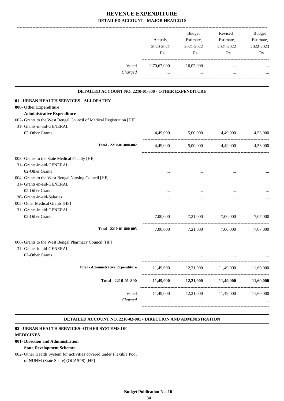|                                                                                   | Actuals,<br>2020-2021<br>Rs. | Budget<br>Estimate,<br>2021-2022<br>Rs. | Revised<br>Estimate,<br>2021-2022<br>Rs. | <b>Budget</b><br>Estimate,<br>2022-2023<br>Rs. |
|-----------------------------------------------------------------------------------|------------------------------|-----------------------------------------|------------------------------------------|------------------------------------------------|
| Voted                                                                             | 2,70,67,000                  | 16,02,000                               | $\cdots$                                 |                                                |
| Charged                                                                           | $\cdots$                     | $\cdots$                                | $\cdots$                                 |                                                |
| DETAILED ACCOUNT NO. 2210-01-800 - OTHER EXPENDITURE                              |                              |                                         |                                          |                                                |
| 01 - URBAN HEALTH SERVICES - ALLOPATHY                                            |                              |                                         |                                          |                                                |
| 800- Other Expenditure                                                            |                              |                                         |                                          |                                                |
| <b>Administrative Expenditure</b>                                                 |                              |                                         |                                          |                                                |
| 002- Grants to the West Bengal Council of Medical Registration [HF]               |                              |                                         |                                          |                                                |
| 31- Grants-in-aid-GENERAL<br>02-Other Grants                                      | 4,49,000                     | 5,00,000                                | 4,49,000                                 | 4,53,000                                       |
| Total - 2210-01-800-002                                                           | 4,49,000                     |                                         | 5,00,000 4,49,000                        | 4,53,000                                       |
|                                                                                   |                              |                                         |                                          |                                                |
| 003- Grants to the State Medical Faculty [HF]<br>31- Grants-in-aid-GENERAL        |                              |                                         |                                          |                                                |
| 02-Other Grants                                                                   |                              |                                         |                                          |                                                |
| 004- Grants to the West Bengal Nursing Council [HF]                               |                              |                                         |                                          |                                                |
| 31- Grants-in-aid-GENERAL                                                         |                              |                                         |                                          |                                                |
| 02-Other Grants                                                                   |                              |                                         |                                          |                                                |
| 36- Grants-in-aid-Salaries                                                        |                              |                                         |                                          |                                                |
| 005- Other Medical Grants [HF]                                                    |                              |                                         |                                          |                                                |
| 31- Grants-in-aid-GENERAL                                                         |                              |                                         |                                          |                                                |
| 02-Other Grants                                                                   | 7,00,000                     | 7,21,000                                | 7,00,000                                 | 7,07,000                                       |
| Total - 2210-01-800-005                                                           | 7,00,000                     | 7,21,000                                | 7,00,000                                 | 7,07,000                                       |
| 006- Grants to the West Bengal Pharmacy Council [HF]<br>31- Grants-in-aid-GENERAL |                              |                                         |                                          |                                                |
| 02-Other Grants                                                                   | $\cdots$                     | $\ldots$                                | $\cdots$                                 |                                                |
| <b>Total - Administrative Expenditure</b>                                         | 11,49,000                    | 12,21,000                               | 11,49,000                                | 11,60,000                                      |
| Total - 2210-01-800                                                               | 11,49,000                    | 12,21,000                               | 11,49,000                                | 11,60,000                                      |
| Voted                                                                             | 11,49,000                    | 12,21,000                               | 11,49,000                                | 11,60,000                                      |
| Charged                                                                           | $\cdots$                     | $\ddots$                                | $\ldots$                                 |                                                |

#### **DETAILED ACCOUNT NO. 2210-02-001 - DIRECTION AND ADMINISTRATION .**

.

#### **02 - URBAN HEALTH SERVICES--OTHER SYSTEMS OF**

**MEDICINES**

#### **001- Direction and Administration**

#### **State Development Schemes**

002- Other Health System for activities covered under Flexible Pool of NUHM (State Share) (OCASPS) [HF]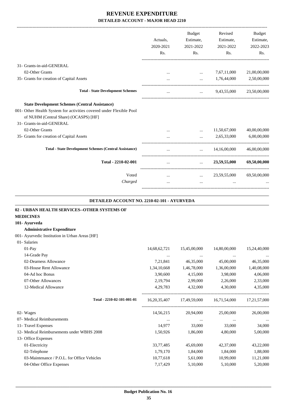-------------------------------------------------------------------------------------------------------------------------------------------------------------------------------

|                                                                                                              | Actuals,<br>2020-2021 | <b>Budget</b><br>Estimate,<br>2021-2022    | Revised<br>Estimate,<br>2021-2022 | <b>Budget</b><br>Estimate,<br>2022-2023 |
|--------------------------------------------------------------------------------------------------------------|-----------------------|--------------------------------------------|-----------------------------------|-----------------------------------------|
|                                                                                                              | Rs.                   | Rs.                                        | Rs.                               | Rs.                                     |
| 31- Grants-in-aid-GENERAL                                                                                    |                       |                                            |                                   |                                         |
| 02-Other Grants                                                                                              |                       | $\cdots$                                   | 7,67,11,000                       | 21,00,00,000                            |
| 35- Grants for creation of Capital Assets                                                                    | $\cdots$              | $\cdots$                                   | 1,76,44,000                       | 2,50,00,000                             |
| <b>Total - State Development Schemes</b>                                                                     | $\cdots$              | $\cdots$                                   | 9,43,55,000                       | 23,50,00,000                            |
| <b>State Development Schemes (Central Assistance)</b>                                                        |                       |                                            |                                   |                                         |
| 001- Other Health System for activities covered under Flexible Pool<br>of NUHM (Central Share) (OCASPS) [HF] |                       |                                            |                                   |                                         |
| 31- Grants-in-aid-GENERAL                                                                                    |                       |                                            |                                   |                                         |
| 02-Other Grants                                                                                              |                       |                                            | 11,50,67,000                      | 40,00,00,000                            |
| 35- Grants for creation of Capital Assets                                                                    | $\cdots$              | $\cdots$                                   | 2,65,33,000                       | 6,00,00,000                             |
| <b>Total - State Development Schemes (Central Assistance)</b>                                                | $\cdots$              | $\mathbf{r}$ , $\mathbf{r}$ , $\mathbf{r}$ | 14,16,00,000                      | 46,00,00,000                            |
| Total - 2210-02-001                                                                                          | $\cdots$              | $\cdots$                                   | 23,59,55,000                      | 69,50,00,000                            |
| Voted                                                                                                        | $\cdots$              |                                            | $\ldots$ 23,59,55,000             | 69,50,00,000                            |
| Charged                                                                                                      | $\cdots$              | $\cdots$                                   |                                   |                                         |
|                                                                                                              |                       |                                            |                                   |                                         |

#### **DETAILED ACCOUNT NO. 2210-02-101 - AYURVEDA**

| 14,68,62,721    | 15,45,00,000 | 14,80,00,000 | 15,24,40,000 |
|-----------------|--------------|--------------|--------------|
| $\cdots$        | $\cdots$     | $\cdots$     |              |
| 7,21,841        | 46,35,000    | 45,00,000    | 46,35,000    |
| 1,34,10,668     | 1,46,78,000  | 1,36,00,000  | 1,40,08,000  |
| 3,90,600        | 4,15,000     | 3,98,000     | 4,06,000     |
| 2,19,794        | 2,99,000     | 2,26,000     | 2,33,000     |
| 4, 29, 783      | 4,32,000     | 4,30,000     | 4,35,000     |
| 16, 20, 35, 407 | 17,49,59,000 | 16,71,54,000 | 17,21,57,000 |
| 14,56,215       | 20,94,000    | 25,00,000    | 26,00,000    |
| $\cdots$        | $\cdots$     | $\cdots$     |              |
| 14,977          | 33,000       | 33,000       | 34,000       |
| 1,50,926        | 1,86,000     | 4,80,000     | 5,00,000     |
|                 |              |              |              |
| 33,77,485       | 45,69,000    | 42,37,000    | 43,22,000    |
| 1,79,170        | 1,84,000     | 1,84,000     | 1,88,000     |
| 10,77,618       | 5,61,000     | 10,99,000    | 11,21,000    |
| 7,17,429        | 5,10,000     | 5,10,000     | 5,20,000     |
|                 |              |              |              |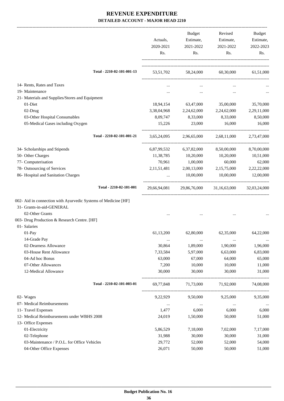-------------------------------------------------------------------------------------------------------------------------------------------------------------------------------

|                                                                | Actuals,<br>2020-2021 | <b>Budget</b><br>Estimate,<br>2021-2022 | Revised<br>Estimate,<br>2021-2022 | <b>Budget</b><br>Estimate,<br>2022-2023 |
|----------------------------------------------------------------|-----------------------|-----------------------------------------|-----------------------------------|-----------------------------------------|
|                                                                | Rs.                   | Rs.                                     | Rs.                               | Rs.                                     |
| Total - 2210-02-101-001-13                                     | 53,51,702             | 58,24,000                               | 60,30,000                         | 61,51,000                               |
| 14- Rents, Rates and Taxes                                     | $\cdots$              | $\cdots$                                | $\cdots$                          |                                         |
| 19- Maintenance                                                | $\cdots$              | $\cdots$                                | $\cdots$                          |                                         |
| 21- Materials and Supplies/Stores and Equipment                |                       |                                         |                                   |                                         |
| 01-Diet                                                        | 18,94,154             | 63,47,000                               | 35,00,000                         | 35,70,000                               |
| 02-Drug                                                        | 3,38,04,968           | 2,24,62,000                             | 2,24,62,000                       | 2,29,11,000                             |
| 03-Other Hospital Consumables                                  | 8,09,747              | 8,33,000                                | 8,33,000                          | 8,50,000                                |
| 05-Medical Gases including Oxygen                              | 15,226                | 23,000                                  | 16,000                            | 16,000                                  |
| Total - 2210-02-101-001-21                                     | 3,65,24,095           | 2,96,65,000                             | 2,68,11,000                       | 2,73,47,000                             |
| 34- Scholarships and Stipends                                  | 6,87,99,532           | 6,37,82,000                             | 8,50,00,000                       | 8,70,00,000                             |
| 50- Other Charges                                              | 11,38,785             | 10,20,000                               | 10,20,000                         | 10,51,000                               |
| 77- Computerisation                                            | 70,961                | 1,00,000                                | 60,000                            | 62,000                                  |
| 78- Outsourcing of Services                                    | 2, 11, 51, 481        | 2,00,13,000                             | 2,15,75,000                       | 2,22,22,000                             |
| 86- Hospital and Sanitation Charges                            |                       | 10,00,000                               | 10,00,000                         | 12,00,000                               |
| Total - 2210-02-101-001                                        | 29,66,94,081          | 29,86,76,000                            | 31,16,63,000                      | 32,03,24,000                            |
| 002- Aid in connection with Ayurvedic Systems of Medicine [HF] |                       |                                         |                                   |                                         |
| 31- Grants-in-aid-GENERAL                                      |                       |                                         |                                   |                                         |
| 02-Other Grants                                                |                       |                                         |                                   |                                         |
| 003- Drug Production & Research Centre. [HF]                   |                       |                                         |                                   |                                         |
| 01- Salaries                                                   |                       |                                         |                                   |                                         |
| 01-Pay                                                         | 61,13,200             | 62,80,000                               | 62,35,000                         | 64,22,000                               |
| 14-Grade Pay                                                   |                       | $\cdots$                                | $\ddotsc$                         |                                         |
| 02-Dearness Allowance                                          | 30,864                | 1,89,000                                | 1,90,000                          | 1,96,000                                |
| 03-House Rent Allowance                                        | 7,33,584              | 5,97,000                                | 6,63,000                          | 6,83,000                                |
| 04-Ad hoc Bonus                                                | 63,000                | 67,000                                  | 64,000                            | 65,000                                  |
| 07-Other Allowances                                            | 7,200                 | 10,000                                  | 10,000                            | 11,000                                  |
| 12-Medical Allowance                                           | 30,000                | 30,000                                  | 30,000                            | 31,000                                  |
| Total - 2210-02-101-003-01                                     | 69,77,848             | 71,73,000                               | 71,92,000                         | 74,08,000                               |
| 02- Wages                                                      | 9,22,929              | 9,50,000                                | 9,25,000                          | 9,35,000                                |
| 07- Medical Reimbursements                                     | $\cdots$              | $\ldots$                                | $\cdots$                          |                                         |
| 11- Travel Expenses                                            | 1,477                 | 6,000                                   | 6,000                             | 6,000                                   |
| 12- Medical Reimbursements under WBHS 2008                     | 24,019                | 1,50,000                                | 50,000                            | 51,000                                  |
| 13- Office Expenses                                            |                       |                                         |                                   |                                         |
| 01-Electricity                                                 | 5,86,529              | 7,18,000                                | 7,02,000                          | 7,17,000                                |
| 02-Telephone                                                   | 31,988                | 30,000                                  | 30,000                            | 31,000                                  |
| 03-Maintenance / P.O.L. for Office Vehicles                    | 29,772                | 52,000                                  | 52,000                            | 54,000                                  |
| 04-Other Office Expenses                                       | 26,071                | 50,000                                  | 50,000                            | 51,000                                  |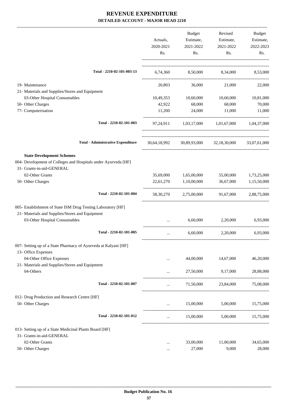|                                                                                  | Actuals,<br>2020-2021<br>Rs. | Budget<br>Estimate,<br>2021-2022<br>Rs. | Revised<br>Estimate,<br>2021-2022<br>Rs.            | Budget<br>Estimate,<br>2022-2023<br>Rs. |
|----------------------------------------------------------------------------------|------------------------------|-----------------------------------------|-----------------------------------------------------|-----------------------------------------|
|                                                                                  |                              |                                         |                                                     |                                         |
| Total - 2210-02-101-003-13                                                       |                              |                                         | 6,74,360 8,50,000 8,34,000 8,53,000                 |                                         |
| 19- Maintenance                                                                  | 20,803                       | 36,000                                  | 21,000                                              | 22,000                                  |
| 21- Materials and Supplies/Stores and Equipment                                  |                              |                                         |                                                     |                                         |
| 03-Other Hospital Consumables                                                    | 10,49,353                    | 10,60,000                               | 10,60,000                                           | 10,81,000                               |
| 50- Other Charges                                                                | 42,922                       | 68,000                                  | 68,000                                              | 70,000                                  |
| 77- Computerisation                                                              | 11,200                       | 24,000                                  | 11,000                                              | 11,000                                  |
| Total - 2210-02-101-003                                                          |                              |                                         | 97,24,911 1,03,17,000 1,01,67,000 1,04,37,000       |                                         |
| <b>Total - Administrative Expenditure</b>                                        |                              |                                         | 30,64,18,992 30,89,93,000 32,18,30,000 33,07,61,000 |                                         |
| <b>State Development Schemes</b>                                                 |                              |                                         |                                                     |                                         |
| 004- Development of Colleges and Hospitals under Ayurveda [HF]                   |                              |                                         |                                                     |                                         |
| 31- Grants-in-aid-GENERAL                                                        |                              |                                         |                                                     |                                         |
| 02-Other Grants                                                                  | 35,69,000                    | 1,65,00,000                             | 55,00,000                                           | 1,73,25,000                             |
| 50- Other Charges                                                                | 22,61,270                    | 1,10,00,000                             | 36,67,000                                           | 1,15,50,000                             |
| Total - 2210-02-101-004                                                          |                              |                                         | 58,30,270 2,75,00,000 91,67,000                     | 2,88,75,000                             |
| 005- Establishment of State ISM Drug Testing Laboratory [HF]                     |                              |                                         |                                                     |                                         |
| 21- Materials and Supplies/Stores and Equipment<br>03-Other Hospital Consumables | $\cdots$                     | 6,60,000                                | 2,20,000                                            | 6,93,000                                |
| Total - 2210-02-101-005                                                          | $\cdots$                     | 6,60,000                                | 2,20,000                                            | 6,93,000                                |
| 007- Setting up of a State Pharmacy of Ayurveda at Kalyani [HF]                  |                              |                                         |                                                     |                                         |
| 13- Office Expenses                                                              |                              |                                         |                                                     |                                         |
| 04-Other Office Expenses                                                         |                              | 44,00,000                               | 14,67,000                                           | 46,20,000                               |
| 21- Materials and Supplies/Stores and Equipment                                  |                              |                                         |                                                     |                                         |
| 04-Others                                                                        | .                            | 27,50,000                               | 9,17,000                                            | 28,88,000                               |
| Total - 2210-02-101-007                                                          | $\cdots$                     | 71,50,000                               | 23,84,000                                           | 75,08,000                               |
|                                                                                  |                              |                                         |                                                     |                                         |
| 012- Drug Production and Research Centre [HF]<br>50- Other Charges               | $\cdots$                     | 15,00,000                               | 5,00,000                                            | 15,75,000                               |
|                                                                                  |                              |                                         |                                                     |                                         |
| Total - 2210-02-101-012                                                          | $\cdots$                     |                                         | 15,00,000 5,00,000 15,75,000                        |                                         |
| 013- Setting up of a State Medicinal Plants Board [HF]                           |                              |                                         |                                                     |                                         |
| 31- Grants-in-aid-GENERAL                                                        |                              |                                         |                                                     |                                         |
| 02-Other Grants                                                                  |                              | 33,00,000                               | 11,00,000                                           | 34,65,000                               |
| 50- Other Charges                                                                |                              | 27,000                                  | 9,000                                               | 28,000                                  |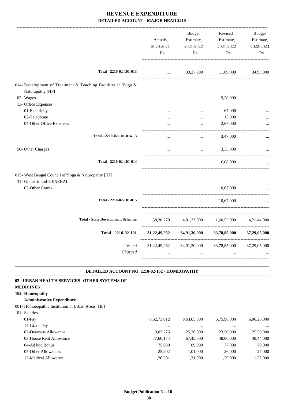|                                                                                   | Actuals,<br>2020-2021<br>Rs. | <b>Budget</b><br>Estimate,<br>2021-2022<br>Rs. | Revised<br>Estimate,<br>2021-2022<br>Rs. | <b>Budget</b><br>Estimate,<br>2022-2023<br>Rs. |
|-----------------------------------------------------------------------------------|------------------------------|------------------------------------------------|------------------------------------------|------------------------------------------------|
| Total - 2210-02-101-013                                                           | $\ddotsc$                    | 33,27,000                                      | 11,09,000                                | 34,93,000                                      |
| 014- Development of Treatment & Teaching Facilities in Yoga &<br>Naturapothy [HF] |                              |                                                |                                          |                                                |
| 02- Wages                                                                         | $\cdots$                     | $\ddotsc$                                      | 9,28,000                                 |                                                |
| 13- Office Expenses                                                               |                              |                                                |                                          |                                                |
| 01-Electricity                                                                    |                              | $\cdots$                                       | 67,000                                   |                                                |
| 02-Telephone                                                                      |                              | $\cdots$                                       | 13,000                                   |                                                |
| 04-Other Office Expenses                                                          |                              |                                                | 2,67,000                                 |                                                |
| Total - 2210-02-101-014-13                                                        |                              |                                                | 3,47,000                                 |                                                |
| 50- Other Charges                                                                 | $\ddotsc$                    | $\ddotsc$                                      | 3,33,000                                 |                                                |
| Total - 2210-02-101-014                                                           |                              | $\ddotsc$                                      | 16,08,000                                |                                                |
| 015- West Bengal Council of Yoga & Naturopathy [HF]                               |                              |                                                |                                          |                                                |
| 31- Grants-in-aid-GENERAL                                                         |                              |                                                |                                          |                                                |
| 02-Other Grants                                                                   |                              |                                                | 10,67,000                                |                                                |
| Total - 2210-02-101-015                                                           |                              | $\dddot{\phantom{0}}$                          | 10,67,000                                |                                                |
| <b>Total - State Development Schemes</b>                                          | 58, 30, 270                  | 4,01,37,000                                    | 1,60,55,000                              | 4,21,44,000                                    |
| Total - 2210-02-101                                                               | 31, 22, 49, 262              | 34,91,30,000                                   | 33,78,85,000                             | 37,29,05,000                                   |
| Voted<br>Charged                                                                  | 31,22,49,262                 | 34,91,30,000<br>$\ddotsc$                      | --------------------<br>33,78,85,000     | 37,29,05,000                                   |
|                                                                                   |                              |                                                |                                          |                                                |

#### **DETAILED ACCOUNT NO. 2210-02-102 - HOMEOPATHY .**

.

| 02 - URBAN HEALTH SERVICES--OTHER SYSTEMS OF      |             |             |             |             |
|---------------------------------------------------|-------------|-------------|-------------|-------------|
| <b>MEDICINES</b>                                  |             |             |             |             |
| 102- Homeopathy                                   |             |             |             |             |
| <b>Administrative Expenditure</b>                 |             |             |             |             |
| 001- Homoeopathic Institution in Urban Areas [HF] |             |             |             |             |
| 01- Salaries                                      |             |             |             |             |
| $01-Pav$                                          | 6,62,73,012 | 9,63,65,000 | 6,75,98,000 | 6,96,26,000 |
| 14-Grade Pay                                      | $\cdots$    | $\cdots$    | $\cdots$    | $\cdots$    |
| 02-Dearness Allowance                             | 3,03,275    | 25,28,000   | 23,50,000   | 25,50,000   |
| 03-House Rent Allowance                           | 47,60,174   | 67,45,000   | 48,00,000   | 49,44,000   |
| 04-Ad hoc Bonus                                   | 75,600      | 89,000      | 77,000      | 79,000      |
| 07-Other Allowances                               | 25,202      | 1,01,000    | 26,000      | 27,000      |
| 12-Medical Allowance                              | 1.26.301    | 1.31.000    | 1.29,000    | 1.32.000    |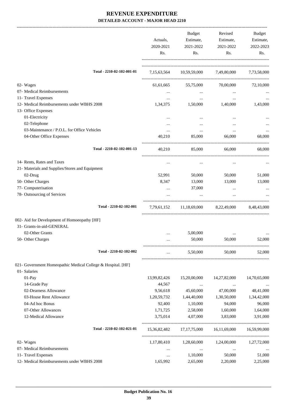|                                                              | Actuals,<br>2020-2021<br>Rs. | <b>Budget</b><br>Estimate,<br>2021-2022<br>Rs. | Revised<br>Estimate,<br>2021-2022<br>Rs. | Budget<br>Estimate,<br>2022-2023<br>Rs. |
|--------------------------------------------------------------|------------------------------|------------------------------------------------|------------------------------------------|-----------------------------------------|
| Total - 2210-02-102-001-01                                   | 7, 15, 63, 564               |                                                | 10,59,59,000 7,49,80,000                 | 7,73,58,000                             |
| 02- Wages                                                    | 61,61,665                    | 55,75,000                                      | 70,00,000                                | 72,10,000                               |
| 07- Medical Reimbursements                                   | $\cdots$                     | $\cdots$                                       |                                          |                                         |
| 11- Travel Expenses                                          | $\cdots$                     | $\cdots$                                       | $\ddotsc$                                |                                         |
| 12- Medical Reimbursements under WBHS 2008                   | 1,34,375                     | 1,50,000                                       | 1,40,000                                 | 1,43,000                                |
| 13- Office Expenses                                          |                              |                                                |                                          |                                         |
| 01-Electricity                                               |                              |                                                |                                          |                                         |
| 02-Telephone                                                 |                              |                                                |                                          |                                         |
| 03-Maintenance / P.O.L. for Office Vehicles                  | $\cdots$                     | $\cdots$                                       | $\cdots$                                 |                                         |
| 04-Other Office Expenses                                     | 40,210                       | 85,000                                         | 66,000                                   | 68,000                                  |
| Total - 2210-02-102-001-13                                   | 40,210                       | 85,000                                         | 66,000                                   | 68,000                                  |
| 14- Rents, Rates and Taxes                                   | $\cdots$                     | $\cdots$                                       | $\cdots$                                 |                                         |
| 21- Materials and Supplies/Stores and Equipment              |                              |                                                |                                          |                                         |
| 02-Drug                                                      | 52,991                       | 50,000                                         | 50,000                                   | 51,000                                  |
| 50- Other Charges                                            | 8,347                        | 13,000                                         | 13,000                                   | 13,000                                  |
| 77- Computerisation                                          | $\cdots$                     | 37,000                                         | $\cdots$                                 |                                         |
| 78- Outsourcing of Services                                  |                              |                                                | $\cdots$                                 |                                         |
| Total - 2210-02-102-001                                      | 7,79,61,152                  |                                                | 11,18,69,000 8,22,49,000                 | 8,48,43,000                             |
| 002- Aid for Development of Homoeopathy [HF]                 |                              |                                                |                                          |                                         |
| 31- Grants-in-aid-GENERAL                                    |                              |                                                |                                          |                                         |
| 02-Other Grants                                              |                              | 5,00,000                                       |                                          |                                         |
| 50- Other Charges                                            |                              | 50,000                                         | 50,000                                   | 52,000                                  |
| Total - 2210-02-102-002                                      | $\cdots$                     | 5,50,000                                       | 50,000                                   | 52,000                                  |
| 021- Government Homeopathic Medical College & Hospital. [HF] |                              |                                                |                                          |                                         |
| 01- Salaries                                                 |                              |                                                |                                          |                                         |
| 01-Pay                                                       | 13,99,82,426                 | 15,20,00,000                                   | 14,27,82,000                             | 14,70,65,000                            |
| 14-Grade Pay                                                 | 44,567                       | $\cdots$                                       | $\cdots$                                 |                                         |
| 02-Dearness Allowance                                        | 9,56,618                     | 45,60,000                                      | 47,00,000                                | 48,41,000                               |
| 03-House Rent Allowance                                      | 1,20,59,732                  | 1,44,40,000                                    | 1,30,50,000                              | 1,34,42,000                             |
| 04-Ad hoc Bonus                                              | 92,400                       | 1,10,000                                       | 94,000                                   | 96,000                                  |
| 07-Other Allowances                                          | 1,71,725                     | 2,58,000                                       | 1,60,000                                 | 1,64,000                                |
| 12-Medical Allowance                                         | 3,75,014                     | 4,07,000                                       | 3,83,000                                 | 3,91,000                                |
| Total - 2210-02-102-021-01                                   |                              | 15,36,82,482 17,17,75,000                      | 16,11,69,000                             | 16,59,99,000                            |
| 02- Wages                                                    | 1,17,80,410                  | 1,28,60,000                                    | 1,24,00,000                              | 1,27,72,000                             |
| 07- Medical Reimbursements                                   | $\cdots$                     | $\ldots$                                       | $\cdots$                                 |                                         |
| 11- Travel Expenses                                          | $\cdots$                     | 1,10,000                                       | 50,000                                   | 51,000                                  |
| 12- Medical Reimbursements under WBHS 2008                   | 1,65,992                     | 2,65,000                                       | 2,20,000                                 | 2,25,000                                |
|                                                              |                              |                                                |                                          |                                         |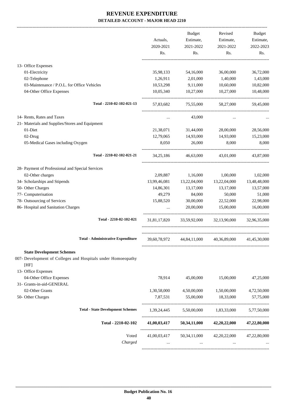|                                                              |              | <b>Budget</b>   | Revised      | Budget       |
|--------------------------------------------------------------|--------------|-----------------|--------------|--------------|
|                                                              | Actuals,     | Estimate,       | Estimate,    | Estimate,    |
|                                                              | 2020-2021    | 2021-2022       | 2021-2022    | 2022-2023    |
|                                                              | Rs.          | Rs.             | Rs.          | Rs.          |
| 13- Office Expenses                                          |              |                 |              |              |
| 01-Electricity                                               | 35,98,133    | 54,16,000       | 36,00,000    | 36,72,000    |
| 02-Telephone                                                 | 1,26,911     | 2,01,000        | 1,40,000     | 1,43,000     |
| 03-Maintenance / P.O.L. for Office Vehicles                  | 10,53,298    | 9,11,000        | 10,60,000    | 10,82,000    |
| 04-Other Office Expenses                                     | 10,05,340    | 10,27,000       | 10,27,000    | 10,48,000    |
| Total - 2210-02-102-021-13                                   | 57,83,682    | 75,55,000       | 58,27,000    | 59,45,000    |
| 14- Rents, Rates and Taxes                                   | $\cdots$     | 43,000          | $\cdots$     |              |
| 21- Materials and Supplies/Stores and Equipment              |              |                 |              |              |
| 01-Diet                                                      | 21,38,071    | 31,44,000       | 28,00,000    | 28,56,000    |
| 02-Drug                                                      | 12,79,065    | 14,93,000       | 14,93,000    | 15,23,000    |
| 05-Medical Gases including Oxygen                            | 8,050        | 26,000          | 8,000        | 8,000        |
| Total - 2210-02-102-021-21                                   | 34, 25, 186  | 46,63,000       | 43,01,000    | 43,87,000    |
| 28- Payment of Professional and Special Services             |              |                 |              |              |
| 02-Other charges                                             | 2,09,887     | 1,16,000        | 1,00,000     | 1,02,000     |
| 34- Scholarships and Stipends                                | 13,99,46,081 | 13,22,04,000    | 13,22,04,000 | 13,48,48,000 |
| 50- Other Charges                                            | 14,86,301    | 13,17,000       | 13,17,000    | 13,57,000    |
| 77- Computerisation                                          | 49,279       | 84,000          | 50,000       | 51,000       |
| 78- Outsourcing of Services                                  | 15,88,520    | 30,00,000       | 22,52,000    | 22,98,000    |
| 86- Hospital and Sanitation Charges                          |              | 20,00,000       | 15,00,000    | 16,00,000    |
| Total - 2210-02-102-021                                      | 31,81,17,820 | 33,59,92,000    | 32,13,90,000 | 32,96,35,000 |
| <b>Total - Administrative Expenditure</b>                    | 39,60,78,972 | 44,84,11,000    | 40,36,89,000 | 41,45,30,000 |
| <b>State Development Schemes</b>                             |              |                 |              |              |
| 007- Development of Colleges and Hospitals under Homoeopathy |              |                 |              |              |
| [HF]                                                         |              |                 |              |              |
| 13- Office Expenses                                          |              |                 |              |              |
| 04-Other Office Expenses                                     | 78,914       | 45,00,000       | 15,00,000    | 47,25,000    |
| 31- Grants-in-aid-GENERAL                                    |              |                 |              |              |
| 02-Other Grants                                              | 1,30,58,000  | 4,50,00,000     | 1,50,00,000  | 4,72,50,000  |
| 50- Other Charges                                            | 7,87,531     | 55,00,000       | 18,33,000    | 57,75,000    |
| <b>Total - State Development Schemes</b>                     | 1,39,24,445  | 5,50,00,000     | 1,83,33,000  | 5,77,50,000  |
| Total - 2210-02-102                                          | 41,00,03,417 | 50,34,11,000    | 42,20,22,000 | 47,22,80,000 |
| Voted                                                        | 41,00,03,417 | 50, 34, 11, 000 | 42,20,22,000 | 47,22,80,000 |
| Charged                                                      |              |                 |              |              |
|                                                              |              |                 |              |              |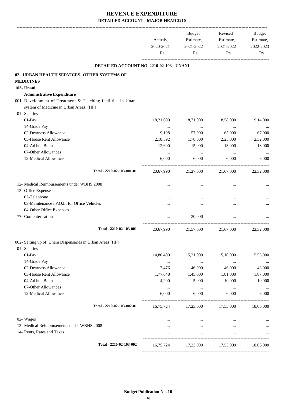|                                                                                                         | Actuals,  | Budget<br>Estimate, | Revised<br>Estimate,                    | <b>Budget</b><br>Estimate, |
|---------------------------------------------------------------------------------------------------------|-----------|---------------------|-----------------------------------------|----------------------------|
|                                                                                                         | 2020-2021 | 2021-2022           | 2021-2022                               | 2022-2023                  |
|                                                                                                         | Rs.       | Rs.                 | Rs.                                     | Rs.                        |
| DETAILED ACCOUNT NO. 2210-02-103 - UNANI                                                                |           |                     |                                         |                            |
| 02 - URBAN HEALTH SERVICES--OTHER SYSTEMS OF                                                            |           |                     |                                         |                            |
| <b>MEDICINES</b>                                                                                        |           |                     |                                         |                            |
| 103- Unani                                                                                              |           |                     |                                         |                            |
| <b>Administrative Expenditure</b>                                                                       |           |                     |                                         |                            |
| 001- Development of Treatment & Teaching facilities in Unani<br>system of Medicine in Urban Areas. [HF] |           |                     |                                         |                            |
| 01- Salaries                                                                                            |           |                     |                                         |                            |
| 01-Pay                                                                                                  | 18,21,600 | 18,71,000           | 18,58,000                               | 19,14,000                  |
| 14-Grade Pay                                                                                            | $\cdots$  | $\cdots$            | $\ldots$                                |                            |
| 02-Dearness Allowance                                                                                   | 9,198     | 57,000              | 65,000                                  | 67,000                     |
| 03-House Rent Allowance                                                                                 | 2,18,592  | 1,78,000            | 2,25,000                                | 2,32,000                   |
| 04-Ad hoc Bonus                                                                                         | 12,600    | 15,000              | 13,000                                  | 13,000                     |
| 07-Other Allowances                                                                                     | $\cdots$  | $\cdots$            | $\cdots$                                |                            |
| 12-Medical Allowance                                                                                    | 6,000     | 6,000               | 6,000                                   | 6,000                      |
| Total - 2210-02-103-001-01                                                                              | 20,67,990 | 21,27,000           | 21,67,000                               | 22,32,000                  |
| 12- Medical Reimbursements under WBHS 2008                                                              |           | $\cdots$            | $\cdots$                                |                            |
| 13- Office Expenses                                                                                     |           |                     |                                         |                            |
| 02-Telephone                                                                                            |           |                     |                                         |                            |
| 03-Maintenance / P.O.L. for Office Vehicles                                                             |           |                     |                                         |                            |
| 04-Other Office Expenses                                                                                |           | $\cdots$            |                                         |                            |
| 77- Computerisation                                                                                     |           | 30,000              |                                         |                            |
| Total - 2210-02-103-001                                                                                 | 20,67,990 | 21,57,000           | 21,67,000                               | 22,32,000                  |
| 002- Setting up of Unani Dispensaries in Urban Areas [HF]                                               |           |                     |                                         |                            |
| 01- Salaries                                                                                            |           |                     |                                         |                            |
| 01-Pay                                                                                                  | 14,80,400 | 15,21,000           | 15,10,000                               | 15,55,000                  |
| 14-Grade Pay                                                                                            | $\cdots$  | $\ldots$            | $\cdots$                                |                            |
| 02-Dearness Allowance                                                                                   | 7,476     | 46,000              | 46,000                                  | 48,000                     |
| 03-House Rent Allowance                                                                                 | 1,77,648  | 1,45,000            | 1,81,000                                | 1,87,000                   |
| 04-Ad hoc Bonus                                                                                         | 4,200     | 5,000               | 10,000                                  | 10,000                     |
| 07-Other Allowances                                                                                     | $\cdots$  | $\sim$ $\sim$       | $\cdots$                                | $\ldots$                   |
| 12-Medical Allowance                                                                                    | 6,000     | 6,000               | 6,000                                   | 6,000                      |
| Total - 2210-02-103-002-01                                                                              |           |                     | 16,75,724 17,23,000 17,53,000           | 18,06,000                  |
| 02- Wages                                                                                               | $\cdots$  | $\ldots$            | $\cdots$                                |                            |
| 12- Medical Reimbursements under WBHS 2008                                                              | $\cdots$  | $\cdots$            | $\cdots$                                |                            |
| 14- Rents, Rates and Taxes                                                                              | $\cdots$  | $\cdots$            | $\cdots$                                | $\ddots$                   |
| Total - 2210-02-103-002                                                                                 |           |                     | 16,75,724 17,23,000 17,53,000 18,06,000 |                            |
|                                                                                                         |           |                     |                                         |                            |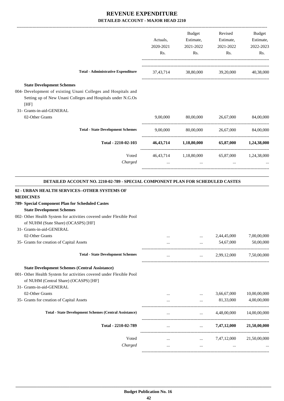|                                                                                                                                                                                                                                                                                                                                                                     | Actuals,<br>2020-2021<br>Rs. | Budget<br>Estimate,<br>2021-2022<br>Rs.                | Revised<br>Estimate,<br>2021-2022<br>Rs.    | Budget<br>Estimate,<br>2022-2023<br>Rs. |
|---------------------------------------------------------------------------------------------------------------------------------------------------------------------------------------------------------------------------------------------------------------------------------------------------------------------------------------------------------------------|------------------------------|--------------------------------------------------------|---------------------------------------------|-----------------------------------------|
| <b>Total - Administrative Expenditure</b>                                                                                                                                                                                                                                                                                                                           |                              | 37,43,714 38,80,000 39,20,000 40,38,000                |                                             |                                         |
| <b>State Development Schemes</b><br>004- Development of existing Unani Colleges and Hospitals and<br>Setting up of New Unani Colleges and Hospitals under N.G.Os<br>[HF]                                                                                                                                                                                            |                              |                                                        |                                             |                                         |
| 31- Grants-in-aid-GENERAL<br>02-Other Grants                                                                                                                                                                                                                                                                                                                        | 9,00,000                     |                                                        | 80,00,000 26,67,000                         | 84,00,000                               |
| <b>Total - State Development Schemes</b>                                                                                                                                                                                                                                                                                                                            |                              | 9,00,000 80,00,000 26,67,000 84,00,000                 |                                             |                                         |
| Total - 2210-02-103                                                                                                                                                                                                                                                                                                                                                 |                              | 46,43,714 1,18,80,000 65,87,000 1,24,38,000            |                                             |                                         |
| Voted<br>Charged                                                                                                                                                                                                                                                                                                                                                    | $\cdots$                     | $\ddots$                                               | 46,43,714 1,18,80,000 65,87,000 1,24,38,000 |                                         |
| 02 - URBAN HEALTH SERVICES--OTHER SYSTEMS OF<br><b>MEDICINES</b><br>789- Special Component Plan for Scheduled Castes<br><b>State Development Schemes</b><br>002- Other Health System for activities covered under Flexible Pool<br>of NUHM (State Share) (OCASPS) [HF]<br>31- Grants-in-aid-GENERAL<br>02-Other Grants<br>35- Grants for creation of Capital Assets |                              |                                                        | 2,44,45,000<br>54,67,000                    | 7,00,00,000<br>50,00,000                |
| <b>Total - State Development Schemes</b>                                                                                                                                                                                                                                                                                                                            |                              | $\cdots$<br>$\mathbf{r}$ , $\mathbf{r}$ , $\mathbf{r}$ | 2,99,12,000                                 | 7,50,00,000                             |
| <b>State Development Schemes (Central Assistance)</b><br>001- Other Health System for activities covered under Flexible Pool<br>of NUHM (Central Share) (OCASPS) [HF]<br>31- Grants-in-aid-GENERAL<br>02-Other Grants<br>35- Grants for creation of Capital Assets                                                                                                  |                              |                                                        | 3,66,67,000<br>81,33,000                    | 10,00,00,000<br>4,00,00,000             |
| <b>Total - State Development Schemes (Central Assistance)</b>                                                                                                                                                                                                                                                                                                       | $\cdots$                     | $\cdots$                                               | 4,48,00,000                                 | 14,00,00,000                            |
| Total - 2210-02-789                                                                                                                                                                                                                                                                                                                                                 | $\cdots$                     | $\ldots$ .                                             | 7,47,12,000                                 | 21,50,00,000                            |
| Voted<br>Charged                                                                                                                                                                                                                                                                                                                                                    | $\cdots$                     | $\cdots$<br>$\cdots$                                   | 7,47,12,000                                 | 21,50,00,000                            |
|                                                                                                                                                                                                                                                                                                                                                                     |                              |                                                        |                                             |                                         |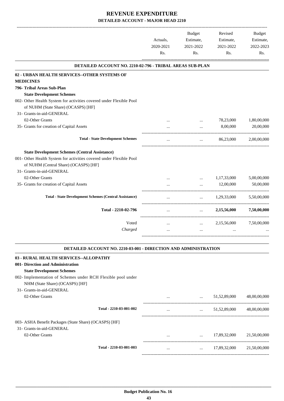|                                                                       |           | <b>Budget</b> | Revised     | <b>Budget</b> |
|-----------------------------------------------------------------------|-----------|---------------|-------------|---------------|
|                                                                       | Actuals,  | Estimate,     | Estimate,   | Estimate,     |
|                                                                       | 2020-2021 | 2021-2022     | 2021-2022   | 2022-2023     |
|                                                                       | Rs.       | Rs.           | Rs.         | Rs.           |
| <b>DETAILED ACCOUNT NO. 2210-02-796 - TRIBAL AREAS SUB-PLAN</b>       |           |               |             |               |
| 02 - URBAN HEALTH SERVICES--OTHER SYSTEMS OF                          |           |               |             |               |
| <b>MEDICINES</b>                                                      |           |               |             |               |
| 796- Tribal Areas Sub-Plan                                            |           |               |             |               |
| <b>State Development Schemes</b>                                      |           |               |             |               |
| 002- Other Health System for activities covered under Flexible Pool   |           |               |             |               |
| of NUHM (State Share) (OCASPS) [HF]                                   |           |               |             |               |
| 31- Grants-in-aid-GENERAL                                             |           |               |             |               |
| 02-Other Grants                                                       |           | $\cdots$      | 78,23,000   | 1,80,00,000   |
| 35- Grants for creation of Capital Assets                             | $\cdots$  | $\ddotsc$     | 8,00,000    | 20,00,000     |
|                                                                       |           |               |             |               |
| <b>Total - State Development Schemes</b>                              |           | $\cdots$      | 86,23,000   | 2,00,00,000   |
| <b>State Development Schemes (Central Assistance)</b>                 |           |               |             |               |
| 001- Other Health System for activities covered under Flexible Pool   |           |               |             |               |
| of NUHM (Central Share) (OCASPS) [HF]                                 |           |               |             |               |
| 31- Grants-in-aid-GENERAL                                             |           |               |             |               |
| 02-Other Grants                                                       | $\cdots$  | $\ddotsc$     | 1,17,33,000 | 5,00,00,000   |
| 35- Grants for creation of Capital Assets                             |           |               | 12,00,000   | 50,00,000     |
| <b>Total - State Development Schemes (Central Assistance)</b>         | $\cdots$  | $\cdots$      | 1,29,33,000 | 5,50,00,000   |
|                                                                       |           |               |             |               |
| Total - 2210-02-796                                                   | $\cdots$  | $\cdots$      | 2,15,56,000 | 7,50,00,000   |
| Voted                                                                 | $\ddotsc$ | $\cdots$      | 2,15,56,000 | 7,50,00,000   |
| Charged                                                               | $\ldots$  | $\ldots$      |             |               |
| DETAILED ACCOUNT NO. 2210-03-001 - DIRECTION AND ADMINISTRATION       |           |               |             |               |
|                                                                       |           |               |             |               |
| <b>03 - RURAL HEALTH SERVICES--ALLOPATHY</b>                          |           |               |             |               |
| 001- Direction and Administration<br><b>State Development Schemes</b> |           |               |             |               |

#### 002- Implementation of Schemes under RCH Flexible pool under NHM (State Share) (OCASPS) [HF]

#### 31- Grants-in-aid-GENERAL 02-Other Grants ... ... 51,52,89,000 48,00,00,000 ---------------------------------------------------------------------------------------- **Total - 2210-03-001-002** ... ... ... ... ... ... ... ... ... 51,52,89,000 48,00,00,000 ----------------------------------------------------------------------------------------- 003- ASHA Benefit Packages (State Share) (OCASPS) [HF] 31- Grants-in-aid-GENERAL 02-Other Grants ... ... 17,89,32,000 21,50,00,000 ---------------------------------------------------------------------------------------- **Total - 2210-03-001-003** ... ... 17,89,32,000 21,50,00,000 -----------------------------------------------------------------------------------------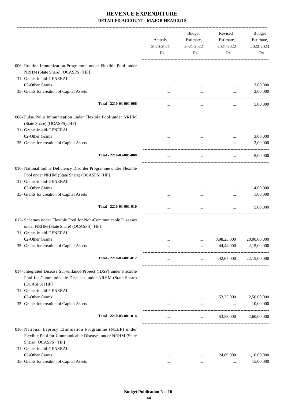|                                                                                                                                                                            | Actuals,<br>2020-2021<br>Rs. | <b>Budget</b><br>Estimate,<br>2021-2022<br>Rs. | Revised<br>Estimate,<br>2021-2022<br>Rs. | Budget<br>Estimate,<br>2022-2023<br>Rs. |
|----------------------------------------------------------------------------------------------------------------------------------------------------------------------------|------------------------------|------------------------------------------------|------------------------------------------|-----------------------------------------|
| 006- Routine Immunization Programme under Flexible Pool under<br>NRHM (State Share) (OCASPS) [HF]                                                                          |                              |                                                |                                          |                                         |
| 31- Grants-in-aid-GENERAL<br>02-Other Grants                                                                                                                               |                              |                                                |                                          |                                         |
| 35- Grants for creation of Capital Assets                                                                                                                                  |                              |                                                | $\cdots$                                 | 3,00,000<br>2,00,000                    |
|                                                                                                                                                                            |                              |                                                | $\cdots$                                 |                                         |
| Total - 2210-03-001-006                                                                                                                                                    | $\cdots$                     | $\cdots$                                       | $\cdots$                                 | 5,00,000                                |
| 008- Pulse Polio Immunization under Flexible Pool under NRHM<br>(State Share) (OCASPS) [HF]<br>31- Grants-in-aid-GENERAL                                                   |                              |                                                |                                          |                                         |
| 02-Other Grants                                                                                                                                                            |                              |                                                | $\cdots$                                 | 3,00,000                                |
| 35- Grants for creation of Capital Assets                                                                                                                                  |                              |                                                |                                          | 2,00,000                                |
| Total - 2210-03-001-008                                                                                                                                                    | $\cdots$                     | $\cdots$                                       | $\cdots$                                 | 5,00,000                                |
| 010- National Iodine Deficiency Disorder Programme under Flexible<br>Pool under NRHM (State Share) (OCASPS) [HF]<br>31- Grants-in-aid-GENERAL                              |                              |                                                |                                          |                                         |
| 02-Other Grants                                                                                                                                                            |                              |                                                | $\cdots$                                 | 4,00,000                                |
| 35- Grants for creation of Capital Assets                                                                                                                                  |                              |                                                |                                          | 1,00,000                                |
| Total - 2210-03-001-010                                                                                                                                                    | $\cdots$                     | $\ldots$                                       | $\ldots$                                 | 5,00,000                                |
| 012- Schemes under Flexible Pool for Non-Communicable Diseases<br>under NRHM (State Share) (OCASPS) [HF]                                                                   |                              |                                                |                                          |                                         |
| 31- Grants-in-aid-GENERAL                                                                                                                                                  |                              |                                                |                                          |                                         |
| 02-Other Grants                                                                                                                                                            | $\cdots$                     |                                                | 3,98,23,000                              | 20,00,00,000                            |
| 35- Grants for creation of Capital Assets                                                                                                                                  | $\ldots$                     | $\cdots$                                       | 44,44,000                                | 2,15,00,000                             |
| Total - 2210-03-001-012                                                                                                                                                    | $\cdots$                     |                                                | $4,42,67,000$ $22,15,00,000$             |                                         |
| 014- Integrated Disease Surveillance Project (IDSP) under Flexible<br>Pool for Communicable Diseases under NRHM (State Share)<br>(OCASPS) [HF]                             |                              |                                                |                                          |                                         |
| 31- Grants-in-aid-GENERAL                                                                                                                                                  |                              |                                                |                                          |                                         |
| 02-Other Grants                                                                                                                                                            |                              | $\cdots$                                       | 53,33,000                                | 2,50,00,000                             |
| 35- Grants for creation of Capital Assets                                                                                                                                  |                              | $\cdots$                                       | $\cdots$                                 | 10,00,000                               |
| Total - 2210-03-001-014                                                                                                                                                    |                              |                                                | $\ldots$ 53,33,000                       | 2,60,00,000                             |
| 016- National Leprosy Elimination Programme (NLEP) under<br>Flexible Pool for Communicable Diseases under NRHM (State<br>Share) (OCASPS) [HF]<br>31- Grants-in-aid-GENERAL |                              |                                                |                                          |                                         |
| 02-Other Grants                                                                                                                                                            | $\cdots$                     |                                                | 24,89,000                                | 1,10,00,000                             |
| 35- Grants for creation of Capital Assets                                                                                                                                  | $\cdots$                     | $\cdots$                                       | $\cdots$                                 | 15,00,000                               |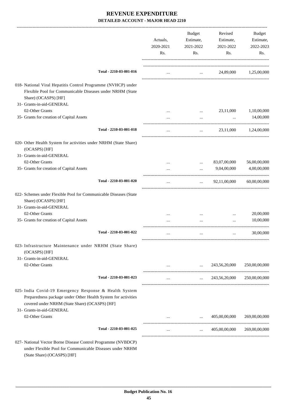|                                                                                                                                                                                                        | Actuals,<br>2020-2021<br>Rs. | Budget<br>Estimate,<br>2021-2022<br>Rs. | Revised<br>Estimate,<br>2021-2022<br>Rs. | Budget<br>Estimate,<br>2022-2023<br>Rs. |
|--------------------------------------------------------------------------------------------------------------------------------------------------------------------------------------------------------|------------------------------|-----------------------------------------|------------------------------------------|-----------------------------------------|
| Total - 2210-03-001-016                                                                                                                                                                                | $\cdots$                     | <b>Contract Contract</b>                |                                          | 24,89,000 1,25,00,000                   |
| 018- National Viral Hepatitis Control Programme (NVHCP) under<br>Flexible Pool for Communicable Diseases under NRHM (State<br>Share) (OCASPS) [HF]                                                     |                              |                                         |                                          |                                         |
| 31- Grants-in-aid-GENERAL                                                                                                                                                                              |                              |                                         |                                          |                                         |
| 02-Other Grants                                                                                                                                                                                        |                              | $\cdots$                                | 23,11,000                                | 1,10,00,000                             |
| 35- Grants for creation of Capital Assets                                                                                                                                                              |                              |                                         | $\cdots$                                 | 14,00,000                               |
| Total - 2210-03-001-018                                                                                                                                                                                | $\cdots$                     | $\cdots$                                |                                          | 23,11,000 1,24,00,000                   |
| 020- Other Health System for activities under NRHM (State Share)                                                                                                                                       |                              |                                         |                                          |                                         |
| (OCASPS) [HF]                                                                                                                                                                                          |                              |                                         |                                          |                                         |
| 31- Grants-in-aid-GENERAL                                                                                                                                                                              |                              |                                         |                                          |                                         |
| 02-Other Grants                                                                                                                                                                                        |                              | $\cdots$                                | 83,07,00,000                             | 56,00,00,000                            |
| 35- Grants for creation of Capital Assets                                                                                                                                                              |                              | $\cdots$                                | 9,04,00,000                              | 4,00,00,000                             |
| Total - 2210-03-001-020                                                                                                                                                                                | $\cdots$                     | $\mathbf{1}$                            | 92,11,00,000                             | 60,00,00,000                            |
| 022- Schemes under Flexible Pool for Communicable Diseases (State<br>Share) (OCASPS) [HF]                                                                                                              |                              |                                         |                                          |                                         |
| 31- Grants-in-aid-GENERAL                                                                                                                                                                              |                              |                                         |                                          |                                         |
| 02-Other Grants<br>35- Grants for creation of Capital Assets                                                                                                                                           |                              |                                         | $\cdots$                                 | 20,00,000<br>10,00,000                  |
|                                                                                                                                                                                                        |                              |                                         |                                          |                                         |
| Total - 2210-03-001-022                                                                                                                                                                                | $\cdots$                     | $\cdots$                                | $\ddotsc$                                | 30,00,000                               |
| 023- Infrastructure Maintenance under NRHM (State Share)<br>(OCASPS) [HF]                                                                                                                              |                              |                                         |                                          |                                         |
| 31- Grants-in-aid-GENERAL                                                                                                                                                                              |                              |                                         |                                          |                                         |
| 02-Other Grants                                                                                                                                                                                        |                              | $\ddotsc$                               | 243,56,20,000                            | 250,00,00,000                           |
| Total - 2210-03-001-023                                                                                                                                                                                |                              | $\cdots$                                | 243,56,20,000                            | 250,00,00,000                           |
| 025- India Covid-19 Emergency Response & Health System<br>Preparedness package under Other Health System for activities<br>covered under NRHM (State Share) (OCASPS) [HF]<br>31- Grants-in-aid-GENERAL |                              |                                         |                                          |                                         |
| 02-Other Grants                                                                                                                                                                                        |                              |                                         | 405,00,00,000                            | 269,00,00,000                           |
| Total - 2210-03-001-025                                                                                                                                                                                |                              | $\cdots$                                | 405,00,00,000                            | 269,00,00,000                           |
| 027- National Vector Borne Disease Control Programme (NVBDCP)                                                                                                                                          |                              |                                         |                                          |                                         |

under Flexible Pool for Communicable Diseases under NRHM (State Share) (OCASPS) [HF]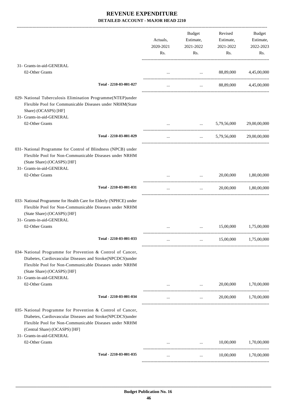|                                                                                                                                                                                                                                                  | Actuals,<br>2020-2021<br>Rs. | Budget<br>Estimate,<br>2021-2022<br>Rs.                      | Revised<br>Estimate,<br>2021-2022<br>Rs. | Budget<br>Estimate,<br>2022-2023<br>Rs. |
|--------------------------------------------------------------------------------------------------------------------------------------------------------------------------------------------------------------------------------------------------|------------------------------|--------------------------------------------------------------|------------------------------------------|-----------------------------------------|
| 31- Grants-in-aid-GENERAL                                                                                                                                                                                                                        |                              |                                                              |                                          |                                         |
| 02-Other Grants                                                                                                                                                                                                                                  |                              | and the contract of the contract of                          | 88,89,000                                | 4,45,00,000                             |
| Total - 2210-03-001-027                                                                                                                                                                                                                          |                              | $\mathbf{1}$                                                 |                                          | 88,89,000 4,45,00,000                   |
| 029- National Tuberculosis Elimination Programme(NTEP)under<br>Flexible Pool for Communicable Diseases under NRHM(State<br>Share) (OCASPS) [HF]                                                                                                  |                              |                                                              |                                          |                                         |
| 31- Grants-in-aid-GENERAL<br>02-Other Grants                                                                                                                                                                                                     |                              | the company of the company of the                            | 5,79,56,000                              | 29,00,00,000                            |
| Total - 2210-03-001-029                                                                                                                                                                                                                          | $\cdots$                     | $\mathbf{1}$                                                 | 5,79,56,000                              | 29,00,00,000                            |
| 031- National Programme for Control of Blindness (NPCB) under<br>Flexible Pool for Non-Communicable Diseases under NRHM<br>(State Share) (OCASPS) [HF]<br>31- Grants-in-aid-GENERAL                                                              |                              |                                                              |                                          |                                         |
| 02-Other Grants                                                                                                                                                                                                                                  |                              | $\mathbf{r}$ and $\mathbf{r}$ and $\mathbf{r}$               | 20,00,000                                | 1,80,00,000                             |
| Total - 2210-03-001-031                                                                                                                                                                                                                          | $\cdots$                     | $\mathbf{r}$                                                 |                                          | 20,00,000 1,80,00,000                   |
| 033- National Programme for Health Care for Elderly (NPHCE) under<br>Flexible Pool for Non-Communicable Diseases under NRHM<br>(State Share) (OCASPS) [HF]<br>31- Grants-in-aid-GENERAL                                                          |                              |                                                              |                                          |                                         |
| 02-Other Grants                                                                                                                                                                                                                                  |                              |                                                              | 15,00,000                                | 1,75,00,000                             |
| Total - 2210-03-001-033                                                                                                                                                                                                                          |                              |                                                              |                                          | 15,00,000 1,75,00,000                   |
| 034- National Programme for Prevention & Control of Cancer,<br>Diabetes, Cardiovascular Diseases and Stroke(NPCDCS)under<br>Flexible Pool for Non-Communicable Diseases under NRHM<br>(State Share) (OCASPS) [HF]                                |                              |                                                              |                                          |                                         |
| 31- Grants-in-aid-GENERAL<br>02-Other Grants                                                                                                                                                                                                     |                              | $\cdots$                                                     | 20,00,000                                | 1,70,00,000                             |
| Total - 2210-03-001-034                                                                                                                                                                                                                          | $\cdots$                     | $\cdots$                                                     | 20,00,000                                | 1,70,00,000                             |
| 035- National Programme for Prevention & Control of Cancer,<br>Diabetes, Cardiovascular Diseases and Stroke(NPCDCS)under<br>Flexible Pool for Non-Communicable Diseases under NRHM<br>(Central Share) (OCASPS) [HF]<br>31- Grants-in-aid-GENERAL |                              |                                                              |                                          |                                         |
| 02-Other Grants                                                                                                                                                                                                                                  |                              | <b>Sales Contractor</b><br>and the state of the state of the | 10,00,000                                | 1,70,00,000                             |
| Total - 2210-03-001-035                                                                                                                                                                                                                          | $\cdots$                     | $\cdots$                                                     | 10,00,000                                | 1,70,00,000                             |
|                                                                                                                                                                                                                                                  |                              |                                                              |                                          |                                         |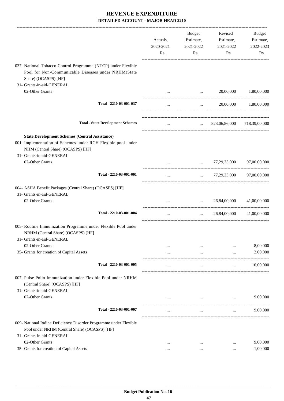|                                                                                                                                              | Actuals,<br>2020-2021<br>Rs. | Budget<br>Estimate,<br>2021-2022<br>Rs. | Revised<br>Estimate,<br>2021-2022<br>Rs.      | Budget<br>Estimate,<br>2022-2023<br>Rs. |
|----------------------------------------------------------------------------------------------------------------------------------------------|------------------------------|-----------------------------------------|-----------------------------------------------|-----------------------------------------|
| 037- National Tobacco Control Programme (NTCP) under Flexible<br>Pool for Non-Communicable Diseases under NRHM(State<br>Share) (OCASPS) [HF] |                              |                                         |                                               |                                         |
| 31- Grants-in-aid-GENERAL                                                                                                                    |                              |                                         |                                               |                                         |
| 02-Other Grants                                                                                                                              |                              | $\cdots$                                | 20,00,000                                     | 1,80,00,000                             |
| Total - 2210-03-001-037                                                                                                                      | $\cdots$                     |                                         | and the state                                 | 20,00,000 1,80,00,000                   |
| <b>Total - State Development Schemes</b>                                                                                                     |                              |                                         | $823,06,86,000$ $718,39,00,000$               |                                         |
| <b>State Development Schemes (Central Assistance)</b>                                                                                        |                              |                                         |                                               |                                         |
| 001- Implementation of Schemes under RCH Flexible pool under<br>NHM (Central Share) (OCASPS) [HF]<br>31- Grants-in-aid-GENERAL               |                              |                                         |                                               |                                         |
| 02-Other Grants                                                                                                                              | $\cdots$                     | $\cdots$ . The set of $\mathbb{R}^n$    |                                               | 77,29,33,000 97,00,00,000               |
| Total - 2210-03-001-001                                                                                                                      | $\cdots$                     |                                         | $\ldots$ 77,29,33,000 97,00,00,000            |                                         |
| 004- ASHA Benefit Packages (Central Share) (OCASPS) [HF]<br>31- Grants-in-aid-GENERAL                                                        |                              |                                         |                                               |                                         |
| 02-Other Grants                                                                                                                              |                              |                                         | $26,84,00,000$ $41,00,00,000$                 |                                         |
| Total - 2210-03-001-004                                                                                                                      | $\cdots$                     | $\cdots$                                | 26,84,00,000                                  | 41,00,00,000                            |
| 005- Routine Immunization Programme under Flexible Pool under<br>NRHM (Central Share) (OCASPS) [HF]<br>31- Grants-in-aid-GENERAL             |                              |                                         |                                               |                                         |
| 02-Other Grants                                                                                                                              |                              |                                         |                                               | 8,00,000                                |
| 35- Grants for creation of Capital Assets                                                                                                    | $\cdots$                     | $\cdots$                                | $\cdots$                                      | 2,00,000                                |
| Total - 2210-03-001-005                                                                                                                      |                              | $\cdots$                                | $\cdots$                                      | 10,00,000                               |
| 007- Pulse Polio Immunization under Flexible Pool under NRHM<br>(Central Share) (OCASPS) [HF]<br>31- Grants-in-aid-GENERAL                   |                              |                                         |                                               |                                         |
| 02-Other Grants                                                                                                                              | $\cdots$                     |                                         | $\cdots$<br>the company of the company of the | 9,00,000                                |
| Total - 2210-03-001-007                                                                                                                      |                              | $\cdots$                                | $\cdots$                                      | 9,00,000                                |
| 009- National Iodine Deficiency Disorder Programme under Flexible                                                                            |                              |                                         |                                               |                                         |
| Pool under NRHM (Central Share) (OCASPS) [HF]<br>31- Grants-in-aid-GENERAL                                                                   |                              |                                         |                                               |                                         |
| 02-Other Grants                                                                                                                              | $\cdots$                     | $\cdots$                                | $\cdots$                                      | 9,00,000                                |
| 35- Grants for creation of Capital Assets                                                                                                    | $\cdots$                     | $\cdots$                                | $\ddotsc$                                     | 1,00,000                                |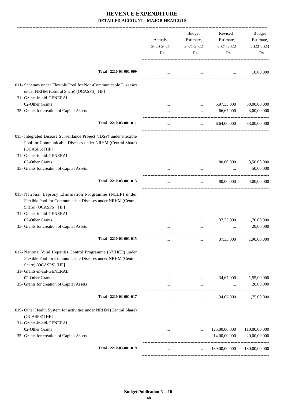|                                                                                                                                                      | Actuals,<br>2020-2021<br>Rs. | Budget<br>Estimate,<br>2021-2022<br>Rs.        | Revised<br>Estimate,<br>2021-2022<br>Rs.  | Budget<br>Estimate,<br>2022-2023<br>Rs. |
|------------------------------------------------------------------------------------------------------------------------------------------------------|------------------------------|------------------------------------------------|-------------------------------------------|-----------------------------------------|
| Total - 2210-03-001-009                                                                                                                              |                              | $\ldots$                                       | the company of the company of the company | 10,00,000                               |
| 011- Schemes under Flexible Pool for Non-Communicable Diseases<br>under NRHM (Central Share) (OCASPS) [HF]<br>31- Grants-in-aid-GENERAL              |                              |                                                |                                           |                                         |
|                                                                                                                                                      |                              |                                                |                                           |                                         |
| 02-Other Grants                                                                                                                                      |                              | .                                              | 5,97,33,000                               | 30,00,00,000                            |
| 35- Grants for creation of Capital Assets                                                                                                            |                              | $\cdots$                                       | 66,67,000                                 | 3,00,00,000                             |
| Total - 2210-03-001-011                                                                                                                              | $\cdots$                     | $\mathbf{r}$ and $\mathbf{r}$ and $\mathbf{r}$ | 6,64,00,000                               | 33,00,00,000                            |
| 013- Integrated Disease Surveillance Project (IDSP) under Flexible<br>Pool for Communicable Diseases under NRHM (Central Share)                      |                              |                                                |                                           |                                         |
| (OCASPS) [HF]<br>31- Grants-in-aid-GENERAL                                                                                                           |                              |                                                |                                           |                                         |
| 02-Other Grants                                                                                                                                      |                              |                                                | 80,00,000                                 | 3,50,00,000                             |
| 35- Grants for creation of Capital Assets                                                                                                            |                              | $\cdots$                                       | $\ldots$                                  | 50,00,000                               |
|                                                                                                                                                      |                              |                                                |                                           |                                         |
| Total - 2210-03-001-013                                                                                                                              |                              | $\cdots$                                       | 80,00,000                                 | 4,00,00,000                             |
| 015- National Leprosy Elimination Programme (NLEP) under<br>Flexible Pool for Communicable Diseases under NRHM (Central<br>Share) (OCASPS) [HF]      |                              |                                                |                                           |                                         |
| 31- Grants-in-aid-GENERAL                                                                                                                            |                              |                                                |                                           |                                         |
| 02-Other Grants                                                                                                                                      |                              | $\cdots$                                       | 37,33,000                                 | 1,70,00,000                             |
| 35- Grants for creation of Capital Assets                                                                                                            |                              |                                                |                                           | 20,00,000                               |
| Total - 2210-03-001-015                                                                                                                              |                              |                                                |                                           | 37,33,000 1,90,00,000                   |
| 017- National Viral Hepatitis Control Programme (NVHCP) under<br>Flexible Pool for Communicable Diseases under NRHM (Central<br>Share) (OCASPS) [HF] |                              |                                                |                                           |                                         |
| 31- Grants-in-aid-GENERAL                                                                                                                            |                              |                                                |                                           |                                         |
| 02-Other Grants                                                                                                                                      |                              |                                                | 34,67,000                                 | 1,55,00,000                             |
| 35- Grants for creation of Capital Assets                                                                                                            | .                            | $\ddots$                                       | $\ddotsc$                                 | 20,00,000                               |
| Total - 2210-03-001-017                                                                                                                              | $\cdots$                     | $\cdots$                                       | 34,67,000                                 | 1,75,00,000                             |
| 019- Other Health System for activities under NRHM (Central Share)<br>(OCASPS) [HF]                                                                  |                              |                                                |                                           |                                         |
| 31- Grants-in-aid-GENERAL                                                                                                                            |                              |                                                |                                           |                                         |
| 02-Other Grants                                                                                                                                      |                              | $\cdots$                                       | 125,00,00,000                             | 110,00,00,000                           |
| 35- Grants for creation of Capital Assets                                                                                                            | $\cdots$                     | $\cdots$                                       | 14,00,00,000                              | 20,00,00,000                            |
| Total - 2210-03-001-019                                                                                                                              | $\cdots$                     | $\cdots$                                       | 139,00,00,000                             | 130,00,00,000                           |
|                                                                                                                                                      |                              |                                                |                                           |                                         |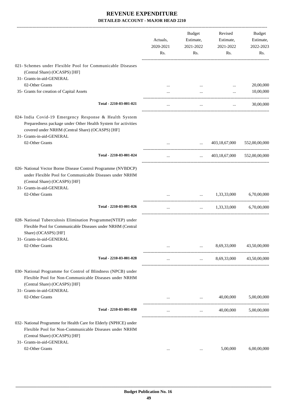|                                                                                                                                                                                                          | Actuals,<br>2020-2021<br>Rs. | Budget<br>Estimate,<br>2021-2022<br>Rs.                                                                                           | Revised<br>Estimate,<br>2021-2022<br>Rs.     | Budget<br>Estimate,<br>2022-2023<br>Rs. |
|----------------------------------------------------------------------------------------------------------------------------------------------------------------------------------------------------------|------------------------------|-----------------------------------------------------------------------------------------------------------------------------------|----------------------------------------------|-----------------------------------------|
| 021- Schemes under Flexible Pool for Communicable Diseases<br>(Central Share) (OCASPS) [HF]                                                                                                              |                              |                                                                                                                                   |                                              |                                         |
| 31- Grants-in-aid-GENERAL                                                                                                                                                                                |                              |                                                                                                                                   |                                              |                                         |
| 02-Other Grants                                                                                                                                                                                          |                              |                                                                                                                                   | $\cdots$                                     | 20,00,000                               |
| 35- Grants for creation of Capital Assets                                                                                                                                                                |                              | $\cdots$                                                                                                                          |                                              | 10,00,000                               |
| Total - 2210-03-001-021                                                                                                                                                                                  | $\cdots$                     | $\cdots$                                                                                                                          | $\cdots$                                     | 30,00,000                               |
| 024- India Covid-19 Emergency Response & Health System<br>Preparedness package under Other Health System for activities<br>covered under NRHM (Central Share) (OCASPS) [HF]<br>31- Grants-in-aid-GENERAL |                              |                                                                                                                                   |                                              |                                         |
| 02-Other Grants                                                                                                                                                                                          |                              | $\mathbf{1}_{\mathbf{1}_{\mathbf{2}}\mathbf{1}_{\mathbf{3}}\mathbf{2}_{\mathbf{4}}\mathbf{3}_{\mathbf{5}}\mathbf{4}_{\mathbf{6}}$ | 403,18,67,000                                | 552,00,00,000                           |
| Total - 2210-03-001-024                                                                                                                                                                                  | $\cdots$                     | $\cdots$                                                                                                                          | 403,18,67,000                                | 552,00,00,000                           |
| 026- National Vector Borne Disease Control Programme (NVBDCP)<br>under Flexible Pool for Communicable Diseases under NRHM<br>(Central Share) (OCASPS) [HF]<br>31- Grants-in-aid-GENERAL                  |                              |                                                                                                                                   |                                              |                                         |
| 02-Other Grants                                                                                                                                                                                          |                              | $\cdots$                                                                                                                          | 1,33,33,000                                  | 6,70,00,000                             |
| Total - 2210-03-001-026                                                                                                                                                                                  | $\ldots$                     | $\cdots$ . The set of $\mathbb{R}^n$                                                                                              | 1,33,33,000                                  | 6,70,00,000                             |
| 028- National Tuberculosis Elimination Programme(NTEP) under<br>Flexible Pool for Communicable Diseases under NRHM (Central<br>Share) (OCASPS) [HF]<br>31- Grants-in-aid-GENERAL                         |                              |                                                                                                                                   |                                              |                                         |
| 02-Other Grants                                                                                                                                                                                          |                              | $\cdots$                                                                                                                          | 8,69,33,000                                  | 43,50,00,000                            |
| Total - 2210-03-001-028                                                                                                                                                                                  | $\cdots$                     |                                                                                                                                   | $8,69,33,000$ $43,50,00,000$                 |                                         |
| 030- National Programme for Control of Blindness (NPCB) under<br>Flexible Pool for Non-Communicable Diseases under NRHM<br>(Central Share) (OCASPS) [HF]<br>31- Grants-in-aid-GENERAL                    |                              |                                                                                                                                   |                                              |                                         |
| 02-Other Grants                                                                                                                                                                                          | $\cdots$                     |                                                                                                                                   | 40,00,000<br><b>Second Contract Contract</b> | 5,00,00,000                             |
| Total - 2210-03-001-030                                                                                                                                                                                  | $\cdots$                     | $\cdots$                                                                                                                          | 40,00,000                                    | 5,00,00,000                             |
|                                                                                                                                                                                                          |                              |                                                                                                                                   |                                              |                                         |
| 032- National Programme for Health Care for Elderly (NPHCE) under<br>Flexible Pool for Non-Communicable Diseases under NRHM<br>(Central Share) (OCASPS) [HF]                                             |                              |                                                                                                                                   |                                              |                                         |
| 31- Grants-in-aid-GENERAL<br>02-Other Grants                                                                                                                                                             |                              |                                                                                                                                   | 5,00,000                                     | 6,00,00,000                             |
|                                                                                                                                                                                                          | $\cdots$                     | $\cdots$                                                                                                                          |                                              |                                         |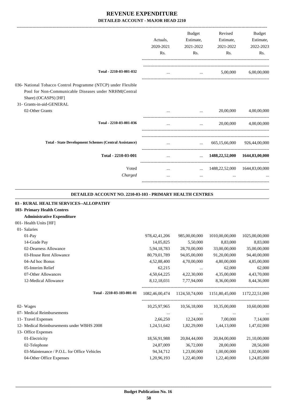-------------------------------------------------------------------------------------------------------------------------------------------------------------------------------

|                                                                                                                                                                             | Actuals.<br>2020-2021<br>Rs. | <b>Budget</b><br>Estimate,<br>2021-2022<br>Rs. | Revised<br>Estimate,<br>2021-2022<br>Rs. | <b>Budget</b><br>Estimate,<br>2022-2023<br>Rs. |
|-----------------------------------------------------------------------------------------------------------------------------------------------------------------------------|------------------------------|------------------------------------------------|------------------------------------------|------------------------------------------------|
| Total - 2210-03-001-032                                                                                                                                                     |                              | $\cdots$                                       | 5,00,000                                 | 6,00,00,000                                    |
| 036- National Tobacco Control Programme (NTCP) under Flexible<br>Pool for Non-Communicable Diseases under NRHM(Central<br>Share) (OCASPS) [HF]<br>31- Grants-in-aid-GENERAL |                              |                                                |                                          |                                                |
| 02-Other Grants                                                                                                                                                             |                              | $\cdots$                                       | 20,00,000                                | 4,00,00,000                                    |
| Total - 2210-03-001-036                                                                                                                                                     | $\cdots$                     | $\cdots$                                       | 20,00,000                                | 4,00,00,000                                    |
| <b>Total - State Development Schemes (Central Assistance)</b>                                                                                                               |                              | $\cdots$                                       | 665,15,66,000                            | 926,44,00,000                                  |
| Total - 2210-03-001                                                                                                                                                         | $\cdots$                     | $\cdots$                                       |                                          | 1488,22,52,000 1644,83,00,000                  |
| Voted<br>Charged                                                                                                                                                            | $\cdots$<br>$\cdots$         | $\cdots$<br>$\cdots$                           | $\cdots$                                 | 1488, 22, 52, 000 1644, 83, 00, 000            |
|                                                                                                                                                                             |                              |                                                |                                          |                                                |

#### **DETAILED ACCOUNT NO. 2210-03-103 - PRIMARY HEALTH CENTRES**

.

| 03 - RURAL HEALTH SERVICES--ALLOPATHY       |                  |               |                                                             |                |
|---------------------------------------------|------------------|---------------|-------------------------------------------------------------|----------------|
| 103- Primary Health Centres                 |                  |               |                                                             |                |
| <b>Administrative Expenditure</b>           |                  |               |                                                             |                |
| 001- Health Units [HF]                      |                  |               |                                                             |                |
| 01- Salaries                                |                  |               |                                                             |                |
| $01-Pav$                                    | 978, 42, 41, 206 | 985,00,00,000 | 1010,00,00,000                                              | 1025,00,00,000 |
| 14-Grade Pay                                | 14,05,825        | 5,50,000      | 8,83,000                                                    | 8,83,000       |
| 02-Dearness Allowance                       | 5,94,18,783      | 28,70,00,000  | 33,00,00,000                                                | 35,00,00,000   |
| 03-House Rent Allowance                     | 80,79,01,789     | 94,05,00,000  | 91,20,00,000                                                | 94,40,00,000   |
| 04-Ad hoc Bonus                             | 4,52,88,400      | 4,70,00,000   | 4,80,00,000                                                 | 4,85,00,000    |
| 05-Interim Relief                           | 62,215           | $\cdots$      | 62,000                                                      | 62,000         |
| 07-Other Allowances                         | 4,50,64,225      | 4,22,30,000   | 4,35,00,000                                                 | 4,43,70,000    |
| 12-Medical Allowance                        | 8, 12, 18, 031   | 7,77,94,000   | 8,36,00,000                                                 | 8,44,36,000    |
| Total - 2210-03-103-001-01                  |                  |               | 1082,46,00,474 1124,50,74,000 1151,80,45,000 1172,22,51,000 |                |
| 02- Wages                                   | 10,25,97,965     | 10,56,18,000  | 10,35,00,000                                                | 10,60,00,000   |
| 07- Medical Reimbursements                  | $\cdots$         |               |                                                             |                |
| 11- Travel Expenses                         | 2,66,250         | 12,24,000     | 7,00,000                                                    | 7,14,000       |
| 12- Medical Reimbursements under WBHS 2008  | 1,24,51,642      | 1,82,29,000   | 1,44,13,000                                                 | 1,47,02,000    |
| 13- Office Expenses                         |                  |               |                                                             |                |
| 01-Electricity                              | 18,56,91,988     | 20,84,44,000  | 20,84,00,000                                                | 21,10,00,000   |
| 02-Telephone                                | 24,87,009        | 36,72,000     | 28,00,000                                                   | 28,56,000      |
| 03-Maintenance / P.O.L. for Office Vehicles | 94, 34, 712      | 1,23,00,000   | 1,00,00,000                                                 | 1,02,00,000    |
| 04-Other Office Expenses                    | 1,20,96,193      | 1,22,40,000   | 1,22,40,000                                                 | 1,24,85,000    |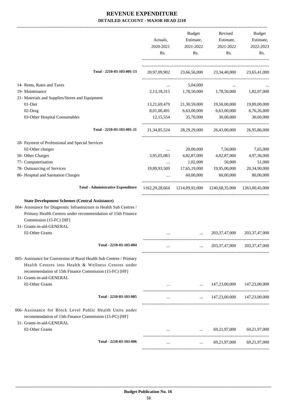|                                                                                                                     | Actuals,<br>2020-2021<br>Rs. | Budget<br>Estimate,<br>2021-2022<br>Rs.                                 | Revised<br>Estimate,<br>2021-2022<br>Rs. | Budget<br>Estimate,<br>2022-2023<br>Rs. |
|---------------------------------------------------------------------------------------------------------------------|------------------------------|-------------------------------------------------------------------------|------------------------------------------|-----------------------------------------|
| Total - 2210-03-103-001-13                                                                                          |                              | 20,97,09,902 23,66,56,000 23,34,40,000 23,65,41,000                     |                                          |                                         |
| 14- Rents, Rates and Taxes                                                                                          | $\cdots$                     | 5,04,000                                                                |                                          |                                         |
| 19- Maintenance                                                                                                     |                              | 2,13,18,315 1,78,50,000                                                 | 1,78,50,000                              | 1,82,07,000                             |
| 21- Materials and Supplies/Stores and Equipment                                                                     |                              |                                                                         |                                          |                                         |
| 01-Diet                                                                                                             | 13,21,69,479                 | 21,30,59,000                                                            | 19,50,00,000                             | 19,89,00,000                            |
| 02-Drug                                                                                                             | 8,01,00,491                  | 6,63,00,000                                                             | 6,63,00,000                              | 6,76,26,000                             |
| 03-Other Hospital Consumables                                                                                       | 12, 15, 554                  | 35,70,000                                                               | 30,00,000                                | 30,60,000                               |
| Total - 2210-03-103-001-21                                                                                          |                              | 21,34,85,524 28,29,29,000 26,43,00,000                                  |                                          | 26,95,86,000                            |
| 28- Payment of Professional and Special Services                                                                    |                              |                                                                         |                                          |                                         |
| 02-Other charges                                                                                                    |                              | 20,00,000                                                               | 7,50,000                                 | 7,65,000                                |
| 50- Other Charges                                                                                                   | 3,95,05,083                  | 4,82,87,000                                                             | 4,82,87,000                              | 4,97,36,000                             |
| 77- Computerisation                                                                                                 |                              | 1,02,000                                                                | 50,000                                   | 51,000                                  |
| 78- Outsourcing of Services                                                                                         | 19,89,93,509                 | 17,65,19,000                                                            | 19,95,00,000                             | 20,34,90,000                            |
| 86- Hospital and Sanitation Charges                                                                                 |                              | 60,00,000                                                               | 60,00,000                                | 80,00,000                               |
| <b>Total - Administrative Expenditure</b>                                                                           |                              | 1162, 29, 28, 664 1214, 09, 92, 000 1240, 68, 35, 000 1263, 00, 43, 000 |                                          |                                         |
| <b>State Development Schemes (Central Assistance)</b>                                                               |                              |                                                                         |                                          |                                         |
| 004- Assistance for Diagnostic Infrastructure to Health Sub Centres /                                               |                              |                                                                         |                                          |                                         |
| Primary Health Centres under recommendation of 15th Finance                                                         |                              |                                                                         |                                          |                                         |
| Commission (15-FC) [HF]                                                                                             |                              |                                                                         |                                          |                                         |
| 31- Grants-in-aid-GENERAL                                                                                           |                              |                                                                         |                                          |                                         |
| 02-Other Grants                                                                                                     |                              |                                                                         | 203, 37, 47, 000                         | 203, 37, 47, 000                        |
| Total - 2210-03-103-004                                                                                             | $\cdots$                     | $\cdots$                                                                | 203, 37, 47, 000                         | 203, 37, 47, 000                        |
|                                                                                                                     |                              |                                                                         |                                          |                                         |
| 005- Assistance for Conversion of Rural Health Sub Centres / Primary                                                |                              |                                                                         |                                          |                                         |
| Health Centres into Health & Wellness Centres under                                                                 |                              |                                                                         |                                          |                                         |
| recommendation of 15th Finance Commission (15-FC) [HF]                                                              |                              |                                                                         |                                          |                                         |
| 31- Grants-in-aid-GENERAL                                                                                           |                              |                                                                         |                                          |                                         |
| 02-Other Grants                                                                                                     |                              |                                                                         | 147,23,00,000 147,23,00,000              |                                         |
| Total - 2210-03-103-005                                                                                             | $\cdots$                     | $\cdots$                                                                |                                          | 147,23,00,000 147,23,00,000             |
| 006- Assistance for Block Level Public Health Units under<br>recommendation of 15th Finance Commission (15-FC) [HF] |                              |                                                                         |                                          |                                         |
| 31- Grants-in-aid-GENERAL<br>02-Other Grants                                                                        |                              |                                                                         | 69,21,97,000 69,21,97,000                |                                         |
| Total - 2210-03-103-006                                                                                             | $\cdots$                     | $\cdots$                                                                | 69,21,97,000                             | 69,21,97,000                            |
|                                                                                                                     |                              |                                                                         |                                          |                                         |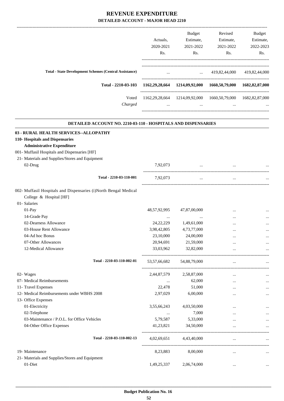|              | Budget       | Revised                                                       | Budget                                                                                                                                                                                                                                                                                                                                                                                                                                                                              |
|--------------|--------------|---------------------------------------------------------------|-------------------------------------------------------------------------------------------------------------------------------------------------------------------------------------------------------------------------------------------------------------------------------------------------------------------------------------------------------------------------------------------------------------------------------------------------------------------------------------|
| Actuals,     | Estimate,    | Estimate,                                                     | Estimate,                                                                                                                                                                                                                                                                                                                                                                                                                                                                           |
| 2020-2021    | 2021-2022    | 2021-2022                                                     | 2022-2023                                                                                                                                                                                                                                                                                                                                                                                                                                                                           |
| Rs.          | Rs.          | Rs.                                                           | Rs.                                                                                                                                                                                                                                                                                                                                                                                                                                                                                 |
|              |              |                                                               |                                                                                                                                                                                                                                                                                                                                                                                                                                                                                     |
|              |              |                                                               |                                                                                                                                                                                                                                                                                                                                                                                                                                                                                     |
|              |              |                                                               |                                                                                                                                                                                                                                                                                                                                                                                                                                                                                     |
|              |              |                                                               |                                                                                                                                                                                                                                                                                                                                                                                                                                                                                     |
|              |              |                                                               |                                                                                                                                                                                                                                                                                                                                                                                                                                                                                     |
|              |              |                                                               |                                                                                                                                                                                                                                                                                                                                                                                                                                                                                     |
|              |              |                                                               |                                                                                                                                                                                                                                                                                                                                                                                                                                                                                     |
|              |              |                                                               |                                                                                                                                                                                                                                                                                                                                                                                                                                                                                     |
|              |              |                                                               |                                                                                                                                                                                                                                                                                                                                                                                                                                                                                     |
|              |              |                                                               |                                                                                                                                                                                                                                                                                                                                                                                                                                                                                     |
| 7,92,073     | $\cdots$     | $\cdots$                                                      |                                                                                                                                                                                                                                                                                                                                                                                                                                                                                     |
| 7.92.073     | $\cdots$     | $\cdots$                                                      |                                                                                                                                                                                                                                                                                                                                                                                                                                                                                     |
|              |              |                                                               |                                                                                                                                                                                                                                                                                                                                                                                                                                                                                     |
|              |              |                                                               |                                                                                                                                                                                                                                                                                                                                                                                                                                                                                     |
|              |              |                                                               |                                                                                                                                                                                                                                                                                                                                                                                                                                                                                     |
| 48,57,92,995 | 47,87,00,000 | $\cdots$                                                      |                                                                                                                                                                                                                                                                                                                                                                                                                                                                                     |
| $\cdots$     |              | $\cdots$                                                      |                                                                                                                                                                                                                                                                                                                                                                                                                                                                                     |
| 24, 22, 229  | 1,49,61,000  | $\ddotsc$                                                     |                                                                                                                                                                                                                                                                                                                                                                                                                                                                                     |
|              |              | $\mathbf{r}$ and $\mathbf{r}$ are all the set of $\mathbf{r}$ | $\ldots$ 419,82,44,000 419,82,44,000<br>1162,29,28,664 1214,09,92,000 1660,50,79,000 1682,82,87,000<br>1162,29,28,664 1214,09,92,000 1660,50,79,000 1682,82,87,000<br>$\mathbf{r}$ , and the set of the set of the set of the set of the set of the set of the set of the set of the set of the set of the set of the set of the set of the set of the set of the set of the set of the set of the set<br>$\cdots$<br>DETAILED ACCOUNT NO. 2210-03-110 - HOSPITALS AND DISPENSARIES |

| 03-House Rent Allowance                         | 3,98,42,805     | 4,73,77,000  | $\ddotsc$ |           |
|-------------------------------------------------|-----------------|--------------|-----------|-----------|
| 04-Ad hoc Bonus                                 | 23,10,000       | 24,00,000    |           |           |
| 07-Other Allowances                             | 20,94,691       | 21,59,000    | $\cdots$  |           |
| 12-Medical Allowance                            | 33,03,962       | 32,82,000    | $\cdots$  |           |
| Total - 2210-03-110-002-01                      | 53, 57, 66, 682 | 54,88,79,000 |           |           |
| 02- Wages                                       | 2,44,87,579     | 2,58,87,000  | $\cdots$  |           |
| 07- Medical Reimbursements                      |                 | 62,000       | $\cdots$  |           |
| 11- Travel Expenses                             | 22,478          | 51,000       | $\cdots$  |           |
| 12- Medical Reimbursements under WBHS 2008      | 2,97,029        | 6,00,000     | $\cdots$  |           |
| 13- Office Expenses                             |                 |              |           |           |
| 01-Electricity                                  | 3,55,66,243     | 4,03,50,000  | $\cdots$  |           |
| 02-Telephone                                    |                 | 7,000        |           |           |
| 03-Maintenance / P.O.L. for Office Vehicles     | 5,79,587        | 5,33,000     |           |           |
| 04-Other Office Expenses                        | 41,23,821       | 34,50,000    | $\cdots$  |           |
| Total - 2210-03-110-002-13                      | 4,02,69,651     | 4,43,40,000  | $\cdots$  |           |
| 19- Maintenance                                 | 8,23,883        | 8,00,000     | $\cdots$  |           |
| 21- Materials and Supplies/Stores and Equipment |                 |              |           |           |
| 01-Diet                                         | 1,49,25,337     | 2,06,74,000  | $\cdots$  | $\ddotsc$ |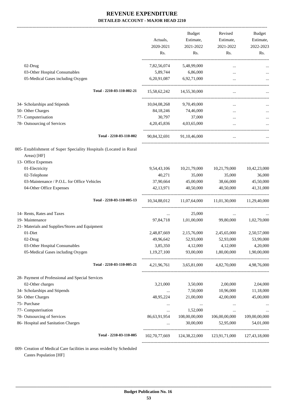-------------------------------------------------------------------------------------------------------------------------------------------------------------------------------

|                                                                                                          | Actuals,<br>2020-2021<br>Rs. | <b>Budget</b><br>Estimate,<br>2021-2022<br>Rs. | Revised<br>Estimate,<br>2021-2022<br>Rs.                | <b>Budget</b><br>Estimate,<br>2022-2023<br>Rs. |
|----------------------------------------------------------------------------------------------------------|------------------------------|------------------------------------------------|---------------------------------------------------------|------------------------------------------------|
|                                                                                                          |                              |                                                |                                                         |                                                |
| 02-Drug                                                                                                  | 7,82,56,074                  | 5,48,99,000                                    |                                                         |                                                |
| 03-Other Hospital Consumables                                                                            | 5,89,744                     | 6,86,000                                       | $\cdots$                                                |                                                |
| 05-Medical Gases including Oxygen                                                                        | 6,20,91,087                  | 6,92,71,000                                    | $\cdots$                                                |                                                |
| Total - 2210-03-110-002-21                                                                               | 15,58,62,242                 | 14,55,30,000                                   | $\cdots$                                                |                                                |
| 34- Scholarships and Stipends                                                                            | 10,04,08,268                 | 9,70,49,000                                    | $\cdots$                                                |                                                |
| 50- Other Charges                                                                                        | 84,18,246                    | 74,46,000                                      | $\cdots$                                                |                                                |
| 77- Computerisation                                                                                      | 30,797                       | 37,000                                         |                                                         |                                                |
| 78- Outsourcing of Services                                                                              | 4, 20, 45, 836               | 4,03,65,000                                    |                                                         |                                                |
| Total - 2210-03-110-002                                                                                  |                              | 90,84,32,691 91,10,46,000                      | $\cdots$                                                |                                                |
| 005- Establishment of Super Speciality Hospitals (Located in Rural<br>Areas) [HF]<br>13- Office Expenses |                              |                                                |                                                         |                                                |
| 01-Electricity                                                                                           | 9,54,43,106                  | 10,21,79,000                                   | 10,21,79,000                                            | 10,42,23,000                                   |
| 02-Telephone                                                                                             | 40,271                       | 35,000                                         | 35,000                                                  | 36,000                                         |
| 03-Maintenance / P.O.L. for Office Vehicles                                                              | 37,90,664                    | 45,00,000                                      | 38,66,000                                               | 45,50,000                                      |
| 04-Other Office Expenses                                                                                 | 42,13,971                    | 40,50,000                                      | 40,50,000                                               | 41,31,000                                      |
| Total - 2210-03-110-005-13                                                                               | 10,34,88,012                 | 11,07,64,000                                   | 11,01,30,000                                            | 11,29,40,000                                   |
| 14- Rents, Rates and Taxes                                                                               | $\cdots$                     | 25,000                                         | $\cdots$                                                |                                                |
| 19- Maintenance                                                                                          | 97,84,718                    | 1,01,00,000                                    | 99,80,000                                               | 1,02,79,000                                    |
| 21- Materials and Supplies/Stores and Equipment                                                          |                              |                                                |                                                         |                                                |
| 01-Diet                                                                                                  | 2,48,87,669                  | 2,15,76,000                                    | 2,45,65,000                                             | 2,50,57,000                                    |
| 02-Drug                                                                                                  | 49,96,642                    | 52,93,000                                      | 52,93,000                                               | 53,99,000                                      |
| 03-Other Hospital Consumables                                                                            | 3,85,350                     | 4,12,000                                       | 4,12,000                                                | 4,20,000                                       |
| 05-Medical Gases including Oxygen                                                                        | 1,19,27,100                  | 93,00,000                                      | 1,80,00,000                                             | 1,90,00,000                                    |
| Total - 2210-03-110-005-21                                                                               | 4,21,96,761                  | 3,65,81,000                                    | 4,82,70,000                                             | 4,98,76,000                                    |
| 28- Payment of Professional and Special Services                                                         |                              |                                                |                                                         |                                                |
| 02-Other charges                                                                                         | 3,21,000                     | 3,50,000                                       | 2,00,000                                                | 2,04,000                                       |
| 34- Scholarships and Stipends                                                                            | $\cdots$                     | 7,50,000                                       | 10,96,000                                               | 11,18,000                                      |
| 50- Other Charges                                                                                        | 48,95,224                    | 21,00,000                                      | 42,00,000                                               | 45,00,000                                      |
| 75- Purchase                                                                                             | $\cdots$                     | $\cdots$                                       |                                                         |                                                |
| 77- Computerisation                                                                                      | $\cdots$                     | 1,52,000                                       | $\cdots$                                                |                                                |
| 78- Outsourcing of Services                                                                              | 86,63,91,954                 | 108,00,00,000                                  | 106,00,00,000                                           | 109,00,00,000                                  |
| 86- Hospital and Sanitation Charges                                                                      | $\cdots$                     | 30,00,000                                      | 52,95,000                                               | 54,01,000                                      |
| Total - 2210-03-110-005                                                                                  |                              |                                                | 102,70,77,669 124,38,22,000 123,91,71,000 127,43,18,000 |                                                |
|                                                                                                          |                              |                                                |                                                         |                                                |

009- Creation of Medical Care facilities in areas resided by Scheduled Castes Population [HF]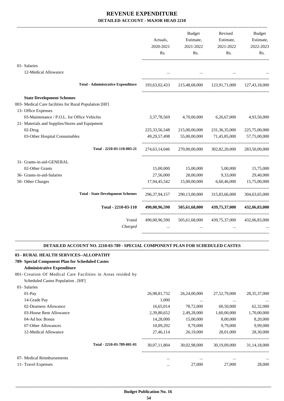| 01- Salaries                                                                                            |                                   |
|---------------------------------------------------------------------------------------------------------|-----------------------------------|
| 12-Medical Allowance<br>$\mathbf{r}$ and $\mathbf{r}$ are all the set of $\mathbf{r}$                   |                                   |
| <b>Total - Administrative Expenditure</b><br>215,48,68,000 123,91,71,000 127,43,18,000<br>193,63,02,433 |                                   |
| <b>State Development Schemes</b>                                                                        |                                   |
| 003- Medical Care facilities for Rural Population [HF]                                                  |                                   |
| 13- Office Expenses                                                                                     |                                   |
| 03-Maintenance / P.O.L. for Office Vehicles<br>3, 37, 78, 569<br>4,70,00,000                            | 4,93,50,000<br>6,26,67,000        |
| 21- Materials and Supplies/Stores and Equipment                                                         |                                   |
| 02-Drug<br>225, 33, 56, 548<br>215,00,00,000                                                            | 231, 36, 35, 000<br>225,75,00,000 |
| 03-Other Hospital Consumables<br>49, 29, 57, 498<br>55,00,00,000<br>71,45,85,000                        | 57,75,00,000                      |
| Total - 2210-03-110-003-21<br>270,00,00,000<br>274,63,14,046                                            | 302,82,20,000<br>283,50,00,000    |
| 31- Grants-in-aid-GENERAL                                                                               |                                   |
| 02-Other Grants<br>15,00,000<br>15,00,000                                                               | 5,00,000<br>15,75,000             |
| 36- Grants-in-aid-Salaries<br>27,56,000<br>28,00,000                                                    | 9,33,000<br>29,40,000             |
| 50- Other Charges<br>15,00,00,000<br>17,94,45,542                                                       | 6,60,46,000<br>15,75,00,000       |
| <b>Total - State Development Schemes</b><br>296, 37, 94, 157<br>290,13,00,000                           | 315,83,66,000<br>304,63,65,000    |
| Total - 2210-03-110<br>490,00,96,590<br>505,61,68,000                                                   | 439,75,37,000<br>432,06,83,000    |
| Voted<br>490,00,96,590<br>505,61,68,000 439,75,37,000 432,06,83,000                                     |                                   |
| Charged<br>$\cdots$<br>$\ddotsc$                                                                        | $\overline{\phantom{a}}$          |

#### **DETAILED ACCOUNT NO. 2210-03-789 - SPECIAL COMPONENT PLAN FOR SCHEDULED CASTES .**

.

#### **03 - RURAL HEALTH SERVICES--ALLOPATHY**

#### **789- Special Component Plan for Scheduled Castes**

#### **Administrative Expenditure**

01- Salaries

001- Creation Of Medical Care Facilities in Areas resided by

Scheduled Castes Population . [HF]

| $01-Pav$                   |                            | 26,98,81,732 | 26,24,00,000 | 27,52,79,000 | 28, 35, 37, 000 |
|----------------------------|----------------------------|--------------|--------------|--------------|-----------------|
| 14-Grade Pay               |                            | 1,000        |              |              |                 |
| 02-Dearness Allowance      |                            | 16,65,014    | 78,72,000    | 60,50,000    | 62,32,000       |
| 03-House Rent Allowance    |                            | 2,39,80,652  | 2,49,28,000  | 1,60,00,000  | 1,70,00,000     |
| 04-Ad hoc Bonus            |                            | 14.28.000    | 15,00,000    | 8,00,000     | 8,20,000        |
| 07-Other Allowances        |                            | 10.09.292    | 9,79,000     | 9.79.000     | 9,99,000        |
| 12-Medical Allowance       |                            | 27,46,114    | 26,19,000    | 28,01,000    | 28,30,000       |
|                            | Total - 2210-03-789-001-01 | 30,07,11,804 | 30,02,98,000 | 30.19.09.000 | 31.14.18.000    |
| 07- Medical Reimbursements |                            | $\cdots$     |              |              | $\cdots$        |
| 11- Travel Expenses        |                            |              | 27,000       | 27,000       | 28,000          |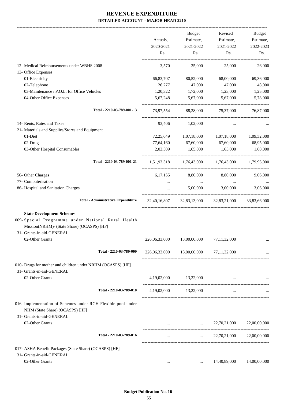|                                                                                                                                                                  |               | Budget                                  |                                                     | Revised Budget |
|------------------------------------------------------------------------------------------------------------------------------------------------------------------|---------------|-----------------------------------------|-----------------------------------------------------|----------------|
|                                                                                                                                                                  | Actuals,      | Estimate,                               | Estimate,                                           | Estimate,      |
|                                                                                                                                                                  | 2020-2021     | 2021-2022                               | 2021-2022                                           | 2022-2023      |
|                                                                                                                                                                  | Rs.           | $\mathbf{Rs.}$                          | Rs.                                                 | Rs.            |
| 12- Medical Reimbursements under WBHS 2008                                                                                                                       | 3,570         | 25,000                                  | 25,000                                              | 26,000         |
| 13- Office Expenses                                                                                                                                              |               |                                         |                                                     |                |
| 01-Electricity                                                                                                                                                   | 66,83,707     | 80,52,000                               | 68,00,000                                           | 69,36,000      |
| 02-Telephone                                                                                                                                                     | 26,277        | 47,000                                  | 47,000                                              | 48,000         |
| 03-Maintenance / P.O.L. for Office Vehicles                                                                                                                      | 1,20,322      | 1,72,000                                | 1,23,000                                            | 1,25,000       |
| 04-Other Office Expenses                                                                                                                                         |               | 5,67,248 5,67,000                       | 5,67,000                                            | 5,78,000       |
| Total - 2210-03-789-001-13                                                                                                                                       |               |                                         | 73,97,554 88,38,000 75,37,000 76,87,000             |                |
| 14- Rents, Rates and Taxes                                                                                                                                       |               | 93,406 1,02,000                         | $\cdots$                                            |                |
| 21- Materials and Supplies/Stores and Equipment                                                                                                                  |               |                                         |                                                     |                |
| 01-Diet                                                                                                                                                          |               |                                         | 72,25,649   1,07,18,000   1,07,18,000   1,09,32,000 |                |
| 02-Drug                                                                                                                                                          |               | 77,64,160 67,60,000 67,60,000           |                                                     | 68,95,000      |
| 03-Other Hospital Consumables                                                                                                                                    |               |                                         | 2,03,509 1,65,000 1,65,000 1,68,000                 |                |
| Total - 2210-03-789-001-21                                                                                                                                       |               |                                         | 1,51,93,318 1,76,43,000 1,76,43,000 1,79,95,000     |                |
| 50- Other Charges                                                                                                                                                |               |                                         | 6,17,155 8,80,000 8,80,000                          | 9,06,000       |
| 77- Computerisation                                                                                                                                              | $\cdots$      | <b>Contract Contract</b>                | $\sim$ $\sim$ $\sim$                                |                |
| 86- Hospital and Sanitation Charges                                                                                                                              | $\cdots$      | 5,00,000                                | 3,00,000                                            | 3,06,000       |
| <b>Total - Administrative Expenditure</b>                                                                                                                        |               |                                         | 32,40,16,807 32,83,13,000 32,83,21,000 33,83,66,000 |                |
| <b>State Development Schemes</b><br>009-Special Programme under National Rural Health<br>Mission(NRHM)- (State Share) (OCASPS) [HF]<br>31- Grants-in-aid-GENERAL |               |                                         |                                                     |                |
| 02-Other Grants                                                                                                                                                  | 226,06,33,000 | 13,00,00,000 77,11,32,000               |                                                     |                |
| Total - 2210-03-789-009                                                                                                                                          |               | 226,06,33,000 13,00,00,000 77,11,32,000 |                                                     |                |
| 010- Drugs for mother and children under NRHM (OCASPS) [HF]<br>31- Grants-in-aid-GENERAL                                                                         |               |                                         |                                                     |                |
| 02-Other Grants                                                                                                                                                  |               | 4,19,02,000 13,22,000                   |                                                     |                |
| Total - 2210-03-789-010                                                                                                                                          |               | 4,19,02,000 13,22,000                   | $\cdots$                                            |                |
| 016- Implementation of Schemes under RCH Flexible pool under<br>NHM (State Share) (OCASPS) [HF]                                                                  |               |                                         |                                                     |                |
| 31- Grants-in-aid-GENERAL<br>02-Other Grants                                                                                                                     |               |                                         | $\ldots$ 22,70,21,000                               | 22,00,00,000   |
| Total - 2210-03-789-016                                                                                                                                          | $\cdots$      | $\cdots$                                | 22,70,21,000                                        | 22,00,00,000   |
| 017- ASHA Benefit Packages (State Share) (OCASPS) [HF]<br>31- Grants-in-aid-GENERAL                                                                              |               |                                         |                                                     |                |
| 02-Other Grants                                                                                                                                                  | $\cdots$      |                                         | 14,40,89,000                                        | 14,00,00,000   |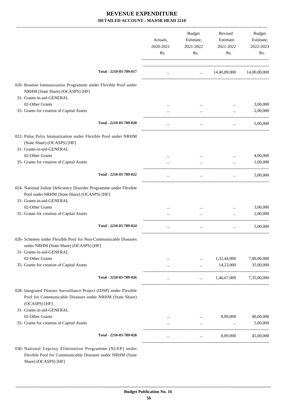|                                                                                                                                                                  | Actuals,<br>2020-2021<br>Rs. | Budget<br>Estimate,<br>2021-2022<br>Rs. | Revised<br>Estimate,<br>2021-2022<br>Rs. | Budget<br>Estimate,<br>2022-2023<br>Rs. |
|------------------------------------------------------------------------------------------------------------------------------------------------------------------|------------------------------|-----------------------------------------|------------------------------------------|-----------------------------------------|
| Total - 2210-03-789-017                                                                                                                                          | $\cdots$                     |                                         | $\ldots$ 14,40,89,000                    | 14,00,00,000                            |
| 020- Routine Immunization Programme under Flexible Pool under                                                                                                    |                              |                                         |                                          |                                         |
| NRHM (State Share) (OCASPS) [HF]                                                                                                                                 |                              |                                         |                                          |                                         |
| 31- Grants-in-aid-GENERAL<br>02-Other Grants                                                                                                                     |                              |                                         |                                          |                                         |
| 35- Grants for creation of Capital Assets                                                                                                                        |                              |                                         | $\cdots$                                 | 3,00,000<br>2,00,000                    |
|                                                                                                                                                                  |                              | $\cdots$                                | $\cdots$                                 |                                         |
| Total - 2210-03-789-020                                                                                                                                          | $\cdots$                     | $\cdots$                                | $\cdots$                                 | 5,00,000                                |
| 022- Pulse Polio Immunization under Flexible Pool under NRHM<br>(State Share) (OCASPS) [HF]                                                                      |                              |                                         |                                          |                                         |
| 31- Grants-in-aid-GENERAL                                                                                                                                        |                              |                                         |                                          |                                         |
| 02-Other Grants                                                                                                                                                  |                              | $\cdots$                                | $\cdots$                                 | 4,00,000                                |
| 35- Grants for creation of Capital Assets                                                                                                                        |                              | $\cdots$                                | $\cdots$                                 | 1,00,000                                |
| Total - 2210-03-789-022                                                                                                                                          |                              | $\cdots$                                | $\cdots$                                 | 5,00,000                                |
| 024- National Iodine Deficiency Disorder Programme under Flexible<br>Pool under NRHM (State Share) (OCASPS) [HF]<br>31- Grants-in-aid-GENERAL<br>02-Other Grants |                              | $\cdots$                                | $\cdots$                                 | 3,00,000                                |
| 35- Grants for creation of Capital Assets                                                                                                                        |                              | $\cdots$                                | $\cdots$                                 | 2,00,000                                |
| Total - 2210-03-789-024                                                                                                                                          |                              |                                         |                                          | 5,00,000                                |
| 026- Schemes under Flexible Pool for Non-Communicable Diseases<br>under NRHM (State Share) (OCASPS) [HF]<br>31- Grants-in-aid-GENERAL                            |                              |                                         |                                          |                                         |
| 02-Other Grants                                                                                                                                                  |                              | $\cdots$                                | 1,32,44,000                              | 7,00,00,000                             |
| 35- Grants for creation of Capital Assets                                                                                                                        |                              | $\cdots$                                | 14,23,000                                | 35,00,000                               |
| Total - 2210-03-789-026                                                                                                                                          |                              | $\cdots$                                | 1,46,67,000                              | 7,35,00,000                             |
| 028- Integrated Disease Surveillance Project (IDSP) under Flexible<br>Pool for Communicable Diseases under NRHM (State Share)<br>(OCASPS) [HF]                   |                              |                                         |                                          |                                         |
| 31- Grants-in-aid-GENERAL                                                                                                                                        |                              |                                         |                                          |                                         |
| 02-Other Grants<br>35- Grants for creation of Capital Assets                                                                                                     | $\cdots$                     | $\cdots$                                | 8,89,000                                 | 40,00,000<br>5,00,000                   |
| Total - 2210-03-789-028                                                                                                                                          |                              |                                         | 8,89,000                                 | 45,00,000                               |
| 030- National Leprosy Elimination Programme (NLEP) under<br>Flexible Pool for Communicable Diseases under NRHM (State                                            | $\cdots$                     | $\cdots$                                |                                          |                                         |

Share) (OCASPS) [HF]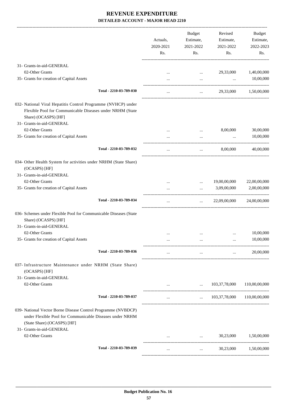|                                                                                                                                                                                 | Actuals,<br>2020-2021<br>Rs. | <b>Budget</b><br>Estimate,<br>2021-2022<br>Rs. | Revised<br>Estimate,<br>2021-2022<br>Rs. | Budget<br>Estimate,<br>2022-2023<br>Rs.                     |
|---------------------------------------------------------------------------------------------------------------------------------------------------------------------------------|------------------------------|------------------------------------------------|------------------------------------------|-------------------------------------------------------------|
| 31- Grants-in-aid-GENERAL                                                                                                                                                       |                              |                                                |                                          |                                                             |
| 02-Other Grants                                                                                                                                                                 |                              | $\cdots$                                       | 29,33,000                                | 1,40,00,000                                                 |
| 35- Grants for creation of Capital Assets                                                                                                                                       |                              | $\cdots$                                       | $\cdots$                                 | 10,00,000                                                   |
| Total - 2210-03-789-030                                                                                                                                                         |                              | $\cdots$                                       |                                          | 29,33,000 1,50,00,000                                       |
| 032- National Viral Hepatitis Control Programme (NVHCP) under<br>Flexible Pool for Communicable Diseases under NRHM (State<br>Share) (OCASPS) [HF]<br>31- Grants-in-aid-GENERAL |                              |                                                |                                          |                                                             |
| 02-Other Grants                                                                                                                                                                 |                              |                                                | 8,00,000                                 | 30,00,000                                                   |
| 35- Grants for creation of Capital Assets                                                                                                                                       |                              | $\cdots$                                       | $\cdots$                                 | 10,00,000                                                   |
| Total - 2210-03-789-032                                                                                                                                                         |                              | $\ddots$                                       | 8,00,000                                 | 40,00,000                                                   |
| 034- Other Health System for activities under NRHM (State Share)<br>(OCASPS) [HF]<br>31- Grants-in-aid-GENERAL                                                                  |                              |                                                |                                          |                                                             |
| 02-Other Grants                                                                                                                                                                 |                              |                                                | 19,00,00,000                             | 22,00,00,000                                                |
| 35- Grants for creation of Capital Assets                                                                                                                                       |                              |                                                | 3,09,00,000                              | 2,00,00,000                                                 |
| Total - 2210-03-789-034                                                                                                                                                         | $\cdots$                     | $\cdots$                                       | 22,09,00,000                             | 24,00,00,000                                                |
| 036- Schemes under Flexible Pool for Communicable Diseases (State<br>Share) (OCASPS) [HF]<br>31- Grants-in-aid-GENERAL                                                          |                              |                                                |                                          |                                                             |
| 02-Other Grants                                                                                                                                                                 |                              | $\cdots$                                       |                                          | 10,00,000                                                   |
| 35- Grants for creation of Capital Assets                                                                                                                                       |                              |                                                |                                          | 10,00,000                                                   |
| Total - 2210-03-789-036                                                                                                                                                         | $\cdots$                     | $\ldots$ .                                     |                                          | 20,00,000<br>$\mathbf{1}$ and $\mathbf{1}$ and $\mathbf{1}$ |
| 037- Infrastructure Maintenance under NRHM (State Share)<br>(OCASPS) [HF]<br>31- Grants-in-aid-GENERAL                                                                          |                              |                                                |                                          |                                                             |
| 02-Other Grants                                                                                                                                                                 | $\cdots$                     | $\cdots$                                       | 103, 37, 78, 000                         | 110,00,00,000                                               |
| Total - 2210-03-789-037                                                                                                                                                         | $\cdots$                     | $\ldots$ .                                     | 103,37,78,000                            | 110,00,00,000                                               |
| 039- National Vector Borne Disease Control Programme (NVBDCP)<br>under Flexible Pool for Communicable Diseases under NRHM<br>(State Share) (OCASPS) [HF]                        |                              |                                                |                                          |                                                             |
| 31- Grants-in-aid-GENERAL<br>02-Other Grants                                                                                                                                    |                              | $\cdots$                                       | 30,23,000                                | 1,50,00,000                                                 |
| Total - 2210-03-789-039                                                                                                                                                         | $\cdots$                     | $\cdots$                                       | 30,23,000                                | 1,50,00,000                                                 |
|                                                                                                                                                                                 |                              |                                                |                                          |                                                             |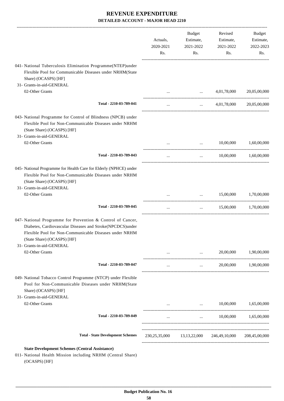|                                                                                                                                                                                                                   | Actuals,<br>2020-2021<br>Rs. | <b>Budget</b><br>Estimate,<br>2021-2022<br>Rs. | Revised<br>Estimate,<br>2021-2022<br>Rs.     | Budget<br>Estimate,<br>2022-2023<br>Rs. |
|-------------------------------------------------------------------------------------------------------------------------------------------------------------------------------------------------------------------|------------------------------|------------------------------------------------|----------------------------------------------|-----------------------------------------|
| 041- National Tuberculosis Elimination Programme(NTEP)under<br>Flexible Pool for Communicable Diseases under NRHM(State<br>Share) (OCASPS) [HF]<br>31- Grants-in-aid-GENERAL                                      |                              |                                                |                                              |                                         |
| 02-Other Grants                                                                                                                                                                                                   |                              | $\cdots$                                       | 4,01,78,000                                  | 20,05,00,000                            |
| Total - 2210-03-789-041                                                                                                                                                                                           | $\cdots$                     | $\cdots$                                       | 4,01,78,000                                  | 20,05,00,000                            |
| 043- National Programme for Control of Blindness (NPCB) under<br>Flexible Pool for Non-Communicable Diseases under NRHM<br>(State Share) (OCASPS) [HF]<br>31- Grants-in-aid-GENERAL                               |                              |                                                |                                              |                                         |
| 02-Other Grants                                                                                                                                                                                                   |                              | $\cdots$                                       | 10,00,000                                    | 1,60,00,000                             |
| Total - 2210-03-789-043                                                                                                                                                                                           | $\cdots$                     | $\ddots$                                       | 10,00,000                                    | 1,60,00,000                             |
| 045- National Programme for Health Care for Elderly (NPHCE) under<br>Flexible Pool for Non-Communicable Diseases under NRHM<br>(State Share) (OCASPS) [HF]<br>31- Grants-in-aid-GENERAL                           |                              |                                                |                                              |                                         |
| 02-Other Grants                                                                                                                                                                                                   |                              | $\cdots$                                       | 15,00,000                                    | 1,70,00,000                             |
| Total - 2210-03-789-045                                                                                                                                                                                           | $\cdots$                     | $\cdots$                                       | 15,00,000                                    | 1,70,00,000                             |
| 047- National Programme for Prevention & Control of Cancer,<br>Diabetes, Cardiovascular Diseases and Stroke(NPCDCS)under<br>Flexible Pool for Non-Communicable Diseases under NRHM<br>(State Share) (OCASPS) [HF] |                              |                                                |                                              |                                         |
| 31- Grants-in-aid-GENERAL<br>02-Other Grants                                                                                                                                                                      |                              | <b>ARCHITECT CONTRACTOR</b>                    | 20,00,000<br>$\cdots$ . The same of $\cdots$ | 1,90,00,000                             |
| Total - 2210-03-789-047                                                                                                                                                                                           | $\cdots$                     |                                                | and the state of the state                   | 20,00,000 1,90,00,000                   |
| 049- National Tobacco Control Programme (NTCP) under Flexible<br>Pool for Non-Communicable Diseases under NRHM(State<br>Share) (OCASPS) [HF]<br>31- Grants-in-aid-GENERAL                                         |                              |                                                |                                              |                                         |
| 02-Other Grants                                                                                                                                                                                                   |                              | and the state of the state of the              | 10,00,000                                    | 1,65,00,000                             |
| Total - 2210-03-789-049                                                                                                                                                                                           | $\cdots$                     | ------------------------------------           | $10,00,000$ $1,65,00,000$                    |                                         |
| <b>Total - State Development Schemes</b>                                                                                                                                                                          |                              |                                                | 230,25,35,000 13,13,22,000 246,49,10,000     | 208,45,00,000                           |
| <b>State Development Schemes (Central Assistance)</b><br>011- National Health Mission including NRHM (Central Share)<br>(OCASPS) [HF]                                                                             |                              |                                                |                                              |                                         |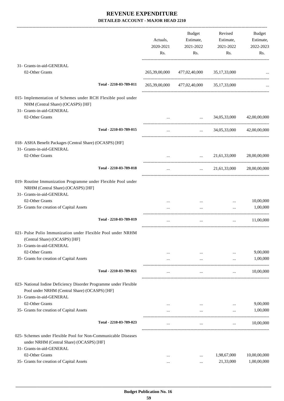|                                                                                                                                                 | Actuals,<br>2020-2021<br>Rs. | <b>Budget</b><br>Estimate,<br>2021-2022<br>Rs.     | Revised<br>Estimate,<br>2021-2022<br>Rs. | Budget<br>Estimate,<br>2022-2023<br>Rs. |
|-------------------------------------------------------------------------------------------------------------------------------------------------|------------------------------|----------------------------------------------------|------------------------------------------|-----------------------------------------|
| 31- Grants-in-aid-GENERAL                                                                                                                       |                              |                                                    |                                          |                                         |
| 02-Other Grants                                                                                                                                 |                              | 265,39,00,000 477,02,40,000 35,17,33,000           |                                          |                                         |
| Total - 2210-03-789-011                                                                                                                         |                              | 265,39,00,000 477,02,40,000 35,17,33,000           |                                          |                                         |
| 015- Implementation of Schemes under RCH Flexible pool under<br>NHM (Central Share) (OCASPS) [HF]<br>31- Grants-in-aid-GENERAL                  |                              |                                                    |                                          |                                         |
| 02-Other Grants                                                                                                                                 | $\cdots$                     |                                                    | $\ldots$ 34,05,33,000                    | 42,00,00,000                            |
| Total - 2210-03-789-015                                                                                                                         | $\cdots$                     |                                                    | $\ldots$ 34,05,33,000                    | 42,00,00,000                            |
| 018- ASHA Benefit Packages (Central Share) (OCASPS) [HF]<br>31- Grants-in-aid-GENERAL                                                           |                              |                                                    |                                          |                                         |
| 02-Other Grants                                                                                                                                 | $\cdots$                     | $\cdots$                                           | 21,61,33,000                             | 28,00,00,000                            |
| Total - 2210-03-789-018                                                                                                                         | $\ldots$                     | $\mathbf{1}$ , and $\mathbf{1}$ , and $\mathbf{1}$ | 21,61,33,000                             | 28,00,00,000                            |
| 019- Routine Immunization Programme under Flexible Pool under<br>NRHM (Central Share) (OCASPS) [HF]<br>31- Grants-in-aid-GENERAL                |                              |                                                    |                                          |                                         |
| 02-Other Grants                                                                                                                                 |                              | $\cdots$                                           | $\cdots$                                 | 10,00,000                               |
| 35- Grants for creation of Capital Assets                                                                                                       | $\cdots$                     | $\cdots$                                           | $\cdots$                                 | 1,00,000                                |
| Total - 2210-03-789-019                                                                                                                         | $\cdots$                     | $\cdots$                                           | $\cdots$                                 | 11,00,000                               |
| 021- Pulse Polio Immunization under Flexible Pool under NRHM<br>(Central Share) (OCASPS) [HF]<br>31- Grants-in-aid-GENERAL                      |                              |                                                    |                                          |                                         |
| 02-Other Grants                                                                                                                                 |                              |                                                    |                                          | 9,00,000                                |
| 35- Grants for creation of Capital Assets                                                                                                       | $\cdots$                     | $\cdots$                                           | $\cdots$                                 | 1,00,000                                |
| Total - 2210-03-789-021                                                                                                                         |                              | $\cdots$                                           | $\cdots$                                 | 10,00,000                               |
| 023- National Iodine Deficiency Disorder Programme under Flexible<br>Pool under NRHM (Central Share) (OCASPS) [HF]<br>31- Grants-in-aid-GENERAL |                              |                                                    |                                          |                                         |
| 02-Other Grants                                                                                                                                 |                              |                                                    |                                          | 9,00,000                                |
| 35- Grants for creation of Capital Assets                                                                                                       |                              | $\cdots$                                           | $\cdots$                                 | 1,00,000                                |
| Total - 2210-03-789-023                                                                                                                         |                              | $\cdots$                                           | $\cdots$                                 | 10,00,000                               |
| 025- Schemes under Flexible Pool for Non-Communicable Diseases<br>under NRHM (Central Share) (OCASPS) [HF]                                      |                              |                                                    |                                          |                                         |
| 31- Grants-in-aid-GENERAL<br>02-Other Grants                                                                                                    | $\cdots$                     | $\cdots$                                           | 1,98,67,000                              | 10,00,00,000                            |
| 35- Grants for creation of Capital Assets                                                                                                       | $\cdots$                     | $\cdots$                                           | 21,33,000                                | 1,00,00,000                             |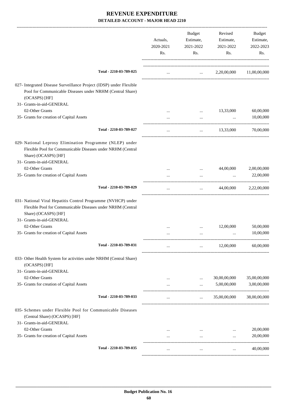|                                                                                                                                                                                                      | Actuals,<br>2020-2021<br>Rs. | <b>Budget</b><br>Estimate,<br>2021-2022<br>Rs. | Revised<br>Estimate,<br>2021-2022<br>Rs. | Budget<br>Estimate,<br>2022-2023<br>Rs. |
|------------------------------------------------------------------------------------------------------------------------------------------------------------------------------------------------------|------------------------------|------------------------------------------------|------------------------------------------|-----------------------------------------|
| Total - 2210-03-789-025                                                                                                                                                                              | $\cdots$                     | <b>Contract Contract</b>                       | 2,20,00,000                              | 11,00,00,000                            |
| 027- Integrated Disease Surveillance Project (IDSP) under Flexible<br>Pool for Communicable Diseases under NRHM (Central Share)<br>(OCASPS) [HF]                                                     |                              |                                                |                                          |                                         |
| 31- Grants-in-aid-GENERAL                                                                                                                                                                            |                              |                                                |                                          |                                         |
| 02-Other Grants                                                                                                                                                                                      |                              | $\cdots$                                       | 13,33,000                                | 60,00,000                               |
| 35- Grants for creation of Capital Assets                                                                                                                                                            |                              | $\cdots$                                       | $\ddots$                                 | 10,00,000                               |
| Total - 2210-03-789-027                                                                                                                                                                              | $\cdots$                     | $\cdots$                                       | 13,33,000                                | 70,00,000                               |
| 029- National Leprosy Elimination Programme (NLEP) under<br>Flexible Pool for Communicable Diseases under NRHM (Central<br>Share) (OCASPS) [HF]<br>31- Grants-in-aid-GENERAL                         |                              |                                                |                                          |                                         |
| 02-Other Grants                                                                                                                                                                                      |                              | $\cdots$                                       | 44,00,000                                | 2,00,00,000                             |
| 35- Grants for creation of Capital Assets                                                                                                                                                            |                              | $\cdots$                                       | $\cdots$                                 | 22,00,000                               |
| Total - 2210-03-789-029                                                                                                                                                                              | $\cdots$                     | $\cdots$                                       | 44,00,000                                | 2,22,00,000                             |
| 031- National Viral Hepatitis Control Programme (NVHCP) under<br>Flexible Pool for Communicable Diseases under NRHM (Central<br>Share) (OCASPS) [HF]<br>31- Grants-in-aid-GENERAL<br>02-Other Grants |                              |                                                | 12,00,000                                | 50,00,000                               |
| 35- Grants for creation of Capital Assets                                                                                                                                                            | .                            | $\cdots$                                       |                                          | 10,00,000                               |
|                                                                                                                                                                                                      |                              |                                                |                                          |                                         |
| Total - 2210-03-789-031                                                                                                                                                                              | $\cdots$                     | $\cdots$                                       | 12,00,000                                | 60,00,000                               |
| 033- Other Health System for activities under NRHM (Central Share)<br>(OCASPS) [HF]                                                                                                                  |                              |                                                |                                          |                                         |
| 31- Grants-in-aid-GENERAL                                                                                                                                                                            |                              |                                                |                                          |                                         |
| 02-Other Grants                                                                                                                                                                                      |                              |                                                | 30,00,00,000                             | 35,00,00,000                            |
| 35- Grants for creation of Capital Assets                                                                                                                                                            | $\cdots$                     | $\cdots$                                       | 5,00,00,000                              | 3,00,00,000                             |
| Total - 2210-03-789-033                                                                                                                                                                              | $\cdots$                     | $\cdots$                                       | 35,00,00,000                             | 38,00,00,000                            |
| 035- Schemes under Flexible Pool for Communicable Diseases<br>(Central Share) (OCASPS) [HF]<br>31- Grants-in-aid-GENERAL                                                                             |                              |                                                |                                          |                                         |
| 02-Other Grants                                                                                                                                                                                      |                              |                                                |                                          | 20,00,000                               |
| 35- Grants for creation of Capital Assets                                                                                                                                                            | $\cdots$                     | $\cdots$                                       | $\ddotsc$                                | 20,00,000                               |
| Total - 2210-03-789-035                                                                                                                                                                              | $\cdots$                     | $\cdots$                                       | $\cdots$                                 | 40,00,000                               |
|                                                                                                                                                                                                      |                              |                                                |                                          |                                         |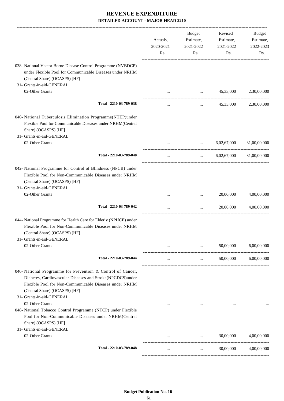|                                                                                                                                                                                                                                                  | Actuals,<br>2020-2021<br>Rs. | Budget<br>Estimate,<br>2021-2022<br>Rs. | Revised<br>Estimate,<br>2021-2022<br>Rs. | <b>Budget</b><br>Estimate,<br>2022-2023<br>Rs. |
|--------------------------------------------------------------------------------------------------------------------------------------------------------------------------------------------------------------------------------------------------|------------------------------|-----------------------------------------|------------------------------------------|------------------------------------------------|
| 038- National Vector Borne Disease Control Programme (NVBDCP)<br>under Flexible Pool for Communicable Diseases under NRHM<br>(Central Share) (OCASPS) [HF]<br>31- Grants-in-aid-GENERAL                                                          |                              |                                         |                                          |                                                |
| 02-Other Grants                                                                                                                                                                                                                                  |                              | $\cdots$                                | 45,33,000                                | 2,30,00,000                                    |
| Total - 2210-03-789-038                                                                                                                                                                                                                          | $\cdots$                     | $\cdots$                                | 45,33,000                                | 2,30,00,000                                    |
| 040- National Tuberculosis Elimination Programme(NTEP)under<br>Flexible Pool for Communicable Diseases under NRHM(Central<br>Share) (OCASPS) [HF]<br>31- Grants-in-aid-GENERAL                                                                   |                              |                                         |                                          |                                                |
| 02-Other Grants                                                                                                                                                                                                                                  |                              | $\cdots$                                | 6,02,67,000                              | 31,00,00,000                                   |
| Total - 2210-03-789-040                                                                                                                                                                                                                          | $\cdots$                     | $\cdots$ . The set of $\mathbb{R}^n$    | 6,02,67,000                              | 31,00,00,000                                   |
| 042- National Programme for Control of Blindness (NPCB) under<br>Flexible Pool for Non-Communicable Diseases under NRHM<br>(Central Share) (OCASPS) [HF]<br>31- Grants-in-aid-GENERAL                                                            |                              |                                         |                                          |                                                |
| 02-Other Grants                                                                                                                                                                                                                                  |                              |                                         | 20,00,000                                | 4,00,00,000                                    |
| Total - 2210-03-789-042                                                                                                                                                                                                                          | $\ldots$                     | $\cdots$                                | 20,00,000                                | 4,00,00,000                                    |
| 044- National Programme for Health Care for Elderly (NPHCE) under<br>Flexible Pool for Non-Communicable Diseases under NRHM<br>(Central Share) (OCASPS) [HF]                                                                                     |                              |                                         |                                          |                                                |
| 31- Grants-in-aid-GENERAL<br>02-Other Grants                                                                                                                                                                                                     |                              | $\cdots$                                | 50,00,000                                | 6,00,00,000                                    |
| Total - 2210-03-789-044                                                                                                                                                                                                                          | $\cdots$                     | $\cdots$                                | 50,00,000                                | 6,00,00,000                                    |
| 046- National Programme for Prevention & Control of Cancer,<br>Diabetes, Cardiovascular Diseases and Stroke(NPCDCS)under<br>Flexible Pool for Non-Communicable Diseases under NRHM<br>(Central Share) (OCASPS) [HF]<br>31- Grants-in-aid-GENERAL |                              |                                         |                                          |                                                |
| 02-Other Grants<br>048- National Tobacco Control Programme (NTCP) under Flexible<br>Pool for Non-Communicable Diseases under NRHM(Central<br>Share) (OCASPS) [HF]                                                                                | $\cdots$                     |                                         |                                          |                                                |
| 31- Grants-in-aid-GENERAL<br>02-Other Grants                                                                                                                                                                                                     |                              | $\cdots$                                | 30,00,000                                | 4,00,00,000                                    |
| Total - 2210-03-789-048                                                                                                                                                                                                                          | $\cdots$                     | $\cdots$                                | 30,00,000                                | 4,00,00,000                                    |
|                                                                                                                                                                                                                                                  |                              |                                         |                                          |                                                |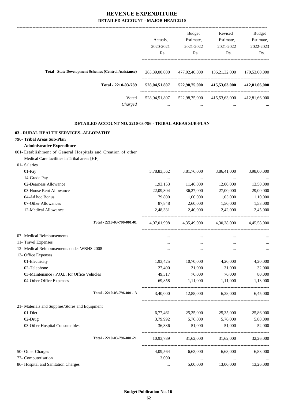|                                                               | Actuals.<br>2020-2021<br>Rs. | Budget<br>Estimate,<br>2021-2022<br>Rs. | Revised<br>Estimate,<br>2021-2022<br>Rs. | <b>Budget</b><br>Estimate,<br>2022-2023<br>Rs. |
|---------------------------------------------------------------|------------------------------|-----------------------------------------|------------------------------------------|------------------------------------------------|
| <b>Total - State Development Schemes (Central Assistance)</b> | 265,39,00,000                | 477,02,40,000                           | 136, 21, 32, 000                         | 170,53,00,000                                  |
| Total - 2210-03-789                                           | 528,04,51,807                | 522,98,75,000                           | 415,53,63,000                            | 412,81,66,000                                  |
| Voted<br>Charged                                              | 528,04,51,807<br>$\cdots$    | 522,98,75,000<br>$\cdots$               | 415,53,63,000<br>$\cdots$                | 412,81,66,000<br>$\cdots$                      |
|                                                               |                              |                                         |                                          |                                                |

.

| DETAILED ACCOUNT NO. 2210-03-796 - TRIBAL AREAS SUB-PLAN      |             |             |             |             |
|---------------------------------------------------------------|-------------|-------------|-------------|-------------|
| 03 - RURAL HEALTH SERVICES--ALLOPATHY                         |             |             |             |             |
| 796- Tribal Areas Sub-Plan                                    |             |             |             |             |
| <b>Administrative Expenditure</b>                             |             |             |             |             |
| 001- Establishment of General Hospitals and Creation of other |             |             |             |             |
| Medical Care facilities in Tribal areas [HF]                  |             |             |             |             |
| 01- Salaries                                                  |             |             |             |             |
| $01-Pay$                                                      | 3,78,83,562 | 3,81,76,000 | 3,86,41,000 | 3,98,00,000 |
| 14-Grade Pay                                                  | $\ldots$    | $\cdots$    | $\ldots$    |             |
| 02-Dearness Allowance                                         | 1,93,153    | 11,46,000   | 12,00,000   | 13,50,000   |
| 03-House Rent Allowance                                       | 22,09,304   | 36,27,000   | 27,00,000   | 29,00,000   |
| 04-Ad hoc Bonus                                               | 79,800      | 1,00,000    | 1,05,000    | 1,10,000    |
| 07-Other Allowances                                           | 87,848      | 2,60,000    | 1,50,000    | 1,53,000    |
| 12-Medical Allowance                                          | 2,48,331    | 2,40,000    | 2,42,000    | 2,45,000    |
| Total - 2210-03-796-001-01                                    | 4,07,01,998 | 4,35,49,000 | 4,30,38,000 | 4,45,58,000 |
| 07- Medical Reimbursements                                    | $\cdots$    | $\cdots$    | $\ddotsc$   |             |
| 11- Travel Expenses                                           | $\cdots$    | $\cdots$    | $\ddotsc$   |             |
| 12- Medical Reimbursements under WBHS 2008                    | $\cdots$    | $\cdots$    | $\cdots$    |             |
| 13- Office Expenses                                           |             |             |             |             |
| 01-Electricity                                                | 1,93,425    | 10,70,000   | 4,20,000    | 4,20,000    |
| 02-Telephone                                                  | 27,400      | 31,000      | 31,000      | 32,000      |
| 03-Maintenance / P.O.L. for Office Vehicles                   | 49,317      | 76,000      | 76,000      | 80,000      |
| 04-Other Office Expenses                                      | 69,858      | 1,11,000    | 1,11,000    | 1,13,000    |
| Total - 2210-03-796-001-13                                    | 3,40,000    | 12,88,000   | 6,38,000    | 6.45.000    |
| 21- Materials and Supplies/Stores and Equipment               |             |             |             |             |
| 01-Diet                                                       | 6,77,461    | 25,35,000   | 25,35,000   | 25,86,000   |
| 02-Drug                                                       | 3,79,992    | 5,76,000    | 5,76,000    | 5,88,000    |
| 03-Other Hospital Consumables                                 | 36,336      | 51,000      | 51,000      | 52,000      |
| Total - 2210-03-796-001-21                                    | 10,93,789   | 31,62,000   | 31,62,000   | 32,26,000   |
| 50- Other Charges                                             | 4,09,564    | 6,63,000    | 6,63,000    | 6,83,000    |
| 77- Computerisation                                           | 3,000       | $\ldots$    | $\ldots$    |             |
| 86- Hospital and Sanitation Charges                           | $\ddotsc$   | 5,00,000    | 13,00,000   | 13,26,000   |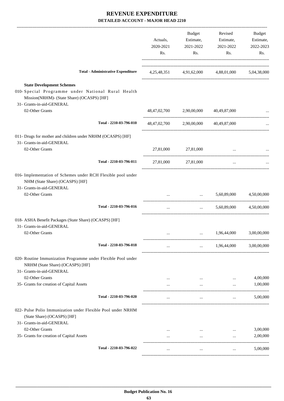|                                                                                                                                                                   | 2020-2021<br>Rs. | 2021-2022<br>Rs.                                          | Estimate,<br>Estimate,<br>2021-2022<br>Rs.      | Estimate,<br>2022-2023<br>Rs. |
|-------------------------------------------------------------------------------------------------------------------------------------------------------------------|------------------|-----------------------------------------------------------|-------------------------------------------------|-------------------------------|
| <b>Total - Administrative Expenditure</b>                                                                                                                         |                  |                                                           | 4,25,48,351 4,91,62,000 4,88,01,000 5,04,38,000 |                               |
| <b>State Development Schemes</b><br>010- Special Programme under National Rural Health<br>Mission(NRHM)- (State Share) (OCASPS) [HF]<br>31- Grants-in-aid-GENERAL |                  |                                                           |                                                 |                               |
| 02-Other Grants                                                                                                                                                   |                  | 48,47,02,700 2,90,00,000 40,49,87,000                     |                                                 |                               |
| Total - 2210-03-796-010                                                                                                                                           |                  | 48,47,02,700 2,90,00,000 40,49,87,000                     |                                                 |                               |
| 011- Drugs for mother and children under NRHM (OCASPS) [HF]<br>31- Grants-in-aid-GENERAL                                                                          |                  |                                                           |                                                 |                               |
| 02-Other Grants                                                                                                                                                   |                  | 27,81,000 27,81,000                                       |                                                 |                               |
| Total - 2210-03-796-011                                                                                                                                           | 27,81,000        | 27,81,000                                                 | $\cdots$                                        |                               |
| 016- Implementation of Schemes under RCH Flexible pool under<br>NHM (State Share) (OCASPS) [HF]<br>31- Grants-in-aid-GENERAL                                      |                  |                                                           |                                                 |                               |
| 02-Other Grants                                                                                                                                                   |                  |                                                           | $\ldots$ 5,60,89,000                            | 4,50,00,000                   |
| Total - 2210-03-796-016                                                                                                                                           | $\cdots$         | ------------------------<br>$\mathbf{r}$ and $\mathbf{r}$ |                                                 | 5,60,89,000 4,50,00,000       |
| 018- ASHA Benefit Packages (State Share) (OCASPS) [HF]<br>31- Grants-in-aid-GENERAL                                                                               |                  |                                                           |                                                 |                               |
| 02-Other Grants                                                                                                                                                   |                  | $\cdots$                                                  | 1,96,44,000                                     | 3,00,00,000                   |
| Total - 2210-03-796-018                                                                                                                                           | $\cdots$         | $\cdots$                                                  | 1,96,44,000                                     | 3,00,00,000                   |
| 020- Routine Immunization Programme under Flexible Pool under<br>NRHM (State Share) (OCASPS) [HF]<br>31- Grants-in-aid-GENERAL                                    |                  |                                                           |                                                 |                               |
| 02-Other Grants                                                                                                                                                   |                  |                                                           |                                                 | 4,00,000                      |
| 35- Grants for creation of Capital Assets                                                                                                                         |                  | $\cdots$                                                  | $\cdots$                                        | 1,00,000                      |
| Total - 2210-03-796-020                                                                                                                                           | $\cdots$         | $\ldots$                                                  | $\cdots$                                        | 5,00,000                      |
| 022- Pulse Polio Immunization under Flexible Pool under NRHM<br>(State Share) (OCASPS) [HF]<br>31- Grants-in-aid-GENERAL                                          |                  |                                                           |                                                 |                               |
| 02-Other Grants                                                                                                                                                   |                  | $\mathbf{r}$ and $\mathbf{r}$ and $\mathbf{r}$            |                                                 | 3,00,000                      |
| 35- Grants for creation of Capital Assets                                                                                                                         | $\cdots$         | $\cdots$                                                  | $\ddotsc$                                       | 2,00,000                      |
| Total - 2210-03-796-022                                                                                                                                           | $\cdots$         | $\ddotsc$                                                 | $\cdots$                                        | 5,00,000                      |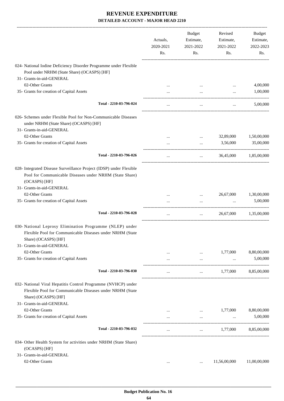|                                                                                                                                                    | Actuals,<br>2020-2021<br>Rs. | <b>Budget</b><br>Estimate,<br>2021-2022<br>Rs. | Revised<br>Estimate,<br>2021-2022<br>Rs. | Budget<br>Estimate,<br>2022-2023<br>Rs. |
|----------------------------------------------------------------------------------------------------------------------------------------------------|------------------------------|------------------------------------------------|------------------------------------------|-----------------------------------------|
| 024- National Iodine Deficiency Disorder Programme under Flexible<br>Pool under NRHM (State Share) (OCASPS) [HF]                                   |                              |                                                |                                          |                                         |
| 31- Grants-in-aid-GENERAL                                                                                                                          |                              |                                                |                                          |                                         |
| 02-Other Grants                                                                                                                                    |                              |                                                |                                          | 4,00,000                                |
| 35- Grants for creation of Capital Assets                                                                                                          |                              |                                                |                                          | 1,00,000                                |
| Total - 2210-03-796-024                                                                                                                            | $\cdots$                     | $\cdots$                                       | $\cdots$                                 | 5,00,000                                |
| 026- Schemes under Flexible Pool for Non-Communicable Diseases<br>under NRHM (State Share) (OCASPS) [HF]<br>31- Grants-in-aid-GENERAL              |                              |                                                |                                          |                                         |
| 02-Other Grants                                                                                                                                    |                              | $\cdots$                                       | 32,89,000                                | 1,50,00,000                             |
| 35- Grants for creation of Capital Assets                                                                                                          |                              | $\cdots$                                       | 3,56,000                                 | 35,00,000                               |
| Total - 2210-03-796-026                                                                                                                            | $\ldots$                     | $\cdots$                                       | 36,45,000                                | 1,85,00,000                             |
| 028- Integrated Disease Surveillance Project (IDSP) under Flexible<br>Pool for Communicable Diseases under NRHM (State Share)<br>(OCASPS) [HF]     |                              |                                                |                                          |                                         |
| 31- Grants-in-aid-GENERAL                                                                                                                          |                              |                                                |                                          |                                         |
| 02-Other Grants                                                                                                                                    |                              |                                                | 26,67,000                                | 1,30,00,000                             |
| 35- Grants for creation of Capital Assets                                                                                                          |                              |                                                |                                          | 5,00,000                                |
| Total - 2210-03-796-028                                                                                                                            | $\cdots$                     | $\cdots$                                       | 26,67,000                                | 1,35,00,000                             |
| 030- National Leprosy Elimination Programme (NLEP) under<br>Flexible Pool for Communicable Diseases under NRHM (State<br>Share) (OCASPS) [HF]      |                              |                                                |                                          |                                         |
| 31- Grants-in-aid-GENERAL                                                                                                                          |                              |                                                |                                          |                                         |
| 02-Other Grants                                                                                                                                    |                              |                                                | 1,77,000                                 | 8,80,00,000                             |
| 35- Grants for creation of Capital Assets                                                                                                          | $\cdots$                     | $\cdots$                                       | $\cdots$                                 | 5,00,000                                |
| Total - 2210-03-796-030                                                                                                                            | $\cdots$                     |                                                | 1,77,000                                 | 8,85,00,000                             |
| 032- National Viral Hepatitis Control Programme (NVHCP) under<br>Flexible Pool for Communicable Diseases under NRHM (State<br>Share) (OCASPS) [HF] |                              |                                                |                                          |                                         |
| 31- Grants-in-aid-GENERAL                                                                                                                          |                              |                                                |                                          |                                         |
| 02-Other Grants                                                                                                                                    |                              | $\cdots$                                       | 1,77,000                                 | 8,80,00,000                             |
| 35- Grants for creation of Capital Assets                                                                                                          |                              | $\cdots$                                       | $\cdots$                                 | 5,00,000                                |
| Total - 2210-03-796-032                                                                                                                            |                              | <b>Sales Control</b>                           | 1,77,000                                 | 8,85,00,000                             |
| 034- Other Health System for activities under NRHM (State Share)<br>(OCASPS) [HF]                                                                  |                              |                                                |                                          |                                         |
| 31- Grants-in-aid-GENERAL                                                                                                                          |                              |                                                |                                          |                                         |
| 02-Other Grants                                                                                                                                    | $\cdots$                     | $\cdots$                                       | 11,56,00,000                             | 11,00,00,000                            |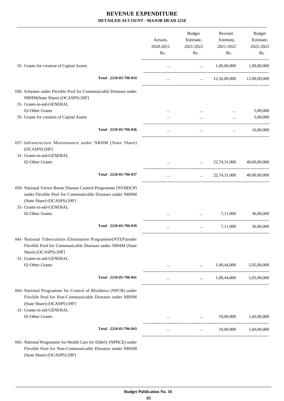|                                                                                                                                                                                     | Actuals,<br>2020-2021<br>Rs. | Budget<br>Estimate,<br>2021-2022<br>Rs.                                                    | Revised<br>Estimate,<br>2021-2022<br>Rs. | <b>Budget</b><br>Estimate,<br>2022-2023<br>Rs. |
|-------------------------------------------------------------------------------------------------------------------------------------------------------------------------------------|------------------------------|--------------------------------------------------------------------------------------------|------------------------------------------|------------------------------------------------|
| 35- Grants for creation of Capital Assets                                                                                                                                           | $\cdots$                     | $\mathbf{1.1}$ and $\mathbf{1.1}$                                                          | 1,00,00,000                              | 1,00,00,000                                    |
| Total - 2210-03-796-034                                                                                                                                                             |                              |                                                                                            | $\ldots$ 12,56,00,000 12,00,00,000       |                                                |
| 036- Schemes under Flexible Pool for Communicable Diseases under<br>NRHM(State Share) (OCASPS) [HF]<br>31- Grants-in-aid-GENERAL                                                    |                              |                                                                                            |                                          |                                                |
| 02-Other Grants                                                                                                                                                                     |                              |                                                                                            |                                          | 5,00,000                                       |
| 35- Grants for creation of Capital Assets                                                                                                                                           |                              | $\cdots$                                                                                   | $\ddots$                                 | 5,00,000                                       |
|                                                                                                                                                                                     |                              |                                                                                            |                                          |                                                |
| Total - 2210-03-796-036                                                                                                                                                             |                              | $\cdots$                                                                                   | $\cdots$                                 | 10,00,000                                      |
| 037- Infrastructure Maintenance under NRHM (State Share)<br>(OCASPS) [HF]                                                                                                           |                              |                                                                                            |                                          |                                                |
| 31- Grants-in-aid-GENERAL                                                                                                                                                           |                              |                                                                                            |                                          |                                                |
| 02-Other Grants                                                                                                                                                                     |                              | $\mathbf{1}$ , and $\mathbf{1}$ , and $\mathbf{1}$<br>. __________________________________ | 22,74,31,000                             | 40,00,00,000                                   |
| Total - 2210-03-796-037                                                                                                                                                             | $\cdots$                     |                                                                                            | $\ldots$ 22,74,31,000 40,00,00,000       |                                                |
| 039- National Vector Borne Disease Control Programme (NVBDCP)<br>under Flexible Pool for Communicable Diseases under NRHM<br>(State Share) (OCASPS) [HF]                            |                              |                                                                                            |                                          |                                                |
| 31- Grants-in-aid-GENERAL<br>02-Other Grants                                                                                                                                        |                              | $\cdots$                                                                                   | 7,11,000                                 | 36,00,000                                      |
|                                                                                                                                                                                     |                              |                                                                                            |                                          |                                                |
| Total - 2210-03-796-039                                                                                                                                                             |                              | $\cdots$                                                                                   | 7,11,000                                 | 36,00,000                                      |
| 041- National Tuberculosis Elimination Programme(NTEP)under<br>Flexible Pool for Communicable Diseases under NRHM (State<br>Share) (OCASPS) [HF]                                    |                              |                                                                                            |                                          |                                                |
| 31- Grants-in-aid-GENERAL<br>02-Other Grants                                                                                                                                        |                              |                                                                                            | 1,00,44,000                              | 5,05,00,000                                    |
|                                                                                                                                                                                     |                              | $\cdots$                                                                                   |                                          |                                                |
| Total - 2210-03-796-041                                                                                                                                                             | $\cdots$                     | $\mathbf{1}$ , and $\mathbf{1}$ , and $\mathbf{1}$                                         | 1,00,44,000                              | 5,05,00,000                                    |
| 043- National Programme for Control of Blindness (NPCB) under<br>Flexible Pool for Non-Communicable Diseases under NRHM<br>(State Share) (OCASPS) [HF]<br>31- Grants-in-aid-GENERAL |                              |                                                                                            |                                          |                                                |
| 02-Other Grants                                                                                                                                                                     |                              | $\mathbf{r}$                                                                               | 10,00,000                                | 1,60,00,000                                    |
| Total - 2210-03-796-043                                                                                                                                                             |                              | $\ddotsc$                                                                                  | 10,00,000                                | 1,60,00,000                                    |
| 045- National Programme for Health Care for Elderly (NPHCE) under                                                                                                                   |                              |                                                                                            |                                          |                                                |

Flexible Pool for Non-Communicable Diseases under NRHM (State Share) (OCASPS) [HF]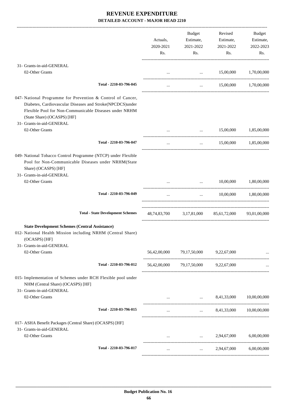|                                                                                                                                                                                                                   | Actuals,<br>2020-2021<br>Rs. | Budget<br>Estimate,<br>2021-2022<br>Rs.                                                                                                                                                                                           | Revised<br>Estimate,<br>2021-2022<br>Rs.           | Budget<br>Estimate,<br>2022-2023<br>Rs. |
|-------------------------------------------------------------------------------------------------------------------------------------------------------------------------------------------------------------------|------------------------------|-----------------------------------------------------------------------------------------------------------------------------------------------------------------------------------------------------------------------------------|----------------------------------------------------|-----------------------------------------|
| 31- Grants-in-aid-GENERAL                                                                                                                                                                                         |                              |                                                                                                                                                                                                                                   |                                                    |                                         |
| 02-Other Grants                                                                                                                                                                                                   |                              | $\mathbf{r}$ , and the contract of the contract of the contract of the contract of the contract of the contract of the contract of the contract of the contract of the contract of the contract of the contract of the contract o | 15,00,000                                          | 1,70,00,000                             |
| Total - 2210-03-796-045                                                                                                                                                                                           | $\cdots$                     |                                                                                                                                                                                                                                   | $\ldots$ 15,00,000 1,70,00,000                     |                                         |
| 047- National Programme for Prevention & Control of Cancer,<br>Diabetes, Cardiovascular Diseases and Stroke(NPCDCS)under<br>Flexible Pool for Non-Communicable Diseases under NRHM<br>(State Share) (OCASPS) [HF] |                              |                                                                                                                                                                                                                                   |                                                    |                                         |
| 31- Grants-in-aid-GENERAL<br>02-Other Grants                                                                                                                                                                      |                              | <b>Section</b> (1997)                                                                                                                                                                                                             | 15,00,000                                          | 1,85,00,000                             |
| Total - 2210-03-796-047                                                                                                                                                                                           | $\cdots$                     |                                                                                                                                                                                                                                   | $15,00,000$ $1,85,00,000$                          |                                         |
| 049- National Tobacco Control Programme (NTCP) under Flexible<br>Pool for Non-Communicable Diseases under NRHM(State<br>Share) (OCASPS) [HF]<br>31- Grants-in-aid-GENERAL                                         |                              |                                                                                                                                                                                                                                   |                                                    |                                         |
| 02-Other Grants                                                                                                                                                                                                   |                              | <b>Service</b> Committee                                                                                                                                                                                                          | 10,00,000                                          | 1,80,00,000                             |
| Total - 2210-03-796-049                                                                                                                                                                                           | $\cdots$                     |                                                                                                                                                                                                                                   | $10,00,000$ $1,80,00,000$                          |                                         |
| <b>Total - State Development Schemes</b>                                                                                                                                                                          |                              |                                                                                                                                                                                                                                   | 48,74,83,700 3,17,81,000 85,61,72,000 93,01,00,000 |                                         |
| <b>State Development Schemes (Central Assistance)</b><br>012- National Health Mission including NRHM (Central Share)<br>(OCASPS) [HF]                                                                             |                              |                                                                                                                                                                                                                                   |                                                    |                                         |
| 31- Grants-in-aid-GENERAL<br>02-Other Grants                                                                                                                                                                      |                              | 56,42,00,000 79,17,50,000 9,22,67,000                                                                                                                                                                                             |                                                    |                                         |
| Total - 2210-03-796-012                                                                                                                                                                                           |                              | 56,42,00,000 79,17,50,000 9,22,67,000                                                                                                                                                                                             |                                                    | ----------------------------            |
| 015- Implementation of Schemes under RCH Flexible pool under<br>NHM (Central Share) (OCASPS) [HF]<br>31- Grants-in-aid-GENERAL                                                                                    |                              |                                                                                                                                                                                                                                   |                                                    |                                         |
| 02-Other Grants                                                                                                                                                                                                   |                              | $\sim 10^{-10}$ and $\sim 10^{-10}$<br>and the state of the state of the                                                                                                                                                          | 8,41,33,000                                        | 10,00,00,000                            |
| Total - 2210-03-796-015                                                                                                                                                                                           |                              |                                                                                                                                                                                                                                   | $\ldots$ 8,41,33,000 10,00,00,000                  |                                         |
| 017- ASHA Benefit Packages (Central Share) (OCASPS) [HF]<br>31- Grants-in-aid-GENERAL                                                                                                                             |                              |                                                                                                                                                                                                                                   |                                                    |                                         |
| 02-Other Grants                                                                                                                                                                                                   |                              | $\mathbf{r}$ and $\mathbf{r}$ and $\mathbf{r}$                                                                                                                                                                                    | 2,94,67,000                                        | 6,00,00,000                             |
| Total - 2210-03-796-017                                                                                                                                                                                           | $\cdots$                     | and the con-                                                                                                                                                                                                                      | 2,94,67,000                                        | 6,00,00,000                             |
|                                                                                                                                                                                                                   |                              |                                                                                                                                                                                                                                   |                                                    |                                         |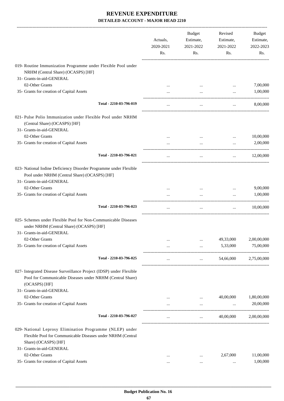|                                                                                                                                                                              | Actuals,<br>2020-2021<br>Rs. | Budget<br>Estimate,<br>2021-2022<br>Rs. | Revised<br>Estimate,<br>2021-2022<br>Rs. | Budget<br>Estimate,<br>2022-2023<br>Rs. |
|------------------------------------------------------------------------------------------------------------------------------------------------------------------------------|------------------------------|-----------------------------------------|------------------------------------------|-----------------------------------------|
| 019- Routine Immunization Programme under Flexible Pool under<br>NRHM (Central Share) (OCASPS) [HF]                                                                          |                              |                                         |                                          |                                         |
| 31- Grants-in-aid-GENERAL                                                                                                                                                    |                              |                                         |                                          |                                         |
| 02-Other Grants<br>35- Grants for creation of Capital Assets                                                                                                                 |                              |                                         | $\cdots$                                 | 7,00,000<br>1,00,000                    |
|                                                                                                                                                                              |                              | $\cdots$                                |                                          |                                         |
| Total - 2210-03-796-019                                                                                                                                                      | $\cdots$                     | $\cdots$                                | $\cdots$                                 | 8,00,000                                |
| 021- Pulse Polio Immunization under Flexible Pool under NRHM<br>(Central Share) (OCASPS) [HF]<br>31- Grants-in-aid-GENERAL                                                   |                              |                                         |                                          |                                         |
| 02-Other Grants                                                                                                                                                              |                              |                                         | $\cdots$                                 | 10,00,000                               |
| 35- Grants for creation of Capital Assets                                                                                                                                    |                              | $\cdots$                                |                                          | 2,00,000                                |
| Total - 2210-03-796-021                                                                                                                                                      | $\cdots$                     | $\ldots$                                | $\cdots$                                 | 12,00,000                               |
| 023- National Iodine Deficiency Disorder Programme under Flexible<br>Pool under NRHM (Central Share) (OCASPS) [HF]<br>31- Grants-in-aid-GENERAL                              |                              |                                         |                                          |                                         |
| 02-Other Grants                                                                                                                                                              | $\cdots$                     |                                         | $\cdots$                                 | 9,00,000                                |
| 35- Grants for creation of Capital Assets                                                                                                                                    |                              |                                         |                                          | 1,00,000                                |
| Total - 2210-03-796-023                                                                                                                                                      | $\ldots$                     | $\ldots$                                | $\cdots$                                 | 10,00,000                               |
| 025- Schemes under Flexible Pool for Non-Communicable Diseases<br>under NRHM (Central Share) (OCASPS) [HF]                                                                   |                              |                                         |                                          |                                         |
| 31- Grants-in-aid-GENERAL                                                                                                                                                    |                              |                                         |                                          |                                         |
| 02-Other Grants                                                                                                                                                              | $\cdots$                     | $\cdots$                                | 49,33,000                                | 2,00,00,000                             |
| 35- Grants for creation of Capital Assets                                                                                                                                    | $\cdots$                     | $\cdots$                                | 5,33,000                                 | 75,00,000                               |
| Total - 2210-03-796-025                                                                                                                                                      | $\cdots$                     | $\cdots$                                | 54,66,000                                | 2,75,00,000                             |
| 027- Integrated Disease Surveillance Project (IDSP) under Flexible<br>Pool for Communicable Diseases under NRHM (Central Share)<br>(OCASPS) [HF]                             |                              |                                         |                                          |                                         |
| 31- Grants-in-aid-GENERAL                                                                                                                                                    |                              |                                         |                                          |                                         |
| 02-Other Grants                                                                                                                                                              |                              |                                         | 40,00,000                                | 1,80,00,000                             |
| 35- Grants for creation of Capital Assets                                                                                                                                    | $\cdots$                     | $\cdots$                                |                                          | 20,00,000                               |
| Total - 2210-03-796-027                                                                                                                                                      |                              | $\cdots$                                | 40,00,000                                | 2,00,00,000                             |
| 029- National Leprosy Elimination Programme (NLEP) under<br>Flexible Pool for Communicable Diseases under NRHM (Central<br>Share) (OCASPS) [HF]<br>31- Grants-in-aid-GENERAL |                              |                                         |                                          |                                         |
| 02-Other Grants                                                                                                                                                              | $\cdots$                     |                                         | 2,67,000                                 | 11,00,000                               |
| 35- Grants for creation of Capital Assets                                                                                                                                    | $\cdots$                     |                                         | $\cdots$                                 | 1,00,000                                |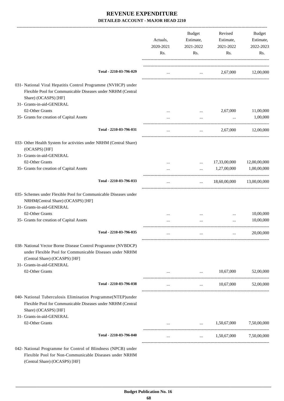|                                                                                                                                                                                         | Actuals,<br>2020-2021<br>Rs. | <b>Budget</b><br>Estimate,<br>2021-2022<br>Rs. | Revised<br>Estimate,<br>2021-2022<br>Rs.    | Budget<br>Estimate,<br>2022-2023<br>Rs. |
|-----------------------------------------------------------------------------------------------------------------------------------------------------------------------------------------|------------------------------|------------------------------------------------|---------------------------------------------|-----------------------------------------|
| Total - 2210-03-796-029                                                                                                                                                                 | $\cdots$                     |                                                | 2,67,000<br><b>Second Contract Contract</b> | 12,00,000                               |
| 031- National Viral Hepatitis Control Programme (NVHCP) under<br>Flexible Pool for Communicable Diseases under NRHM (Central<br>Share) (OCASPS) [HF]                                    |                              |                                                |                                             |                                         |
| 31- Grants-in-aid-GENERAL                                                                                                                                                               |                              |                                                |                                             |                                         |
| 02-Other Grants                                                                                                                                                                         |                              | $\cdots$                                       | 2,67,000                                    | 11,00,000                               |
| 35- Grants for creation of Capital Assets                                                                                                                                               |                              |                                                | $\cdots$                                    | 1,00,000                                |
| Total - 2210-03-796-031                                                                                                                                                                 |                              | $\cdots$                                       | 2.67.000                                    | 12,00,000                               |
| 033- Other Health System for activities under NRHM (Central Share)<br>(OCASPS) [HF]                                                                                                     |                              |                                                |                                             |                                         |
| 31- Grants-in-aid-GENERAL                                                                                                                                                               |                              |                                                |                                             |                                         |
| 02-Other Grants                                                                                                                                                                         |                              | $\cdots$                                       | 17,33,00,000                                | 12,00,00,000                            |
| 35- Grants for creation of Capital Assets                                                                                                                                               |                              | $\cdots$                                       | 1,27,00,000                                 | 1,00,00,000                             |
| Total - 2210-03-796-033                                                                                                                                                                 |                              | $\mathbf{1}$                                   | 18,60,00,000                                | 13,00,00,000                            |
| 035- Schemes under Flexible Pool for Communicable Diseases under<br>NRHM(Central Share) (OCASPS) [HF]<br>31- Grants-in-aid-GENERAL                                                      |                              |                                                |                                             |                                         |
| 02-Other Grants                                                                                                                                                                         |                              |                                                |                                             | 10,00,000                               |
| 35- Grants for creation of Capital Assets                                                                                                                                               |                              |                                                | $\cdots$                                    | 10,00,000                               |
|                                                                                                                                                                                         |                              |                                                |                                             |                                         |
| Total - 2210-03-796-035                                                                                                                                                                 | $\cdots$                     | $\cdots$                                       | $\cdots$                                    | 20,00,000                               |
| 038- National Vector Borne Disease Control Programme (NVBDCP)<br>under Flexible Pool for Communicable Diseases under NRHM<br>(Central Share) (OCASPS) [HF]<br>31- Grants-in-aid-GENERAL |                              |                                                |                                             |                                         |
| 02-Other Grants                                                                                                                                                                         |                              | $\cdots$                                       | 10,67,000                                   | 52,00,000                               |
|                                                                                                                                                                                         |                              |                                                |                                             |                                         |
| Total - 2210-03-796-038                                                                                                                                                                 | $\cdots$                     | $\cdots$                                       | 10,67,000                                   | 52,00,000                               |
| 040- National Tuberculosis Elimination Programme(NTEP)under<br>Flexible Pool for Communicable Diseases under NRHM (Central<br>Share) (OCASPS) [HF]                                      |                              |                                                |                                             |                                         |
| 31- Grants-in-aid-GENERAL<br>02-Other Grants                                                                                                                                            |                              | $\cdots$                                       | 1,50,67,000                                 | 7,50,00,000                             |
| Total - 2210-03-796-040                                                                                                                                                                 | $\cdots$                     | $\cdots$                                       | 1,50,67,000                                 | 7,50,00,000                             |
| 042- National Programme for Control of Blindness (NPCB) under<br>Flexible Pool for Non-Communicable Diseases under NRHM                                                                 |                              |                                                |                                             |                                         |

 **\_\_\_\_\_\_\_\_\_\_\_\_\_\_\_\_\_\_\_\_\_\_\_\_\_\_\_\_\_\_\_\_\_\_\_\_\_\_\_\_\_\_\_\_\_\_\_\_\_\_\_\_\_\_\_\_\_\_\_\_\_\_\_\_\_\_\_\_\_\_\_\_\_\_\_\_\_\_\_\_\_\_\_\_\_\_\_\_\_\_\_\_\_\_\_\_\_\_\_\_\_\_\_\_\_\_\_\_\_\_\_\_\_\_\_\_\_\_\_**

(Central Share) (OCASPS) [HF]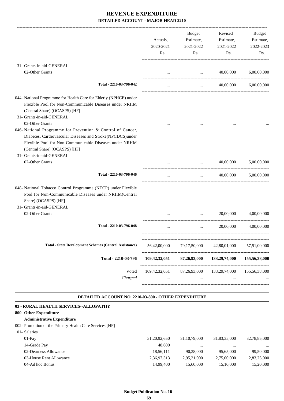|                                                                                                                                                                                                                                                  | Actuals,<br>2020-2021<br>Rs. | Budget<br>Estimate,<br>2021-2022<br>Rs. | Revised<br>Estimate,<br>2021-2022<br>Rs.                                                               | <b>Budget</b><br>Estimate,<br>2022-2023<br>Rs. |
|--------------------------------------------------------------------------------------------------------------------------------------------------------------------------------------------------------------------------------------------------|------------------------------|-----------------------------------------|--------------------------------------------------------------------------------------------------------|------------------------------------------------|
| 31- Grants-in-aid-GENERAL                                                                                                                                                                                                                        |                              |                                         |                                                                                                        |                                                |
| 02-Other Grants                                                                                                                                                                                                                                  |                              |                                         | 40,00,000<br>$\mathbf{1}_{\mathbf{1}}$ , and $\mathbf{1}_{\mathbf{1}}$ , and $\mathbf{1}_{\mathbf{1}}$ | 6,00,00,000                                    |
| Total - 2210-03-796-042                                                                                                                                                                                                                          | $\cdots$                     | $\cdots$                                | 40,00,000                                                                                              | 6.00.00.000                                    |
| 044- National Programme for Health Care for Elderly (NPHCE) under<br>Flexible Pool for Non-Communicable Diseases under NRHM<br>(Central Share) (OCASPS) [HF]<br>31- Grants-in-aid-GENERAL<br>02-Other Grants                                     |                              |                                         |                                                                                                        |                                                |
| 046- National Programme for Prevention & Control of Cancer,<br>Diabetes, Cardiovascular Diseases and Stroke(NPCDCS)under<br>Flexible Pool for Non-Communicable Diseases under NRHM<br>(Central Share) (OCASPS) [HF]<br>31- Grants-in-aid-GENERAL |                              |                                         |                                                                                                        |                                                |
| 02-Other Grants                                                                                                                                                                                                                                  | $\cdots$                     | $\ldots$                                | 40,00,000                                                                                              | 5,00,00,000                                    |
| Total - 2210-03-796-046                                                                                                                                                                                                                          | $\cdots$                     | $\cdots$                                | 40,00,000                                                                                              | 5,00,00,000                                    |
| 048- National Tobacco Control Programme (NTCP) under Flexible<br>Pool for Non-Communicable Diseases under NRHM(Central<br>Share) (OCASPS) [HF]<br>31- Grants-in-aid-GENERAL                                                                      |                              |                                         |                                                                                                        |                                                |
| 02-Other Grants                                                                                                                                                                                                                                  | $\cdots$                     | $\cdots$                                | 20,00,000                                                                                              | 4,00,00,000                                    |
| Total - 2210-03-796-048                                                                                                                                                                                                                          |                              | $\cdots$                                | 20,00,000                                                                                              | 4,00,00,000                                    |
| <b>Total - State Development Schemes (Central Assistance)</b>                                                                                                                                                                                    | 56,42,00,000                 | 79,17,50,000                            | 42,80,01,000                                                                                           | 57,51,00,000                                   |
| Total - 2210-03-796                                                                                                                                                                                                                              | 109,42,32,051                | 87,26,93,000                            | 133,29,74,000                                                                                          | 155,56,38,000                                  |
| Voted<br>Charged                                                                                                                                                                                                                                 |                              | $\cdots$                                | 109,42,32,051 87,26,93,000 133,29,74,000                                                               | 155,56,38,000                                  |
| DETAILED ACCOUNT NO. 2210-03-800 - OTHER EXPENDITURE                                                                                                                                                                                             |                              |                                         |                                                                                                        |                                                |

| 03 - RURAL HEALTH SERVICES--ALLOPATHY                   |                 |                 |              |              |
|---------------------------------------------------------|-----------------|-----------------|--------------|--------------|
| 800- Other Expenditure                                  |                 |                 |              |              |
| <b>Administrative Expenditure</b>                       |                 |                 |              |              |
| 002- Promotion of the Primary Health Care Services [HF] |                 |                 |              |              |
| 01- Salaries                                            |                 |                 |              |              |
| $01-Pav$                                                | 31, 20, 92, 650 | 31, 10, 79, 000 | 31,83,35,000 | 32,78,85,000 |
| 14-Grade Pay                                            | 48,600          |                 | $\cdots$     | $\cdots$     |
| 02-Dearness Allowance                                   | 18,56,111       | 90,38,000       | 95.65,000    | 99,50,000    |
| 03-House Rent Allowance                                 | 2,36,97,313     | 2,95,21,000     | 2,75,00,000  | 2,83,25,000  |
| 04-Ad hoc Bonus                                         | 14,99,400       | 15,60,000       | 15,10,000    | 15,20,000    |
|                                                         |                 |                 |              |              |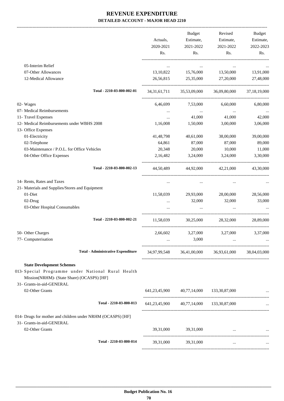|                                                                                                                                                                   | Actuals,<br>2020-2021<br>Rs. | Budget<br>Estimate,<br>2021-2022<br>Rs.  | Revised<br>Estimate,<br>2021-2022<br>Rs.                        | Budget<br>Estimate,<br>2022-2023<br>Rs. |
|-------------------------------------------------------------------------------------------------------------------------------------------------------------------|------------------------------|------------------------------------------|-----------------------------------------------------------------|-----------------------------------------|
|                                                                                                                                                                   |                              |                                          |                                                                 |                                         |
| 05-Interim Relief                                                                                                                                                 | $\cdots$                     | $\ldots$                                 | $\ldots$                                                        |                                         |
| 07-Other Allowances                                                                                                                                               | 13,10,822                    | 15,76,000                                | 13,50,000                                                       | 13,91,000                               |
| 12-Medical Allowance                                                                                                                                              | 26,56,815                    | 25,35,000                                | 27,20,000                                                       | 27,48,000                               |
| Total - 2210-03-800-002-01                                                                                                                                        |                              |                                          | 34,31,61,711 35,53,09,000 36,09,80,000                          | 37,18,19,000                            |
| 02- Wages                                                                                                                                                         | 6,46,699                     | 7,53,000                                 | 6,60,000                                                        | 6,80,000                                |
| 07- Medical Reimbursements                                                                                                                                        |                              | $\ldots$                                 | $\ldots$                                                        |                                         |
| 11- Travel Expenses                                                                                                                                               | $\cdots$                     | 41,000                                   | 41,000                                                          | 42,000                                  |
| 12- Medical Reimbursements under WBHS 2008                                                                                                                        | 1,16,008                     | 1,50,000                                 | 3,00,000                                                        | 3,06,000                                |
| 13- Office Expenses                                                                                                                                               |                              |                                          |                                                                 |                                         |
| 01-Electricity                                                                                                                                                    | 41,48,798                    | 40,61,000                                | 38,00,000                                                       | 39,00,000                               |
| 02-Telephone                                                                                                                                                      | 64,861                       | 87,000                                   | 87,000                                                          | 89,000                                  |
| 03-Maintenance / P.O.L. for Office Vehicles                                                                                                                       | 20,348                       | 20,000                                   | 10,000                                                          | 11,000                                  |
| 04-Other Office Expenses                                                                                                                                          | 2,16,482                     | 3,24,000                                 | 3,24,000                                                        | 3,30,000                                |
| Total - 2210-03-800-002-13                                                                                                                                        |                              |                                          | 44,50,489 44,92,000 42,21,000                                   | 43,30,000                               |
| 14- Rents, Rates and Taxes                                                                                                                                        | $\cdots$                     |                                          |                                                                 |                                         |
| 21- Materials and Supplies/Stores and Equipment                                                                                                                   |                              |                                          |                                                                 |                                         |
| 01-Diet                                                                                                                                                           | 11,58,039                    | 29,93,000                                | 28,00,000                                                       | 28,56,000                               |
| 02-Drug                                                                                                                                                           | $\cdots$                     | 32,000                                   | 32,000                                                          | 33,000                                  |
| 03-Other Hospital Consumables                                                                                                                                     | $\cdots$                     | $\cdots$                                 | $\cdots$                                                        |                                         |
| Total - 2210-03-800-002-21                                                                                                                                        | 11,58,039                    |                                          | 30,25,000 28,32,000                                             | 28,89,000                               |
| 50- Other Charges                                                                                                                                                 | 2,66,602                     | 3,27,000                                 | 3,27,000                                                        | 3,37,000                                |
| 77- Computerisation                                                                                                                                               |                              | 3,000                                    |                                                                 |                                         |
| <b>Total - Administrative Expenditure</b>                                                                                                                         |                              |                                          | 34,97,99,548   36,41,00,000   36,93,61,000   38,04,03,000       |                                         |
| <b>State Development Schemes</b><br>013- Special Programme under National Rural Health<br>Mission(NRHM)- (State Share) (OCASPS) [HF]<br>31- Grants-in-aid-GENERAL |                              |                                          |                                                                 |                                         |
| 02-Other Grants                                                                                                                                                   |                              | 641,23,45,900 40,77,14,000 133,30,87,000 |                                                                 |                                         |
| Total - 2210-03-800-013                                                                                                                                           |                              | 641,23,45,900 40,77,14,000 133,30,87,000 |                                                                 |                                         |
| 014- Drugs for mother and children under NRHM (OCASPS) [HF]<br>31- Grants-in-aid-GENERAL                                                                          |                              |                                          |                                                                 |                                         |
| 02-Other Grants                                                                                                                                                   |                              | 39,31,000 39,31,000                      | $\mathbf{r}$ and $\mathbf{r}$ and $\mathbf{r}$ and $\mathbf{r}$ |                                         |
| Total - 2210-03-800-014                                                                                                                                           | 39,31,000                    | 39,31,000                                | $\cdots$                                                        |                                         |
|                                                                                                                                                                   |                              |                                          |                                                                 |                                         |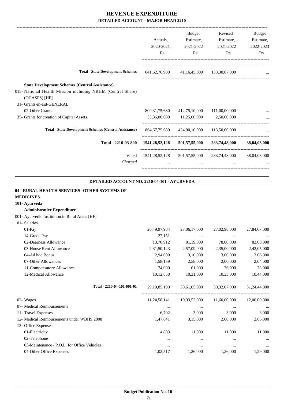-------------------------------------------------------------------------------------------------------------------------------------------------------------------------------

|                                                                                                                                                                      | Actuals.<br>2020-2021<br>Rs. | <b>Budget</b><br>Estimate,<br>2021-2022<br>Rs. | Revised<br>Estimate,<br>2021-2022<br>Rs. | Budget<br>Estimate,<br>2022-2023<br>Rs. |
|----------------------------------------------------------------------------------------------------------------------------------------------------------------------|------------------------------|------------------------------------------------|------------------------------------------|-----------------------------------------|
| <b>Total - State Development Schemes</b>                                                                                                                             | 641, 62, 76, 900             |                                                | 41,16,45,000 133,30,87,000               |                                         |
| <b>State Development Schemes (Central Assistance)</b><br>015- National Health Mission including NRHM (Central Share)<br>$(OCASPS)$ [HF]<br>31- Grants-in-aid-GENERAL |                              |                                                |                                          |                                         |
| 02-Other Grants                                                                                                                                                      | 809, 31, 75, 680             | 412,75,10,000                                  | 111,00,00,000                            |                                         |
| 35- Grants for creation of Capital Assets                                                                                                                            | 55,36,00,000                 | 11,25,00,000 2,50,00,000                       |                                          |                                         |
| <b>Total - State Development Schemes (Central Assistance)</b>                                                                                                        | 864,67,75,680                |                                                | 424,00,10,000 113,50,00,000              |                                         |
| Total - 2210-03-800                                                                                                                                                  | 1541,28,52,128               | 501,57,55,000                                  | 283,74,48,000                            | 38,04,03,000                            |
| Voted<br>Charged                                                                                                                                                     | 1541, 28, 52, 128            | $\cdots$                                       | 501,57,55,000 283,74,48,000              | 38,04,03,000                            |
|                                                                                                                                                                      |                              |                                                |                                          |                                         |

#### **DETAILED ACCOUNT NO. 2210-04-101 - AYURVEDA .**

.

| 04 - RURAL HEALTH SERVICES--OTHER SYSTEMS OF   |              |              |                                                     |              |
|------------------------------------------------|--------------|--------------|-----------------------------------------------------|--------------|
| <b>MEDICINES</b>                               |              |              |                                                     |              |
| 101- Ayurveda                                  |              |              |                                                     |              |
| <b>Administrative Expenditure</b>              |              |              |                                                     |              |
| 001- Ayurvedic Institution in Rural Areas [HF] |              |              |                                                     |              |
| 01- Salaries                                   |              |              |                                                     |              |
| $01-Pav$                                       | 26,49,97,984 | 27,06,17,000 | 27,02,98,000                                        | 27,84,07,000 |
| 14-Grade Pay                                   | 27,151       | $\cdots$     | $\cdots$                                            |              |
| 02-Dearness Allowance                          | 13,70,912    | 81,19,000    | 78,00,000                                           | 82,00,000    |
| 03-House Rent Allowance                        | 2,31,50,143  | 2,57,09,000  | 2,35,00,000                                         | 2,42,05,000  |
| 04-Ad hoc Bonus                                | 2,94,000     | 3,10,000     | 3,00,000                                            | 3,06,000     |
| 07-Other Allowances                            | 1,58,159     | 2,58,000     | 2,00,000                                            | 2,04,000     |
| 11-Compensatory Allowance                      | 74,000       | 61,000       | 76,000                                              | 78,000       |
| 12-Medical Allowance                           | 10,12,850    | 10,31,000    | 10,33,000                                           | 10,44,000    |
| Total - 2210-04-101-001-01                     |              |              | 29,10,85,199 30,61,05,000 30,32,07,000 31,24,44,000 |              |
| 02- Wages                                      |              |              | $11,24,58,141$ $10,93,52,000$ $11,60,00,000$        | 12,00,00,000 |
| 07- Medical Reimbursements                     | $\cdots$     | $\cdots$     | $\cdots$                                            | $\cdots$     |
| 11- Travel Expenses                            | 6,702        | 3,000        | 3.000                                               | 3,000        |
| 12- Medical Reimbursements under WBHS 2008     | 1,47,641     | 3,15,000     | 2,60,000                                            | 2,66,000     |
| 13- Office Expenses                            |              |              |                                                     |              |
| 01-Electricity                                 | 4,803        | 11,000       | 11,000                                              | 11,000       |
| 02-Telephone                                   | $\cdots$     | $\cdots$     | $\cdots$                                            |              |
| 03-Maintenance / P.O.L. for Office Vehicles    | $\cdots$     | $\cdots$     | $\cdots$                                            | $\cdots$     |
| 04-Other Office Expenses                       | 1,02,517     | 1,26,000     | 1,26,000                                            | 1,29,000     |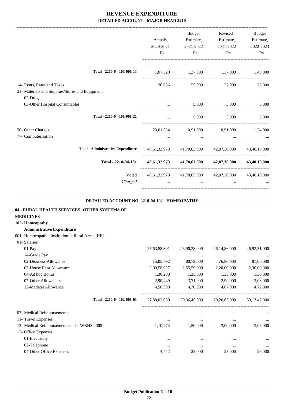|                                                                               | Actuals,<br>2020-2021<br>Rs. | Budget<br>Estimate,<br>2021-2022<br>Rs. | Revised<br>Estimate,<br>2021-2022<br>Rs.            | <b>Budget</b><br>Estimate,<br>2022-2023<br>Rs. |
|-------------------------------------------------------------------------------|------------------------------|-----------------------------------------|-----------------------------------------------------|------------------------------------------------|
| Total - 2210-04-101-001-13                                                    |                              |                                         | 1,07,320 1,37,000 1,37,000 1,40,000                 |                                                |
| 14- Rents, Rates and Taxes<br>21- Materials and Supplies/Stores and Equipment | 26,636                       | 55,000                                  | 27,000                                              | 28,000                                         |
| 02-Drug<br>03-Other Hospital Consumables                                      |                              | $\cdots$                                | 5,000<br>5,000                                      | 5,000                                          |
| Total - 2210-04-101-001-21                                                    | $\cdots$                     | 5,000                                   |                                                     | 5,000<br>5,000                                 |
| 50- Other Charges<br>77- Computerisation                                      |                              | $\cdots$                                | 23,01,334 10,91,000 10,91,000 11,24,000             |                                                |
| <b>Total - Administrative Expenditure</b>                                     |                              |                                         | 40,61,32,973 41,70,63,000 42,07,30,000 43,40,10,000 |                                                |
| Total - 2210-04-101                                                           |                              |                                         | 40,61,32,973 41,70,63,000 42,07,30,000 43,40,10,000 |                                                |
| Voted<br>Charged                                                              |                              | $\cdots$                                | 40,61,32,973 41,70,63,000 42,07,30,000 43,40,10,000 |                                                |

### **DETAILED ACCOUNT NO. 2210-04-102 - HOMEOPATHY**

.

| 04 - RURAL HEALTH SERVICES--OTHER SYSTEMS OF      |              |              |                 |              |
|---------------------------------------------------|--------------|--------------|-----------------|--------------|
| <b>MEDICINES</b>                                  |              |              |                 |              |
| 102- Homeopathy                                   |              |              |                 |              |
| <b>Administrative Expenditure</b>                 |              |              |                 |              |
| 001- Homoeopathic Institution in Rural Areas [HF] |              |              |                 |              |
| 01- Salaries                                      |              |              |                 |              |
| $01-Pay$                                          | 25,63,58,391 | 26,90,38,000 | 26, 14, 86, 000 | 26,93,31,000 |
| 14-Grade Pay                                      | $\cdots$     | $\cdots$     | $\cdots$        |              |
| 02-Dearness Allowance                             | 15,05,792    | 80,72,000    | 76,80,000       | 81,00,000    |
| 03-House Rent Allowance                           | 2,00,58,927  | 2,55,59,000  | 2,20,00,000     | 2,30,00,000  |
| 04-Ad hoc Bonus                                   | 1,30,200     | 1,35,000     | 1,33,000        | 1,36,000     |
| 07-Other Allowances                               | 2,90,449     | 3,71,000     | 2,99,000        | 3,08,000     |
| 12-Medical Allowance                              | 4,58,300     | 4,70,000     | 4,67,000        | 4,72,000     |
| Total - 2210-04-102-001-01                        | 27,88,02,059 | 30,36,45,000 | 29,20,65,000    | 30,13,47,000 |
| 07- Medical Reimbursements                        |              |              |                 |              |
| 11- Travel Expenses                               | $\cdots$     | $\cdots$     |                 | $\cdots$     |
| 12- Medical Reimbursements under WBHS 2008        | 1,10,474     | 1,50,000     | 3,00,000        | 3,06,000     |
| 13- Office Expenses                               |              |              |                 |              |
| 01-Electricity                                    |              |              |                 |              |
| 02-Telephone                                      |              |              |                 | $\cdots$     |
| 04-Other Office Expenses                          | 4,442        | 25,000       | 25,000          | 26,000       |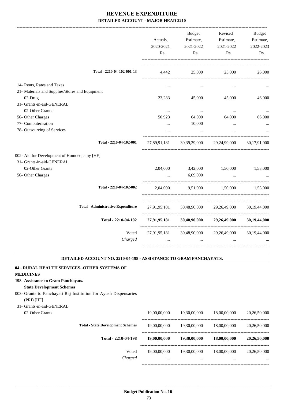|                  | Actuals,<br>2020-2021                                                                                                                                | <b>Budget</b><br>Estimate,<br>2021-2022 | Revised<br>Estimate,<br>2021-2022             | <b>Budget</b><br>Estimate,<br>2022-2023                                                                                                                                                           |
|------------------|------------------------------------------------------------------------------------------------------------------------------------------------------|-----------------------------------------|-----------------------------------------------|---------------------------------------------------------------------------------------------------------------------------------------------------------------------------------------------------|
|                  |                                                                                                                                                      |                                         | Rs.                                           | Rs.                                                                                                                                                                                               |
|                  | 4,442                                                                                                                                                | 25,000                                  | 25,000                                        | 26,000                                                                                                                                                                                            |
|                  | $\cdots$                                                                                                                                             | $\cdots$                                | $\cdots$                                      |                                                                                                                                                                                                   |
|                  |                                                                                                                                                      |                                         |                                               |                                                                                                                                                                                                   |
|                  |                                                                                                                                                      | 45,000                                  |                                               | 46,000                                                                                                                                                                                            |
|                  |                                                                                                                                                      |                                         |                                               |                                                                                                                                                                                                   |
|                  | $\ldots$                                                                                                                                             | $\ldots$                                | $\ldots$                                      | $\ldots$                                                                                                                                                                                          |
|                  | 50,923                                                                                                                                               | 64,000                                  | 64,000                                        | 66,000                                                                                                                                                                                            |
|                  | $\cdots$                                                                                                                                             |                                         | $\cdots$                                      |                                                                                                                                                                                                   |
|                  |                                                                                                                                                      | $\ddots$                                |                                               |                                                                                                                                                                                                   |
|                  |                                                                                                                                                      |                                         |                                               | 30,17,91,000                                                                                                                                                                                      |
|                  |                                                                                                                                                      |                                         |                                               |                                                                                                                                                                                                   |
|                  |                                                                                                                                                      |                                         |                                               |                                                                                                                                                                                                   |
|                  | 2,04,000                                                                                                                                             | 3,42,000                                | 1,50,000                                      | 1,53,000                                                                                                                                                                                          |
|                  | $\ddotsc$                                                                                                                                            | 6,09,000                                | $\ddotsc$                                     |                                                                                                                                                                                                   |
|                  |                                                                                                                                                      |                                         |                                               |                                                                                                                                                                                                   |
|                  |                                                                                                                                                      |                                         |                                               | 30, 19, 44, 000                                                                                                                                                                                   |
|                  |                                                                                                                                                      |                                         |                                               | 30, 19, 44, 000                                                                                                                                                                                   |
| Voted<br>Charged | $\cdots$                                                                                                                                             | $\cdots$                                | $\cdots$                                      | 30,19,44,000                                                                                                                                                                                      |
|                  | Total - 2210-04-102-001-13<br>Total - 2210-04-102-001<br>Total - 2210-04-102-002<br><b>Total - Administrative Expenditure</b><br>Total - 2210-04-102 | Rs.<br>23,283                           | Rs.<br>10,000<br>27,89,91,181<br>27,91,95,181 | 45,000<br>30,39,39,000 29,24,99,000<br>2,04,000 9,51,000 1,50,000 1,53,000<br>27,91,95,181 30,48,90,000<br>29,26,49,000<br>27,91,95,181 30,48,90,000 29,26,49,000<br>30,48,90,000<br>29,26,49,000 |

#### **DETAILED ACCOUNT NO. 2210-04-198 - ASSISTANCE TO GRAM PANCHAYATS. .**

# **04 - RURAL HEALTH SERVICES--OTHER SYSTEMS OF**

### **MEDICINES**

#### **198- Assistance to Gram Panchayats.**

#### **State Development Schemes**

003- Grants to Panchayati Raj Institution for Ayush Dispensaries (PRI) [HF]

#### 31- Grants-in-aid-GENERAL

| 02-Other Grants |                                          | 19,00,00,000     | 19,30,00,000             | 18,00,00,000     | 20,26,50,000             |
|-----------------|------------------------------------------|------------------|--------------------------|------------------|--------------------------|
|                 | <b>Total - State Development Schemes</b> | 19,00,00,000     | 19,30,00,000             | 18,00,00,000     | 20,26,50,000             |
|                 | Total - 2210-04-198                      | 19,00,00,000     | 19,30,00,000             | 18,00,00,000     | 20,26,50,000             |
|                 | Voted<br>Charged                         | 19,00,00,000<br> | 19.30.00.000<br>$\cdots$ | 18,00,00,000<br> | 20,26,50,000<br>$\cdots$ |
|                 |                                          |                  |                          |                  |                          |

.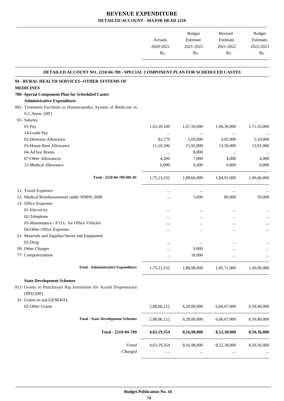-------------------------------------------------------------------------------------------------------------------------------------------------------------------------------

|           | <b>Budget</b> | Revised   | <b>Budget</b> |
|-----------|---------------|-----------|---------------|
| Actuals,  | Estimate,     | Estimate, | Estimate,     |
| 2020-2021 | 2021-2022     | 2021-2022 | 2022-2023     |
| Rs.       | Rs.           | Rs.       | Rs.           |
|           |               |           |               |

.

# **DETAILED ACCOUNT NO. 2210-04-789 - SPECIAL COMPONENT PLAN FOR SCHEDULED CASTES**

| DETAILED ACCOUNT NO. 2210-04-789 - SPECIAL COMPONENT PLAN FOR SCHEDULED CASTES |             |             |                                                 |             |
|--------------------------------------------------------------------------------|-------------|-------------|-------------------------------------------------|-------------|
| 04 - RURAL HEALTH SERVICES--OTHER SYSTEMS OF                                   |             |             |                                                 |             |
| <b>MEDICINES</b>                                                               |             |             |                                                 |             |
| 789- Special Component Plan for Scheduled Castes                               |             |             |                                                 |             |
| <b>Administrative Expenditure</b>                                              |             |             |                                                 |             |
| 001- Treatment Facilities in Homoeopathic System of Medicine in                |             |             |                                                 |             |
| S.C.Areas. [HF]                                                                |             |             |                                                 |             |
| 01- Salaries                                                                   |             |             |                                                 |             |
| 01-Pay                                                                         | 1,63,10,160 | 1,67,50,000 | 1,66,36,000                                     | 1,71,35,000 |
| 14-Grade Pay                                                                   | $\cdots$    | $\ldots$    |                                                 |             |
| 02-Dearness Allowance                                                          | 82,276      | 5,03,000    | 4,95,000                                        | 5,10,000    |
| 03-House Rent Allowance                                                        | 11,10,596   | 15,92,000   | 13,50,000                                       | 13,91,000   |
| 04-Ad hoc Bonus                                                                | $\cdots$    | 8,000       | $\cdots$                                        | $\cdots$    |
| 07-Other Allowances                                                            | 4,200       | 7,000       | 4,000                                           | 4,000       |
| 12-Medical Allowance                                                           | 6,000       | 6,000       | 6,000                                           | 6,000       |
| Total - 2210-04-789-001-01                                                     |             |             | 1,75,13,232 1,88,66,000 1,84,91,000 1,90,46,000 |             |
| 11- Travel Expenses                                                            | $\cdots$    | $\cdots$    | $\cdots$                                        |             |
| 12- Medical Reimbursements under WBHS 2008                                     |             | 5,000       | 80,000                                          | 50,000      |
| 13- Office Expenses                                                            |             |             |                                                 |             |
| 01-Electricity                                                                 | $\cdots$    | $\cdots$    | $\ddotsc$                                       |             |
| 02-Telephone                                                                   | $\cdots$    | $\cdots$    | $\cdots$                                        |             |
| 03-Maintenance / P.O.L. for Office Vehicles                                    | $\cdots$    |             | $\cdots$                                        |             |
| 04-Other Office Expenses                                                       |             |             | $\cdots$                                        |             |
| 21- Materials and Supplies/Stores and Equipment                                |             |             |                                                 |             |
| 02-Drug                                                                        |             | $\cdots$    |                                                 |             |
| 50- Other Charges                                                              | $\ddotsc$   | 9,000       | $\ddotsc$                                       |             |
| 77- Computerisation                                                            | $\cdots$    | 18,000      |                                                 |             |
| <b>Total - Administrative Expenditure</b>                                      |             |             | 1,75,13,232 1,88,98,000 1,85,71,000             | 1,90,96,000 |
| <b>State Development Schemes</b>                                               |             |             |                                                 |             |
| 012- Grants to Panchayati Raj Institution for Ayush Dispensaries<br>(PRI) [HF] |             |             |                                                 |             |
| 31- Grants-in-aid-GENERAL                                                      |             |             |                                                 |             |
| 02-Other Grants                                                                | 2,88,06,122 | 6,28,00,000 | 6,66,67,000                                     | 6,59,40,000 |
| <b>Total - State Development Schemes</b>                                       | 2,88,06,122 | 6,28,00,000 | 6,66,67,000                                     | 6,59,40,000 |
| Total - 2210-04-789                                                            | 4,63,19,354 | 8,16,98,000 | 8,52,38,000                                     | 8,50,36,000 |
| Voted                                                                          | 4,63,19,354 | 8,16,98,000 | 8,52,38,000                                     | 8,50,36,000 |
| Charged                                                                        |             |             |                                                 |             |
|                                                                                |             |             |                                                 |             |

-----------------------------------------------------------------------------------------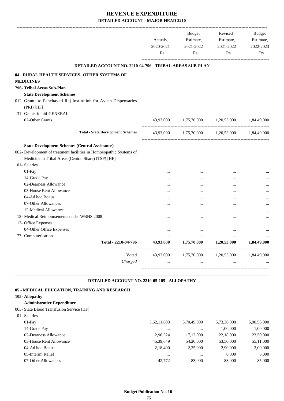|                                                                                  |           | <b>Budget</b> | Revised                 | <b>Budget</b> |
|----------------------------------------------------------------------------------|-----------|---------------|-------------------------|---------------|
|                                                                                  | Actuals,  | Estimate,     | Estimate,               | Estimate,     |
|                                                                                  | 2020-2021 | 2021-2022     | 2021-2022               | 2022-2023     |
|                                                                                  | Rs.       | Rs.           | Rs.                     | Rs.           |
| DETAILED ACCOUNT NO. 2210-04-796 - TRIBAL AREAS SUB-PLAN                         |           |               |                         |               |
| 04 - RURAL HEALTH SERVICES--OTHER SYSTEMS OF                                     |           |               |                         |               |
| <b>MEDICINES</b>                                                                 |           |               |                         |               |
| 796- Tribal Areas Sub-Plan                                                       |           |               |                         |               |
| <b>State Development Schemes</b>                                                 |           |               |                         |               |
| 012- Grants to Panchayati Raj Institution for Ayush Dispensaries<br>$(PRI)$ [HF] |           |               |                         |               |
| 31- Grants-in-aid-GENERAL                                                        |           |               |                         |               |
| 02-Other Grants                                                                  | 43,93,000 | 1,75,70,000   | 1,20,53,000             | 1,84,49,000   |
| <b>Total - State Development Schemes</b>                                         | 43,93,000 |               | 1,75,70,000 1,20,53,000 | 1,84,49,000   |
| <b>State Development Schemes (Central Assistance)</b>                            |           |               |                         |               |
| 002- Development of treatment facilities in Homoeopathic Systems of              |           |               |                         |               |
| Medicine in Tribal Areas (Central Share) (TSP) [HF]                              |           |               |                         |               |
| 01- Salaries                                                                     |           |               |                         |               |
| 01-Pay                                                                           |           |               |                         |               |
| 14-Grade Pay                                                                     | .         |               | $\cdots$                |               |
| 02-Dearness Allowance                                                            |           |               | $\cdots$                |               |
| 03-House Rent Allowance                                                          |           |               | $\cdots$                |               |
| 04-Ad hoc Bonus                                                                  |           |               |                         |               |
| 07-Other Allowances                                                              |           |               | $\ddotsc$               |               |
| 12-Medical Allowance                                                             | .         |               | $\cdots$                |               |
| 12- Medical Reimbursements under WBHS 2008                                       |           |               | $\ddotsc$               |               |
| 13- Office Expenses                                                              |           |               |                         |               |
| 04-Other Office Expenses                                                         | $\ddotsc$ |               |                         |               |
| 77- Computerisation                                                              | $\cdots$  | $\ddotsc$     | $\cdots$                |               |
| Total - 2210-04-796                                                              | 43,93,000 | 1,75,70,000   | 1,20,53,000             | 1,84,49,000   |
|                                                                                  | 43,93,000 | 1,75,70,000   | 1,20,53,000             | 1,84,49,000   |

#### **DETAILED ACCOUNT NO. 2210-05-105 - ALLOPATHY .**

.

| 05 - MEDICAL EDUCATION, TRAINING AND RESEARCH |             |             |             |             |
|-----------------------------------------------|-------------|-------------|-------------|-------------|
| 105- Allopathy                                |             |             |             |             |
| <b>Administrative Expenditure</b>             |             |             |             |             |
| 003- State Blood Transfusion Service [HF]     |             |             |             |             |
| 01- Salaries                                  |             |             |             |             |
| $01-Pav$                                      | 5,62,11,603 | 5,70,49,000 | 5,73,36,000 | 5,90,56,000 |
| 14-Grade Pay                                  | $\cdots$    | $\cdots$    | 1.00.000    | 1,00,000    |
| 02-Dearness Allowance                         | 2.90.524    | 17,12,000   | 22,18,000   | 23,50,000   |
| 03-House Rent Allowance                       | 45.39.649   | 54,20,000   | 53,50,000   | 55,11,000   |
| 04-Ad hoc Bonus                               | 2,18,400    | 2.25,000    | 2.90,000    | 3,00,000    |
| 05-Interim Relief                             | $\cdots$    | $\cdots$    | 6,000       | 6.000       |
| 07-Other Allowances                           | 42,772      | 83,000      | 83,000      | 85,000      |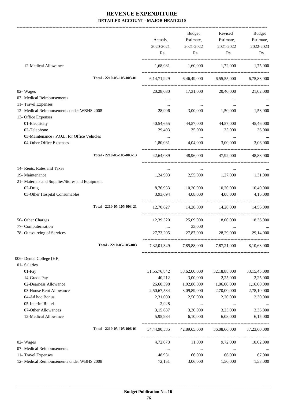|                                                 |                            |              | Budget                    | Revised                                         | Budget       |
|-------------------------------------------------|----------------------------|--------------|---------------------------|-------------------------------------------------|--------------|
|                                                 |                            | Actuals,     | Estimate,                 | Estimate,                                       | Estimate,    |
|                                                 |                            | 2020-2021    | 2021-2022                 | 2021-2022                                       | 2022-2023    |
|                                                 |                            | Rs.          | Rs.                       | $\mathbf{Rs.}$                                  | Rs.          |
| 12-Medical Allowance                            |                            |              |                           | 1,68,981 1,60,000 1,72,000 1,75,000             |              |
|                                                 | Total - 2210-05-105-003-01 |              |                           | 6,14,71,929 6,46,49,000 6,55,55,000 6,75,83,000 |              |
| 02- Wages                                       |                            |              |                           | 20,28,080 17,31,000 20,40,000 21,02,000         |              |
| 07- Medical Reimbursements                      |                            | $\cdots$     | $\cdots$                  | $\cdots$                                        |              |
| 11- Travel Expenses                             |                            | $\cdots$     | $\ldots$                  | $\ldots$                                        |              |
| 12- Medical Reimbursements under WBHS 2008      |                            | 28,996       | 3,00,000                  | 1,50,000                                        | 1,53,000     |
| 13- Office Expenses                             |                            |              |                           |                                                 |              |
| 01-Electricity                                  |                            | 40,54,655    | 44,57,000                 | 44,57,000                                       | 45,46,000    |
| 02-Telephone                                    |                            | 29,403       | 35,000                    | 35,000                                          | 36,000       |
| 03-Maintenance / P.O.L. for Office Vehicles     |                            | $\ldots$     | <b>Contract Contract</b>  | <b>Contract Contract</b>                        |              |
| 04-Other Office Expenses                        |                            | 1,80,031     | 4,04,000                  | 3,00,000                                        | 3,06,000     |
|                                                 | Total - 2210-05-105-003-13 |              |                           | 42,64,089 48,96,000 47,92,000                   | 48,88,000    |
| 14- Rents, Rates and Taxes                      |                            | $\cdots$     | $\cdots$                  | $\cdots$                                        |              |
| 19- Maintenance                                 |                            | 1,24,903     |                           | 2,55,000 1,27,000                               | 1,31,000     |
| 21- Materials and Supplies/Stores and Equipment |                            |              |                           |                                                 |              |
| 02-Drug                                         |                            | 8,76,933     | 10,20,000                 | 10,20,000                                       | 10,40,000    |
| 03-Other Hospital Consumables                   |                            | 3,93,694     | 4,08,000                  | 4,08,000                                        | 4,16,000     |
|                                                 | Total - 2210-05-105-003-21 |              |                           | 12,70,627 14,28,000 14,28,000 14,56,000         |              |
| 50- Other Charges                               |                            | 12,39,520    | 25,09,000                 | 18,00,000                                       | 18,36,000    |
| 77- Computerisation                             |                            |              | 33,000                    | $\sim$ $\sim$                                   |              |
| 78- Outsourcing of Services                     |                            | 27,73,205    | 27,87,000                 | 28,29,000                                       | 29,14,000    |
|                                                 | Total - 2210-05-105-003    | 7,32,01,349  | 7,85,88,000               | 7,87,21,000                                     | 8,10,63,000  |
| 006- Dental College [HF]                        |                            |              |                           |                                                 |              |
| 01- Salaries                                    |                            |              |                           |                                                 |              |
| 01-Pay                                          |                            | 31,55,76,842 | 38,62,00,000              | 32,18,88,000                                    | 33,15,45,000 |
| 14-Grade Pay                                    |                            | 40,212       | 3,00,000                  | 2,25,000                                        | 2,25,000     |
| 02-Dearness Allowance                           |                            | 26,60,398    | 1,02,86,000               | 1,06,00,000                                     | 1,16,00,000  |
| 03-House Rent Allowance                         |                            | 2,50,67,534  | 3,09,89,000               | 2,70,00,000                                     | 2,78,10,000  |
| 04-Ad hoc Bonus                                 |                            | 2,31,000     | 2,50,000                  | 2,20,000                                        | 2,30,000     |
| 05-Interim Relief                               |                            | 2,928        | $\ldots$                  |                                                 |              |
| 07-Other Allowances                             |                            | 3,15,637     | 3,30,000                  | 3,25,000                                        | 3,35,000     |
| 12-Medical Allowance                            |                            | 5,95,984     | 6,10,000                  | 6,08,000                                        | 6,15,000     |
|                                                 | Total - 2210-05-105-006-01 |              | 34,44,90,535 42,89,65,000 | 36,08,66,000                                    | 37,23,60,000 |
| 02- Wages                                       |                            | 4,72,073     | 11,000                    | 9,72,000                                        | 10,02,000    |
| 07- Medical Reimbursements                      |                            | $\cdots$     | $\cdots$                  | $\cdots$                                        |              |
| 11- Travel Expenses                             |                            | 48,931       | 66,000                    | 66,000                                          | 67,000       |
| 12- Medical Reimbursements under WBHS 2008      |                            | 72,151       | 3,06,000                  | 1,50,000                                        | 1,53,000     |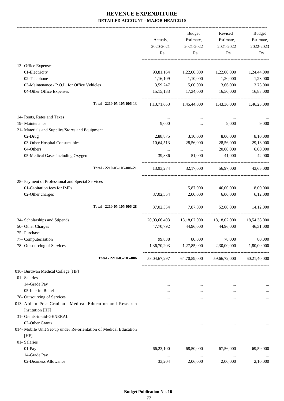|                                                                                     |                                                           | Budget              | Revised                                             | Budget       |
|-------------------------------------------------------------------------------------|-----------------------------------------------------------|---------------------|-----------------------------------------------------|--------------|
|                                                                                     | Actuals,                                                  | Estimate,           | Estimate,                                           | Estimate,    |
|                                                                                     | 2020-2021                                                 | 2021-2022           | 2021-2022                                           | 2022-2023    |
|                                                                                     | Rs.                                                       | Rs.                 | Rs.                                                 | Rs.          |
| 13- Office Expenses                                                                 |                                                           |                     |                                                     |              |
| 01-Electricity                                                                      | 93,81,164                                                 | 1,22,00,000         | 1,22,00,000                                         | 1,24,44,000  |
| 02-Telephone                                                                        | 1,16,109                                                  | 1,10,000            | 1,20,000                                            | 1,23,000     |
| 03-Maintenance / P.O.L. for Office Vehicles                                         | 3,59,247                                                  | 5,00,000            | 3,66,000                                            | 3,73,000     |
| 04-Other Office Expenses                                                            |                                                           | 15,15,133 17,34,000 | 16,50,000                                           | 16,83,000    |
| Total - 2210-05-105-006-13                                                          |                                                           |                     | 1,13,71,653 1,45,44,000 1,43,36,000 1,46,23,000     |              |
| 14- Rents, Rates and Taxes                                                          | $\cdots$                                                  | $\cdots$            | $\cdots$                                            |              |
| 19- Maintenance                                                                     | 9,000                                                     | $\cdots$            | 9,000                                               | 9,000        |
| 21- Materials and Supplies/Stores and Equipment                                     |                                                           |                     |                                                     |              |
| 02-Drug                                                                             | 2,88,875                                                  | 3,10,000            | 8,00,000                                            | 8,10,000     |
| 03-Other Hospital Consumables                                                       | 10,64,513                                                 | 28,56,000           | 28,56,000                                           | 29,13,000    |
| 04-Others                                                                           | $\cdots$                                                  | $\cdots$            | 20,00,000                                           | 6,00,000     |
| 05-Medical Gases including Oxygen                                                   | 39,886                                                    | 51,000              | 41,000                                              | 42,000       |
| Total - 2210-05-105-006-21                                                          |                                                           | 13,93,274 32,17,000 | 56,97,000                                           | 43,65,000    |
| 28- Payment of Professional and Special Services                                    |                                                           |                     |                                                     |              |
| 01-Capitation fees for IMPs                                                         | $\mathbf{r}$ , $\mathbf{r}$ , $\mathbf{r}$ , $\mathbf{r}$ | 5,87,000            | 46,00,000                                           | 8,00,000     |
| 02-Other charges                                                                    | 37,02,354                                                 | 2,00,000            | 6,00,000                                            | 6,12,000     |
| Total - 2210-05-105-006-28                                                          |                                                           |                     | 37,02,354 7,87,000 52,00,000 14,12,000              |              |
| 34- Scholarships and Stipends                                                       |                                                           |                     | 20,03,66,493 18,18,02,000 18,18,02,000 18,54,38,000 |              |
| 50- Other Charges                                                                   | 47,70,792                                                 | 44,96,000           | 44,96,000                                           | 46,31,000    |
| 75- Purchase                                                                        |                                                           |                     |                                                     |              |
| 77- Computerisation                                                                 | 99,838                                                    | 80,000              | 78,000                                              | 80,000       |
| 78- Outsourcing of Services                                                         | 1,36,70,203                                               | 1,27,85,000         | 2,30,00,000                                         | 1,80,00,000  |
| Total - 2210-05-105-006                                                             |                                                           |                     | 58,04,67,297 64,70,59,000 59,66,72,000              | 60,21,40,000 |
| 010- Burdwan Medical College [HF]                                                   |                                                           |                     |                                                     |              |
| 01- Salaries                                                                        |                                                           |                     |                                                     |              |
| 14-Grade Pay                                                                        | $\cdots$                                                  | $\cdots$            | $\cdots$                                            | $\cdots$     |
| 05-Interim Relief                                                                   | $\cdots$                                                  | $\cdots$            | $\cdots$                                            |              |
| 78- Outsourcing of Services                                                         |                                                           | $\cdots$            | $\cdots$                                            | $\cdots$     |
| 013- Aid to Post-Graduate Medical Education and Research<br><b>Institution</b> [HF] |                                                           |                     |                                                     |              |
| 31- Grants-in-aid-GENERAL                                                           |                                                           |                     |                                                     |              |
| 02-Other Grants                                                                     | $\cdots$                                                  | $\cdots$            | $\cdots$                                            |              |
| 014- Mobile Unit Set-up under Re-orientation of Medical Education                   |                                                           |                     |                                                     |              |
| [HF]                                                                                |                                                           |                     |                                                     |              |
| 01- Salaries                                                                        |                                                           |                     |                                                     |              |
| 01-Pay                                                                              | 66,23,100                                                 | 68,50,000           | 67,56,000                                           | 69,59,000    |
| 14-Grade Pay                                                                        | $\ldots$                                                  | $\ldots$            | $\ddotsc$                                           |              |
| 02-Dearness Allowance                                                               | 33,204                                                    | 2,06,000            | 2,00,000                                            | 2,10,000     |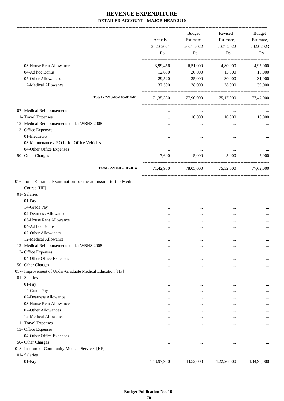|                                                                           | Actuals,<br>2020-2021<br>Rs. | <b>Budget</b><br>Estimate,<br>2021-2022<br>Rs. | Revised<br>Estimate,<br>2021-2022<br>Rs. | Budget<br>Estimate,<br>2022-2023<br>Rs. |
|---------------------------------------------------------------------------|------------------------------|------------------------------------------------|------------------------------------------|-----------------------------------------|
| 03-House Rent Allowance                                                   | 3,99,456                     | 6,51,000                                       | 4,80,000                                 | 4,95,000                                |
| 04-Ad hoc Bonus                                                           | 12,600                       | 20,000                                         | 13,000                                   | 13,000                                  |
| 07-Other Allowances                                                       | 29,520                       | 25,000                                         | 30,000                                   | 31,000                                  |
| 12-Medical Allowance                                                      | 37,500                       | 38,000                                         | 38,000                                   | 39,000                                  |
| Total - 2210-05-105-014-01                                                | 71,35,380                    | 77,90,000                                      | 75,17,000                                | 77,47,000                               |
| 07- Medical Reimbursements                                                |                              | $\cdots$                                       | $\cdots$                                 |                                         |
| 11- Travel Expenses                                                       | $\cdots$                     | 10,000                                         | 10,000                                   | 10,000                                  |
| 12- Medical Reimbursements under WBHS 2008                                |                              | $\cdots$                                       | $\cdots$                                 |                                         |
| 13- Office Expenses                                                       |                              |                                                |                                          |                                         |
| 01-Electricity                                                            |                              | $\cdots$                                       |                                          |                                         |
| 03-Maintenance / P.O.L. for Office Vehicles                               |                              | $\cdots$                                       |                                          |                                         |
| 04-Other Office Expenses                                                  | $\cdots$                     | $\cdots$                                       | $\cdots$                                 |                                         |
| 50- Other Charges                                                         | 7,600                        | 5,000                                          | 5,000                                    | 5,000                                   |
| Total - 2210-05-105-014                                                   | 71,42,980                    | 78,05,000                                      | 75,32,000                                | 77,62,000                               |
| 016- Joint Entrance Examination for the admission to the Medical          |                              |                                                |                                          |                                         |
| Course [HF]                                                               |                              |                                                |                                          |                                         |
| 01- Salaries                                                              |                              |                                                |                                          |                                         |
| 01-Pay                                                                    |                              |                                                |                                          |                                         |
| 14-Grade Pay                                                              |                              | $\cdots$                                       |                                          |                                         |
| 02-Dearness Allowance                                                     |                              |                                                |                                          |                                         |
| 03-House Rent Allowance                                                   |                              |                                                |                                          |                                         |
| 04-Ad hoc Bonus                                                           |                              |                                                |                                          |                                         |
| 07-Other Allowances                                                       |                              |                                                |                                          |                                         |
| 12-Medical Allowance                                                      |                              |                                                |                                          | $\cdots$                                |
| 12- Medical Reimbursements under WBHS 2008                                |                              |                                                | $\cdots$                                 | $\cdots$                                |
| 13- Office Expenses                                                       |                              |                                                |                                          |                                         |
| 04-Other Office Expenses                                                  |                              |                                                |                                          | $\cdots$                                |
| 50- Other Charges                                                         |                              |                                                |                                          | $\cdots$                                |
| 017- Improvement of Under-Graduate Medical Education [HF]<br>01- Salaries |                              |                                                |                                          |                                         |
| 01-Pay                                                                    |                              |                                                |                                          |                                         |
| 14-Grade Pay                                                              |                              |                                                |                                          | $\cdots$                                |
| 02-Dearness Allowance                                                     |                              |                                                |                                          | $\cdots$                                |
| 03-House Rent Allowance                                                   |                              |                                                |                                          | $\cdots$                                |
| 07-Other Allowances                                                       |                              | $\cdots$                                       |                                          |                                         |
| 12-Medical Allowance                                                      |                              | $\cdots$                                       |                                          |                                         |
| 11- Travel Expenses                                                       |                              | <br>$\cdots$                                   |                                          | <br>                                    |
| 13- Office Expenses                                                       |                              |                                                |                                          |                                         |
| 04-Other Office Expenses                                                  |                              |                                                |                                          |                                         |
| 50- Other Charges                                                         |                              |                                                |                                          |                                         |
| 018- Institute of Community Medical Services [HF]                         |                              |                                                |                                          |                                         |
| 01- Salaries                                                              |                              |                                                |                                          |                                         |
| 01-Pay                                                                    | 4,13,97,950                  | 4,43,52,000                                    | 4,22,26,000                              | 4,34,93,000                             |
|                                                                           |                              |                                                |                                          |                                         |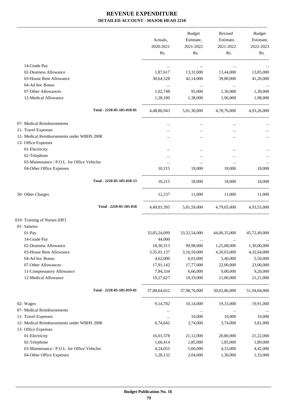-------------------------------------------------------------------------------------------------------------------------------------------------------------------------------

|                                             | Actuals,<br>2020-2021<br>Rs. | <b>Budget</b><br>Estimate,<br>2021-2022<br>Rs. | Revised<br>Estimate,<br>2021-2022<br>Rs. | <b>Budget</b><br>Estimate,<br>2022-2023<br>Rs. |
|---------------------------------------------|------------------------------|------------------------------------------------|------------------------------------------|------------------------------------------------|
| 14-Grade Pay                                | $\cdots$                     | $\cdots$                                       |                                          |                                                |
| 02-Dearness Allowance                       | 1,87,617                     | 13,31,000                                      | 13,44,000                                | 13,85,000                                      |
| 03-House Rent Allowance                     | 30,64,528                    | 42,14,000                                      | 39,80,000                                | 41,20,000                                      |
| 04-Ad hoc Bonus                             | $\cdots$                     | $\cdots$                                       | $\sim 100$ and $\sim 100$                | $\cdots$                                       |
| 07-Other Allowances                         | 1,02,748                     | 95,000                                         | 1,30,000                                 | 1,30,000                                       |
| 12-Medical Allowance                        | 1,28,100                     | 1,38,000                                       | 1,96,000                                 | 1,98,000                                       |
| Total - 2210-05-105-018-01                  |                              |                                                | 4,48,80,943 5,01,30,000 4,78,76,000      | 4,93,26,000                                    |
| 07- Medical Reimbursements                  |                              |                                                |                                          |                                                |
| 11- Travel Expenses                         |                              | $\cdots$                                       | $\cdots$                                 |                                                |
| 12- Medical Reimbursements under WBHS 2008  |                              |                                                | $\ddotsc$                                | $\ldots$                                       |
| 13- Office Expenses                         |                              |                                                |                                          |                                                |
| 01-Electricity                              | $\cdots$                     |                                                | $\cdots$                                 |                                                |
| 02-Telephone                                |                              | $\cdots$                                       | $\cdots$                                 |                                                |
| 03-Maintenance / P.O.L. for Office Vehicles | $\cdots$                     | $\cdots$                                       | $\cdots$                                 | $\ldots$                                       |
| 04-Other Office Expenses                    | 10,215                       | 18,000                                         | 18,000                                   | 18,000                                         |
| Total - 2210-05-105-018-13                  |                              |                                                | 10,215 18,000 18,000 18,000              |                                                |
| 50- Other Charges                           | 12,237                       | 11,000                                         | 11,000                                   | 11,000                                         |
| Total - 2210-05-105-018                     | 4,49,03,395                  |                                                | 5,01,59,000 4,79,05,000 4,93,55,000      |                                                |
| 019- Training of Nurses [HF]                |                              |                                                |                                          |                                                |
| 01- Salaries                                |                              |                                                |                                          |                                                |
| 01-Pay                                      | 33,05,24,099                 | 33, 32, 54, 000                                | 44,00,35,000                             | 45,72,49,000                                   |
| 14-Grade Pay                                | 44,000                       | $\cdots$                                       | $\cdots$                                 | $\cdots$                                       |
| 02-Dearness Allowance                       | 18,30,313                    | 99,98,000                                      | 1,25,08,000                              | 1,30,00,000                                    |
| 03-House Rent Allowance                     | 3,35,01,137                  | 3,16,59,000                                    | 4,20,03,000                              | 4,32,64,000                                    |
| 04-Ad hoc Bonus                             | 4,62,000                     | 6,03,000                                       | 5,40,000                                 | 5,50,000                                       |
| 07-Other Allowances                         | 17,91,142                    | 17,77,000                                      | 22,00,000                                | 23,00,000                                      |
| 11-Compensatory Allowance                   | 7,84,334                     | 6,66,000                                       | 9,00,000                                 | 9,20,000                                       |
| 12-Medical Allowance                        | 19,27,627                    | 19,19,000                                      | 21,00,000                                | 21,21,000                                      |
| Total - 2210-05-105-019-01                  | 37,08,64,652                 | 37,98,76,000                                   | 50,02,86,000                             | 51,94,04,000                                   |
| 02- Wages                                   | 9, 14, 702                   | 10,14,000                                      | 19,33,000                                | 19,91,000                                      |
| 07- Medical Reimbursements                  | $\cdots$                     | $\ldots$                                       | $\ldots$                                 |                                                |
| 11- Travel Expenses                         | $\cdots$                     | 10,000                                         | 10,000                                   | 10,000                                         |
| 12- Medical Reimbursements under WBHS 2008  | 6,74,642                     | 3,74,000                                       | 3,74,000                                 | 3,81,000                                       |
| 13- Office Expenses                         |                              |                                                |                                          |                                                |
| 01-Electricity                              | 16,01,578                    | 21,12,000                                      | 20,80,000                                | 21,22,000                                      |
| 02-Telephone                                | 1,66,414                     | 1,85,000                                       | 1,85,000                                 | 1,89,000                                       |
| 03-Maintenance / P.O.L. for Office Vehicles | 4,24,055                     | 5,60,000                                       | 4,33,000                                 | 4,42,000                                       |
| 04-Other Office Expenses                    | 1,28,132                     | 2,04,000                                       | 1,30,000                                 | 1,33,000                                       |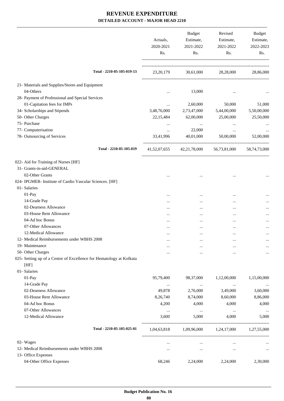-------------------------------------------------------------------------------------------------------------------------------------------------------------------------------

|                   |                                                                     | Actuals,<br>2020-2021<br>Rs. | <b>Budget</b><br>Estimate,<br>2021-2022<br>Rs. | Revised<br>Estimate,<br>2021-2022<br>Rs. | <b>Budget</b><br>Estimate,<br>2022-2023<br>Rs. |
|-------------------|---------------------------------------------------------------------|------------------------------|------------------------------------------------|------------------------------------------|------------------------------------------------|
|                   | Total - 2210-05-105-019-13                                          | 23, 20, 179                  | 30,61,000                                      | 28,28,000                                | 28,86,000                                      |
|                   | 21- Materials and Supplies/Stores and Equipment                     |                              |                                                |                                          |                                                |
| 04-Others         |                                                                     | $\ddotsc$                    | 13,000                                         |                                          |                                                |
|                   | 28- Payment of Professional and Special Services                    |                              |                                                |                                          |                                                |
|                   | 01-Capitation fees for IMPs                                         | $\cdots$                     | 2,60,000                                       | 50,000                                   | 51,000                                         |
|                   | 34- Scholarships and Stipends                                       | 3,48,76,000                  | 2,73,47,000                                    | 5,44,00,000                              | 5,50,00,000                                    |
| 50- Other Charges |                                                                     | 22,15,484                    | 62,00,000                                      | 25,00,000                                | 25,50,000                                      |
| 75- Purchase      |                                                                     | $\cdots$                     | $\cdots$                                       |                                          |                                                |
|                   | 77- Computerisation                                                 | $\cdots$                     | 22,000                                         | $\cdots$                                 |                                                |
|                   | 78- Outsourcing of Services                                         | 33,41,996                    | 40,01,000                                      | 50,00,000                                | 52,00,000                                      |
|                   | Total - 2210-05-105-019                                             | 41, 52, 07, 655              | 42,21,78,000                                   | 56,73,81,000                             | 58,74,73,000                                   |
|                   | 022- Aid for Training of Nurses [HF]                                |                              |                                                |                                          |                                                |
|                   | 31- Grants-in-aid-GENERAL                                           |                              |                                                |                                          |                                                |
|                   | 02-Other Grants                                                     |                              |                                                |                                          |                                                |
|                   | 024- IPGMER- Institute of Cardio Vascular Sciences. [HF]            |                              |                                                |                                          |                                                |
| 01- Salaries      |                                                                     |                              |                                                |                                          |                                                |
| 01-Pay            |                                                                     |                              |                                                |                                          |                                                |
|                   | 14-Grade Pay                                                        |                              |                                                |                                          |                                                |
|                   | 02-Dearness Allowance                                               | .                            |                                                |                                          |                                                |
|                   | 03-House Rent Allowance                                             |                              |                                                |                                          |                                                |
|                   | 04-Ad hoc Bonus                                                     |                              |                                                |                                          |                                                |
|                   | 07-Other Allowances                                                 |                              |                                                |                                          |                                                |
|                   | 12-Medical Allowance                                                |                              |                                                |                                          |                                                |
|                   | 12- Medical Reimbursements under WBHS 2008                          |                              | $\ddotsc$                                      | $\ddotsc$                                |                                                |
| 19- Maintenance   |                                                                     |                              | $\ddotsc$                                      |                                          | $\cdots$                                       |
| 50- Other Charges |                                                                     | .                            |                                                |                                          |                                                |
| [HF]              | 025- Setting up of a Centre of Excellence for Hematology at Kolkata |                              |                                                |                                          |                                                |
| 01- Salaries      |                                                                     |                              |                                                |                                          |                                                |
| 01-Pay            |                                                                     | 95,79,400                    | 98,37,000                                      | 1,12,00,000                              | 1,15,00,000                                    |
|                   | 14-Grade Pay                                                        | $\ldots$                     | $\cdots$                                       | $\ldots$                                 | $\cdots$                                       |
|                   | 02-Dearness Allowance                                               | 49,878                       | 2,76,000                                       | 3,49,000                                 | 3,60,000                                       |
|                   | 03-House Rent Allowance                                             | 8,26,740                     | 8,74,000                                       | 8,60,000                                 | 8,86,000                                       |
|                   | 04-Ad hoc Bonus                                                     | 4,200                        | 4,000                                          | 4,000                                    | 4,000                                          |
|                   | 07-Other Allowances                                                 | $\ldots$                     | $\ldots$                                       | $\ldots$                                 | $\cdots$                                       |
|                   | 12-Medical Allowance                                                | 3,600                        | 5,000                                          | 4,000<br>------------------------        | 5,000                                          |
|                   | Total - 2210-05-105-025-01                                          | 1,04,63,818                  |                                                | 1,09,96,000 1,24,17,000                  | 1,27,55,000                                    |
| 02- Wages         |                                                                     | $\cdots$                     | $\cdots$                                       |                                          |                                                |
|                   | 12- Medical Reimbursements under WBHS 2008                          |                              | $\cdots$                                       | $\cdots$                                 | $\cdots$                                       |
|                   | 13- Office Expenses                                                 |                              |                                                |                                          |                                                |
|                   | 04-Other Office Expenses                                            | 68,246                       | 2,24,000                                       | 2,24,000                                 | 2,30,000                                       |
|                   |                                                                     |                              |                                                |                                          |                                                |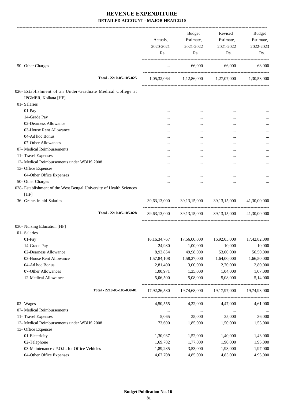|                                                                     | Actuals,<br>2020-2021<br>Rs. | <b>Budget</b><br>Estimate,<br>2021-2022<br>Rs. | Revised<br>Estimate,<br>2021-2022<br>Rs.            | Budget<br>Estimate,<br>2022-2023<br>Rs. |
|---------------------------------------------------------------------|------------------------------|------------------------------------------------|-----------------------------------------------------|-----------------------------------------|
| 50- Other Charges                                                   | $\ldots$                     | 66,000                                         | 66,000                                              | 68,000                                  |
| Total - 2210-05-105-025                                             |                              |                                                | 1,05,32,064 1,12,86,000 1,27,07,000 1,30,53,000     |                                         |
| 026- Establishment of an Under-Graduate Medical College at          |                              |                                                |                                                     |                                         |
| IPGMER, Kolkata [HF]                                                |                              |                                                |                                                     |                                         |
| 01- Salaries                                                        |                              |                                                |                                                     |                                         |
| 01-Pay                                                              |                              | $\cdots$                                       | $\ddotsc$                                           |                                         |
| 14-Grade Pay                                                        |                              | $\cdots$                                       |                                                     |                                         |
| 02-Dearness Allowance                                               | $\cdots$                     | $\cdots$                                       | $\cdots$                                            |                                         |
| 03-House Rent Allowance                                             | $\cdots$                     | $\cdots$                                       | $\cdots$                                            |                                         |
| 04-Ad hoc Bonus                                                     |                              | $\cdots$                                       |                                                     |                                         |
| 07-Other Allowances                                                 | $\cdots$                     | $\cdots$                                       | $\cdots$                                            |                                         |
| 07- Medical Reimbursements                                          | $\cdots$                     | $\cdots$                                       |                                                     |                                         |
| 11- Travel Expenses                                                 |                              | $\cdots$                                       |                                                     |                                         |
| 12- Medical Reimbursements under WBHS 2008                          | $\cdots$                     | $\cdots$                                       | $\ddotsc$                                           | $\cdots$                                |
| 13- Office Expenses                                                 |                              |                                                |                                                     |                                         |
| 04-Other Office Expenses                                            | $\cdots$                     | $\cdots$                                       |                                                     |                                         |
| 50- Other Charges                                                   |                              | $\cdots$                                       |                                                     |                                         |
| 028- Establishment of the West Bengal University of Health Sciences |                              |                                                |                                                     |                                         |
| [HF]<br>36- Grants-in-aid-Salaries                                  |                              |                                                | 39,63,13,000 39,13,15,000 39,13,15,000 41,30,00,000 |                                         |
| Total - 2210-05-105-028                                             |                              |                                                | 39,63,13,000 39,13,15,000 39,13,15,000 41,30,00,000 |                                         |
| 030- Nursing Education [HF]                                         |                              |                                                |                                                     |                                         |
| 01- Salaries                                                        |                              |                                                |                                                     |                                         |
| 01-Pay                                                              |                              |                                                | 16,16,34,767 17,56,00,000 16,92,05,000 17,42,82,000 |                                         |
| 14-Grade Pay                                                        | 24,980                       | 1,00,000                                       | 10,000                                              | 10,000                                  |
| 02-Dearness Allowance                                               | 8,93,854                     | 49,98,000                                      | 53,00,000                                           | 56,50,000                               |
| 03-House Rent Allowance                                             | 1,57,84,108                  | 1,58,27,000                                    | 1,64,00,000                                         | 1,66,50,000                             |
| 04-Ad hoc Bonus                                                     | 2,81,400                     | 3,00,000                                       | 2,70,000                                            | 2,80,000                                |
| 07-Other Allowances                                                 | 1,00,971                     | 1,35,000                                       | 1,04,000                                            | 1,07,000                                |
| 12-Medical Allowance                                                | 5,06,500                     | 5,08,000                                       | 5,08,000                                            | 5,14,000                                |
| Total - 2210-05-105-030-01                                          | 17,92,26,580                 | 19,74,68,000                                   | 19,17,97,000                                        | 19,74,93,000                            |
| 02- Wages                                                           | 4,50,555                     | 4,32,000                                       | 4,47,000                                            | 4,61,000                                |
| 07- Medical Reimbursements                                          | $\cdots$                     | $\ldots$                                       | $\ldots$                                            | $\cdots$                                |
| 11- Travel Expenses                                                 | 5,065                        | 35,000                                         | 35,000                                              | 36,000                                  |
| 12- Medical Reimbursements under WBHS 2008                          | 73,690                       | 1,85,000                                       | 1,50,000                                            | 1,53,000                                |
| 13- Office Expenses                                                 |                              |                                                |                                                     |                                         |
| 01-Electricity                                                      | 1,30,937                     | 1,52,000                                       | 1,40,000                                            | 1,43,000                                |
| 02-Telephone                                                        | 1,69,782                     | 1,77,000                                       | 1,90,000                                            | 1,95,000                                |
| 03-Maintenance / P.O.L. for Office Vehicles                         | 1,89,285                     | 3,53,000                                       | 1,93,000                                            | 1,97,000                                |
| 04-Other Office Expenses                                            | 4,67,708                     | 4,85,000                                       | 4,85,000                                            | 4,95,000                                |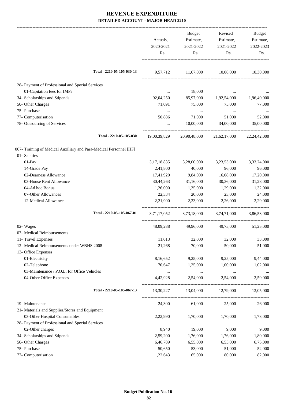|                                                                    |                | Budget      | Revised                                | Budget      |
|--------------------------------------------------------------------|----------------|-------------|----------------------------------------|-------------|
|                                                                    | Actuals,       | Estimate,   | Estimate,                              | Estimate,   |
|                                                                    | 2020-2021      | 2021-2022   | 2021-2022                              | 2022-2023   |
|                                                                    | Rs.            | Rs.         | Rs.                                    | Rs.         |
|                                                                    |                |             |                                        |             |
| Total - 2210-05-105-030-13                                         |                |             | 9,57,712 11,67,000 10,08,000 10,30,000 |             |
| 28- Payment of Professional and Special Services                   |                |             |                                        |             |
| 01-Capitation fees for IMPs                                        | $\ldots$       | 18,000      |                                        |             |
| 34- Scholarships and Stipends                                      | 92,04,250      | 85,97,000   | 1,92,54,000                            | 1,96,40,000 |
| 50- Other Charges                                                  | 71,091         | 75,000      | 75,000                                 | 77,000      |
| 75- Purchase                                                       | $\cdots$       | $\cdots$    | $\cdots$                               |             |
| 77- Computerisation                                                | 50,886         | 71,000      | 51,000                                 | 52,000      |
| 78- Outsourcing of Services                                        | $\cdots$       | 10,00,000   | 34,00,000                              | 35,00,000   |
| Total - 2210-05-105-030                                            | 19,00,39,829   |             | 20,90,48,000 21,62,17,000 22,24,42,000 |             |
| 067- Training of Medical Auxiliary and Para-Medical Personnel [HF] |                |             |                                        |             |
| 01- Salaries                                                       |                |             |                                        |             |
| 01-Pay                                                             | 3, 17, 18, 835 | 3,28,00,000 | 3,23,53,000                            | 3,33,24,000 |
| 14-Grade Pay                                                       | 2,41,800       | 40,000      | 96,000                                 | 96,000      |
| 02-Dearness Allowance                                              | 17,41,920      | 9,84,000    | 16,08,000                              | 17,20,000   |
| 03-House Rent Allowance                                            | 30,44,263      | 31,16,000   | 30,36,000                              | 31,28,000   |
| 04-Ad hoc Bonus                                                    | 1,26,000       | 1,35,000    | 1,29,000                               | 1,32,000    |
| 07-Other Allowances                                                | 22,334         | 20,000      | 23,000                                 | 24,000      |
| 12-Medical Allowance                                               | 2,21,900       | 2,23,000    | 2,26,000                               | 2,29,000    |
| Total - 2210-05-105-067-01                                         | 3,71,17,052    | 3,73,18,000 | 3,74,71,000                            | 3,86,53,000 |
| 02- Wages                                                          | 48,09,288      | 49,96,000   | 49,75,000                              | 51,25,000   |
| 07- Medical Reimbursements                                         |                |             |                                        |             |
| 11- Travel Expenses                                                | 11,013         | 32,000      | 32,000                                 | 33,000      |
| 12- Medical Reimbursements under WBHS 2008                         | 21,268         | 70,000      | 50,000                                 | 51,000      |
| 13- Office Expenses                                                |                |             |                                        |             |
| 01-Electricity                                                     | 8,16,652       | 9,25,000    | 9,25,000                               | 9,44,000    |
| 02-Telephone                                                       | 70,647         | 1,25,000    | 1,00,000                               | 1,02,000    |
| 03-Maintenance / P.O.L. for Office Vehicles                        | $\cdots$       | $\cdots$    |                                        | $\cdots$    |
| 04-Other Office Expenses                                           | 4,42,928       | 2,54,000    | 2,54,000                               | 2,59,000    |
| Total - 2210-05-105-067-13                                         | 13,30,227      | 13,04,000   | 12,79,000                              | 13,05,000   |
| 19- Maintenance                                                    | 24,300         | 61,000      | 25,000                                 | 26,000      |
| 21- Materials and Supplies/Stores and Equipment                    |                |             |                                        |             |
| 03-Other Hospital Consumables                                      | 2,22,990       | 1,70,000    | 1,70,000                               | 1,73,000    |
| 28- Payment of Professional and Special Services                   |                |             |                                        |             |
| 02-Other charges                                                   | 8,940          | 19,000      | 9,000                                  | 9,000       |
| 34- Scholarships and Stipends                                      | 2,59,200       | 1,76,000    | 1,76,000                               | 1,80,000    |
| 50- Other Charges                                                  | 6,46,789       | 6,55,000    | 6,55,000                               | 6,75,000    |
| 75- Purchase                                                       | 50,650         | 53,000      | 51,000                                 | 52,000      |
| 77- Computerisation                                                | 1,22,643       | 65,000      | 80,000                                 | 82,000      |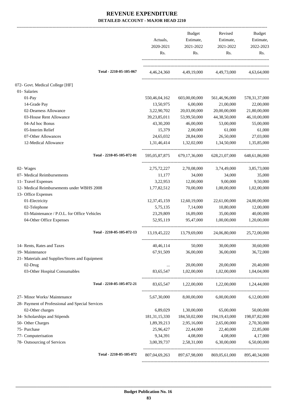|                                                  | Actuals,<br>2020-2021<br>Rs. | Budget<br>Estimate,<br>2021-2022<br>Rs. | Revised<br>Estimate,<br>2021-2022<br>Rs. | Budget<br>Estimate,<br>2022-2023<br>Rs. |
|--------------------------------------------------|------------------------------|-----------------------------------------|------------------------------------------|-----------------------------------------|
| Total - 2210-05-105-067                          | 4,46,24,360                  |                                         | 4,49,19,000 4,49,73,000                  | 4,63,64,000                             |
| 072- Govt. Medical College [HF]                  |                              |                                         |                                          |                                         |
| 01- Salaries                                     |                              |                                         |                                          |                                         |
| $01-Pay$                                         | 550,46,04,162                | 603,00,00,000                           | 561,46,96,000                            | 578, 31, 37, 000                        |
| 14-Grade Pay                                     | 13,50,975                    | 6,00,000                                | 21,00,000                                | 22,00,000                               |
| 02-Dearness Allowance                            | 3,22,90,702                  | 20,03,00,000                            | 20,00,00,000                             | 21,80,00,000                            |
| 03-House Rent Allowance                          | 39,23,85,011                 | 53,99,50,000                            | 44,38,50,000                             | 46,10,00,000                            |
| 04-Ad hoc Bonus                                  | 43,30,200                    | 46,00,000                               | 53,00,000                                | 55,00,000                               |
| 05-Interim Relief                                | 15,379                       | 2,00,000                                | 61,000                                   | 61,000                                  |
| 07-Other Allowances                              | 24,65,032                    | 28,84,000                               | 26,50,000                                | 27,03,000                               |
| 12-Medical Allowance                             | 1,31,46,414                  | 1,32,02,000                             | 1,34,50,000                              | 1,35,85,000                             |
| Total - 2210-05-105-072-01                       | 595,05,87,875                | 679, 17, 36, 000                        | 628, 21, 07, 000                         | 648,61,86,000                           |
| 02- Wages                                        | 2,75,72,227                  | 2,70,08,000                             | 3,74,49,000                              | 3,85,73,000                             |
| 07- Medical Reimbursements                       | 11,177                       | 34,000                                  | 34,000                                   | 35,000                                  |
| 11- Travel Expenses                              | 3,22,953                     | 12,00,000                               | 9,00,000                                 | 9,50,000                                |
| 12- Medical Reimbursements under WBHS 2008       | 1,77,82,512                  | 70,00,000                               | 1,00,00,000                              | 1,02,00,000                             |
| 13- Office Expenses                              |                              |                                         |                                          |                                         |
| 01-Electricity                                   | 12, 37, 45, 159              | 12,60,19,000                            | 22,61,00,000                             | 24,00,00,000                            |
| 02-Telephone                                     | 5,75,135                     | 7,14,000                                | 10,80,000                                | 12,00,000                               |
| 03-Maintenance / P.O.L. for Office Vehicles      | 23,29,809                    | 16,89,000                               | 35,00,000                                | 40,00,000                               |
| 04-Other Office Expenses                         | 52,95,119                    | 95,47,000                               | 1,00,00,000                              | 1,20,00,000                             |
| Total - 2210-05-105-072-13                       | 13, 19, 45, 222              | 13,79,69,000                            | 24,06,80,000                             | 25,72,00,000                            |
| 14- Rents, Rates and Taxes                       | 40,46,114                    | 50,000                                  | 30,00,000                                | 30,60,000                               |
| 19- Maintenance                                  | 67,91,509                    | 36,00,000                               | 36,00,000                                | 36,72,000                               |
| 21- Materials and Supplies/Stores and Equipment  |                              |                                         |                                          |                                         |
| 02-Drug                                          | $\ldots$                     | 20,00,000                               | 20,00,000                                | 20,40,000                               |
| 03-Other Hospital Consumables                    | 83,65,547                    | 1,02,00,000                             | 1,02,00,000                              | 1,04,04,000                             |
| Total - 2210-05-105-072-21                       | 83,65,547                    | 1,22,00,000                             | 1,22,00,000                              | 1,24,44,000                             |
| 27- Minor Works/ Maintenance                     | 5,67,30,000                  | 8,00,00,000                             | 6,00,00,000                              | 6,12,00,000                             |
| 28- Payment of Professional and Special Services |                              |                                         |                                          |                                         |
| 02-Other charges                                 | 6,89,029                     | 1,30,00,000                             | 65,00,000                                | 50,00,000                               |
| 34- Scholarships and Stipends                    | 181, 31, 15, 330             | 184,50,02,000                           | 194, 19, 43, 000                         | 198,07,82,000                           |
| 50- Other Charges                                | 1,89,39,213                  | 2,95,16,000                             | 2,65,00,000                              | 2,70,30,000                             |
| 75- Purchase                                     | 25,96,427                    | 22,44,000                               | 22,40,000                                | 22,85,000                               |
| 77- Computerisation                              | 9,34,391                     | 4,08,000                                | 4,08,000                                 | 4,17,000                                |
| 78- Outsourcing of Services                      | 3,00,39,737                  | 2,58,31,000                             | 6,30,00,000                              | 6,50,00,000                             |
| Total - 2210-05-105-072                          | 807,04,69,263                | 897,67,98,000                           | 869,05,61,000                            | 895,40,34,000                           |
|                                                  |                              |                                         |                                          |                                         |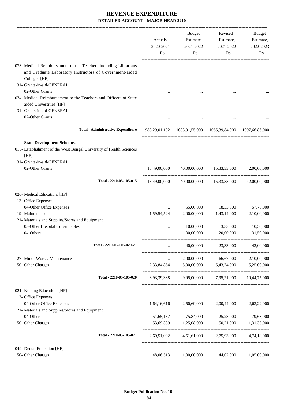|                                                                                                                            | Actuals,<br>2020-2021<br>Rs. | <b>Budget</b><br>Estimate,<br>2021-2022<br>Rs.             | Revised<br>Estimate,<br>2021-2022<br>Rs. | Budget<br>Estimate,<br>2022-2023<br>Rs. |
|----------------------------------------------------------------------------------------------------------------------------|------------------------------|------------------------------------------------------------|------------------------------------------|-----------------------------------------|
| 073- Medical Reimbursement to the Teachers including Librarians<br>and Graduate Laboratory Instructors of Government-aided |                              |                                                            |                                          |                                         |
| Colleges [HF]                                                                                                              |                              |                                                            |                                          |                                         |
| 31- Grants-in-aid-GENERAL<br>02-Other Grants                                                                               |                              |                                                            |                                          |                                         |
| 074- Medical Reimbursement to the Teachers and Officers of State<br>aided Universities [HF]                                |                              |                                                            |                                          |                                         |
| 31- Grants-in-aid-GENERAL                                                                                                  |                              |                                                            |                                          |                                         |
| 02-Other Grants                                                                                                            |                              |                                                            |                                          |                                         |
| <b>Total - Administrative Expenditure</b>                                                                                  |                              | 983,29,01,192 1083,91,55,000 1065,39,84,000 1097,66,86,000 |                                          |                                         |
| <b>State Development Schemes</b>                                                                                           |                              |                                                            |                                          |                                         |
| 015- Establishment of the West Bengal University of Health Sciences<br>[HF]                                                |                              |                                                            |                                          |                                         |
| 31- Grants-in-aid-GENERAL                                                                                                  |                              |                                                            |                                          |                                         |
| 02-Other Grants                                                                                                            | 18,49,00,000                 |                                                            | 40,00,00,000 15,33,33,000                | 42,00,00,000                            |
| Total - 2210-05-105-015                                                                                                    | 18,49,00,000                 |                                                            | 40,00,00,000 15,33,33,000                | 42,00,00,000                            |
| 020- Medical Education. [HF]                                                                                               |                              |                                                            |                                          |                                         |
| 13- Office Expenses                                                                                                        |                              |                                                            |                                          |                                         |
| 04-Other Office Expenses                                                                                                   | $\cdots$                     | 55,00,000                                                  | 18,33,000                                | 57,75,000                               |
| 19- Maintenance                                                                                                            | 1,59,54,524                  | 2,00,00,000                                                | 1,43,14,000                              | 2,10,00,000                             |
| 21- Materials and Supplies/Stores and Equipment<br>03-Other Hospital Consumables                                           |                              | 10,00,000                                                  | 3,33,000                                 | 10,50,000                               |
| 04-Others                                                                                                                  | <br>                         | 30,00,000                                                  | 20,00,000                                | 31,50,000                               |
|                                                                                                                            |                              |                                                            |                                          |                                         |
| Total - 2210-05-105-020-21                                                                                                 | $\cdots$                     | 40,00,000                                                  | 23,33,000                                | 42,00,000                               |
| 27- Minor Works/ Maintenance                                                                                               | $\cdots$                     | 2,00,00,000                                                | 66,67,000                                | 2,10,00,000                             |
| 50- Other Charges                                                                                                          | 2,33,84,864                  | 5,00,00,000                                                | 5,43,74,000                              | 5,25,00,000                             |
| Total - 2210-05-105-020                                                                                                    |                              | 3,93,39,388 9,95,00,000 7,95,21,000 10,44,75,000           |                                          |                                         |
| 021- Nursing Education. [HF]                                                                                               |                              |                                                            |                                          |                                         |
| 13- Office Expenses                                                                                                        |                              |                                                            |                                          |                                         |
| 04-Other Office Expenses                                                                                                   | 1,64,16,616                  | 2,50,69,000                                                | 2,00,44,000                              | 2,63,22,000                             |
| 21- Materials and Supplies/Stores and Equipment<br>04-Others                                                               |                              |                                                            |                                          |                                         |
| 50- Other Charges                                                                                                          | 51,65,137<br>53,69,339       | 75,84,000<br>1,25,08,000                                   | 25,28,000<br>50,21,000                   | 79,63,000<br>1,31,33,000                |
| Total - 2210-05-105-021                                                                                                    | 2,69,51,092                  | 4,51,61,000                                                | 2,75,93,000                              | 4,74,18,000                             |
|                                                                                                                            |                              |                                                            |                                          |                                         |
| 049- Dental Education [HF]                                                                                                 |                              |                                                            |                                          |                                         |
| 50- Other Charges                                                                                                          | 48,06,513                    | 1,00,00,000                                                | 44,02,000                                | 1,05,00,000                             |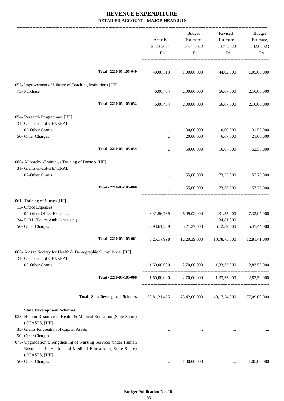|                                                                                                                                            |                                          | Actuals,<br>2020-2021<br>Rs. | <b>Budget</b><br>Estimate,<br>2021-2022<br>Rs. | Revised<br>Estimate,<br>2021-2022<br>Rs.            | Budget<br>Estimate,<br>2022-2023<br>Rs. |
|--------------------------------------------------------------------------------------------------------------------------------------------|------------------------------------------|------------------------------|------------------------------------------------|-----------------------------------------------------|-----------------------------------------|
|                                                                                                                                            | Total - 2210-05-105-049                  |                              |                                                | 48,06,513 1,00,00,000 44,02,000 1,05,00,000         |                                         |
| 052- Improvement of Library of Teaching Institutions [HF]                                                                                  |                                          |                              |                                                |                                                     |                                         |
| 75- Purchase                                                                                                                               |                                          | 46,06,464                    | 2,00,00,000                                    | 66,67,000                                           | 2,10,00,000                             |
|                                                                                                                                            | Total - 2210-05-105-052                  | 46,06,464                    |                                                | 2,00,00,000 66,67,000                               | 2,10,00,000                             |
| 054- Research Programmes [HF]                                                                                                              |                                          |                              |                                                |                                                     |                                         |
| 31- Grants-in-aid-GENERAL<br>02-Other Grants                                                                                               |                                          |                              | 30,00,000                                      | 10,00,000                                           | 31,50,000                               |
| 50- Other Charges                                                                                                                          |                                          | $\cdots$<br>$\cdots$         | 20,00,000                                      | 6.67.000                                            | 21,00,000                               |
|                                                                                                                                            | Total - 2210-05-105-054                  |                              |                                                |                                                     |                                         |
| 060- Allopathy -Training - Training of Doctors [HF]                                                                                        |                                          |                              |                                                |                                                     |                                         |
| 31- Grants-in-aid-GENERAL                                                                                                                  |                                          |                              |                                                |                                                     |                                         |
| 02-Other Grants                                                                                                                            |                                          | $\cdots$                     |                                                | 55,00,000 73,33,000 57,75,000                       |                                         |
|                                                                                                                                            | Total - 2210-05-105-060                  | $\cdots$                     |                                                | 55,00,000 73,33,000                                 | 57,75,000                               |
| 061- Training of Nurses [HF]                                                                                                               |                                          |                              |                                                |                                                     |                                         |
| 13- Office Expenses<br>04-Other Office Expenses                                                                                            |                                          | 3, 31, 56, 739               | 6,99,02,000                                    | 4,31,55,000                                         | 7,33,97,000                             |
| 24- P.O.L.(Police, Ambulance etc.)                                                                                                         |                                          |                              | $\cdots$                                       | 34,81,000                                           |                                         |
| 50- Other Charges                                                                                                                          |                                          | 2,93,61,259                  | 5,21,37,000                                    | 6,12,39,000                                         | 5,47,44,000                             |
|                                                                                                                                            | Total - 2210-05-105-061                  | 6,25,17,998                  |                                                | 12,20,39,000 10,78,75,000 12,81,41,000              |                                         |
| 066- Aids to Society for Health & Demographic Surveillence. [HF]                                                                           |                                          |                              |                                                |                                                     |                                         |
| 31- Grants-in-aid-GENERAL                                                                                                                  |                                          |                              |                                                |                                                     |                                         |
| 02-Other Grants                                                                                                                            |                                          | 1,50,00,000                  |                                                | 2,70,00,000 1,33,33,000 2,83,50,000                 |                                         |
|                                                                                                                                            | Total - 2210-05-105-066                  |                              |                                                | 1,50,00,000 2,70,00,000 1,33,33,000 2,83,50,000     |                                         |
|                                                                                                                                            | <b>Total - State Development Schemes</b> |                              |                                                | 33,81,21,455 73,42,00,000 40,17,24,000 77,09,09,000 |                                         |
| <b>State Development Schemes</b>                                                                                                           |                                          |                              |                                                |                                                     |                                         |
| 033- Human Resource in Health & Medical Education (State Share)<br>(OCASPS) [HF]                                                           |                                          |                              |                                                |                                                     |                                         |
| 35- Grants for creation of Capital Assets                                                                                                  |                                          | $\cdots$                     | $\ldots$                                       | $\cdots$                                            |                                         |
| 50- Other Charges                                                                                                                          |                                          | $\cdots$                     | $\cdots$                                       | $\cdots$                                            | $\cdots$                                |
| 075- Upgradation/Strengthening of Nursing Services under Human<br>Resources in Health and Medical Education (State Share)<br>(OCASPS) [HF] |                                          |                              |                                                |                                                     |                                         |
| 50- Other Charges                                                                                                                          |                                          | $\cdots$                     | 1,00,00,000                                    |                                                     | 1,05,00,000                             |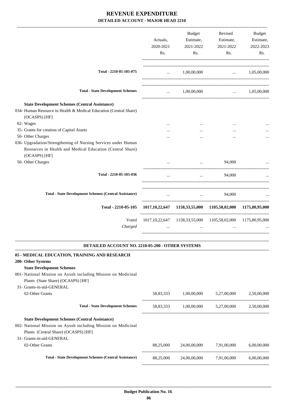| Total - 2210-05-105-075<br>1,00,00,000<br>$\ldots$ 1.05.00.000<br>$\cdots$<br><b>Total - State Development Schemes</b><br>1,00,00,000<br>$\mathbf{1}$<br><b>State Development Schemes (Central Assistance)</b><br>034- Human Resource in Health & Medical Education (Central Share)<br>(OCASPS) [HF]<br>02- Wages<br>$\cdots$<br>$\cdots$<br>$\cdots$<br>35- Grants for creation of Capital Assets<br>50- Other Charges<br>Resources in Health and Medical Education (Central Share)<br>(OCASPS) [HF]<br>50- Other Charges<br>94,000<br>$\mathbf{1}$ , and the set of the set of the set of the set of the set of the set of the set of the set of the set of the set of the set of the set of the set of the set of the set of the set of the set of the set of the set<br>Total - 2210-05-105-036<br>94,000<br>$\cdots$<br><b>Total - State Development Schemes (Central Assistance)</b><br>94,000<br>$\cdots$<br>Total - 2210-05-105<br>1017,10,22,647 1158,33,55,000 1105,58,02,000 1175,80,95,000<br>Voted<br>1017,10,22,647 1158,33,55,000 1105,58,02,000 1175,80,95,000<br>Charged<br><b>DETAILED ACCOUNT NO. 2210-05-200 - OTHER SYSTEMS</b><br><b>State Development Schemes</b><br>Plants (State Share) (OCASPS) [HF]<br>31- Grants-in-aid-GENERAL<br>02-Other Grants<br>58,83,333<br>1,00,00,000<br>5,27,00,000<br><b>Total - State Development Schemes</b><br>1,00,00,000<br>5,27,00,000<br>58,83,333 | Actuals,<br>2020-2021<br>Rs. | Budget<br>Estimate,<br>2021-2022<br>Rs. | Revised<br>Estimate,<br>2021-2022<br>Rs. | Budget<br>Estimate,<br>2022-2023<br>Rs. |
|------------------------------------------------------------------------------------------------------------------------------------------------------------------------------------------------------------------------------------------------------------------------------------------------------------------------------------------------------------------------------------------------------------------------------------------------------------------------------------------------------------------------------------------------------------------------------------------------------------------------------------------------------------------------------------------------------------------------------------------------------------------------------------------------------------------------------------------------------------------------------------------------------------------------------------------------------------------------------------------------------------------------------------------------------------------------------------------------------------------------------------------------------------------------------------------------------------------------------------------------------------------------------------------------------------------------------------------------------------------------------------------------------------------|------------------------------|-----------------------------------------|------------------------------------------|-----------------------------------------|
|                                                                                                                                                                                                                                                                                                                                                                                                                                                                                                                                                                                                                                                                                                                                                                                                                                                                                                                                                                                                                                                                                                                                                                                                                                                                                                                                                                                                                  |                              |                                         |                                          |                                         |
|                                                                                                                                                                                                                                                                                                                                                                                                                                                                                                                                                                                                                                                                                                                                                                                                                                                                                                                                                                                                                                                                                                                                                                                                                                                                                                                                                                                                                  |                              |                                         |                                          | $\ldots$ 1,05,00,000                    |
| 036- Upgradation/Strengthening of Nursing Services under Human<br>05 - MEDICAL EDUCATION, TRAINING AND RESEARCH<br>200- Other Systems<br>001- National Mission on Ayush including Mission on Medicinal                                                                                                                                                                                                                                                                                                                                                                                                                                                                                                                                                                                                                                                                                                                                                                                                                                                                                                                                                                                                                                                                                                                                                                                                           |                              |                                         |                                          |                                         |
|                                                                                                                                                                                                                                                                                                                                                                                                                                                                                                                                                                                                                                                                                                                                                                                                                                                                                                                                                                                                                                                                                                                                                                                                                                                                                                                                                                                                                  |                              |                                         |                                          |                                         |
|                                                                                                                                                                                                                                                                                                                                                                                                                                                                                                                                                                                                                                                                                                                                                                                                                                                                                                                                                                                                                                                                                                                                                                                                                                                                                                                                                                                                                  |                              |                                         |                                          |                                         |
|                                                                                                                                                                                                                                                                                                                                                                                                                                                                                                                                                                                                                                                                                                                                                                                                                                                                                                                                                                                                                                                                                                                                                                                                                                                                                                                                                                                                                  |                              |                                         |                                          |                                         |
|                                                                                                                                                                                                                                                                                                                                                                                                                                                                                                                                                                                                                                                                                                                                                                                                                                                                                                                                                                                                                                                                                                                                                                                                                                                                                                                                                                                                                  |                              |                                         |                                          |                                         |
|                                                                                                                                                                                                                                                                                                                                                                                                                                                                                                                                                                                                                                                                                                                                                                                                                                                                                                                                                                                                                                                                                                                                                                                                                                                                                                                                                                                                                  |                              |                                         |                                          |                                         |
|                                                                                                                                                                                                                                                                                                                                                                                                                                                                                                                                                                                                                                                                                                                                                                                                                                                                                                                                                                                                                                                                                                                                                                                                                                                                                                                                                                                                                  |                              |                                         |                                          |                                         |
|                                                                                                                                                                                                                                                                                                                                                                                                                                                                                                                                                                                                                                                                                                                                                                                                                                                                                                                                                                                                                                                                                                                                                                                                                                                                                                                                                                                                                  |                              |                                         |                                          |                                         |
|                                                                                                                                                                                                                                                                                                                                                                                                                                                                                                                                                                                                                                                                                                                                                                                                                                                                                                                                                                                                                                                                                                                                                                                                                                                                                                                                                                                                                  |                              |                                         |                                          |                                         |
|                                                                                                                                                                                                                                                                                                                                                                                                                                                                                                                                                                                                                                                                                                                                                                                                                                                                                                                                                                                                                                                                                                                                                                                                                                                                                                                                                                                                                  |                              |                                         |                                          |                                         |
|                                                                                                                                                                                                                                                                                                                                                                                                                                                                                                                                                                                                                                                                                                                                                                                                                                                                                                                                                                                                                                                                                                                                                                                                                                                                                                                                                                                                                  |                              |                                         |                                          |                                         |
|                                                                                                                                                                                                                                                                                                                                                                                                                                                                                                                                                                                                                                                                                                                                                                                                                                                                                                                                                                                                                                                                                                                                                                                                                                                                                                                                                                                                                  |                              |                                         |                                          |                                         |
|                                                                                                                                                                                                                                                                                                                                                                                                                                                                                                                                                                                                                                                                                                                                                                                                                                                                                                                                                                                                                                                                                                                                                                                                                                                                                                                                                                                                                  |                              |                                         |                                          |                                         |
|                                                                                                                                                                                                                                                                                                                                                                                                                                                                                                                                                                                                                                                                                                                                                                                                                                                                                                                                                                                                                                                                                                                                                                                                                                                                                                                                                                                                                  |                              |                                         |                                          | 2,50,00,000                             |
|                                                                                                                                                                                                                                                                                                                                                                                                                                                                                                                                                                                                                                                                                                                                                                                                                                                                                                                                                                                                                                                                                                                                                                                                                                                                                                                                                                                                                  |                              |                                         |                                          | 2,50,00,000                             |

**State Development Schemes (Central Assistance)**

002- National Mission on Ayush including Mission on Medicinal Plants (Central Share) (OCASPS) [HF]

31- Grants-in-aid-GENERAL

02-Other Grants 6,00,00,000 6,00,000 6,00,000 6,00,000 6,00,000 6,00,000 6,00,000 6,00,000 6,00,000 6,00,000 6,00,000 6,00,000 6,00,000 6,00,000 6,00,000 6,00,000 6,00,000 6,00,000 6,00,000 6,00,000 6,00,000 6,00,000 6,00,

**Total - State Development Schemes (Central Assistance)** 88,25,000 24,00,00,000 7,91,00,000 6,00,00,000

-----------------------------------------------------------------------------------------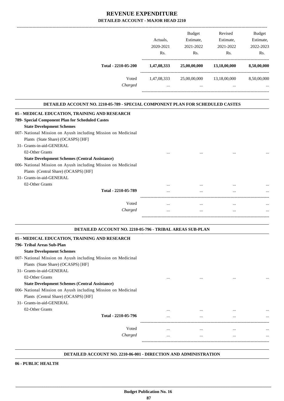| Budget<br>Revised<br>Actuals,<br>Estimate,<br>Estimate,<br>2020-2021<br>2021-2022<br>2021-2022<br>Rs.<br>Rs.<br>Rs.<br>Total - 2210-05-200<br>1,47,08,333<br>25,00,00,000<br>13,18,00,000<br>Voted<br>1,47,08,333<br>25,00,00,000<br>13,18,00,000<br>Charged<br>$\dddot{\phantom{0}}$<br>DETAILED ACCOUNT NO. 2210-05-789 - SPECIAL COMPONENT PLAN FOR SCHEDULED CASTES<br><b>State Development Schemes</b><br>Plants (State Share) (OCASPS) [HF]<br>31- Grants-in-aid-GENERAL<br>02-Other Grants<br><b>State Development Schemes (Central Assistance)</b><br>Plants (Central Share) (OCASPS) [HF]<br>31- Grants-in-aid-GENERAL |             |  |  |
|---------------------------------------------------------------------------------------------------------------------------------------------------------------------------------------------------------------------------------------------------------------------------------------------------------------------------------------------------------------------------------------------------------------------------------------------------------------------------------------------------------------------------------------------------------------------------------------------------------------------------------|-------------|--|--|
|                                                                                                                                                                                                                                                                                                                                                                                                                                                                                                                                                                                                                                 | Budget      |  |  |
|                                                                                                                                                                                                                                                                                                                                                                                                                                                                                                                                                                                                                                 | Estimate,   |  |  |
|                                                                                                                                                                                                                                                                                                                                                                                                                                                                                                                                                                                                                                 | 2022-2023   |  |  |
|                                                                                                                                                                                                                                                                                                                                                                                                                                                                                                                                                                                                                                 | Rs.         |  |  |
|                                                                                                                                                                                                                                                                                                                                                                                                                                                                                                                                                                                                                                 | 8,50,00,000 |  |  |
|                                                                                                                                                                                                                                                                                                                                                                                                                                                                                                                                                                                                                                 | 8,50,00,000 |  |  |
| 05 - MEDICAL EDUCATION, TRAINING AND RESEARCH<br>789- Special Component Plan for Scheduled Castes<br>007- National Mission on Ayush including Mission on Medicinal<br>006- National Mission on Ayush including Mission on Medicinal                                                                                                                                                                                                                                                                                                                                                                                             |             |  |  |
|                                                                                                                                                                                                                                                                                                                                                                                                                                                                                                                                                                                                                                 |             |  |  |
|                                                                                                                                                                                                                                                                                                                                                                                                                                                                                                                                                                                                                                 |             |  |  |
|                                                                                                                                                                                                                                                                                                                                                                                                                                                                                                                                                                                                                                 |             |  |  |
|                                                                                                                                                                                                                                                                                                                                                                                                                                                                                                                                                                                                                                 |             |  |  |
|                                                                                                                                                                                                                                                                                                                                                                                                                                                                                                                                                                                                                                 |             |  |  |
|                                                                                                                                                                                                                                                                                                                                                                                                                                                                                                                                                                                                                                 |             |  |  |
|                                                                                                                                                                                                                                                                                                                                                                                                                                                                                                                                                                                                                                 |             |  |  |
| 02-Other Grants                                                                                                                                                                                                                                                                                                                                                                                                                                                                                                                                                                                                                 |             |  |  |
| Total - 2210-05-789<br>                                                                                                                                                                                                                                                                                                                                                                                                                                                                                                                                                                                                         |             |  |  |
| Voted                                                                                                                                                                                                                                                                                                                                                                                                                                                                                                                                                                                                                           |             |  |  |
| Charged<br><br>$\cdots$<br>                                                                                                                                                                                                                                                                                                                                                                                                                                                                                                                                                                                                     | $\cdots$    |  |  |

### **DETAILED ACCOUNT NO. 2210-05-796 - TRIBAL AREAS SUB-PLAN**

-----------------------------------------------------------------------------------------

.

| 05 - MEDICAL EDUCATION, TRAINING AND RESEARCH                 |          |          |          |          |
|---------------------------------------------------------------|----------|----------|----------|----------|
| 796- Tribal Areas Sub-Plan                                    |          |          |          |          |
| <b>State Development Schemes</b>                              |          |          |          |          |
| 007- National Mission on Ayush including Mission on Medicinal |          |          |          |          |
| Plants (State Share) (OCASPS) [HF]                            |          |          |          |          |
| 31- Grants-in-aid-GENERAL                                     |          |          |          |          |
| 02-Other Grants                                               | $\cdots$ | $\cdots$ | $\cdots$ |          |
| <b>State Development Schemes (Central Assistance)</b>         |          |          |          |          |
| 006- National Mission on Ayush including Mission on Medicinal |          |          |          |          |
| Plants (Central Share) (OCASPS) [HF]                          |          |          |          |          |
| 31- Grants-in-aid-GENERAL                                     |          |          |          |          |
| 02-Other Grants                                               | $\cdots$ | $\cdots$ | $\cdots$ | $\cdots$ |
| Total - 2210-05-796                                           | $\cdots$ | $\cdots$ | $\cdots$ |          |
| Voted                                                         |          | $\cdots$ | $\cdots$ | $\cdots$ |
| Charged                                                       | $\cdots$ | $\cdots$ | $\cdots$ | $\cdots$ |
|                                                               |          |          |          |          |

#### **DETAILED ACCOUNT NO. 2210-06-001 - DIRECTION AND ADMINISTRATION .**

**06 - PUBLIC HEALTH**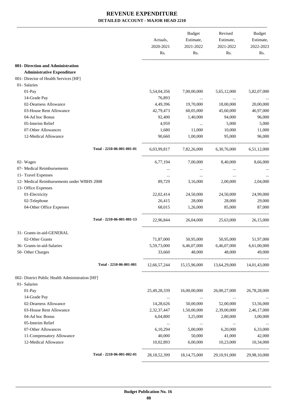|                                                 |                            | Actuals,<br>2020-2021<br>Rs. | Budget<br>Estimate,<br>2021-2022<br>Rs. | Revised<br>Estimate,<br>2021-2022<br>Rs.            | Budget<br>Estimate,<br>2022-2023<br>Rs. |
|-------------------------------------------------|----------------------------|------------------------------|-----------------------------------------|-----------------------------------------------------|-----------------------------------------|
| 001- Direction and Administration               |                            |                              |                                         |                                                     |                                         |
| <b>Administrative Expenditure</b>               |                            |                              |                                         |                                                     |                                         |
| 001- Director of Health Services [HF]           |                            |                              |                                         |                                                     |                                         |
| 01- Salaries                                    |                            |                              |                                         |                                                     |                                         |
| $01-Pay$                                        |                            | 5,54,04,356                  | 7,00,00,000                             | 5,65,12,000                                         | 5,82,07,000                             |
| 14-Grade Pay                                    |                            | 76,893                       | $\cdots$                                | $\ddotsc$                                           |                                         |
| 02-Dearness Allowance                           |                            | 4,49,396                     | 19,70,000                               | 18,00,000                                           | 20,00,000                               |
| 03-House Rent Allowance                         |                            | 42,79,473                    | 60,05,000                               | 45,60,000                                           | 46,97,000                               |
| 04-Ad hoc Bonus                                 |                            | 92,400                       | 1,40,000                                | 94,000                                              | 96,000                                  |
| 05-Interim Relief                               |                            | 4,959                        | $\ddots$                                | 5,000                                               | 5,000                                   |
| 07-Other Allowances                             |                            | 1,680                        | 11,000                                  | 10,000                                              | 11,000                                  |
| 12-Medical Allowance                            |                            | 90,660                       | 1.00.000                                | 95,000                                              | 96,000                                  |
|                                                 | Total - 2210-06-001-001-01 |                              |                                         | 6,03,99,817 7,82,26,000 6,30,76,000 6,51,12,000     |                                         |
| 02- Wages                                       |                            | 6,77,194                     | 7,00,000                                | 8,40,000                                            | 8,66,000                                |
| 07- Medical Reimbursements                      |                            |                              | $\cdots$                                | $\cdots$                                            |                                         |
| 11- Travel Expenses                             |                            | $\cdots$                     | $\cdots$                                | $\cdots$                                            |                                         |
| 12- Medical Reimbursements under WBHS 2008      |                            | 89,729                       | 3,16,000                                | 2,00,000                                            | 2,04,000                                |
| 13- Office Expenses                             |                            |                              |                                         |                                                     |                                         |
| 01-Electricity                                  |                            | 22,02,414                    | 24,50,000                               | 24,50,000                                           | 24,99,000                               |
| 02-Telephone                                    |                            | 26,415                       | 28,000                                  | 28,000                                              | 29,000                                  |
| 04-Other Office Expenses                        |                            | 68,015                       | 1,26,000                                | 85,000                                              | 87,000                                  |
|                                                 | Total - 2210-06-001-001-13 | 22,96,844                    | 26,04,000                               | 25,63,000                                           | 26,15,000                               |
| 31- Grants-in-aid-GENERAL                       |                            |                              |                                         |                                                     |                                         |
| 02-Other Grants                                 |                            | 71,87,000                    | 50,95,000                               | 50,95,000                                           | 51,97,000                               |
| 36- Grants-in-aid-Salaries                      |                            | 5,59,73,000                  | 6,46,07,000                             | 6,46,07,000                                         | 6,61,00,000                             |
| 50- Other Charges                               |                            | 33,660                       | 48,000                                  | 48,000                                              | 49,000                                  |
|                                                 | Total - 2210-06-001-001    |                              |                                         | 12,66,57,244 15,15,96,000 13,64,29,000 14,01,43,000 |                                         |
| 002- District Public Health Administration [HF] |                            |                              |                                         |                                                     |                                         |
| 01- Salaries                                    |                            |                              |                                         |                                                     |                                         |
| 01-Pay                                          |                            | 25,49,28,339                 | 16,00,00,000                            | 26,00,27,000                                        | 26,78,28,000                            |
| 14-Grade Pay                                    |                            | $\cdots$                     |                                         | $\cdots$                                            |                                         |
| 02-Dearness Allowance                           |                            | 14,28,626                    | 50,00,000                               | 52,00,000                                           | 53,56,000                               |
| 03-House Rent Allowance                         |                            | 2,32,37,447                  | 1,50,00,000                             | 2,39,00,000                                         | 2,46,17,000                             |
| 04-Ad hoc Bonus                                 |                            | 6,04,800                     | 3,25,000                                | 2,80,000                                            | 3,00,000                                |
| 05-Interim Relief                               |                            | $\cdots$                     | $\cdots$                                | $\cdots$                                            |                                         |
| 07-Other Allowances                             |                            | 6,10,294                     | 5,00,000                                | 6,20,000                                            | 6,33,000                                |
| 11-Compensatory Allowance                       |                            | 40,000                       | 50,000                                  | 41,000                                              | 42,000                                  |
| 12-Medical Allowance                            |                            | 10,02,893                    | 6,00,000                                | 10,23,000                                           | 10,34,000                               |
|                                                 | Total - 2210-06-001-002-01 |                              |                                         | 28, 18, 52, 399 18, 14, 75, 000 29, 10, 91, 000     | 29,98,10,000                            |
|                                                 |                            |                              |                                         |                                                     |                                         |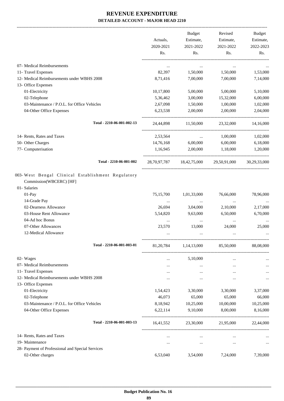-------------------------------------------------------------------------------------------------------------------------------------------------------------------------------

|                                                                                              | Actuals,<br>2020-2021<br>Rs. | <b>Budget</b><br>Estimate,<br>2021-2022<br>Rs. | Revised<br>Estimate,<br>2021-2022<br>Rs. | <b>Budget</b><br>Estimate,<br>2022-2023<br>Rs. |
|----------------------------------------------------------------------------------------------|------------------------------|------------------------------------------------|------------------------------------------|------------------------------------------------|
|                                                                                              |                              |                                                |                                          |                                                |
| 07- Medical Reimbursements                                                                   | $\cdots$                     | $\cdots$                                       | $\cdots$                                 |                                                |
| 11- Travel Expenses                                                                          | 82,397                       | 1,50,000                                       | 1,50,000                                 | 1,53,000                                       |
| 12- Medical Reimbursements under WBHS 2008                                                   | 8,71,416                     | 7,00,000                                       | 7,00,000                                 | 7,14,000                                       |
| 13- Office Expenses                                                                          |                              |                                                |                                          |                                                |
| 01-Electricity                                                                               | 10,17,800                    | 5,00,000                                       | 5,00,000                                 | 5,10,000                                       |
| 02-Telephone                                                                                 | 5,36,462                     | 3,00,000                                       | 15,32,000                                | 6,00,000                                       |
| 03-Maintenance / P.O.L. for Office Vehicles                                                  | 2,67,098                     | 1,50,000                                       | 1,00,000                                 | 1,02,000                                       |
| 04-Other Office Expenses                                                                     | 6,23,538                     | 2,00,000                                       | 2,00,000                                 | 2,04,000                                       |
| Total - 2210-06-001-002-13                                                                   | 24,44,898                    | 11,50,000                                      | 23,32,000                                | 14,16,000                                      |
| 14- Rents, Rates and Taxes                                                                   | 2,53,564                     | $\cdots$                                       | 1,00,000                                 | 1,02,000                                       |
| 50- Other Charges                                                                            | 14,76,168                    | 6,00,000                                       | 6,00,000                                 | 6,18,000                                       |
| 77- Computerisation                                                                          | 1,16,945                     | 2,00,000                                       | 1,18,000                                 | 1,20,000                                       |
| Total - 2210-06-001-002                                                                      |                              |                                                | 28,70,97,787 18,42,75,000 29,50,91,000   | 30,29,33,000                                   |
| 003-West Bengal Clinical Establishment Regulatory<br>Commission(WBCERC) [HF]<br>01- Salaries |                              |                                                |                                          |                                                |
| 01-Pay                                                                                       | 75,15,700                    | 1,01,33,000                                    | 76,66,000                                | 78,96,000                                      |
| 14-Grade Pay                                                                                 | $\cdots$                     | $\cdots$                                       | $\cdots$                                 |                                                |
| 02-Dearness Allowance                                                                        | 26,694                       | 3,04,000                                       | 2,10,000                                 | 2,17,000                                       |
| 03-House Rent Allowance                                                                      | 5,54,820                     | 9,63,000                                       | 6,50,000                                 | 6,70,000                                       |
| 04-Ad hoc Bonus                                                                              | $\cdots$                     | $\cdots$                                       | $\cdots$                                 |                                                |
| 07-Other Allowances                                                                          | 23,570                       | 13,000                                         | 24,000                                   | 25,000                                         |
| 12-Medical Allowance                                                                         |                              | $\ddotsc$                                      | $\ddotsc$                                |                                                |
| Total - 2210-06-001-003-01                                                                   | 81, 20, 784                  | 1,14,13,000                                    | 85,50,000                                | 88,08,000                                      |
| 02- Wages                                                                                    |                              | 5,10,000                                       |                                          |                                                |
| 07- Medical Reimbursements                                                                   | <br>$\cdots$                 | $\cdots$                                       | $\cdots$<br>$\cdots$                     | $\cdots$                                       |
| 11- Travel Expenses                                                                          |                              | $\cdots$                                       |                                          |                                                |
| 12- Medical Reimbursements under WBHS 2008                                                   |                              | $\cdots$                                       |                                          | $\cdots$                                       |
| 13- Office Expenses                                                                          |                              |                                                |                                          |                                                |
| 01-Electricity                                                                               | 1,54,423                     | 3,30,000                                       | 3,30,000                                 | 3,37,000                                       |
| 02-Telephone                                                                                 | 46,073                       | 65,000                                         | 65,000                                   | 66,000                                         |
| 03-Maintenance / P.O.L. for Office Vehicles                                                  | 8,18,942                     | 10,25,000                                      | 10,00,000                                | 10,25,000                                      |
| 04-Other Office Expenses                                                                     | 6,22,114                     | 9,10,000                                       | 8,00,000                                 | 8,16,000                                       |
| Total - 2210-06-001-003-13                                                                   | 16,41,552                    | 23,30,000                                      | 21,95,000                                | 22,44,000                                      |
|                                                                                              |                              |                                                |                                          |                                                |
| 14- Rents, Rates and Taxes                                                                   | $\cdots$                     | $\cdots$                                       | $\cdots$                                 |                                                |
| 19- Maintenance                                                                              |                              | $\cdots$                                       | $\cdots$                                 | $\cdots$                                       |
| 28- Payment of Professional and Special Services                                             |                              |                                                |                                          |                                                |
| 02-Other charges                                                                             | 6,53,040                     | 3,54,000                                       | 7,24,000                                 | 7,39,000                                       |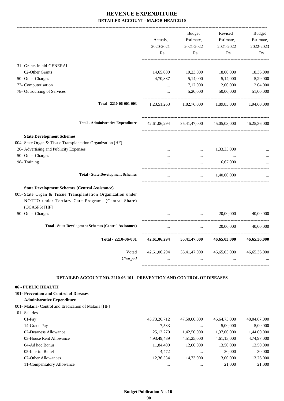|                                                                                                                                                                                              | Actuals,<br>2020-2021<br>Rs. | <b>Budget</b><br>Estimate,<br>2021-2022<br>Rs. | Revised<br>Estimate,<br>2021-2022<br>Rs. | <b>Budget</b><br>Estimate,<br>2022-2023<br>Rs. |
|----------------------------------------------------------------------------------------------------------------------------------------------------------------------------------------------|------------------------------|------------------------------------------------|------------------------------------------|------------------------------------------------|
| 31- Grants-in-aid-GENERAL                                                                                                                                                                    |                              |                                                |                                          |                                                |
| 02-Other Grants                                                                                                                                                                              | 14,65,000                    | 19,23,000                                      | 18,00,000                                | 18,36,000                                      |
| 50- Other Charges                                                                                                                                                                            | 4,70,887                     | 5,14,000                                       | 5,14,000                                 | 5,29,000                                       |
| 77- Computerisation                                                                                                                                                                          | $\dddotsc$                   | 7,12,000                                       | 2,00,000                                 | 2,04,000                                       |
| 78- Outsourcing of Services                                                                                                                                                                  | $\dddotsc$                   | 5,20,000                                       | 50,00,000                                | 51,00,000                                      |
| Total - 2210-06-001-003                                                                                                                                                                      | 1,23,51,263                  | 1,82,76,000                                    | 1,89,83,000                              | 1,94,60,000                                    |
| <b>Total - Administrative Expenditure</b>                                                                                                                                                    | 42,61,06,294                 | 35,41,47,000                                   | 45,05,03,000                             | 46,25,36,000                                   |
| <b>State Development Schemes</b>                                                                                                                                                             |                              |                                                |                                          |                                                |
| 004- State Organ & Tissue Transplantation Organization [HF]                                                                                                                                  |                              |                                                |                                          |                                                |
| 26- Advertising and Publicity Expenses                                                                                                                                                       |                              | $\cdots$                                       | 1,33,33,000                              |                                                |
| 50- Other Charges                                                                                                                                                                            | $\cdots$                     | $\cdots$                                       | $\ddotsc$                                |                                                |
| 98- Training                                                                                                                                                                                 |                              |                                                | 6,67,000                                 |                                                |
| <b>Total - State Development Schemes</b>                                                                                                                                                     | $\cdots$                     | $\ddotsc$                                      | 1,40,00,000                              |                                                |
| <b>State Development Schemes (Central Assistance)</b><br>005- State Organ & Tissue Transplantation Organization under<br>NOTTO under Tertiary Care Programs (Central Share)<br>(OCASPS) [HF] |                              |                                                |                                          |                                                |
| 50- Other Charges                                                                                                                                                                            |                              |                                                | 20,00,000                                | 40,00,000                                      |
| <b>Total - State Development Schemes (Central Assistance)</b>                                                                                                                                |                              | $\ddotsc$                                      | 20,00,000<br>__________________          | 40,00,000                                      |
| Total - 2210-06-001                                                                                                                                                                          | 42,61,06,294                 | 35,41,47,000                                   | 46,65,03,000                             | 46,65,36,000                                   |
| Voted<br>Charged                                                                                                                                                                             | 42,61,06,294                 |                                                | 35,41,47,000 46,65,03,000                | 46,65,36,000                                   |

#### **DETAILED ACCOUNT NO. 2210-06-101 - PREVENTION AND CONTROL OF DISEASES .**

## **06 - PUBLIC HEALTH**

- **101- Prevention and Control of Diseases**
	- **Administrative Expenditure**
- 001- Malaria- Control and Eradication of Malaria [HF]

| 01- Salaries              |                 |              |              |              |
|---------------------------|-----------------|--------------|--------------|--------------|
| $01-Pav$                  | 45, 73, 26, 712 | 47,50,00,000 | 46,64,73,000 | 48,04,67,000 |
| 14-Grade Pay              | 7,533           | $\cdots$     | 5,00,000     | 5,00,000     |
| 02-Dearness Allowance     | 25, 13, 270     | 1,42,50,000  | 1,37,00,000  | 1,44,00,000  |
| 03-House Rent Allowance   | 4,93,49,489     | 4,51,25,000  | 4,61,13,000  | 4,74,97,000  |
| 04-Ad hoc Bonus           | 11,84,400       | 12,00,000    | 13,50,000    | 13,50,000    |
| 05-Interim Relief         | 4,472           | $\cdots$     | 30,000       | 30,000       |
| 07-Other Allowances       | 12,36,534       | 14.73.000    | 13,00,000    | 13,26,000    |
| 11-Compensatory Allowance | $\cdots$        | $\cdots$     | 21,000       | 21,000       |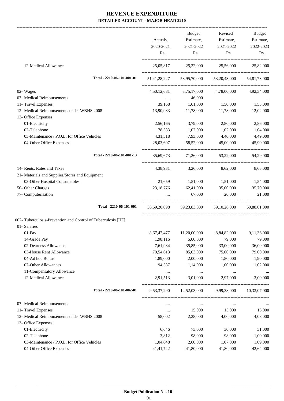-------------------------------------------------------------------------------------------------------------------------------------------------------------------------------

|                                                               | Actuals,                  | Budget<br>Estimate,      | Revised<br>Estimate,                                | Budget<br>Estimate,     |
|---------------------------------------------------------------|---------------------------|--------------------------|-----------------------------------------------------|-------------------------|
|                                                               | 2020-2021                 | 2021-2022                | 2021-2022                                           | 2022-2023               |
|                                                               | Rs.                       | Rs.                      | Rs.                                                 | Rs.                     |
| 12-Medical Allowance                                          |                           |                          | 25,05,817 25,22,000 25,56,000 25,82,000             |                         |
| Total - 2210-06-101-001-01                                    |                           |                          | 51,41,28,227 53,95,70,000 53,20,43,000 54,81,73,000 |                         |
| 02- Wages                                                     |                           | 4,50,12,681 3,75,17,000  |                                                     | 4,78,00,000 4,92,34,000 |
| 07- Medical Reimbursements                                    | <b>Service</b> Contractor | 46,000                   |                                                     |                         |
| 11- Travel Expenses                                           | 39,168                    | 1,61,000                 | 1,50,000                                            | 1,53,000                |
| 12- Medical Reimbursements under WBHS 2008                    | 13,90,983                 | 11,78,000                | 11,78,000                                           | 12,02,000               |
| 13- Office Expenses                                           |                           | 3,79,000                 | 2,80,000                                            |                         |
| 01-Electricity<br>02-Telephone                                | 2,56,165<br>78,583        | 1,02,000                 | 1,02,000                                            | 2,86,000                |
| 03-Maintenance / P.O.L. for Office Vehicles                   | 4,31,318                  | 7,93,000                 | 4,40,000                                            | 1,04,000<br>4,49,000    |
| 04-Other Office Expenses                                      | 28,03,607                 | 58,52,000                | 45,00,000                                           | 45,90,000               |
| Total - 2210-06-101-001-13                                    | 35.69.673                 |                          | 71,26,000 53,22,000                                 | 54,29,000               |
| 14- Rents, Rates and Taxes                                    |                           | 4,38,931 3,26,000        | 8,62,000                                            | 8,65,000                |
| 21- Materials and Supplies/Stores and Equipment               |                           |                          |                                                     |                         |
| 03-Other Hospital Consumables                                 |                           |                          | 21,659 1,51,000 1,51,000                            | 1,54,000                |
| 50- Other Charges                                             | 23, 18, 776               | 62,41,000                | 35,00,000                                           | 35,70,000               |
| 77- Computerisation                                           |                           | 67,000                   | 20,000                                              | 21,000                  |
| Total - 2210-06-101-001                                       |                           |                          | 56,69,20,098 59,23,83,000 59,10,26,000 60,88,01,000 |                         |
| 002- Tuberculosis-Prevention and Control of Tuberculosis [HF] |                           |                          |                                                     |                         |
| 01- Salaries                                                  |                           |                          |                                                     |                         |
| $01-Pay$                                                      |                           | 8,67,47,477 11,20,00,000 | 8,84,82,000                                         | 9,11,36,000             |
| 14-Grade Pay                                                  | 1,98,116                  | 5,00,000                 | 79,000                                              | 79,000                  |
| 02-Dearness Allowance                                         | 7,61,984                  | 35,85,000                | 33,00,000                                           | 36,00,000               |
| 03-House Rent Allowance                                       | 70,54,613                 | 85,03,000                | 75,00,000                                           | 79,00,000               |
| 04-Ad hoc Bonus                                               | 1,89,000                  | 2,00,000                 | 1,80,000                                            | 1,90,000                |
| 07-Other Allowances                                           | 94,587                    | 1,14,000                 | 1,00,000                                            | 1,02,000                |
| 11-Compensatory Allowance                                     | $\cdots$                  | $\cdots$                 | $\cdots$                                            |                         |
| 12-Medical Allowance                                          | 2,91,513                  | 3,01,000                 | 2,97,000                                            | 3,00,000                |
| Total - 2210-06-101-002-01                                    | 9,53,37,290               | 12,52,03,000 9,99,38,000 |                                                     | 10,33,07,000            |
| 07- Medical Reimbursements                                    | $\cdots$                  | $\cdots$                 | $\cdots$                                            |                         |
| 11- Travel Expenses                                           | $\ldots$                  | 15,000                   | 15,000                                              | 15,000                  |
| 12- Medical Reimbursements under WBHS 2008                    | 58,002                    | 2,28,000                 | 4,00,000                                            | 4,08,000                |
| 13- Office Expenses                                           |                           |                          |                                                     |                         |
| 01-Electricity                                                | 6,646                     | 73,000                   | 30,000                                              | 31,000                  |
| 02-Telephone                                                  | 3,812                     | 98,000                   | 98,000                                              | 1,00,000                |
| 03-Maintenance / P.O.L. for Office Vehicles                   | 1,04,648                  | 2,60,000                 | 1,07,000                                            | 1,09,000                |
| 04-Other Office Expenses                                      | 41, 41, 742               | 41,80,000                | 41,80,000                                           | 42,64,000               |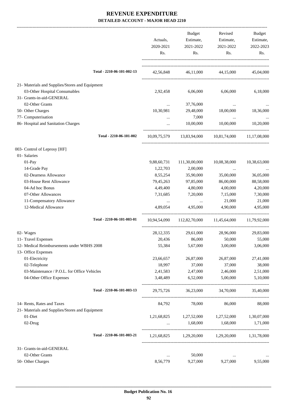|                                                 |              | <b>Budget</b>                                       | Revised                                 | <b>Budget</b> |
|-------------------------------------------------|--------------|-----------------------------------------------------|-----------------------------------------|---------------|
|                                                 | Actuals,     | Estimate,                                           | Estimate,                               | Estimate,     |
|                                                 | 2020-2021    | 2021-2022                                           | 2021-2022                               | 2022-2023     |
|                                                 | Rs.          | Rs.                                                 | Rs.                                     | Rs.           |
| Total - 2210-06-101-002-13                      |              |                                                     |                                         |               |
|                                                 | 42,56,848    |                                                     | 46,11,000 44,15,000 45,04,000           |               |
| 21- Materials and Supplies/Stores and Equipment |              |                                                     |                                         |               |
| 03-Other Hospital Consumables                   | 2,92,458     | 6,06,000                                            | 6,06,000                                | 6,18,000      |
| 31- Grants-in-aid-GENERAL                       |              |                                                     |                                         |               |
| 02-Other Grants                                 | $\cdots$     | 37,76,000                                           |                                         |               |
| 50- Other Charges                               | 10,30,981    | 29,48,000                                           | 18,00,000                               | 18,36,000     |
| 77- Computerisation                             | $\cdots$     | 7,000                                               | $\cdots$                                |               |
| 86- Hospital and Sanitation Charges             | $\cdots$     | 10,00,000                                           | 10,00,000                               | 10,20,000     |
| Total - 2210-06-101-002                         |              | 10,09,75,579 13,83,94,000 10,81,74,000 11,17,08,000 |                                         |               |
| 003- Control of Leprosy [HF]                    |              |                                                     |                                         |               |
| 01- Salaries                                    |              |                                                     |                                         |               |
| 01-Pay                                          | 9,88,60,731  | 111,30,00,000                                       | 10,08,38,000                            | 10,38,63,000  |
| 14-Grade Pay                                    | 1,22,703     | 2,00,000                                            | $\cdots$                                |               |
| 02-Dearness Allowance                           | 8,55,254     | 35,90,000                                           | 35,00,000                               | 36,05,000     |
| 03-House Rent Allowance                         | 79,45,263    | 97,85,000                                           | 86,00,000                               | 88,58,000     |
| 04-Ad hoc Bonus                                 | 4,49,400     | 4,80,000                                            | 4,00,000                                | 4,20,000      |
| 07-Other Allowances                             | 7,31,685     | 7,20,000                                            | 7,15,000                                | 7,30,000      |
| 11-Compensatory Allowance                       | $\cdots$     | $\cdots$                                            | 21,000                                  | 21,000        |
| 12-Medical Allowance                            | 4,89,054     | 4,95,000                                            | 4,90,000                                | 4,95,000      |
| Total - 2210-06-101-003-01                      | 10,94,54,090 |                                                     | 112,82,70,000 11,45,64,000 11,79,92,000 |               |
| 02- Wages                                       | 28, 12, 335  | 29,61,000                                           | 28,96,000                               | 29,83,000     |
| 11- Travel Expenses                             | 20,436       | 86,000                                              | 50,000                                  | 55,000        |
| 12- Medical Reimbursements under WBHS 2008      | 55,384       | 5,67,000                                            | 3,00,000                                | 3,06,000      |
| 13- Office Expenses                             |              |                                                     |                                         |               |
| 01-Electricity                                  | 23,66,657    | 26,87,000                                           | 26,87,000                               | 27,41,000     |
| 02-Telephone                                    | 18,997       | 37,000                                              | 37,000                                  | 38,000        |
| 03-Maintenance / P.O.L. for Office Vehicles     | 2,41,583     | 2,47,000                                            | 2,46,000                                | 2,51,000      |
| 04-Other Office Expenses                        | 3,48,489     | 6,52,000                                            | 5,00,000                                | 5,10,000      |
| Total - 2210-06-101-003-13                      | 29,75,726    | 36,23,000                                           | 34,70,000                               | 35,40,000     |
| 14- Rents, Rates and Taxes                      | 84,792       | 78,000                                              | 86,000                                  | 88,000        |
| 21- Materials and Supplies/Stores and Equipment |              |                                                     |                                         |               |
| 01-Diet                                         | 1,21,68,825  | 1,27,52,000                                         | 1,27,52,000                             | 1,30,07,000   |
| 02-Drug                                         | $\cdots$     | 1,68,000                                            | 1,68,000                                | 1,71,000      |
| Total - 2210-06-101-003-21                      |              | 1,21,68,825 1,29,20,000 1,29,20,000 1,31,78,000     |                                         |               |
| 31- Grants-in-aid-GENERAL                       |              |                                                     |                                         |               |
| 02-Other Grants                                 | $\cdots$     | 50,000                                              |                                         |               |
| 50- Other Charges                               | 8,56,779     | 9,27,000                                            | 9,27,000                                | 9,55,000      |
|                                                 |              |                                                     |                                         |               |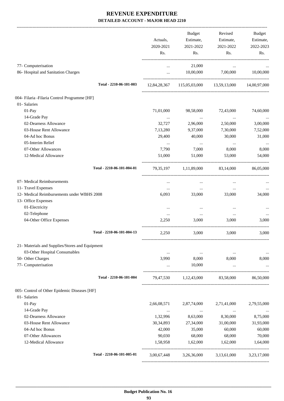|                                                 |                  | <b>Budget</b>                                        | Revised          | Budget           |
|-------------------------------------------------|------------------|------------------------------------------------------|------------------|------------------|
|                                                 | Actuals,         | Estimate,                                            | Estimate,        | Estimate,        |
|                                                 | 2020-2021<br>Rs. | 2021-2022<br>Rs.                                     | 2021-2022<br>Rs. | 2022-2023<br>Rs. |
|                                                 |                  |                                                      |                  |                  |
| 77- Computerisation                             | $\cdots$         | 21,000                                               | $\cdots$         |                  |
| 86- Hospital and Sanitation Charges             | $\cdots$         | 10,00,000                                            | 7,00,000         | 10,00,000        |
| Total - 2210-06-101-003                         |                  | 12,84,28,367 115,05,03,000 13,59,13,000 14,00,97,000 |                  |                  |
| 004- Filaria - Filaria Control Programme [HF]   |                  |                                                      |                  |                  |
| 01- Salaries                                    |                  |                                                      |                  |                  |
| 01-Pay                                          | 71,01,000        | 98,58,000                                            | 72,43,000        | 74,60,000        |
| 14-Grade Pay                                    | $\cdots$         | $\cdots$                                             | $\cdots$         |                  |
| 02-Dearness Allowance                           | 32,727           | 2,96,000                                             | 2,50,000         | 3,00,000         |
| 03-House Rent Allowance                         | 7,13,280         | 9,37,000                                             | 7,30,000         | 7,52,000         |
| 04-Ad hoc Bonus                                 | 29,400           | 40,000                                               | 30,000           | 31,000           |
| 05-Interim Relief                               | $\cdots$         | $\cdots$                                             | $\ldots$         |                  |
| 07-Other Allowances                             | 7,790            | 7,000                                                | 8,000            | 8,000            |
| 12-Medical Allowance                            | 51,000           | 51,000                                               | 53,000           | 54,000           |
| Total - 2210-06-101-004-01                      | 79,35,197        | 1,11,89,000                                          | 83,14,000        | 86,05,000        |
| 07- Medical Reimbursements                      | $\cdots$         | $\cdots$                                             | $\cdots$         |                  |
| 11- Travel Expenses                             | $\cdots$         | $\cdots$                                             | $\cdots$         |                  |
| 12- Medical Reimbursements under WBHS 2008      | 6,093            | 33,000                                               | 33,000           | 34,000           |
| 13- Office Expenses                             |                  |                                                      |                  |                  |
| 01-Electricity                                  |                  | $\cdots$                                             | $\cdots$         |                  |
| 02-Telephone                                    | $\cdots$         | $\cdots$                                             | $\cdots$         | $\cdots$         |
| 04-Other Office Expenses                        | 2,250            | 3,000                                                | 3,000            | 3,000            |
| Total - 2210-06-101-004-13                      | 2,250            | 3,000                                                | 3.000            | 3,000            |
| 21- Materials and Supplies/Stores and Equipment |                  |                                                      |                  |                  |
| 03-Other Hospital Consumables                   |                  | $\cdots$                                             | $\cdots$         | $\cdots$         |
| 50- Other Charges                               | 3,990            | 8,000                                                | 8.000            | 8,000            |
| 77- Computerisation                             | $\cdots$         | 10,000                                               | $\ddots$         |                  |
| Total - 2210-06-101-004                         |                  | 79,47,530 1,12,43,000 83,58,000                      |                  | 86,50,000        |
| 005- Control of Other Epidemic Diseases [HF]    |                  |                                                      |                  |                  |
| 01- Salaries                                    |                  |                                                      |                  |                  |
| 01-Pay                                          | 2,66,08,571      | 2,87,74,000                                          | 2,71,41,000      | 2,79,55,000      |
| 14-Grade Pay                                    | $\cdots$         | $\sim$ 1000 $\mu$                                    | $\ldots$         |                  |
| 02-Dearness Allowance                           | 1,32,996         | 8,63,000                                             | 8,30,000         | 8,75,000         |
| 03-House Rent Allowance                         | 30, 34, 893      | 27,34,000                                            | 31,00,000        | 31,93,000        |
| 04-Ad hoc Bonus                                 | 42,000           | 35,000                                               | 60,000           | 60,000           |
| 07-Other Allowances                             | 90,030           | 68,000                                               | 68,000           | 70,000           |
| 12-Medical Allowance                            | 1,58,958         | 1,62,000                                             | 1,62,000         | 1,64,000         |
| Total - 2210-06-101-005-01                      | 3,00,67,448      | 3,26,36,000                                          | 3,13,61,000      | 3,23,17,000      |
|                                                 |                  |                                                      |                  |                  |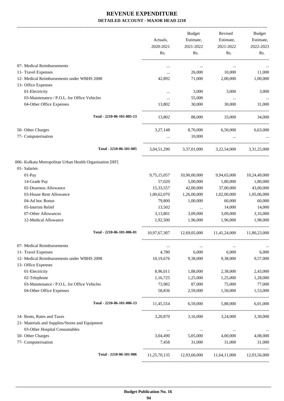-------------------------------------------------------------------------------------------------------------------------------------------------------------------------------

|                                                                   | Actuals,<br>2020-2021 | <b>Budget</b><br>Estimate,<br>2021-2022 | Revised<br>Estimate,<br>2021-2022            | <b>Budget</b><br>Estimate,<br>2022-2023 |
|-------------------------------------------------------------------|-----------------------|-----------------------------------------|----------------------------------------------|-----------------------------------------|
|                                                                   | Rs.                   | Rs.                                     | Rs.                                          | Rs.                                     |
| 07- Medical Reimbursements                                        | $\cdots$              | $\cdots$                                | $\cdots$                                     |                                         |
| 11- Travel Expenses                                               | $\cdots$              | 26,000                                  | 10,000                                       | 11,000                                  |
| 12- Medical Reimbursements under WBHS 2008                        | 42,892                | 71,000                                  | 2,00,000                                     | 1,00,000                                |
| 13- Office Expenses                                               |                       |                                         |                                              |                                         |
| 01-Electricity                                                    | $\cdots$              | 3,000                                   | 3,000                                        | 3,000                                   |
| 03-Maintenance / P.O.L. for Office Vehicles                       | $\cdots$              | 55,000                                  | $\cdots$                                     | $\cdots$                                |
| 04-Other Office Expenses                                          | 13,802                | 30,000                                  | 30,000                                       | 31,000                                  |
| Total - 2210-06-101-005-13                                        | 13,802                | 88,000                                  | 33,000                                       | 34,000                                  |
| 50- Other Charges                                                 | 3,27,148              | 8,70,000                                | 6,50,000                                     | 6,63,000                                |
| 77- Computerisation                                               | $\cdots$              | 10,000                                  | $\cdots$                                     |                                         |
| Total - 2210-06-101-005                                           | 3,04,51,290           |                                         | 3,37,01,000 3,22,54,000 3,31,25,000          |                                         |
| 006- Kolkata Metropolitan Urban Health Organisation [HF]          |                       |                                         |                                              |                                         |
| 01- Salaries                                                      |                       |                                         |                                              |                                         |
| $01-Pay$                                                          | 9,75,15,057           | 10,90,00,000                            | 9,94,65,000                                  | 10,24,49,000                            |
| 14-Grade Pay                                                      | 57,020                | 5,00,000                                | 1,80,000                                     | 1,80,000                                |
| 02-Dearness Allowance                                             | 15,33,557             | 42,00,000                               | 37,00,000                                    | 43,00,000                               |
| 03-House Rent Allowance                                           | 1,00,62,070           | 1,26,00,000                             | 1,02,00,000                                  | 1,05,06,000                             |
| 04-Ad hoc Bonus                                                   | 79,800                | 1,00,000                                | 60,000                                       | 60,000                                  |
| 05-Interim Relief                                                 | 13,502                | $\ldots$                                | 14,000                                       | 14,000                                  |
| 07-Other Allowances                                               | 3,13,801              | 3,09,000                                | 3,09,000                                     | 3,16,000                                |
| 12-Medical Allowance                                              | 1,92,500              | 1,96,000                                | 1,96,000                                     | 1,98,000                                |
| Total - 2210-06-101-006-01                                        |                       |                                         | $10,97,67,307$ $12,69,05,000$ $11,41,24,000$ | 11,80,23,000                            |
| 07- Medical Reimbursements                                        | $\cdots$              | $\cdots$                                | $\ddotsc$                                    |                                         |
| 11- Travel Expenses                                               | 4,780                 | 6,000                                   | 6,000                                        | 6,000                                   |
| 12- Medical Reimbursements under WBHS 2008<br>13- Office Expenses | 10,19,676             | 9,38,000                                | 9,38,000                                     | 9,57,000                                |
| 01-Electricity                                                    | 8,96,011              | 1,88,000                                | 2,38,000                                     | 2,43,000                                |
| 02-Telephone                                                      | 1,16,725              | 1,25,000                                | 1,25,000                                     | 1,28,000                                |
| 03-Maintenance / P.O.L. for Office Vehicles                       | 73,982                | 87,000                                  | 75,000                                       | 77,000                                  |
| 04-Other Office Expenses                                          | 58,836                | 2,59,000                                | 1,50,000                                     | 1,53,000                                |
| Total - 2210-06-101-006-13                                        | 11,45,554             | 6,59,000                                | 5,88,000                                     | 6,01,000                                |
|                                                                   |                       |                                         |                                              |                                         |
| 14- Rents, Rates and Taxes                                        | 3,20,870              | 3,16,000                                | 3,24,000                                     | 3,30,000                                |
| 21- Materials and Supplies/Stores and Equipment                   |                       |                                         |                                              |                                         |
| 03-Other Hospital Consumables                                     | $\cdots$              | $\cdots$                                | $\cdots$                                     |                                         |
| 50- Other Charges                                                 | 3,04,490              | 5,05,000                                | 4,00,000                                     | 4,08,000                                |
| 77- Computerisation                                               | 7,458                 | 31,000                                  | 31,000                                       | 31,000                                  |
| Total - 2210-06-101-006                                           | 11,25,70,135          | 12,93,60,000                            | 11,64,11,000                                 | 12,03,56,000                            |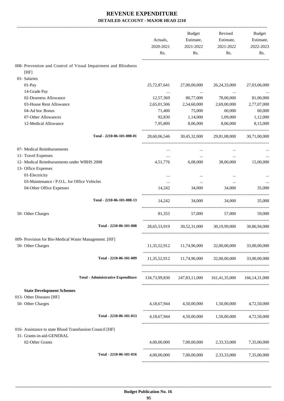|                                                                | Actuals,<br>2020-2021<br>Rs. | Budget<br>Estimate,<br>2021-2022<br>Rs. | Revised<br>Estimate,<br>2021-2022<br>Rs.                | Budget<br>Estimate,<br>2022-2023<br>Rs. |
|----------------------------------------------------------------|------------------------------|-----------------------------------------|---------------------------------------------------------|-----------------------------------------|
| 008- Prevention and Control of Visual Impairment and Blindness |                              |                                         |                                                         |                                         |
| [HF]                                                           |                              |                                         |                                                         |                                         |
| 01- Salaries                                                   |                              |                                         |                                                         |                                         |
| 01-Pay                                                         | 25, 72, 87, 641              | 27,00,00,000                            | 26, 24, 33, 000                                         | 27,03,06,000                            |
| 14-Grade Pay                                                   | $\cdots$                     |                                         | $\ldots$                                                |                                         |
| 02-Dearness Allowance                                          | 12,57,369                    | 80,77,000                               | 78,00,000                                               | 81,00,000                               |
| 03-House Rent Allowance                                        | 2,65,01,506                  | 2,54,60,000                             | 2,69,00,000                                             | 2,77,07,000                             |
| 04-Ad hoc Bonus                                                | 71,400                       | 75,000                                  | 60,000                                                  | 60,000                                  |
| 07-Other Allowances                                            | 92,830                       | 1,14,000                                | 1,09,000                                                | 1,12,000                                |
| 12-Medical Allowance                                           | 7,95,800                     | 8,06,000                                | 8,06,000                                                | 8,15,000                                |
| Total - 2210-06-101-008-01                                     |                              |                                         | 28,60,06,546 30,45,32,000 29,81,08,000                  | 30,71,00,000                            |
| 07- Medical Reimbursements                                     |                              |                                         |                                                         |                                         |
| 11- Travel Expenses                                            | $\cdots$                     | $\ldots$                                | $\cdots$                                                |                                         |
| 12- Medical Reimbursements under WBHS 2008                     | 4,51,776                     | 6,08,000                                | 38,00,000                                               | 15,00,000                               |
| 13- Office Expenses                                            |                              |                                         |                                                         |                                         |
| 01-Electricity                                                 |                              |                                         |                                                         |                                         |
| 03-Maintenance / P.O.L. for Office Vehicles                    | $\cdots$                     | $\cdots$                                | $\cdots$                                                |                                         |
| 04-Other Office Expenses                                       | 14.242                       | 34,000                                  | 34,000                                                  | 35,000                                  |
| Total - 2210-06-101-008-13                                     | 14,242                       |                                         | 34,000<br>34,000                                        | 35,000                                  |
| 50- Other Charges                                              | 81,355                       | 57,000                                  | 57,000                                                  | 59,000                                  |
| Total - 2210-06-101-008                                        |                              |                                         | 28,65,53,919 30,52,31,000 30,19,99,000                  | 30.86.94.000                            |
| 009- Provision for Bio-Medical Waste Management. [HF]          |                              |                                         |                                                         |                                         |
| 50- Other Charges                                              |                              | 11,35,52,912 11,74,96,000 32,00,00,000  |                                                         | 33,00,00,000                            |
| Total - 2210-06-101-009                                        |                              |                                         | 11,35,52,912 11,74,96,000 32,00,00,000 33,00,00,000     |                                         |
| <b>Total - Administrative Expenditure</b>                      |                              |                                         | 134,73,99,830 247,83,11,000 161,41,35,000 166,14,31,000 |                                         |
| <b>State Development Schemes</b>                               |                              |                                         |                                                         |                                         |
| 013- Other Diseases [HF]                                       |                              |                                         |                                                         |                                         |
| 50- Other Charges                                              |                              |                                         | 4,18,67,944 4,50,00,000 1,50,00,000 4,72,50,000         |                                         |
| Total - 2210-06-101-013                                        |                              |                                         | 4,18,67,944 4,50,00,000 1,50,00,000 4,72,50,000         |                                         |
| 016- Assistance to state Blood Transfussion Council [HF]       |                              |                                         |                                                         |                                         |
| 31- Grants-in-aid-GENERAL<br>02-Other Grants                   |                              |                                         | 4,00,00,000 7,00,00,000 2,33,33,000 7,35,00,000         |                                         |
| Total - 2210-06-101-016                                        | 4,00,00,000                  |                                         | 7,00,00,000 2,33,33,000 7,35,00,000                     |                                         |
|                                                                |                              |                                         |                                                         |                                         |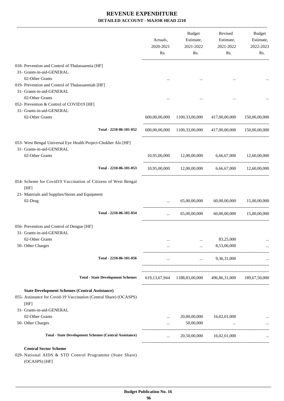|                                                                                                                                    | Actuals,<br>2020-2021<br>Rs. | Budget<br>Estimate,<br>2021-2022<br>Rs.                              | Revised<br>Estimate,<br>2021-2022<br>Rs.     | Budget<br>Estimate,<br>2022-2023<br>Rs. |
|------------------------------------------------------------------------------------------------------------------------------------|------------------------------|----------------------------------------------------------------------|----------------------------------------------|-----------------------------------------|
| 018- Prevention and Control of Thalassaemia [HF]                                                                                   |                              |                                                                      |                                              |                                         |
| 31- Grants-in-aid-GENERAL                                                                                                          |                              |                                                                      |                                              |                                         |
| 02-Other Grants                                                                                                                    | $\cdots$                     |                                                                      | $\cdots$                                     |                                         |
| 019- Prevention and Control of Thalassaemiah [HF]                                                                                  |                              |                                                                      |                                              |                                         |
| 31- Grants-in-aid-GENERAL                                                                                                          |                              |                                                                      |                                              |                                         |
| 02-Other Grants                                                                                                                    |                              |                                                                      |                                              |                                         |
| 052- Prevention & Control of COVID19 [HF]                                                                                          |                              |                                                                      |                                              |                                         |
| 31- Grants-in-aid-GENERAL                                                                                                          |                              |                                                                      |                                              |                                         |
| 02-Other Grants                                                                                                                    |                              | 600,00,00,000 1100,33,00,000                                         | 417,00,00,000                                | 150,00,00,000                           |
| Total - 2210-06-101-052                                                                                                            |                              | 600,00,00,000 1100,33,00,000 417,00,00,000 150,00,00,000             |                                              |                                         |
| 053- West Bengal Universal Eye Health Project-Chokher Alo [HF]<br>31- Grants-in-aid-GENERAL                                        |                              |                                                                      |                                              |                                         |
| 02-Other Grants                                                                                                                    |                              | $10,95,00,000$ $12,00,00,000$ $6,66,67,000$ $12,60,00,000$           |                                              |                                         |
| Total - 2210-06-101-053                                                                                                            |                              | $10,95,00,000$ $12,00,00,000$ $6,66,67,000$ $12,60,00,000$           |                                              |                                         |
| 054- Scheme for Covid19 Vaccination of Citizens of West Bengal<br>[HF]                                                             |                              |                                                                      |                                              |                                         |
| 21- Materials and Supplies/Stores and Equipment<br>02-Drug                                                                         | $\cdots$                     |                                                                      | $65,00,00,000$ $60,00,00,000$ $15,00,00,000$ |                                         |
| Total - 2210-06-101-054                                                                                                            | $\cdots$                     |                                                                      | 65,00,00,000 60,00,00,000                    | 15,00,00,000                            |
| 056- Prevention and Control of Dengue [HF]                                                                                         |                              |                                                                      |                                              |                                         |
| 31- Grants-in-aid-GENERAL                                                                                                          |                              |                                                                      |                                              |                                         |
| 02-Other Grants                                                                                                                    | $\cdots$                     |                                                                      | 83,25,000                                    |                                         |
| 50- Other Charges                                                                                                                  |                              | $\cdots$                                                             | 8,53,06,000                                  |                                         |
| Total - 2210-06-101-056                                                                                                            | $\cdots$                     |                                                                      | $\ldots$ 9,36,31,000                         |                                         |
| <b>Total - State Development Schemes</b>                                                                                           |                              | 619, 13, 67, 944 1188, 83, 00, 000 496, 86, 31, 000 189, 67, 50, 000 |                                              |                                         |
|                                                                                                                                    |                              |                                                                      |                                              |                                         |
| <b>State Development Schemes (Central Assistance)</b><br>055- Assistance for Covid-19 Vaccination (Central Share) (OCASPS)<br>[HF] |                              |                                                                      |                                              |                                         |
| 31- Grants-in-aid-GENERAL                                                                                                          |                              |                                                                      |                                              |                                         |
| 02-Other Grants                                                                                                                    | $\ddotsc$                    | 20,00,00,000                                                         | 16,02,01,000                                 |                                         |
| 50- Other Charges                                                                                                                  |                              | 50,00,000                                                            | $\cdots$                                     |                                         |
| <b>Total - State Development Schemes (Central Assistance)</b>                                                                      | $\cdots$                     | 20,50,00,000                                                         | 16,02,01,000                                 |                                         |
| <b>Central Sector Scheme</b>                                                                                                       |                              |                                                                      |                                              |                                         |
| 029- National AIDS & STD Control Programme (State Share)<br>(OCASPS) [HF]                                                          |                              |                                                                      |                                              |                                         |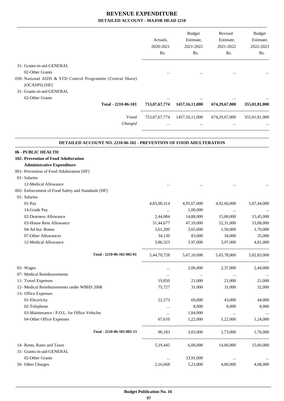|                                                                                                                             | Actuals,<br>2020-2021<br>Rs. | Budget<br>Estimate,<br>2021-2022<br>Rs.                | Revised<br>Estimate,<br>2021-2022<br>Rs. | Budget<br>Estimate,<br>2022-2023<br>Rs. |
|-----------------------------------------------------------------------------------------------------------------------------|------------------------------|--------------------------------------------------------|------------------------------------------|-----------------------------------------|
| 31- Grants-in-aid-GENERAL                                                                                                   |                              |                                                        |                                          |                                         |
| 02-Other Grants<br>030- National AIDS & STD Control Programme (Central Share)<br>(OCASPS) [HF]<br>31- Grants-in-aid-GENERAL |                              |                                                        |                                          |                                         |
| 02-Other Grants                                                                                                             |                              |                                                        |                                          |                                         |
| Total - 2210-06-101                                                                                                         |                              | 753,87,67,774 1457,16,11,000                           | 674,29,67,000                            | 355,81,81,000                           |
| Voted<br>Charged                                                                                                            |                              | 753,87,67,774 1457,16,11,000 674,29,67,000<br>$\cdots$ |                                          | 355,81,81,000                           |
| <b>DETAILED ACCOUNT NO. 2210-06-102 - PREVENTION OF FOOD ADULTERATION</b>                                                   |                              |                                                        |                                          |                                         |
| 06 - PUBLIC HEALTH                                                                                                          |                              |                                                        |                                          |                                         |
| 102- Prevention of Food Adulteration                                                                                        |                              |                                                        |                                          |                                         |
| <b>Administrative Expenditure</b>                                                                                           |                              |                                                        |                                          |                                         |
| 001- Prevention of Food Adulteration [HF]                                                                                   |                              |                                                        |                                          |                                         |
| 01- Salaries                                                                                                                |                              |                                                        |                                          |                                         |
| 12-Medical Allowance                                                                                                        |                              |                                                        |                                          |                                         |
| 002- Enforcement of Food Safety and Standards [HF]                                                                          |                              |                                                        |                                          |                                         |
| 01- Salaries                                                                                                                |                              |                                                        |                                          |                                         |
| 01-Pay                                                                                                                      | 4,83,00,314                  | 4,95,67,000                                            | 4,92,66,000                              | 5,07,44,000                             |
| 14-Grade Pay                                                                                                                | $\ldots$                     | 1,00,000                                               | $\ddots$                                 |                                         |
| 02-Dearness Allowance                                                                                                       | 2,44,084                     | 14,88,000                                              | 15,00,000                                | 15,45,000                               |
| 03-House Rent Allowance                                                                                                     | 51,44,677                    | 47,10,000                                              | 52,31,000                                | 53,88,000                               |
| 04-Ad hoc Bonus                                                                                                             | 3,61,200                     | 3,65,000                                               | 1,50,000                                 | 1,70,000                                |
| 07-Other Allowances                                                                                                         | 34,130                       | 83,000                                                 | 34,000                                   | 35,000                                  |
| 12-Medical Allowance                                                                                                        | 3,86,323                     | 3,97,000                                               | 3,97,000                                 | 4,01,000                                |
| Total - 2210-06-102-002-01                                                                                                  |                              | 5,44,70,728 5,67,10,000 5,65,78,000                    |                                          | 5,82,83,000                             |
| 02- Wages                                                                                                                   | $\cdots$                     | 2,06,000                                               | 2,37,000                                 | 2,44,000                                |
| 07- Medical Reimbursements                                                                                                  | $\cdots$                     | $\ldots$                                               | $\ldots$                                 | $\cdots$                                |
| 11- Travel Expenses                                                                                                         | 19,850                       | 21,000                                                 | 21,000                                   | 21,000                                  |
| 12- Medical Reimbursements under WBHS 2008<br>13- Office Expenses                                                           | 75,727                       | 31,000                                                 | 31,000                                   | 32,000                                  |
| 01-Electricity                                                                                                              | 22,573                       | 69,000                                                 | 43,000                                   | 44,000                                  |
| 02-Telephone                                                                                                                | $\cdots$                     | 8,000                                                  | 8,000                                    | 8,000                                   |
| 03-Maintenance / P.O.L. for Office Vehicles                                                                                 | $\cdots$                     | 1,04,000                                               | $\ldots$                                 | $\cdots$                                |
| 04-Other Office Expenses                                                                                                    | 67,610                       | 1,22,000                                               | 1,22,000                                 | 1,24,000                                |
| Total - 2210-06-102-002-13                                                                                                  | 90,183                       |                                                        | 3,03,000 1,73,000 1,76,000               |                                         |
| 14- Rents, Rates and Taxes                                                                                                  | 5, 19, 445                   | 6,00,000                                               | 14,00,000                                | 15,60,000                               |
| 31- Grants-in-aid-GENERAL                                                                                                   |                              |                                                        |                                          |                                         |
| 02-Other Grants                                                                                                             | $\cdots$                     | 33,91,000                                              | $\cdots$                                 | $\cdots$                                |
| 50- Other Charges                                                                                                           | 2,16,668                     | 5,23,000                                               | 4,00,000                                 | 4,08,000                                |
|                                                                                                                             |                              |                                                        |                                          |                                         |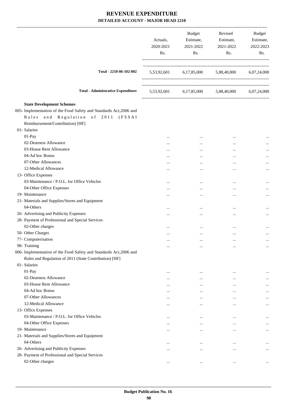|                                                                                                                                                                                   | Actuals,<br>2020-2021<br>Rs. | Budget<br>Estimate,<br>2021-2022<br>Rs. | Revised<br>Estimate,<br>2021-2022<br>Rs.        | Budget<br>Estimate,<br>2022-2023<br>Rs. |
|-----------------------------------------------------------------------------------------------------------------------------------------------------------------------------------|------------------------------|-----------------------------------------|-------------------------------------------------|-----------------------------------------|
| Total - 2210-06-102-002                                                                                                                                                           |                              |                                         | 5,53,92,601 6,17,85,000 5,88,40,000 6,07,24,000 |                                         |
| <b>Total - Administrative Expenditure</b>                                                                                                                                         |                              |                                         | 5,53,92,601 6,17,85,000 5,88,40,000 6,07,24,000 |                                         |
| <b>State Development Schemes</b><br>005- Implementation of the Food Safety and Standards Act, 2006 and<br>Rules and Regulation of 2011 (FSSAI<br>Reimbursement/Contribution) [HF] |                              |                                         |                                                 |                                         |
| 01- Salaries                                                                                                                                                                      |                              |                                         |                                                 |                                         |
| 01-Pay                                                                                                                                                                            | $\cdots$                     |                                         |                                                 |                                         |
| 02-Dearness Allowance                                                                                                                                                             | $\cdots$                     |                                         |                                                 |                                         |
| 03-House Rent Allowance                                                                                                                                                           | $\cdots$                     |                                         |                                                 |                                         |
| 04-Ad hoc Bonus                                                                                                                                                                   | $\cdots$                     | $\cdots$                                |                                                 | $\cdots$                                |
| 07-Other Allowances                                                                                                                                                               |                              |                                         | $\ddotsc$                                       |                                         |
| 12-Medical Allowance                                                                                                                                                              | $\cdots$                     |                                         |                                                 | $\cdots$                                |
| 13- Office Expenses                                                                                                                                                               |                              |                                         |                                                 |                                         |
| 03-Maintenance / P.O.L. for Office Vehicles                                                                                                                                       |                              | $\cdots$                                |                                                 |                                         |
| 04-Other Office Expenses                                                                                                                                                          | $\cdots$                     |                                         |                                                 |                                         |
| 19- Maintenance                                                                                                                                                                   | $\cdots$                     |                                         | $\cdots$                                        | $\cdots$                                |
| 21- Materials and Supplies/Stores and Equipment                                                                                                                                   |                              |                                         |                                                 |                                         |
| 04-Others                                                                                                                                                                         |                              |                                         |                                                 |                                         |
| 26- Advertising and Publicity Expenses                                                                                                                                            |                              |                                         |                                                 |                                         |
| 28- Payment of Professional and Special Services                                                                                                                                  |                              |                                         |                                                 |                                         |
| 02-Other charges                                                                                                                                                                  |                              |                                         |                                                 |                                         |
| 50- Other Charges                                                                                                                                                                 | $\cdots$                     |                                         |                                                 | $\cdots$                                |
| 77- Computerisation                                                                                                                                                               | $\cdots$                     | $\cdots$                                |                                                 | $\cdots$                                |
| 98- Training                                                                                                                                                                      | $\cdots$                     |                                         |                                                 | $\cdots$                                |
| 006- Implementation of the Food Safety and Standards Act, 2006 and                                                                                                                |                              |                                         |                                                 |                                         |
| Rules and Regulation of 2011 (State Contribution) [HF]                                                                                                                            |                              |                                         |                                                 |                                         |
| 01- Salaries                                                                                                                                                                      |                              |                                         |                                                 |                                         |
| $01-Pay$                                                                                                                                                                          |                              | $\cdots$                                |                                                 | $\cdots$                                |
| 02-Dearness Allowance                                                                                                                                                             | $\cdots$                     |                                         |                                                 |                                         |
| 03-House Rent Allowance                                                                                                                                                           |                              | $\cdots$                                |                                                 | $\cdots$                                |
| 04-Ad hoc Bonus                                                                                                                                                                   | $\cdots$                     | $\cdots$                                |                                                 |                                         |
| 07-Other Allowances                                                                                                                                                               | $\cdots$                     |                                         |                                                 | $\cdots$                                |
| 12-Medical Allowance                                                                                                                                                              | $\cdots$                     | $\cdots$                                | $\cdots$                                        | $\cdots$                                |
| 13- Office Expenses                                                                                                                                                               |                              |                                         |                                                 |                                         |
| 03-Maintenance / P.O.L. for Office Vehicles                                                                                                                                       |                              | $\cdots$                                |                                                 |                                         |
| 04-Other Office Expenses                                                                                                                                                          | $\cdots$                     | $\cdots$                                | $\cdots$                                        | $\cdots$                                |
| 19- Maintenance                                                                                                                                                                   | $\cdots$                     |                                         | $\cdots$                                        | $\cdots$                                |
| 21- Materials and Supplies/Stores and Equipment                                                                                                                                   |                              |                                         |                                                 |                                         |
| 04-Others                                                                                                                                                                         | $\cdots$                     |                                         |                                                 |                                         |
| 26- Advertising and Publicity Expenses                                                                                                                                            | $\cdots$                     | $\cdots$                                |                                                 | $\cdots$                                |
| 28- Payment of Professional and Special Services                                                                                                                                  |                              |                                         |                                                 |                                         |
| 02-Other charges                                                                                                                                                                  | $\cdots$                     | $\cdots$                                | $\ddotsc$                                       | $\cdots$                                |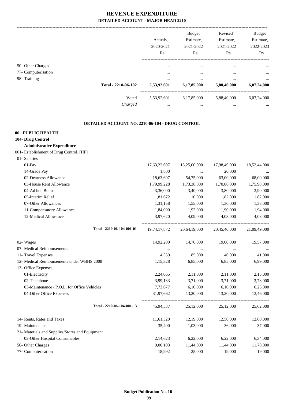|                     |                     |             | <b>Budget</b> | Revised     | Budget      |
|---------------------|---------------------|-------------|---------------|-------------|-------------|
|                     |                     | Actuals.    | Estimate,     | Estimate,   | Estimate,   |
|                     |                     | 2020-2021   | 2021-2022     | 2021-2022   | 2022-2023   |
|                     |                     | Rs.         | Rs.           | Rs.         | Rs.         |
| 50- Other Charges   |                     | $\cdots$    | $\cdots$      | $\cdots$    | $\cdots$    |
| 77- Computerisation |                     | $\cdots$    | $\cdots$      | $\cdots$    | $\cdots$    |
| 98- Training        |                     |             | $\cdots$      |             | $\cdots$    |
|                     | Total - 2210-06-102 | 5,53,92,601 | 6,17,85,000   | 5,88,40,000 | 6,07,24,000 |
|                     | Voted               | 5,53,92,601 | 6,17,85,000   | 5,88,40,000 | 6,07,24,000 |
|                     | Charged             | $\cdots$    | $\cdots$      |             | $\cdots$    |
|                     |                     |             |               |             |             |

.

| DETAILED ACCOUNT NO. 2210-06-104 - DRUG CONTROL |              |              |              |              |  |  |
|-------------------------------------------------|--------------|--------------|--------------|--------------|--|--|
| 06 - PUBLIC HEALTH                              |              |              |              |              |  |  |
| 104- Drug Control                               |              |              |              |              |  |  |
| <b>Administrative Expenditure</b>               |              |              |              |              |  |  |
| 001- Establishment of Drug Control. [HF]        |              |              |              |              |  |  |
| 01- Salaries                                    |              |              |              |              |  |  |
| 01-Pay                                          | 17,63,22,697 | 18,25,00,000 | 17,98,49,000 | 18,52,44,000 |  |  |
| 14-Grade Pay                                    | 1,800        |              | 20,000       |              |  |  |
| 02-Dearness Allowance                           | 18,63,697    | 54,75,000    | 63,00,000    | 68,00,000    |  |  |
| 03-House Rent Allowance                         | 1,79,99,228  | 1,73,38,000  | 1,70,86,000  | 1,75,98,000  |  |  |
| 04-Ad hoc Bonus                                 | 3,36,000     | 3,40,000     | 3,80,000     | 3,90,000     |  |  |
| 05-Interim Relief                               | 1,81,672     | 10,000       | 1,82,000     | 1,82,000     |  |  |
| 07-Other Allowances                             | 1,31,158     | 1,55,000     | 1,30,000     | 1,33,000     |  |  |
| 11-Compensatory Allowance                       | 1,84,000     | 1,92,000     | 1,90,000     | 1,94,000     |  |  |
| 12-Medical Allowance                            | 3,97,620     | 4,09,000     | 4,03,000     | 4,08,000     |  |  |
| Total - 2210-06-104-001-01                      | 19,74,17,872 | 20,64,19,000 | 20,45,40,000 | 21,09,49,000 |  |  |
| 02- Wages                                       | 14,92,200    | 14,70,000    | 19,00,000    | 19,57,000    |  |  |
| 07- Medical Reimbursements                      | $\cdots$     | $\ldots$     |              |              |  |  |
| 11- Travel Expenses                             | 4,359        | 85,000       | 40,000       | 41,000       |  |  |
| 12- Medical Reimbursements under WBHS 2008      | 1,15,328     | 6,85,000     | 6,85,000     | 6,99,000     |  |  |
| 13- Office Expenses                             |              |              |              |              |  |  |
| 01-Electricity                                  | 2,24,065     | 2,11,000     | 2,11,000     | 2,15,000     |  |  |
| 02-Telephone                                    | 3,99,133     | 3,71,000     | 3,71,000     | 3,78,000     |  |  |
| 03-Maintenance / P.O.L. for Office Vehicles     | 7,73,677     | 6,10,000     | 6,10,000     | 6,23,000     |  |  |
| 04-Other Office Expenses                        | 31,97,662    | 13,20,000    | 13,20,000    | 13,46,000    |  |  |
| Total - 2210-06-104-001-13                      | 45,94,537    | 25,12,000    | 25,12,000    | 25,62,000    |  |  |
| 14- Rents, Rates and Taxes                      | 11,61,320    | 12,19,000    | 12,50,000    | 12,60,000    |  |  |
| 19- Maintenance                                 | 35,400       | 1,03,000     | 36,000       | 37,000       |  |  |
| 21- Materials and Supplies/Stores and Equipment |              |              |              |              |  |  |
| 03-Other Hospital Consumables                   | 2,14,623     | 6,22,000     | 6,22,000     | 6,34,000     |  |  |
| 50- Other Charges                               | 9,00,103     | 11,44,000    | 11,44,000    | 11,78,000    |  |  |
| 77- Computerisation                             | 18,992       | 25,000       | 19,000       | 19,000       |  |  |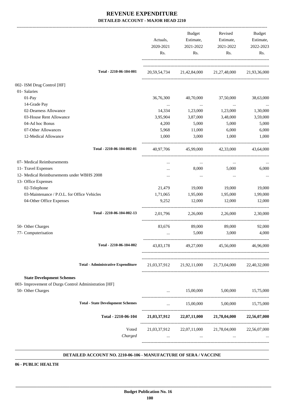|                                                                                           | Actuals,<br>2020-2021<br>Rs. | <b>Budget</b><br>Estimate,<br>2021-2022<br>Rs. | Revised<br>Estimate,<br>2021-2022<br>Rs.                        | Budget<br>Estimate,<br>2022-2023<br>Rs. |
|-------------------------------------------------------------------------------------------|------------------------------|------------------------------------------------|-----------------------------------------------------------------|-----------------------------------------|
| Total - 2210-06-104-001                                                                   |                              |                                                | 20,59,54,734 21,42,84,000 21,27,48,000 21,93,36,000             |                                         |
| 002- ISM Drug Control [HF]                                                                |                              |                                                |                                                                 |                                         |
| 01- Salaries                                                                              |                              |                                                |                                                                 |                                         |
| $01-Pay$                                                                                  | 36,76,300                    | 40,70,000                                      | 37,50,000                                                       | 38,63,000                               |
| 14-Grade Pay                                                                              | $\ldots$                     | $\cdots$                                       | $\sim$ 0.000 $\mu$                                              | $\cdots$                                |
| 02-Dearness Allowance                                                                     | 14,334                       | 1,23,000                                       | 1,23,000                                                        | 1,30,000                                |
| 03-House Rent Allowance                                                                   | 3,95,904                     | 3,87,000                                       | 3,48,000                                                        | 3,59,000                                |
| 04-Ad hoc Bonus                                                                           | 4,200                        | 5,000                                          | 5,000                                                           | 5,000                                   |
| 07-Other Allowances                                                                       | 5,968                        | 11,000                                         | 6,000                                                           | 6,000                                   |
| 12-Medical Allowance                                                                      | 1,000                        | 3,000                                          | 1,000                                                           | 1,000                                   |
| Total - 2210-06-104-002-01                                                                |                              |                                                | 40,97,706 45,99,000 42,33,000 43,64,000                         |                                         |
| 07- Medical Reimbursements                                                                | $\cdots$                     | $\cdots$                                       | $\cdots$                                                        |                                         |
| 11- Travel Expenses                                                                       |                              | 8,000                                          | 5,000                                                           | 6,000                                   |
| 12- Medical Reimbursements under WBHS 2008                                                | $\cdots$                     | $\cdots$                                       | $\cdots$                                                        |                                         |
| 13- Office Expenses                                                                       |                              |                                                |                                                                 |                                         |
| 02-Telephone                                                                              | 21,479                       | 19,000                                         | 19,000                                                          | 19,000                                  |
| 03-Maintenance / P.O.L. for Office Vehicles                                               | 1,71,065                     | 1,95,000                                       | 1,95,000                                                        | 1,99,000                                |
| 04-Other Office Expenses                                                                  | 9,252                        | 12,000                                         | 12,000                                                          | 12,000                                  |
| Total - 2210-06-104-002-13                                                                | 2,01,796                     |                                                | 2,26,000 2,26,000                                               | 2,30,000                                |
| 50- Other Charges                                                                         | 83,676                       | 89,000                                         | 89,000                                                          | 92,000                                  |
| 77- Computerisation                                                                       |                              | 5,000                                          | 3,000                                                           | 4,000                                   |
| Total - 2210-06-104-002                                                                   | 43,83,178                    | 49,27,000                                      | 45,56,000                                                       | 46,96,000                               |
| <b>Total - Administrative Expenditure</b>                                                 |                              |                                                | 21,03,37,912 21,92,11,000 21,73,04,000 22,40,32,000             |                                         |
| <b>State Development Schemes</b><br>003- Improvement of Durgs Control Administration [HF] |                              |                                                |                                                                 |                                         |
| 50- Other Charges                                                                         | $\cdots$                     | 15,00,000                                      | 5,00,000 15,75,000                                              |                                         |
| <b>Total - State Development Schemes</b>                                                  | $\cdots$                     |                                                | 15,00,000 5,00,000 15,75,000                                    |                                         |
| Total - 2210-06-104                                                                       |                              |                                                | 21,03,37,912 22,07,11,000 21,78,04,000 22,56,07,000             |                                         |
| Voted<br>Charged                                                                          | $\cdots$                     | <b>Contract</b>                                | 21,03,37,912 22,07,11,000 21,78,04,000 22,56,07,000<br>$\cdots$ |                                         |
|                                                                                           |                              |                                                |                                                                 |                                         |

#### **DETAILED ACCOUNT NO. 2210-06-106 - MANUFACTURE OF SERA / VACCINE .**

**06 - PUBLIC HEALTH**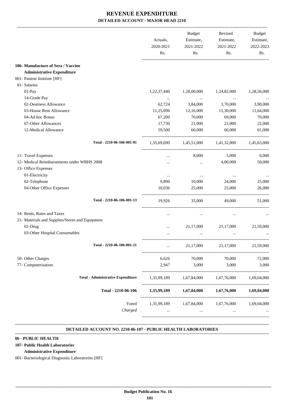|                                                 |                                           | Actuals,<br>2020-2021 | Budget<br>Estimate,<br>2021-2022    | Revised<br>Estimate,<br>2021-2022 | <b>Budget</b><br>Estimate,<br>2022-2023 |
|-------------------------------------------------|-------------------------------------------|-----------------------|-------------------------------------|-----------------------------------|-----------------------------------------|
|                                                 |                                           | Rs.                   | Rs.                                 | Rs.                               | Rs.                                     |
| 106- Manufacture of Sera / Vaccine              |                                           |                       |                                     |                                   |                                         |
| <b>Administrative Expenditure</b>               |                                           |                       |                                     |                                   |                                         |
| 001- Pasteur Institute [HF]                     |                                           |                       |                                     |                                   |                                         |
| 01- Salaries                                    |                                           |                       |                                     |                                   |                                         |
| 01-Pay                                          |                                           | 1,22,37,440           | 1,28,00,000                         | 1,24,82,000                       | 1,28,56,000                             |
| 14-Grade Pay                                    |                                           | $\cdots$              | $\cdots$                            | $\cdots$                          |                                         |
| 02-Dearness Allowance                           |                                           | 62,724                | 3,84,000                            | 3,70,000                          | 3,90,000                                |
| 03-House Rent Allowance                         |                                           | 11,25,096             | 12,16,000                           | 11,30,000                         | 11,64,000                               |
| 04-Ad hoc Bonus                                 |                                           | 67,200                | 70,000                              | 69,000                            | 70,000                                  |
| 07-Other Allowances                             |                                           | 17,730                | 21,000                              | 21,000                            | 22,000                                  |
| 12-Medical Allowance                            |                                           | 59,500                | 60,000                              | 60,000                            | 61,000                                  |
|                                                 | Total - 2210-06-106-001-01                |                       | 1,35,69,690 1,45,51,000 1,41,32,000 |                                   | 1,45,63,000                             |
| 11- Travel Expenses                             |                                           | $\cdots$              | 8,000                               | 5,000                             | 6,000                                   |
| 12- Medical Reimbursements under WBHS 2008      |                                           |                       | $\cdots$                            | 4,00,000                          | 50,000                                  |
| 13- Office Expenses                             |                                           |                       |                                     |                                   |                                         |
| 01-Electricity                                  |                                           | $\cdots$              | $\cdots$                            | $\cdots$                          |                                         |
| 02-Telephone                                    |                                           | 9,890                 | 10,000                              | 24,000                            | 25,000                                  |
| 04-Other Office Expenses                        |                                           | 10,036                | 25,000                              | 25,000                            | 26,000                                  |
|                                                 | Total - 2210-06-106-001-13                | 19,926                | 35,000                              | 49,000                            | 51,000                                  |
| 14- Rents, Rates and Taxes                      |                                           | $\cdots$              | $\cdots$                            | $\cdots$                          |                                         |
| 21- Materials and Supplies/Stores and Equipment |                                           |                       |                                     |                                   |                                         |
| 02-Drug                                         |                                           |                       | 21,17,000                           | 21,17,000                         | 21,59,000                               |
| 03-Other Hospital Consumables                   |                                           |                       | $\cdots$                            | $\cdots$                          |                                         |
|                                                 | Total - 2210-06-106-001-21                | $\ddots$              | 21,17,000                           | 21,17,000                         | 21,59,000                               |
| 50- Other Charges                               |                                           | 6,626                 | 70,000                              | 70,000                            | 72,000                                  |
| 77- Computerisation                             |                                           | 2,947                 | 3,000                               | 3,000                             | 3,000                                   |
|                                                 | <b>Total - Administrative Expenditure</b> | 1,35,99,189           | 1,67,84,000                         | 1,67,76,000                       | 1,69,04,000                             |
|                                                 | Total - 2210-06-106                       | 1,35,99,189           | 1,67,84,000                         | 1,67,76,000                       | 1,69,04,000                             |
|                                                 | Voted                                     |                       | 1,35,99,189 1,67,84,000             | 1,67,76,000                       | 1,69,04,000                             |
|                                                 |                                           |                       |                                     |                                   |                                         |

#### **DETAILED ACCOUNT NO. 2210-06-107 - PUBLIC HEALTH LABORATORIES .**

.

### **06 - PUBLIC HEALTH**

### **107- Public Health Laboratories**

#### **Administrative Expenditure**

001- Bacteriological Diagnostic Laboratories [HF]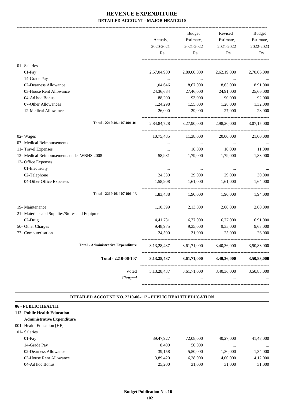|                                                 |                | Budget                  | Revised     | Budget      |
|-------------------------------------------------|----------------|-------------------------|-------------|-------------|
|                                                 | Actuals,       | Estimate,               | Estimate,   | Estimate,   |
|                                                 | 2020-2021      | 2021-2022               | 2021-2022   | 2022-2023   |
|                                                 | Rs.            | Rs.                     | Rs.         | Rs.         |
| 01- Salaries                                    |                |                         |             |             |
| 01-Pay                                          | 2,57,04,900    | 2,89,00,000             | 2,62,19,000 | 2,70,06,000 |
| 14-Grade Pay                                    | $\cdots$       | $\sim$ $\sim$           |             |             |
| 02-Dearness Allowance                           | 1,04,646       | 8,67,000                | 8,65,000    | 8,91,000    |
| 03-House Rent Allowance                         | 24,36,684      | 27,46,000               | 24,91,000   | 25,66,000   |
| 04-Ad hoc Bonus                                 | 88,200         | 93,000                  | 90,000      | 92,000      |
| 07-Other Allowances                             | 1,24,298       | 1,55,000                | 1,28,000    | 1,32,000    |
| 12-Medical Allowance                            | 26,000         | 29,000                  | 27,000      | 28,000      |
| Total - 2210-06-107-001-01                      |                | 2,84,84,728 3,27,90,000 | 2,98,20,000 | 3,07,15,000 |
| 02- Wages                                       | 10,75,485      | 11,38,000               | 20,00,000   | 21,00,000   |
| 07- Medical Reimbursements                      | $\cdots$       | $\cdots$                | $\cdots$    |             |
| 11- Travel Expenses                             | $\cdots$       | 18,000                  | 10,000      | 11,000      |
| 12- Medical Reimbursements under WBHS 2008      | 58,981         | 1,79,000                | 1,79,000    | 1,83,000    |
| 13- Office Expenses                             |                |                         |             |             |
| 01-Electricity                                  | $\cdots$       | $\cdots$                | $\cdots$    |             |
| 02-Telephone                                    | 24,530         | 29,000                  | 29,000      | 30,000      |
| 04-Other Office Expenses                        | 1,58,908       | 1,61,000                | 1,61,000    | 1,64,000    |
| Total - 2210-06-107-001-13                      | 1,83,438       | 1,90,000                | 1,90,000    | 1,94,000    |
| 19- Maintenance                                 | 1,10,599       | 2,13,000                | 2,00,000    | 2,00,000    |
| 21- Materials and Supplies/Stores and Equipment |                |                         |             |             |
| 02-Drug                                         | 4,41,731       | 6,77,000                | 6,77,000    | 6,91,000    |
| 50- Other Charges                               | 9,48,975       | 9,35,000                | 9,35,000    | 9,63,000    |
| 77- Computerisation                             | 24,500         | 31,000                  | 25,000      | 26,000      |
| <b>Total - Administrative Expenditure</b>       | 3,13,28,437    | 3,61,71,000             | 3,40,36,000 | 3,50,83,000 |
| Total - 2210-06-107                             | 3, 13, 28, 437 | 3,61,71,000             | 3,40,36,000 | 3,50,83,000 |
| Voted                                           | 3, 13, 28, 437 | 3,61,71,000             | 3,40,36,000 | 3,50,83,000 |
| Charged                                         |                |                         |             |             |

#### **DETAILED ACCOUNT NO. 2210-06-112 - PUBLIC HEALTH EDUCATION .**

.

### **06 - PUBLIC HEALTH**

### **112- Public Health Education**

### **Administrative Expenditure**

# 001- Health Education [HF] 01- Salaries

| $01-Pav$                | 39.47.927 | 72,08,000 | 40.27,000 | 41.48.000 |
|-------------------------|-----------|-----------|-----------|-----------|
| 14-Grade Pay            | 8.400     | 50,000    |           |           |
| 02-Dearness Allowance   | 39.158    | 5.50,000  | 1.30.000  | 1,34,000  |
| 03-House Rent Allowance | 3.89.420  | 6.28,000  | 4,00,000  | 4,12,000  |
| 04-Ad hoc Bonus         | 25,200    | 31,000    | 31,000    | 31,000    |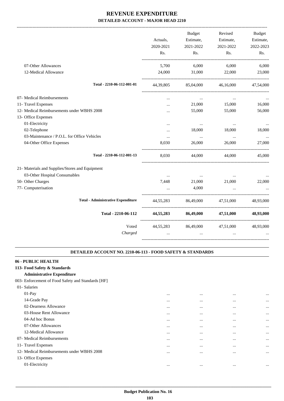|                                                 | Actuals,<br>2020-2021<br>Rs. | Budget<br>Estimate,<br>2021-2022<br>Rs. | Revised<br>Estimate,<br>2021-2022<br>Rs. | <b>Budget</b><br>Estimate,<br>2022-2023<br>Rs. |
|-------------------------------------------------|------------------------------|-----------------------------------------|------------------------------------------|------------------------------------------------|
|                                                 |                              |                                         |                                          |                                                |
| 07-Other Allowances                             | 5,700                        | 6,000                                   | 6,000                                    | 6,000                                          |
| 12-Medical Allowance                            | 24,000                       | 31,000                                  | 22,000                                   | 23,000                                         |
| Total - 2210-06-112-001-01                      | 44,39,805                    | 85,04,000                               | 46,16,000                                | 47,54,000                                      |
| 07- Medical Reimbursements                      |                              | $\cdots$                                |                                          |                                                |
| 11- Travel Expenses                             | $\ddotsc$                    | 21,000                                  | 15,000                                   | 16,000                                         |
| 12- Medical Reimbursements under WBHS 2008      | .                            | 55,000                                  | 55,000                                   | 56,000                                         |
| 13- Office Expenses                             |                              |                                         |                                          |                                                |
| 01-Electricity                                  |                              | $\ldots$                                | $\cdots$                                 |                                                |
| 02-Telephone                                    | $\cdots$                     | 18,000                                  | 18,000                                   | 18,000                                         |
| 03-Maintenance / P.O.L. for Office Vehicles     | $\cdots$                     | $\ddots$                                | $\cdots$                                 |                                                |
| 04-Other Office Expenses                        | 8,030                        | 26,000                                  | 26,000                                   | 27,000                                         |
| Total - 2210-06-112-001-13                      | 8.030                        | 44,000                                  | 44,000                                   | 45,000                                         |
| 21- Materials and Supplies/Stores and Equipment |                              |                                         |                                          |                                                |
| 03-Other Hospital Consumables                   | $\cdots$                     | $\cdots$ .                              | $\cdots$                                 |                                                |
| 50- Other Charges                               | 7,448                        | 21,000                                  | 21,000                                   | 22,000                                         |
| 77- Computerisation                             |                              | 4,000                                   |                                          |                                                |
|                                                 |                              |                                         |                                          |                                                |
| <b>Total - Administrative Expenditure</b>       | 44.55.283                    | 86.49.000                               | 47.51.000                                | 48.93.000                                      |
| Total - 2210-06-112                             | 44,55,283                    | 86,49,000                               | 47,51,000                                | 48,93,000                                      |
| Voted                                           | 44,55,283                    | 86,49,000                               | 47,51,000                                | 48,93,000                                      |
| Charged                                         | $\cdots$                     | $\cdots$                                | $\cdots$                                 |                                                |
|                                                 |                              |                                         |                                          |                                                |

#### **DETAILED ACCOUNT NO. 2210-06-113 - FOOD SAFETY & STANDARDS .**

.

### **06 - PUBLIC HEALTH**

**113- Food Safety & Standards**

### **Administrative Expenditure**

003- Enforcement of Food Safety and Standards [HF]

| 01- Salaries        |                                            |          |          |          |           |
|---------------------|--------------------------------------------|----------|----------|----------|-----------|
| $01-Pay$            |                                            | $\cdots$ | $\cdots$ | $\cdots$ | $\ddotsc$ |
| 14-Grade Pay        |                                            | $\cdots$ | $\cdots$ | $\cdots$ | $\ddotsc$ |
|                     | 02-Dearness Allowance                      | $\cdots$ | $\cdots$ | $\cdots$ | $\cdots$  |
|                     | 03-House Rent Allowance                    | $\cdots$ | $\cdots$ | $\cdots$ | $\cdots$  |
| 04-Ad hoc Bonus     |                                            | $\cdots$ | $\cdots$ | $\cdots$ | $\ddotsc$ |
|                     | 07-Other Allowances                        | $\cdots$ | $\cdots$ | $\cdots$ | $\cdots$  |
|                     | 12-Medical Allowance                       | $\cdots$ |          | $\cdots$ | $\ddotsc$ |
|                     | 07- Medical Reimbursements                 | $\cdots$ | $\cdots$ | $\cdots$ | $\cdots$  |
| 11- Travel Expenses |                                            | $\cdots$ | $\cdots$ | $\cdots$ | $\cdots$  |
|                     | 12- Medical Reimbursements under WBHS 2008 | $\cdots$ |          | $\cdots$ | $\cdots$  |
| 13- Office Expenses |                                            |          |          |          |           |
| 01-Electricity      |                                            |          |          |          | $\ddotsc$ |
|                     |                                            |          |          |          |           |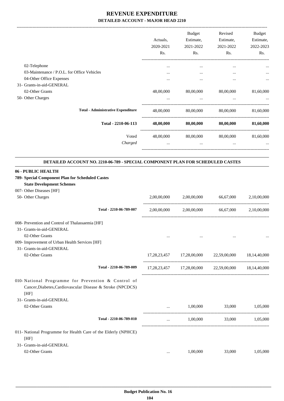-------------------------------------------------------------------------------------------------------------------------------------------------------------------------------

|                                                                                       |           | <b>Budget</b>                           | Revised             | <b>Budget</b> |
|---------------------------------------------------------------------------------------|-----------|-----------------------------------------|---------------------|---------------|
|                                                                                       | Actuals,  | Estimate,                               | Estimate,           | Estimate,     |
|                                                                                       | 2020-2021 | 2021-2022                               | 2021-2022           | 2022-2023     |
|                                                                                       | Rs.       | Rs.                                     | Rs.                 | Rs.           |
| 02-Telephone                                                                          |           | $\cdots$                                | $\cdots$            |               |
| 03-Maintenance / P.O.L. for Office Vehicles                                           |           | $\cdots$                                | $\cdots$            |               |
| 04-Other Office Expenses                                                              | $\cdots$  | $\cdots$                                | $\cdots$            | $\cdots$      |
| 31- Grants-in-aid-GENERAL                                                             |           |                                         |                     |               |
| 02-Other Grants                                                                       | 48,00,000 | 80,00,000                               | 80,00,000           | 81,60,000     |
| 50- Other Charges                                                                     | $\cdots$  | $\cdots$                                |                     |               |
| <b>Total - Administrative Expenditure</b>                                             | 48,00,000 |                                         | 80,00,000 80,00,000 | 81,60,000     |
| Total - 2210-06-113                                                                   | 48,00,000 |                                         | 80,00,000 80,00,000 | 81,60,000     |
| Voted                                                                                 |           | 48,00,000 80,00,000 80,00,000 81,60,000 |                     |               |
| Charged                                                                               | $\cdots$  | $\cdots$                                |                     |               |
| <b>DETAILED ACCOUNT NO. 2210-06-789 - SPECIAL COMPONENT PLAN FOR SCHEDULED CASTES</b> |           |                                         |                     |               |
| 06 - PUBLIC HEALTH                                                                    |           |                                         |                     |               |
| 789- Special Component Plan for Scheduled Castes                                      |           |                                         |                     |               |
| <b>State Development Schemes</b>                                                      |           |                                         |                     |               |
| 007- Other Diseases [HF]                                                              |           |                                         |                     |               |

| 50- Other Charges                                                                                                |                         | 2,00,00,000 | 2,00,00,000 | 66,67,000                                           | 2,10,00,000 |
|------------------------------------------------------------------------------------------------------------------|-------------------------|-------------|-------------|-----------------------------------------------------|-------------|
|                                                                                                                  | Total - 2210-06-789-007 | 2,00,00,000 | 2,00,00,000 | 66,67,000                                           | 2,10,00,000 |
| 008- Prevention and Control of Thalassaemia [HF]                                                                 |                         |             |             |                                                     |             |
| 31- Grants-in-aid-GENERAL                                                                                        |                         |             |             |                                                     |             |
| 02-Other Grants                                                                                                  |                         |             |             |                                                     |             |
| 009- Improvement of Urban Health Services [HF]                                                                   |                         |             |             |                                                     |             |
| 31- Grants-in-aid-GENERAL                                                                                        |                         |             |             |                                                     |             |
| 02-Other Grants                                                                                                  |                         |             |             | 17,28,23,457 17,28,00,000 22,59,00,000 18,14,40,000 |             |
|                                                                                                                  | Total - 2210-06-789-009 |             |             | 17,28,23,457 17,28,00,000 22,59,00,000 18,14,40,000 |             |
| 010-National Programme for Prevention & Control of<br>Cancer, Diabetes, Cardiovascular Disease & Stroke (NPCDCS) |                         |             |             |                                                     |             |
| [HF]<br>31- Grants-in-aid-GENERAL                                                                                |                         |             |             |                                                     |             |
| 02-Other Grants                                                                                                  |                         |             | 1,00,000    | 33,000                                              | 1,05,000    |
|                                                                                                                  | Total - 2210-06-789-010 |             | 1,00,000    | 33,000                                              | 1,05,000    |
| 011- National Programme for Health Care of the Elderly (NPHCE)<br>[HF]                                           |                         |             |             |                                                     |             |
| 31- Grants-in-aid-GENERAL                                                                                        |                         |             |             |                                                     |             |
| 02-Other Grants                                                                                                  |                         |             | 1,00,000    | 33,000                                              | 1,05,000    |
|                                                                                                                  |                         |             |             |                                                     |             |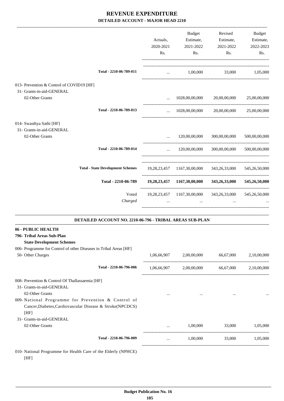|                                                                                                                                                                                                                                  |                                                          | Actuals,<br>2020-2021<br>Rs. | <b>Budget</b><br>Estimate,<br>2021-2022<br>Rs. | Revised<br>Estimate,<br>2021-2022<br>Rs. | <b>Budget</b><br>Estimate,<br>2022-2023<br>Rs. |
|----------------------------------------------------------------------------------------------------------------------------------------------------------------------------------------------------------------------------------|----------------------------------------------------------|------------------------------|------------------------------------------------|------------------------------------------|------------------------------------------------|
|                                                                                                                                                                                                                                  | Total - 2210-06-789-011                                  | $\cdots$                     | 1.00.000                                       | 33,000                                   | 1,05,000                                       |
| 013- Prevention & Control of COVID19 [HF]<br>31- Grants-in-aid-GENERAL<br>02-Other Grants<br>02-Other Grants<br><b>State Development Schemes</b><br>02-Other Grants<br>Cancer, Diabetes, Cardiovascular Disease & Stroke(NPCDCS) |                                                          |                              | 1028,00,00,000                                 | 20,00,00,000                             | 25,00,00,000                                   |
|                                                                                                                                                                                                                                  | Total - 2210-06-789-013                                  | $\cdots$                     | 1028,00,00,000                                 | 20,00,00,000                             | 25,00,00,000                                   |
| 014- Swasthya Sathi [HF]<br>31- Grants-in-aid-GENERAL                                                                                                                                                                            |                                                          |                              | 120,00,00,000                                  | 300,00,00,000                            | 500,00,00,000                                  |
|                                                                                                                                                                                                                                  | Total - 2210-06-789-014                                  | $\cdots$                     | 120,00,00,000                                  | 300,00,00,000                            | 500,00,00,000                                  |
|                                                                                                                                                                                                                                  | <b>Total - State Development Schemes</b>                 | 19, 28, 23, 457              | 1167,30,00,000                                 | 343,26,33,000                            | 545, 26, 50, 000                               |
|                                                                                                                                                                                                                                  | Total - 2210-06-789                                      |                              | 19,28,23,457 1167,30,00,000                    | 343,26,33,000                            | 545,26,50,000                                  |
|                                                                                                                                                                                                                                  | Voted<br>Charged                                         | 19,28,23,457<br>$\ddots$     | 1167,30,00,000<br>$\ddotsc$                    | 343,26,33,000<br>$\cdots$                | 545,26,50,000                                  |
|                                                                                                                                                                                                                                  | DETAILED ACCOUNT NO. 2210-06-796 - TRIBAL AREAS SUB-PLAN |                              |                                                |                                          |                                                |
| 06 - PUBLIC HEALTH<br>796- Tribal Areas Sub-Plan<br>006- Programme for Control of other Diseases in Tribal Areas [HF]                                                                                                            |                                                          |                              |                                                |                                          |                                                |
| 50- Other Charges                                                                                                                                                                                                                |                                                          | 1,06,66,907                  | 2,00,00,000                                    | 66,67,000                                | 2,10,00,000                                    |
|                                                                                                                                                                                                                                  | Total - 2210-06-796-006                                  | 1,06,66,907                  | 2,00,00,000                                    | 66,67,000                                | 2,10,00,000                                    |
| 008- Prevention & Control Of Thallassaemia [HF]<br>31- Grants-in-aid-GENERAL<br>009-National Programme for Prevention & Control of                                                                                               |                                                          | $\ddotsc$                    | $\cdots$                                       | $\cdots$                                 |                                                |
| [HF]<br>31- Grants-in-aid-GENERAL<br>02-Other Grants                                                                                                                                                                             |                                                          | $\cdots$                     | 1,00,000                                       | 33,000                                   | 1,05,000                                       |
|                                                                                                                                                                                                                                  | Total - 2210-06-796-009                                  | $\cdots$                     | 1,00,000                                       | 33,000                                   | 1,05,000                                       |

010- National Programme for Health Care of the Elderly (NPHCE) [HF]

-----------------------------------------------------------------------------------------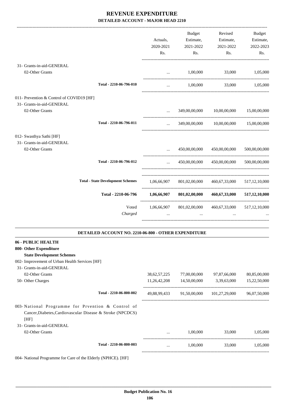| 31- Grants-in-aid-GENERAL<br>02-Other Grants                           |                                                      | Actuals,<br>2020-2021<br>Rs.<br>$\cdots$ | <b>Budget</b><br>Estimate,<br>2021-2022<br>Rs.<br>1,00,000 | Revised<br>Estimate,<br>2021-2022<br>Rs.<br>33,000 | Budget<br>Estimate,<br>2022-2023<br>Rs.<br>1,05,000 |
|------------------------------------------------------------------------|------------------------------------------------------|------------------------------------------|------------------------------------------------------------|----------------------------------------------------|-----------------------------------------------------|
|                                                                        | Total - 2210-06-796-010                              | $\cdots$                                 | 1,00,000                                                   | 33,000                                             | 1,05,000                                            |
| 011- Prevention & Control of COVID19 [HF]<br>31- Grants-in-aid-GENERAL |                                                      |                                          |                                                            |                                                    |                                                     |
| 02-Other Grants                                                        |                                                      |                                          | 349,00,00,000                                              | 10,00,00,000                                       | 15,00,00,000                                        |
|                                                                        | Total - 2210-06-796-011                              | $\cdots$                                 |                                                            | 349,00,00,000 10,00,00,000                         | 15,00,00,000                                        |
| 012- Swasthya Sathi [HF]<br>31- Grants-in-aid-GENERAL                  |                                                      |                                          |                                                            |                                                    |                                                     |
| 02-Other Grants                                                        |                                                      |                                          | 450,00,00,000                                              | 450,00,00,000                                      | 500,00,00,000                                       |
|                                                                        | Total - 2210-06-796-012                              | $\cdots$                                 | 450,00,00,000                                              | 450,00,00,000<br>--------------------------------- | 500,00,00,000                                       |
|                                                                        | <b>Total - State Development Schemes</b>             | 1,06,66,907                              | 801,02,00,000                                              | 460,67,33,000                                      | 517, 12, 10, 000                                    |
|                                                                        | Total - 2210-06-796                                  | 1,06,66,907                              | 801,02,00,000                                              | 460,67,33,000                                      | 517, 12, 10, 000                                    |
|                                                                        | Voted<br>Charged                                     | 1,06,66,907                              | 801,02,00,000                                              | 460,67,33,000                                      | 517, 12, 10, 000                                    |
|                                                                        | DETAILED ACCOUNT NO. 2210-06-800 - OTHER EXPENDITURE |                                          |                                                            |                                                    |                                                     |
| 06 - PUBLIC HEALTH                                                     |                                                      |                                          |                                                            |                                                    |                                                     |
| 800- Other Expenditure                                                 |                                                      |                                          |                                                            |                                                    |                                                     |
| <b>State Development Schemes</b>                                       |                                                      |                                          |                                                            |                                                    |                                                     |
| 002- Improvement of Urban Health Services [HF]                         |                                                      |                                          |                                                            |                                                    |                                                     |
| 31- Grants-in-aid-GENERAL                                              |                                                      |                                          |                                                            |                                                    |                                                     |
| 02-Other Grants                                                        |                                                      | 38, 62, 57, 225                          | 77,00,00,000                                               | 97,87,66,000                                       | 80,85,00,000                                        |
| 50- Other Charges                                                      |                                                      | 11,26,42,208                             | 14,50,00,000                                               | 3,39,63,000                                        | 15,22,50,000                                        |

---------------------------------------------------------------------------------------- **Total - 2210-06-800-002** 49,88,99,433 91,50,00,000 101,27,29,000 96,07,50,000 ----------------------------------------------------------------------------------------- 003- National Programme for Prvention & Control of Cancer,Diabetes,Cardiovascular Disease & Stroke (NPCDCS) [HF] 31- Grants-in-aid-GENERAL 02-Other Grants ... 1,00,000 33,000 1,05,000 ---------------------------------------------------------------------------------------- **Total - 2210-06-800-003** ... 1,00,000 33,000 1,05,000 -----------------------------------------------------------------------------------------

004- National Programme for Care of the Elderly (NPHCE). [HF]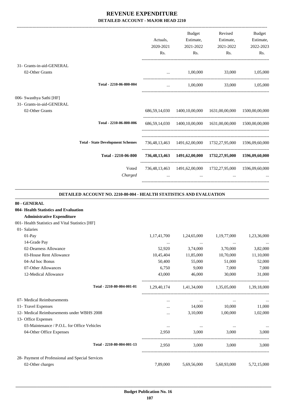-------------------------------------------------------------------------------------------------------------------------------------------------------------------------------

|                                                       |                                          | Actuals,<br>2020-2021 | <b>Budget</b><br>Estimate,<br>2021-2022 | Revised<br>Estimate,<br>2021-2022                          | <b>Budget</b><br>Estimate,<br>2022-2023 |
|-------------------------------------------------------|------------------------------------------|-----------------------|-----------------------------------------|------------------------------------------------------------|-----------------------------------------|
|                                                       |                                          | Rs.                   | Rs.                                     | Rs.                                                        | Rs.                                     |
| 31- Grants-in-aid-GENERAL                             |                                          |                       |                                         |                                                            |                                         |
| 02-Other Grants                                       |                                          |                       | 1,00,000                                | 33,000                                                     | 1,05,000                                |
|                                                       | Total - 2210-06-800-004                  | $\cdots$              | 1,00,000                                | 33,000                                                     | 1,05,000                                |
| 006- Swasthya Sathi [HF]<br>31- Grants-in-aid-GENERAL |                                          |                       |                                         |                                                            |                                         |
| 02-Other Grants                                       |                                          |                       |                                         | 686,59,14,030 1400,10,00,000 1631,00,00,000                | 1500,00,00,000                          |
|                                                       | Total - 2210-06-800-006                  |                       |                                         | 686,59,14,030 1400,10,00,000 1631,00,00,000 1500,00,00,000 |                                         |
|                                                       | <b>Total - State Development Schemes</b> |                       |                                         | 736,48,13,463 1491,62,00,000 1732,27,95,000 1596,09,60,000 |                                         |
|                                                       | Total - 2210-06-800                      |                       |                                         | 736,48,13,463 1491,62,00,000 1732,27,95,000 1596,09,60,000 |                                         |
|                                                       | Voted<br>Charged                         | $\cdots$              | $\cdots$                                | 736,48,13,463 1491,62,00,000 1732,27,95,000<br>$\cdots$    | 1596,09,60,000                          |
|                                                       |                                          |                       |                                         |                                                            |                                         |

#### **DETAILED ACCOUNT NO. 2210-80-004 - HEALTH STATISTICS AND EVALUATION**

.

| 80 - GENERAL                                     |             |             |             |                                                          |
|--------------------------------------------------|-------------|-------------|-------------|----------------------------------------------------------|
| 004- Health Statistics and Evaluation            |             |             |             |                                                          |
| <b>Administrative Expenditure</b>                |             |             |             |                                                          |
| 001- Health Statistics and Vital Statistics [HF] |             |             |             |                                                          |
| 01- Salaries                                     |             |             |             |                                                          |
| $01-Pav$                                         | 1,17,41,700 | 1,24,65,000 | 1,19,77,000 | 1,23,36,000                                              |
| 14-Grade Pay                                     | $\cdots$    | $\cdots$    | $\cdots$    | $\cdots$                                                 |
| 02-Dearness Allowance                            | 52,920      | 3,74,000    | 3,70,000    | 3,82,000                                                 |
| 03-House Rent Allowance                          | 10,45,404   | 11,85,000   | 10,70,000   | 11,10,000                                                |
| 04-Ad hoc Bonus                                  | 50,400      | 55,000      | 51,000      | 52,000                                                   |
| 07-Other Allowances                              | 6.750       | 9.000       | 7.000       | 7,000                                                    |
| 12-Medical Allowance                             | 43,000      | 46,000      | 30,000      | 31,000                                                   |
| Total - 2210-80-004-001-01                       |             |             |             |                                                          |
| 07- Medical Reimbursements                       | $\cdots$    | $\cdots$    | $\cdots$    |                                                          |
| 11- Travel Expenses                              |             | 14,000      | 10,000      | 11,000                                                   |
| 12- Medical Reimbursements under WBHS 2008       | $\cdots$    | 3,10,000    | 1,00,000    | 1,02,000                                                 |
| 13- Office Expenses                              |             |             |             |                                                          |
| 03-Maintenance / P.O.L. for Office Vehicles      | $\cdots$    | $\cdots$    |             |                                                          |
| 04-Other Office Expenses                         | 2,950       | 3,000       | 3,000       | 3,000                                                    |
| Total - 2210-80-004-001-13                       | 2.950       |             | 3.000       | 3.000                                                    |
| 28- Payment of Professional and Special Services |             |             |             |                                                          |
| 02-Other charges                                 | 7,89,000    | 5,69,56,000 | 5,60,93,000 | 5,72,15,000                                              |
|                                                  |             |             |             | 1,29,40,174 1,41,34,000 1,35,05,000 1,39,18,000<br>3.000 |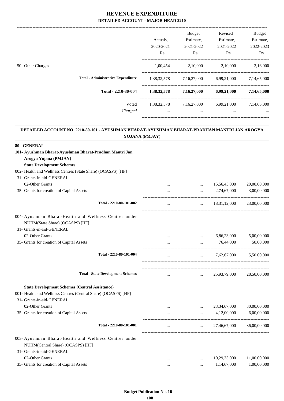|                                           |             | <b>Budget</b>    | Revised     | <b>Budget</b> |
|-------------------------------------------|-------------|------------------|-------------|---------------|
|                                           | Actuals.    | Estimate,        | Estimate,   | Estimate,     |
|                                           | 2020-2021   | 2021-2022        | 2021-2022   | 2022-2023     |
|                                           | Rs.         | R <sub>s</sub> . | Rs.         | Rs.           |
| 50- Other Charges                         | 1,00,454    | 2,10,000         | 2,10,000    | 2,16,000      |
| <b>Total - Administrative Expenditure</b> | 1,38,32,578 | 7,16,27,000      | 6,99,21,000 | 7,14,65,000   |
| Total - 2210-80-004                       | 1,38,32,578 | 7,16,27,000      | 6,99,21,000 | 7,14,65,000   |
| Voted                                     | 1,38,32,578 | 7,16,27,000      | 6,99,21,000 | 7,14,65,000   |
| Charged                                   | $\cdots$    | $\cdots$         | $\cdots$    | $\cdots$      |
|                                           |             |                  |             |               |

#### **DETAILED ACCOUNT NO. 2210-80-101 - AYUSHMAN BHARAT-AYUSHMAN BHARAT-PRADHAN MANTRI JAN AROGYA YOJANA (PMJAY) .**

.

| 80 - GENERAL                                                                                |          |                                      |                       |              |
|---------------------------------------------------------------------------------------------|----------|--------------------------------------|-----------------------|--------------|
| 101- Ayushman Bharat-Ayushman Bharat-Pradhan Mantri Jan                                     |          |                                      |                       |              |
| Arogya Yojana (PMJAY)                                                                       |          |                                      |                       |              |
| <b>State Development Schemes</b>                                                            |          |                                      |                       |              |
| 002- Health and Wellness Centres (State Share) (OCASPS) [HF]                                |          |                                      |                       |              |
| 31- Grants-in-aid-GENERAL                                                                   |          |                                      |                       |              |
| 02-Other Grants                                                                             | $\cdots$ | $\cdots$                             | 15,56,45,000          | 20,00,00,000 |
| 35- Grants for creation of Capital Assets                                                   |          | $\cdots$                             | 2,74,67,000           | 3,00,00,000  |
| Total - 2210-80-101-002                                                                     |          |                                      | $\ldots$ 18,31,12,000 | 23,00,00,000 |
| 004- Ayushman Bharat-Health and Wellness Centres under<br>NUHM(State Share) (OCASPS) [HF]   |          |                                      |                       |              |
| 31- Grants-in-aid-GENERAL                                                                   |          |                                      |                       |              |
| 02-Other Grants                                                                             |          | $\cdots$                             | 6,86,23,000           | 5,00,00,000  |
| 35- Grants for creation of Capital Assets                                                   |          | $\sim$                               | 76,44,000             | 50,00,000    |
| Total - 2210-80-101-004                                                                     | $\cdots$ | <b>Sales Committee</b>               | 7,62,67,000           | 5,50,00,000  |
| <b>Total - State Development Schemes</b>                                                    | $\cdots$ |                                      | $\ldots$ 25,93,79,000 | 28,50,00,000 |
| <b>State Development Schemes (Central Assistance)</b>                                       |          |                                      |                       |              |
| 001- Health and Wellness Centres (Central Share) (OCASPS) [HF]                              |          |                                      |                       |              |
| 31- Grants-in-aid-GENERAL                                                                   |          |                                      |                       |              |
| 02-Other Grants                                                                             |          | $\cdots$                             | 23, 34, 67, 000       | 30,00,00,000 |
| 35- Grants for creation of Capital Assets                                                   |          |                                      | 4,12,00,000           | 6,00,00,000  |
| Total - 2210-80-101-001                                                                     | $\cdots$ | $\cdots$ . The set of $\mathbb{R}^n$ | 27,46,67,000          | 36,00,00,000 |
| 003- Ayushman Bharat-Health and Wellness Centres under<br>NUHM(Central Share) (OCASPS) [HF] |          |                                      |                       |              |
| 31- Grants-in-aid-GENERAL                                                                   |          |                                      |                       |              |
| 02-Other Grants                                                                             | $\cdots$ | $\cdots$                             | 10,29,33,000          | 11,00,00,000 |
| 35- Grants for creation of Capital Assets                                                   |          |                                      | 1,14,67,000           | 1,00,00,000  |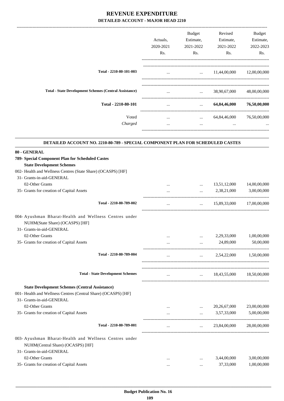|                                                                                                                                                      | Actuals.<br>2020-2021<br>Rs. | Budget<br>Estimate,<br>2021-2022<br>Rs.        | Revised<br>Estimate,<br>2021-2022<br>Rs. | Budget<br>Estimate,<br>2022-2023<br>Rs. |
|------------------------------------------------------------------------------------------------------------------------------------------------------|------------------------------|------------------------------------------------|------------------------------------------|-----------------------------------------|
| Total - 2210-80-101-003                                                                                                                              | $\cdots$                     |                                                | $\ldots$ 11,44,00,000 12,00,00,000       |                                         |
| <b>Total - State Development Schemes (Central Assistance)</b>                                                                                        |                              | $\mathbf{1}$ and $\mathbf{1}$ and $\mathbf{1}$ | 38,90,67,000                             | 48,00,00,000                            |
| Total - 2210-80-101                                                                                                                                  | $\cdots$                     | <b>Sales Committee</b>                         | 64,84,46,000                             | 76,50,00,000                            |
|                                                                                                                                                      |                              |                                                |                                          |                                         |
| Voted<br>Charged                                                                                                                                     | $\cdots$<br>$\cdots$         | $\cdots$                                       | $\ldots$ 64,84,46,000                    | 76,50,00,000                            |
| DETAILED ACCOUNT NO. 2210-80-789 - SPECIAL COMPONENT PLAN FOR SCHEDULED CASTES                                                                       |                              |                                                |                                          |                                         |
| 80 - GENERAL                                                                                                                                         |                              |                                                |                                          |                                         |
| 789- Special Component Plan for Scheduled Castes                                                                                                     |                              |                                                |                                          |                                         |
| <b>State Development Schemes</b>                                                                                                                     |                              |                                                |                                          |                                         |
| 002- Health and Wellness Centres (State Share) (OCASPS) [HF]                                                                                         |                              |                                                |                                          |                                         |
| 31- Grants-in-aid-GENERAL                                                                                                                            |                              |                                                |                                          |                                         |
| 02-Other Grants                                                                                                                                      |                              | $\cdots$                                       | 13,51,12,000                             | 14,00,00,000                            |
| 35- Grants for creation of Capital Assets                                                                                                            |                              |                                                | 2,38,21,000                              | 3,00,00,000                             |
| Total - 2210-80-789-002                                                                                                                              | $\cdots$                     |                                                | $\ldots$ 15,89,33,000                    | 17,00,00,000                            |
| 004- Ayushman Bharat-Health and Wellness Centres under<br>NUHM(State Share) (OCASPS) [HF]<br>31- Grants-in-aid-GENERAL                               |                              |                                                |                                          |                                         |
| 02-Other Grants                                                                                                                                      | $\cdots$                     | $\cdots$                                       | 2,29,33,000                              | 1,00,00,000                             |
| 35- Grants for creation of Capital Assets                                                                                                            |                              | $\cdots$                                       | 24,89,000                                | 50,00,000                               |
| Total - 2210-80-789-004                                                                                                                              | $\cdots$                     | $\cdots$                                       | 2,54,22,000                              | 1,50,00,000                             |
| <b>Total - State Development Schemes</b>                                                                                                             |                              |                                                |                                          |                                         |
|                                                                                                                                                      | $\cdots$                     | <b>Address Contract</b>                        | 18,43,55,000                             | 18,50,00,000                            |
| <b>State Development Schemes (Central Assistance)</b><br>001- Health and Wellness Centres (Central Share) (OCASPS) [HF]<br>31- Grants-in-aid-GENERAL |                              |                                                |                                          |                                         |
| 02-Other Grants                                                                                                                                      |                              |                                                | 20,26,67,000                             | 23,00,00,000                            |
| 35- Grants for creation of Capital Assets                                                                                                            | $\cdots$                     | $\cdots$                                       | 3,57,33,000                              | 5,00,00,000                             |
| Total - 2210-80-789-001                                                                                                                              | $\cdots$                     | $\cdots$                                       | 23,84,00,000                             | 28,00,00,000                            |
| 003- Ayushman Bharat-Health and Wellness Centres under<br>NUHM(Central Share) (OCASPS) [HF]<br>31- Grants-in-aid-GENERAL                             |                              |                                                |                                          |                                         |
| 02-Other Grants                                                                                                                                      | $\cdots$                     |                                                | 3,44,00,000                              | 3,00,00,000                             |
| 35- Grants for creation of Capital Assets                                                                                                            | $\cdots$                     | $\cdots$                                       | 37,33,000                                | 1,00,00,000                             |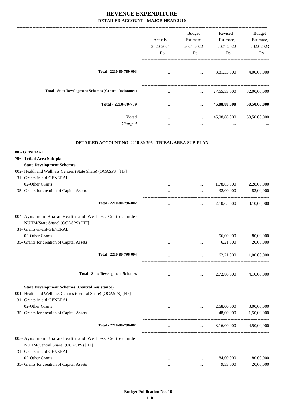|                                                                                                                                                      | Actuals,<br>2020-2021<br>Rs. | Budget<br>Estimate,<br>2021-2022<br>Rs.        | Revised<br>Estimate,<br>2021-2022<br>Rs. | Budget<br>Estimate,<br>2022-2023<br>Rs. |
|------------------------------------------------------------------------------------------------------------------------------------------------------|------------------------------|------------------------------------------------|------------------------------------------|-----------------------------------------|
| Total - 2210-80-789-003                                                                                                                              | $\cdots$                     |                                                | $\ldots$ 3,81,33,000 4,00,00,000         |                                         |
| <b>Total - State Development Schemes (Central Assistance)</b>                                                                                        |                              | $\mathbf{1}$ and $\mathbf{1}$ and $\mathbf{1}$ | 27,65,33,000                             | 32,00,00,000                            |
| Total - 2210-80-789                                                                                                                                  | $\cdots$                     | <b>Sales Control</b>                           | 46,08,88,000                             | 50,50,00,000                            |
|                                                                                                                                                      |                              |                                                |                                          |                                         |
| Voted<br>Charged                                                                                                                                     | $\cdots$<br>$\cdots$         | $\cdots$                                       | $\ldots$ 46,08,88,000                    | 50,50,00,000                            |
| DETAILED ACCOUNT NO. 2210-80-796 - TRIBAL AREA SUB-PLAN                                                                                              |                              |                                                |                                          |                                         |
| 80 - GENERAL                                                                                                                                         |                              |                                                |                                          |                                         |
| 796- Tribal Area Sub-plan                                                                                                                            |                              |                                                |                                          |                                         |
| <b>State Development Schemes</b>                                                                                                                     |                              |                                                |                                          |                                         |
| 002- Health and Wellness Centres (State Share) (OCASPS) [HF]                                                                                         |                              |                                                |                                          |                                         |
| 31- Grants-in-aid-GENERAL                                                                                                                            |                              |                                                |                                          |                                         |
| 02-Other Grants                                                                                                                                      |                              | $\cdots$                                       | 1,78,65,000                              | 2,28,00,000                             |
| 35- Grants for creation of Capital Assets                                                                                                            |                              | $\cdots$                                       | 32,00,000                                | 82,00,000                               |
| Total - 2210-80-796-002                                                                                                                              | $\cdots$                     | $\cdots$                                       | 2,10,65,000                              | 3,10,00,000                             |
| 004- Ayushman Bharat-Health and Wellness Centres under<br>NUHM(State Share) (OCASPS) [HF]<br>31- Grants-in-aid-GENERAL                               |                              |                                                |                                          |                                         |
| 02-Other Grants                                                                                                                                      |                              | $\cdots$                                       | 56,00,000                                | 80,00,000                               |
| 35- Grants for creation of Capital Assets                                                                                                            |                              | $\cdots$                                       | 6,21,000                                 | 20,00,000                               |
| Total - 2210-80-796-004                                                                                                                              | $\cdots$                     | $\cdots$                                       | 62,21,000                                | 1,00,00,000                             |
|                                                                                                                                                      |                              |                                                |                                          |                                         |
| <b>Total - State Development Schemes</b>                                                                                                             | $\cdots$                     | $\mathbf{1}$ and $\mathbf{1}$ and $\mathbf{1}$ | 2,72,86,000                              | 4,10,00,000                             |
| <b>State Development Schemes (Central Assistance)</b><br>001- Health and Wellness Centres (Central Share) (OCASPS) [HF]<br>31- Grants-in-aid-GENERAL |                              |                                                |                                          |                                         |
| 02-Other Grants                                                                                                                                      |                              | $\cdots$                                       | 2,68,00,000                              | 3,00,00,000                             |
| 35- Grants for creation of Capital Assets                                                                                                            | $\cdots$                     |                                                | 48,00,000                                | 1,50,00,000                             |
| Total - 2210-80-796-001                                                                                                                              | $\cdots$                     | $\cdots$                                       | 3,16,00,000                              | 4,50,00,000                             |
| 003- Ayushman Bharat-Health and Wellness Centres under<br>NUHM(Central Share) (OCASPS) [HF]<br>31- Grants-in-aid-GENERAL                             |                              |                                                |                                          |                                         |
| 02-Other Grants                                                                                                                                      | $\cdots$                     |                                                | 84,00,000                                | 80,00,000                               |
| 35- Grants for creation of Capital Assets                                                                                                            |                              | $\cdots$                                       | 9,33,000                                 | 20,00,000                               |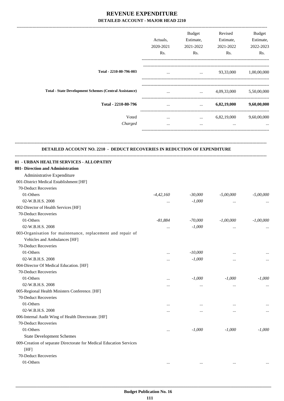-------------------------------------------------------------------------------------------------------------------------------------------------------------------------------

|                                                               | Actuals,<br>2020-2021<br>Rs. | <b>Budget</b><br>Estimate,<br>2021-2022<br>Rs. | Revised<br>Estimate,<br>2021-2022<br>Rs. | <b>Budget</b><br>Estimate,<br>2022-2023<br>Rs. |
|---------------------------------------------------------------|------------------------------|------------------------------------------------|------------------------------------------|------------------------------------------------|
| Total - 2210-80-796-003                                       | $\cdots$                     | $\cdots$                                       | 93,33,000                                | 1,00,00,000                                    |
| <b>Total - State Development Schemes (Central Assistance)</b> |                              | $\cdots$                                       | 4,09,33,000                              | 5,50,00,000                                    |
| Total - 2210-80-796                                           |                              | $\cdots$                                       | 6,82,19,000                              | 9,60,00,000                                    |
| Voted<br>Charged                                              | $\cdots$<br>$\cdots$         | $\cdots$<br>$\cdots$                           | 6,82,19,000<br>$\cdots$                  | 9,60,00,000<br>                                |
|                                                               |                              |                                                |                                          |                                                |

#### **DETAILED ACCOUNT NO. 2210 - DEDUCT RECOVERIES IN REDUCTION OF EXPENDITURE**

**--------------------------------------------------------------------------------------------------------------------------------------------------------------------------------**

| 01 - URBAN HEALTH SERVICES - ALLOPATHY                              |             |           |             |             |
|---------------------------------------------------------------------|-------------|-----------|-------------|-------------|
| 001- Direction and Administration                                   |             |           |             |             |
| Administrative Expenditure                                          |             |           |             |             |
| 001-District Medical Establishment [HF]                             |             |           |             |             |
| 70-Deduct Recoveries                                                |             |           |             |             |
| 01-Others                                                           | $-4,42,160$ | $-30,000$ | $-5,00,000$ | $-5,00,000$ |
| 02-W.B.H.S. 2008                                                    | $\cdots$    | $-1,000$  | $\cdots$    |             |
| 002-Director of Health Services [HF]                                |             |           |             |             |
| 70-Deduct Recoveries                                                |             |           |             |             |
| 01-Others                                                           | $-81,884$   | $-70,000$ | $-1,00,000$ | $-1,00,000$ |
| 02-W.B.H.S. 2008                                                    |             | $-1,000$  |             |             |
| 003-Organisation for maintenance, replacement and repair of         |             |           |             |             |
| Vehicles and Ambulances [HF]                                        |             |           |             |             |
| 70-Deduct Recoveries                                                |             |           |             |             |
| 01-Others                                                           | $\cdots$    | $-10,000$ | $\cdots$    |             |
| 02-W.B.H.S. 2008                                                    | $\cdots$    | $-1,000$  | $\cdots$    |             |
| 004-Director Of Medical Education. [HF]                             |             |           |             |             |
| 70-Deduct Recoveries                                                |             |           |             |             |
| 01-Others                                                           |             | $-1,000$  | $-1,000$    | $-1,000$    |
| 02-W.B.H.S. 2008                                                    |             | $\ddotsc$ |             |             |
| 005-Regional Health Ministers Conference. [HF]                      |             |           |             |             |
| 70-Deduct Recoveries                                                |             |           |             |             |
| 01-Others                                                           | $\cdots$    | $\ddots$  | $\cdots$    |             |
| 02-W.B.H.S. 2008                                                    | $\cdots$    |           |             |             |
| 006-Internal Audit Wing of Health Directorate. [HF]                 |             |           |             |             |
| 70-Deduct Recoveries                                                |             |           |             |             |
| 01-Others                                                           | $\cdots$    | $-1,000$  | $-1,000$    | $-1,000$    |
| <b>State Development Schemes</b>                                    |             |           |             |             |
| 009-Creation of separate Directorate for Medical Education Services |             |           |             |             |
| [HF]                                                                |             |           |             |             |
| 70-Deduct Recoveries                                                |             |           |             |             |
| 01-Others                                                           |             | $\ddotsc$ |             |             |
|                                                                     |             |           |             |             |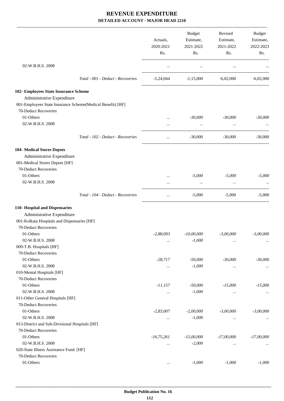|                                                            |                                   |              | Budget                                | Revised      | <b>Budget</b> |
|------------------------------------------------------------|-----------------------------------|--------------|---------------------------------------|--------------|---------------|
|                                                            |                                   | Actuals,     | Estimate,                             | Estimate,    | Estimate,     |
|                                                            |                                   | 2020-2021    | 2021-2022                             | 2021-2022    | 2022-2023     |
|                                                            |                                   | Rs.          | Rs.                                   | Rs.          | Rs.           |
| 02-W.B.H.S. 2008                                           |                                   | $\cdots$     | $\cdots$                              | $\ldots$     |               |
|                                                            |                                   |              |                                       |              |               |
|                                                            | Total - 001 - Deduct - Recoveries |              | $-5,24,044$ $-1,15,000$ $-6,02,000$   |              | $-6,02,000$   |
| 102- Employees State Insurance Scheme                      |                                   |              |                                       |              |               |
| Administrative Expenditure                                 |                                   |              |                                       |              |               |
| 001-Employees State Insurance Scheme(Medical Benefit) [HF] |                                   |              |                                       |              |               |
| 70-Deduct Recoveries                                       |                                   |              |                                       |              |               |
| 01-Others                                                  |                                   | $\cdots$     | -30,000                               | -30,000      | $-30,000$     |
| 02-W.B.H.S. 2008                                           |                                   | $\cdots$     | $\ddots$                              |              |               |
|                                                            | Total - 102 - Deduct - Recoveries | $\cdots$     | $-30,000$                             | -30.000      | $-30,000$     |
| <b>104- Medical Stores Depots</b>                          |                                   |              |                                       |              |               |
| Administrative Expenditure                                 |                                   |              |                                       |              |               |
| 001-Medical Stores Depots [HF]                             |                                   |              |                                       |              |               |
| 70-Deduct Recoveries                                       |                                   |              |                                       |              |               |
| 01-Others                                                  |                                   | $\cdots$     | $-5,000$                              | $-5,000$     | $-5,000$      |
| 02-W.B.H.S. 2008                                           |                                   |              | $\cdots$                              |              |               |
|                                                            | Total - 104 - Deduct - Recoveries | $\cdots$     | -------------------------<br>$-5,000$ | $-5,000$     | $-5,000$      |
| 110- Hospital and Dispensaries                             |                                   |              |                                       |              |               |
| Administrative Expenditure                                 |                                   |              |                                       |              |               |
| 001-Kolkata Hospitals and Dispensaries [HF]                |                                   |              |                                       |              |               |
| 70-Deduct Recoveries                                       |                                   |              |                                       |              |               |
| 01-Others                                                  |                                   | $-2,88,093$  | $-10,00,000$                          | $-3,00,000$  | $-3.00,000$   |
| 02-W.B.H.S. 2008                                           |                                   | $\cdots$     | $-1,000$                              | $\ldots$     | $\cdots$      |
| 009-T.B. Hospitals [HF]                                    |                                   |              |                                       |              |               |
| 70-Deduct Recoveries                                       |                                   |              |                                       |              |               |
| 01-Others                                                  |                                   | $-28,717$    | $-50,000$                             | $-30,000$    | $-30,000$     |
| 02-W.B.H.S. 2008                                           |                                   | $\cdots$     | $-1,000$                              | $\ldots$     | $\cdots$      |
| 010-Mental Hospitals [HF]                                  |                                   |              |                                       |              |               |
| 70-Deduct Recoveries                                       |                                   |              |                                       |              |               |
| 01-Others                                                  |                                   | $-11,157$    | $-50,000$                             | $-15,000$    | $-15,000$     |
| 02-W.B.H.S. 2008                                           |                                   | $\cdots$     | $-1,000$                              | $\cdots$     | $\cdots$      |
| 011-Other General Hospitals [HF]                           |                                   |              |                                       |              |               |
| 70-Deduct Recoveries                                       |                                   |              |                                       |              |               |
| 01-Others                                                  |                                   | $-2,83,007$  | $-2,00,000$                           | $-3,00,000$  | $-3,00,000$   |
| 02-W.B.H.S. 2008                                           |                                   | $\cdots$     | $-1,000$                              | $\cdots$     | $\cdots$      |
| 013-District and Sub-Divisional Hospitals [HF]             |                                   |              |                                       |              |               |
| 70-Deduct Recoveries                                       |                                   |              |                                       |              |               |
| 01-Others                                                  |                                   | $-16,75,261$ | $-15,00,000$                          | $-17,00,000$ | $-17,00,000$  |
| 02-W.B.H.S. 2008                                           |                                   | $\cdots$     | $-2,000$                              | $\cdots$     |               |
| 020-State Illness Assistance Fund. [HF]                    |                                   |              |                                       |              |               |
| 70-Deduct Recoveries                                       |                                   |              |                                       |              |               |
| 01-Others                                                  |                                   | $\cdots$     | $-1,000$                              | $-1,000$     | $-1,000$      |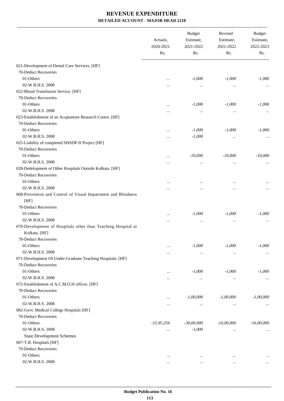|                                                               | Actuals,<br>2020-2021<br>Rs. | <b>Budget</b><br>Estimate, | Revised<br>Estimate, | Budget<br>Estimate, |
|---------------------------------------------------------------|------------------------------|----------------------------|----------------------|---------------------|
|                                                               |                              | 2021-2022<br>Rs.           | 2021-2022<br>Rs.     | 2022-2023<br>Rs.    |
| 021-Development of Dental Care Services. [HF]                 |                              |                            |                      |                     |
| 70-Deduct Recoveries                                          |                              |                            |                      |                     |
| 01-Others                                                     | $\cdots$                     | $-1,000$                   | $-1,000$             | $-1,000$            |
| 02-W.B.H.S. 2008                                              |                              | $\cdots$                   | $\cdots$             |                     |
| 022-Blood Transfusion Service. [HF]                           |                              |                            |                      |                     |
| 70-Deduct Recoveries                                          |                              |                            |                      |                     |
| 01-Others                                                     |                              | $-1,000$                   | $-1,000$             | $-1,000$            |
| 02-W.B.H.S. 2008                                              | $\ddotsc$                    |                            |                      |                     |
| 023-Establishment of an Acupunture Research Centre. [HF]      |                              | $\cdots$                   |                      |                     |
| 70-Deduct Recoveries                                          |                              |                            |                      |                     |
| 01-Others                                                     |                              |                            |                      |                     |
| 02-W.B.H.S. 2008                                              | $\ddotsc$                    | $-1,000$                   | $-1,000$             | $-1,000$            |
|                                                               |                              | $-1,000$                   | $\cdots$             |                     |
| 025-Liability of completed SHSDP-II Project [HF]              |                              |                            |                      |                     |
| 70-Deduct Recoveries                                          |                              |                            |                      |                     |
| 01-Others                                                     |                              | $-10,000$                  | $-10,000$            | $-10,000$           |
| 02-W.B.H.S. 2008                                              |                              | $\ddotsc$                  |                      |                     |
| 028-Dedelopment of Other Hospitals Outside Kolkata. [HF]      |                              |                            |                      |                     |
| 70-Deduct Recoveries                                          |                              |                            |                      |                     |
| 01-Others                                                     | $\cdots$                     |                            |                      |                     |
| 02-W.B.H.S. 2008                                              |                              |                            |                      |                     |
| 068-Prevention and Control of Visual Impairment and Blindness |                              |                            |                      |                     |
| [HF]                                                          |                              |                            |                      |                     |
| 70-Deduct Recoveries                                          |                              |                            |                      |                     |
| 01-Others                                                     | $\ddotsc$                    | $-1,000$                   | $-1,000$             | $-1,000$            |
| 02-W.B.H.S. 2008                                              | $\cdots$                     | $\cdots$                   | $\ddotsc$            |                     |
| 070-Development of Hospitals other than Teaching Hospital at  |                              |                            |                      |                     |
| Kolkata. [HF]                                                 |                              |                            |                      |                     |
| 70-Deduct Recoveries                                          |                              |                            |                      |                     |
| 01-Others                                                     | $\ddotsc$                    | $-1,000$                   | $-1,000$             | $-1,000$            |
| 02-W.B.H.S. 2008                                              |                              | $\cdots$                   | $\cdots$             | $\cdots$            |
| 071-Development Of Under-Graduate Teaching Hospitals. [HF]    |                              |                            |                      |                     |
| 70-Deduct Recoveries                                          |                              |                            |                      |                     |
| 01-Others                                                     |                              | $-1,000$                   | $-1,000$             | $-1,000$            |
| 02-W.B.H.S. 2008                                              |                              | $\cdots$                   | $\cdots$             |                     |
| 072-Establishment of A.C.M.O.H offices. [HF]                  |                              |                            |                      |                     |
| 70-Deduct Recoveries                                          |                              |                            |                      |                     |
| 01-Others                                                     |                              | $-1,00,000$                | $-1,00,000$          | $-1,00,000$         |
| 02-W.B.H.S. 2008                                              | $\cdots$                     | $\cdots$                   | $\cdots$             | $\cdots$            |
| 082-Govt. Medical College Hospitals [HF]                      |                              |                            |                      |                     |
| 70-Deduct Recoveries                                          |                              |                            |                      |                     |
| 01-Others                                                     | $-15,95,256$                 | $-30,00,000$               | $-16,00,000$         | $-16,00,000$        |
| 02-W.B.H.S. 2008                                              | $\cdots$                     | $-1,000$                   | $\cdots$             |                     |
| <b>State Development Schemes</b>                              |                              |                            |                      |                     |
| 007-T.B. Hospitals [HF]                                       |                              |                            |                      |                     |
| 70-Deduct Recoveries                                          |                              |                            |                      |                     |
| 01-Others                                                     | $\cdots$                     | $\cdots$                   | $\cdots$             |                     |
| 02-W.B.H.S. 2008                                              |                              | $\ddotsc$                  | $\cdots$             |                     |
|                                                               |                              |                            |                      |                     |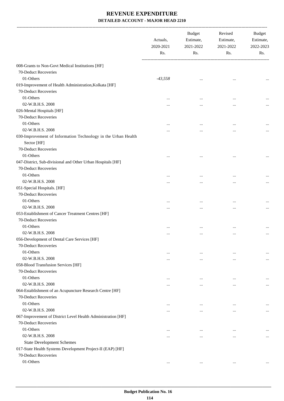|                                                               | Actuals,<br>2020-2021<br>Rs. | <b>Budget</b><br>Estimate,<br>2021-2022<br>Rs. | Revised<br>Estimate,<br>2021-2022<br>Rs. | <b>Budget</b><br>Estimate,<br>2022-2023<br>Rs. |
|---------------------------------------------------------------|------------------------------|------------------------------------------------|------------------------------------------|------------------------------------------------|
| 008-Grants to Non-Govt Medical Institutions [HF]              |                              |                                                |                                          |                                                |
| 70-Deduct Recoveries                                          |                              |                                                |                                          |                                                |
| 01-Others                                                     | $-43,558$                    | $\cdots$                                       |                                          |                                                |
| 019-Improvement of Health Administration, Kolkata [HF]        |                              |                                                |                                          |                                                |
| 70-Deduct Recoveries                                          |                              |                                                |                                          |                                                |
| 01-Others                                                     |                              |                                                | $\ddotsc$                                |                                                |
| 02-W.B.H.S. 2008                                              |                              |                                                | $\ddotsc$                                |                                                |
| 026-Mental Hospitals [HF]                                     |                              |                                                |                                          |                                                |
| 70-Deduct Recoveries                                          |                              |                                                |                                          |                                                |
| 01-Others                                                     |                              |                                                | $\ddotsc$                                |                                                |
| 02-W.B.H.S. 2008                                              |                              |                                                |                                          |                                                |
| 030-Improvement of Information Technology in the Urban Health |                              |                                                |                                          |                                                |
| Sector [HF]                                                   |                              |                                                |                                          |                                                |
| 70-Deduct Recoveries                                          |                              |                                                |                                          |                                                |
| 01-Others                                                     |                              |                                                |                                          |                                                |
| 047-District, Sub-divisional and Other Urban Hospitals [HF]   |                              |                                                |                                          |                                                |
| 70-Deduct Recoveries                                          |                              |                                                |                                          |                                                |
| 01-Others                                                     |                              |                                                | $\ddotsc$                                |                                                |
| 02-W.B.H.S. 2008                                              |                              |                                                |                                          | $\cdots$                                       |
| 051-Special Hospitals. [HF]                                   |                              |                                                |                                          |                                                |
| 70-Deduct Recoveries                                          |                              |                                                |                                          |                                                |
| 01-Others                                                     |                              |                                                | $\ddotsc$                                |                                                |
| 02-W.B.H.S. 2008                                              |                              |                                                | $\ddotsc$                                | $\cdots$                                       |
| 053-Establishment of Cancer Treatment Centres [HF]            |                              |                                                |                                          |                                                |
| 70-Deduct Recoveries                                          |                              |                                                |                                          |                                                |
| 01-Others                                                     |                              |                                                | $\ddotsc$                                |                                                |
| 02-W.B.H.S. 2008                                              |                              |                                                | $\ddotsc$                                | $\cdots$                                       |
| 056-Development of Dental Care Services [HF]                  |                              |                                                |                                          |                                                |
| 70-Deduct Recoveries                                          |                              |                                                |                                          |                                                |
| 01-Others                                                     |                              | $\ddotsc$                                      | $\ddotsc$                                |                                                |
| 02-W.B.H.S. 2008                                              |                              | $\cdots$                                       | $\ddotsc$                                | $\cdots$                                       |
| 058-Blood Transfusion Services [HF]                           |                              |                                                |                                          |                                                |
| 70-Deduct Recoveries                                          |                              |                                                |                                          |                                                |
| 01-Others                                                     | $\ddotsc$                    | $\cdots$                                       | $\ddotsc$                                |                                                |
| 02-W.B.H.S. 2008                                              |                              |                                                | $\ddotsc$                                | $\cdots$                                       |
| 064-Establishment of an Acupuncture Research Centre [HF]      |                              |                                                |                                          |                                                |
| 70-Deduct Recoveries                                          |                              |                                                |                                          |                                                |
| 01-Others                                                     | $\cdots$                     | $\cdots$                                       | $\ddotsc$                                |                                                |
| 02-W.B.H.S. 2008                                              |                              | $\cdots$                                       | $\ddotsc$                                | $\cdots$                                       |
| 067-Improvement of District Level Health Administration [HF]  |                              |                                                |                                          |                                                |
| 70-Deduct Recoveries                                          |                              |                                                |                                          |                                                |
| 01-Others                                                     | $\ddotsc$                    | $\cdots$                                       | $\ddotsc$                                |                                                |
| 02-W.B.H.S. 2008                                              |                              | $\ddotsc$                                      | $\ddotsc$                                | $\cdots$                                       |
| <b>State Development Schemes</b>                              |                              |                                                |                                          |                                                |
| 017-State Health Systems Development Project-II (EAP) [HF]    |                              |                                                |                                          |                                                |
| 70-Deduct Recoveries                                          |                              |                                                |                                          |                                                |
| 01-Others                                                     | $\cdots$                     | $\cdots$                                       | $\cdots$                                 | $\cdots$                                       |
|                                                               |                              |                                                |                                          |                                                |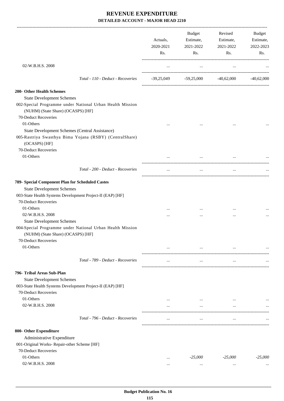|                                                                                                                            | Actuals,<br>2020-2021<br>Rs. | <b>Budget</b><br>Estimate,<br>2021-2022<br>Rs.      | Revised<br>Estimate,<br>2021-2022<br>$\mathbf{Rs.}$ | Budget<br>Estimate,<br>2022-2023<br>Rs. |
|----------------------------------------------------------------------------------------------------------------------------|------------------------------|-----------------------------------------------------|-----------------------------------------------------|-----------------------------------------|
| 02-W.B.H.S. 2008                                                                                                           | $\cdots$                     | $\cdots$                                            | $\cdots$                                            |                                         |
| Total - 110 - Deduct - Recoveries                                                                                          |                              | $-39,25,049$ $-59,25,000$ $-40,62,000$ $-40,62,000$ |                                                     |                                         |
| 200- Other Health Schemes                                                                                                  |                              |                                                     |                                                     |                                         |
| <b>State Development Schemes</b>                                                                                           |                              |                                                     |                                                     |                                         |
| 002-Special Programme under National Urban Health Mission<br>(NUHM) (State Share) (OCASPS) [HF]                            |                              |                                                     |                                                     |                                         |
| 70-Deduct Recoveries                                                                                                       |                              |                                                     |                                                     |                                         |
| 01-Others                                                                                                                  |                              | $\cdots$                                            | $\cdots$                                            |                                         |
| State Development Schemes (Central Assistance)<br>005-Rastriya Swasthya Bima Yojana (RSBY) (CentralShare)<br>(OCASPS) [HF] |                              |                                                     |                                                     |                                         |
| 70-Deduct Recoveries                                                                                                       |                              |                                                     |                                                     |                                         |
| 01-Others                                                                                                                  |                              | $\cdots$                                            | $\cdots$                                            |                                         |
| Total - 200 - Deduct - Recoveries                                                                                          | $\cdots$                     | $\cdots$                                            | $\cdots$                                            |                                         |
| 789- Special Component Plan for Scheduled Castes                                                                           |                              |                                                     |                                                     |                                         |
| <b>State Development Schemes</b>                                                                                           |                              |                                                     |                                                     |                                         |
| 003-State Health Systems Development Project-II (EAP) [HF]                                                                 |                              |                                                     |                                                     |                                         |
| 70-Deduct Recoveries                                                                                                       |                              |                                                     |                                                     |                                         |
| 01-Others                                                                                                                  | $\cdots$                     |                                                     | $\ddotsc$                                           |                                         |
| 02-W.B.H.S. 2008                                                                                                           |                              | $\cdots$                                            | $\cdots$                                            |                                         |
| <b>State Development Schemes</b>                                                                                           |                              |                                                     |                                                     |                                         |
| 004-Special Programme under National Urban Health Mission<br>(NUHM) (State Share) (OCASPS) [HF]                            |                              |                                                     |                                                     |                                         |
| 70-Deduct Recoveries                                                                                                       |                              |                                                     |                                                     |                                         |
| 01-Others                                                                                                                  |                              |                                                     | $\cdots$                                            |                                         |
| Total - 789 - Deduct - Recoveries                                                                                          |                              |                                                     | $\cdots$                                            |                                         |
| 796- Tribal Areas Sub-Plan                                                                                                 |                              |                                                     |                                                     |                                         |
| <b>State Development Schemes</b>                                                                                           |                              |                                                     |                                                     |                                         |
| 003-State Health Systems Development Project-II (EAP) [HF]<br>70-Deduct Recoveries                                         |                              |                                                     |                                                     |                                         |
| 01-Others                                                                                                                  | $\cdots$                     | $\cdots$                                            | $\cdots$                                            |                                         |
| 02-W.B.H.S. 2008                                                                                                           |                              | $\cdots$                                            | $\cdots$                                            |                                         |
| Total - 796 - Deduct - Recoveries                                                                                          |                              | $\cdots$                                            | $\cdots$                                            |                                         |
| 800- Other Expenditure                                                                                                     |                              |                                                     |                                                     |                                         |
| Administrative Expenditure                                                                                                 |                              |                                                     |                                                     |                                         |
| 001-Original Works- Repair-other Scheme [HF]                                                                               |                              |                                                     |                                                     |                                         |
| 70-Deduct Recoveries                                                                                                       |                              |                                                     |                                                     |                                         |
| 01-Others                                                                                                                  | $\cdots$                     | $-25,000$                                           | $-25,000$                                           | $-25,000$                               |
| 02-W.B.H.S. 2008                                                                                                           |                              | $\cdots$                                            | $\ddotsc$                                           |                                         |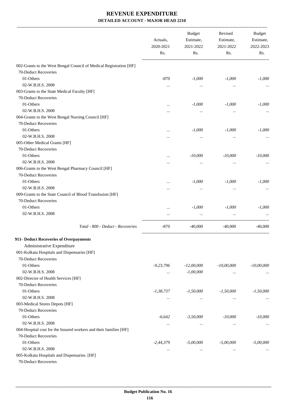|                                                                    | Actuals,<br>2020-2021 | <b>Budget</b><br>Estimate,<br>2021-2022 | Revised<br>Estimate,<br>2021-2022 | Budget<br>Estimate,<br>2022-2023 |
|--------------------------------------------------------------------|-----------------------|-----------------------------------------|-----------------------------------|----------------------------------|
|                                                                    | Rs.                   | Rs.                                     | Rs.                               | Rs.                              |
| 002-Grants to the West Bengal Council of Medical Registration [HF] |                       |                                         |                                   |                                  |
| 70-Deduct Recoveries                                               |                       |                                         |                                   |                                  |
| 01-Others                                                          | $-870$                | $-1,000$                                | $-1,000$                          | $-1,000$                         |
| 02-W.B.H.S. 2008                                                   | $\cdots$              | $\cdots$                                | $\cdots$                          |                                  |
| 003-Grants to the State Medical Faculty [HF]                       |                       |                                         |                                   |                                  |
| 70-Deduct Recoveries                                               |                       |                                         |                                   |                                  |
| 01-Others                                                          |                       | $-1,000$                                | $-1,000$                          | $-1,000$                         |
| 02-W.B.H.S. 2008                                                   |                       | $\cdots$                                | $\cdots$                          |                                  |
| 004-Grants to the West Bengal Nursing Council [HF]                 |                       |                                         |                                   |                                  |
| 70-Deduct Recoveries                                               |                       |                                         |                                   |                                  |
| 01-Others                                                          |                       | $-1,000$                                | $-1,000$                          | $-1,000$                         |
| 02-W.B.H.S. 2008                                                   |                       | $\cdots$                                | $\cdots$                          |                                  |
| 005-Other Medical Grants [HF]                                      |                       |                                         |                                   |                                  |
| 70-Deduct Recoveries                                               |                       |                                         |                                   |                                  |
| 01-Others                                                          |                       | $-10,000$                               | $-10,000$                         | $-10,000$                        |
| 02-W.B.H.S. 2008                                                   |                       | $\cdots$                                | $\cdots$                          |                                  |
| 006-Grants to the West Bengal Pharmacy Council [HF]                |                       |                                         |                                   |                                  |
| 70-Deduct Recoveries                                               |                       |                                         |                                   |                                  |
| 01-Others                                                          |                       | $-1,000$                                | $-1,000$                          | $-1,000$                         |
| 02-W.B.H.S. 2008                                                   |                       | $\cdots$                                | $\cdots$                          |                                  |
| 009-Grants to the State Council of Blood Transfusion [HF]          |                       |                                         |                                   |                                  |
| 70-Deduct Recoveries                                               |                       |                                         |                                   |                                  |
| 01-Others                                                          |                       | $-1,000$                                | $-1,000$                          | $-1,000$                         |
| 02-W.B.H.S. 2008                                                   |                       |                                         |                                   |                                  |
| Total - 800 - Deduct - Recoveries                                  | $-870$                | $-40,000$                               | $-40,000$                         | $-40,000$                        |
| 911- Deduct Recoveries of Overpayments                             |                       |                                         |                                   |                                  |
| Administrative Expenditure                                         |                       |                                         |                                   |                                  |
| 001-Kolkata Hospitals and Dispensaries [HF]                        |                       |                                         |                                   |                                  |
| 70-Deduct Recoveries                                               |                       |                                         |                                   |                                  |
| 01-Others                                                          | $-9,23,796$           | $-12,00,000$                            | $-10,00,000$                      | $-10,00,000$                     |
| 02-W.B.H.S. 2008                                                   | $\cdots$              | $-1,00,000$                             | $\cdots$                          |                                  |
| 002-Director of Health Services [HF]                               |                       |                                         |                                   |                                  |
| 70-Deduct Recoveries                                               |                       |                                         |                                   |                                  |
| 01-Others                                                          | $-1,38,737$           | $-1,50,000$                             | $-1,50,000$                       | $-1,50,000$                      |
| 02-W.B.H.S. 2008                                                   | $\cdots$              | $\cdots$                                | $\cdots$                          | $\cdots$                         |
| 003-Medical Stores Depots [HF]                                     |                       |                                         |                                   |                                  |
| 70-Deduct Recoveries                                               |                       |                                         |                                   |                                  |
| 01-Others                                                          | $-6,642$              | $-3,50,000$                             | $-10,000$                         | $-10,000$                        |
| 02-W.B.H.S. 2008                                                   | $\cdots$              | $\cdots$                                | $\cdots$                          | $\cdots$                         |
| 004-Hospital cost for the Insured workers and their families [HF]  |                       |                                         |                                   |                                  |
| 70-Deduct Recoveries                                               |                       |                                         |                                   |                                  |
| 01-Others                                                          | $-2,44,379$           | $-5,00,000$                             | $-5,00,000$                       | $-5,00,000$                      |
| 02-W.B.H.S. 2008                                                   | $\cdots$              | $\cdots$                                | $\cdots$                          |                                  |
| 005-Kolkata Hospitals and Dispensaries. [HF]                       |                       |                                         |                                   |                                  |
| 70-Deduct Recoveries                                               |                       |                                         |                                   |                                  |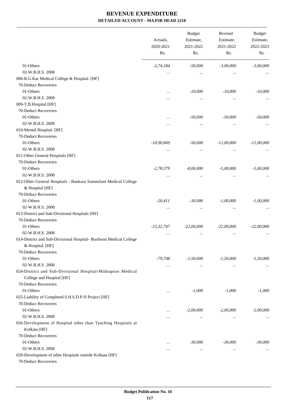-------------------------------------------------------------------------------------------------------------------------------------------------------------------------------

|                                                                                         | Actuals,<br>2020-2021<br>Rs. | <b>Budget</b><br>Estimate,<br>2021-2022<br>Rs. | Revised<br>Estimate,<br>2021-2022<br>Rs. | <b>Budget</b><br>Estimate,<br>2022-2023<br>Rs. |
|-----------------------------------------------------------------------------------------|------------------------------|------------------------------------------------|------------------------------------------|------------------------------------------------|
|                                                                                         |                              |                                                |                                          |                                                |
| 01-Others                                                                               | $-2,74,184$                  | $-50,000$                                      | $-3,00,000$                              | $-3,00,000$                                    |
| 02-W.B.H.S. 2008                                                                        | $\cdots$                     | $\cdots$                                       | $\cdots$                                 |                                                |
| 006-R.G.Kar Medical College & Hospital. [HF]                                            |                              |                                                |                                          |                                                |
| 70-Deduct Recoveries                                                                    |                              |                                                |                                          |                                                |
| 01-Others                                                                               | $\cdots$                     | $-10,000$                                      | $-10,000$                                | $-10,000$                                      |
| 02-W.B.H.S. 2008                                                                        | $\cdot \cdot$                | $\cdots$                                       | $\cdots$                                 |                                                |
| 009-T.B.Hospital [HF]                                                                   |                              |                                                |                                          |                                                |
| 70-Deduct Recoveries                                                                    |                              |                                                |                                          |                                                |
| 01-Others                                                                               | $\cdots$                     | $-50,000$                                      | $-50,000$                                | $-50,000$                                      |
| 02-W.B.H.S. 2008                                                                        |                              | $\cdots$                                       | $\cdots$                                 |                                                |
| 010-Mental Hospital. [HF]                                                               |                              |                                                |                                          |                                                |
| 70-Deduct Recoveries                                                                    |                              |                                                |                                          |                                                |
| 01-Others                                                                               | $-10,90,849$                 | $-50,000$                                      | $-11,00,000$                             | $-11,00,000$                                   |
| 02-W.B.H.S. 2008                                                                        | $\ddotsc$                    | $\cdots$                                       | $\ddotsc$                                |                                                |
| 011-Other General Hospitals [HF]                                                        |                              |                                                |                                          |                                                |
| 70-Deduct Recoveries                                                                    |                              |                                                |                                          |                                                |
| 01-Others                                                                               | $-2,78,379$                  | $-8,00,000$                                    | $-5,00,000$                              | $-5,00,000$                                    |
| 02-W.B.H.S. 2008                                                                        | $\cdots$                     | $\cdots$                                       | $\cdots$                                 |                                                |
| 012-Other General Hospitals - Bankura Sammilani Medical College                         |                              |                                                |                                          |                                                |
| & Hospital [HF]                                                                         |                              |                                                |                                          |                                                |
| 70-Deduct Recoveries                                                                    |                              |                                                |                                          |                                                |
| 01-Others                                                                               | $-20,411$                    | $-30,000$                                      | $-1,00,000$                              | $-1,00,000$                                    |
| 02-W.B.H.S. 2008                                                                        | $\cdots$                     | $\cdots$                                       | $\ddotsc$                                |                                                |
| 013-District and Sub-Divisional Hospitals [HF]                                          |                              |                                                |                                          |                                                |
| 70-Deduct Recoveries                                                                    |                              |                                                |                                          |                                                |
| 01-Others                                                                               | $-15,32,747$                 | $-22,00,000$                                   | $-22,00,000$                             | $-22,00,000$                                   |
| 02-W.B.H.S. 2008                                                                        |                              | $\cdots$                                       |                                          |                                                |
| 014-District and Sub-Divisional Hospital- Burdwan Medical College                       |                              |                                                |                                          |                                                |
| & Hospital. [HF]                                                                        |                              |                                                |                                          |                                                |
| 70-Deduct Recoveries                                                                    |                              |                                                |                                          |                                                |
| 01-Others                                                                               | -79,748                      | $-1,50,000$                                    | $-1,50,000$                              | $-1,50,000$                                    |
| 02-W.B.H.S. 2008                                                                        | $\cdots$                     | $\ldots$                                       | $\ldots$                                 |                                                |
| 024-District and Sub-Divisional Hospital-Midnapore Medical<br>College and Hospital [HF] |                              |                                                |                                          |                                                |
| 70-Deduct Recoveries                                                                    |                              |                                                |                                          |                                                |
| 01-Others                                                                               | $\cdots$                     | $-1,000$                                       | $-1,000$                                 | $-1,000$                                       |
| 025-Liability of Completed S.H.S.D.P-II Project [HF]                                    |                              |                                                |                                          |                                                |
| 70-Deduct Recoveries                                                                    |                              |                                                |                                          |                                                |
| 01-Others                                                                               | $\cdots$                     | $-2,00,000$                                    | $-2,00,000$                              | $-2,00,000$                                    |
| 02-W.B.H.S. 2008                                                                        |                              | $\cdots$                                       | $\cdots$                                 |                                                |
| 026-Development of Hospital other than Teaching Hospitals at                            |                              |                                                |                                          |                                                |
| Kolkata [HF]                                                                            |                              |                                                |                                          |                                                |
| 70-Deduct Recoveries                                                                    |                              |                                                |                                          |                                                |
| 01-Others                                                                               | $\cdots$                     | $-30,000$                                      | $-30,000$                                | $-30,000$                                      |
| 02-W.B.H.S. 2008                                                                        |                              | $\cdots$                                       | $\cdots$                                 |                                                |
| 028-Development of other Hospitals outside Kolkata [HF]                                 |                              |                                                |                                          |                                                |
| 70-Deduct Recoveries                                                                    |                              |                                                |                                          |                                                |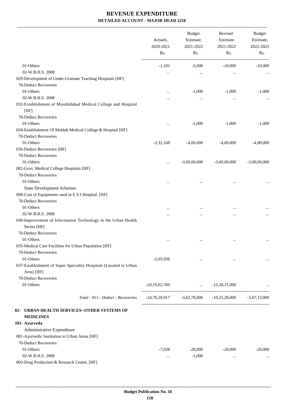-------------------------------------------------------------------------------------------------------------------------------------------------------------------------------

|                                                                                              | Actuals,<br>2020-2021<br>Rs. | <b>Budget</b><br>Estimate,<br>2021-2022<br>Rs. | Revised<br>Estimate,<br>2021-2022<br>Rs.       | <b>Budget</b><br>Estimate,<br>2022-2023<br>Rs. |
|----------------------------------------------------------------------------------------------|------------------------------|------------------------------------------------|------------------------------------------------|------------------------------------------------|
| 01-Others                                                                                    | $-1,181$                     | $-5,000$                                       | $-10,000$                                      | $-10,000$                                      |
| 02-W.B.H.S. 2008                                                                             | $\cdots$                     | $\cdots$                                       | $\cdots$                                       |                                                |
| 029-Development of Under-Gratuate Teaching Hospitals [HF]                                    |                              |                                                |                                                |                                                |
| 70-Deduct Recoveries                                                                         |                              |                                                |                                                |                                                |
| 01-Others                                                                                    |                              | $-1,000$                                       | $-1,000$                                       | $-1,000$                                       |
| 02-W.B.H.S. 2008                                                                             | $\cdots$                     | $\cdots$                                       | $\ddotsc$                                      |                                                |
| 032-Establishment of Murshidabad Medical College and Hospital<br>[HF]                        |                              |                                                |                                                |                                                |
| 70-Deduct Recoveries                                                                         |                              |                                                |                                                |                                                |
| 01-Others                                                                                    |                              | $-1,000$                                       | $-1,000$                                       | $-1,000$                                       |
| 034-Establishment Of Maldah Medical College & Hospital [HF]<br>70-Deduct Recoveries          |                              |                                                |                                                |                                                |
| 01-Others                                                                                    | $-3,32,168$                  | $-4,00,000$                                    | $-4,00,000$                                    | $-4,00,000$                                    |
| 036-Deduct Recoveries [HF]                                                                   |                              |                                                |                                                |                                                |
| 70-Deduct Recoveries                                                                         |                              |                                                |                                                |                                                |
| 01-Others                                                                                    |                              | $-3,00,00,000$                                 | $-3,00,00,000$                                 | $-3,00,00,000$                                 |
| 082-Govt. Medical College Hospitals [HF]                                                     |                              |                                                |                                                |                                                |
| 70-Deduct Recoveries                                                                         |                              |                                                |                                                |                                                |
| 01-Others                                                                                    |                              | $\cdots$                                       |                                                |                                                |
| <b>State Development Schemes</b>                                                             |                              |                                                |                                                |                                                |
| 008-Cost of Equipments used in E.S.I Hospital. [HF]                                          |                              |                                                |                                                |                                                |
| 70-Deduct Recoveries                                                                         |                              |                                                |                                                |                                                |
| 01-Others                                                                                    | $\cdots$                     | $\cdots$                                       | $\ddotsc$                                      |                                                |
| 02-W.B.H.S. 2008                                                                             |                              |                                                | $\cdots$                                       |                                                |
| 030-Improvement of Information Technology in the Urban Health<br>Sector [HF]                 |                              |                                                |                                                |                                                |
| 70-Deduct Recoveries                                                                         |                              |                                                |                                                |                                                |
| 01-Others                                                                                    | $\ddotsc$                    | $\ddotsc$                                      | $\ddotsc$                                      |                                                |
| 035-Medical Care Facilities for Urban Population [HF]                                        |                              |                                                |                                                |                                                |
| 70-Deduct Recoveries                                                                         |                              |                                                |                                                |                                                |
| 01-Others<br>037-Establishment of Super Speciality Hospitals (Located in Urban<br>Area) [HF] | $-2,03,936$                  | $\cdots$                                       | $\cdots$                                       |                                                |
| 70-Deduct Recoveries                                                                         |                              |                                                |                                                |                                                |
| 01-Others                                                                                    | $-24, 19, 02, 760$           | $\ldots$ -15,58,15,000                         |                                                |                                                |
| Total - 911 - Deduct - Recoveries                                                            |                              |                                                | $-24,70,29,917$ $-3,62,78,000$ $-19,25,28,000$ | $-3,67,13,000$                                 |
| 02- URBAN HEALTH SERVICES--OTHER SYSTEMS OF<br><b>MEDICINES</b>                              |                              |                                                |                                                |                                                |
| 101- Ayurveda                                                                                |                              |                                                |                                                |                                                |
| Administrative Expenditure                                                                   |                              |                                                |                                                |                                                |
| 001-Ayurvedic Institution in Urban Areas [HF]                                                |                              |                                                |                                                |                                                |
| 70-Deduct Recoveries                                                                         |                              |                                                |                                                |                                                |
| 01-Others                                                                                    | $-7,038$                     | $-20,000$                                      | $-20,000$                                      | $-20,000$                                      |
| 02-W.B.H.S. 2008                                                                             | $\cdots$                     | $-1,000$                                       | $\cdots$                                       |                                                |
| 003-Drug Production & Research Centre. [HF]                                                  |                              |                                                |                                                |                                                |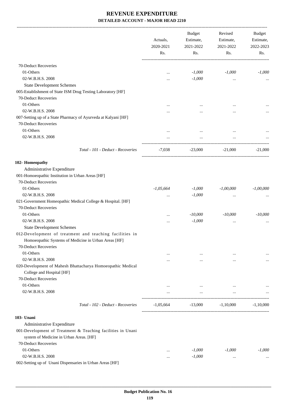|                                                                                                                                         | Actuals,<br>2020-2021<br>Rs. | <b>Budget</b><br>Estimate,<br>2021-2022<br>Rs. | Revised<br>Estimate,<br>2021-2022<br>Rs. | <b>Budget</b><br>Estimate,<br>2022-2023<br>Rs. |
|-----------------------------------------------------------------------------------------------------------------------------------------|------------------------------|------------------------------------------------|------------------------------------------|------------------------------------------------|
| 70-Deduct Recoveries                                                                                                                    |                              |                                                |                                          |                                                |
| 01-Others                                                                                                                               | $\cdots$                     | $-1,000$                                       | $-1,000$                                 | $-1,000$                                       |
| 02-W.B.H.S. 2008                                                                                                                        |                              | $-1,000$                                       | $\ldots$                                 |                                                |
| <b>State Development Schemes</b>                                                                                                        |                              |                                                |                                          |                                                |
| 005-Establishment of State ISM Drug Testing Laboratory [HF]                                                                             |                              |                                                |                                          |                                                |
| 70-Deduct Recoveries                                                                                                                    |                              |                                                |                                          |                                                |
| 01-Others                                                                                                                               |                              |                                                |                                          |                                                |
| 02-W.B.H.S. 2008                                                                                                                        |                              |                                                |                                          |                                                |
| 007-Setting up of a State Pharmacy of Ayurveda at Kalyani [HF]                                                                          |                              |                                                |                                          |                                                |
| 70-Deduct Recoveries                                                                                                                    |                              |                                                |                                          |                                                |
| 01-Others                                                                                                                               |                              |                                                |                                          |                                                |
| 02-W.B.H.S. 2008                                                                                                                        | $\cdots$                     | $\cdots$                                       | $\cdots$                                 |                                                |
|                                                                                                                                         |                              | $\cdots$                                       | $\cdots$                                 |                                                |
| Total - 101 - Deduct - Recoveries                                                                                                       | $-7,038$                     |                                                | $-23,000$ $-21,000$                      | $-21,000$                                      |
| 102- Homeopathy                                                                                                                         |                              |                                                |                                          |                                                |
| Administrative Expenditure                                                                                                              |                              |                                                |                                          |                                                |
| 001-Homoeopathic Institution in Urban Areas [HF]                                                                                        |                              |                                                |                                          |                                                |
| 70-Deduct Recoveries                                                                                                                    |                              |                                                |                                          |                                                |
| 01-Others                                                                                                                               | $-1,05,664$                  | $-1,000$                                       | $-1,00,000$                              | $-1,00,000$                                    |
| 02-W.B.H.S. 2008                                                                                                                        | $\cdots$                     | $-1,000$                                       | $\ddotsc$                                |                                                |
| 021-Government Homeopathic Medical College & Hospital. [HF]                                                                             |                              |                                                |                                          |                                                |
| 70-Deduct Recoveries                                                                                                                    |                              |                                                |                                          |                                                |
| 01-Others                                                                                                                               |                              | $-10,000$                                      | $-10,000$                                | $-10,000$                                      |
| 02-W.B.H.S. 2008                                                                                                                        | $\cdots$                     | $-1,000$                                       | $\cdots$                                 |                                                |
| <b>State Development Schemes</b>                                                                                                        |                              |                                                |                                          |                                                |
| 012-Development of treatment and teaching facilities in<br>Homoeopathic Systems of Medicine in Urban Areas [HF]<br>70-Deduct Recoveries |                              |                                                |                                          |                                                |
| 01-Others                                                                                                                               |                              | $\cdots$                                       | $\cdots$                                 |                                                |
| 02-W.B.H.S. 2008                                                                                                                        | .                            | $\cdots$                                       | $\cdots$                                 |                                                |
| 020-Development of Mahesh Bhattacharya Homoeopathic Medical                                                                             |                              |                                                |                                          |                                                |
| College and Hospital [HF]                                                                                                               |                              |                                                |                                          |                                                |
| 70-Deduct Recoveries                                                                                                                    |                              |                                                |                                          |                                                |
| 01-Others                                                                                                                               |                              | $\cdots$                                       | $\cdots$                                 |                                                |
| 02-W.B.H.S. 2008                                                                                                                        |                              | $\cdots$                                       | $\cdots$                                 |                                                |
| Total - 102 - Deduct - Recoveries                                                                                                       | $-1,05,664$                  | $-13,000$                                      | $-1,10,000$                              | $-1.10,000$                                    |
| 103- Unani                                                                                                                              |                              |                                                |                                          |                                                |
| Administrative Expenditure                                                                                                              |                              |                                                |                                          |                                                |
| 001-Development of Treatment & Teaching facilities in Unani                                                                             |                              |                                                |                                          |                                                |
| system of Medicine in Urban Areas. [HF]                                                                                                 |                              |                                                |                                          |                                                |
| 70-Deduct Recoveries                                                                                                                    |                              |                                                |                                          |                                                |
| 01-Others                                                                                                                               | $\cdots$                     | $-1,000$                                       | $-1,000$                                 | $-1,000$                                       |
| 02-W.B.H.S. 2008                                                                                                                        |                              | $-1,000$                                       | $\cdots$                                 |                                                |
| 002-Setting up of Unani Dispensaries in Urban Areas [HF]                                                                                |                              |                                                |                                          |                                                |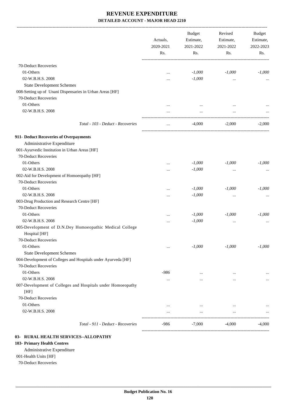-------------------------------------------------------------------------------------------------------------------------------------------------------------------------------

|                                                               | Actuals,<br>2020-2021<br>Rs. | <b>Budget</b><br>Estimate,<br>2021-2022<br>Rs. | Revised<br>Estimate,<br>2021-2022<br>Rs. | <b>Budget</b><br>Estimate,<br>2022-2023<br>Rs. |
|---------------------------------------------------------------|------------------------------|------------------------------------------------|------------------------------------------|------------------------------------------------|
| 70-Deduct Recoveries                                          |                              |                                                |                                          |                                                |
| 01-Others                                                     | $\ddotsc$                    | $-1,000$                                       | $-1,000$                                 | $-1,000$                                       |
| 02-W.B.H.S. 2008                                              |                              | $-1,000$                                       | $\ldots$                                 | $\cdots$                                       |
| <b>State Development Schemes</b>                              |                              |                                                |                                          |                                                |
| 008-Setting up of Unani Dispensaries in Urban Areas [HF]      |                              |                                                |                                          |                                                |
| 70-Deduct Recoveries                                          |                              |                                                |                                          |                                                |
| 01-Others                                                     |                              | $\cdots$                                       | $\cdots$                                 |                                                |
| 02-W.B.H.S. 2008                                              |                              | $\cdots$                                       | $\ddotsc$                                |                                                |
|                                                               |                              |                                                |                                          |                                                |
| Total - 103 - Deduct - Recoveries                             | $\ldots$                     | $-4,000$                                       | $-2,000$                                 | $-2,000$                                       |
| 911- Deduct Recoveries of Overpayments                        |                              |                                                |                                          |                                                |
| Administrative Expenditure                                    |                              |                                                |                                          |                                                |
| 001-Ayurvedic Institution in Urban Areas [HF]                 |                              |                                                |                                          |                                                |
| 70-Deduct Recoveries                                          |                              |                                                |                                          |                                                |
| 01-Others                                                     |                              | $-1,000$                                       | $-1,000$                                 | $-1,000$                                       |
| 02-W.B.H.S. 2008                                              |                              | $-1,000$                                       | $\cdots$                                 |                                                |
| 002-Aid for Development of Homoeopathy [HF]                   |                              |                                                |                                          |                                                |
| 70-Deduct Recoveries                                          |                              |                                                |                                          |                                                |
| 01-Others                                                     |                              | $-1,000$                                       | $-1,000$                                 | $-1,000$                                       |
| 02-W.B.H.S. 2008                                              |                              | $-1,000$                                       | $\cdots$                                 |                                                |
| 003-Drug Production and Research Centre [HF]                  |                              |                                                |                                          |                                                |
| 70-Deduct Recoveries                                          |                              |                                                |                                          |                                                |
| 01-Others                                                     |                              | $-1,000$                                       | $-1,000$                                 | $-1,000$                                       |
| 02-W.B.H.S. 2008                                              |                              | $-1,000$                                       |                                          |                                                |
| 005-Development of D.N.Dey Homoeopathic Medical College       |                              |                                                |                                          |                                                |
| Hospital [HF]                                                 |                              |                                                |                                          |                                                |
| 70-Deduct Recoveries                                          |                              |                                                |                                          |                                                |
| 01-Others                                                     |                              | $-1,000$                                       | $-1,000$                                 | $-1,000$                                       |
| <b>State Development Schemes</b>                              |                              |                                                |                                          |                                                |
| 004-Development of Colleges and Hospitals under Ayurveda [HF] |                              |                                                |                                          |                                                |
| 70-Deduct Recoveries                                          |                              |                                                |                                          |                                                |
| 01-Others                                                     | -986                         | $\cdots$                                       | $\cdots$                                 |                                                |
| 02-W.B.H.S. 2008                                              | $\cdots$                     | $\cdots$                                       | $\cdots$                                 |                                                |
| 007-Development of Colleges and Hospitals under Homoeopathy   |                              |                                                |                                          |                                                |
| [HF]                                                          |                              |                                                |                                          |                                                |
| 70-Deduct Recoveries                                          |                              |                                                |                                          |                                                |
| 01-Others                                                     | $\cdots$                     | $\cdots$                                       | $\cdots$                                 |                                                |
| 02-W.B.H.S. 2008                                              |                              | $\cdots$                                       | $\cdots$                                 |                                                |
| Total - 911 - Deduct - Recoveries                             | -986                         | $-7,000$                                       | $-4,000$                                 | $-4,000$                                       |
|                                                               |                              |                                                |                                          |                                                |

#### **03- RURAL HEALTH SERVICES--ALLOPATHY**

#### **103- Primary Health Centres**

#### Administrative Expenditure

#### 001-Health Units [HF]

70-Deduct Recoveries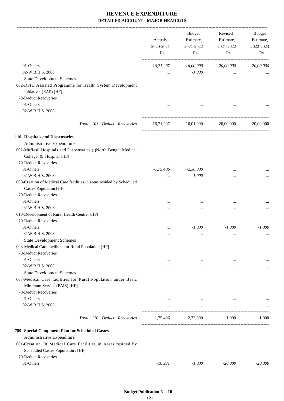-------------------------------------------------------------------------------------------------------------------------------------------------------------------------------

|                                                                                                  | Actuals,<br>2020-2021<br>Rs. | <b>Budget</b><br>Estimate,<br>2021-2022<br>Rs. | Revised<br>Estimate,<br>2021-2022<br>Rs. | <b>Budget</b><br>Estimate,<br>2022-2023<br>Rs. |
|--------------------------------------------------------------------------------------------------|------------------------------|------------------------------------------------|------------------------------------------|------------------------------------------------|
| 01-Others                                                                                        | $-16,71,207$                 | $-16,00,000$                                   | $-20,00,000$                             | $-20,00,000$                                   |
| 02-W.B.H.S. 2008                                                                                 |                              | $-1,000$                                       | $\cdots$                                 |                                                |
| <b>State Development Schemes</b>                                                                 |                              |                                                |                                          |                                                |
| 002-DFID Assisted Programme for Health System Development                                        |                              |                                                |                                          |                                                |
| Initiative. (EAP) [HF]                                                                           |                              |                                                |                                          |                                                |
| 70-Deduct Recoveries                                                                             |                              |                                                |                                          |                                                |
| 01-Others                                                                                        |                              |                                                |                                          |                                                |
| 02-W.B.H.S. 2008                                                                                 | $\cdots$                     | $\cdots$                                       | $\cdots$                                 |                                                |
| Total - 103 - Deduct - Recoveries                                                                | $-16,71,207$                 | $-16,01,000$                                   | $-20,00,000$                             | $-20,00,000$                                   |
|                                                                                                  |                              |                                                |                                          |                                                |
| 110- Hospitals and Dispensaries                                                                  |                              |                                                |                                          |                                                |
| Administrative Expenditure                                                                       |                              |                                                |                                          |                                                |
| 002-Muffasil Hospitals and Dispensaries (i)North Bengal Medical                                  |                              |                                                |                                          |                                                |
| College & Hospital [HF]                                                                          |                              |                                                |                                          |                                                |
| 70-Deduct Recoveries                                                                             |                              |                                                |                                          |                                                |
| 01-Others                                                                                        | $-1,75,406$                  | $-2,30,000$                                    |                                          |                                                |
| 02-W.B.H.S. 2008                                                                                 |                              | $-1,000$                                       | $\ddotsc$                                |                                                |
| 009-Creation of Medical Care facilities in areas resided by Scheduled                            |                              |                                                |                                          |                                                |
| Castes Population [HF]                                                                           |                              |                                                |                                          |                                                |
| 70-Deduct Recoveries                                                                             |                              |                                                |                                          |                                                |
| 01-Others                                                                                        | $\cdots$                     |                                                | $\ddotsc$                                |                                                |
| 02-W.B.H.S. 2008                                                                                 | .                            |                                                | $\ddotsc$                                | $\cdots$                                       |
| 010-Development of Rural Health Centre. [HF]                                                     |                              |                                                |                                          |                                                |
| 70-Deduct Recoveries                                                                             |                              |                                                |                                          |                                                |
| 01-Others                                                                                        |                              | $-1,000$                                       | $-1,000$                                 | $-1,000$                                       |
| 02-W.B.H.S. 2008                                                                                 |                              | $\cdots$                                       | $\ddotsc$                                |                                                |
| <b>State Development Schemes</b>                                                                 |                              |                                                |                                          |                                                |
| 003-Medical Care facilities for Rural Population [HF]                                            |                              |                                                |                                          |                                                |
| 70-Deduct Recoveries                                                                             |                              |                                                |                                          |                                                |
| 01-Others<br>02-W.B.H.S. 2008                                                                    | $\cdots$                     | $\cdots$                                       | $\cdots$                                 |                                                |
|                                                                                                  | $\cdots$                     | $\cdots$                                       | $\cdots$                                 | $\cdots$                                       |
| <b>State Development Schemes</b><br>007-Medical Care facilities for Rural Population under Basic |                              |                                                |                                          |                                                |
| Minimum Service (BMS) [HF]                                                                       |                              |                                                |                                          |                                                |
| 70-Deduct Recoveries                                                                             |                              |                                                |                                          |                                                |
| 01-Others                                                                                        | $\cdots$                     |                                                | $\cdots$                                 |                                                |
| 02-W.B.H.S. 2008                                                                                 | $\cdots$                     | $\ldots$<br>$\cdots$                           | $\cdots$                                 |                                                |
|                                                                                                  |                              |                                                |                                          |                                                |
| Total - 110 - Deduct - Recoveries                                                                | $-1,75,406$                  | $-2,32,000$                                    | $-1,000$                                 | $-1,000$                                       |
| 789- Special Component Plan for Scheduled Castes                                                 |                              |                                                |                                          |                                                |
| Administrative Expenditure                                                                       |                              |                                                |                                          |                                                |
| 001-Creation Of Medical Care Facilities in Areas resided by                                      |                              |                                                |                                          |                                                |
| Scheduled Castes Population . [HF]                                                               |                              |                                                |                                          |                                                |
| 70-Deduct Recoveries                                                                             |                              |                                                |                                          |                                                |
| 01-Others                                                                                        | $-10,931$                    | $-1,000$                                       | $-20,000$                                | $-20,000$                                      |
|                                                                                                  |                              |                                                |                                          |                                                |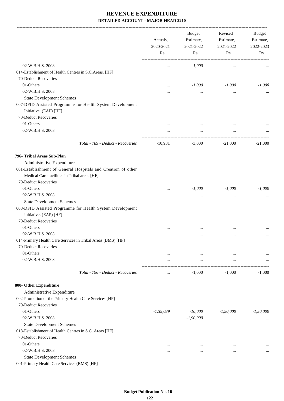| 02-W.B.H.S. 2008<br>$-1,000$<br><br>$\ddotsc$<br>014-Establishment of Health Centres in S.C.Areas. [HF]<br>70-Deduct Recoveries<br>01-Others<br>$-1,000$<br>$-1,000$<br>$\ddotsc$<br>02-W.B.H.S. 2008<br><br>$\cdots$<br><br><b>State Development Schemes</b><br>007-DFID Assisted Programme for Health System Development<br>Initiative. (EAP) [HF]<br>70-Deduct Recoveries<br>01-Others<br>02-W.B.H.S. 2008<br>$\cdots$<br>$\ddotsc$<br>$\cdots$<br>Total - 789 - Deduct - Recoveries<br>$-10,931$<br>$-3,000$<br>$-21,000$<br>Administrative Expenditure<br>001-Establishment of General Hospitals and Creation of other<br>Medical Care facilities in Tribal areas [HF]<br>70-Deduct Recoveries<br>01-Others<br>$-1,000$<br>$-1,000$<br>$\cdots$<br>02-W.B.H.S. 2008<br>$\ddotsc$<br>$\cdots$<br><br><b>State Development Schemes</b><br>008-DFID Assisted Programme for Health System Development<br>Initiative. (EAP) [HF]<br>70-Deduct Recoveries<br>01-Others<br>02-W.B.H.S. 2008<br><br><br>.<br>014-Primary Health Care Services in Tribal Areas (BMS) [HF]<br>70-Deduct Recoveries<br>01-Others<br>$\cdots$<br>$\cdots$<br>$\cdots$<br>02-W.B.H.S. 2008<br>$\cdots$<br>$\cdots$<br>$\cdots$<br>Total - 796 - Deduct - Recoveries<br>$-1,000$<br>$-1,000$<br>$\cdots$<br>Administrative Expenditure<br>002-Promotion of the Primary Health Care Services [HF]<br>70-Deduct Recoveries<br>01-Others<br>$-10,000$<br>$-1,35,039$<br>$-1,50,000$<br>02-W.B.H.S. 2008<br>$-1,90,000$<br>$\cdots$<br>$\cdots$<br><b>State Development Schemes</b><br>018-Establishment of Health Centres in S.C. Areas [HF]<br>70-Deduct Recoveries<br>01-Others<br>$\cdots$<br>$\ddotsc$<br>$\cdots$<br>02-W.B.H.S. 2008<br>.<br>$\cdots$<br>$\cdots$<br><b>State Development Schemes</b> |                                             | Actuals,<br>2020-2021 |     |     |             |  |  |  | <b>Budget</b><br>Estimate,<br>2021-2022 | Revised<br>Estimate,<br>2021-2022 | Budget<br>Estimate,<br>2022-2023 |
|---------------------------------------------------------------------------------------------------------------------------------------------------------------------------------------------------------------------------------------------------------------------------------------------------------------------------------------------------------------------------------------------------------------------------------------------------------------------------------------------------------------------------------------------------------------------------------------------------------------------------------------------------------------------------------------------------------------------------------------------------------------------------------------------------------------------------------------------------------------------------------------------------------------------------------------------------------------------------------------------------------------------------------------------------------------------------------------------------------------------------------------------------------------------------------------------------------------------------------------------------------------------------------------------------------------------------------------------------------------------------------------------------------------------------------------------------------------------------------------------------------------------------------------------------------------------------------------------------------------------------------------------------------------------------------------------------------------------------------------------------------------------------------|---------------------------------------------|-----------------------|-----|-----|-------------|--|--|--|-----------------------------------------|-----------------------------------|----------------------------------|
| 796- Tribal Areas Sub-Plan                                                                                                                                                                                                                                                                                                                                                                                                                                                                                                                                                                                                                                                                                                                                                                                                                                                                                                                                                                                                                                                                                                                                                                                                                                                                                                                                                                                                                                                                                                                                                                                                                                                                                                                                                      |                                             | Rs.                   | Rs. | Rs. | Rs.         |  |  |  |                                         |                                   |                                  |
|                                                                                                                                                                                                                                                                                                                                                                                                                                                                                                                                                                                                                                                                                                                                                                                                                                                                                                                                                                                                                                                                                                                                                                                                                                                                                                                                                                                                                                                                                                                                                                                                                                                                                                                                                                                 |                                             |                       |     |     |             |  |  |  |                                         |                                   |                                  |
|                                                                                                                                                                                                                                                                                                                                                                                                                                                                                                                                                                                                                                                                                                                                                                                                                                                                                                                                                                                                                                                                                                                                                                                                                                                                                                                                                                                                                                                                                                                                                                                                                                                                                                                                                                                 |                                             |                       |     |     |             |  |  |  |                                         |                                   |                                  |
| 800- Other Expenditure                                                                                                                                                                                                                                                                                                                                                                                                                                                                                                                                                                                                                                                                                                                                                                                                                                                                                                                                                                                                                                                                                                                                                                                                                                                                                                                                                                                                                                                                                                                                                                                                                                                                                                                                                          |                                             |                       |     |     |             |  |  |  |                                         |                                   |                                  |
|                                                                                                                                                                                                                                                                                                                                                                                                                                                                                                                                                                                                                                                                                                                                                                                                                                                                                                                                                                                                                                                                                                                                                                                                                                                                                                                                                                                                                                                                                                                                                                                                                                                                                                                                                                                 |                                             |                       |     |     | $-1,000$    |  |  |  |                                         |                                   |                                  |
|                                                                                                                                                                                                                                                                                                                                                                                                                                                                                                                                                                                                                                                                                                                                                                                                                                                                                                                                                                                                                                                                                                                                                                                                                                                                                                                                                                                                                                                                                                                                                                                                                                                                                                                                                                                 |                                             |                       |     |     |             |  |  |  |                                         |                                   |                                  |
|                                                                                                                                                                                                                                                                                                                                                                                                                                                                                                                                                                                                                                                                                                                                                                                                                                                                                                                                                                                                                                                                                                                                                                                                                                                                                                                                                                                                                                                                                                                                                                                                                                                                                                                                                                                 |                                             |                       |     |     |             |  |  |  |                                         |                                   |                                  |
|                                                                                                                                                                                                                                                                                                                                                                                                                                                                                                                                                                                                                                                                                                                                                                                                                                                                                                                                                                                                                                                                                                                                                                                                                                                                                                                                                                                                                                                                                                                                                                                                                                                                                                                                                                                 |                                             |                       |     |     |             |  |  |  |                                         |                                   |                                  |
|                                                                                                                                                                                                                                                                                                                                                                                                                                                                                                                                                                                                                                                                                                                                                                                                                                                                                                                                                                                                                                                                                                                                                                                                                                                                                                                                                                                                                                                                                                                                                                                                                                                                                                                                                                                 |                                             |                       |     |     |             |  |  |  |                                         |                                   |                                  |
|                                                                                                                                                                                                                                                                                                                                                                                                                                                                                                                                                                                                                                                                                                                                                                                                                                                                                                                                                                                                                                                                                                                                                                                                                                                                                                                                                                                                                                                                                                                                                                                                                                                                                                                                                                                 |                                             |                       |     |     |             |  |  |  |                                         |                                   |                                  |
|                                                                                                                                                                                                                                                                                                                                                                                                                                                                                                                                                                                                                                                                                                                                                                                                                                                                                                                                                                                                                                                                                                                                                                                                                                                                                                                                                                                                                                                                                                                                                                                                                                                                                                                                                                                 |                                             |                       |     |     |             |  |  |  |                                         |                                   |                                  |
|                                                                                                                                                                                                                                                                                                                                                                                                                                                                                                                                                                                                                                                                                                                                                                                                                                                                                                                                                                                                                                                                                                                                                                                                                                                                                                                                                                                                                                                                                                                                                                                                                                                                                                                                                                                 |                                             |                       |     |     | $-21,000$   |  |  |  |                                         |                                   |                                  |
|                                                                                                                                                                                                                                                                                                                                                                                                                                                                                                                                                                                                                                                                                                                                                                                                                                                                                                                                                                                                                                                                                                                                                                                                                                                                                                                                                                                                                                                                                                                                                                                                                                                                                                                                                                                 |                                             |                       |     |     |             |  |  |  |                                         |                                   |                                  |
|                                                                                                                                                                                                                                                                                                                                                                                                                                                                                                                                                                                                                                                                                                                                                                                                                                                                                                                                                                                                                                                                                                                                                                                                                                                                                                                                                                                                                                                                                                                                                                                                                                                                                                                                                                                 |                                             |                       |     |     |             |  |  |  |                                         |                                   |                                  |
|                                                                                                                                                                                                                                                                                                                                                                                                                                                                                                                                                                                                                                                                                                                                                                                                                                                                                                                                                                                                                                                                                                                                                                                                                                                                                                                                                                                                                                                                                                                                                                                                                                                                                                                                                                                 |                                             |                       |     |     |             |  |  |  |                                         |                                   |                                  |
|                                                                                                                                                                                                                                                                                                                                                                                                                                                                                                                                                                                                                                                                                                                                                                                                                                                                                                                                                                                                                                                                                                                                                                                                                                                                                                                                                                                                                                                                                                                                                                                                                                                                                                                                                                                 |                                             |                       |     |     |             |  |  |  |                                         |                                   |                                  |
|                                                                                                                                                                                                                                                                                                                                                                                                                                                                                                                                                                                                                                                                                                                                                                                                                                                                                                                                                                                                                                                                                                                                                                                                                                                                                                                                                                                                                                                                                                                                                                                                                                                                                                                                                                                 |                                             |                       |     |     | $-1,000$    |  |  |  |                                         |                                   |                                  |
|                                                                                                                                                                                                                                                                                                                                                                                                                                                                                                                                                                                                                                                                                                                                                                                                                                                                                                                                                                                                                                                                                                                                                                                                                                                                                                                                                                                                                                                                                                                                                                                                                                                                                                                                                                                 |                                             |                       |     |     |             |  |  |  |                                         |                                   |                                  |
|                                                                                                                                                                                                                                                                                                                                                                                                                                                                                                                                                                                                                                                                                                                                                                                                                                                                                                                                                                                                                                                                                                                                                                                                                                                                                                                                                                                                                                                                                                                                                                                                                                                                                                                                                                                 |                                             |                       |     |     |             |  |  |  |                                         |                                   |                                  |
|                                                                                                                                                                                                                                                                                                                                                                                                                                                                                                                                                                                                                                                                                                                                                                                                                                                                                                                                                                                                                                                                                                                                                                                                                                                                                                                                                                                                                                                                                                                                                                                                                                                                                                                                                                                 |                                             |                       |     |     |             |  |  |  |                                         |                                   |                                  |
|                                                                                                                                                                                                                                                                                                                                                                                                                                                                                                                                                                                                                                                                                                                                                                                                                                                                                                                                                                                                                                                                                                                                                                                                                                                                                                                                                                                                                                                                                                                                                                                                                                                                                                                                                                                 |                                             |                       |     |     |             |  |  |  |                                         |                                   |                                  |
|                                                                                                                                                                                                                                                                                                                                                                                                                                                                                                                                                                                                                                                                                                                                                                                                                                                                                                                                                                                                                                                                                                                                                                                                                                                                                                                                                                                                                                                                                                                                                                                                                                                                                                                                                                                 |                                             |                       |     |     |             |  |  |  |                                         |                                   |                                  |
|                                                                                                                                                                                                                                                                                                                                                                                                                                                                                                                                                                                                                                                                                                                                                                                                                                                                                                                                                                                                                                                                                                                                                                                                                                                                                                                                                                                                                                                                                                                                                                                                                                                                                                                                                                                 |                                             |                       |     |     |             |  |  |  |                                         |                                   |                                  |
|                                                                                                                                                                                                                                                                                                                                                                                                                                                                                                                                                                                                                                                                                                                                                                                                                                                                                                                                                                                                                                                                                                                                                                                                                                                                                                                                                                                                                                                                                                                                                                                                                                                                                                                                                                                 |                                             |                       |     |     |             |  |  |  |                                         |                                   |                                  |
|                                                                                                                                                                                                                                                                                                                                                                                                                                                                                                                                                                                                                                                                                                                                                                                                                                                                                                                                                                                                                                                                                                                                                                                                                                                                                                                                                                                                                                                                                                                                                                                                                                                                                                                                                                                 |                                             |                       |     |     |             |  |  |  |                                         |                                   |                                  |
|                                                                                                                                                                                                                                                                                                                                                                                                                                                                                                                                                                                                                                                                                                                                                                                                                                                                                                                                                                                                                                                                                                                                                                                                                                                                                                                                                                                                                                                                                                                                                                                                                                                                                                                                                                                 |                                             |                       |     |     |             |  |  |  |                                         |                                   |                                  |
|                                                                                                                                                                                                                                                                                                                                                                                                                                                                                                                                                                                                                                                                                                                                                                                                                                                                                                                                                                                                                                                                                                                                                                                                                                                                                                                                                                                                                                                                                                                                                                                                                                                                                                                                                                                 |                                             |                       |     |     | $-1,000$    |  |  |  |                                         |                                   |                                  |
|                                                                                                                                                                                                                                                                                                                                                                                                                                                                                                                                                                                                                                                                                                                                                                                                                                                                                                                                                                                                                                                                                                                                                                                                                                                                                                                                                                                                                                                                                                                                                                                                                                                                                                                                                                                 |                                             |                       |     |     |             |  |  |  |                                         |                                   |                                  |
|                                                                                                                                                                                                                                                                                                                                                                                                                                                                                                                                                                                                                                                                                                                                                                                                                                                                                                                                                                                                                                                                                                                                                                                                                                                                                                                                                                                                                                                                                                                                                                                                                                                                                                                                                                                 |                                             |                       |     |     |             |  |  |  |                                         |                                   |                                  |
|                                                                                                                                                                                                                                                                                                                                                                                                                                                                                                                                                                                                                                                                                                                                                                                                                                                                                                                                                                                                                                                                                                                                                                                                                                                                                                                                                                                                                                                                                                                                                                                                                                                                                                                                                                                 |                                             |                       |     |     |             |  |  |  |                                         |                                   |                                  |
|                                                                                                                                                                                                                                                                                                                                                                                                                                                                                                                                                                                                                                                                                                                                                                                                                                                                                                                                                                                                                                                                                                                                                                                                                                                                                                                                                                                                                                                                                                                                                                                                                                                                                                                                                                                 |                                             |                       |     |     |             |  |  |  |                                         |                                   |                                  |
|                                                                                                                                                                                                                                                                                                                                                                                                                                                                                                                                                                                                                                                                                                                                                                                                                                                                                                                                                                                                                                                                                                                                                                                                                                                                                                                                                                                                                                                                                                                                                                                                                                                                                                                                                                                 |                                             |                       |     |     | $-1,50,000$ |  |  |  |                                         |                                   |                                  |
|                                                                                                                                                                                                                                                                                                                                                                                                                                                                                                                                                                                                                                                                                                                                                                                                                                                                                                                                                                                                                                                                                                                                                                                                                                                                                                                                                                                                                                                                                                                                                                                                                                                                                                                                                                                 |                                             |                       |     |     |             |  |  |  |                                         |                                   |                                  |
|                                                                                                                                                                                                                                                                                                                                                                                                                                                                                                                                                                                                                                                                                                                                                                                                                                                                                                                                                                                                                                                                                                                                                                                                                                                                                                                                                                                                                                                                                                                                                                                                                                                                                                                                                                                 |                                             |                       |     |     |             |  |  |  |                                         |                                   |                                  |
|                                                                                                                                                                                                                                                                                                                                                                                                                                                                                                                                                                                                                                                                                                                                                                                                                                                                                                                                                                                                                                                                                                                                                                                                                                                                                                                                                                                                                                                                                                                                                                                                                                                                                                                                                                                 |                                             |                       |     |     |             |  |  |  |                                         |                                   |                                  |
|                                                                                                                                                                                                                                                                                                                                                                                                                                                                                                                                                                                                                                                                                                                                                                                                                                                                                                                                                                                                                                                                                                                                                                                                                                                                                                                                                                                                                                                                                                                                                                                                                                                                                                                                                                                 |                                             |                       |     |     |             |  |  |  |                                         |                                   |                                  |
|                                                                                                                                                                                                                                                                                                                                                                                                                                                                                                                                                                                                                                                                                                                                                                                                                                                                                                                                                                                                                                                                                                                                                                                                                                                                                                                                                                                                                                                                                                                                                                                                                                                                                                                                                                                 |                                             |                       |     |     |             |  |  |  |                                         |                                   |                                  |
|                                                                                                                                                                                                                                                                                                                                                                                                                                                                                                                                                                                                                                                                                                                                                                                                                                                                                                                                                                                                                                                                                                                                                                                                                                                                                                                                                                                                                                                                                                                                                                                                                                                                                                                                                                                 |                                             |                       |     |     |             |  |  |  |                                         |                                   |                                  |
|                                                                                                                                                                                                                                                                                                                                                                                                                                                                                                                                                                                                                                                                                                                                                                                                                                                                                                                                                                                                                                                                                                                                                                                                                                                                                                                                                                                                                                                                                                                                                                                                                                                                                                                                                                                 | 001-Primary Health Care Services (BMS) [HF] |                       |     |     |             |  |  |  |                                         |                                   |                                  |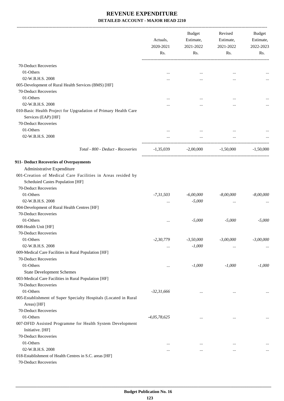|                                                                                                 | Actuals,<br>2020-2021<br>Rs. | <b>Budget</b><br>Estimate,<br>2021-2022<br>Rs. | Revised<br>Estimate,<br>2021-2022<br>Rs. | Budget<br>Estimate,<br>2022-2023<br>Rs. |
|-------------------------------------------------------------------------------------------------|------------------------------|------------------------------------------------|------------------------------------------|-----------------------------------------|
|                                                                                                 |                              |                                                |                                          |                                         |
| 70-Deduct Recoveries                                                                            |                              |                                                |                                          |                                         |
| 01-Others                                                                                       |                              |                                                |                                          |                                         |
| 02-W.B.H.S. 2008                                                                                |                              |                                                |                                          |                                         |
| 005-Development of Rural Health Services (BMS) [HF]                                             |                              |                                                |                                          |                                         |
| 70-Deduct Recoveries                                                                            |                              |                                                |                                          |                                         |
| 01-Others                                                                                       |                              |                                                |                                          |                                         |
| 02-W.B.H.S. 2008                                                                                |                              |                                                |                                          |                                         |
| 010-Basic Health Project for Upgradation of Primary Health Care<br>Services (EAP) [HF]          |                              |                                                |                                          |                                         |
| 70-Deduct Recoveries                                                                            |                              |                                                |                                          |                                         |
| 01-Others                                                                                       |                              | $\cdots$                                       |                                          |                                         |
| 02-W.B.H.S. 2008                                                                                |                              | $\cdots$                                       |                                          |                                         |
| Total - 800 - Deduct - Recoveries                                                               | $-1,35,039$                  | $-2,00,000$                                    | $-1,50,000$                              | $-1,50,000$                             |
| 911- Deduct Recoveries of Overpayments                                                          |                              |                                                |                                          |                                         |
| Administrative Expenditure                                                                      |                              |                                                |                                          |                                         |
| 001-Creation of Medical Care Facilities in Areas resided by<br>Scheduied Castes Population [HF] |                              |                                                |                                          |                                         |
| 70-Deduct Recoveries                                                                            |                              |                                                |                                          |                                         |
| 01-Others                                                                                       | $-7,31,503$                  | $-6,00,000$                                    | $-8,00,000$                              | $-8,00,000$                             |
| 02-W.B.H.S. 2008                                                                                |                              | $-5,000$                                       | $\ddotsc$                                |                                         |
| 004-Development of Rural Health Centres [HF]                                                    |                              |                                                |                                          |                                         |
| 70-Deduct Recoveries                                                                            |                              |                                                |                                          |                                         |
| 01-Others                                                                                       | $\cdots$                     | $-5,000$                                       | $-5,000$                                 | $-5,000$                                |
| 008-Health Unit [HF]                                                                            |                              |                                                |                                          |                                         |
| 70-Deduct Recoveries                                                                            |                              |                                                |                                          |                                         |
| 01-Others                                                                                       | $-2, 30, 779$                | $-3,50,000$                                    | $-3,00,000$                              | $-3,00,000$                             |
| 02-W.B.H.S. 2008                                                                                |                              | $-1,000$                                       | $\cdots$                                 |                                         |
| 009-Medical Care Facilities in Rural Population [HF]                                            |                              |                                                |                                          |                                         |
| 70-Deduct Recoveries                                                                            |                              |                                                |                                          |                                         |
| 01-Others                                                                                       |                              | $-1,000$                                       | $-1,000$                                 | $-1,000$                                |
| <b>State Development Schemes</b>                                                                |                              |                                                |                                          |                                         |
| 003-Medical Care Facilities in Rural Population [HF]                                            |                              |                                                |                                          |                                         |
| 70-Deduct Recoveries                                                                            |                              |                                                |                                          |                                         |
| 01-Others                                                                                       | $-32,31,666$                 |                                                |                                          |                                         |
| 005-Establishment of Super Specialty Hospitals (Located in Rural<br>Areas) [HF]                 |                              |                                                |                                          |                                         |
| 70-Deduct Recoveries                                                                            |                              |                                                |                                          |                                         |
| 01-Others                                                                                       | $-4,05,78,625$               |                                                | $\cdots$                                 | $\cdots$                                |
| 007-DFID Assisted Programme for Health System Development<br>Initiative. [HF]                   |                              |                                                |                                          |                                         |
| 70-Deduct Recoveries                                                                            |                              |                                                |                                          |                                         |
| 01-Others                                                                                       | $\cdots$                     | $\cdots$                                       |                                          |                                         |
| 02-W.B.H.S. 2008                                                                                |                              | $\cdots$                                       | $\ddotsc$                                | $\cdots$                                |
| 018-Establishment of Health Centres in S.C. areas [HF]                                          |                              |                                                |                                          |                                         |
| 70-Deduct Recoveries                                                                            |                              |                                                |                                          |                                         |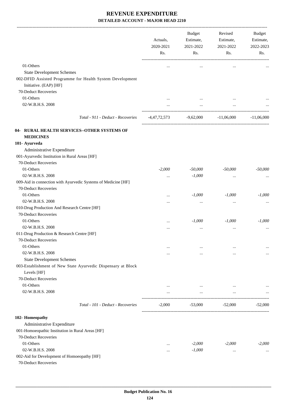|                                                                                                                                                 | Actuals,<br>2020-2021<br>Rs. | Budget<br>Estimate,<br>2021-2022<br>Rs. | Revised<br>Estimate,<br>2021-2022<br>Rs. | Budget<br>Estimate,<br>2022-2023<br>Rs. |
|-------------------------------------------------------------------------------------------------------------------------------------------------|------------------------------|-----------------------------------------|------------------------------------------|-----------------------------------------|
| 01-Others                                                                                                                                       |                              |                                         |                                          |                                         |
|                                                                                                                                                 | $\cdots$                     | $\cdots$                                | $\cdots$                                 |                                         |
| <b>State Development Schemes</b><br>002-DFID Assisted Programme for Health System Development<br>Initiative. (EAP) [HF]<br>70-Deduct Recoveries |                              |                                         |                                          |                                         |
| 01-Others                                                                                                                                       |                              |                                         |                                          |                                         |
| 02-W.B.H.S. 2008                                                                                                                                |                              | $\cdots$                                |                                          |                                         |
|                                                                                                                                                 | $\cdots$                     | $\cdots$                                | $\cdots$                                 |                                         |
| Total - 911 - Deduct - Recoveries                                                                                                               |                              | $-4,47,72,573$ $-9,62,000$              | $-11,06,000$                             | $-11,06,000$                            |
| 04- RURAL HEALTH SERVICES--OTHER SYSTEMS OF<br><b>MEDICINES</b>                                                                                 |                              |                                         |                                          |                                         |
| 101- Ayurveda                                                                                                                                   |                              |                                         |                                          |                                         |
| Administrative Expenditure<br>001-Ayurvedic Institution in Rural Areas [HF]<br>70-Deduct Recoveries                                             |                              |                                         |                                          |                                         |
| 01-Others                                                                                                                                       | $-2,000$                     | $-50,000$                               | $-50,000$                                | $-50,000$                               |
| 02-W.B.H.S. 2008                                                                                                                                |                              | $-1,000$                                |                                          |                                         |
| 009-Aid in connection with Ayurvedic Systems of Medicine [HF]                                                                                   |                              |                                         |                                          |                                         |
| 70-Deduct Recoveries                                                                                                                            |                              |                                         |                                          |                                         |
| 01-Others                                                                                                                                       | $\cdots$                     | $-1,000$                                | $-1,000$                                 | $-1,000$                                |
| 02-W.B.H.S. 2008                                                                                                                                |                              | $\cdots$                                | $\ldots$                                 |                                         |
| 010-Drug Production And Research Centre [HF]                                                                                                    |                              |                                         |                                          |                                         |
| 70-Deduct Recoveries                                                                                                                            |                              |                                         |                                          |                                         |
| 01-Others                                                                                                                                       | $\cdots$                     | $-1,000$                                | $-1,000$                                 | $-1,000$                                |
| 02-W.B.H.S. 2008                                                                                                                                |                              | $\cdots$                                |                                          |                                         |
| 011-Drug Production & Research Centre [HF]                                                                                                      |                              |                                         |                                          |                                         |
| 70-Deduct Recoveries                                                                                                                            |                              |                                         |                                          |                                         |
| 01-Others                                                                                                                                       | $\cdots$                     | $\cdots$                                | $\cdots$                                 |                                         |
| 02-W.B.H.S. 2008                                                                                                                                | $\cdots$                     | $\cdots$                                | $\cdots$                                 | $\cdots$                                |
| <b>State Development Schemes</b>                                                                                                                |                              |                                         |                                          |                                         |
| 003-Establishment of New State Ayurvedic Dispensary at Block<br>Levels [HF]                                                                     |                              |                                         |                                          |                                         |
| 70-Deduct Recoveries                                                                                                                            |                              |                                         |                                          |                                         |
| 01-Others                                                                                                                                       | $\cdots$                     | $\cdots$                                |                                          |                                         |
| 02-W.B.H.S. 2008                                                                                                                                | $\cdots$                     | $\cdots$                                | $\cdots$                                 |                                         |
| Total - 101 - Deduct - Recoveries                                                                                                               | $-2,000$                     | $-53,000$                               | -52,000                                  | -52.000                                 |
| 102- Homeopathy                                                                                                                                 |                              |                                         |                                          |                                         |
| Administrative Expenditure                                                                                                                      |                              |                                         |                                          |                                         |
| 001-Homoeopathic Institution in Rural Areas [HF]                                                                                                |                              |                                         |                                          |                                         |
| 70-Deduct Recoveries                                                                                                                            |                              |                                         |                                          |                                         |
| 01-Others                                                                                                                                       | $\cdots$                     | $-2,000$                                | $-2,000$                                 | $-2,000$                                |
| 02-W.B.H.S. 2008                                                                                                                                | $\cdots$                     | $-1,000$                                | $\cdots$                                 | $\cdots$                                |
| 002-Aid for Development of Homoeopathy [HF]<br>70-Deduct Recoveries                                                                             |                              |                                         |                                          |                                         |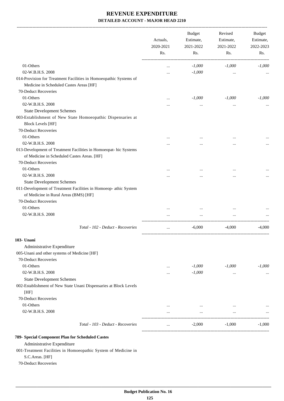-------------------------------------------------------------------------------------------------------------------------------------------------------------------------------

|                                                                                                                  | Actuals,<br>2020-2021<br>Rs. |          |           |          |  |  |  |  |  | <b>Budget</b><br>Estimate,<br>2021-2022 | Revised<br>Estimate,<br>2021-2022 | <b>Budget</b><br>Estimate,<br>2022-2023 |
|------------------------------------------------------------------------------------------------------------------|------------------------------|----------|-----------|----------|--|--|--|--|--|-----------------------------------------|-----------------------------------|-----------------------------------------|
|                                                                                                                  |                              | Rs.      | Rs.       | Rs.      |  |  |  |  |  |                                         |                                   |                                         |
| 01-Others                                                                                                        | $\cdots$                     | $-1,000$ | $-1,000$  | $-1,000$ |  |  |  |  |  |                                         |                                   |                                         |
| 02-W.B.H.S. 2008                                                                                                 |                              | $-1,000$ | $\cdots$  |          |  |  |  |  |  |                                         |                                   |                                         |
| 014-Provision for Treatment Facilities in Homoeopathic Systems of                                                |                              |          |           |          |  |  |  |  |  |                                         |                                   |                                         |
| Medicine in Scheduled Castes Areas [HF]                                                                          |                              |          |           |          |  |  |  |  |  |                                         |                                   |                                         |
| 70-Deduct Recoveries                                                                                             |                              |          |           |          |  |  |  |  |  |                                         |                                   |                                         |
| 01-Others                                                                                                        |                              | $-1,000$ | $-1,000$  | $-1.000$ |  |  |  |  |  |                                         |                                   |                                         |
| 02-W.B.H.S. 2008                                                                                                 | .                            |          | $\ddotsc$ |          |  |  |  |  |  |                                         |                                   |                                         |
| <b>State Development Schemes</b>                                                                                 |                              |          |           |          |  |  |  |  |  |                                         |                                   |                                         |
| 003-Establishment of New State Homoeopathic Dispensaries at                                                      |                              |          |           |          |  |  |  |  |  |                                         |                                   |                                         |
| <b>Block Levels [HF]</b>                                                                                         |                              |          |           |          |  |  |  |  |  |                                         |                                   |                                         |
| 70-Deduct Recoveries                                                                                             |                              |          |           |          |  |  |  |  |  |                                         |                                   |                                         |
| 01-Others                                                                                                        | $\cdots$                     | $\cdots$ | $\cdots$  |          |  |  |  |  |  |                                         |                                   |                                         |
| 02-W.B.H.S. 2008                                                                                                 |                              |          |           |          |  |  |  |  |  |                                         |                                   |                                         |
| 013-Development of Treatment Facilities in Homoeopat- hic Systems<br>of Medicine in Scheduled Castes Areas. [HF] |                              |          |           |          |  |  |  |  |  |                                         |                                   |                                         |
| 70-Deduct Recoveries                                                                                             |                              |          |           |          |  |  |  |  |  |                                         |                                   |                                         |
| 01-Others                                                                                                        |                              |          |           |          |  |  |  |  |  |                                         |                                   |                                         |
| 02-W.B.H.S. 2008                                                                                                 |                              |          |           |          |  |  |  |  |  |                                         |                                   |                                         |
| <b>State Development Schemes</b>                                                                                 |                              |          |           |          |  |  |  |  |  |                                         |                                   |                                         |
| 011-Development of Treatment Facilities in Homoeop- athic System<br>of Medicine in Rural Areas (BMS) [HF]        |                              |          |           |          |  |  |  |  |  |                                         |                                   |                                         |
| 70-Deduct Recoveries                                                                                             |                              |          |           |          |  |  |  |  |  |                                         |                                   |                                         |
| 01-Others                                                                                                        |                              |          |           |          |  |  |  |  |  |                                         |                                   |                                         |
| 02-W.B.H.S. 2008                                                                                                 | $\cdots$                     | $\cdots$ | $\cdots$  |          |  |  |  |  |  |                                         |                                   |                                         |
| Total - 102 - Deduct - Recoveries                                                                                |                              | $-6,000$ | $-4,000$  | $-4,000$ |  |  |  |  |  |                                         |                                   |                                         |
| 103- Unani                                                                                                       |                              |          |           |          |  |  |  |  |  |                                         |                                   |                                         |
| Administrative Expenditure                                                                                       |                              |          |           |          |  |  |  |  |  |                                         |                                   |                                         |
| 005-Unani and other systems of Medicine [HF]                                                                     |                              |          |           |          |  |  |  |  |  |                                         |                                   |                                         |
| 70-Deduct Recoveries                                                                                             |                              |          |           |          |  |  |  |  |  |                                         |                                   |                                         |
| 01-Others                                                                                                        | $\ddotsc$                    | $-1,000$ | $-1,000$  | $-1,000$ |  |  |  |  |  |                                         |                                   |                                         |
| 02-W.B.H.S. 2008                                                                                                 |                              | $-1,000$ | $\cdots$  |          |  |  |  |  |  |                                         |                                   |                                         |
| <b>State Development Schemes</b>                                                                                 |                              |          |           |          |  |  |  |  |  |                                         |                                   |                                         |
| 002-Establishment of New State Unani Dispensaries at Block Levels<br>[HF]                                        |                              |          |           |          |  |  |  |  |  |                                         |                                   |                                         |
| 70-Deduct Recoveries                                                                                             |                              |          |           |          |  |  |  |  |  |                                         |                                   |                                         |
| 01-Others                                                                                                        |                              |          |           |          |  |  |  |  |  |                                         |                                   |                                         |
| 02-W.B.H.S. 2008                                                                                                 | $\cdots$                     | $\ldots$ | $\cdots$  |          |  |  |  |  |  |                                         |                                   |                                         |
|                                                                                                                  | $\cdots$                     | $\cdots$ | $\cdots$  |          |  |  |  |  |  |                                         |                                   |                                         |
| Total - 103 - Deduct - Recoveries                                                                                | $\cdots$                     | $-2,000$ | $-1,000$  | $-1,000$ |  |  |  |  |  |                                         |                                   |                                         |
| 789- Special Component Plan for Scheduled Castes                                                                 |                              |          |           |          |  |  |  |  |  |                                         |                                   |                                         |
| Administrative Expenditure                                                                                       |                              |          |           |          |  |  |  |  |  |                                         |                                   |                                         |
| 001-Treatment Facilities in Homoeopathic System of Medicine in                                                   |                              |          |           |          |  |  |  |  |  |                                         |                                   |                                         |
| S.C.Areas. [HF]                                                                                                  |                              |          |           |          |  |  |  |  |  |                                         |                                   |                                         |

70-Deduct Recoveries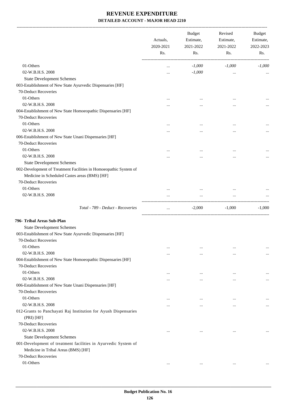-------------------------------------------------------------------------------------------------------------------------------------------------------------------------------

|                                                                                                                    | Actuals,<br>2020-2021<br>Rs. | <b>Budget</b><br>Estimate,<br>2021-2022<br>Rs. | Revised<br>Estimate,<br>2021-2022<br>Rs. | <b>Budget</b><br>Estimate,<br>2022-2023<br>Rs. |
|--------------------------------------------------------------------------------------------------------------------|------------------------------|------------------------------------------------|------------------------------------------|------------------------------------------------|
| 01-Others                                                                                                          | $\cdots$                     | $-1,000$                                       | $-1,000$                                 | $-1,000$                                       |
| 02-W.B.H.S. 2008                                                                                                   |                              | $-1,000$                                       | $\cdots$                                 |                                                |
| <b>State Development Schemes</b>                                                                                   |                              |                                                |                                          |                                                |
| 003-Establishment of New State Ayurvedic Dispensaries [HF]                                                         |                              |                                                |                                          |                                                |
| 70-Deduct Recoveries                                                                                               |                              |                                                |                                          |                                                |
| 01-Others                                                                                                          | $\cdots$                     | $\cdots$                                       | $\cdots$                                 |                                                |
| 02-W.B.H.S. 2008                                                                                                   |                              | $\cdots$                                       | $\cdots$                                 |                                                |
| 004-Establishment of New State Homoeopathic Dispensaries [HF]                                                      |                              |                                                |                                          |                                                |
| 70-Deduct Recoveries                                                                                               |                              |                                                |                                          |                                                |
| 01-Others                                                                                                          |                              | $\ddotsc$                                      | $\cdots$                                 |                                                |
| 02-W.B.H.S. 2008                                                                                                   |                              | $\cdots$                                       | $\ddotsc$                                | $\cdots$                                       |
| 006-Establishment of New State Unani Dispensaries [HF]                                                             |                              |                                                |                                          |                                                |
| 70-Deduct Recoveries                                                                                               |                              |                                                |                                          |                                                |
| 01-Others                                                                                                          | $\cdots$                     | $\ddotsc$                                      | $\cdots$                                 |                                                |
| 02-W.B.H.S. 2008                                                                                                   |                              |                                                |                                          |                                                |
| <b>State Development Schemes</b>                                                                                   |                              |                                                |                                          |                                                |
| 002-Development of Treatment Facilities in Homoeopathic System of<br>Medicine in Scheduled Castes areas (BMS) [HF] |                              |                                                |                                          |                                                |
| 70-Deduct Recoveries                                                                                               |                              |                                                |                                          |                                                |
| 01-Others                                                                                                          | $\cdots$                     |                                                |                                          |                                                |
| 02-W.B.H.S. 2008                                                                                                   |                              | $\cdots$                                       | $\cdots$                                 |                                                |
| Total - 789 - Deduct - Recoveries                                                                                  | $\ddotsc$                    | $-2,000$                                       | $-1,000$                                 | $-1,000$                                       |
| 796- Tribal Areas Sub-Plan                                                                                         |                              |                                                |                                          |                                                |
| <b>State Development Schemes</b>                                                                                   |                              |                                                |                                          |                                                |
| 003-Establishment of New State Ayurvedic Dispensaries [HF]                                                         |                              |                                                |                                          |                                                |
| 70-Deduct Recoveries                                                                                               |                              |                                                |                                          |                                                |
| 01-Others                                                                                                          | $\cdots$                     | $\cdots$                                       | $\cdots$                                 | $\cdots$                                       |
| 02-W.B.H.S. 2008                                                                                                   |                              | $\cdots$                                       | $\cdots$                                 | $\cdots$                                       |
| 004-Establishment of New State Homoeopathic Dispensaries [HF]                                                      |                              |                                                |                                          |                                                |
| 70-Deduct Recoveries                                                                                               |                              |                                                |                                          |                                                |
| 01-Others                                                                                                          | $\cdots$                     | $\ddotsc$                                      | $\cdots$                                 | $\cdots$                                       |
| 02-W.B.H.S. 2008                                                                                                   | $\cdots$                     | $\cdots$                                       | $\cdots$                                 | $\cdots$                                       |
| 006-Establishment of New State Unani Dispensaries [HF]                                                             |                              |                                                |                                          |                                                |
| 70-Deduct Recoveries                                                                                               |                              |                                                |                                          |                                                |
| 01-Others                                                                                                          | $\ddotsc$                    | $\ddotsc$                                      | $\cdots$                                 | $\cdots$                                       |
| 02-W.B.H.S. 2008                                                                                                   | $\cdots$                     | $\cdots$                                       | $\cdots$                                 | $\cdots$                                       |
| 012-Grants to Panchayati Raj Institution for Ayush Dispensaries<br>(PRI) [HF]                                      |                              |                                                |                                          |                                                |
| 70-Deduct Recoveries                                                                                               |                              |                                                |                                          |                                                |
| 02-W.B.H.S. 2008                                                                                                   | $\cdots$                     | $\cdots$                                       | $\cdots$                                 | $\cdots$                                       |
| <b>State Development Schemes</b>                                                                                   |                              |                                                |                                          |                                                |
| 001-Development of treatment facilities in Ayurvedic System of<br>Medicine in Tribal Areas (BMS) [HF]              |                              |                                                |                                          |                                                |
| 70-Deduct Recoveries                                                                                               |                              |                                                |                                          |                                                |
| 01-Others                                                                                                          | $\cdots$                     | $\cdots$                                       | $\cdots$                                 |                                                |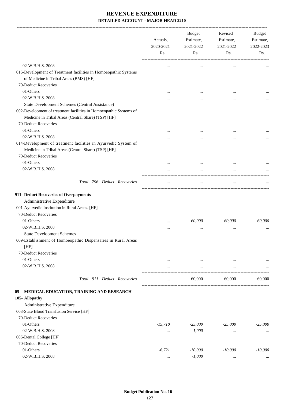|                                                                                                                                               | Actuals,<br>2020-2021<br>Rs. | Budget<br>Estimate,<br>2021-2022<br>Rs. | Revised<br>Estimate,<br>2021-2022<br>Rs. | Budget<br>Estimate,<br>2022-2023<br>Rs. |
|-----------------------------------------------------------------------------------------------------------------------------------------------|------------------------------|-----------------------------------------|------------------------------------------|-----------------------------------------|
|                                                                                                                                               |                              |                                         |                                          |                                         |
| 02-W.B.H.S. 2008                                                                                                                              |                              |                                         |                                          |                                         |
| 016-Development of Treatment facilities in Homoeopathic Systems                                                                               |                              |                                         |                                          |                                         |
| of Medicine in Tribal Areas (BMS) [HF]                                                                                                        |                              |                                         |                                          |                                         |
| 70-Deduct Recoveries                                                                                                                          |                              |                                         |                                          |                                         |
| 01-Others                                                                                                                                     |                              |                                         |                                          |                                         |
| 02-W.B.H.S. 2008                                                                                                                              |                              |                                         |                                          |                                         |
| State Development Schemes (Central Assistance)                                                                                                |                              |                                         |                                          |                                         |
| 002-Development of treatment facilities in Homoeopathic Systems of<br>Medicine in Tribal Areas (Central Share) (TSP) [HF]                     |                              |                                         |                                          |                                         |
| 70-Deduct Recoveries                                                                                                                          |                              |                                         |                                          |                                         |
| 01-Others                                                                                                                                     | $\cdots$                     |                                         |                                          |                                         |
| 02-W.B.H.S. 2008                                                                                                                              |                              |                                         |                                          |                                         |
| 014-Development of treatment facilities in Ayurvedic System of<br>Medicine in Tribal Areas (Central Share) (TSP) [HF]<br>70-Deduct Recoveries |                              |                                         |                                          |                                         |
| 01-Others                                                                                                                                     |                              |                                         |                                          |                                         |
| 02-W.B.H.S. 2008                                                                                                                              |                              |                                         |                                          |                                         |
| Total - 796 - Deduct - Recoveries                                                                                                             |                              |                                         |                                          |                                         |
|                                                                                                                                               |                              |                                         |                                          |                                         |
| 911- Deduct Recoveries of Overpayments                                                                                                        |                              |                                         |                                          |                                         |
| Administrative Expenditure                                                                                                                    |                              |                                         |                                          |                                         |
| 001-Ayurvedic Institution in Rural Areas. [HF]                                                                                                |                              |                                         |                                          |                                         |
| 70-Deduct Recoveries                                                                                                                          |                              |                                         |                                          |                                         |
| 01-Others                                                                                                                                     |                              | $-60,000$                               | $-60,000$                                | $-60,000$                               |
| 02-W.B.H.S. 2008                                                                                                                              |                              | $\ddotsc$                               |                                          |                                         |
| <b>State Development Schemes</b>                                                                                                              |                              |                                         |                                          |                                         |
| 009-Establishment of Homoeopathic Dispensaries in Rural Areas<br>[HF]                                                                         |                              |                                         |                                          |                                         |
| 70-Deduct Recoveries                                                                                                                          |                              |                                         |                                          |                                         |
| 01-Others                                                                                                                                     | $\cdots$                     | $\ldots$                                | $\cdots$                                 |                                         |
| 02-W.B.H.S. 2008                                                                                                                              |                              | $\cdots$                                |                                          |                                         |
| Total - 911 - Deduct - Recoveries                                                                                                             | $\ddotsc$                    | $-60,000$                               | $-60,000$                                | $-60,000$                               |
| 05- MEDICAL EDUCATION, TRAINING AND RESEARCH                                                                                                  |                              |                                         |                                          |                                         |
| 105- Allopathy                                                                                                                                |                              |                                         |                                          |                                         |
| Administrative Expenditure                                                                                                                    |                              |                                         |                                          |                                         |
| 003-State Blood Transfusion Service [HF]                                                                                                      |                              |                                         |                                          |                                         |
| 70-Deduct Recoveries                                                                                                                          |                              |                                         |                                          |                                         |
| 01-Others                                                                                                                                     | $-15,710$                    | $-25,000$                               | $-25,000$                                | $-25,000$                               |
| 02-W.B.H.S. 2008                                                                                                                              | $\cdots$                     | $-1,000$                                |                                          | $\cdots$                                |
| 006-Dental College [HF]                                                                                                                       |                              |                                         |                                          |                                         |
| 70-Deduct Recoveries                                                                                                                          |                              |                                         |                                          |                                         |
| 01-Others                                                                                                                                     | $-6,721$                     | $-10,000$                               | $-10,000$                                | $-10,000$                               |
| 02-W.B.H.S. 2008                                                                                                                              |                              | $-1,000$                                | $\cdots$                                 |                                         |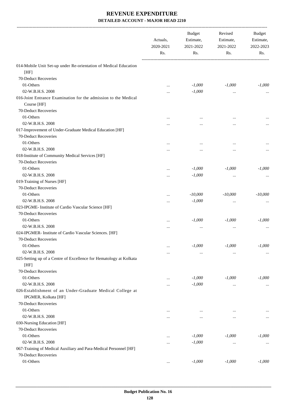|                                                                                   | Actuals.<br>2020-2021<br>Rs. | <b>Budget</b><br>Estimate,<br>2021-2022<br>Rs. | Revised<br>Estimate,<br>2021-2022<br>Rs. | Budget<br>Estimate,<br>2022-2023<br>Rs. |
|-----------------------------------------------------------------------------------|------------------------------|------------------------------------------------|------------------------------------------|-----------------------------------------|
| 014-Mobile Unit Set-up under Re-orientation of Medical Education                  |                              |                                                |                                          |                                         |
| [HF]                                                                              |                              |                                                |                                          |                                         |
| 70-Deduct Recoveries                                                              |                              |                                                |                                          |                                         |
| 01-Others                                                                         | $\ddotsc$                    | $-1,000$                                       | $-1,000$                                 | $-1,000$                                |
| 02-W.B.H.S. 2008                                                                  |                              | $-1,000$                                       | $\ldots$                                 |                                         |
| 016-Joint Entrance Examination for the admission to the Medical<br>Course [HF]    |                              |                                                |                                          |                                         |
| 70-Deduct Recoveries                                                              |                              |                                                |                                          |                                         |
| 01-Others                                                                         |                              |                                                |                                          |                                         |
| 02-W.B.H.S. 2008                                                                  |                              |                                                | $\cdots$                                 |                                         |
| 017-Improvement of Under-Graduate Medical Education [HF]                          |                              |                                                |                                          |                                         |
| 70-Deduct Recoveries                                                              |                              |                                                |                                          |                                         |
| 01-Others                                                                         |                              |                                                |                                          |                                         |
| 02-W.B.H.S. 2008                                                                  |                              | $\ddotsc$                                      |                                          |                                         |
| 018-Institute of Community Medical Services [HF]<br>70-Deduct Recoveries          |                              |                                                |                                          |                                         |
| 01-Others                                                                         |                              | $-1,000$                                       | $-1,000$                                 | $-1,000$                                |
| 02-W.B.H.S. 2008                                                                  |                              | $-1,000$                                       | $\cdots$                                 |                                         |
| 019-Training of Nurses [HF]                                                       |                              |                                                |                                          |                                         |
| 70-Deduct Recoveries                                                              |                              |                                                |                                          |                                         |
| 01-Others                                                                         |                              | $-10,000$                                      | $-10,000$                                | $-10,000$                               |
| 02-W.B.H.S. 2008                                                                  |                              | $-1,000$                                       | $\cdots$                                 |                                         |
| 023-IPGME- Institute of Cardio Vascular Science [HF]                              |                              |                                                |                                          |                                         |
| 70-Deduct Recoveries                                                              |                              |                                                |                                          |                                         |
| 01-Others                                                                         |                              | $-1,000$                                       | $-1,000$                                 | $-1,000$                                |
| 02-W.B.H.S. 2008                                                                  | $\cdots$                     | $\ddotsc$                                      | $\cdots$                                 |                                         |
| 024-IPGMER- Institute of Cardio Vascular Sciences. [HF]                           |                              |                                                |                                          |                                         |
| 70-Deduct Recoveries                                                              |                              |                                                |                                          |                                         |
| 01-Others                                                                         | $\ddotsc$                    | $-1,000$                                       | $-1,000$                                 | $-1,000$                                |
| 02-W.B.H.S. 2008                                                                  |                              | $\cdots$                                       | $\cdots$                                 | $\cdots$                                |
| 025-Setting up of a Centre of Excellence for Hematology at Kolkata<br>[HF]        |                              |                                                |                                          |                                         |
| 70-Deduct Recoveries                                                              |                              |                                                |                                          |                                         |
| 01-Others                                                                         |                              | $-1,000$                                       | $-1,000$                                 | $-1,000$                                |
| 02-W.B.H.S. 2008                                                                  |                              | $-1,000$                                       | $\cdots$                                 | $\cdots$                                |
| 026-Establishment of an Under-Graduate Medical College at<br>IPGMER, Kolkata [HF] |                              |                                                |                                          |                                         |
| 70-Deduct Recoveries                                                              |                              |                                                |                                          |                                         |
| 01-Others                                                                         | $\cdots$                     | $\ddotsc$                                      | $\cdots$                                 | $\cdots$                                |
| 02-W.B.H.S. 2008                                                                  | $\cdots$                     | $\cdots$                                       | $\cdots$                                 | $\cdots$                                |
| 030-Nursing Education [HF]                                                        |                              |                                                |                                          |                                         |
| 70-Deduct Recoveries                                                              |                              |                                                |                                          |                                         |
| 01-Others                                                                         | $\cdots$                     | $-1,000$                                       | $-1,000$                                 | $-1,000$                                |
| 02-W.B.H.S. 2008                                                                  | $\cdots$                     | $-1,000$                                       | $\cdots$                                 | $\cdots$                                |
| 067-Training of Medical Auxiliary and Para-Medical Personnel [HF]                 |                              |                                                |                                          |                                         |
| 70-Deduct Recoveries                                                              |                              |                                                |                                          |                                         |
| 01-Others                                                                         | $\cdots$                     | $-1,000$                                       | $-1,000$                                 | $-1,000$                                |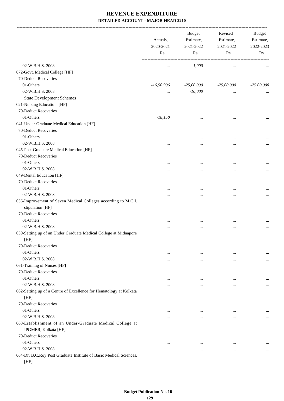-------------------------------------------------------------------------------------------------------------------------------------------------------------------------------

|                                                                                   | Actuals,<br>2020-2021<br>Rs. | <b>Budget</b><br>Estimate,<br>2021-2022<br>Rs. | Revised<br>Estimate,<br>2021-2022<br>Rs. | <b>Budget</b><br>Estimate,<br>2022-2023<br>Rs. |
|-----------------------------------------------------------------------------------|------------------------------|------------------------------------------------|------------------------------------------|------------------------------------------------|
| 02-W.B.H.S. 2008                                                                  | $\cdots$                     | $-1,000$                                       | $\cdots$                                 |                                                |
| 072-Govt. Medical College [HF]                                                    |                              |                                                |                                          |                                                |
| 70-Deduct Recoveries                                                              |                              |                                                |                                          |                                                |
| 01-Others                                                                         | $-16,50,906$                 | $-25,00,000$                                   | $-25,00,000$                             | $-25,00,000$                                   |
| 02-W.B.H.S. 2008                                                                  | $\cdots$                     | $-10,000$                                      | $\cdots$                                 |                                                |
| <b>State Development Schemes</b>                                                  |                              |                                                |                                          |                                                |
| 021-Nursing Education. [HF]                                                       |                              |                                                |                                          |                                                |
| 70-Deduct Recoveries                                                              |                              |                                                |                                          |                                                |
| 01-Others                                                                         | $-18,150$                    |                                                |                                          |                                                |
| 041-Under-Graduate Medical Education [HF]                                         |                              |                                                |                                          | $\cdots$                                       |
| 70-Deduct Recoveries                                                              |                              |                                                |                                          |                                                |
| 01-Others                                                                         |                              |                                                |                                          |                                                |
| 02-W.B.H.S. 2008                                                                  |                              | $\ddotsc$                                      | $\ddotsc$                                | $\cdots$                                       |
| 045-Post-Graduate Medical Education [HF]                                          |                              |                                                | $\ddotsc$                                | $\cdots$                                       |
| 70-Deduct Recoveries                                                              |                              |                                                |                                          |                                                |
| 01-Others                                                                         |                              |                                                |                                          |                                                |
| 02-W.B.H.S. 2008                                                                  |                              |                                                | $\ddotsc$                                | $\cdots$                                       |
| 049-Dental Education [HF]                                                         |                              | $\cdots$                                       |                                          | $\cdots$                                       |
| 70-Deduct Recoveries                                                              |                              |                                                |                                          |                                                |
| 01-Others                                                                         |                              |                                                |                                          |                                                |
| 02-W.B.H.S. 2008                                                                  |                              | $\ddotsc$                                      | $\ddotsc$                                | $\cdots$                                       |
| 056-Improvement of Seven Medical Colleges according to M.C.I.<br>stipulation [HF] |                              | $\cdots$                                       | $\ddotsc$                                | $\cdots$                                       |
| 70-Deduct Recoveries                                                              |                              |                                                |                                          |                                                |
| 01-Others                                                                         |                              | $\ddotsc$                                      | $\ddotsc$                                |                                                |
| 02-W.B.H.S. 2008                                                                  |                              | $\ddotsc$                                      | $\ddotsc$                                | $\cdots$                                       |
| 059-Setting up of an Under Graduate Medical College at Midnapore                  |                              |                                                |                                          |                                                |
| [HF]                                                                              |                              |                                                |                                          |                                                |
| 70-Deduct Recoveries                                                              |                              |                                                |                                          |                                                |
| 01-Others                                                                         | $\cdots$                     | $\cdots$                                       | $\cdots$                                 | $\cdots$                                       |
| 02-W.B.H.S. 2008                                                                  |                              | $\ddotsc$                                      | $\ddotsc$                                | $\cdots$                                       |
| 061-Training of Nurses [HF]                                                       |                              |                                                |                                          |                                                |
| 70-Deduct Recoveries                                                              |                              |                                                |                                          |                                                |
| 01-Others                                                                         | $\cdots$                     | $\ddotsc$                                      | $\cdots$                                 | $\cdots$                                       |
| 02-W.B.H.S. 2008                                                                  |                              | $\ddotsc$                                      | $\ddotsc$                                | $\cdots$                                       |
| 062-Setting up of a Centre of Excellence for Hematology at Kolkata<br>[HF]        |                              |                                                |                                          |                                                |
| 70-Deduct Recoveries                                                              |                              |                                                |                                          |                                                |
| 01-Others                                                                         | $\cdots$                     | $\cdots$                                       | $\cdots$                                 | $\cdots$                                       |
| 02-W.B.H.S. 2008                                                                  |                              | $\cdots$                                       |                                          | $\cdots$                                       |
| 063-Establishment of an Under-Graduate Medical College at<br>IPGMER, Kolkata [HF] |                              |                                                |                                          |                                                |
| 70-Deduct Recoveries                                                              |                              |                                                |                                          |                                                |
| 01-Others                                                                         | $\cdots$                     | $\cdots$                                       | $\cdots$                                 | $\cdots$                                       |
| 02-W.B.H.S. 2008                                                                  | $\cdots$                     | $\cdots$                                       | $\ddotsc$                                | $\cdots$                                       |
| 064-Dr. B.C.Roy Post Graduate Institute of Basic Medical Sciences.<br>[HF]        |                              |                                                |                                          |                                                |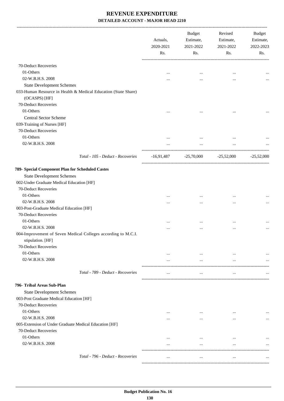| 70-Deduct Recoveries<br>01-Others<br>$\cdots$<br><br>$\cdots$<br>02-W.B.H.S. 2008<br>$\cdots$<br><br><br><b>State Development Schemes</b><br>033-Human Resource in Health & Medical Education (State Share)<br>(OCASPS) [HF]<br>70-Deduct Recoveries<br>01-Others<br>$\cdots$<br><b>Central Sector Scheme</b><br>039-Training of Nurses [HF]<br>70-Deduct Recoveries<br>01-Others<br>$\cdots$<br>$\cdots$<br>02-W.B.H.S. 2008<br>$\cdots$<br>$\cdots$<br>Total - 105 - Deduct - Recoveries<br>$-25,70,000$ $-25,52,000$<br>$-16,91,487$<br><b>State Development Schemes</b><br>002-Under Graduate Medical Education [HF]<br>70-Deduct Recoveries<br>01-Others<br> | Revised<br><b>Budget</b><br>Estimate,<br>Estimate,<br>2022-2023<br>2021-2022<br>Rs.<br>Rs. | <b>Budget</b><br>Estimate,<br>2021-2022<br>Rs. | Actuals,<br>2020-2021<br>Rs. |                  |
|-------------------------------------------------------------------------------------------------------------------------------------------------------------------------------------------------------------------------------------------------------------------------------------------------------------------------------------------------------------------------------------------------------------------------------------------------------------------------------------------------------------------------------------------------------------------------------------------------------------------------------------------------------------------|--------------------------------------------------------------------------------------------|------------------------------------------------|------------------------------|------------------|
| 789- Special Component Plan for Scheduled Castes                                                                                                                                                                                                                                                                                                                                                                                                                                                                                                                                                                                                                  |                                                                                            |                                                |                              |                  |
|                                                                                                                                                                                                                                                                                                                                                                                                                                                                                                                                                                                                                                                                   |                                                                                            |                                                |                              |                  |
|                                                                                                                                                                                                                                                                                                                                                                                                                                                                                                                                                                                                                                                                   |                                                                                            |                                                |                              |                  |
|                                                                                                                                                                                                                                                                                                                                                                                                                                                                                                                                                                                                                                                                   |                                                                                            |                                                |                              |                  |
|                                                                                                                                                                                                                                                                                                                                                                                                                                                                                                                                                                                                                                                                   |                                                                                            |                                                |                              |                  |
|                                                                                                                                                                                                                                                                                                                                                                                                                                                                                                                                                                                                                                                                   |                                                                                            |                                                |                              |                  |
|                                                                                                                                                                                                                                                                                                                                                                                                                                                                                                                                                                                                                                                                   |                                                                                            |                                                |                              |                  |
|                                                                                                                                                                                                                                                                                                                                                                                                                                                                                                                                                                                                                                                                   |                                                                                            |                                                |                              |                  |
|                                                                                                                                                                                                                                                                                                                                                                                                                                                                                                                                                                                                                                                                   |                                                                                            |                                                |                              |                  |
|                                                                                                                                                                                                                                                                                                                                                                                                                                                                                                                                                                                                                                                                   |                                                                                            |                                                |                              |                  |
|                                                                                                                                                                                                                                                                                                                                                                                                                                                                                                                                                                                                                                                                   |                                                                                            |                                                |                              |                  |
|                                                                                                                                                                                                                                                                                                                                                                                                                                                                                                                                                                                                                                                                   |                                                                                            |                                                |                              |                  |
|                                                                                                                                                                                                                                                                                                                                                                                                                                                                                                                                                                                                                                                                   |                                                                                            |                                                |                              |                  |
|                                                                                                                                                                                                                                                                                                                                                                                                                                                                                                                                                                                                                                                                   |                                                                                            |                                                |                              |                  |
|                                                                                                                                                                                                                                                                                                                                                                                                                                                                                                                                                                                                                                                                   | $-25,52,000$                                                                               |                                                |                              |                  |
|                                                                                                                                                                                                                                                                                                                                                                                                                                                                                                                                                                                                                                                                   |                                                                                            |                                                |                              |                  |
|                                                                                                                                                                                                                                                                                                                                                                                                                                                                                                                                                                                                                                                                   |                                                                                            |                                                |                              |                  |
|                                                                                                                                                                                                                                                                                                                                                                                                                                                                                                                                                                                                                                                                   |                                                                                            |                                                |                              |                  |
|                                                                                                                                                                                                                                                                                                                                                                                                                                                                                                                                                                                                                                                                   |                                                                                            |                                                |                              |                  |
|                                                                                                                                                                                                                                                                                                                                                                                                                                                                                                                                                                                                                                                                   |                                                                                            |                                                |                              |                  |
|                                                                                                                                                                                                                                                                                                                                                                                                                                                                                                                                                                                                                                                                   | $\cdots$<br>$\cdots$                                                                       | $\cdots$                                       | $\cdots$                     | 02-W.B.H.S. 2008 |
| 003-Post-Graduate Medical Education [HF]                                                                                                                                                                                                                                                                                                                                                                                                                                                                                                                                                                                                                          |                                                                                            |                                                |                              |                  |
| 70-Deduct Recoveries                                                                                                                                                                                                                                                                                                                                                                                                                                                                                                                                                                                                                                              |                                                                                            |                                                |                              |                  |
| 01-Others<br><br><br>$\cdots$                                                                                                                                                                                                                                                                                                                                                                                                                                                                                                                                                                                                                                     |                                                                                            |                                                |                              |                  |
| 02-W.B.H.S. 2008<br>$\cdots$<br><br>.                                                                                                                                                                                                                                                                                                                                                                                                                                                                                                                                                                                                                             |                                                                                            |                                                |                              |                  |
| 004-Improvement of Seven Medical Colleges according to M.C.I.<br>stipulation. [HF]                                                                                                                                                                                                                                                                                                                                                                                                                                                                                                                                                                                |                                                                                            |                                                |                              |                  |
| 70-Deduct Recoveries                                                                                                                                                                                                                                                                                                                                                                                                                                                                                                                                                                                                                                              |                                                                                            |                                                |                              |                  |
| 01-Others<br>$\cdots$<br>$\cdots$                                                                                                                                                                                                                                                                                                                                                                                                                                                                                                                                                                                                                                 |                                                                                            |                                                |                              |                  |
| 02-W.B.H.S. 2008<br>$\cdots$<br>$\cdots$<br>$\cdots$                                                                                                                                                                                                                                                                                                                                                                                                                                                                                                                                                                                                              |                                                                                            |                                                |                              |                  |
| Total - 789 - Deduct - Recoveries<br>$\cdots$<br>$\cdots$<br>$\cdots$                                                                                                                                                                                                                                                                                                                                                                                                                                                                                                                                                                                             |                                                                                            |                                                |                              |                  |
| 796- Tribal Areas Sub-Plan                                                                                                                                                                                                                                                                                                                                                                                                                                                                                                                                                                                                                                        |                                                                                            |                                                |                              |                  |
| <b>State Development Schemes</b>                                                                                                                                                                                                                                                                                                                                                                                                                                                                                                                                                                                                                                  |                                                                                            |                                                |                              |                  |
| 003-Post Graduate Medical Education [HF]                                                                                                                                                                                                                                                                                                                                                                                                                                                                                                                                                                                                                          |                                                                                            |                                                |                              |                  |
| 70-Deduct Recoveries                                                                                                                                                                                                                                                                                                                                                                                                                                                                                                                                                                                                                                              |                                                                                            |                                                |                              |                  |
| 01-Others<br>$\cdots$<br>$\cdots$                                                                                                                                                                                                                                                                                                                                                                                                                                                                                                                                                                                                                                 |                                                                                            |                                                |                              |                  |
| 02-W.B.H.S. 2008<br>$\cdots$<br>$\cdots$<br>$\cdots$                                                                                                                                                                                                                                                                                                                                                                                                                                                                                                                                                                                                              | $\cdots$                                                                                   |                                                |                              |                  |
| 005-Extension of Under Graduate Medical Education [HF]                                                                                                                                                                                                                                                                                                                                                                                                                                                                                                                                                                                                            |                                                                                            |                                                |                              |                  |
| 70-Deduct Recoveries                                                                                                                                                                                                                                                                                                                                                                                                                                                                                                                                                                                                                                              |                                                                                            |                                                |                              |                  |
| 01-Others<br>$\cdots$<br>$\cdots$<br>$\cdots$                                                                                                                                                                                                                                                                                                                                                                                                                                                                                                                                                                                                                     |                                                                                            |                                                |                              |                  |
| 02-W.B.H.S. 2008<br>$\cdots$<br>$\ddotsc$<br>$\cdots$                                                                                                                                                                                                                                                                                                                                                                                                                                                                                                                                                                                                             |                                                                                            |                                                |                              |                  |
| Total - 796 - Deduct - Recoveries<br>$\cdots$<br>$\cdots$<br>$\cdots$                                                                                                                                                                                                                                                                                                                                                                                                                                                                                                                                                                                             |                                                                                            |                                                |                              |                  |

-----------------------------------------------------------------------------------------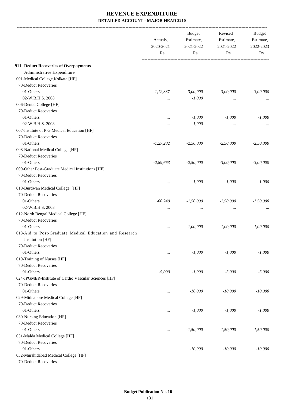|                                                         | Actuals,<br>2020-2021<br>Rs. | <b>Budget</b><br>Estimate,<br>2021-2022<br>Rs. | Revised<br>Estimate,<br>2021-2022<br>Rs. | <b>Budget</b><br>Estimate,<br>2022-2023<br>Rs. |
|---------------------------------------------------------|------------------------------|------------------------------------------------|------------------------------------------|------------------------------------------------|
|                                                         |                              |                                                |                                          |                                                |
| 911- Deduct Recoveries of Overpayments                  |                              |                                                |                                          |                                                |
| Administrative Expenditure                              |                              |                                                |                                          |                                                |
| 001-Medical College, Kolkata [HF]                       |                              |                                                |                                          |                                                |
| 70-Deduct Recoveries                                    |                              |                                                |                                          |                                                |
| 01-Others                                               | $-1, 12, 337$                | $-3,00,000$                                    | $-3,00,000$                              | $-3,00,000$                                    |
| 02-W.B.H.S. 2008                                        | $\ldots$                     | $-1,000$                                       | $\ddotsc$                                |                                                |
| 006-Dental College [HF]                                 |                              |                                                |                                          |                                                |
| 70-Deduct Recoveries                                    |                              |                                                |                                          |                                                |
| 01-Others                                               | $\cdots$                     | $-1,000$                                       | $-1,000$                                 | $-1,000$                                       |
| 02-W.B.H.S. 2008                                        |                              | $-1,000$                                       | $\ddotsc$                                |                                                |
| 007-Institute of P.G.Medical Education [HF]             |                              |                                                |                                          |                                                |
| 70-Deduct Recoveries                                    |                              |                                                |                                          |                                                |
| 01-Others                                               | $-1,27,282$                  | $-2,50,000$                                    | $-2,50,000$                              | $-2,50,000$                                    |
| 008-National Medical College [HF]                       |                              |                                                |                                          |                                                |
| 70-Deduct Recoveries                                    |                              |                                                |                                          |                                                |
| 01-Others                                               | $-2,89,663$                  | $-2,50,000$                                    | $-3,00,000$                              | $-3,00,000$                                    |
| 009-Other Post-Graduate Medical Institutions [HF]       |                              |                                                |                                          |                                                |
| 70-Deduct Recoveries                                    |                              |                                                |                                          |                                                |
| 01-Others                                               | $\cdots$                     | $-1,000$                                       | $-1,000$                                 | $-1,000$                                       |
| 010-Burdwan Medical College. [HF]                       |                              |                                                |                                          |                                                |
| 70-Deduct Recoveries                                    |                              |                                                |                                          |                                                |
| 01-Others                                               | $-60,240$                    | $-1,50,000$                                    | $-1,50,000$                              | $-1,50,000$                                    |
| 02-W.B.H.S. 2008                                        | $\cdots$                     | $\cdots$                                       | $\cdots$                                 |                                                |
| 012-North Bengal Medical College [HF]                   |                              |                                                |                                          |                                                |
| 70-Deduct Recoveries                                    |                              |                                                |                                          |                                                |
| 01-Others                                               | $\cdots$                     | $-1,00,000$                                    | $-1,00,000$                              | $-1,00,000$                                    |
| 013-Aid to Post-Graduate Medical Education and Research |                              |                                                |                                          |                                                |
| Institution [HF]                                        |                              |                                                |                                          |                                                |
| 70-Deduct Recoveries                                    |                              |                                                |                                          |                                                |
| 01-Others                                               | $\cdots$                     | $-1,000$                                       | $-1,000$                                 | $-1,000$                                       |
| 019-Training of Nurses [HF]                             |                              |                                                |                                          |                                                |
| 70-Deduct Recoveries                                    |                              |                                                |                                          |                                                |
| 01-Others                                               | $-5,000$                     | $-1,000$                                       | $-5,000$                                 | $-5,000$                                       |
| 024-IPGMER-Institute of Cardio Vascular Sciences [HF]   |                              |                                                |                                          |                                                |
| 70-Deduct Recoveries                                    |                              |                                                |                                          |                                                |
| 01-Others                                               |                              | $-10,000$                                      | $-10,000$                                | $-10,000$                                      |
| 029-Midnapore Medical College [HF]                      |                              |                                                |                                          |                                                |
| 70-Deduct Recoveries                                    |                              |                                                |                                          |                                                |
| 01-Others                                               | $\cdots$                     | $-1,000$                                       | $-1,000$                                 | $-1,000$                                       |
| 030-Nursing Education [HF]                              |                              |                                                |                                          |                                                |
| 70-Deduct Recoveries                                    |                              |                                                |                                          |                                                |
| 01-Others                                               |                              | $-1,50,000$                                    | $-1,50,000$                              | $-1,50,000$                                    |
| 031-Malda Medical College [HF]                          |                              |                                                |                                          |                                                |
| 70-Deduct Recoveries                                    |                              |                                                |                                          |                                                |
| 01-Others                                               | $\cdots$                     | $-10,000$                                      | $-10,000$                                | $-10,000$                                      |
| 032-Murshidabad Medical College [HF]                    |                              |                                                |                                          |                                                |
| 70-Deduct Recoveries                                    |                              |                                                |                                          |                                                |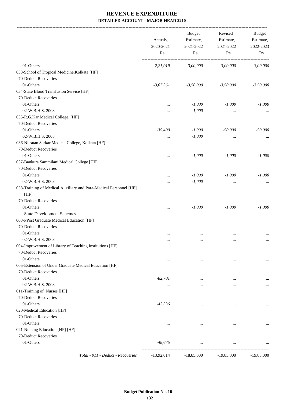-------------------------------------------------------------------------------------------------------------------------------------------------------------------------------

|                                                                   | Actuals,<br>2020-2021<br>Rs. | <b>Budget</b><br>Estimate,<br>2021-2022<br>Rs. | Revised<br>Estimate,<br>2021-2022<br>Rs. | <b>Budget</b><br>Estimate,<br>2022-2023<br>Rs. |
|-------------------------------------------------------------------|------------------------------|------------------------------------------------|------------------------------------------|------------------------------------------------|
| 01-Others                                                         | $-2,21,019$                  | $-3,00,000$                                    | $-3,00,000$                              | $-3,00,000$                                    |
| 033-School of Tropical Medicine, Kolkata [HF]                     |                              |                                                |                                          |                                                |
| 70-Deduct Recoveries                                              |                              |                                                |                                          |                                                |
| 01-Others                                                         | $-3,67,361$                  | $-3,50,000$                                    | $-3,50,000$                              | $-3,50,000$                                    |
| 034-State Blood Transfusion Service [HF]                          |                              |                                                |                                          |                                                |
| 70-Deduct Recoveries                                              |                              |                                                |                                          |                                                |
| 01-Others                                                         |                              | $-1,000$                                       | $-1,000$                                 | $-1,000$                                       |
| 02-W.B.H.S. 2008                                                  |                              | $-1,000$                                       | $\cdots$                                 |                                                |
| 035-R.G.Kar Medical College. [HF]                                 |                              |                                                |                                          |                                                |
| 70-Deduct Recoveries                                              |                              |                                                |                                          |                                                |
| 01-Others                                                         | $-35,400$                    | $-1,000$                                       | $-50,000$                                | $-50,000$                                      |
| 02-W.B.H.S. 2008                                                  | $\ldots$                     | $-1,000$                                       | $\cdots$                                 |                                                |
| 036-Nilratan Sarkar Medical College, Kolkata [HF]                 |                              |                                                |                                          |                                                |
| 70-Deduct Recoveries                                              |                              |                                                |                                          |                                                |
| 01-Others                                                         |                              | $-1,000$                                       | $-1,000$                                 | $-1,000$                                       |
| 037-Bankura Sammilani Medical College [HF]                        |                              |                                                |                                          |                                                |
| 70-Deduct Recoveries                                              |                              |                                                |                                          |                                                |
| 01-Others                                                         | $\ddotsc$                    | $-1,000$                                       | $-1,000$                                 | $-1,000$                                       |
| 02-W.B.H.S. 2008                                                  |                              | $-1,000$                                       | $\cdots$                                 |                                                |
| 038-Training of Medical Auxiliary and Para-Medical Personnel [HF] |                              |                                                |                                          |                                                |
| [HF]                                                              |                              |                                                |                                          |                                                |
| 70-Deduct Recoveries                                              |                              |                                                |                                          |                                                |
| 01-Others                                                         |                              | $-1,000$                                       | $-1,000$                                 | $-1,000$                                       |
| <b>State Development Schemes</b>                                  |                              |                                                |                                          |                                                |
| 003-PPost Graduate Medical Education [HF]                         |                              |                                                |                                          |                                                |
| 70-Deduct Recoveries                                              |                              |                                                |                                          |                                                |
| 01-Others                                                         | $\cdots$                     | $\cdots$                                       | $\cdots$                                 |                                                |
| 02-W.B.H.S. 2008                                                  | $\cdots$                     | $\cdots$                                       | $\ddotsc$                                | $\cdots$                                       |
| 004-Improvement of Library of Teaching Institutions [HF]          |                              |                                                |                                          |                                                |
| 70-Deduct Recoveries                                              |                              |                                                |                                          |                                                |
| 01-Others                                                         | $\cdots$                     | $\cdots$                                       | $\cdots$                                 | $\cdots$                                       |
| 005-Extension of Under Graduate Medical Education [HF]            |                              |                                                |                                          |                                                |
| 70-Deduct Recoveries                                              |                              |                                                |                                          |                                                |
| 01-Others                                                         | $-82,701$                    | $\cdots$                                       | $\cdots$                                 |                                                |
| 02-W.B.H.S. 2008                                                  |                              | $\cdots$                                       | $\cdots$                                 | $\cdots$                                       |
| 011-Training of Nurses [HF]                                       |                              |                                                |                                          |                                                |
| 70-Deduct Recoveries                                              |                              |                                                |                                          |                                                |
| 01-Others                                                         | $-42,336$                    | $\cdots$                                       |                                          | $\cdots$                                       |
| 020-Medical Education [HF]                                        |                              |                                                |                                          |                                                |
| 70-Deduct Recoveries                                              |                              |                                                |                                          |                                                |
| 01-Others                                                         |                              | $\cdots$                                       | $\cdots$                                 |                                                |
| 021-Nursing Education [HF] [HF]                                   |                              |                                                |                                          |                                                |
| 70-Deduct Recoveries                                              |                              |                                                |                                          |                                                |
| 01-Others                                                         | -48,675                      | $\cdots$                                       | $\cdots$                                 |                                                |
| Total - 911 - Deduct - Recoveries                                 | $-13,92,014$                 | $-18,85,000$                                   | $-19,83,000$                             | $-19,83,000$                                   |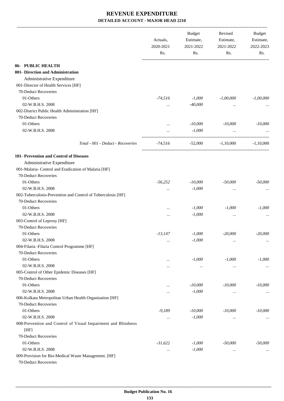|                                                                    | Actuals,<br>2020-2021 | <b>Budget</b><br>Estimate,<br>2021-2022 | Revised<br>Estimate,<br>2021-2022 | Budget<br>Estimate,<br>2022-2023 |
|--------------------------------------------------------------------|-----------------------|-----------------------------------------|-----------------------------------|----------------------------------|
|                                                                    | Rs.                   | Rs.                                     | Rs.                               | Rs.                              |
| 06- PUBLIC HEALTH                                                  |                       |                                         |                                   |                                  |
| 001- Direction and Administration                                  |                       |                                         |                                   |                                  |
|                                                                    |                       |                                         |                                   |                                  |
| Administrative Expenditure<br>001-Director of Health Services [HF] |                       |                                         |                                   |                                  |
|                                                                    |                       |                                         |                                   |                                  |
| 70-Deduct Recoveries                                               |                       |                                         |                                   |                                  |
| 01-Others                                                          | -74,516               | $-1,000$                                | $-1,00,000$                       | $-1,00,000$                      |
| 02-W.B.H.S. 2008                                                   | $\cdots$              | $-40,000$                               | $\cdots$                          |                                  |
| 002-District Public Health Administration [HF]                     |                       |                                         |                                   |                                  |
| 70-Deduct Recoveries                                               |                       |                                         |                                   |                                  |
| 01-Others                                                          | $\cdots$              | $-10,000$                               | $-10,000$                         | $-10,000$                        |
| 02-W.B.H.S. 2008                                                   | $\cdots$              | $-1,000$                                | $\cdots$                          |                                  |
| Total - 001 - Deduct - Recoveries                                  | -74,516               | $-52,000$ $-1,10,000$                   |                                   | $-1.10,000$                      |
| 101- Prevention and Control of Diseases                            |                       |                                         |                                   |                                  |
| Administrative Expenditure                                         |                       |                                         |                                   |                                  |
| 001-Malaria- Control and Eradication of Malaria [HF]               |                       |                                         |                                   |                                  |
| 70-Deduct Recoveries                                               |                       |                                         |                                   |                                  |
| 01-Others                                                          | $-56,252$             | $-10,000$                               | $-50,000$                         | $-50,000$                        |
| 02-W.B.H.S. 2008                                                   |                       | $-1,000$                                | $\cdots$                          |                                  |
| 002-Tuberculosis-Prevention and Control of Tuberculosis [HF]       |                       |                                         |                                   |                                  |
| 70-Deduct Recoveries                                               |                       |                                         |                                   |                                  |
| 01-Others                                                          |                       | $-1,000$                                | $-1,000$                          | $-1,000$                         |
| 02-W.B.H.S. 2008                                                   |                       | $-1,000$                                |                                   |                                  |
| 003-Control of Leprosy [HF]                                        |                       |                                         | $\cdots$                          |                                  |
| 70-Deduct Recoveries                                               |                       |                                         |                                   |                                  |
| 01-Others                                                          | $-13,147$             | $-1,000$                                | $-20,000$                         | $-20,000$                        |
| 02-W.B.H.S. 2008                                                   |                       | $-1,000$                                |                                   |                                  |
| 004-Filaria -Filaria Control Programme [HF]                        | $\ldots$              |                                         | $\cdots$                          | $\cdots$                         |
|                                                                    |                       |                                         |                                   |                                  |
| 70-Deduct Recoveries                                               |                       |                                         |                                   |                                  |
| 01-Others                                                          | $\cdots$              | $-1,000$                                | $-1,000$                          | $-1,000$                         |
| 02-W.B.H.S. 2008                                                   | $\cdots$              | $\cdots$                                | $\ldots$                          | $\cdots$                         |
| 005-Control of Other Epidemic Diseases [HF]                        |                       |                                         |                                   |                                  |
| 70-Deduct Recoveries                                               |                       |                                         |                                   |                                  |
| 01-Others                                                          |                       | $-10,000$                               | $-10,000$                         | $-10,000$                        |
| 02-W.B.H.S. 2008                                                   |                       | $-1,000$                                | $\cdots$                          | $\cdots$                         |
| 006-Kolkata Metropolitan Urban Health Organisation [HF]            |                       |                                         |                                   |                                  |
| 70-Deduct Recoveries                                               |                       |                                         |                                   |                                  |
| 01-Others                                                          | $-9,189$              | $-10,000$                               | $-10,000$                         | $-10,000$                        |
| 02-W.B.H.S. 2008                                                   | $\cdots$              | $-1,000$                                | $\cdots$                          | $\cdots$                         |
| 008-Prevention and Control of Visual Impairment and Blindness      |                       |                                         |                                   |                                  |
| [HF]                                                               |                       |                                         |                                   |                                  |
| 70-Deduct Recoveries                                               |                       |                                         |                                   |                                  |
| 01-Others                                                          | $-31,622$             | $-1,000$                                | $-50,000$                         | $-50,000$                        |
| 02-W.B.H.S. 2008                                                   | $\cdots$              | $-1,000$                                | $\cdots$                          | $\cdots$                         |
| 009-Provision for Bio-Medical Waste Management. [HF]               |                       |                                         |                                   |                                  |
| 70-Deduct Recoveries                                               |                       |                                         |                                   |                                  |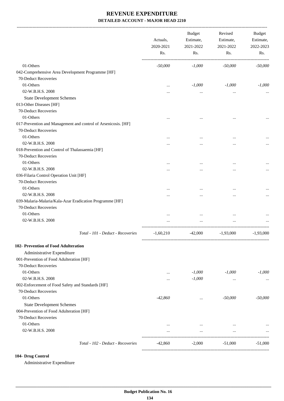|                                                                | Actuals,<br>2020-2021<br>Rs. | <b>Budget</b><br>Estimate,<br>2021-2022<br>Rs. | Revised<br>Estimate,<br>2021-2022<br>Rs. | <b>Budget</b><br>Estimate,<br>2022-2023<br>Rs. |
|----------------------------------------------------------------|------------------------------|------------------------------------------------|------------------------------------------|------------------------------------------------|
| 01-Others                                                      | $-50,000$                    | $-1,000$                                       | $-50,000$                                | $-50,000$                                      |
| 042-Comprehensive Area Development Programme [HF]              |                              |                                                |                                          |                                                |
| 70-Deduct Recoveries                                           |                              |                                                |                                          |                                                |
| 01-Others                                                      |                              | $-1,000$                                       | $-1,000$                                 | $-1,000$                                       |
| 02-W.B.H.S. 2008                                               | $\cdots$                     | $\cdots$                                       | $\cdots$                                 |                                                |
| <b>State Development Schemes</b>                               |                              |                                                |                                          |                                                |
| 013-Other Diseases [HF]                                        |                              |                                                |                                          |                                                |
| 70-Deduct Recoveries                                           |                              |                                                |                                          |                                                |
| 01-Others                                                      |                              |                                                |                                          |                                                |
| 017-Prevention and Management and control of Arsenicosis. [HF] |                              |                                                |                                          |                                                |
| 70-Deduct Recoveries                                           |                              |                                                |                                          |                                                |
| 01-Others                                                      |                              |                                                |                                          |                                                |
| 02-W.B.H.S. 2008                                               |                              |                                                |                                          |                                                |
| 018-Prevention and Control of Thalassaemia [HF]                |                              |                                                | $\cdots$                                 |                                                |
| 70-Deduct Recoveries                                           |                              |                                                |                                          |                                                |
| 01-Others                                                      |                              |                                                |                                          |                                                |
| 02-W.B.H.S. 2008                                               |                              |                                                | $\cdots$                                 |                                                |
| 036-Filaria Control Operation Unit [HF]                        |                              |                                                |                                          |                                                |
| 70-Deduct Recoveries                                           |                              |                                                |                                          |                                                |
| 01-Others                                                      |                              |                                                |                                          |                                                |
| 02-W.B.H.S. 2008                                               |                              |                                                |                                          |                                                |
| 039-Malaria-Malaria/Kala-Azar Eradication Programme [HF]       |                              |                                                | $\cdots$                                 |                                                |
| 70-Deduct Recoveries                                           |                              |                                                |                                          |                                                |
| 01-Others                                                      |                              |                                                |                                          |                                                |
| 02-W.B.H.S. 2008                                               |                              |                                                |                                          |                                                |
|                                                                |                              |                                                |                                          |                                                |
| Total - 101 - Deduct - Recoveries                              | $-1,60,210$                  | -42,000                                        | $-1,93,000$                              | $-1,93,000$                                    |
| 102- Prevention of Food Adulteration                           |                              |                                                |                                          |                                                |
| Administrative Expenditure                                     |                              |                                                |                                          |                                                |
| 001-Prevention of Food Adulteration [HF]                       |                              |                                                |                                          |                                                |
| 70-Deduct Recoveries                                           |                              |                                                |                                          |                                                |
| 01-Others                                                      |                              | $-1,000$                                       | $-1,000$                                 | $-1,000$                                       |
| 02-W.B.H.S. 2008                                               | $\ddotsc$                    | $-1,000$                                       | $\ldots$                                 |                                                |
| 002-Enforcement of Food Safety and Standards [HF]              |                              |                                                |                                          |                                                |
| 70-Deduct Recoveries                                           |                              |                                                |                                          |                                                |
| 01-Others                                                      | $-42,860$                    | $\cdots$                                       | $-50,000$                                | $-50,000$                                      |
| <b>State Development Schemes</b>                               |                              |                                                |                                          |                                                |
| 004-Prevention of Food Adulteration [HF]                       |                              |                                                |                                          |                                                |
| 70-Deduct Recoveries                                           |                              |                                                |                                          |                                                |
| 01-Others                                                      | $\cdots$                     | $\cdots$                                       | $\cdots$                                 |                                                |
| 02-W.B.H.S. 2008                                               | $\ddotsc$                    | $\cdots$                                       | $\cdots$                                 |                                                |
| Total - 102 - Deduct - Recoveries                              | $-42,860$                    | $-2,000$                                       | $-51,000$                                | $-51,000$                                      |
|                                                                |                              |                                                |                                          |                                                |

#### **104- Drug Control**

Administrative Expenditure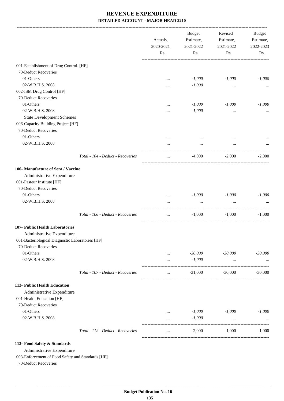-------------------------------------------------------------------------------------------------------------------------------------------------------------------------------

|                                                   |                                   | Actuals,<br>2020-2021<br>Rs. | <b>Budget</b><br>Estimate,<br>2021-2022<br>Rs. | Revised<br>Estimate,<br>2021-2022<br>Rs. | <b>Budget</b><br>Estimate,<br>2022-2023<br>Rs. |
|---------------------------------------------------|-----------------------------------|------------------------------|------------------------------------------------|------------------------------------------|------------------------------------------------|
|                                                   |                                   |                              |                                                |                                          |                                                |
| 001-Establishment of Drug Control. [HF]           |                                   |                              |                                                |                                          |                                                |
| 70-Deduct Recoveries                              |                                   |                              |                                                |                                          |                                                |
| 01-Others                                         |                                   |                              | $-1,000$                                       | $-1,000$                                 | $-1,000$                                       |
| 02-W.B.H.S. 2008                                  |                                   |                              | $-1,000$                                       | $\cdots$                                 | $\cdots$                                       |
| 002-ISM Drug Control [HF]<br>70-Deduct Recoveries |                                   |                              |                                                |                                          |                                                |
| 01-Others                                         |                                   |                              | $-1,000$                                       | $-1,000$                                 | $-1,000$                                       |
| 02-W.B.H.S. 2008                                  |                                   | <br>                         | $-1,000$                                       | $\cdots$                                 | $\cdots$                                       |
| <b>State Development Schemes</b>                  |                                   |                              |                                                |                                          |                                                |
| 006-Capacity Building Project [HF]                |                                   |                              |                                                |                                          |                                                |
| 70-Deduct Recoveries                              |                                   |                              |                                                |                                          |                                                |
| 01-Others                                         |                                   |                              | $\cdots$                                       | $\cdots$                                 |                                                |
| 02-W.B.H.S. 2008                                  |                                   |                              | $\cdots$                                       | $\cdots$                                 |                                                |
|                                                   | Total - 104 - Deduct - Recoveries | $\cdots$                     | $-4,000$                                       | $-2,000$                                 | $-2,000$                                       |
| 106- Manufacture of Sera / Vaccine                |                                   |                              |                                                |                                          |                                                |
| Administrative Expenditure                        |                                   |                              |                                                |                                          |                                                |
| 001-Pasteur Institute [HF]                        |                                   |                              |                                                |                                          |                                                |
| 70-Deduct Recoveries                              |                                   |                              |                                                |                                          |                                                |
| 01-Others                                         |                                   | $\cdots$                     | $-1,000$                                       | $-1,000$                                 | $-1,000$                                       |
| 02-W.B.H.S. 2008                                  |                                   | $\cdots$                     | $\cdots$                                       | $\cdots$<br>-------------------          |                                                |
|                                                   | Total - 106 - Deduct - Recoveries | $\cdots$                     | $-1,000$                                       | $-1,000$                                 | $-1,000$                                       |
| 107- Public Health Laboratories                   |                                   |                              |                                                |                                          |                                                |
| Administrative Expenditure                        |                                   |                              |                                                |                                          |                                                |
| 001-Bacteriological Diagnostic Laboratories [HF]  |                                   |                              |                                                |                                          |                                                |
| 70-Deduct Recoveries                              |                                   |                              |                                                |                                          |                                                |
| 01-Others                                         |                                   |                              | $-30,000$                                      | $-30,000$                                | $-30,000$                                      |
| 02-W.B.H.S. 2008                                  |                                   |                              | $-1,000$                                       | $\ldots$                                 |                                                |
|                                                   | Total - 107 - Deduct - Recoveries | $\cdots$                     | $-31,000$                                      | $-30,000$                                | $-30,000$                                      |
| 112- Public Health Education                      |                                   |                              |                                                |                                          |                                                |
| Administrative Expenditure                        |                                   |                              |                                                |                                          |                                                |
| 001-Health Education [HF]                         |                                   |                              |                                                |                                          |                                                |
| 70-Deduct Recoveries                              |                                   |                              |                                                |                                          |                                                |
| 01-Others                                         |                                   | .                            | $-1,000$                                       | $-1,000$                                 | $-1,000$                                       |
| 02-W.B.H.S. 2008                                  |                                   |                              | $-1,000$                                       | $\cdots$                                 |                                                |
|                                                   | Total - 112 - Deduct - Recoveries |                              | $-2,000$                                       | $-1,000$                                 | $-1.000$                                       |
| 113- Food Safety & Standards                      |                                   |                              |                                                |                                          |                                                |
| Administrative Expenditure                        |                                   |                              |                                                |                                          |                                                |
| 003-Enforcement of Food Safety and Standards [HF] |                                   |                              |                                                |                                          |                                                |

70-Deduct Recoveries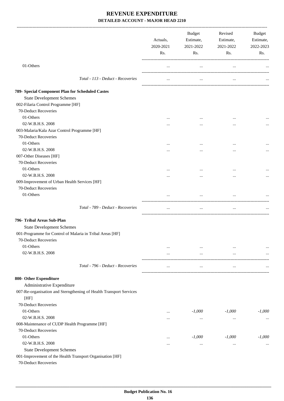|                                                                            | Actuals,<br>2020-2021 | Budget<br>Estimate,<br>2021-2022 | Revised<br>Estimate,<br>2021-2022 | Budget<br>Estimate,<br>2022-2023 |
|----------------------------------------------------------------------------|-----------------------|----------------------------------|-----------------------------------|----------------------------------|
|                                                                            | Rs.                   | Rs.                              | Rs.                               | Rs.                              |
| 01-Others                                                                  | $\cdots$              | $\cdots$                         | $\ldots$                          |                                  |
| Total - 113 - Deduct - Recoveries                                          | $\cdots$              | $\cdots$                         | $\cdots$                          |                                  |
| 789- Special Component Plan for Scheduled Castes                           |                       |                                  |                                   |                                  |
| <b>State Development Schemes</b>                                           |                       |                                  |                                   |                                  |
| 002-Filaria Control Programme [HF]                                         |                       |                                  |                                   |                                  |
| 70-Deduct Recoveries                                                       |                       |                                  |                                   |                                  |
| 01-Others                                                                  | $\cdots$              |                                  | $\cdots$                          |                                  |
| 02-W.B.H.S. 2008                                                           |                       | $\cdots$                         |                                   |                                  |
| 003-Malaria/Kala Azar Control Programme [HF]                               |                       |                                  |                                   |                                  |
| 70-Deduct Recoveries                                                       |                       |                                  |                                   |                                  |
| 01-Others                                                                  | $\cdots$              |                                  |                                   |                                  |
| 02-W.B.H.S. 2008                                                           |                       |                                  |                                   | $\cdots$                         |
| 007-Other Diseases [HF]                                                    |                       |                                  |                                   |                                  |
| 70-Deduct Recoveries                                                       |                       |                                  |                                   |                                  |
| 01-Others                                                                  | $\cdots$              | $\cdots$                         |                                   |                                  |
| 02-W.B.H.S. 2008                                                           |                       |                                  |                                   |                                  |
| 009-Improvement of Urban Health Services [HF]                              |                       |                                  |                                   |                                  |
| 70-Deduct Recoveries                                                       |                       |                                  |                                   |                                  |
| 01-Others                                                                  |                       | $\cdots$                         | $\ddots$                          |                                  |
| Total - 789 - Deduct - Recoveries                                          | $\cdots$              | $\cdots$                         | $\cdots$                          |                                  |
| 796- Tribal Areas Sub-Plan                                                 |                       |                                  |                                   |                                  |
| <b>State Development Schemes</b>                                           |                       |                                  |                                   |                                  |
| 001-Programme for Control of Malaria in Tribal Areas [HF]                  |                       |                                  |                                   |                                  |
| 70-Deduct Recoveries                                                       |                       |                                  |                                   |                                  |
| 01-Others                                                                  |                       |                                  | $\cdots$                          |                                  |
| 02-W.B.H.S. 2008                                                           | $\cdots$              | $\cdots$                         | $\cdots$                          |                                  |
|                                                                            |                       |                                  |                                   |                                  |
| Total - 796 - Deduct - Recoveries                                          | $\cdots$              | $\cdots$                         | $\cdots$                          |                                  |
| 800- Other Expenditure                                                     |                       |                                  |                                   |                                  |
| Administrative Expenditure                                                 |                       |                                  |                                   |                                  |
| 007-Re-organisation and Sterngthening of Health Transport Services<br>[HF] |                       |                                  |                                   |                                  |
| 70-Deduct Recoveries                                                       |                       |                                  |                                   |                                  |
| 01-Others                                                                  |                       | $-1,000$                         | $-1,000$                          | $-1,000$                         |
| 02-W.B.H.S. 2008                                                           |                       |                                  | $\cdots$                          | $\cdots$                         |
| 008-Maintenance of CUDP Health Programme [HF]                              |                       |                                  |                                   |                                  |
| 70-Deduct Recoveries                                                       |                       |                                  |                                   |                                  |
| 01-Others                                                                  |                       | $-1,000$                         | $-1,000$                          | $-1,000$                         |
| 02-W.B.H.S. 2008                                                           |                       |                                  | $\cdots$                          |                                  |
| <b>State Development Schemes</b>                                           |                       |                                  |                                   |                                  |
| 001-Improvement of the Health Transport Organisation [HF]                  |                       |                                  |                                   |                                  |
| 70-Deduct Recoveries                                                       |                       |                                  |                                   |                                  |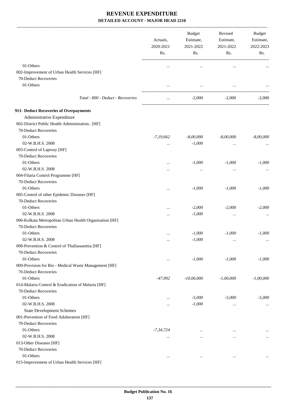|                                                         | Actuals,<br>2020-2021<br>Rs. | <b>Budget</b><br>Estimate,<br>2021-2022<br>Rs. | Revised<br>Estimate,<br>2021-2022<br>Rs. | <b>Budget</b><br>Estimate,<br>2022-2023<br>Rs. |
|---------------------------------------------------------|------------------------------|------------------------------------------------|------------------------------------------|------------------------------------------------|
| 01-Others                                               |                              |                                                |                                          |                                                |
| 002-Improvement of Urban Health Services [HF]           |                              | $\cdots$                                       | $\ddotsc$                                |                                                |
| 70-Deduct Recoveries                                    |                              |                                                |                                          |                                                |
| 01-Others                                               | $\cdots$                     | $\cdots$                                       | $\ddotsc$                                |                                                |
|                                                         |                              |                                                |                                          |                                                |
| Total - 800 - Deduct - Recoveries                       | $\ddotsc$                    | $-2,000$                                       | $-2,000$                                 | $-2,000$                                       |
| 911- Deduct Recoveries of Overpayments                  |                              |                                                |                                          |                                                |
| Administrative Expenditure                              |                              |                                                |                                          |                                                |
| 002-District Public Health Administration [HF]          |                              |                                                |                                          |                                                |
| 70-Deduct Recoveries                                    |                              |                                                |                                          |                                                |
| 01-Others                                               | $-7,19,662$                  | $-8,00,000$                                    | $-8,00,000$                              | $-8,00,000$                                    |
| 02-W.B.H.S. 2008                                        |                              | $-1,000$                                       | $\ddotsc$                                |                                                |
| 003-Control of Laprosy [HF]                             |                              |                                                |                                          |                                                |
| 70-Deduct Recoveries                                    |                              |                                                |                                          |                                                |
| 01-Others                                               |                              | $-1,000$                                       | $-1,000$                                 | $-1,000$                                       |
| 02-W.B.H.S. 2008                                        |                              |                                                | $\ddotsc$                                |                                                |
| 004-Filaria Control Programme [HF]                      |                              |                                                |                                          |                                                |
| 70-Deduct Recoveries                                    |                              |                                                |                                          |                                                |
| 01-Others                                               |                              | $-1,000$                                       | $-1,000$                                 | $-1,000$                                       |
| 005-Control of other Epidemic Diseases [HF]             |                              |                                                |                                          |                                                |
| 70-Deduct Recoveries                                    |                              |                                                |                                          |                                                |
| 01-Others                                               |                              | $-2,000$                                       | $-2,000$                                 | $-2,000$                                       |
| 02-W.B.H.S. 2008                                        |                              | $-1,000$                                       | $\cdots$                                 |                                                |
| 006-Kolkata Metropolitan Urban Health Organisation [HF] |                              |                                                |                                          |                                                |
| 70-Deduct Recoveries                                    |                              |                                                |                                          |                                                |
| 01-Others                                               |                              | $-1,000$                                       | $-1,000$                                 | $-1,000$                                       |
| 02-W.B.H.S. 2008                                        | $\ldots$                     | $-1,000$                                       | $\ldots$                                 | $\ldots$                                       |
| 008-Prevention & Control of Thallassaemia [HF]          |                              |                                                |                                          |                                                |
| 70-Deduct Recoveries                                    |                              |                                                |                                          |                                                |
| 01-Others                                               | $\cdots$                     | $-1,000$                                       | $-1,000$                                 | $-1,000$                                       |
| 009-Provision for Bio - Medical Waste Management [HF]   |                              |                                                |                                          |                                                |
| 70-Deduct Recoveries                                    |                              |                                                |                                          |                                                |
| 01-Others                                               | $-47,992$                    | $-10,00,000$                                   | $-1,00,000$                              | $-1,00,000$                                    |
| 014-Malaria Control & Eradication of Malaria [HF]       |                              |                                                |                                          |                                                |
| 70-Deduct Recoveries                                    |                              |                                                |                                          |                                                |
| 01-Others                                               |                              | $-5,000$                                       | $-5,000$                                 | $-5,000$                                       |
| 02-W.B.H.S. 2008                                        | $\cdots$                     | $-1,000$                                       | $\cdots$                                 | $\cdots$                                       |
| <b>State Development Schemes</b>                        |                              |                                                |                                          |                                                |
| 001-Prevention of Food Adulteration [HF]                |                              |                                                |                                          |                                                |
| 70-Deduct Recoveries                                    |                              |                                                |                                          |                                                |
| 01-Others                                               | $-7, 34, 724$                | $\cdots$                                       | $\ddotsc$                                | $\cdots$                                       |
| 02-W.B.H.S. 2008                                        | $\cdots$                     | $\cdots$                                       | $\cdots$                                 | $\cdots$                                       |
| 013-Other Diseases [HF]                                 |                              |                                                |                                          |                                                |
| 70-Deduct Recoveries                                    |                              |                                                |                                          |                                                |
| 01-Others                                               | $\cdots$                     | $\cdots$                                       | $\cdots$                                 | $\cdots$                                       |
| 015-Improvement of Urban Health Services [HF]           |                              |                                                |                                          |                                                |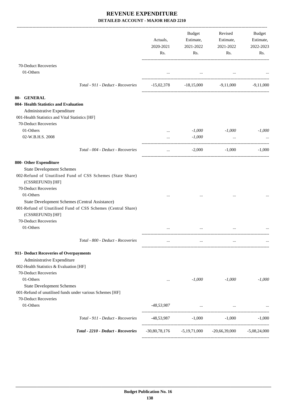|                                                                                                                                                                                                                                                                                                     | Actuals,<br>2020-2021<br>Rs. | Budget<br>Estimate,<br>2021-2022<br>Rs.         | Revised<br>Estimate,<br>2021-2022<br>Rs. | Budget<br>Estimate,<br>2022-2023<br>Rs. |
|-----------------------------------------------------------------------------------------------------------------------------------------------------------------------------------------------------------------------------------------------------------------------------------------------------|------------------------------|-------------------------------------------------|------------------------------------------|-----------------------------------------|
| 70-Deduct Recoveries<br>01-Others                                                                                                                                                                                                                                                                   |                              |                                                 |                                          |                                         |
| Total - 911 - Deduct - Recoveries                                                                                                                                                                                                                                                                   | $-15,02,378$                 |                                                 | $-18,15,000$ $-9,11,000$                 | $-9,11,000$                             |
| 80- GENERAL<br>004- Health Statistics and Evaluation                                                                                                                                                                                                                                                |                              |                                                 |                                          |                                         |
| Administrative Expenditure<br>001-Health Statistics and Vital Statistics [HF]<br>70-Deduct Recoveries                                                                                                                                                                                               |                              |                                                 |                                          |                                         |
| 01-Others<br>02-W.B.H.S. 2008                                                                                                                                                                                                                                                                       | $\cdots$<br>$\cdots$         | $-1,000$<br>$-1,000$                            | $-1,000$<br>$\cdots$                     | $-1,000$                                |
| Total - 004 - Deduct - Recoveries                                                                                                                                                                                                                                                                   | $\ldots$                     | $-2,000$                                        | $-1,000$                                 | $-1,000$                                |
| 800- Other Expenditure<br><b>State Development Schemes</b><br>002-Refund of Unutilised Fund of CSS Schemes (State Share)<br>(CSSREFUND) [HF]<br>70-Deduct Recoveries<br>01-Others<br>State Development Schemes (Central Assistance)<br>001-Refund of Unutilised Fund of CSS Schemes (Central Share) |                              |                                                 |                                          |                                         |
| (CSSREFUND) [HF]<br>70-Deduct Recoveries<br>01-Others                                                                                                                                                                                                                                               |                              |                                                 |                                          |                                         |
| Total - 800 - Deduct - Recoveries                                                                                                                                                                                                                                                                   | $\cdots$                     |                                                 |                                          |                                         |
| 911- Deduct Recoveries of Overpayments<br>Administrative Expenditure<br>002-Health Statistics & Evaluation [HF]<br>70-Deduct Recoveries<br>01-Others                                                                                                                                                | $\cdots$                     | $-1,000$                                        | $-1,000$                                 | $-1,000$                                |
| <b>State Development Schemes</b><br>001-Refund of unutilised funds under various Schemes [HF]<br>70-Deduct Recoveries<br>01-Others                                                                                                                                                                  |                              |                                                 |                                          |                                         |
| Total - 911 - Deduct - Recoveries                                                                                                                                                                                                                                                                   | -48,53,987<br>$-48,53,987$   | the contract of the contract of the<br>$-1,000$ | $\cdots$<br>$-1,000$                     | $-1,000$                                |
| Total - 2210 - Deduct - Recoveries                                                                                                                                                                                                                                                                  |                              | $-30,80,78,176$ $-5,19,71,000$                  | $-20,66,39,000$                          | $-5,08,24,000$                          |
|                                                                                                                                                                                                                                                                                                     |                              |                                                 |                                          |                                         |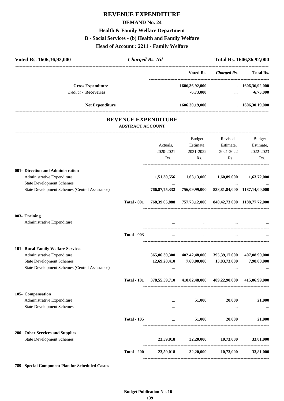# **REVENUE EXPENDITURE DEMAND No. 24 Health & Family Welfare Department B - Social Services - (b) Health and Family Welfare Head of Account : 2211 - Family Welfare**

| Voted Rs. 1606, 36, 92, 000 | <b>Charged Rs. Nil</b>     |                   | Total Rs. 1606, 36, 92, 000 |                        |
|-----------------------------|----------------------------|-------------------|-----------------------------|------------------------|
|                             |                            | Voted Rs.         | Charged Rs.                 | <b>Total Rs.</b>       |
| <b>Gross Expenditure</b>    |                            | 1606,36,92,000    |                             | $\dots$ 1606,36,92,000 |
| <b>Deduct - Recoveries</b>  |                            | $-6,73,000$       | $\cdots$                    | $-6,73,000$            |
| <b>Net Expenditure</b>      |                            | 1606, 30, 19, 000 |                             | 1606,30,19,000         |
|                             | <b>REVENUE EXPENDITURE</b> |                   |                             |                        |
|                             | <b>ABSTRACT ACCOUNT</b>    |                   |                             |                        |
|                             |                            | Budget            | Revised                     | Budget                 |

|                                                |                    | Actuals,  | Estimate,                                                                                                                                                                                                                         | Estimate,     | Estimate,   |
|------------------------------------------------|--------------------|-----------|-----------------------------------------------------------------------------------------------------------------------------------------------------------------------------------------------------------------------------------|---------------|-------------|
|                                                |                    | 2020-2021 | 2021-2022                                                                                                                                                                                                                         | 2021-2022     | 2022-2023   |
|                                                |                    | Rs.       |                                                                                                                                                                                                                                   | Rs.           | Rs.<br>Rs.  |
| 001- Direction and Administration              |                    |           |                                                                                                                                                                                                                                   |               |             |
| Administrative Expenditure                     |                    |           | 1,51,30,556 1,63,13,000 1,60,89,000                                                                                                                                                                                               |               | 1,63,72,000 |
| <b>State Development Schemes</b>               |                    |           | $\mathcal{L}_{\text{max}}$ and $\mathcal{L}_{\text{max}}$ .                                                                                                                                                                       | $\sim$ $\sim$ |             |
| State Development Schemes (Central Assistance) |                    |           | 766, 87, 75, 332 756, 09, 99, 000 838, 81, 84, 000 1187, 14, 00, 000                                                                                                                                                              |               |             |
|                                                | <b>Total - 001</b> |           | 768, 39, 05, 888 757, 73, 12, 000 840, 42, 73, 000 1188, 77, 72, 000                                                                                                                                                              |               |             |
| 003- Training                                  |                    |           |                                                                                                                                                                                                                                   |               |             |
| Administrative Expenditure                     |                    |           | $\mathbf{u}$ , and the contract of the contract of the contract of the contract of the contract of the contract of the contract of the contract of the contract of the contract of the contract of the contract of the contract o |               |             |
|                                                | <b>Total - 003</b> | $\cdots$  | $\sim$ 100 $\sim$                                                                                                                                                                                                                 | $\sim$ $\sim$ |             |
| 101- Rural Family Welfare Services             |                    |           |                                                                                                                                                                                                                                   |               |             |
| Administrative Expenditure                     |                    |           | 365,86,39,300 402,42,48,000 395,39,17,000 407,08,99,000                                                                                                                                                                           |               |             |
| <b>State Development Schemes</b>               |                    |           | $12,69,20,410$ $7,60,00,000$ $13,83,73,000$                                                                                                                                                                                       |               | 7,98,00,000 |
| State Development Schemes (Central Assistance) |                    |           | and the state of the control and the control of the                                                                                                                                                                               | $\cdots$      |             |
|                                                | <b>Total - 101</b> |           | 378,55,59,710 410,02,48,000 409,22,90,000 415,06,99,000                                                                                                                                                                           |               |             |
| 105- Compensation                              |                    |           |                                                                                                                                                                                                                                   |               |             |
| Administrative Expenditure                     |                    |           | $\ldots$ 51,000 20,000                                                                                                                                                                                                            |               | 21,000      |
| <b>State Development Schemes</b>               |                    |           | $\mathbf{m}$ and $\mathbf{m}$ are the contract of $\mathbf{m}$                                                                                                                                                                    |               |             |
|                                                | <b>Total - 105</b> |           | $51,000$ $20,000$ $21,000$                                                                                                                                                                                                        |               |             |
| 200- Other Services and Supplies               |                    |           |                                                                                                                                                                                                                                   |               |             |
| <b>State Development Schemes</b>               |                    |           | 23,59,018 32,20,000 10,73,000                                                                                                                                                                                                     |               | 33,81,000   |
|                                                | <b>Total - 200</b> |           | 23,59,018 32,20,000 10,73,000                                                                                                                                                                                                     |               | 33,81,000   |
|                                                |                    |           |                                                                                                                                                                                                                                   |               |             |

**789- Special Component Plan for Scheduled Castes**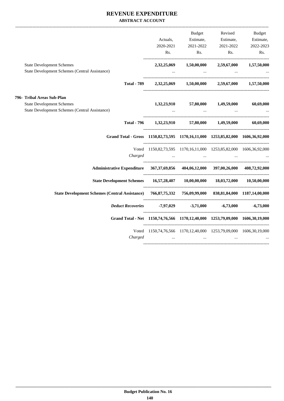#### **REVENUE EXPENDITURE ABSTRACT ACCOUNT**

|                                                                                                         |                                                                     | <b>Budget</b>                       |                                                                       | Revised Budget |
|---------------------------------------------------------------------------------------------------------|---------------------------------------------------------------------|-------------------------------------|-----------------------------------------------------------------------|----------------|
|                                                                                                         | Actuals,                                                            |                                     | Estimate, Estimate, Estimate,                                         |                |
|                                                                                                         |                                                                     | 2020-2021 2021-2022                 | 2021-2022                                                             | 2022-2023      |
|                                                                                                         |                                                                     |                                     | Rs. Rs. Rs. Rs.                                                       | Rs.            |
| <b>State Development Schemes</b>                                                                        |                                                                     |                                     | 2,32,25,069 1,50,00,000 2,59,67,000 1,57,50,000                       |                |
| <b>State Development Schemes (Central Assistance)</b>                                                   |                                                                     | and the contract of the contract of |                                                                       |                |
|                                                                                                         | Total - 789 $2,32,25,069$ $1,50,00,000$ $2,59,67,000$ $1,57,50,000$ |                                     |                                                                       |                |
| 796- Tribal Areas Sub-Plan                                                                              |                                                                     |                                     |                                                                       |                |
| <b>State Development Schemes</b>                                                                        |                                                                     |                                     | $1,32,23,910$ $57,80,000$ $1,49,59,000$ $60,69,000$                   |                |
| State Development Schemes (Central Assistance)                                                          |                                                                     |                                     | and the control of the control of the control of                      |                |
|                                                                                                         |                                                                     |                                     |                                                                       |                |
| Grand Total - Gross 1150,82,73,595 1170,16,11,000 1253,85,82,000 1606,36,92,000                         |                                                                     |                                     |                                                                       |                |
|                                                                                                         | Voted 1150,82,73,595 1170,16,11,000 1253,85,82,000 1606,36,92,000   |                                     |                                                                       |                |
| Charged                                                                                                 |                                                                     |                                     | والمستحدث والمستحدث والمستحدث والمستحدث والمستحدث والمستحدث والمستحدث |                |
| Administrative Expenditure 367,37,69,856 404,06,12,000 397,00,26,000 408,72,92,000                      |                                                                     |                                     |                                                                       |                |
| State Development Schemes   16,57,28,407   10,00,00,000   18,03,72,000   10,50,00,000                   |                                                                     |                                     |                                                                       |                |
| State Development Schemes (Central Assistance) 766,87,75,332 756,09,99,000 838,81,84,000 1187,14,00,000 |                                                                     |                                     |                                                                       |                |
| Deduct Recoveries -7,97,029 -3,71,000 -6,73,000 -6,73,000                                               |                                                                     |                                     |                                                                       |                |
| Grand Total - Net 1150,74,76,566 1170,12,40,000 1253,79,09,000 1606,30,19,000                           |                                                                     |                                     |                                                                       |                |
|                                                                                                         | Voted 1150,74,76,566 1170,12,40,000 1253,79,09,000 1606,30,19,000   |                                     |                                                                       |                |
| Charged                                                                                                 | $\sim$ $\sim$ $\sim$ $\sim$                                         | $\cdots$                            | the contract of the contract of the                                   |                |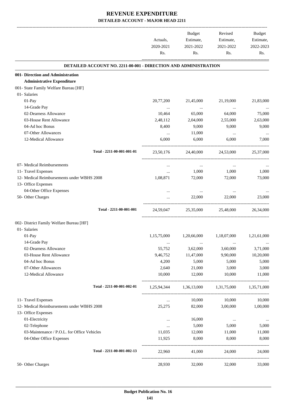|                                                                 | Actuals,<br>2020-2021<br>Rs. | Budget<br>Estimate,<br>2021-2022<br>Rs. | Revised<br>Estimate,<br>2021-2022<br>Rs. | Budget<br>Estimate,<br>2022-2023<br>Rs. |
|-----------------------------------------------------------------|------------------------------|-----------------------------------------|------------------------------------------|-----------------------------------------|
| DETAILED ACCOUNT NO. 2211-00-001 - DIRECTION AND ADMINISTRATION |                              |                                         |                                          |                                         |
| 001- Direction and Administration                               |                              |                                         |                                          |                                         |
| <b>Administrative Expenditure</b>                               |                              |                                         |                                          |                                         |
| 001- State Family Welfare Bureau [HF]                           |                              |                                         |                                          |                                         |
| 01- Salaries                                                    |                              |                                         |                                          |                                         |
| 01-Pay                                                          | 20,77,200                    | 21,45,000                               | 21,19,000                                | 21,83,000                               |
| 14-Grade Pay                                                    | $\cdots$                     | $\sim$ $\sim$                           | $\ddots$                                 | $\cdots$                                |
| 02-Dearness Allowance                                           | 10,464                       | 65,000                                  | 64,000                                   | 75,000                                  |
| 03-House Rent Allowance                                         | 2,48,112                     | 2,04,000                                | 2,55,000                                 | 2,63,000                                |
| 04-Ad hoc Bonus                                                 | 8,400                        | 9,000                                   | 9,000                                    | 9,000                                   |
| 07-Other Allowances                                             | $\cdots$                     | 11,000                                  | $\ddots$                                 |                                         |
| 12-Medical Allowance                                            | 6,000                        | 6,000                                   | 6,000                                    | 7,000                                   |
| Total - 2211-00-001-001-01                                      | 23,50,176                    |                                         | 24,40,000 24,53,000                      | 25,37,000                               |
| 07- Medical Reimbursements                                      | $\cdots$                     | $\cdots$                                | $\cdots$                                 |                                         |
| 11- Travel Expenses                                             | $\cdots$                     | 1,000                                   | 1,000                                    | 1,000                                   |
| 12- Medical Reimbursements under WBHS 2008                      | 1,08,871                     | 72,000                                  | 72,000                                   | 73,000                                  |
| 13- Office Expenses                                             |                              |                                         |                                          |                                         |
| 04-Other Office Expenses                                        | $\cdots$                     | $\cdots$                                | $\cdots$                                 |                                         |
| 50- Other Charges                                               |                              | 22,000                                  | 22,000                                   | 23,000                                  |
| Total - 2211-00-001-001                                         | 24,59,047                    | 25,35,000                               | 25,48,000                                | 26,34,000                               |
| 002- District Family Welfare Bureau [HF]                        |                              |                                         |                                          |                                         |
| 01- Salaries                                                    |                              |                                         |                                          |                                         |
| 01-Pay                                                          | 1,15,75,000                  | 1,20,66,000                             | 1,18,07,000                              | 1,21,61,000                             |
| 14-Grade Pay                                                    | $\cdots$                     | $\cdots$                                | $\cdots$                                 | $\cdots$                                |
| 02-Dearness Allowance                                           | 55,752                       | 3,62,000                                | 3,60,000                                 | 3,71,000                                |
| 03-House Rent Allowance                                         | 9,46,752                     | 11,47,000                               | 9,90,000                                 | 10,20,000                               |
| 04-Ad hoc Bonus                                                 | 4,200                        | 5,000                                   | 5,000                                    | 5,000                                   |
| 07-Other Allowances                                             | 2,640                        | 21,000                                  | 3,000                                    | 3,000                                   |
| 12-Medical Allowance                                            | 10,000                       | 12,000                                  | 10,000                                   | 11,000                                  |
| Total - 2211-00-001-002-01                                      |                              | 1,25,94,344 1,36,13,000 1,31,75,000     |                                          | 1,35,71,000                             |
| 11- Travel Expenses                                             | $\cdots$                     | 10,000                                  | 10,000                                   | 10,000                                  |
| 12- Medical Reimbursements under WBHS 2008                      | 25,275                       | 82,000                                  | 3,00,000                                 | 1,00,000                                |
| 13- Office Expenses                                             |                              |                                         |                                          |                                         |
| 01-Electricity                                                  | $\ldots$                     | 16,000                                  | $\cdots$                                 | $\cdots$                                |
| 02-Telephone                                                    | $\ldots$                     | 5,000                                   | 5,000                                    | 5,000                                   |
| 03-Maintenance / P.O.L. for Office Vehicles                     | 11,035                       | 12,000                                  | 11,000                                   | 11,000                                  |
| 04-Other Office Expenses                                        | 11,925                       | 8,000                                   | 8,000                                    | 8,000                                   |
| Total - 2211-00-001-002-13                                      | 22,960                       | 41,000                                  | 24,000                                   | 24,000                                  |
| 50- Other Charges                                               | 28,930                       | 32,000                                  | 32,000                                   | 33,000                                  |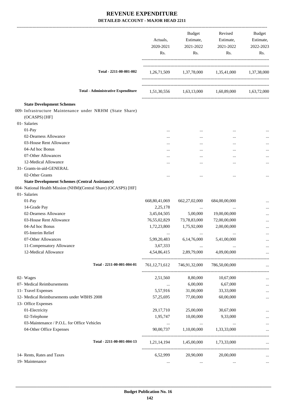|                                                                                                               | Actuals,<br>2020-2021<br>Rs. | Budget<br>Estimate,<br>2021-2022<br>Rs. | Revised<br>Estimate,<br>2021-2022<br>Rs.        | Budget<br>Estimate,<br>2022-2023<br>Rs. |
|---------------------------------------------------------------------------------------------------------------|------------------------------|-----------------------------------------|-------------------------------------------------|-----------------------------------------|
| Total - 2211-00-001-002                                                                                       |                              |                                         | 1,26,71,509 1,37,78,000 1,35,41,000 1,37,38,000 |                                         |
| <b>Total - Administrative Expenditure</b>                                                                     |                              |                                         | 1,51,30,556 1,63,13,000 1,60,89,000 1,63,72,000 |                                         |
| <b>State Development Schemes</b><br>009- Infrastructure Maintenance under NRHM (State Share)<br>(OCASPS) [HF] |                              |                                         |                                                 |                                         |
| 01- Salaries<br>01-Pay                                                                                        |                              |                                         |                                                 |                                         |
| 02-Dearness Allowance                                                                                         |                              | $\cdots$                                |                                                 |                                         |
| 03-House Rent Allowance                                                                                       |                              | $\cdots$                                |                                                 |                                         |
| 04-Ad hoc Bonus                                                                                               |                              |                                         |                                                 |                                         |
| 07-Other Allowances                                                                                           |                              | $\cdots$                                | $\cdots$                                        |                                         |
| 12-Medical Allowance                                                                                          |                              | $\cdots$                                | $\ddotsc$                                       |                                         |
| 31- Grants-in-aid-GENERAL                                                                                     |                              |                                         |                                                 |                                         |
| 02-Other Grants                                                                                               |                              |                                         |                                                 |                                         |
| <b>State Development Schemes (Central Assistance)</b>                                                         |                              |                                         |                                                 |                                         |
| 004- National Health Mission (NHM)(Central Share) (OCASPS) [HF]                                               |                              |                                         |                                                 |                                         |
| 01- Salaries                                                                                                  |                              |                                         |                                                 |                                         |
| 01-Pay                                                                                                        | 668, 80, 41, 069             | 662, 27, 02, 000                        | 684,00,00,000                                   |                                         |
| 14-Grade Pay                                                                                                  | 2,25,178                     | $\cdots$                                | $\cdots$                                        |                                         |
| 02-Dearness Allowance                                                                                         | 3,45,04,505                  | 5,00,000                                | 19,00,00,000                                    |                                         |
| 03-House Rent Allowance                                                                                       | 76,55,02,829                 | 73,78,83,000                            | 72,00,00,000                                    |                                         |
| 04-Ad hoc Bonus                                                                                               | 1,72,23,800                  | 1,75,92,000                             | 2,00,00,000                                     |                                         |
| 05-Interim Relief                                                                                             |                              |                                         |                                                 |                                         |
| 07-Other Allowances                                                                                           | 5,99,20,483                  | 6,14,76,000                             | 5,41,00,000                                     |                                         |
| 11-Compensatory Allowance                                                                                     | 3,67,333                     | $\cdots$                                |                                                 |                                         |
| 12-Medical Allowance                                                                                          | 4,54,86,415                  | 2,89,79,000                             | 4,09,00,000                                     |                                         |
| Total - 2211-00-001-004-01                                                                                    |                              | 761, 12, 71, 612 746, 91, 32, 000       | 786,50,00,000                                   |                                         |
| 02- Wages                                                                                                     | 2,51,560                     | 8,80,000                                | 10,67,000                                       |                                         |
| 07- Medical Reimbursements                                                                                    | $\cdots$                     | 6,00,000                                | 6,67,000                                        | $\ldots$                                |
| 11- Travel Expenses                                                                                           | 5,57,916                     | 31,00,000                               | 33,33,000                                       |                                         |
| 12- Medical Reimbursements under WBHS 2008                                                                    | 57,25,695                    | 77,00,000                               | 60,00,000                                       |                                         |
| 13- Office Expenses                                                                                           |                              |                                         |                                                 |                                         |
| 01-Electricity                                                                                                | 29,17,710                    | 25,00,000                               | 30,67,000                                       |                                         |
| 02-Telephone                                                                                                  | 1,95,747                     | 10,00,000                               | 9,33,000                                        |                                         |
| 03-Maintenance / P.O.L. for Office Vehicles                                                                   | $\ldots$                     | $\cdots$                                | $\ldots$                                        |                                         |
| 04-Other Office Expenses                                                                                      | 90,00,737                    | 1,10,00,000                             | 1,33,33,000                                     |                                         |
| Total - 2211-00-001-004-13                                                                                    |                              | 1,21,14,194 1,45,00,000                 | 1,73,33,000                                     |                                         |
| 14- Rents, Rates and Taxes                                                                                    | 6,52,999                     | 20,90,000                               | 20,00,000                                       |                                         |
| 19- Maintenance                                                                                               | $\cdots$                     | $\cdots$                                | $\cdots$                                        | $\cdots$                                |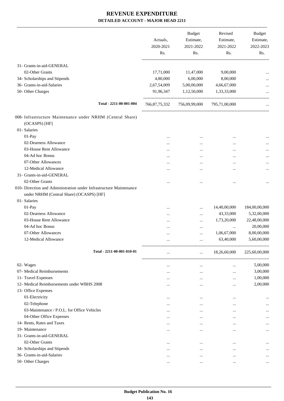|                                                                                                                | Actuals,<br>2020-2021<br>Rs. | <b>Budget</b><br>Estimate,<br>2021-2022<br>Rs. | Revised<br>Estimate,<br>2021-2022<br>Rs. | <b>Budget</b><br>Estimate,<br>2022-2023<br>Rs. |
|----------------------------------------------------------------------------------------------------------------|------------------------------|------------------------------------------------|------------------------------------------|------------------------------------------------|
| 31- Grants-in-aid-GENERAL                                                                                      |                              |                                                |                                          |                                                |
| 02-Other Grants                                                                                                | 17,71,000                    | 11,47,000                                      | 9,00,000                                 |                                                |
| 34- Scholarships and Stipends                                                                                  | 4,80,000                     | 6,00,000                                       | 8,00,000                                 |                                                |
| 36- Grants-in-aid-Salaries                                                                                     | 2,67,54,009                  | 5,00,00,000                                    | 4,66,67,000                              |                                                |
| 50- Other Charges                                                                                              | 91,96,347                    | 1,12,50,000                                    | 1,33,33,000                              |                                                |
| Total - 2211-00-001-004                                                                                        | 766,87,75,332                | 756,09,99,000                                  | 795,71,00,000                            |                                                |
| 008- Infrastructure Maintenance under NRHM (Central Share)<br>(OCASPS) [HF]                                    |                              |                                                |                                          |                                                |
| 01- Salaries                                                                                                   |                              |                                                |                                          |                                                |
| 01-Pay                                                                                                         |                              |                                                |                                          |                                                |
| 02-Dearness Allowance                                                                                          |                              |                                                |                                          |                                                |
| 03-House Rent Allowance                                                                                        |                              |                                                |                                          |                                                |
| 04-Ad hoc Bonus                                                                                                | .                            |                                                |                                          | $\cdots$                                       |
| 07-Other Allowances                                                                                            |                              |                                                |                                          |                                                |
| 12-Medical Allowance                                                                                           |                              |                                                |                                          |                                                |
| 31- Grants-in-aid-GENERAL                                                                                      |                              |                                                |                                          |                                                |
| 02-Other Grants                                                                                                |                              |                                                |                                          | $\cdots$                                       |
| 010- Direction and Administration under Infrastructure Maintenance<br>under NRHM (Central Share) (OCASPS) [HF] |                              |                                                |                                          |                                                |
| 01- Salaries                                                                                                   |                              |                                                |                                          |                                                |
| 01-Pay                                                                                                         |                              |                                                | 14,40,00,000                             | 184,00,00,000                                  |
| 02-Dearness Allowance                                                                                          |                              |                                                | 43,33,000                                | 5,32,00,000                                    |
| 03-House Rent Allowance                                                                                        |                              |                                                | 1,73,20,000                              | 22,48,00,000                                   |
| 04-Ad hoc Bonus                                                                                                |                              |                                                |                                          | 20,00,000                                      |
| 07-Other Allowances                                                                                            |                              | $\cdots$                                       | 1,06,67,000                              | 8,00,00,000                                    |
| 12-Medical Allowance                                                                                           |                              |                                                | 63,40,000                                | 5,60,00,000                                    |
| Total - 2211-00-001-010-01                                                                                     |                              | $\ldots$                                       | 18,26,60,000                             | 225,60,00,000                                  |
| 02- Wages                                                                                                      |                              |                                                | $\cdots$                                 | 5,00,000                                       |
| 07- Medical Reimbursements                                                                                     |                              |                                                |                                          | 3,00,000                                       |
| 11- Travel Expenses                                                                                            |                              |                                                |                                          | 1,00,000                                       |
| 12- Medical Reimbursements under WBHS 2008                                                                     | .                            |                                                |                                          | 2,00,000                                       |
| 13- Office Expenses                                                                                            |                              |                                                |                                          |                                                |
| 01-Electricity                                                                                                 |                              |                                                |                                          | $\cdots$                                       |
| 02-Telephone                                                                                                   |                              |                                                | $\cdots$                                 |                                                |
| 03-Maintenance / P.O.L. for Office Vehicles                                                                    |                              | $\cdots$                                       | $\cdots$                                 |                                                |
| 04-Other Office Expenses                                                                                       |                              |                                                | $\cdots$                                 |                                                |
| 14- Rents, Rates and Taxes                                                                                     |                              | $\cdots$                                       | $\cdots$                                 |                                                |
| 19- Maintenance                                                                                                | $\cdots$                     | $\cdots$                                       | $\cdots$                                 |                                                |
| 31- Grants-in-aid-GENERAL                                                                                      |                              |                                                |                                          |                                                |
| 02-Other Grants                                                                                                |                              |                                                |                                          |                                                |
| 34- Scholarships and Stipends                                                                                  | $\cdots$                     | $\cdots$                                       |                                          |                                                |
| 36- Grants-in-aid-Salaries                                                                                     | $\cdots$                     | $\cdots$                                       |                                          |                                                |
| 50- Other Charges                                                                                              | $\cdots$                     |                                                |                                          |                                                |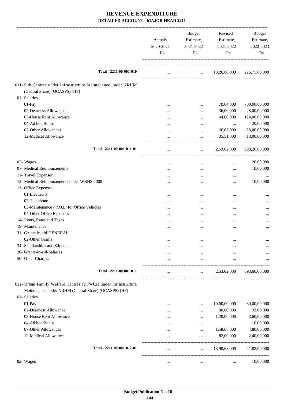|                                                                                                                        | Actuals,<br>2020-2021<br>Rs. | Budget<br>Estimate,<br>2021-2022<br>Rs.            | Revised<br>Estimate,<br>2021-2022<br>Rs. | Budget<br>Estimate,<br>2022-2023<br>Rs. |
|------------------------------------------------------------------------------------------------------------------------|------------------------------|----------------------------------------------------|------------------------------------------|-----------------------------------------|
| Total - 2211-00-001-010                                                                                                | $\ldots$                     |                                                    | $\ldots$ 18,26,60,000                    | 225,71,00,000                           |
| 011- Sub Centres under Infrastructure Maintenance under NRHM                                                           |                              |                                                    |                                          |                                         |
| (Central Share) (OCASPS) [HF]                                                                                          |                              |                                                    |                                          |                                         |
| 01- Salaries                                                                                                           |                              |                                                    |                                          |                                         |
| 01-Pay                                                                                                                 |                              | $\cdots$                                           | 70,84,000                                | 700,00,00,000                           |
| 02-Dearness Allowance                                                                                                  |                              | $\cdots$                                           | 36,00,000                                | 28,00,00,000                            |
| 03-House Rent Allowance                                                                                                |                              | $\cdots$                                           | 44,00,000                                | 124,00,00,000                           |
| 04-Ad hoc Bonus                                                                                                        |                              | $\cdots$                                           | $\cdots$                                 | 20,00,000                               |
| 07-Other Allowances                                                                                                    |                              | $\cdots$                                           | 66,67,000                                | 28,00,00,000                            |
| 12-Medical Allowance                                                                                                   |                              | $\cdots$                                           | 35,51,000                                | 13,00,00,000                            |
| Total - 2211-00-001-011-01                                                                                             | $\cdots$                     | $\cdots$                                           | 2,53,02,000                              | 893,20,00,000                           |
| 02- Wages                                                                                                              | $\cdots$                     | $\cdots$                                           | $\cdots$                                 | 20,00,000                               |
| 07- Medical Reimbursements                                                                                             |                              | $\cdots$                                           | $\cdots$                                 | 10,00,000                               |
| 11- Travel Expenses                                                                                                    | $\cdots$                     | $\cdots$                                           | $\cdots$                                 |                                         |
| 12- Medical Reimbursements under WBHS 2008                                                                             |                              | $\cdots$                                           | $\cdots$                                 | 10,00,000                               |
| 13- Office Expenses                                                                                                    |                              |                                                    |                                          |                                         |
| 01-Electricity                                                                                                         |                              | $\cdots$                                           |                                          |                                         |
| 02-Telephone                                                                                                           |                              | $\cdots$                                           |                                          |                                         |
| 03-Maintenance / P.O.L. for Office Vehicles                                                                            |                              | $\cdots$                                           |                                          | $\cdots$                                |
| 04-Other Office Expenses                                                                                               |                              | $\cdots$                                           |                                          |                                         |
| 14- Rents, Rates and Taxes                                                                                             | $\cdots$                     |                                                    |                                          |                                         |
| 19- Maintenance                                                                                                        | $\cdots$                     |                                                    |                                          |                                         |
| 31- Grants-in-aid-GENERAL                                                                                              |                              |                                                    |                                          |                                         |
| 02-Other Grants                                                                                                        | $\cdots$                     | $\ldots$                                           |                                          |                                         |
| 34- Scholarships and Stipends                                                                                          |                              |                                                    |                                          |                                         |
| 36- Grants-in-aid-Salaries                                                                                             |                              | $\cdots$                                           |                                          |                                         |
| 50- Other Charges                                                                                                      |                              | $\cdots$                                           |                                          |                                         |
| Total - 2211-00-001-011                                                                                                |                              | $\mathbf{1}$ , and $\mathbf{1}$ , and $\mathbf{1}$ | 2,53,02,000                              | 893,60,00,000                           |
| 012- Urban Family Welfare Centres (UFWCs) under Infrastructure<br>Maintenance under NRHM (Central Share) (OCASPS) [HF] |                              |                                                    |                                          |                                         |
| 01- Salaries                                                                                                           |                              |                                                    |                                          |                                         |
| 01-Pay                                                                                                                 |                              |                                                    | 10,00,00,000                             | 30,00,00,000                            |
| 02-Dearness Allowance                                                                                                  | $\cdots$                     |                                                    | 30,00,000                                | 92,00,000                               |
| 03-House Rent Allowance                                                                                                |                              | $\cdots$                                           | 1,20,00,000                              | 3,60,00,000                             |
| 04-Ad hoc Bonus                                                                                                        |                              |                                                    | $\cdots$                                 | 10,00,000                               |
| 07-Other Allowances                                                                                                    |                              | $\cdots$                                           | 1,58,68,000                              | 4,80,00,000                             |
| 12-Medical Allowance                                                                                                   | $\cdots$                     | $\cdots$                                           | 82,00,000                                | 2,40,00,000                             |
| Total - 2211-00-001-012-01                                                                                             | $\cdots$                     | $\cdots$                                           | 13,90,68,000                             | 41,82,00,000                            |
| 02- Wages                                                                                                              | $\cdots$                     | $\cdots$                                           | $\cdots$                                 | 10,00,000                               |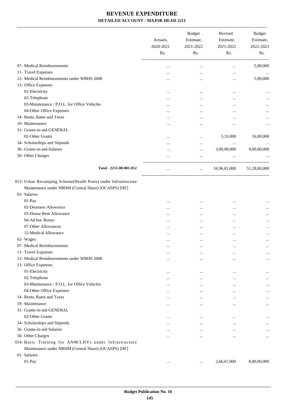-------------------------------------------------------------------------------------------------------------------------------------------------------------------------------

|                                                                                                                                       | Actuals,<br>2020-2021<br>Rs. | <b>Budget</b><br>Estimate,<br>2021-2022<br>Rs. | Revised<br>Estimate,<br>2021-2022<br>Rs. | <b>Budget</b><br>Estimate,<br>2022-2023<br>Rs. |
|---------------------------------------------------------------------------------------------------------------------------------------|------------------------------|------------------------------------------------|------------------------------------------|------------------------------------------------|
| 07- Medical Reimbursements                                                                                                            |                              | $\ddotsc$                                      |                                          | 5,00,000                                       |
| 11- Travel Expenses                                                                                                                   |                              |                                                |                                          |                                                |
| 12- Medical Reimbursements under WBHS 2008                                                                                            |                              |                                                |                                          | 5,00,000                                       |
| 13- Office Expenses                                                                                                                   |                              |                                                |                                          |                                                |
| 01-Electricity                                                                                                                        |                              |                                                |                                          |                                                |
| 02-Telephone                                                                                                                          |                              |                                                |                                          | $\cdots$                                       |
| 03-Maintenance / P.O.L. for Office Vehicles                                                                                           |                              | $\cdots$                                       |                                          |                                                |
| 04-Other Office Expenses                                                                                                              | $\cdots$                     |                                                |                                          |                                                |
| 14- Rents, Rates and Taxes                                                                                                            |                              | $\cdots$                                       |                                          |                                                |
| 19- Maintenance                                                                                                                       |                              |                                                | $\ddotsc$                                | $\cdots$                                       |
| 31- Grants-in-aid-GENERAL                                                                                                             |                              |                                                |                                          |                                                |
| 02-Other Grants                                                                                                                       |                              | $\ddotsc$                                      | 5,33,000                                 | 16,00,000                                      |
| 34- Scholarships and Stipends                                                                                                         |                              |                                                |                                          |                                                |
| 36- Grants-in-aid-Salaries                                                                                                            |                              |                                                | 3,00,00,000                              | 9,00,00,000                                    |
| 50- Other Charges                                                                                                                     |                              | $\ddotsc$                                      |                                          |                                                |
|                                                                                                                                       |                              |                                                |                                          |                                                |
| Total - 2211-00-001-012                                                                                                               |                              | $\cdots$                                       | 16,96,01,000                             | 51,18,00,000                                   |
| 013- Urban Revamping Scheme(Health Posts) under Infrastructure<br>Maintenance under NRHM (Central Share) (OCASPS) [HF]<br>01-Salaries |                              |                                                |                                          |                                                |
| 01-Pay                                                                                                                                | $\cdots$                     |                                                |                                          |                                                |
| 02-Dearness Allowance                                                                                                                 |                              | $\cdots$                                       |                                          |                                                |
| 03-House Rent Allowance                                                                                                               | $\cdots$                     |                                                |                                          |                                                |
| 04-Ad hoc Bonus                                                                                                                       |                              | $\cdots$                                       |                                          |                                                |
| 07-Other Allowances                                                                                                                   |                              | $\cdots$                                       | $\ddotsc$                                | $\cdots$                                       |
| 12-Medical Allowance                                                                                                                  |                              | $\ddotsc$                                      | $\ddotsc$                                | $\ddotsc$                                      |
| 02- Wages                                                                                                                             |                              |                                                | $\cdots$                                 | $\cdots$                                       |
| 07- Medical Reimbursements                                                                                                            |                              |                                                |                                          |                                                |
| 11- Travel Expenses                                                                                                                   | $\cdots$                     | $\cdots$                                       | $\cdots$                                 | $\cdots$                                       |
| 12- Medical Reimbursements under WBHS 2008                                                                                            | $\cdots$                     |                                                |                                          |                                                |
| 13- Office Expenses                                                                                                                   |                              |                                                |                                          |                                                |
| 01-Electricity                                                                                                                        |                              |                                                |                                          |                                                |
| 02-Telephone                                                                                                                          |                              |                                                |                                          | $\cdots$                                       |
| 03-Maintenance / P.O.L. for Office Vehicles                                                                                           |                              |                                                |                                          |                                                |
| 04-Other Office Expenses                                                                                                              |                              | $\cdots$                                       |                                          | $\cdots$                                       |
| 14- Rents, Rates and Taxes                                                                                                            | $\cdots$                     |                                                | $\ddotsc$                                |                                                |
| 19- Maintenance                                                                                                                       | $\cdots$                     | $\cdots$                                       | $\cdots$                                 | $\cdots$                                       |
| 31- Grants-in-aid-GENERAL                                                                                                             |                              |                                                |                                          |                                                |
| 02-Other Grants                                                                                                                       | $\cdots$                     |                                                |                                          | $\cdots$                                       |
| 34- Scholarships and Stipends                                                                                                         | $\cdots$                     |                                                |                                          | $\cdots$                                       |
| 36- Grants-in-aid-Salaries                                                                                                            | $\cdots$                     | $\cdots$                                       | $\cdots$                                 | $\cdots$                                       |
| 50- Other Charges                                                                                                                     |                              | $\cdots$                                       |                                          | $\cdots$                                       |
| 014- Basic Training for ANM/LHVs under Infrastructure                                                                                 |                              |                                                |                                          |                                                |
| Maintenance under NRHM (Central Share) (OCASPS) [HF]                                                                                  |                              |                                                |                                          |                                                |
| 01- Salaries                                                                                                                          |                              |                                                |                                          |                                                |
| 01-Pay                                                                                                                                | $\cdots$                     | $\ldots$                                       | 2,66,67,000                              | 8,00,00,000                                    |
|                                                                                                                                       |                              |                                                |                                          |                                                |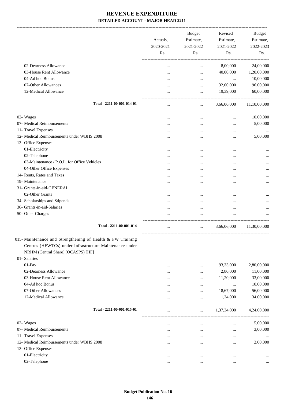|                                                            | Actuals,<br>2020-2021 | <b>Budget</b><br>Estimate,<br>2021-2022 | Revised<br>Estimate,<br>2021-2022 | Budget<br>Estimate,<br>2022-2023 |
|------------------------------------------------------------|-----------------------|-----------------------------------------|-----------------------------------|----------------------------------|
|                                                            | Rs.                   | Rs.                                     | Rs.                               | Rs.                              |
| 02-Dearness Allowance                                      |                       | $\cdots$                                | 8,00,000                          | 24,00,000                        |
| 03-House Rent Allowance                                    |                       | $\cdots$                                | 40,00,000                         | 1,20,00,000                      |
| 04-Ad hoc Bonus                                            |                       |                                         | $\ldots$                          | 10,00,000                        |
| 07-Other Allowances                                        |                       | $\cdots$                                | 32,00,000                         | 96,00,000                        |
| 12-Medical Allowance                                       |                       |                                         | 19,39,000                         | 60,00,000                        |
| Total - 2211-00-001-014-01                                 | $\cdots$              | $\cdots$                                | 3,66,06,000                       | 11,10,00,000                     |
| 02- Wages                                                  |                       | $\cdots$                                | $\cdots$                          | 10,00,000                        |
| 07- Medical Reimbursements                                 |                       | $\cdots$                                |                                   | 5,00,000                         |
| 11- Travel Expenses                                        | .                     | $\cdots$                                | $\cdots$                          | $\cdots$                         |
| 12- Medical Reimbursements under WBHS 2008                 |                       |                                         |                                   | 5,00,000                         |
| 13- Office Expenses                                        |                       |                                         |                                   |                                  |
| 01-Electricity                                             |                       |                                         |                                   |                                  |
| 02-Telephone                                               |                       | $\cdots$                                |                                   |                                  |
| 03-Maintenance / P.O.L. for Office Vehicles                |                       |                                         |                                   |                                  |
| 04-Other Office Expenses                                   | .                     |                                         |                                   |                                  |
| 14- Rents, Rates and Taxes                                 |                       |                                         | $\cdots$                          |                                  |
| 19- Maintenance                                            |                       |                                         |                                   |                                  |
| 31- Grants-in-aid-GENERAL                                  |                       |                                         |                                   |                                  |
| 02-Other Grants                                            |                       |                                         |                                   |                                  |
| 34- Scholarships and Stipends                              |                       |                                         |                                   |                                  |
| 36- Grants-in-aid-Salaries                                 |                       |                                         |                                   |                                  |
| 50- Other Charges                                          |                       |                                         | $\ddotsc$                         |                                  |
| Total - 2211-00-001-014                                    |                       | $\cdots$                                | 3,66,06,000                       | 11,30,00,000                     |
| 015- Maintenance and Strengthening of Health & FW Training |                       |                                         |                                   |                                  |
| Centres (HFWTCs) under Infrastructure Maintenance under    |                       |                                         |                                   |                                  |
| NRHM (Central Share) (OCASPS) [HF]                         |                       |                                         |                                   |                                  |
| 01- Salaries                                               |                       |                                         |                                   |                                  |
| 01-Pay                                                     |                       |                                         | 93,33,000                         | 2,80,00,000                      |
| 02-Dearness Allowance                                      |                       |                                         | 2,80,000                          | 11,00,000                        |
| 03-House Rent Allowance                                    | .                     |                                         | 11,20,000                         | 33,00,000                        |
| 04-Ad hoc Bonus                                            |                       |                                         | $\ldots$                          | 10,00,000                        |
| 07-Other Allowances                                        |                       |                                         | 18,67,000                         | 56,00,000                        |
| 12-Medical Allowance                                       |                       |                                         | 11,34,000                         | 34,00,000                        |
| Total - 2211-00-001-015-01                                 | $\cdots$              | $\cdots$                                | 1,37,34,000                       | 4,24,00,000                      |
| 02- Wages                                                  |                       | $\cdots$                                | $\cdots$                          | 5,00,000                         |
| 07- Medical Reimbursements                                 | $\cdots$              | $\cdots$                                | $\cdots$                          | 3,00,000                         |
| 11- Travel Expenses                                        | $\cdots$              | $\cdots$                                | $\cdots$                          | $\cdots$                         |
| 12- Medical Reimbursements under WBHS 2008                 | .                     | $\cdots$                                | $\cdots$                          | 2,00,000                         |
| 13- Office Expenses                                        |                       |                                         |                                   |                                  |
| 01-Electricity                                             | $\cdots$              | $\cdots$                                |                                   |                                  |
| 02-Telephone                                               | $\cdots$              | $\cdots$                                | $\cdots$                          | $\cdots$                         |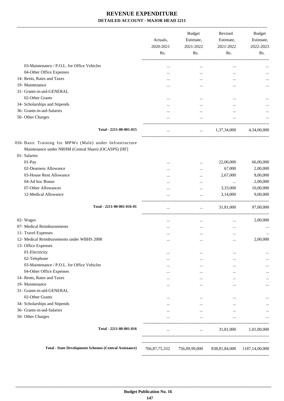-------------------------------------------------------------------------------------------------------------------------------------------------------------------------------

| 03-Maintenance / P.O.L. for Office Vehicles<br>$\cdots$<br>$\ddotsc$<br><br>04-Other Office Expenses<br><br><br>$\cdots$<br>14- Rents, Rates and Taxes<br><br><br>$\cdots$<br>19- Maintenance<br><br>$\cdots$<br>$\ddotsc$<br>31- Grants-in-aid-GENERAL<br>02-Other Grants<br>$\cdots$<br>$\cdots$<br>$\ddotsc$<br>34- Scholarships and Stipends<br><br><br><br>36- Grants-in-aid-Salaries<br>$\cdots$<br>$\ddotsc$<br>$\cdots$<br>50- Other Charges<br>$\cdot \cdot$<br>Total - 2211-00-001-015<br>1,37,34,000<br>$\ddotsc$<br>016- Basic Training for MPWs (Male) under Infrastructure<br>Maintenance under NRHM (Central Share) (OCASPS) [HF]<br>01- Salaries<br>01-Pay<br>22,00,000<br><br><br>02-Dearness Allowance<br>67,000<br><br>$\cdots$<br>03-House Rent Allowance<br>2,67,000<br>$\cdots$<br><br>04-Ad hoc Bonus<br>$\cdots$<br>.<br><br>07-Other Allowances<br>3,33,000<br>$\cdots$<br>$\cdots$<br>12-Medical Allowance<br>3,14,000<br>$\cdots$<br>$\cdots$<br>Total - 2211-00-001-016-01<br>31,81,000<br>$\cdots$<br>02- Wages<br>$\cdots$<br><br>$\cdots$<br>07- Medical Reimbursements<br><br>$\cdots$<br>$\cdots$<br>11- Travel Expenses<br>$\cdots$<br>$\cdots$<br><br>12- Medical Reimbursements under WBHS 2008<br>$\cdots$<br><br>$\cdots$<br>13- Office Expenses<br>01-Electricity<br>$\cdots$<br>$\cdots$<br><br>02-Telephone<br><br>$\cdots$<br>$\cdots$<br>03-Maintenance / P.O.L. for Office Vehicles<br>$\cdots$<br>$\cdots$<br>$\cdots$<br>04-Other Office Expenses<br><br>$\cdots$<br>$\cdots$<br>14- Rents, Rates and Taxes<br>$\cdots$<br>$\cdots$<br>$\cdots$<br>19- Maintenance<br>$\cdots$<br>$\cdots$<br>$\ddotsc$<br>31- Grants-in-aid-GENERAL<br>02-Other Grants<br><br><br>$\cdots$<br>34- Scholarships and Stipends<br><br>$\cdots$<br>36- Grants-in-aid-Salaries<br>$\cdots$<br><br>$\cdots$<br>50- Other Charges<br>$\cdots$<br>$\cdots$<br>$\cdots$ |  | Actuals,<br>2020-2021<br>Rs. | <b>Budget</b><br>Estimate,<br>2021-2022<br>Rs. | Revised<br>Estimate,<br>2021-2022<br>Rs. | <b>Budget</b><br>Estimate,<br>2022-2023<br>Rs. |
|-----------------------------------------------------------------------------------------------------------------------------------------------------------------------------------------------------------------------------------------------------------------------------------------------------------------------------------------------------------------------------------------------------------------------------------------------------------------------------------------------------------------------------------------------------------------------------------------------------------------------------------------------------------------------------------------------------------------------------------------------------------------------------------------------------------------------------------------------------------------------------------------------------------------------------------------------------------------------------------------------------------------------------------------------------------------------------------------------------------------------------------------------------------------------------------------------------------------------------------------------------------------------------------------------------------------------------------------------------------------------------------------------------------------------------------------------------------------------------------------------------------------------------------------------------------------------------------------------------------------------------------------------------------------------------------------------------------------------------------------------------------------------------------------------------------------------------------------------------------------------------------------------|--|------------------------------|------------------------------------------------|------------------------------------------|------------------------------------------------|
|                                                                                                                                                                                                                                                                                                                                                                                                                                                                                                                                                                                                                                                                                                                                                                                                                                                                                                                                                                                                                                                                                                                                                                                                                                                                                                                                                                                                                                                                                                                                                                                                                                                                                                                                                                                                                                                                                               |  |                              |                                                |                                          |                                                |
|                                                                                                                                                                                                                                                                                                                                                                                                                                                                                                                                                                                                                                                                                                                                                                                                                                                                                                                                                                                                                                                                                                                                                                                                                                                                                                                                                                                                                                                                                                                                                                                                                                                                                                                                                                                                                                                                                               |  |                              |                                                |                                          |                                                |
|                                                                                                                                                                                                                                                                                                                                                                                                                                                                                                                                                                                                                                                                                                                                                                                                                                                                                                                                                                                                                                                                                                                                                                                                                                                                                                                                                                                                                                                                                                                                                                                                                                                                                                                                                                                                                                                                                               |  |                              |                                                |                                          |                                                |
|                                                                                                                                                                                                                                                                                                                                                                                                                                                                                                                                                                                                                                                                                                                                                                                                                                                                                                                                                                                                                                                                                                                                                                                                                                                                                                                                                                                                                                                                                                                                                                                                                                                                                                                                                                                                                                                                                               |  |                              |                                                |                                          | $\cdots$                                       |
|                                                                                                                                                                                                                                                                                                                                                                                                                                                                                                                                                                                                                                                                                                                                                                                                                                                                                                                                                                                                                                                                                                                                                                                                                                                                                                                                                                                                                                                                                                                                                                                                                                                                                                                                                                                                                                                                                               |  |                              |                                                |                                          |                                                |
|                                                                                                                                                                                                                                                                                                                                                                                                                                                                                                                                                                                                                                                                                                                                                                                                                                                                                                                                                                                                                                                                                                                                                                                                                                                                                                                                                                                                                                                                                                                                                                                                                                                                                                                                                                                                                                                                                               |  |                              |                                                |                                          |                                                |
|                                                                                                                                                                                                                                                                                                                                                                                                                                                                                                                                                                                                                                                                                                                                                                                                                                                                                                                                                                                                                                                                                                                                                                                                                                                                                                                                                                                                                                                                                                                                                                                                                                                                                                                                                                                                                                                                                               |  |                              |                                                |                                          |                                                |
|                                                                                                                                                                                                                                                                                                                                                                                                                                                                                                                                                                                                                                                                                                                                                                                                                                                                                                                                                                                                                                                                                                                                                                                                                                                                                                                                                                                                                                                                                                                                                                                                                                                                                                                                                                                                                                                                                               |  |                              |                                                |                                          |                                                |
|                                                                                                                                                                                                                                                                                                                                                                                                                                                                                                                                                                                                                                                                                                                                                                                                                                                                                                                                                                                                                                                                                                                                                                                                                                                                                                                                                                                                                                                                                                                                                                                                                                                                                                                                                                                                                                                                                               |  |                              |                                                |                                          |                                                |
|                                                                                                                                                                                                                                                                                                                                                                                                                                                                                                                                                                                                                                                                                                                                                                                                                                                                                                                                                                                                                                                                                                                                                                                                                                                                                                                                                                                                                                                                                                                                                                                                                                                                                                                                                                                                                                                                                               |  |                              |                                                |                                          | 4,34,00,000                                    |
|                                                                                                                                                                                                                                                                                                                                                                                                                                                                                                                                                                                                                                                                                                                                                                                                                                                                                                                                                                                                                                                                                                                                                                                                                                                                                                                                                                                                                                                                                                                                                                                                                                                                                                                                                                                                                                                                                               |  |                              |                                                |                                          |                                                |
|                                                                                                                                                                                                                                                                                                                                                                                                                                                                                                                                                                                                                                                                                                                                                                                                                                                                                                                                                                                                                                                                                                                                                                                                                                                                                                                                                                                                                                                                                                                                                                                                                                                                                                                                                                                                                                                                                               |  |                              |                                                |                                          | 66,00,000                                      |
|                                                                                                                                                                                                                                                                                                                                                                                                                                                                                                                                                                                                                                                                                                                                                                                                                                                                                                                                                                                                                                                                                                                                                                                                                                                                                                                                                                                                                                                                                                                                                                                                                                                                                                                                                                                                                                                                                               |  |                              |                                                |                                          | 2,00,000                                       |
|                                                                                                                                                                                                                                                                                                                                                                                                                                                                                                                                                                                                                                                                                                                                                                                                                                                                                                                                                                                                                                                                                                                                                                                                                                                                                                                                                                                                                                                                                                                                                                                                                                                                                                                                                                                                                                                                                               |  |                              |                                                |                                          | 8,00,000                                       |
|                                                                                                                                                                                                                                                                                                                                                                                                                                                                                                                                                                                                                                                                                                                                                                                                                                                                                                                                                                                                                                                                                                                                                                                                                                                                                                                                                                                                                                                                                                                                                                                                                                                                                                                                                                                                                                                                                               |  |                              |                                                |                                          | 2,00,000                                       |
|                                                                                                                                                                                                                                                                                                                                                                                                                                                                                                                                                                                                                                                                                                                                                                                                                                                                                                                                                                                                                                                                                                                                                                                                                                                                                                                                                                                                                                                                                                                                                                                                                                                                                                                                                                                                                                                                                               |  |                              |                                                |                                          | 10,00,000                                      |
|                                                                                                                                                                                                                                                                                                                                                                                                                                                                                                                                                                                                                                                                                                                                                                                                                                                                                                                                                                                                                                                                                                                                                                                                                                                                                                                                                                                                                                                                                                                                                                                                                                                                                                                                                                                                                                                                                               |  |                              |                                                |                                          | 9,00,000                                       |
|                                                                                                                                                                                                                                                                                                                                                                                                                                                                                                                                                                                                                                                                                                                                                                                                                                                                                                                                                                                                                                                                                                                                                                                                                                                                                                                                                                                                                                                                                                                                                                                                                                                                                                                                                                                                                                                                                               |  |                              |                                                |                                          | 97,00,000                                      |
|                                                                                                                                                                                                                                                                                                                                                                                                                                                                                                                                                                                                                                                                                                                                                                                                                                                                                                                                                                                                                                                                                                                                                                                                                                                                                                                                                                                                                                                                                                                                                                                                                                                                                                                                                                                                                                                                                               |  |                              |                                                |                                          |                                                |
|                                                                                                                                                                                                                                                                                                                                                                                                                                                                                                                                                                                                                                                                                                                                                                                                                                                                                                                                                                                                                                                                                                                                                                                                                                                                                                                                                                                                                                                                                                                                                                                                                                                                                                                                                                                                                                                                                               |  |                              |                                                |                                          | 2,00,000                                       |
|                                                                                                                                                                                                                                                                                                                                                                                                                                                                                                                                                                                                                                                                                                                                                                                                                                                                                                                                                                                                                                                                                                                                                                                                                                                                                                                                                                                                                                                                                                                                                                                                                                                                                                                                                                                                                                                                                               |  |                              |                                                |                                          |                                                |
|                                                                                                                                                                                                                                                                                                                                                                                                                                                                                                                                                                                                                                                                                                                                                                                                                                                                                                                                                                                                                                                                                                                                                                                                                                                                                                                                                                                                                                                                                                                                                                                                                                                                                                                                                                                                                                                                                               |  |                              |                                                |                                          |                                                |
|                                                                                                                                                                                                                                                                                                                                                                                                                                                                                                                                                                                                                                                                                                                                                                                                                                                                                                                                                                                                                                                                                                                                                                                                                                                                                                                                                                                                                                                                                                                                                                                                                                                                                                                                                                                                                                                                                               |  |                              |                                                |                                          | 2,00,000                                       |
|                                                                                                                                                                                                                                                                                                                                                                                                                                                                                                                                                                                                                                                                                                                                                                                                                                                                                                                                                                                                                                                                                                                                                                                                                                                                                                                                                                                                                                                                                                                                                                                                                                                                                                                                                                                                                                                                                               |  |                              |                                                |                                          |                                                |
|                                                                                                                                                                                                                                                                                                                                                                                                                                                                                                                                                                                                                                                                                                                                                                                                                                                                                                                                                                                                                                                                                                                                                                                                                                                                                                                                                                                                                                                                                                                                                                                                                                                                                                                                                                                                                                                                                               |  |                              |                                                |                                          |                                                |
|                                                                                                                                                                                                                                                                                                                                                                                                                                                                                                                                                                                                                                                                                                                                                                                                                                                                                                                                                                                                                                                                                                                                                                                                                                                                                                                                                                                                                                                                                                                                                                                                                                                                                                                                                                                                                                                                                               |  |                              |                                                |                                          |                                                |
|                                                                                                                                                                                                                                                                                                                                                                                                                                                                                                                                                                                                                                                                                                                                                                                                                                                                                                                                                                                                                                                                                                                                                                                                                                                                                                                                                                                                                                                                                                                                                                                                                                                                                                                                                                                                                                                                                               |  |                              |                                                |                                          |                                                |
|                                                                                                                                                                                                                                                                                                                                                                                                                                                                                                                                                                                                                                                                                                                                                                                                                                                                                                                                                                                                                                                                                                                                                                                                                                                                                                                                                                                                                                                                                                                                                                                                                                                                                                                                                                                                                                                                                               |  |                              |                                                |                                          |                                                |
|                                                                                                                                                                                                                                                                                                                                                                                                                                                                                                                                                                                                                                                                                                                                                                                                                                                                                                                                                                                                                                                                                                                                                                                                                                                                                                                                                                                                                                                                                                                                                                                                                                                                                                                                                                                                                                                                                               |  |                              |                                                |                                          |                                                |
|                                                                                                                                                                                                                                                                                                                                                                                                                                                                                                                                                                                                                                                                                                                                                                                                                                                                                                                                                                                                                                                                                                                                                                                                                                                                                                                                                                                                                                                                                                                                                                                                                                                                                                                                                                                                                                                                                               |  |                              |                                                |                                          |                                                |
|                                                                                                                                                                                                                                                                                                                                                                                                                                                                                                                                                                                                                                                                                                                                                                                                                                                                                                                                                                                                                                                                                                                                                                                                                                                                                                                                                                                                                                                                                                                                                                                                                                                                                                                                                                                                                                                                                               |  |                              |                                                |                                          |                                                |
|                                                                                                                                                                                                                                                                                                                                                                                                                                                                                                                                                                                                                                                                                                                                                                                                                                                                                                                                                                                                                                                                                                                                                                                                                                                                                                                                                                                                                                                                                                                                                                                                                                                                                                                                                                                                                                                                                               |  |                              |                                                |                                          |                                                |
|                                                                                                                                                                                                                                                                                                                                                                                                                                                                                                                                                                                                                                                                                                                                                                                                                                                                                                                                                                                                                                                                                                                                                                                                                                                                                                                                                                                                                                                                                                                                                                                                                                                                                                                                                                                                                                                                                               |  |                              |                                                |                                          |                                                |
|                                                                                                                                                                                                                                                                                                                                                                                                                                                                                                                                                                                                                                                                                                                                                                                                                                                                                                                                                                                                                                                                                                                                                                                                                                                                                                                                                                                                                                                                                                                                                                                                                                                                                                                                                                                                                                                                                               |  |                              |                                                |                                          |                                                |
|                                                                                                                                                                                                                                                                                                                                                                                                                                                                                                                                                                                                                                                                                                                                                                                                                                                                                                                                                                                                                                                                                                                                                                                                                                                                                                                                                                                                                                                                                                                                                                                                                                                                                                                                                                                                                                                                                               |  |                              |                                                |                                          |                                                |
| Total - 2211-00-001-016<br>31,81,000<br>$\cdots$<br>$\cdots$                                                                                                                                                                                                                                                                                                                                                                                                                                                                                                                                                                                                                                                                                                                                                                                                                                                                                                                                                                                                                                                                                                                                                                                                                                                                                                                                                                                                                                                                                                                                                                                                                                                                                                                                                                                                                                  |  |                              |                                                |                                          | 1,01,00,000                                    |
| <b>Total - State Development Schemes (Central Assistance)</b><br>766, 87, 75, 332<br>838,81,84,000 1187,14,00,000<br>756,09,99,000                                                                                                                                                                                                                                                                                                                                                                                                                                                                                                                                                                                                                                                                                                                                                                                                                                                                                                                                                                                                                                                                                                                                                                                                                                                                                                                                                                                                                                                                                                                                                                                                                                                                                                                                                            |  |                              |                                                |                                          |                                                |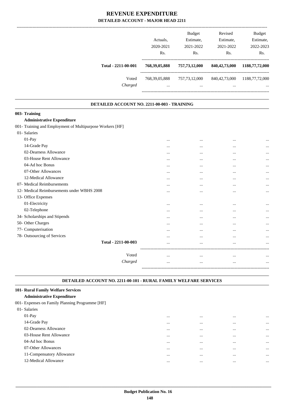|                     | Actuals.<br>2020-2021 | <b>Budget</b><br>Estimate,<br>2021-2022 | Revised<br>Estimate,<br>2021-2022 | <b>Budget</b><br>Estimate,<br>2022-2023 |
|---------------------|-----------------------|-----------------------------------------|-----------------------------------|-----------------------------------------|
|                     | Rs.                   | Rs.                                     | Rs.                               | Rs.                                     |
| Total - 2211-00-001 | 768, 39, 05, 888      | 757,73,12,000                           | 840, 42, 73, 000                  | 1188,77,72,000                          |
| Voted               | 768, 39, 05, 888      | 757, 73, 12, 000                        | 840, 42, 73, 000                  | 1188,77,72,000                          |
| Charged             | $\cdots$              | $\cdots$                                | $\cdots$                          | $\cdots$                                |

#### **DETAILED ACCOUNT NO. 2211-00-003 - TRAINING .**

.

.

# **003- Training**

#### **Administrative Expenditure**

| 001- Training and Employment of Multipurpose Workers [HF] |          |          |          |           |
|-----------------------------------------------------------|----------|----------|----------|-----------|
| 01- Salaries                                              |          |          |          |           |
| 01-Pay                                                    | $\cdots$ | $\cdots$ |          | $\ddotsc$ |
| 14-Grade Pay                                              | $\cdots$ | $\cdots$ | $\cdots$ | $\ddotsc$ |
| 02-Dearness Allowance                                     |          | $\cdots$ | $\cdots$ | $\ddotsc$ |
| 03-House Rent Allowance                                   | $\cdots$ | $\cdots$ |          | $\ddotsc$ |
| 04-Ad hoc Bonus                                           | $\cdots$ | $\cdots$ | $\cdots$ | $\ddotsc$ |
| 07-Other Allowances                                       | $\cdots$ | $\cdots$ | $\cdots$ | $\ddotsc$ |
| 12-Medical Allowance                                      | $\cdots$ | $\cdots$ | $\cdots$ | $\ddotsc$ |
| 07- Medical Reimbursements                                | $\cdots$ | $\cdots$ | $\cdots$ | $\ddotsc$ |
| 12- Medical Reimbursements under WBHS 2008                | $\cdots$ | $\cdots$ | $\cdots$ | $\ddotsc$ |
| 13- Office Expenses                                       |          |          |          |           |
| 01-Electricity                                            | $\cdots$ | $\cdots$ | $\cdots$ | $\ddotsc$ |
| 02-Telephone                                              | $\cdots$ | $\cdots$ | $\cdots$ | $\ddotsc$ |
| 34- Scholarships and Stipends                             | $\cdots$ | $\cdots$ | $\cdots$ | $\ddotsc$ |
| 50- Other Charges                                         | $\cdots$ | $\cdots$ | $\cdots$ | $\ddotsc$ |
| 77- Computerisation                                       | $\cdots$ | $\cdots$ | $\cdots$ | $\ddotsc$ |
| 78- Outsourcing of Services                               | $\cdots$ | $\cdots$ |          | $\ddotsc$ |
| Total - 2211-00-003                                       |          | $\cdots$ |          | $\ddotsc$ |
|                                                           |          |          |          |           |
| Voted                                                     | $\cdots$ | $\cdots$ | $\cdots$ | $\ddotsc$ |
| Charged                                                   | $\cdots$ | $\cdots$ | $\cdots$ | $\ddotsc$ |
|                                                           |          |          |          |           |

#### **DETAILED ACCOUNT NO. 2211-00-101 - RURAL FAMILY WELFARE SERVICES .**

### **101- Rural Family Welfare Services Administrative Expenditure** 001- Expenses on Family Planning Programme [HF] 01- Salaries 01-Pay ... ... ... ... 14-Grade Pay ... ... ... ... 02-Dearness Allowance ... ... ... ... 03-House Rent Allowance ... ... ... ... 04-Ad hoc Bonus ... ... ... ... 07-Other Allowances ... ... ... ... 11-Compensatory Allowance ... ... ... ... 12-Medical Allowance ... ... ... ...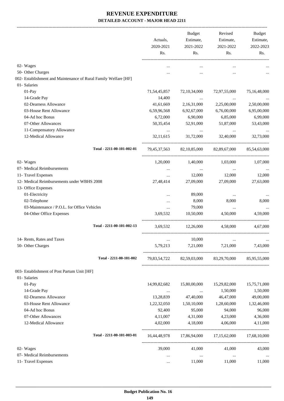|                                                                 | Actuals,<br>2020-2021 | <b>Budget</b><br>Estimate,<br>2021-2022 | Revised<br>Estimate,<br>2021-2022                   | <b>Budget</b><br>Estimate,<br>2022-2023 |
|-----------------------------------------------------------------|-----------------------|-----------------------------------------|-----------------------------------------------------|-----------------------------------------|
|                                                                 | Rs.                   | Rs.                                     | Rs.                                                 | Rs.                                     |
| 02- Wages                                                       | $\cdots$              |                                         | $\cdots$                                            |                                         |
| 50- Other Charges                                               |                       |                                         |                                                     |                                         |
| 002- Establishment and Maintenance of Rural Family Welfare [HF] |                       |                                         |                                                     |                                         |
| 01- Salaries                                                    |                       |                                         |                                                     |                                         |
| 01-Pay                                                          | 71, 54, 45, 857       | 72, 10, 34, 000                         | 72,97,55,000                                        | 75,16,48,000                            |
| 14-Grade Pay                                                    | 14,400                | $\cdots$                                |                                                     |                                         |
| 02-Dearness Allowance                                           | 41,61,669             | 2,16,31,000                             | 2,25,00,000                                         | 2,50,00,000                             |
| 03-House Rent Allowance                                         | 6,59,96,568           | 6,92,67,000                             | 6,76,00,000                                         | 6,95,00,000                             |
| 04-Ad hoc Bonus                                                 | 6,72,000              | 6,90,000                                | 6,85,000                                            | 6,99,000                                |
| 07-Other Allowances                                             | 50, 35, 454           | 52,91,000                               | 51,87,000                                           | 53,43,000                               |
| 11-Compensatory Allowance                                       | $\cdots$              | <b>Contract Contract</b>                | $\sim$ 100 $\mu$                                    |                                         |
| 12-Medical Allowance                                            | 32,11,615             | 31,72,000                               | 32,40,000                                           | 32,73,000                               |
| Total - 2211-00-101-002-01                                      |                       |                                         | 79,45,37,563 82,10,85,000 82,89,67,000              | 85,54,63,000                            |
| 02- Wages                                                       | 1,20,000              | 1,40,000                                | 1,03,000                                            | 1,07,000                                |
| 07- Medical Reimbursements                                      |                       | $\cdots$                                | $\cdots$                                            |                                         |
| 11- Travel Expenses                                             | $\cdots$              | 12,000                                  | 12,000                                              | 12,000                                  |
| 12- Medical Reimbursements under WBHS 2008                      | 27,48,414             | 27,09,000                               | 27,09,000                                           | 27,63,000                               |
| 13- Office Expenses                                             |                       |                                         |                                                     |                                         |
| 01-Electricity                                                  |                       | 89,000                                  | $\cdots$                                            |                                         |
| 02-Telephone                                                    |                       | 8,000                                   | 8,000                                               | 8,000                                   |
| 03-Maintenance / P.O.L. for Office Vehicles                     | $\cdots$              | 79,000                                  | $\cdots$                                            |                                         |
| 04-Other Office Expenses                                        | 3,69,532              | 10,50,000                               | 4,50,000                                            | 4,59,000                                |
| Total - 2211-00-101-002-13                                      |                       | 3,69,532 12,26,000 4,58,000             |                                                     | 4,67,000                                |
| 14- Rents, Rates and Taxes                                      |                       | 10,000                                  |                                                     |                                         |
| 50- Other Charges                                               | 5,79,213              | 7,21,000                                | 7,21,000                                            | 7,43,000                                |
| Total - 2211-00-101-002                                         |                       |                                         | 79,83,54,722 82,59,03,000 83,29,70,000 85,95,55,000 |                                         |
| 003- Establishment of Post Partum Unit [HF]                     |                       |                                         |                                                     |                                         |
| 01- Salaries                                                    |                       |                                         |                                                     |                                         |
| 01-Pay                                                          | 14,99,82,682          | 15,80,00,000                            | 15,29,82,000                                        | 15,75,71,000                            |
| 14-Grade Pay                                                    | $\cdots$              | $\ldots$                                | 1,50,000                                            | 1,50,000                                |
| 02-Dearness Allowance                                           | 13,28,839             | 47,40,000                               | 46,47,000                                           | 49,00,000                               |
| 03-House Rent Allowance                                         | 1,22,32,050           | 1,50,10,000                             | 1,28,60,000                                         | 1,32,46,000                             |
| 04-Ad hoc Bonus                                                 | 92,400                | 95,000                                  | 94,000                                              | 96,000                                  |
| 07-Other Allowances                                             | 4,11,007              | 4,31,000                                | 4,23,000                                            | 4,36,000                                |
| 12-Medical Allowance                                            | 4,02,000              | 4,18,000                                | 4,06,000                                            | 4,11,000                                |
| Total - 2211-00-101-003-01                                      |                       |                                         | 16,44,48,978 17,86,94,000 17,15,62,000              | 17,68,10,000                            |
| 02- Wages                                                       | 39,000                | 41,000                                  | 41,000                                              | 43,000                                  |
| 07- Medical Reimbursements                                      | $\cdots$              | $\sim$ $\sim$                           | $\cdots$                                            | $\ldots$                                |
| 11- Travel Expenses                                             | $\cdots$              | 11,000                                  | 11,000                                              | 11,000                                  |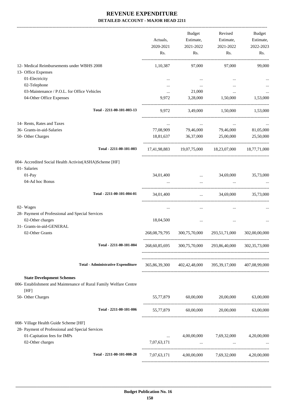|                                                                           | Actuals,<br>2020-2021<br>Rs. | <b>Budget</b><br>Estimate,<br>2021-2022<br>Rs. | Revised<br>Estimate,<br>2021-2022<br>Rs.                | Budget<br>Estimate,<br>2022-2023<br>Rs. |
|---------------------------------------------------------------------------|------------------------------|------------------------------------------------|---------------------------------------------------------|-----------------------------------------|
| 12- Medical Reimbursements under WBHS 2008                                | 1,10,387                     | 97,000                                         | 97,000                                                  | 99,000                                  |
| 13- Office Expenses                                                       |                              |                                                |                                                         |                                         |
| 01-Electricity                                                            | $\cdots$                     | $\cdots$                                       | $\cdots$                                                |                                         |
| 02-Telephone                                                              | $\cdots$                     | $\cdots$                                       |                                                         |                                         |
| 03-Maintenance / P.O.L. for Office Vehicles                               | $\cdots$                     | 21,000                                         | $\cdots$                                                |                                         |
| 04-Other Office Expenses                                                  | 9,972                        | 3,28,000                                       | 1,50,000                                                | 1,53,000                                |
| Total - 2211-00-101-003-13                                                | 9,972                        | 3,49,000                                       | 1,50,000                                                | 1,53,000                                |
| 14- Rents, Rates and Taxes                                                | $\cdots$                     | $\cdots$                                       | $\cdots$                                                |                                         |
| 36- Grants-in-aid-Salaries                                                | 77,08,909                    | 79,46,000                                      | 79,46,000                                               | 81,05,000                               |
| 50- Other Charges                                                         | 18,81,637                    | 36,37,000                                      | 25,00,000                                               | 25,50,000                               |
| Total - 2211-00-101-003                                                   |                              |                                                | 17,41,98,883 19,07,75,000 18,23,07,000 18,77,71,000     |                                         |
| 004- Accredited Social Health Activist(ASHA)Scheme [HF]                   |                              |                                                |                                                         |                                         |
| 01- Salaries                                                              |                              |                                                |                                                         |                                         |
| $01-Pay$                                                                  | 34,01,400                    | the control of the control of the              | 34,69,000                                               | 35,73,000                               |
| 04-Ad hoc Bonus                                                           |                              | $\cdots$                                       |                                                         |                                         |
| Total - 2211-00-101-004-01                                                | 34,01,400                    |                                                | $\ldots$ 34,69,000                                      | 35,73,000                               |
| 02- Wages                                                                 | $\cdots$                     | $\cdots$                                       | $\cdots$                                                |                                         |
| 28- Payment of Professional and Special Services                          |                              |                                                |                                                         |                                         |
| 02-Other charges                                                          | 18,04,500                    |                                                | $\cdots$                                                |                                         |
| 31- Grants-in-aid-GENERAL                                                 |                              |                                                |                                                         |                                         |
| 02-Other Grants                                                           | 268, 08, 79, 795             | 300,75,70,000                                  | 293,51,71,000                                           | 302,00,00,000                           |
| Total - 2211-00-101-004                                                   | 268,60,85,695                | 300,75,70,000                                  | 293,86,40,000                                           | 302, 35, 73, 000                        |
|                                                                           |                              |                                                |                                                         |                                         |
| <b>Total - Administrative Expenditure</b>                                 |                              |                                                | 365,86,39,300 402,42,48,000 395,39,17,000 407,08,99,000 |                                         |
| <b>State Development Schemes</b>                                          |                              |                                                |                                                         |                                         |
| 006- Establishment and Maintenance of Rural Family Welfare Centre<br>[HF] |                              |                                                |                                                         |                                         |
| 50- Other Charges                                                         |                              | 55,77,879 60,00,000                            | 20,00,000                                               | 63,00,000                               |
| Total - 2211-00-101-006                                                   |                              |                                                | 55,77,879 60,00,000 20,00,000 63,00,000                 |                                         |
| 008- Village Health Guide Scheme [HF]                                     |                              |                                                |                                                         |                                         |
| 28- Payment of Professional and Special Services                          |                              |                                                |                                                         |                                         |
| 01-Capitation fees for IMPs                                               | $\cdots$                     |                                                | 4,00,00,000 7,69,32,000 4,20,00,000                     |                                         |
| 02-Other charges                                                          | 7,07,63,171                  |                                                | $\mathbf{m}$ and $\mathbf{m}$ are $\mathbf{m}$ .        |                                         |
| Total - 2211-00-101-008-28                                                |                              |                                                | 7,07,63,171 4,00,00,000 7,69,32,000 4,20,00,000         |                                         |
|                                                                           |                              |                                                |                                                         |                                         |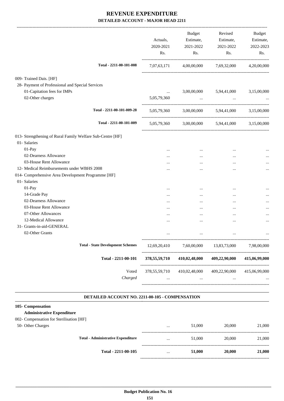|                                                            |                                          | Actuals,<br>2020-2021<br>Rs. | Budget<br>Estimate,<br>2021-2022<br>Rs. | Revised<br>Estimate,<br>2021-2022<br>Rs.                        | Budget<br>Estimate,<br>2022-2023<br>Rs. |
|------------------------------------------------------------|------------------------------------------|------------------------------|-----------------------------------------|-----------------------------------------------------------------|-----------------------------------------|
|                                                            | Total - 2211-00-101-008                  | 7,07,63,171                  |                                         | 4,00,00,000 7,69,32,000                                         | 4,20,00,000                             |
| 009- Trained Dais. [HF]                                    |                                          |                              |                                         |                                                                 |                                         |
| 28- Payment of Professional and Special Services           |                                          |                              |                                         |                                                                 |                                         |
| 01-Capitation fees for IMPs                                |                                          | $\cdots$                     |                                         | 3,00,00,000 5,94,41,000 3,15,00,000                             |                                         |
| 02-Other charges                                           |                                          | 5,05,79,360                  |                                         | the contract of the contract of the contract of the contract of |                                         |
|                                                            | Total - 2211-00-101-009-28               |                              |                                         | 5,05,79,360 3,00,00,000 5,94,41,000 3,15,00,000                 |                                         |
|                                                            | Total - 2211-00-101-009                  |                              |                                         | 5,05,79,360 3,00,00,000 5,94,41,000 3,15,00,000                 |                                         |
| 013- Strengthening of Rural Family Welfare Sub-Centre [HF] |                                          |                              |                                         |                                                                 |                                         |
| 01- Salaries                                               |                                          |                              |                                         |                                                                 |                                         |
| 01-Pay                                                     |                                          |                              | $\cdots$                                | $\ddotsc$                                                       |                                         |
| 02-Dearness Allowance                                      |                                          | $\cdots$                     | $\cdots$                                | $\cdots$                                                        |                                         |
| 03-House Rent Allowance                                    |                                          |                              | $\cdots$                                | $\cdots$                                                        |                                         |
| 12- Medical Reimbursements under WBHS 2008                 |                                          |                              |                                         | $\ddotsc$                                                       | $\cdots$                                |
| 014- Comprehensive Area Development Programme [HF]         |                                          |                              |                                         |                                                                 |                                         |
| 01- Salaries                                               |                                          |                              |                                         |                                                                 |                                         |
| 01-Pay                                                     |                                          |                              | $\cdots$                                |                                                                 |                                         |
| 14-Grade Pay                                               |                                          |                              | $\cdots$                                | $\ddotsc$                                                       |                                         |
| 02-Dearness Allowance                                      |                                          |                              | $\cdots$                                | $\ddotsc$                                                       |                                         |
| 03-House Rent Allowance                                    |                                          | $\cdots$                     | $\cdots$                                | $\cdots$                                                        |                                         |
| 07-Other Allowances                                        |                                          |                              | $\cdots$                                | $\cdots$                                                        |                                         |
| 12-Medical Allowance                                       |                                          | $\cdots$                     |                                         | $\ddotsc$                                                       |                                         |
| 31- Grants-in-aid-GENERAL                                  |                                          |                              |                                         |                                                                 |                                         |
| 02-Other Grants                                            |                                          |                              |                                         | $\ddotsc$                                                       |                                         |
|                                                            | <b>Total - State Development Schemes</b> | 12,69,20,410                 | 7,60,00,000                             | 13,83,73,000                                                    | 7,98,00,000                             |
|                                                            | Total - 2211-00-101                      | 378,55,59,710                | 410,02,48,000                           | 409,22,90,000                                                   | 415,06,99,000                           |
|                                                            | Voted<br>Charged                         | 378, 55, 59, 710             | 410,02,48,000<br>$\cdots$               | 409,22,90,000                                                   | 415,06,99,000                           |

#### **DETAILED ACCOUNT NO. 2211-00-105 - COMPENSATION .**

#### **105- Compensation**

#### **Administrative Expenditure** 002- Compensation for Sterilisation [HF] 50- Other Charges ... 51,000 20,000 21,000 ----------------------------------------------------------------------------------------- **Total - Administrative Expenditure** ... 51,000 20,000 21,000 ----------------------------------------------------------------------------------------- **Total - 2211-00-105** ... **51,000 20,000 21,000**

------------------------------------------------------------------------------------------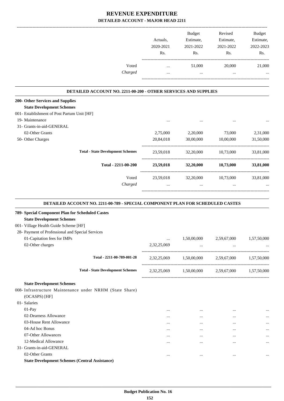|                                                                                              | Actuals,<br>2020-2021<br>Rs. | Budget<br>Estimate,<br>2021-2022<br>Rs. | Revised<br>Estimate,<br>2021-2022<br>Rs.        | <b>Budget</b><br>Estimate,<br>2022-2023<br>Rs. |
|----------------------------------------------------------------------------------------------|------------------------------|-----------------------------------------|-------------------------------------------------|------------------------------------------------|
| Voted                                                                                        | $\cdots$                     | 51,000                                  | 20,000                                          | 21,000                                         |
| Charged                                                                                      | $\cdots$                     | $\cdots$                                | $\cdots$                                        |                                                |
| <b>DETAILED ACCOUNT NO. 2211-00-200 - OTHER SERVICES AND SUPPLIES</b>                        |                              |                                         |                                                 |                                                |
| 200- Other Services and Supplies                                                             |                              |                                         |                                                 |                                                |
| <b>State Development Schemes</b>                                                             |                              |                                         |                                                 |                                                |
| 001- Establishment of Post Partum Unit [HF]                                                  |                              |                                         |                                                 |                                                |
| 19- Maintenance                                                                              |                              |                                         |                                                 |                                                |
| 31- Grants-in-aid-GENERAL                                                                    |                              |                                         |                                                 |                                                |
| 02-Other Grants                                                                              | 2,75,000                     | 2,20,000                                | 73,000                                          | 2,31,000                                       |
| 50- Other Charges                                                                            | 20,84,018                    | 30,00,000                               | 10,00,000                                       | 31,50,000                                      |
| <b>Total - State Development Schemes</b>                                                     | 23,59,018                    | 32,20,000                               | 10.73.000                                       | 33,81,000                                      |
| Total - 2211-00-200                                                                          | 23,59,018                    | 32,20,000                               | 10,73,000                                       | 33,81,000                                      |
| Voted                                                                                        | 23,59,018                    | 32,20,000                               | 10,73,000                                       | 33,81,000                                      |
| Charged                                                                                      | $\cdots$                     | $\cdots$                                | $\cdots$                                        |                                                |
| DETAILED ACCOUNT NO. 2211-00-789 - SPECIAL COMPONENT PLAN FOR SCHEDULED CASTES               |                              |                                         |                                                 |                                                |
| 789- Special Component Plan for Scheduled Castes                                             |                              |                                         |                                                 |                                                |
| <b>State Development Schemes</b>                                                             |                              |                                         |                                                 |                                                |
| 001- Village Health Guide Scheme [HF]                                                        |                              |                                         |                                                 |                                                |
| 28- Payment of Professional and Special Services                                             |                              |                                         |                                                 |                                                |
|                                                                                              |                              |                                         |                                                 |                                                |
| 01-Capitation fees for IMPs                                                                  | $\cdots$                     | 1,50,00,000                             | 2,59,67,000                                     | 1,57,50,000                                    |
| 02-Other charges                                                                             | 2,32,25,069                  | $\cdots$                                | $\cdots$                                        |                                                |
| Total - 2211-00-789-001-28                                                                   |                              |                                         | 2,32,25,069 1,50,00,000 2,59,67,000 1,57,50,000 |                                                |
| <b>Total - State Development Schemes</b>                                                     |                              |                                         | 2,32,25,069 1,50,00,000 2,59,67,000 1,57,50,000 |                                                |
|                                                                                              |                              |                                         |                                                 |                                                |
| <b>State Development Schemes</b><br>008- Infrastructure Maintenance under NRHM (State Share) |                              |                                         |                                                 |                                                |
| (OCASPS) [HF]                                                                                |                              |                                         |                                                 |                                                |
| 01- Salaries                                                                                 |                              |                                         |                                                 |                                                |
| 01-Pay                                                                                       | $\cdots$                     | $\cdots$                                | $\cdots$                                        |                                                |
| 02-Dearness Allowance                                                                        | $\cdots$                     | $\cdots$                                | $\cdots$                                        |                                                |
| 03-House Rent Allowance                                                                      | $\cdots$                     | $\cdots$                                | $\cdots$                                        |                                                |
| 04-Ad hoc Bonus                                                                              | $\cdots$                     | $\cdots$                                | $\cdots$                                        |                                                |
| 07-Other Allowances                                                                          | $\cdots$                     | $\cdots$                                | $\cdots$                                        |                                                |
| 12-Medical Allowance                                                                         |                              | $\cdots$                                | $\cdots$                                        |                                                |
| 31- Grants-in-aid-GENERAL<br>02-Other Grants                                                 | $\cdots$                     | $\cdots$                                | $\cdots$                                        |                                                |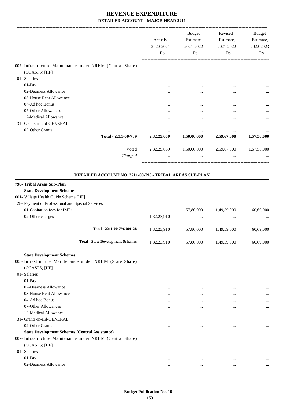|                                                                                                                                                             | Actuals,<br>2020-2021<br>Rs. | Budget<br>Estimate,<br>2021-2022<br>Rs. | Revised<br>Estimate,<br>2021-2022<br>Rs.        | <b>Budget</b><br>Estimate,<br>2022-2023<br>Rs. |
|-------------------------------------------------------------------------------------------------------------------------------------------------------------|------------------------------|-----------------------------------------|-------------------------------------------------|------------------------------------------------|
| 007- Infrastructure Maintenance under NRHM (Central Share)                                                                                                  |                              |                                         |                                                 |                                                |
| (OCASPS) [HF]                                                                                                                                               |                              |                                         |                                                 |                                                |
| 01- Salaries                                                                                                                                                |                              |                                         |                                                 |                                                |
| 01-Pay                                                                                                                                                      |                              | $\ddotsc$                               |                                                 |                                                |
| 02-Dearness Allowance                                                                                                                                       |                              |                                         |                                                 |                                                |
| 03-House Rent Allowance<br>04-Ad hoc Bonus                                                                                                                  |                              |                                         |                                                 |                                                |
|                                                                                                                                                             | $\ddotsc$                    |                                         |                                                 |                                                |
| 07-Other Allowances                                                                                                                                         |                              |                                         | $\ddotsc$                                       |                                                |
| 12-Medical Allowance                                                                                                                                        |                              |                                         |                                                 |                                                |
| 31- Grants-in-aid-GENERAL                                                                                                                                   |                              |                                         |                                                 |                                                |
| 02-Other Grants<br>Total - 2211-00-789                                                                                                                      | $\cdots$<br>2,32,25,069      | 1,50,00,000                             | $\cdots$<br>2,59,67,000                         | 1,57,50,000                                    |
| Voted                                                                                                                                                       |                              |                                         | 2,32,25,069 1,50,00,000 2,59,67,000 1,57,50,000 |                                                |
| Charged                                                                                                                                                     | $\ldots$                     | $\cdots$                                | $\cdots$                                        |                                                |
| DETAILED ACCOUNT NO. 2211-00-796 - TRIBAL AREAS SUB-PLAN                                                                                                    |                              |                                         |                                                 |                                                |
| 796- Tribal Areas Sub-Plan<br><b>State Development Schemes</b><br>001- Village Health Guide Scheme [HF]<br>28- Payment of Professional and Special Services |                              |                                         |                                                 |                                                |
| 01-Capitation fees for IMPs                                                                                                                                 | $\ldots$                     | 57,80,000                               | 1,49,59,000                                     | 60,69,000                                      |
| 02-Other charges                                                                                                                                            | 1,32,23,910                  | $\cdots$                                |                                                 |                                                |
| Total - 2211-00-796-001-28                                                                                                                                  | 1,32,23,910                  | 57,80,000 1,49,59,000                   |                                                 | 60,69,000                                      |
| <b>Total - State Development Schemes</b>                                                                                                                    | 1,32,23,910                  | 57,80,000                               | 1,49,59,000                                     | 60,69,000                                      |
| <b>State Development Schemes</b><br>008- Infrastructure Maintenance under NRHM (State Share)<br>(OCASPS) [HF]                                               |                              |                                         |                                                 |                                                |
| 01- Salaries                                                                                                                                                |                              |                                         |                                                 |                                                |
| 01-Pay                                                                                                                                                      | $\cdots$                     | $\ddotsc$                               | $\ddotsc$                                       |                                                |
| 02-Dearness Allowance                                                                                                                                       | $\cdots$                     | $\cdots$                                | $\ddotsc$                                       |                                                |
| 03-House Rent Allowance                                                                                                                                     | $\cdots$                     | $\cdots$                                |                                                 |                                                |
| 04-Ad hoc Bonus                                                                                                                                             | $\cdots$                     | $\cdots$                                |                                                 |                                                |
| 07-Other Allowances                                                                                                                                         | $\cdots$                     | $\cdots$                                |                                                 |                                                |
| 12-Medical Allowance                                                                                                                                        | $\cdots$                     | $\ddotsc$                               | $\cdots$                                        |                                                |
| 31- Grants-in-aid-GENERAL                                                                                                                                   |                              |                                         |                                                 |                                                |
| 02-Other Grants                                                                                                                                             | $\cdots$                     | $\cdots$                                | $\ddotsc$                                       | $\cdots$                                       |
| <b>State Development Schemes (Central Assistance)</b>                                                                                                       |                              |                                         |                                                 |                                                |
| 007- Infrastructure Maintenance under NRHM (Central Share)<br>(OCASPS) [HF]                                                                                 |                              |                                         |                                                 |                                                |
| 01- Salaries                                                                                                                                                |                              |                                         |                                                 |                                                |
| 01-Pay                                                                                                                                                      | $\ddotsc$                    | $\ddotsc$                               | $\ddotsc$                                       |                                                |
| 02-Dearness Allowance                                                                                                                                       | $\cdots$                     | $\cdots$                                | $\cdots$                                        | $\cdots$                                       |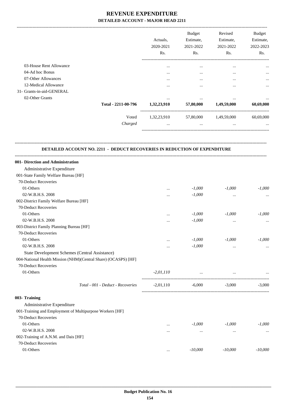-------------------------------------------------------------------------------------------------------------------------------------------------------------------------------

|                           |                     | Actuals.<br>2020-2021<br>Rs. | <b>Budget</b><br>Estimate,<br>2021-2022<br>Rs. | Revised<br>Estimate,<br>2021-2022<br>Rs. | <b>Budget</b><br>Estimate,<br>2022-2023<br>Rs. |
|---------------------------|---------------------|------------------------------|------------------------------------------------|------------------------------------------|------------------------------------------------|
| 03-House Rent Allowance   |                     | $\cdots$                     | $\cdots$                                       | $\cdots$                                 | $\cdots$                                       |
| 04-Ad hoc Bonus           |                     | $\cdots$                     | $\cdots$                                       | $\cdots$                                 | $\cdots$                                       |
| 07-Other Allowances       |                     | $\cdots$                     | $\cdots$                                       | $\cdots$                                 | $\cdots$                                       |
| 12-Medical Allowance      |                     | $\cdots$                     | $\cdots$                                       | $\cdots$                                 | $\cdots$                                       |
| 31- Grants-in-aid-GENERAL |                     |                              |                                                |                                          |                                                |
| 02-Other Grants           |                     | $\cdots$                     | $\cdots$                                       | $\cdots$                                 | $\cdots$                                       |
|                           | Total - 2211-00-796 | 1,32,23,910                  | 57,80,000                                      | 1,49,59,000                              | 60,69,000                                      |
|                           | Voted               | 1,32,23,910                  | 57,80,000                                      | 1,49,59,000                              | 60,69,000                                      |
|                           | Charged             | $\cdots$                     | $\cdots$                                       |                                          | $\cdots$                                       |
|                           |                     |                              |                                                |                                          |                                                |

#### **DETAILED ACCOUNT NO. 2211 - DEDUCT RECOVERIES IN REDUCTION OF EXPENDITURE**

**--------------------------------------------------------------------------------------------------------------------------------------------------------------------------------**

| 001- Direction and Administration                              |             |                                                      |           |           |
|----------------------------------------------------------------|-------------|------------------------------------------------------|-----------|-----------|
| Administrative Expenditure                                     |             |                                                      |           |           |
| 001-State Family Welfare Bureau [HF]                           |             |                                                      |           |           |
| 70-Deduct Recoveries                                           |             |                                                      |           |           |
| 01-Others                                                      | $\cdots$    | $-1,000$                                             | $-1,000$  | $-1,000$  |
| 02-W.B.H.S. 2008                                               | $\cdots$    | $-1,000$                                             | $\cdots$  | $\cdots$  |
| 002-District Family Welfare Bureau [HF]                        |             |                                                      |           |           |
| 70-Deduct Recoveries                                           |             |                                                      |           |           |
| 01-Others                                                      | $\cdots$    | $-1,000$                                             | $-1,000$  | $-1,000$  |
| 02-W.B.H.S. 2008                                               |             | $-1,000$                                             | $\cdots$  | $\cdots$  |
| 003-District Family Planning Bureau [HF]                       |             |                                                      |           |           |
| 70-Deduct Recoveries                                           |             |                                                      |           |           |
| 01-Others                                                      | $\cdots$    | $-1,000$                                             | $-1,000$  | $-1,000$  |
| 02-W.B.H.S. 2008                                               | $\cdots$    | $-1,000$                                             | $\cdots$  |           |
| <b>State Development Schemes (Central Assistance)</b>          |             |                                                      |           |           |
| 004-National Health Mission (NHM)(Central Share) (OCASPS) [HF] |             |                                                      |           |           |
| 70-Deduct Recoveries                                           |             |                                                      |           |           |
| 01-Others                                                      | $-2,01,110$ | and the company of the company of the company of the |           |           |
| Total - 001 - Deduct - Recoveries                              | $-2,01,110$ | $-6,000$                                             | $-3,000$  | $-3,000$  |
| 003- Training                                                  |             |                                                      |           |           |
| Administrative Expenditure                                     |             |                                                      |           |           |
| 001-Training and Employment of Multipurpose Workers [HF]       |             |                                                      |           |           |
| 70-Deduct Recoveries                                           |             |                                                      |           |           |
| 01-Others                                                      | $\cdots$    | $-1,000$                                             | $-1,000$  | $-1,000$  |
| 02-W.B.H.S. 2008                                               | $\cdots$    | $\cdots$                                             | $\cdots$  | $\cdots$  |
| 002-Training of A.N.M. and Dais [HF]                           |             |                                                      |           |           |
| 70-Deduct Recoveries                                           |             |                                                      |           |           |
| 01-Others                                                      | $\cdots$    | $-10,000$                                            | $-10,000$ | $-10,000$ |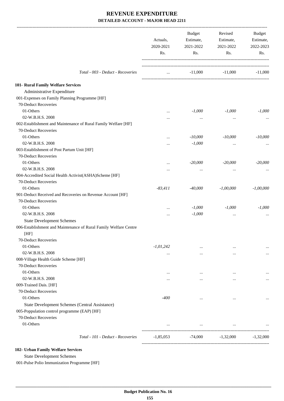|                                                                  | Actuals,<br>2020-2021<br>Rs. | Budget<br>Estimate,<br>2021-2022<br>Rs. | Revised<br>Estimate,<br>2021-2022<br>Rs. | Budget<br>Estimate,<br>2022-2023<br>Rs. |
|------------------------------------------------------------------|------------------------------|-----------------------------------------|------------------------------------------|-----------------------------------------|
| Total - 003 - Deduct - Recoveries                                | $\cdots$                     |                                         | $-11,000$ $-11,000$                      | $-11,000$                               |
|                                                                  |                              |                                         |                                          |                                         |
| 101- Rural Family Welfare Services                               |                              |                                         |                                          |                                         |
| Administrative Expenditure                                       |                              |                                         |                                          |                                         |
| 001-Expenses on Family Planning Programme [HF]                   |                              |                                         |                                          |                                         |
| 70-Deduct Recoveries                                             |                              |                                         |                                          |                                         |
| 01-Others                                                        | $\cdots$                     | $-1,000$                                | $-1,000$                                 | $-1,000$                                |
| 02-W.B.H.S. 2008                                                 |                              | $\cdots$                                | $\cdots$                                 |                                         |
| 002-Establishment and Maintenance of Rural Family Welfare [HF]   |                              |                                         |                                          |                                         |
| 70-Deduct Recoveries                                             |                              |                                         |                                          |                                         |
| 01-Others                                                        |                              | $-10,000$                               | $-10,000$                                | $-10,000$                               |
| 02-W.B.H.S. 2008                                                 | .                            | $-1,000$                                | $\cdots$                                 |                                         |
| 003-Establishment of Post Partum Unit [HF]                       |                              |                                         |                                          |                                         |
| 70-Deduct Recoveries                                             |                              |                                         |                                          |                                         |
| 01-Others                                                        |                              | $-20,000$                               | $-20,000$                                | $-20,000$                               |
| 02-W.B.H.S. 2008                                                 |                              | $\cdots$                                | $\cdots$                                 |                                         |
| 004-Accredited Social Health Activist(ASHA)Scheme [HF]           |                              |                                         |                                          |                                         |
| 70-Deduct Recoveries                                             |                              |                                         |                                          |                                         |
| 01-Others                                                        | $-83,411$                    | $-40,000$                               | $-1,00,000$                              | $-1,00,000$                             |
| 901-Deduct Received and Recoveries on Revenue Account [HF]       |                              |                                         |                                          |                                         |
| 70-Deduct Recoveries                                             |                              |                                         |                                          |                                         |
| 01-Others                                                        | $\cdots$                     | $-1,000$                                | $-1,000$                                 | $-1,000$                                |
| 02-W.B.H.S. 2008                                                 | $\cdots$                     | $-1,000$                                | $\cdots$                                 |                                         |
| <b>State Development Schemes</b>                                 |                              |                                         |                                          |                                         |
| 006-Establishment and Maintenance of Rural Family Welfare Centre |                              |                                         |                                          |                                         |
| [HF]                                                             |                              |                                         |                                          |                                         |
| 70-Deduct Recoveries                                             |                              |                                         |                                          |                                         |
| 01-Others                                                        | $-1,01,242$                  | $\cdots$                                | $\cdots$                                 |                                         |
| 02-W.B.H.S. 2008                                                 | $\cdots$                     | $\cdots$                                | $\cdots$                                 | $\cdots$                                |
| 008-Village Health Guide Scheme [HF]                             |                              |                                         |                                          |                                         |
| 70-Deduct Recoveries                                             |                              |                                         |                                          |                                         |
| 01-Others                                                        |                              | $\cdots$                                | $\ddotsc$                                |                                         |
| 02-W.B.H.S. 2008                                                 | $\cdots$                     | $\cdots$                                | $\cdots$                                 | $\cdots$                                |
| 009-Trained Dais. [HF]                                           |                              |                                         |                                          |                                         |
| 70-Deduct Recoveries                                             |                              |                                         |                                          |                                         |
| 01-Others                                                        | -400                         | $\cdots$                                | $\cdots$                                 |                                         |
| State Development Schemes (Central Assistance)                   |                              |                                         |                                          |                                         |
| 005-Poppulation control programme (EAP) [HF]                     |                              |                                         |                                          |                                         |
| 70-Deduct Recoveries                                             |                              |                                         |                                          |                                         |
| 01-Others                                                        |                              | $\cdots$                                | $\cdots$                                 |                                         |
| Total - 101 - Deduct - Recoveries                                | $-1,85,053$                  | -74,000                                 | $-1,32,000$                              | $-1,32,000$                             |

**102- Urban Family Welfare Services**

State Development Schemes

001-Pulse Polio Immunization Programme [HF]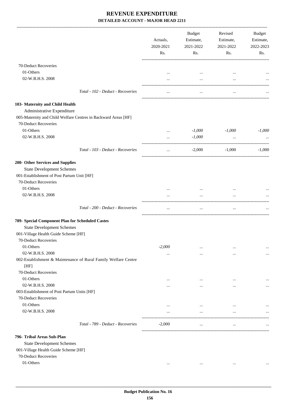| 70-Deduct Recoveries<br>01-Others<br>$\cdots$<br>$\ddotsc$<br>02-W.B.H.S. 2008<br>$\cdots$<br>$\cdots$<br><br>Total - 102 - Deduct - Recoveries<br>$\cdots$<br>$\cdots$<br>Administrative Expenditure<br>005-Maternity and Child Welfare Centres in Backward Areas [HF]<br>70-Deduct Recoveries<br>01-Others<br>$-1,000$<br>$-1,000$<br>$\cdots$<br>02-W.B.H.S. 2008<br>$-1,000$<br>$\cdots$<br>$\cdots$<br>Total - 103 - Deduct - Recoveries<br>$-2,000$<br>$-1,000$<br>$\cdots$<br><b>State Development Schemes</b><br>001-Establishment of Post Partum Unit [HF]<br>70-Deduct Recoveries<br>01-Others<br>$\ddotsc$<br><br>02-W.B.H.S. 2008<br>Total - 200 - Deduct - Recoveries<br>$\cdots$<br>$\cdots$<br>$\cdots$<br><b>State Development Schemes</b><br>001-Village Health Guide Scheme [HF]<br>70-Deduct Recoveries<br>01-Others<br>$-2,000$<br>$\cdots$<br>$\cdots$<br>02-W.B.H.S. 2008<br>$\cdots$<br>$\cdots$<br>$\cdots$<br>002-Establishment & Maintenance of Rural Family Welfare Centre<br>[HF]<br>70-Deduct Recoveries<br>01-Others<br>$\cdots$<br>$\cdots$<br>$\cdots$<br>02-W.B.H.S. 2008<br>$\cdots$<br>$\cdots$<br>$\cdots$<br>003-Establishment of Post Partum Units [HF]<br>70-Deduct Recoveries<br>01-Others<br>$\cdots$<br>$\cdots$<br>$\cdots$<br>02-W.B.H.S. 2008<br>$\cdots$<br>$\cdots$<br>$\cdots$<br>Total - 789 - Deduct - Recoveries<br>$-2,000$<br>$\cdots$<br>$\cdots$<br><b>State Development Schemes</b><br>001-Village Health Guide Scheme [HF]<br>70-Deduct Recoveries<br>01-Others<br>$\cdots$<br>$\cdots$<br>$\cdots$ | Actuals,<br>2020-2021<br>Rs. | <b>Budget</b><br>Estimate,<br>2021-2022<br>Rs. | Revised<br>Estimate,<br>2021-2022<br>Rs. | Budget<br>Estimate,<br>2022-2023<br>Rs. |
|--------------------------------------------------------------------------------------------------------------------------------------------------------------------------------------------------------------------------------------------------------------------------------------------------------------------------------------------------------------------------------------------------------------------------------------------------------------------------------------------------------------------------------------------------------------------------------------------------------------------------------------------------------------------------------------------------------------------------------------------------------------------------------------------------------------------------------------------------------------------------------------------------------------------------------------------------------------------------------------------------------------------------------------------------------------------------------------------------------------------------------------------------------------------------------------------------------------------------------------------------------------------------------------------------------------------------------------------------------------------------------------------------------------------------------------------------------------------------------------------------------------------------------------------------------------|------------------------------|------------------------------------------------|------------------------------------------|-----------------------------------------|
| 103- Maternity and Child Health<br>200- Other Services and Supplies                                                                                                                                                                                                                                                                                                                                                                                                                                                                                                                                                                                                                                                                                                                                                                                                                                                                                                                                                                                                                                                                                                                                                                                                                                                                                                                                                                                                                                                                                          |                              |                                                |                                          |                                         |
|                                                                                                                                                                                                                                                                                                                                                                                                                                                                                                                                                                                                                                                                                                                                                                                                                                                                                                                                                                                                                                                                                                                                                                                                                                                                                                                                                                                                                                                                                                                                                              |                              |                                                |                                          |                                         |
|                                                                                                                                                                                                                                                                                                                                                                                                                                                                                                                                                                                                                                                                                                                                                                                                                                                                                                                                                                                                                                                                                                                                                                                                                                                                                                                                                                                                                                                                                                                                                              |                              |                                                |                                          |                                         |
|                                                                                                                                                                                                                                                                                                                                                                                                                                                                                                                                                                                                                                                                                                                                                                                                                                                                                                                                                                                                                                                                                                                                                                                                                                                                                                                                                                                                                                                                                                                                                              |                              |                                                |                                          |                                         |
|                                                                                                                                                                                                                                                                                                                                                                                                                                                                                                                                                                                                                                                                                                                                                                                                                                                                                                                                                                                                                                                                                                                                                                                                                                                                                                                                                                                                                                                                                                                                                              |                              |                                                |                                          |                                         |
|                                                                                                                                                                                                                                                                                                                                                                                                                                                                                                                                                                                                                                                                                                                                                                                                                                                                                                                                                                                                                                                                                                                                                                                                                                                                                                                                                                                                                                                                                                                                                              |                              |                                                |                                          |                                         |
|                                                                                                                                                                                                                                                                                                                                                                                                                                                                                                                                                                                                                                                                                                                                                                                                                                                                                                                                                                                                                                                                                                                                                                                                                                                                                                                                                                                                                                                                                                                                                              |                              |                                                |                                          |                                         |
|                                                                                                                                                                                                                                                                                                                                                                                                                                                                                                                                                                                                                                                                                                                                                                                                                                                                                                                                                                                                                                                                                                                                                                                                                                                                                                                                                                                                                                                                                                                                                              |                              |                                                |                                          |                                         |
|                                                                                                                                                                                                                                                                                                                                                                                                                                                                                                                                                                                                                                                                                                                                                                                                                                                                                                                                                                                                                                                                                                                                                                                                                                                                                                                                                                                                                                                                                                                                                              |                              |                                                |                                          | $-1,000$                                |
|                                                                                                                                                                                                                                                                                                                                                                                                                                                                                                                                                                                                                                                                                                                                                                                                                                                                                                                                                                                                                                                                                                                                                                                                                                                                                                                                                                                                                                                                                                                                                              |                              |                                                |                                          |                                         |
|                                                                                                                                                                                                                                                                                                                                                                                                                                                                                                                                                                                                                                                                                                                                                                                                                                                                                                                                                                                                                                                                                                                                                                                                                                                                                                                                                                                                                                                                                                                                                              |                              |                                                |                                          | $-1,000$                                |
|                                                                                                                                                                                                                                                                                                                                                                                                                                                                                                                                                                                                                                                                                                                                                                                                                                                                                                                                                                                                                                                                                                                                                                                                                                                                                                                                                                                                                                                                                                                                                              |                              |                                                |                                          |                                         |
|                                                                                                                                                                                                                                                                                                                                                                                                                                                                                                                                                                                                                                                                                                                                                                                                                                                                                                                                                                                                                                                                                                                                                                                                                                                                                                                                                                                                                                                                                                                                                              |                              |                                                |                                          |                                         |
|                                                                                                                                                                                                                                                                                                                                                                                                                                                                                                                                                                                                                                                                                                                                                                                                                                                                                                                                                                                                                                                                                                                                                                                                                                                                                                                                                                                                                                                                                                                                                              |                              |                                                |                                          |                                         |
|                                                                                                                                                                                                                                                                                                                                                                                                                                                                                                                                                                                                                                                                                                                                                                                                                                                                                                                                                                                                                                                                                                                                                                                                                                                                                                                                                                                                                                                                                                                                                              |                              |                                                |                                          |                                         |
|                                                                                                                                                                                                                                                                                                                                                                                                                                                                                                                                                                                                                                                                                                                                                                                                                                                                                                                                                                                                                                                                                                                                                                                                                                                                                                                                                                                                                                                                                                                                                              |                              |                                                |                                          |                                         |
|                                                                                                                                                                                                                                                                                                                                                                                                                                                                                                                                                                                                                                                                                                                                                                                                                                                                                                                                                                                                                                                                                                                                                                                                                                                                                                                                                                                                                                                                                                                                                              |                              |                                                |                                          |                                         |
| 789- Special Component Plan for Scheduled Castes<br>796- Tribal Areas Sub-Plan                                                                                                                                                                                                                                                                                                                                                                                                                                                                                                                                                                                                                                                                                                                                                                                                                                                                                                                                                                                                                                                                                                                                                                                                                                                                                                                                                                                                                                                                               |                              |                                                |                                          |                                         |
|                                                                                                                                                                                                                                                                                                                                                                                                                                                                                                                                                                                                                                                                                                                                                                                                                                                                                                                                                                                                                                                                                                                                                                                                                                                                                                                                                                                                                                                                                                                                                              |                              |                                                |                                          |                                         |
|                                                                                                                                                                                                                                                                                                                                                                                                                                                                                                                                                                                                                                                                                                                                                                                                                                                                                                                                                                                                                                                                                                                                                                                                                                                                                                                                                                                                                                                                                                                                                              |                              |                                                |                                          |                                         |
|                                                                                                                                                                                                                                                                                                                                                                                                                                                                                                                                                                                                                                                                                                                                                                                                                                                                                                                                                                                                                                                                                                                                                                                                                                                                                                                                                                                                                                                                                                                                                              |                              |                                                |                                          |                                         |
|                                                                                                                                                                                                                                                                                                                                                                                                                                                                                                                                                                                                                                                                                                                                                                                                                                                                                                                                                                                                                                                                                                                                                                                                                                                                                                                                                                                                                                                                                                                                                              |                              |                                                |                                          |                                         |
|                                                                                                                                                                                                                                                                                                                                                                                                                                                                                                                                                                                                                                                                                                                                                                                                                                                                                                                                                                                                                                                                                                                                                                                                                                                                                                                                                                                                                                                                                                                                                              |                              |                                                |                                          |                                         |
|                                                                                                                                                                                                                                                                                                                                                                                                                                                                                                                                                                                                                                                                                                                                                                                                                                                                                                                                                                                                                                                                                                                                                                                                                                                                                                                                                                                                                                                                                                                                                              |                              |                                                |                                          | $\cdots$                                |
|                                                                                                                                                                                                                                                                                                                                                                                                                                                                                                                                                                                                                                                                                                                                                                                                                                                                                                                                                                                                                                                                                                                                                                                                                                                                                                                                                                                                                                                                                                                                                              |                              |                                                |                                          |                                         |
|                                                                                                                                                                                                                                                                                                                                                                                                                                                                                                                                                                                                                                                                                                                                                                                                                                                                                                                                                                                                                                                                                                                                                                                                                                                                                                                                                                                                                                                                                                                                                              |                              |                                                |                                          |                                         |
|                                                                                                                                                                                                                                                                                                                                                                                                                                                                                                                                                                                                                                                                                                                                                                                                                                                                                                                                                                                                                                                                                                                                                                                                                                                                                                                                                                                                                                                                                                                                                              |                              |                                                |                                          |                                         |
|                                                                                                                                                                                                                                                                                                                                                                                                                                                                                                                                                                                                                                                                                                                                                                                                                                                                                                                                                                                                                                                                                                                                                                                                                                                                                                                                                                                                                                                                                                                                                              |                              |                                                |                                          |                                         |
|                                                                                                                                                                                                                                                                                                                                                                                                                                                                                                                                                                                                                                                                                                                                                                                                                                                                                                                                                                                                                                                                                                                                                                                                                                                                                                                                                                                                                                                                                                                                                              |                              |                                                |                                          | $\cdots$                                |
|                                                                                                                                                                                                                                                                                                                                                                                                                                                                                                                                                                                                                                                                                                                                                                                                                                                                                                                                                                                                                                                                                                                                                                                                                                                                                                                                                                                                                                                                                                                                                              |                              |                                                |                                          |                                         |
|                                                                                                                                                                                                                                                                                                                                                                                                                                                                                                                                                                                                                                                                                                                                                                                                                                                                                                                                                                                                                                                                                                                                                                                                                                                                                                                                                                                                                                                                                                                                                              |                              |                                                |                                          |                                         |
|                                                                                                                                                                                                                                                                                                                                                                                                                                                                                                                                                                                                                                                                                                                                                                                                                                                                                                                                                                                                                                                                                                                                                                                                                                                                                                                                                                                                                                                                                                                                                              |                              |                                                |                                          |                                         |
|                                                                                                                                                                                                                                                                                                                                                                                                                                                                                                                                                                                                                                                                                                                                                                                                                                                                                                                                                                                                                                                                                                                                                                                                                                                                                                                                                                                                                                                                                                                                                              |                              |                                                |                                          |                                         |
|                                                                                                                                                                                                                                                                                                                                                                                                                                                                                                                                                                                                                                                                                                                                                                                                                                                                                                                                                                                                                                                                                                                                                                                                                                                                                                                                                                                                                                                                                                                                                              |                              |                                                |                                          |                                         |
|                                                                                                                                                                                                                                                                                                                                                                                                                                                                                                                                                                                                                                                                                                                                                                                                                                                                                                                                                                                                                                                                                                                                                                                                                                                                                                                                                                                                                                                                                                                                                              |                              |                                                |                                          |                                         |
|                                                                                                                                                                                                                                                                                                                                                                                                                                                                                                                                                                                                                                                                                                                                                                                                                                                                                                                                                                                                                                                                                                                                                                                                                                                                                                                                                                                                                                                                                                                                                              |                              |                                                |                                          |                                         |
|                                                                                                                                                                                                                                                                                                                                                                                                                                                                                                                                                                                                                                                                                                                                                                                                                                                                                                                                                                                                                                                                                                                                                                                                                                                                                                                                                                                                                                                                                                                                                              |                              |                                                |                                          |                                         |
|                                                                                                                                                                                                                                                                                                                                                                                                                                                                                                                                                                                                                                                                                                                                                                                                                                                                                                                                                                                                                                                                                                                                                                                                                                                                                                                                                                                                                                                                                                                                                              |                              |                                                |                                          |                                         |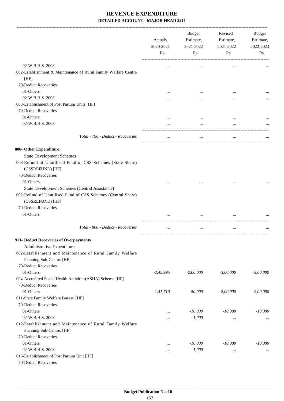-------------------------------------------------------------------------------------------------------------------------------------------------------------------------------

|                                                                                                                | Actuals,<br>2020-2021<br>Rs. | <b>Budget</b><br>Estimate,<br>2021-2022<br>Rs. | Revised<br>Estimate,<br>2021-2022<br>Rs. | <b>Budget</b><br>Estimate,<br>2022-2023<br>Rs. |
|----------------------------------------------------------------------------------------------------------------|------------------------------|------------------------------------------------|------------------------------------------|------------------------------------------------|
| 02-W.B.H.S. 2008                                                                                               | $\ddotsc$                    | $\cdots$                                       | $\ddotsc$                                |                                                |
| 002-Establishment & Maintenance of Rural Family Welfare Centre<br>[HF]                                         |                              |                                                |                                          |                                                |
| 70-Deduct Recoveries                                                                                           |                              |                                                |                                          |                                                |
| 01-Others                                                                                                      |                              |                                                |                                          |                                                |
| 02-W.B.H.S. 2008                                                                                               |                              |                                                |                                          |                                                |
| 003-Establishment of Post Partum Units [HF]                                                                    |                              |                                                |                                          |                                                |
| 70-Deduct Recoveries<br>01-Others                                                                              |                              |                                                |                                          |                                                |
|                                                                                                                |                              |                                                |                                          |                                                |
| 02-W.B.H.S. 2008                                                                                               |                              | $\ddotsc$                                      | $\cdots$                                 |                                                |
| Total - 796 - Deduct - Recoveries                                                                              | $\cdots$                     |                                                | $\cdots$                                 |                                                |
| 800- Other Expenditure                                                                                         |                              |                                                |                                          |                                                |
| <b>State Development Schemes</b>                                                                               |                              |                                                |                                          |                                                |
| 003-Refund of Unutilised Fund of CSS Schemes (State Share)<br>(CSSREFUND) [HF]                                 |                              |                                                |                                          |                                                |
| 70-Deduct Recoveries                                                                                           |                              |                                                |                                          |                                                |
| 01-Others                                                                                                      |                              |                                                |                                          |                                                |
| State Development Schemes (Central Assistance)<br>002-Refund of Unutilised Fund of CSS Schemes (Central Share) |                              |                                                |                                          |                                                |
| (CSSREFUND) [HF]<br>70-Deduct Recoveries                                                                       |                              |                                                |                                          |                                                |
| 01-Others                                                                                                      |                              |                                                |                                          |                                                |
|                                                                                                                |                              |                                                |                                          |                                                |
| Total - 800 - Deduct - Recoveries                                                                              | $\cdots$                     |                                                | $\cdots$                                 |                                                |
| 911- Deduct Recoveries of Overpayments                                                                         |                              |                                                |                                          |                                                |
| Administrative Expenditure                                                                                     |                              |                                                |                                          |                                                |
| 002-Establishment and Maintenance of Rural Family Welfare<br>Planning Sub-Centre. [HF]                         |                              |                                                |                                          |                                                |
| 70-Deduct Recoveries                                                                                           |                              |                                                |                                          |                                                |
| 01-Others                                                                                                      | $-2,45,995$                  | $-2,00,000$                                    | $-3,00,000$                              | $-3,00,000$                                    |
| 004-Accredited Social Health Activities(ASHA) Scheme [HF]                                                      |                              |                                                |                                          |                                                |
| 70-Deduct Recoveries                                                                                           |                              |                                                |                                          |                                                |
| 01-Others                                                                                                      | $-1,41,710$                  | $-50,000$                                      | $-2,00,000$                              | $-2,00,000$                                    |
| 011-State Family Welfare Bureau [HF]                                                                           |                              |                                                |                                          |                                                |
| 70-Deduct Recoveries                                                                                           |                              |                                                |                                          |                                                |
| 01-Others                                                                                                      |                              | $-10,000$                                      | $-10,000$                                | $-10,000$                                      |
| 02-W.B.H.S. 2008                                                                                               |                              | $-1,000$                                       | $\cdots$                                 |                                                |
| 012-Establishment and Maintenance of Rural Family Welfare                                                      |                              |                                                |                                          |                                                |
| Planning Sub-Centre. [HF]                                                                                      |                              |                                                |                                          |                                                |
| 70-Deduct Recoveries                                                                                           |                              |                                                |                                          |                                                |
| 01-Others                                                                                                      |                              | $-10,000$                                      | $-10,000$                                | $-10,000$                                      |
| 02-W.B.H.S. 2008                                                                                               | $\ddotsc$                    | $-1,000$                                       | $\cdots$                                 |                                                |
| 013-Establishment of Post Partum Unit [HF]<br>70-Deduct Recoveries                                             |                              |                                                |                                          |                                                |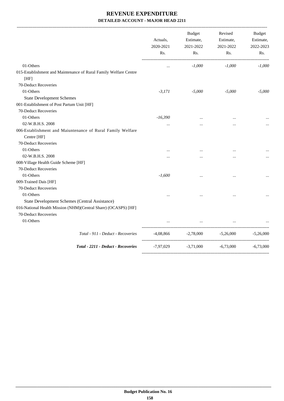-------------------------------------------------------------------------------------------------------------------------------------------------------------------------------

|                                                                           | Actuals,<br>2020-2021<br>Rs. | <b>Budget</b><br>Estimate,<br>2021-2022<br>Rs. | Revised<br>Estimate,<br>2021-2022<br>Rs. | <b>Budget</b><br>Estimate,<br>2022-2023<br>Rs. |
|---------------------------------------------------------------------------|------------------------------|------------------------------------------------|------------------------------------------|------------------------------------------------|
| 01-Others                                                                 | $\cdots$                     | $-1,000$                                       | $-1,000$                                 | $-1,000$                                       |
| 015-Establishment and Maintenance of Rural Family Welfare Centre<br>[HF]  |                              |                                                |                                          |                                                |
| 70-Deduct Recoveries                                                      |                              |                                                |                                          |                                                |
| 01-Others                                                                 | $-3,171$                     | $-5,000$                                       | $-5,000$                                 | $-5,000$                                       |
| <b>State Development Schemes</b>                                          |                              |                                                |                                          |                                                |
| 001-Establishment of Post Partum Unit [HF]                                |                              |                                                |                                          |                                                |
| 70-Deduct Recoveries                                                      |                              |                                                |                                          |                                                |
| 01-Others                                                                 | $-16,390$                    |                                                |                                          |                                                |
| 02-W.B.H.S. 2008                                                          | $\cdots$                     | $\cdots$                                       | $\cdots$                                 |                                                |
| 006-Establishment and Maiuntenance of Rural Family Welfare<br>Centre [HF] |                              |                                                |                                          |                                                |
| 70-Deduct Recoveries                                                      |                              |                                                |                                          |                                                |
| 01-Others                                                                 | $\cdots$                     | $\cdots$                                       | $\cdots$                                 |                                                |
| 02-W.B.H.S. 2008                                                          |                              |                                                |                                          |                                                |
| 008-Village Health Guide Scheme [HF]                                      |                              |                                                |                                          |                                                |
| 70-Deduct Recoveries                                                      |                              |                                                |                                          |                                                |
| 01-Others                                                                 | $-1,600$                     | $\cdots$                                       | $\cdots$                                 |                                                |
| 009-Trained Dais [HF]                                                     |                              |                                                |                                          |                                                |
| 70-Deduct Recoveries                                                      |                              |                                                |                                          |                                                |
| 01-Others                                                                 |                              |                                                |                                          |                                                |
| State Development Schemes (Central Assistance)                            |                              |                                                |                                          |                                                |
| 016-National Health Mission (NHM)(Central Share) (OCASPS) [HF]            |                              |                                                |                                          |                                                |
| 70-Deduct Recoveries                                                      |                              |                                                |                                          |                                                |
| 01-Others                                                                 |                              |                                                |                                          |                                                |
| Total - 911 - Deduct - Recoveries                                         | $-4,08,866$                  |                                                | $-2,78,000$ $-5,26,000$                  | $-5,26,000$                                    |
| Total - 2211 - Deduct - Recoveries                                        | $-7,97,029$                  | $-3,71,000$                                    | $-6,73,000$                              | $-6,73,000$                                    |
|                                                                           |                              |                                                |                                          |                                                |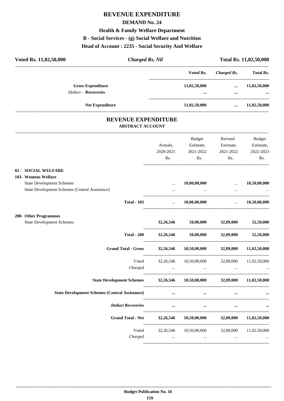# **REVENUE EXPENDITURE**

#### **DEMAND No. 24**

#### **Health & Family Welfare Department**

#### **B - Social Services - (g) Social Welfare and Nutrition**

#### **Head of Account : 2235 - Social Security And Welfare**

| <b>Charged Rs. Nil</b><br>Voted Rs. 11,02,50,000                                   |                      |                                                                                                     |                      | Total Rs. 11,02,50,000 |
|------------------------------------------------------------------------------------|----------------------|-----------------------------------------------------------------------------------------------------|----------------------|------------------------|
|                                                                                    |                      | Voted Rs.                                                                                           |                      | Charged Rs. Total Rs.  |
| <b>Gross Expenditure</b>                                                           |                      | 11,02,50,000                                                                                        |                      | $\dots$ 11,02,50,000   |
| Deduct - Recoveries                                                                |                      | $\cdots$                                                                                            | $\cdots$             |                        |
| <b>Net Expenditure</b>                                                             |                      | 11,02,50,000                                                                                        | $\cdots$             | 11,02,50,000           |
| <b>REVENUE EXPENDITURE</b><br><b>ABSTRACT ACCOUNT</b>                              |                      |                                                                                                     |                      |                        |
|                                                                                    |                      | Budget                                                                                              | Revised              | <b>Budget</b>          |
|                                                                                    | Actuals,             |                                                                                                     | Estimate, Estimate,  | Estimate,              |
|                                                                                    | 2020-2021            | 2021-2022                                                                                           | 2021-2022            | 2022-2023              |
|                                                                                    | Rs.                  | Rs.                                                                                                 | Rs.                  | Rs.                    |
| 02 - SOCIAL WELFARE<br>103- Womens Welfare                                         |                      |                                                                                                     |                      |                        |
| <b>State Development Schemes</b><br>State Development Schemes (Central Assistance) | $\cdots$<br>$\cdots$ | 10,00,00,000                                                                                        | $\ddots$             | 10,50,00,000           |
| <b>Total - 103</b>                                                                 | $\ddots$             | 10,00,00,000                                                                                        | <b>Sales Control</b> | 10,50,00,000           |
| 200- Other Programmes                                                              |                      |                                                                                                     |                      |                        |
| <b>State Development Schemes</b>                                                   |                      | 32,26,546 50,00,000 32,89,000                                                                       |                      | 52,50,000              |
| <b>Total - 200</b>                                                                 |                      | $32,26,546$ $50,00,000$ $32,89,000$                                                                 |                      | 52,50,000              |
| Grand Total - Gross 32,26,546 10,50,00,000 32,89,000 11,02,50,000                  |                      |                                                                                                     |                      |                        |
|                                                                                    |                      | Voted 32,26,546 10,50,00,000 32,89,000 11,02,50,000                                                 |                      |                        |
| Charged                                                                            |                      | $\mathbf{u}$ and $\mathbf{u}$ are $\mathbf{u}$ and $\mathbf{u}$ are $\mathbf{u}$ . The $\mathbf{u}$ | $\cdots$             |                        |
| State Development Schemes 32,26,546 10,50,00,000 32,89,000 11,02,50,000            |                      |                                                                                                     |                      |                        |
| <b>State Development Schemes (Central Assistance)</b>                              | $\cdots$             | $\cdots$                                                                                            | $\cdots$             |                        |
| <b>Deduct Recoveries</b>                                                           |                      | $\cdots$<br>$\cdots$                                                                                |                      |                        |
| Grand Total - Net 32,26,546 10,50,00,000 32,89,000 11,02,50,000                    |                      |                                                                                                     |                      |                        |
|                                                                                    |                      | Voted 32,26,546 10,50,00,000 32,89,000 11,02,50,000                                                 |                      |                        |

*Charged ... ... ... ...*

----------------------------------------------------------------------------------------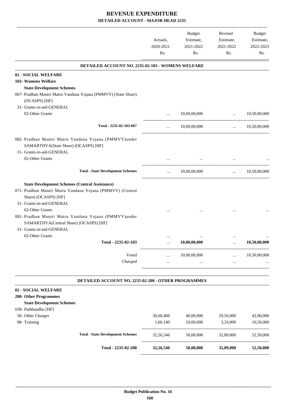|                                                                                                                                                                         | Actuals,<br>2020-2021<br>Rs. | Budget<br>Estimate,<br>2021-2022<br>Rs. | Revised<br>Estimate,<br>2021-2022<br>Rs.     | Budget<br>Estimate,<br>2022-2023<br>Rs. |
|-------------------------------------------------------------------------------------------------------------------------------------------------------------------------|------------------------------|-----------------------------------------|----------------------------------------------|-----------------------------------------|
| DETAILED ACCOUNT NO. 2235-02-103 - WOMENS WELFARE                                                                                                                       |                              |                                         |                                              |                                         |
| 02 - SOCIAL WELFARE                                                                                                                                                     |                              |                                         |                                              |                                         |
| 103- Womens Welfare                                                                                                                                                     |                              |                                         |                                              |                                         |
| <b>State Development Schemes</b>                                                                                                                                        |                              |                                         |                                              |                                         |
| 067- Pradhan Mantri Matru Vandana Yojana (PMMVY) (State Share)<br>(OCASPS) [HF]                                                                                         |                              |                                         |                                              |                                         |
| 31- Grants-in-aid-GENERAL                                                                                                                                               |                              |                                         |                                              |                                         |
| 02-Other Grants                                                                                                                                                         | $\cdots$                     | 10,00,00,000                            | $\mathbf{r}$                                 | 10,50,00,000                            |
| Total - 2235-02-103-067                                                                                                                                                 | $\cdots$                     | 10,00,00,000                            | ----------------------------------           | $\ldots$ 10,50,00,000                   |
| 082- Pradhan Mantri Matru Vandana Yojana (PMMVY)under<br>SAMARTHYA(State Share) (OCASPS) [HF]<br>31- Grants-in-aid-GENERAL                                              |                              |                                         |                                              |                                         |
| 02-Other Grants                                                                                                                                                         |                              | $\cdots$                                |                                              |                                         |
| <b>Total - State Development Schemes</b>                                                                                                                                |                              | $\ldots$ 10,00,00,000                   | $\mathbf{r}$ , and the state of $\mathbf{r}$ | 10,50,00,000                            |
| <b>State Development Schemes (Central Assistance)</b><br>071- Pradhan Mantri Matru Vandana Yojana (PMMVY) (Central<br>Share) (OCASPS) [HF]<br>31- Grants-in-aid-GENERAL |                              |                                         |                                              |                                         |
| 02-Other Grants<br>081- Pradhan Mantri Matru Vandana Yojana (PMMVY)under<br>SAMARTHYA(Central Share) (OCASPS) [HF]<br>31- Grants-in-aid-GENERAL                         |                              |                                         |                                              |                                         |
| 02-Other Grants                                                                                                                                                         |                              |                                         |                                              |                                         |
| Total - 2235-02-103                                                                                                                                                     |                              | $\ddotsc$<br>10,00,00,000               | $\ddotsc$                                    | 10,50,00,000                            |
| Voted                                                                                                                                                                   |                              | 10,00,00,000                            |                                              | 10,50,00,000                            |
| Charged                                                                                                                                                                 |                              |                                         |                                              |                                         |
|                                                                                                                                                                         |                              |                                         |                                              |                                         |

#### **DETAILED ACCOUNT NO. 2235-02-200 - OTHER PROGRAMMES .**

#### **02 - SOCIAL WELFARE**

#### **200- Other Programmes**

#### **State Development Schemes**

- 038- Pathbandhu [HF]
- 50- Other Charges
- 

|                      | Total - 2235-02-200                      | 32, 26, 546 | 50,00,000 | 32,89,000 | 52,50,000 |
|----------------------|------------------------------------------|-------------|-----------|-----------|-----------|
|                      | <b>Total - State Development Schemes</b> | 32, 26, 546 | 50,00,000 | 32,89,000 | 52,50,000 |
| 98- Training         |                                          | 1.66.140    | 10,00,000 | 3,33,000  | 10,50,000 |
| 50- Other Charges    |                                          | 30.60.406   | 40,00,000 | 29,56,000 | 42,00,000 |
| 038- Pathbandhu [HF] |                                          |             |           |           |           |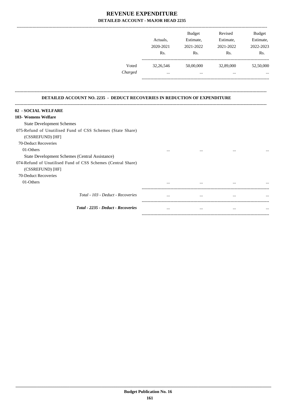|         |             | <b>Budget</b> | Revised   | <b>Budget</b> |
|---------|-------------|---------------|-----------|---------------|
|         | Actuals.    | Estimate,     | Estimate, | Estimate,     |
|         | 2020-2021   | 2021-2022     | 2021-2022 | 2022-2023     |
|         | Rs.         | Rs.           | Rs.       | Rs.           |
| Voted   | 32, 26, 546 | 50,00,000     | 32,89,000 | 52,50,000     |
| Charged |             |               | $\cdots$  | $\cdots$      |
|         |             |               |           |               |

**--------------------------------------------------------------------------------------------------------------------------------------------------------------------------------**

#### **DETAILED ACCOUNT NO. 2235 - DEDUCT RECOVERIES IN REDUCTION OF EXPENDITURE**

| 02 - SOCIAL WELFARE                                          |          |          |          |          |
|--------------------------------------------------------------|----------|----------|----------|----------|
| 103- Womens Welfare                                          |          |          |          |          |
| <b>State Development Schemes</b>                             |          |          |          |          |
| 075-Refund of Unutilised Fund of CSS Schemes (State Share)   |          |          |          |          |
| (CSSREFUND) [HF]                                             |          |          |          |          |
| 70-Deduct Recoveries                                         |          |          |          |          |
| 01-Others                                                    | $\cdots$ | $\cdots$ | $\cdots$ | $\cdots$ |
| State Development Schemes (Central Assistance)               |          |          |          |          |
| 074-Refund of Unutilised Fund of CSS Schemes (Central Share) |          |          |          |          |
| (CSSREFUND) [HF]                                             |          |          |          |          |
| 70-Deduct Recoveries                                         |          |          |          |          |
| 01-Others                                                    | $\cdots$ | $\cdots$ | $\cdots$ | $\cdots$ |
|                                                              |          |          |          |          |
| Total - 103 - Deduct - Recoveries                            | $\cdots$ | $\cdots$ | $\cdots$ | $\cdots$ |
|                                                              |          |          |          |          |
| Total - 2235 - Deduct - Recoveries                           | $\cdots$ | $\cdots$ | $\cdots$ | $\cdots$ |
|                                                              |          |          |          |          |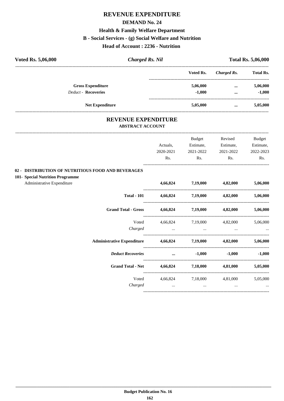# **REVENUE EXPENDITURE DEMAND No. 24 Health & Family Welfare Department B - Social Services - (g) Social Welfare and Nutrition Head of Account : 2236 - Nutrition**

| Voted Rs. 5,06,000                                                                     | <b>Charged Rs. Nil</b>                                |                            |                            |                                                              | <b>Total Rs. 5,06,000</b> |
|----------------------------------------------------------------------------------------|-------------------------------------------------------|----------------------------|----------------------------|--------------------------------------------------------------|---------------------------|
|                                                                                        |                                                       |                            | Voted Rs.                  | <b>Charged Rs.</b><br>-------------------------------------- | <b>Total Rs.</b>          |
|                                                                                        | <b>Gross Expenditure</b>                              |                            | 5,06,000                   | $\cdots$                                                     | 5,06,000                  |
|                                                                                        | Deduct - Recoveries                                   |                            | $-1,000$                   | $\cdots$                                                     | $-1,000$                  |
|                                                                                        | Net Expenditure                                       |                            | 5,05,000                   | $\cdots$                                                     | 5,05,000                  |
|                                                                                        | <b>REVENUE EXPENDITURE</b><br><b>ABSTRACT ACCOUNT</b> |                            |                            |                                                              |                           |
|                                                                                        |                                                       |                            | Budget                     | Revised                                                      | <b>Budget</b>             |
|                                                                                        |                                                       | Actuals,                   | Estimate,                  | Estimate,                                                    | Estimate,                 |
|                                                                                        |                                                       | 2020-2021                  | 2021-2022                  | 2021-2022                                                    | 2022-2023                 |
|                                                                                        |                                                       | Rs.                        | Rs.                        | Rs.                                                          | Rs.                       |
| 02 - DISTRIBUTION OF NUTRITIOUS FOOD AND BEVERAGES<br>101- Special Nutrition Programme |                                                       |                            |                            |                                                              |                           |
| Administrative Expenditure                                                             |                                                       | 4,66,824                   | 7,19,000 4,82,000          |                                                              | 5,06,000                  |
|                                                                                        | <b>Total - 101</b>                                    |                            | 4,66,824 7,19,000 4,82,000 |                                                              | 5,06,000                  |
|                                                                                        | <b>Grand Total - Gross</b>                            | 4,66,824 7,19,000 4,82,000 |                            |                                                              | 5,06,000                  |
|                                                                                        | Voted                                                 |                            | 4,66,824 7,19,000          | 4,82,000                                                     | 5,06,000                  |
|                                                                                        | Charged                                               | <b>Contract Contract</b>   | $\cdots$                   |                                                              |                           |
|                                                                                        | <b>Administrative Expenditure</b>                     | 4,66,824 7,19,000 4,82,000 |                            |                                                              | 5,06,000                  |
|                                                                                        | <b>Deduct Recoveries</b>                              | $\cdots$                   |                            | $-1,000$ $-1,000$                                            | $-1,000$                  |
|                                                                                        | <b>Grand Total - Net</b>                              |                            | 4,66,824 7,18,000          | 4,81,000                                                     | 5,05,000                  |
|                                                                                        | Voted                                                 | 4,66,824                   | 7,18,000                   | 4,81,000                                                     | 5,05,000                  |
|                                                                                        | Charged                                               | $\cdots$                   | $\cdots$                   | $\cdots$                                                     |                           |

----------------------------------------------------------------------------------------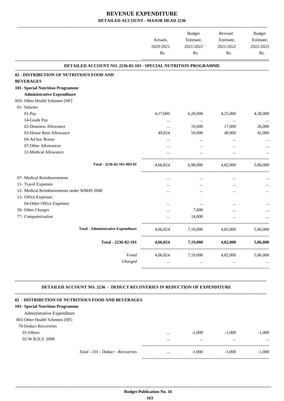|                                                                                                                                                                                                                                                                   | Actuals,<br>2020-2021<br>Rs. | <b>Budget</b><br>Estimate,<br>2021-2022<br>Rs. | Revised<br>Estimate,<br>2021-2022<br>Rs. | Budget<br>Estimate,<br>2022-2023<br>Rs. |
|-------------------------------------------------------------------------------------------------------------------------------------------------------------------------------------------------------------------------------------------------------------------|------------------------------|------------------------------------------------|------------------------------------------|-----------------------------------------|
| DETAILED ACCOUNT NO. 2236-02-101 - SPECIAL NUTRITION PROGRAMME                                                                                                                                                                                                    |                              |                                                |                                          |                                         |
| 02 - DISTRIBUTION OF NUTRITIOUS FOOD AND                                                                                                                                                                                                                          |                              |                                                |                                          |                                         |
| <b>BEVERAGES</b>                                                                                                                                                                                                                                                  |                              |                                                |                                          |                                         |
| 101- Special Nutrition Programme                                                                                                                                                                                                                                  |                              |                                                |                                          |                                         |
| <b>Administrative Expenditure</b>                                                                                                                                                                                                                                 |                              |                                                |                                          |                                         |
| 003- Other Health Schemes [HF]                                                                                                                                                                                                                                    |                              |                                                |                                          |                                         |
| 01- Salaries                                                                                                                                                                                                                                                      |                              |                                                |                                          |                                         |
| 01-Pay                                                                                                                                                                                                                                                            | 4,17,000                     | 6,20,000                                       | 4,25,000                                 | 4,38,000                                |
| 14-Grade Pay                                                                                                                                                                                                                                                      | $\cdots$                     | $\cdots$                                       | $\cdots$                                 |                                         |
| 02-Dearness Allowance                                                                                                                                                                                                                                             | $\cdots$                     | 19,000                                         | 17,000                                   | 26,000                                  |
| 03-House Rent Allowance                                                                                                                                                                                                                                           | 49,824                       | 59,000                                         | 40,000                                   | 42,000                                  |
| 04-Ad hoc Bonus                                                                                                                                                                                                                                                   | $\ddotsc$                    | $\cdots$                                       | $\cdots$                                 |                                         |
| 07-Other Allowances                                                                                                                                                                                                                                               | $\ddotsc$                    | $\cdots$                                       | $\cdots$                                 |                                         |
| 12-Medical Allowance                                                                                                                                                                                                                                              |                              | $\cdots$                                       |                                          |                                         |
|                                                                                                                                                                                                                                                                   |                              |                                                |                                          |                                         |
| Total - 2236-02-101-003-01                                                                                                                                                                                                                                        | 4,66,824                     |                                                | 6,98,000 4,82,000                        | 5,06,000                                |
| 07- Medical Reimbursements                                                                                                                                                                                                                                        | $\cdots$                     | $\cdots$                                       | $\cdots$                                 |                                         |
| 11- Travel Expenses                                                                                                                                                                                                                                               | $\ddotsc$                    | $\cdots$                                       | $\cdots$                                 |                                         |
| 12- Medical Reimbursements under WBHS 2008                                                                                                                                                                                                                        |                              |                                                |                                          |                                         |
| 13- Office Expenses                                                                                                                                                                                                                                               |                              |                                                |                                          |                                         |
| 04-Other Office Expenses                                                                                                                                                                                                                                          |                              | $\cdots$                                       |                                          |                                         |
| 50- Other Charges                                                                                                                                                                                                                                                 |                              | 7,000                                          |                                          |                                         |
| 77- Computerisation                                                                                                                                                                                                                                               |                              | 14,000                                         |                                          |                                         |
| <b>Total - Administrative Expenditure</b>                                                                                                                                                                                                                         | 4,66,824                     |                                                | 7,19,000 4,82,000                        | 5,06,000                                |
| Total - 2236-02-101                                                                                                                                                                                                                                               | 4,66,824                     | 7,19,000                                       | 4,82,000                                 | 5,06,000                                |
| Voted                                                                                                                                                                                                                                                             |                              | 4,66,824 7,19,000                              | 4,82,000                                 | 5,06,000                                |
| Charged                                                                                                                                                                                                                                                           | $\cdots$                     | $\cdots$                                       | $\cdots$                                 |                                         |
| <b>DETAILED ACCOUNT NO. 2236 - DEDUCT RECOVERIES IN REDUCTION OF EXPENDITURE</b><br>02 - DISTRIBUTION OF NUTRITIOUS FOOD AND BEVERAGES<br>101- Special Nutrition Programme<br>Administrative Expenditure<br>003-Other Health Schemes [HF]<br>70-Deduct Recoveries |                              |                                                |                                          |                                         |
|                                                                                                                                                                                                                                                                   |                              |                                                |                                          |                                         |
| 01-Others                                                                                                                                                                                                                                                         | $\cdots$                     | $-1,000$                                       | $-1,000$                                 | $-1,000$                                |

02-W.B.H.S. 2008 ... ... ... ...

----------------------------------------------------------------------------------------- *Total - 101 - Deduct - Recoveries* ... -1,000 -1,000 -1,000 -----------------------------------------------------------------------------------------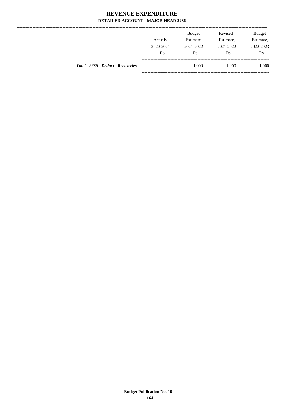--------------

|                                    | Actuals,<br>2020-2021<br>Rs. | <b>Budget</b><br>Estimate,<br>2021-2022<br>Rs. | Revised<br>Estimate,<br>2021-2022<br>Rs. | <b>Budget</b><br>Estimate,<br>2022-2023<br>Rs. |
|------------------------------------|------------------------------|------------------------------------------------|------------------------------------------|------------------------------------------------|
| Total - 2236 - Deduct - Recoveries | $\cdots$                     | $-1,000$                                       | $-1.000$                                 | $-1,000$                                       |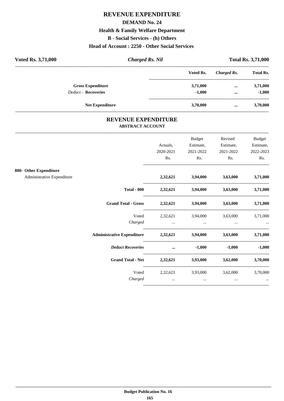### **REVENUE EXPENDITURE**

#### **DEMAND No. 24**

# **Health & Family Welfare Department**

**B** - Social Services - (h) Others

# Head of Account: 2250 - Other Social Services

| <b>Voted Rs. 3,71,000</b>  | Charged Rs. Nil |           |             |                  |
|----------------------------|-----------------|-----------|-------------|------------------|
|                            |                 | Voted Rs. | Charged Rs. | <b>Total Rs.</b> |
| <b>Gross Expenditure</b>   |                 | 3,71,000  | $\cdots$    | 3,71,000         |
| <b>Deduct - Recoveries</b> |                 | $-1.000$  | $\cdots$    | $-1,000$         |
| <b>Net Expenditure</b>     |                 | 3,70,000  | $\cdots$    | 3,70,000         |

#### REVENUE EXPENDITURE **ABSTRACT ACCOUNT**

|                                                      |                                                                | Actuals,<br>2020-2021<br>Rs. | Budget<br>Estimate,<br>2021-2022<br>Rs.                                                                                                    | Revised<br>Estimate,<br>2021-2022<br>Rs. | <b>Budget</b><br>Estimate,<br>2022-2023<br>Rs. |
|------------------------------------------------------|----------------------------------------------------------------|------------------------------|--------------------------------------------------------------------------------------------------------------------------------------------|------------------------------------------|------------------------------------------------|
| 800- Other Expenditure<br>Administrative Expenditure |                                                                |                              | 2,32,621 3,94,000 3,63,000 3,71,000                                                                                                        |                                          |                                                |
|                                                      |                                                                |                              | Total - 800 2,32,621 3,94,000 3,63,000 3,71,000                                                                                            |                                          |                                                |
|                                                      | Grand Total - Gross 2,32,621 3,94,000 3,63,000 3,71,000        |                              |                                                                                                                                            |                                          |                                                |
|                                                      | Voted<br>Charged                                               |                              | 2,32,621 3,94,000 3,63,000 3,71,000<br>the contract of the contract of the contract of the contract of the contract of the contract of the |                                          |                                                |
|                                                      | Administrative Expenditure 2,32,621 3,94,000 3,63,000 3,71,000 |                              |                                                                                                                                            |                                          |                                                |
|                                                      | <b>Deduct Recoveries</b>                                       |                              | $\dots$ -1,000                                                                                                                             |                                          | $-1,000$ $-1,000$                              |
|                                                      | Grand Total - Net 2,32,621 3,93,000 3,62,000 3,70,000          |                              |                                                                                                                                            |                                          |                                                |
|                                                      | Charged                                                        | $\cdots$                     | Voted 2,32,621 3,93,000 3,62,000 3,70,000<br>$\cdots$                                                                                      | $\cdots$                                 |                                                |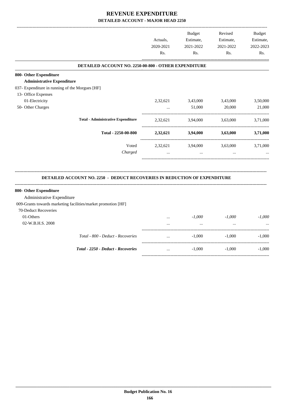|                                                                                  | Actuals,<br>2020-2021 | <b>Budget</b><br>Estimate,<br>2021-2022 | Revised<br>Estimate,<br>2021-2022 | <b>Budget</b><br>Estimate,<br>2022-2023 |
|----------------------------------------------------------------------------------|-----------------------|-----------------------------------------|-----------------------------------|-----------------------------------------|
|                                                                                  | Rs.                   | Rs.                                     | Rs.                               | Rs.                                     |
| DETAILED ACCOUNT NO. 2250-00-800 - OTHER EXPENDITURE                             |                       |                                         |                                   |                                         |
| 800- Other Expenditure                                                           |                       |                                         |                                   |                                         |
| <b>Administrative Expenditure</b>                                                |                       |                                         |                                   |                                         |
| 037- Expenditure in running of the Morgues [HF]                                  |                       |                                         |                                   |                                         |
| 13- Office Expenses                                                              |                       |                                         |                                   |                                         |
| 01-Electricity                                                                   | 2,32,621              | 3,43,000                                | 3,43,000                          | 3,50,000                                |
| 50- Other Charges                                                                | $\cdots$              | 51,000                                  | 20,000                            | 21,000                                  |
| <b>Total - Administrative Expenditure</b>                                        | 2,32,621              | 3,94,000                                | 3,63,000                          | 3,71,000                                |
| Total - 2250-00-800                                                              | 2,32,621              | 3,94,000                                | 3,63,000                          | 3,71,000                                |
| Voted                                                                            | 2,32,621              | 3,94,000                                | 3,63,000                          | 3,71,000                                |
| Charged                                                                          |                       |                                         |                                   |                                         |
| <b>DETAILED ACCOUNT NO. 2250 - DEDUCT RECOVERIES IN REDUCTION OF EXPENDITURE</b> |                       |                                         |                                   |                                         |
| 800- Other Expenditure                                                           |                       |                                         |                                   |                                         |
| Administrative Expenditure                                                       |                       |                                         |                                   |                                         |
| 009-Grants towards marketing facilities/market promotion [HF]                    |                       |                                         |                                   |                                         |
| 70-Deduct Recoveries                                                             |                       |                                         |                                   |                                         |
| 01-Others                                                                        | $\cdots$              | $-1,000$                                | $-1,000$                          | $-1,000$                                |
| 02-W.B.H.S. 2008                                                                 |                       | $\ddots$                                | $\ldots$                          |                                         |
| Total - 800 - Deduct - Recoveries                                                | $\cdots$              | $-1,000$                                | $-1,000$                          | $-1,000$                                |
| Total - 2250 - Deduct - Recoveries                                               | $\cdots$              | $-1,000$                                | $-1,000$                          | $-1,000$                                |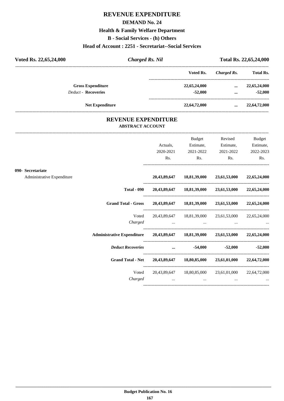# **REVENUE EXPENDITURE**

#### **DEMAND No. 24**

# **Health & Family Welfare Department**

**B - Social Services - (h) Others**

#### **Head of Account : 2251 - Secretariat--Social Services**

| <b>Charged Rs. Nil</b> |              |             | Total Rs. 22,65,24,000 |
|------------------------|--------------|-------------|------------------------|
|                        | Voted Rs.    | Charged Rs. | <b>Total Rs.</b>       |
|                        | 22,65,24,000 | $\cdots$    | 22,65,24,000           |
|                        | $-52,000$    | $\cdots$    | $-52,000$              |
|                        | 22,64,72,000 |             | 22,64,72,000           |
|                        |              |             |                        |

#### **REVENUE EXPENDITURE ABSTRACT ACCOUNT**

---------------------------------------------------------------------------------------------------------------------------------------------------------------------------------

|                                                 | Actuals,<br>2020-2021               | <b>Budget</b><br>Estimate,<br>2021-2022 | Revised                      | <b>Budget</b><br>Estimate,<br>2022-2023                                                                                                                                                                                                                                                                                                                                                                                                                                                                                                                                                                                                                                                                                                                                                                                                                                            |
|-------------------------------------------------|-------------------------------------|-----------------------------------------|------------------------------|------------------------------------------------------------------------------------------------------------------------------------------------------------------------------------------------------------------------------------------------------------------------------------------------------------------------------------------------------------------------------------------------------------------------------------------------------------------------------------------------------------------------------------------------------------------------------------------------------------------------------------------------------------------------------------------------------------------------------------------------------------------------------------------------------------------------------------------------------------------------------------|
|                                                 | Rs.                                 |                                         |                              | Rs.                                                                                                                                                                                                                                                                                                                                                                                                                                                                                                                                                                                                                                                                                                                                                                                                                                                                                |
|                                                 |                                     |                                         |                              |                                                                                                                                                                                                                                                                                                                                                                                                                                                                                                                                                                                                                                                                                                                                                                                                                                                                                    |
|                                                 |                                     |                                         |                              |                                                                                                                                                                                                                                                                                                                                                                                                                                                                                                                                                                                                                                                                                                                                                                                                                                                                                    |
|                                                 |                                     |                                         |                              |                                                                                                                                                                                                                                                                                                                                                                                                                                                                                                                                                                                                                                                                                                                                                                                                                                                                                    |
|                                                 |                                     |                                         |                              |                                                                                                                                                                                                                                                                                                                                                                                                                                                                                                                                                                                                                                                                                                                                                                                                                                                                                    |
| Voted<br>Charged                                |                                     |                                         |                              |                                                                                                                                                                                                                                                                                                                                                                                                                                                                                                                                                                                                                                                                                                                                                                                                                                                                                    |
|                                                 |                                     |                                         |                              |                                                                                                                                                                                                                                                                                                                                                                                                                                                                                                                                                                                                                                                                                                                                                                                                                                                                                    |
|                                                 |                                     |                                         |                              | $-52,000$ $-52,000$                                                                                                                                                                                                                                                                                                                                                                                                                                                                                                                                                                                                                                                                                                                                                                                                                                                                |
|                                                 |                                     |                                         |                              |                                                                                                                                                                                                                                                                                                                                                                                                                                                                                                                                                                                                                                                                                                                                                                                                                                                                                    |
| Voted<br>Charged                                | and the contract of the contract of |                                         | $\cdots$                     |                                                                                                                                                                                                                                                                                                                                                                                                                                                                                                                                                                                                                                                                                                                                                                                                                                                                                    |
| 090- Secretariate<br>Administrative Expenditure |                                     |                                         | and the contract of the con- | Estimate,<br>2021-2022<br>Rs.<br>$\mathbf{Rs.}$<br>20,43,89,647 18,81,39,000 23,61,53,000 22,65,24,000<br>Total - 090 20,43,89,647 18,81,39,000 23,61,53,000 22,65,24,000<br>Grand Total - Gross 20,43,89,647 18,81,39,000 23,61,53,000 22,65,24,000<br>20,43,89,647 18,81,39,000 23,61,53,000 22,65,24,000<br>the contract of the contract of the contract of the contract of the contract of the contract of the contract of<br>Administrative Expenditure 20,43,89,647 18,81,39,000 23,61,53,000 22,65,24,000<br>Deduct Recoveries and the settlement of the settlement of the settlement of the settlement of the settlement of the settlement of the settlement of the settlement of the settlement of the settlement of the settlement of th<br>Grand Total - Net 20,43,89,647 18,80,85,000 23,61,01,000 22,64,72,000<br>20,43,89,647 18,80,85,000 23,61,01,000 22,64,72,000 |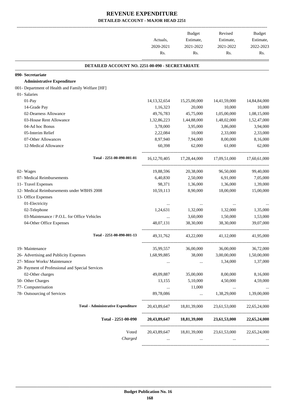|                                                                   | Actuals,<br>2020-2021<br>Rs. | Budget<br>Estimate,<br>2021-2022<br>Rs. | Revised<br>Estimate,<br>2021-2022<br>Rs.            | Budget<br>Estimate,<br>2022-2023<br>Rs. |
|-------------------------------------------------------------------|------------------------------|-----------------------------------------|-----------------------------------------------------|-----------------------------------------|
|                                                                   |                              |                                         |                                                     |                                         |
| DETAILED ACCOUNT NO. 2251-00-090 - SECRETARIATE                   |                              |                                         |                                                     |                                         |
| 090- Secretariate                                                 |                              |                                         |                                                     |                                         |
| <b>Administrative Expenditure</b>                                 |                              |                                         |                                                     |                                         |
| 001- Department of Health and Family Welfare [HF]<br>01- Salaries |                              |                                         |                                                     |                                         |
| 01-Pay                                                            | 14, 13, 32, 654              | 15,25,00,000                            | 14,41,59,000                                        |                                         |
| 14-Grade Pay                                                      | 1,16,323                     | 20,000                                  | 10,000                                              | 14,84,84,000<br>10,000                  |
| 02-Dearness Allowance                                             | 49,76,783                    | 45,75,000                               | 1,05,00,000                                         | 1,08,15,000                             |
| 03-House Rent Allowance                                           | 1,32,86,223                  | 1,44,88,000                             | 1,48,02,000                                         |                                         |
| 04-Ad hoc Bonus                                                   | 3,78,000                     | 3,95,000                                | 3,86,000                                            | 1,52,47,000<br>3,94,000                 |
| 05-Interim Relief                                                 | 2,22,084                     | 10,000                                  | 2,33,000                                            | 2,33,000                                |
| 07-Other Allowances                                               | 8,97,940                     | 7,94,000                                | 8,00,000                                            | 8,16,000                                |
| 12-Medical Allowance                                              | 60,398                       | 62,000                                  | 61,000                                              | 62,000                                  |
|                                                                   |                              |                                         |                                                     |                                         |
| Total - 2251-00-090-001-01                                        | 16, 12, 70, 405              | 17,28,44,000                            | 17,09,51,000                                        | 17.60.61.000                            |
| 02- Wages                                                         | 19,88,596                    | 20,38,000                               | 96,50,000                                           | 99,40,000                               |
| 07- Medical Reimbursements                                        | 6,40,830                     | 2,50,000                                | 6,91,000                                            | 7,05,000                                |
| 11- Travel Expenses                                               | 98,371                       | 1,36,000                                | 1,36,000                                            | 1,39,000                                |
| 12- Medical Reimbursements under WBHS 2008                        | 10,59,113                    | 8,90,000                                | 18,00,000                                           | 15,00,000                               |
| 13- Office Expenses                                               |                              |                                         |                                                     |                                         |
| 01-Electricity                                                    | $\cdots$                     |                                         |                                                     |                                         |
| 02-Telephone                                                      | 1,24,631                     | 1,32,000                                | 1,32,000                                            | 1,35,000                                |
| 03-Maintenance / P.O.L. for Office Vehicles                       | $\cdots$                     | 3,60,000                                | 1,50,000                                            | 1,53,000                                |
| 04-Other Office Expenses                                          | 48,07,131                    | 38,30,000                               | 38,30,000                                           | 39,07,000                               |
| Total - 2251-00-090-001-13                                        | 49, 31, 762                  | 43,22,000                               | 41,12,000                                           | 41,95,000                               |
| 19- Maintenance                                                   | 35,99,557                    | 36,00,000                               | 36,00,000                                           | 36,72,000                               |
| 26- Advertising and Publicity Expenses                            | 1,68,99,885                  | 38,000                                  | 3,00,00,000                                         | 1,50,00,000                             |
| 27- Minor Works/ Maintenance                                      | $\ldots$                     | $\cdots$                                | 1,34,000                                            | 1,37,000                                |
| 28- Payment of Professional and Special Services                  |                              |                                         |                                                     |                                         |
| 02-Other charges                                                  | 49,09,887                    | 35,00,000                               | 8,00,000                                            | 8,16,000                                |
| 50- Other Charges                                                 | 13,155                       | 5,10,000                                | 4,50,000                                            | 4,59,000                                |
| 77- Computerisation                                               | $\cdots$                     | 11,000                                  | $\cdots$                                            |                                         |
| 78- Outsourcing of Services                                       | 89,78,086                    | $\cdots$                                | 1,38,29,000                                         | 1,39,00,000                             |
| <b>Total - Administrative Expenditure</b>                         |                              |                                         | 20,43,89,647 18,81,39,000 23,61,53,000 22,65,24,000 |                                         |
| Total - 2251-00-090                                               |                              |                                         | 20,43,89,647 18,81,39,000 23,61,53,000 22,65,24,000 |                                         |
| Voted                                                             |                              |                                         | 20,43,89,647 18,81,39,000 23,61,53,000              | 22,65,24,000                            |
| Charged                                                           |                              | $\cdots$                                |                                                     |                                         |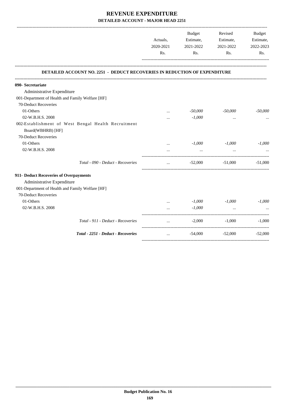|                                                                                  | Actuals,<br>2020-2021<br>Rs. | Estimate,<br>2021-2022<br>Rs. | Revised<br>Estimate,<br>2021-2022<br>Rs. | <b>Budget</b><br>Estimate,<br>2022-2023<br>Rs. |
|----------------------------------------------------------------------------------|------------------------------|-------------------------------|------------------------------------------|------------------------------------------------|
| <b>DETAILED ACCOUNT NO. 2251 - DEDUCT RECOVERIES IN REDUCTION OF EXPENDITURE</b> |                              |                               |                                          |                                                |
| 090- Secretariate                                                                |                              |                               |                                          |                                                |
| Administrative Expenditure                                                       |                              |                               |                                          |                                                |
| 001-Department of Health and Family Welfare [HF]                                 |                              |                               |                                          |                                                |
| 70-Deduct Recoveries                                                             |                              |                               |                                          |                                                |
| 01-Others                                                                        |                              | $-50,000$                     | $-50,000$                                | $-50,000$                                      |
| 02-W.B.H.S. 2008                                                                 | $\ddotsc$                    | $-1,000$                      | $\cdots$                                 |                                                |
| 002-Establishment of West Bengal Health Recruitment<br>Board(WBHRB) [HF]         |                              |                               |                                          |                                                |
| 70-Deduct Recoveries                                                             |                              |                               |                                          |                                                |
| 01-Others                                                                        | $\cdots$                     | $-1,000$                      | $-1,000$                                 | $-1,000$                                       |
| 02-W.B.H.S. 2008                                                                 |                              | $\cdots$                      | $\ddotsc$                                |                                                |
| Total - 090 - Deduct - Recoveries                                                | $\ddotsc$                    | $-52,000$                     | $-51,000$                                | $-51,000$                                      |
| 911- Deduct Recoveries of Overpayments                                           |                              |                               |                                          |                                                |
| Administrative Expenditure                                                       |                              |                               |                                          |                                                |
| 001-Department of Health and Family Welfare [HF]                                 |                              |                               |                                          |                                                |
| 70-Deduct Recoveries                                                             |                              |                               |                                          |                                                |
| 01-Others                                                                        | $\cdots$                     | $-1,000$                      | $-1.000$                                 | $-1.000$                                       |
| 02-W.B.H.S. 2008                                                                 |                              | $-1,000$                      | $\cdots$                                 |                                                |
| Total - 911 - Deduct - Recoveries                                                | $\cdots$                     | $-2,000$                      | $-1,000$                                 | $-1,000$                                       |
| Total - 2251 - Deduct - Recoveries                                               | $\ddotsc$                    | $-54,000$                     | $-52,000$                                | $-52,000$                                      |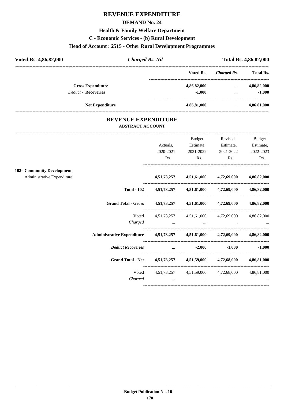### **REVENUE EXPENDITURE**

#### **DEMAND No. 24**

#### **Health & Family Welfare Department**

#### **C - Economic Services - (b) Rural Development**

# **Head of Account : 2515 - Other Rural Development Programmes**

| Voted Rs. 4,86,82,000      | <b>Charged Rs. Nil</b> |             | <b>Total Rs. 4,86,82,000</b> |                  |  |
|----------------------------|------------------------|-------------|------------------------------|------------------|--|
|                            |                        | Voted Rs.   | Charged Rs.                  | <b>Total Rs.</b> |  |
| <b>Gross Expenditure</b>   |                        | 4,86,82,000 |                              | 4,86,82,000      |  |
| <b>Deduct - Recoveries</b> |                        | $-1,000$    | $\cdots$                     | $-1,000$         |  |
|                            | <b>Net Expenditure</b> | 4,86,81,000 |                              | 4,86,81,000      |  |

#### **REVENUE EXPENDITURE ABSTRACT ACCOUNT**

---------------------------------------------------------------------------------------------------------------------------------------------------------------------------------

|                                                                            |                                                                                 | Budget    | Revised                                         | Budget            |
|----------------------------------------------------------------------------|---------------------------------------------------------------------------------|-----------|-------------------------------------------------|-------------------|
|                                                                            | Actuals,                                                                        | Estimate, | Estimate,                                       | Estimate,         |
|                                                                            | 2020-2021                                                                       | 2021-2022 | 2021-2022                                       | 2022-2023         |
|                                                                            | Rs.                                                                             | Rs.       | Rs.                                             | Rs.               |
| 102- Community Development                                                 |                                                                                 |           |                                                 |                   |
| Administrative Expenditure                                                 |                                                                                 |           | 4,51,73,257 4,51,61,000 4,72,69,000 4,86,82,000 |                   |
|                                                                            | Total - 102 4,51,73,257 4,51,61,000 4,72,69,000 4,86,82,000                     |           |                                                 |                   |
| Grand Total - Gross 4,51,73,257 4,51,61,000 4,72,69,000 4,86,82,000        |                                                                                 |           |                                                 |                   |
| Voted                                                                      |                                                                                 |           | 4,51,73,257 4,51,61,000 4,72,69,000 4,86,82,000 |                   |
| Charged                                                                    | the contract of the contract of the contract of the contract of the contract of |           |                                                 |                   |
| Administrative Expenditure 4,51,73,257 4,51,61,000 4,72,69,000 4,86,82,000 |                                                                                 |           |                                                 |                   |
| Deduct Recoveries  2,000                                                   |                                                                                 |           |                                                 | $-1,000$ $-1,000$ |
| Grand Total - Net 4,51,73,257 4,51,59,000 4,72,68,000 4,86,81,000          |                                                                                 |           |                                                 |                   |
| Voted                                                                      |                                                                                 |           | 4,51,73,257 4,51,59,000 4,72,68,000 4,86,81,000 |                   |
| Charged                                                                    | $\cdots$                                                                        | $\cdots$  | $\cdots$                                        |                   |
|                                                                            |                                                                                 |           |                                                 |                   |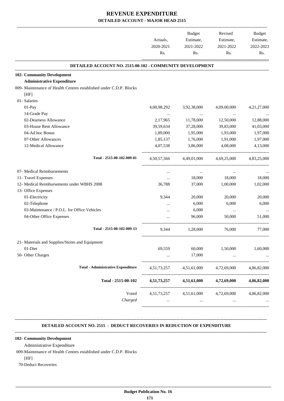|                                                                            | Actuals,       | <b>Budget</b><br>Estimate, | Revised<br>Estimate,                | <b>Budget</b><br>Estimate, |
|----------------------------------------------------------------------------|----------------|----------------------------|-------------------------------------|----------------------------|
|                                                                            | 2020-2021      | 2021-2022                  | 2021-2022                           | 2022-2023                  |
|                                                                            | Rs.            | Rs.                        | Rs.                                 | Rs.                        |
| DETAILED ACCOUNT NO. 2515-00-102 - COMMUNITY DEVELOPMENT                   |                |                            |                                     |                            |
| 102- Community Development                                                 |                |                            |                                     |                            |
| <b>Administrative Expenditure</b>                                          |                |                            |                                     |                            |
| 009- Maintenance of Health Centres established under C.D.P. Blocks<br>[HF] |                |                            |                                     |                            |
| 01-Salaries                                                                |                |                            |                                     |                            |
| 01-Pay                                                                     | 4,00,98,292    | 3,92,38,000                | 4,09,00,000                         | 4,21,27,000                |
| 14-Grade Pay                                                               |                |                            |                                     |                            |
| 02-Dearness Allowance                                                      | 2,17,965       | 11,78,000                  | 12,50,000                           | 12,88,000                  |
| 03-House Rent Allowance                                                    | 39,59,634      | 37,28,000                  | 39,83,000                           | 41,03,000                  |
| 04-Ad hoc Bonus                                                            | 1,89,000       | 1,95,000                   | 1,93,000                            | 1,97,000                   |
| 07-Other Allowances                                                        | 1,85,137       | 1,76,000                   | 1,91,000                            | 1,97,000                   |
| 12-Medical Allowance                                                       | 4,07,538       | 3,86,000                   | 4,08,000                            | 4,13,000                   |
| Total - 2515-00-102-009-01                                                 | 4,50,57,566    | 4,49,01,000                | 4,69,25,000                         | 4,83,25,000                |
| 07- Medical Reimbursements                                                 | $\cdots$       | $\cdots$                   | $\cdots$                            |                            |
| 11- Travel Expenses                                                        | $\cdots$       | 18,000                     | 18,000                              | 18,000                     |
| 12- Medical Reimbursements under WBHS 2008                                 | 36,788         | 37,000                     | 1,00,000                            | 1,02,000                   |
| 13- Office Expenses                                                        |                |                            |                                     |                            |
| 01-Electricity                                                             | 9,344          | 20,000                     | 20,000                              | 20,000                     |
| 02-Telephone                                                               |                | 6,000                      | 6,000                               | 6,000                      |
| 03-Maintenance / P.O.L. for Office Vehicles                                |                | 6,000                      | $\ldots$                            |                            |
| 04-Other Office Expenses                                                   |                | 96,000                     | 50,000                              | 51,000                     |
| Total - 2515-00-102-009-13                                                 | 9,344          | 1,28,000                   | 76,000                              | 77,000                     |
| 21- Materials and Supplies/Stores and Equipment                            |                |                            |                                     |                            |
| 01-Diet                                                                    | 69,559         | 60,000                     | 1,50,000                            | 1,60,000                   |
| 50- Other Charges                                                          |                | 17,000                     | $\cdots$                            |                            |
| <b>Total - Administrative Expenditure</b>                                  | 4, 51, 73, 257 | 4,51,61,000                | 4,72,69,000                         | 4,86,82,000                |
| Total - 2515-00-102                                                        | 4,51,73,257    | 4,51,61,000                | 4,72,69,000                         | 4,86,82,000                |
| Voted                                                                      |                |                            | 4,51,73,257 4,51,61,000 4,72,69,000 | 4,86,82,000                |
| Charged                                                                    |                | $\cdots$                   | $\cdots$                            |                            |

#### **DETAILED ACCOUNT NO. 2515 - DEDUCT RECOVERIES IN REDUCTION OF EXPENDITURE**

**--------------------------------------------------------------------------------------------------------------------------------------------------------------------------------**

#### **-------------------------------------------------------------------------------------------------------------------------------------------------------------------------------- 102- Community Development**

Administrative Expenditure

009-Maintenance of Health Centres established under C.D.P. Blocks

[HF]

70-Deduct Recoveries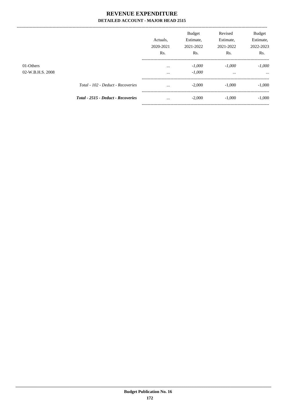|                               |                                    | Actuals.<br>2020-2021<br>Rs. | <b>Budget</b><br>Estimate,<br>2021-2022<br>Rs. | Revised<br>Estimate,<br>2021-2022<br>Rs. | Budget<br>Estimate,<br>2022-2023<br>Rs. |
|-------------------------------|------------------------------------|------------------------------|------------------------------------------------|------------------------------------------|-----------------------------------------|
| 01-Others<br>02-W.B.H.S. 2008 |                                    | $\cdots$<br>$\cdots$         | $-1,000$<br>$-1,000$                           | $-1.000$<br>$\cdots$                     | $-1,000$<br>$\cdots$                    |
|                               | Total - 102 - Deduct - Recoveries  | $\cdots$                     | $-2,000$                                       | $-1.000$                                 | $-1,000$                                |
|                               | Total - 2515 - Deduct - Recoveries | $\cdots$                     | $-2,000$                                       | $-1,000$                                 | $-1,000$                                |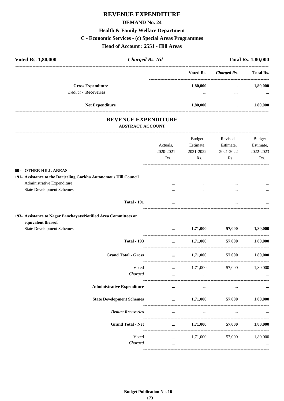# REVENUE EXPENDITURE **DEMAND No. 24 Health & Family Welfare Department** C - Economic Services - (c) Special Areas Programmes Head of Account: 2551 - Hill Areas

| Voted Rs. 1,80,000 |                            | <b>Charged Rs. Nil</b>                                | <b>Total Rs. 1,80,000</b> |             |                  |
|--------------------|----------------------------|-------------------------------------------------------|---------------------------|-------------|------------------|
|                    |                            |                                                       | Voted Rs.                 | Charged Rs. | <b>Total Rs.</b> |
|                    | <b>Gross Expenditure</b>   |                                                       | 1,80,000                  | $\cdots$    | 1,80,000         |
|                    | <b>Deduct - Recoveries</b> |                                                       | $\cdots$                  | $\cdots$    | $\cdots$         |
|                    | <b>Net Expenditure</b>     |                                                       | 1,80,000                  | $\cdots$    | 1,80,000         |
|                    |                            | <b>REVENUE EXPENDITURE</b><br><b>ABSTRACT ACCOUNT</b> |                           |             |                  |
|                    |                            |                                                       | <b>Budget</b>             | Revised     | Budget           |
|                    |                            | Actuals.                                              | Estimate,                 | Estimate,   | Estimate,        |

| <b>60 - OTHER HILL AREAS</b>                    |
|-------------------------------------------------|
| 191- Assistance to the Darjeeling Gorkha Autono |

| 191- Assistance to the Darjeeling Gorkha Autonomous Hill Council |          |          |          |          |
|------------------------------------------------------------------|----------|----------|----------|----------|
| Administrative Expenditure                                       | $\cdots$ | $\cdots$ | $\cdots$ | $\cdots$ |
| <b>State Development Schemes</b>                                 |          | $\cdots$ | $\cdots$ | $\cdots$ |
|                                                                  |          |          |          |          |
| <b>Total - 191</b>                                               | $\cdots$ | $\cdots$ | $\cdots$ | $\cdots$ |

# 193- Assistance to Nagar Panchayats/Notified Area Committees or

| equivalent thereof               |
|----------------------------------|
| <b>State Development Schemes</b> |

|                                   | $\cdots$                                                                                                                                                                                                                             |                                                                                                                  | $1,71,000$ $57,000$                                                                                                                                                                                                                  | 1,80,000 |
|-----------------------------------|--------------------------------------------------------------------------------------------------------------------------------------------------------------------------------------------------------------------------------------|------------------------------------------------------------------------------------------------------------------|--------------------------------------------------------------------------------------------------------------------------------------------------------------------------------------------------------------------------------------|----------|
| <b>Total - 193</b>                |                                                                                                                                                                                                                                      |                                                                                                                  | $1,71,000$ 57,000                                                                                                                                                                                                                    | 1,80,000 |
| <b>Grand Total - Gross</b>        | and the contract of the contract of the contract of the contract of the contract of the contract of the contract of                                                                                                                  |                                                                                                                  | $1,71,000$ $57,000$                                                                                                                                                                                                                  | 1,80,000 |
| Voted                             |                                                                                                                                                                                                                                      | $\ldots$ 1,71,000 57,000 1,80,000                                                                                |                                                                                                                                                                                                                                      |          |
| Charged                           |                                                                                                                                                                                                                                      | and the control of the control of the control of the control of the control of the control of the control of the |                                                                                                                                                                                                                                      |          |
| <b>Administrative Expenditure</b> | <u>and the community of the community of the community of the community of the community of the community of the community of the community of the community of the community of the community of the community of the community</u> | and the contract of the contract of the                                                                          | <u>and the company of the company of the company of the company of the company of the company of the company of the company of the company of the company of the company of the company of the company of the company of the com</u> |          |
|                                   |                                                                                                                                                                                                                                      |                                                                                                                  | $1,71,000$ $57,000$                                                                                                                                                                                                                  | 1,80,000 |
| <b>Deduct Recoveries</b>          | $\sim$ $\sim$ $\sim$ $\sim$ $\sim$                                                                                                                                                                                                   | the contract of the contract of the contract of the                                                              |                                                                                                                                                                                                                                      |          |
| <b>Grand Total - Net</b>          | $\mathbf{r} = \mathbf{r} \cdot \mathbf{r}$                                                                                                                                                                                           |                                                                                                                  | $1,71,000$ $57,000$                                                                                                                                                                                                                  | 1,80,000 |
| Voted                             |                                                                                                                                                                                                                                      | $1,71,000$ $57,000$ $1,80,000$                                                                                   |                                                                                                                                                                                                                                      |          |
| Charged                           | $\cdots$                                                                                                                                                                                                                             | $\cdots$                                                                                                         | $\cdots$                                                                                                                                                                                                                             |          |

2021-2022

Rs.

-------------

2021-2022

Rs.

2022-2023

--------------------------

Rs.

2020-2021

Rs.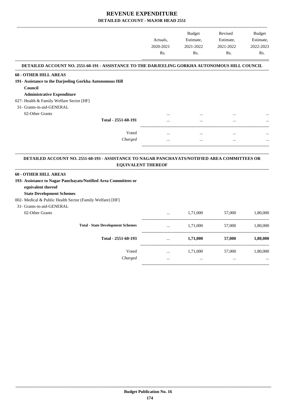-------------------------------------------------------------------------------------------------------------------------------------------------------------------------------

|                                                                                                |                           |           | <b>Budget</b> | Revised   | <b>Budget</b> |
|------------------------------------------------------------------------------------------------|---------------------------|-----------|---------------|-----------|---------------|
|                                                                                                |                           | Actuals.  | Estimate,     | Estimate, | Estimate,     |
|                                                                                                |                           | 2020-2021 | 2021-2022     | 2021-2022 | 2022-2023     |
|                                                                                                |                           | Rs.       | Rs.           | Rs.       | Rs.           |
| DETAILED ACCOUNT NO. 2551-60-191 - ASSISTANCE TO THE DARJEELING GORKHA AUTONOMOUS HILL COUNCIL |                           |           |               |           |               |
| <b>60 - OTHER HILL AREAS</b>                                                                   |                           |           |               |           |               |
| 191- Assistance to the Darjeeling Gorkha Autonomous Hill                                       |                           |           |               |           |               |
| Council                                                                                        |                           |           |               |           |               |
| <b>Administrative Expenditure</b>                                                              |                           |           |               |           |               |
| 027- Health & Family Welfare Sector [HF]                                                       |                           |           |               |           |               |
| 31- Grants-in-aid-GENERAL                                                                      |                           |           |               |           |               |
| 02-Other Grants                                                                                |                           |           |               |           |               |
|                                                                                                | Total - 2551-60-191       |           |               |           |               |
|                                                                                                | Voted                     | $\cdots$  | $\cdots$      | $\cdots$  |               |
|                                                                                                | Charged                   |           |               |           |               |
| DETAILED ACCOUNT NO. 2551-60-193 - ASSISTANCE TO NAGAR PANCHAYATS/NOTIFIED AREA COMMITTEES OR  | <b>EQUIVALENT THEREOF</b> |           |               |           |               |
| <b>60 - OTHER HILL AREAS</b>                                                                   |                           |           |               |           |               |
| 193- Assistance to Nagar Panchayats/Notified Area Committees or                                |                           |           |               |           |               |
| equivalent thereof                                                                             |                           |           |               |           |               |
| <b>State Development Schemes</b>                                                               |                           |           |               |           |               |

- 002- Medical & Public Health Sector (Family Welfare) [HF]
- 31- Grants-in-aid-GENERAL

02-Other Grants

|                                          | $\cdots$ | 1,71,000 | 57,000   | 1,80,000 |
|------------------------------------------|----------|----------|----------|----------|
| <b>Total - State Development Schemes</b> | $\cdots$ | 1,71,000 | 57,000   | 1,80,000 |
| Total - 2551-60-193                      | $\cdots$ | 1,71,000 | 57,000   | 1,80,000 |
| Voted                                    | $\cdots$ | 1,71,000 | 57,000   | 1,80,000 |
| Charged                                  | $\cdots$ | $\cdots$ | $\cdots$ | $\cdots$ |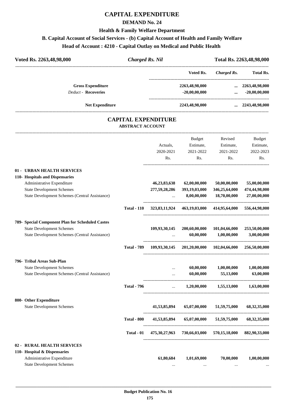# **CAPITAL EXPENDITURE**

#### **DEMAND No. 24**

#### **Health & Family Welfare Department**

# **B. Capital Account of Social Services - (b) Capital Account of Health and Family Welfare**

# **Head of Account : 4210 - Capital Outlay on Medical and Public Health**

| Voted Rs. 2263,48,98,000   | <b>Charged Rs. Nil</b>                                |                  | Total Rs. 2263,48,98,000 |                    |                         |
|----------------------------|-------------------------------------------------------|------------------|--------------------------|--------------------|-------------------------|
|                            |                                                       |                  | Voted Rs.                | <b>Charged Rs.</b> | <b>Total Rs.</b>        |
| <b>Gross Expenditure</b>   |                                                       |                  | 2263,48,98,000           | $\cdots$           | 2263,48,98,000          |
| <b>Deduct - Recoveries</b> |                                                       |                  | $-20,00,00,000$          | $\cdots$           | $-20,00,00,000$         |
| <b>Net Expenditure</b>     |                                                       |                  | 2243,48,98,000           |                    | $\ldots$ 2243,48,98,000 |
|                            | <b>CAPITAL EXPENDITURE</b><br><b>ABSTRACT ACCOUNT</b> |                  |                          |                    |                         |
|                            |                                                       |                  | <b>Budget</b>            | Revised            | Budget                  |
|                            |                                                       | Actuals.         | Estimate,                | Estimate,          | Estimate,               |
|                            |                                                       | 2020-2021        | 2021-2022                | 2021-2022          | 2022-2023               |
|                            |                                                       | R <sub>s</sub> . | Rs.                      | Rs.                | Rs.                     |

----------------------------------------------------------------------------------------

#### **01 - URBAN HEALTH SERVICES**

| 110- Hospitals and Dispensaries<br>Administrative Expenditure<br><b>State Development Schemes</b> |                    | 46,23,83,638<br>277,59,28,286 | 62,00,00,000<br>393,19,03,000 | 50,00,00,000<br>346,25,64,000                           | 55,00,00,000<br>474,44,98,000 |
|---------------------------------------------------------------------------------------------------|--------------------|-------------------------------|-------------------------------|---------------------------------------------------------|-------------------------------|
| <b>State Development Schemes (Central Assistance)</b>                                             |                    | $\ddotsc$                     | 8,00,00,000                   | 18,70,00,000                                            | 27,00,00,000                  |
|                                                                                                   | <b>Total - 110</b> |                               |                               | 323,83,11,924 463,19,03,000 414,95,64,000               | 556,44,98,000                 |
| 789- Special Component Plan for Scheduled Castes                                                  |                    |                               |                               |                                                         |                               |
| <b>State Development Schemes</b><br><b>State Development Schemes (Central Assistance)</b>         |                    | 109,93,30,145                 | 200,60,00,000<br>60,00,000    | 101,04,66,000<br>1,00,00,000                            | 253,50,00,000<br>3,00,00,000  |
|                                                                                                   | <b>Total - 789</b> | 109,93,30,145                 |                               | 201,20,00,000 102,04,66,000                             | 256,50,00,000                 |
| 796- Tribal Areas Sub-Plan                                                                        |                    |                               |                               |                                                         |                               |
| <b>State Development Schemes</b><br>State Development Schemes (Central Assistance)                |                    | $\cdots$                      | 60,00,000<br>60,00,000        | 1,00,00,000<br>55,13,000                                | 1,00,00,000<br>63,00,000      |
|                                                                                                   |                    |                               |                               |                                                         |                               |
|                                                                                                   | <b>Total - 796</b> |                               |                               | $1,20,00,000$ $1,55,13,000$ $1,63,00,000$               |                               |
| 800- Other Expenditure                                                                            |                    |                               |                               |                                                         |                               |
| <b>State Development Schemes</b>                                                                  |                    | 41,53,85,894                  | 65,07,00,000                  | 51,59,75,000                                            | 68, 32, 35, 000               |
|                                                                                                   | <b>Total - 800</b> | 41,53,85,894                  |                               | $65,07,00,000$ $51,59,75,000$                           | 68, 32, 35, 000               |
|                                                                                                   | Total - 01         |                               |                               | 475,30,27,963 730,66,03,000 570,15,18,000 882,90,33,000 |                               |
| 02 - RURAL HEALTH SERVICES<br>110- Hospital & Dispensaries                                        |                    |                               |                               |                                                         |                               |
| Administrative Expenditure<br><b>State Development Schemes</b>                                    |                    | 61,80,684                     | 1,01,69,000                   | 70,00,000<br>$\cdots$                                   | 1,00,00,000                   |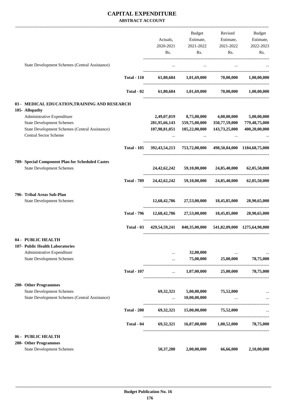#### **CAPITAL EXPENDITURE ABSTRACT ACCOUNT**

|                                                                         |                    |                           | Budget                                                   | Revised                   | Budget                    |
|-------------------------------------------------------------------------|--------------------|---------------------------|----------------------------------------------------------|---------------------------|---------------------------|
|                                                                         |                    | Actuals,                  | Estimate,                                                | Estimate,                 | Estimate,                 |
|                                                                         |                    | 2020-2021                 | 2021-2022                                                | 2021-2022                 | 2022-2023                 |
|                                                                         |                    | Rs.                       | Rs.                                                      | Rs.                       | Rs.                       |
| State Development Schemes (Central Assistance)                          |                    | $\cdots$                  | $\cdots$                                                 |                           |                           |
|                                                                         | <b>Total - 110</b> |                           | $61,80,684$ $1,01,69,000$ $70,00,000$                    |                           | 1,00,00,000               |
|                                                                         |                    |                           |                                                          |                           |                           |
|                                                                         | Total - 02         |                           | $61,80,684$ $1,01,69,000$ $70,00,000$                    |                           | 1,00,00,000               |
| 03 - MEDICAL EDUCATION, TRAINING AND RESEARCH                           |                    |                           |                                                          |                           |                           |
| 105- Allopathy                                                          |                    |                           |                                                          |                           |                           |
| Administrative Expenditure                                              |                    |                           | 2,49,07,019 8,75,00,000                                  | 4,00,00,000               | 5,00,00,000               |
| <b>State Development Schemes</b>                                        |                    | 281,95,66,143             | 559,75,00,000                                            | 350,77,59,000             | 779,48,75,000             |
| State Development Schemes (Central Assistance)<br>Central Sector Scheme |                    | 107,98,81,051<br>$\cdots$ | 185,22,00,000<br>$\cdots$                                | 143,73,25,000<br>$\cdots$ | 400,20,00,000             |
|                                                                         | <b>Total - 105</b> |                           | 392,43,54,213 753,72,00,000 498,50,84,000 1184,68,75,000 |                           |                           |
| 789- Special Component Plan for Scheduled Castes                        |                    |                           |                                                          |                           |                           |
| <b>State Development Schemes</b>                                        |                    | 24,42,62,242              |                                                          | 59,10,00,000 24,85,40,000 | 62,05,50,000              |
|                                                                         | <b>Total - 789</b> |                           | 24,42,62,242 59,10,00,000                                |                           | 24,85,40,000 62,05,50,000 |
| 796- Tribal Areas Sub-Plan                                              |                    |                           |                                                          |                           |                           |
| <b>State Development Schemes</b>                                        |                    |                           | 12,68,42,786 27,53,00,000 18,45,85,000                   |                           | 28,90,65,000              |
|                                                                         | <b>Total - 796</b> |                           | 12,68,42,786 27,53,00,000 18,45,85,000                   |                           | 28,90,65,000              |
|                                                                         | Total $-03$        |                           | 429,54,59,241 840,35,00,000 541,82,09,000 1275,64,90,000 |                           |                           |
| 04 - PUBLIC HEALTH                                                      |                    |                           |                                                          |                           |                           |
| 107- Public Health Laboratories                                         |                    |                           |                                                          |                           |                           |
| Administrative Expenditure                                              |                    |                           | 32,00,000                                                |                           | $\cdots$                  |
| <b>State Development Schemes</b>                                        |                    |                           | 75,00,000                                                | 25,00,000                 | 78,75,000                 |
|                                                                         | <b>Total - 107</b> | $\cdots$                  | 1,07,00,000                                              | 25,00,000                 | 78,75,000                 |
| 200- Other Programmes                                                   |                    |                           |                                                          |                           |                           |
| <b>State Development Schemes</b>                                        |                    | 69,32,321                 | 5,00,00,000                                              | 75,52,000                 |                           |
| State Development Schemes (Central Assistance)                          |                    | $\cdots$                  | 10,00,00,000                                             | $\ldots$                  |                           |
|                                                                         | <b>Total - 200</b> | 69,32,321                 |                                                          | 15,00,00,000 75,52,000    |                           |
|                                                                         | Total - 04         | 69,32,321                 | 16,07,00,000                                             | 1,00,52,000               | 78,75,000                 |
| 06 - PUBLIC HEALTH                                                      |                    |                           |                                                          |                           |                           |
| 200- Other Programmes                                                   |                    |                           |                                                          |                           |                           |
| <b>State Development Schemes</b>                                        |                    | 50,37,280                 | 2,00,00,000                                              | 66,66,000                 | 2,10,00,000               |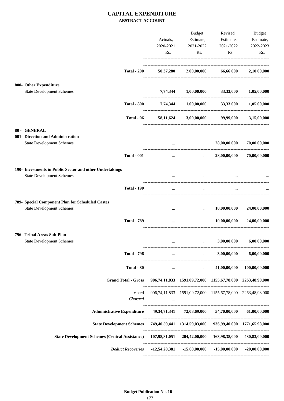#### **CAPITAL EXPENDITURE ABSTRACT ACCOUNT**

|  |                                                                                                        |                                                                                     |                          | Budget                                                     | Revised                                                                   | Budget                     |
|--|--------------------------------------------------------------------------------------------------------|-------------------------------------------------------------------------------------|--------------------------|------------------------------------------------------------|---------------------------------------------------------------------------|----------------------------|
|  |                                                                                                        |                                                                                     | Actuals,                 | Estimate,                                                  | Estimate,                                                                 | Estimate,                  |
|  |                                                                                                        |                                                                                     | 2020-2021                | 2021-2022                                                  | 2021-2022                                                                 | 2022-2023                  |
|  |                                                                                                        |                                                                                     | Rs.                      | Rs.                                                        | Rs.                                                                       | Rs.                        |
|  |                                                                                                        |                                                                                     |                          |                                                            |                                                                           |                            |
|  |                                                                                                        | <b>Total - 200</b>                                                                  | 50,37,280                |                                                            | 2,00,00,000 66,66,000                                                     | 2,10,00,000                |
|  | 800- Other Expenditure                                                                                 |                                                                                     |                          |                                                            |                                                                           |                            |
|  | <b>State Development Schemes</b>                                                                       |                                                                                     | 7,74,344                 | 1,00,00,000                                                | 33,33,000                                                                 | 1,05,00,000                |
|  |                                                                                                        | <b>Total - 800</b>                                                                  |                          | 7,74,344 1,00,00,000 33,33,000 1,05,00,000                 |                                                                           |                            |
|  |                                                                                                        | Total - 06                                                                          | 58,11,624                |                                                            | 3,00,00,000 99,99,000                                                     | 3,15,00,000                |
|  | 80 - GENERAL                                                                                           |                                                                                     |                          |                                                            |                                                                           |                            |
|  | 001- Direction and Administration<br><b>State Development Schemes</b>                                  |                                                                                     |                          | $\mathbf{r}$ , and $\mathbf{r}$                            | 28,00,00,000                                                              | 70,00,00,000               |
|  |                                                                                                        |                                                                                     |                          |                                                            |                                                                           |                            |
|  |                                                                                                        | <b>Total - 001</b>                                                                  | $\cdots$                 | $\sim$ $\sim$ $\sim$                                       | 28,00,00,000                                                              | 70,00,00,000               |
|  | 190- Investments in Public Sector and other Undertakings                                               |                                                                                     |                          |                                                            |                                                                           |                            |
|  | <b>State Development Schemes</b>                                                                       |                                                                                     |                          |                                                            |                                                                           |                            |
|  |                                                                                                        | <b>Total - 190</b>                                                                  | $\cdots$                 | $\cdots$                                                   |                                                                           |                            |
|  | 789- Special Component Plan for Scheduled Castes                                                       |                                                                                     |                          |                                                            |                                                                           |                            |
|  | <b>State Development Schemes</b>                                                                       |                                                                                     |                          | the contract of the contract of the                        | 10,00,00,000                                                              | 24,00,00,000               |
|  |                                                                                                        | <b>Total - 789</b>                                                                  | $\cdots$                 | $\mathbf{r}$                                               | 10,00,00,000                                                              | 24,00,00,000               |
|  | 796- Tribal Areas Sub-Plan                                                                             |                                                                                     |                          |                                                            |                                                                           |                            |
|  | <b>State Development Schemes</b>                                                                       |                                                                                     | -----------------        | $\mathbf{r}$ and $\mathbf{r}$                              | 3,00,00,000                                                               | 6,00,00,000                |
|  |                                                                                                        | <b>Total - 796</b>                                                                  |                          | <b>The Committee Committee</b>                             | $\ldots$ 3,00,00,000                                                      | 6,00,00,000                |
|  |                                                                                                        | Total - 80                                                                          | <b>Contract Contract</b> | <b>Contract Contract Contract</b>                          |                                                                           | 41,00,00,000 100,00,00,000 |
|  |                                                                                                        | <b>Grand Total - Gross</b>                                                          |                          | 906,74,11,833 1591,09,72,000 1155,67,78,000 2263,48,98,000 |                                                                           |                            |
|  |                                                                                                        | Voted                                                                               |                          | 906,74,11,833 1591,09,72,000 1155,67,78,000 2263,48,98,000 |                                                                           |                            |
|  |                                                                                                        | Charged                                                                             |                          | and the contract of the                                    | $\sim 100$ km s $^{-1}$ , $\sim 100$ km s $^{-1}$<br>and the state of the |                            |
|  |                                                                                                        | Administrative Expenditure 49,34,71,341 72,08,69,000 54,70,00,000 61,00,00,000      |                          |                                                            |                                                                           |                            |
|  |                                                                                                        | State Development Schemes 749,40,59,441 1314,59,03,000 936,99,40,000 1771,65,98,000 |                          |                                                            |                                                                           |                            |
|  | State Development Schemes (Central Assistance) 107,98,81,051 204,42,00,000 163,98,38,000 430,83,00,000 |                                                                                     |                          |                                                            |                                                                           |                            |
|  |                                                                                                        | Deduct Recoveries -12,54,20,381 -15,00,00,000 -15,00,00,000                         |                          |                                                            |                                                                           | $-20,00,00,000$            |
|  |                                                                                                        |                                                                                     |                          |                                                            |                                                                           |                            |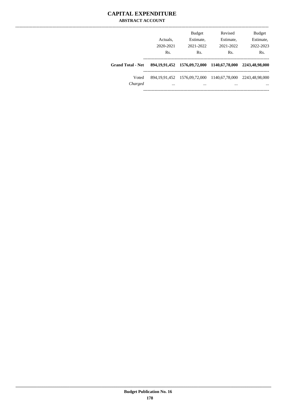## **CAPITAL EXPENDITURE ABSTRACT ACCOUNT**

|                          | Actuals,<br>2020-2021<br>Rs. | <b>Budget</b><br>Estimate,<br>2021-2022<br>Rs.           | Revised<br>Estimate,<br>2021-2022<br>Rs. | <b>Budget</b><br>Estimate,<br>2022-2023<br>Rs. |
|--------------------------|------------------------------|----------------------------------------------------------|------------------------------------------|------------------------------------------------|
| <b>Grand Total - Net</b> |                              | 894, 19, 91, 452 1576, 09, 72, 000 1140, 67, 78, 000     |                                          | 2243,48,98,000                                 |
| Voted<br>Charged         | $\cdots$                     | 894, 19, 91, 452 1576, 09, 72, 000 1140, 67, 78, 000<br> | $\cdots$                                 | 2243.48.98.000<br>$\cdots$                     |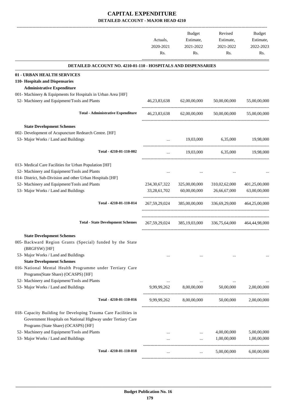-------------------------------------------------------------------------------------------------------------------------------------------------------------------------------

|                                                                                                                                                                         | Actuals,<br>2020-2021<br>Rs. | <b>Budget</b><br>Estimate,<br>2021-2022<br>Rs. | Revised<br>Estimate,<br>2021-2022<br>Rs. | <b>Budget</b><br>Estimate,<br>2022-2023<br>Rs. |
|-------------------------------------------------------------------------------------------------------------------------------------------------------------------------|------------------------------|------------------------------------------------|------------------------------------------|------------------------------------------------|
| <b>DETAILED ACCOUNT NO. 4210-01-110 - HOSPITALS AND DISPENSARIES</b>                                                                                                    |                              |                                                |                                          |                                                |
| 01 - URBAN HEALTH SERVICES                                                                                                                                              |                              |                                                |                                          |                                                |
| 110- Hospitals and Dispensaries                                                                                                                                         |                              |                                                |                                          |                                                |
| <b>Administrative Expenditure</b>                                                                                                                                       |                              |                                                |                                          |                                                |
| 001- Machinery & Equipments for Hospitals in Urban Area [HF]                                                                                                            |                              |                                                |                                          |                                                |
| 52- Machinery and Equipment/Tools and Plants                                                                                                                            | 46, 23, 83, 638              | 62,00,00,000                                   | 50,00,00,000                             | 55,00,00,000                                   |
| <b>Total - Administrative Expenditure</b>                                                                                                                               | 46, 23, 83, 638              | 62,00,00,000                                   | 50,00,00,000                             | 55,00,00,000                                   |
| <b>State Development Schemes</b>                                                                                                                                        |                              |                                                |                                          |                                                |
| 002- Development of Acupuncture Redearch Centre. [HF]                                                                                                                   |                              |                                                |                                          |                                                |
| 53- Major Works / Land and Buildings                                                                                                                                    | $\ddotsc$                    | 19,03,000                                      | 6,35,000                                 | 19.98.000                                      |
| Total - 4210-01-110-002                                                                                                                                                 | $\cdots$                     | 19,03,000                                      | 6,35,000                                 | 19,98,000                                      |
| 013- Medical Care Facilities for Urban Population [HF]                                                                                                                  |                              |                                                |                                          |                                                |
| 52- Machinery and Equipment/Tools and Plants                                                                                                                            |                              |                                                |                                          |                                                |
| 014- District, Sub-Division and other Urban Hospitals [HF]                                                                                                              |                              |                                                |                                          |                                                |
| 52- Machinery and Equipment/Tools and Plants                                                                                                                            | 234, 30, 67, 322             | 325,00,00,000                                  | 310,02,62,000                            | 401,25,00,000                                  |
| 53- Major Works / Land and Buildings                                                                                                                                    | 33,28,61,702                 | 60,00,00,000                                   | 26,66,67,000                             | 63,00,00,000                                   |
| Total - 4210-01-110-014                                                                                                                                                 | 267,59,29,024                | 385,00,00,000                                  | 336,69,29,000                            | 464,25,00,000                                  |
| <b>Total - State Development Schemes</b>                                                                                                                                | 267, 59, 29, 024             | 385,19,03,000                                  | 336,75,64,000                            | 464,44,98,000                                  |
| <b>State Development Schemes</b>                                                                                                                                        |                              |                                                |                                          |                                                |
| 005- Backward Region Grants (Special) funded by the State<br>(BRGFSW) [HF]                                                                                              |                              |                                                |                                          |                                                |
| 53- Major Works / Land and Buildings                                                                                                                                    |                              |                                                |                                          |                                                |
| <b>State Development Schemes</b>                                                                                                                                        |                              |                                                |                                          |                                                |
| 016- National Mental Health Programme under Tertiary Care                                                                                                               |                              |                                                |                                          |                                                |
| Programs(State Share) (OCASPS) [HF]                                                                                                                                     |                              |                                                |                                          |                                                |
| 52- Machinery and Equipment/Tools and Plants                                                                                                                            |                              | 9,99,99,262 8,00,00,000 50,00,000              |                                          |                                                |
| 53- Major Works / Land and Buildings                                                                                                                                    |                              |                                                |                                          | 2,00,00,000                                    |
| Total - 4210-01-110-016                                                                                                                                                 | 9,99,99,262                  | 8,00,00,000                                    | 50,00,000                                | 2,00,00,000                                    |
| 018- Capacity Building for Developing Trauma Care Facilities in<br>Government Hospitals on National Highway under Tertiary Care<br>Programs (State Share) (OCASPS) [HF] |                              |                                                |                                          |                                                |
| 52- Machinery and Equipment/Tools and Plants                                                                                                                            |                              |                                                | 4,00,00,000                              | 5,00,00,000                                    |
| 53- Major Works / Land and Buildings                                                                                                                                    | $\cdots$                     | $\cdots$                                       | 1,00,00,000                              | 1,00,00,000                                    |
| Total - 4210-01-110-018                                                                                                                                                 | $\cdots$                     | $\cdots$                                       | 5,00,00,000                              | 6,00,00,000                                    |
|                                                                                                                                                                         |                              |                                                |                                          |                                                |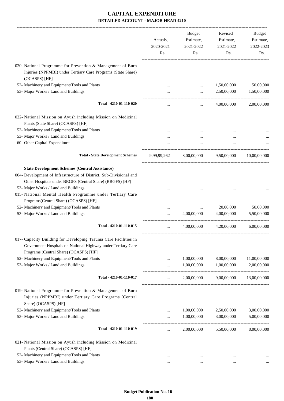|                                                                                                                                                                                                                                 | Actuals,<br>2020-2021<br>Rs. | <b>Budget</b><br>Estimate,<br>2021-2022<br>Rs. | Revised<br>Estimate,<br>2021-2022<br>Rs. | Budget<br>Estimate,<br>2022-2023<br>Rs. |
|---------------------------------------------------------------------------------------------------------------------------------------------------------------------------------------------------------------------------------|------------------------------|------------------------------------------------|------------------------------------------|-----------------------------------------|
| 020- National Programme for Prevention & Management of Burn<br>Injuries (NPPMBI) under Tertiary Care Programs (State Share)                                                                                                     |                              |                                                |                                          |                                         |
| (OCASPS) [HF]                                                                                                                                                                                                                   |                              |                                                |                                          |                                         |
| 52- Machinery and Equipment/Tools and Plants                                                                                                                                                                                    |                              | $\cdots$                                       | 1,50,00,000                              | 50,00,000                               |
| 53- Major Works / Land and Buildings                                                                                                                                                                                            |                              |                                                | 2,50,00,000                              | 1,50,00,000                             |
| Total - 4210-01-110-020                                                                                                                                                                                                         |                              | $\cdots$                                       | 4,00,00,000                              | 2,00,00,000                             |
| 022- National Mission on Ayush including Mission on Medicinal<br>Plants (State Share) (OCASPS) [HF]                                                                                                                             |                              |                                                |                                          |                                         |
| 52- Machinery and Equipment/Tools and Plants                                                                                                                                                                                    |                              |                                                |                                          |                                         |
| 53- Major Works / Land and Buildings                                                                                                                                                                                            |                              |                                                |                                          |                                         |
| 60- Other Capital Expenditure                                                                                                                                                                                                   |                              |                                                |                                          |                                         |
| <b>Total - State Development Schemes</b>                                                                                                                                                                                        | 9,99,99,262                  | 8,00,00,000                                    | 9,50,00,000                              | 10,00,00,000                            |
| <b>State Development Schemes (Central Assistance)</b><br>004- Development of Infrastructure of District, Sub-Divisional and<br>Other Hospitals under BRGFS (Central Share) (BRGFS) [HF]<br>53- Major Works / Land and Buildings |                              |                                                |                                          |                                         |
| 015- National Mental Health Programme under Tertiary Care<br>Programs(Central Share) (OCASPS) [HF]                                                                                                                              |                              |                                                |                                          |                                         |
| 52- Machinery and Equipment/Tools and Plants                                                                                                                                                                                    |                              |                                                | 20,00,000                                | 50,00,000                               |
| 53- Major Works / Land and Buildings                                                                                                                                                                                            |                              | 4,00,00,000                                    | 4,00,00,000                              | 5,50,00,000                             |
| Total - 4210-01-110-015                                                                                                                                                                                                         |                              | 4,00,00,000                                    | 4,20,00,000                              | 6.00.00.000                             |
| 017- Capacity Building for Developing Trauma Care Facilities in<br>Government Hospitals on National Highway under Tertiary Care<br>Programs (Central Share) (OCASPS) [HF]                                                       |                              |                                                |                                          |                                         |
| 52- Machinery and Equipment/Tools and Plants                                                                                                                                                                                    |                              | 1,00,00,000                                    | 8,00,00,000                              | 11,00,00,000                            |
| 53- Major Works / Land and Buildings                                                                                                                                                                                            |                              | 1,00,00,000                                    | 1,00,00,000                              | 2,00,00,000                             |
| Total - 4210-01-110-017                                                                                                                                                                                                         |                              | 2,00,00,000                                    | 9,00,00,000                              | 13,00,00,000                            |
| 019- National Programme for Prevention & Management of Burn<br>Injuries (NPPMBI) under Tertiary Care Programs (Central<br>Share) (OCASPS) [HF]                                                                                  |                              |                                                |                                          |                                         |
| 52- Machinery and Equipment/Tools and Plants                                                                                                                                                                                    | $\cdots$                     | 1,00,00,000                                    | 2,50,00,000                              | 3,00,00,000                             |
| 53- Major Works / Land and Buildings                                                                                                                                                                                            |                              | 1,00,00,000                                    | 3,00,00,000                              | 5,00,00,000                             |
| Total - 4210-01-110-019                                                                                                                                                                                                         | $\cdots$                     | 2,00,00,000                                    | 5,50,00,000                              | 8,00,00,000                             |
| 021- National Mission on Ayush including Mission on Medicinal<br>Plants (Central Share) (OCASPS) [HF]                                                                                                                           |                              |                                                |                                          |                                         |
| 52- Machinery and Equipment/Tools and Plants                                                                                                                                                                                    |                              | $\cdots$                                       |                                          |                                         |
| 53- Major Works / Land and Buildings                                                                                                                                                                                            | $\cdots$                     |                                                | $\cdots$                                 |                                         |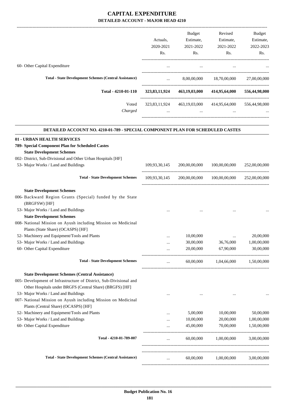|                                                                                |               | Budget                      | Revised                                                 | Budget                      |
|--------------------------------------------------------------------------------|---------------|-----------------------------|---------------------------------------------------------|-----------------------------|
|                                                                                | Actuals,      | Estimate,                   | Estimate,                                               | Estimate,                   |
|                                                                                | 2020-2021     | 2021-2022                   | 2021-2022                                               | 2022-2023                   |
|                                                                                | Rs.           | Rs.                         | Rs.                                                     | Rs.                         |
| 60- Other Capital Expenditure                                                  | $\cdots$      | $\ldots$                    |                                                         |                             |
|                                                                                |               |                             |                                                         |                             |
| <b>Total - State Development Schemes (Central Assistance)</b>                  | $\cdots$      |                             | 8,00,00,000 18,70,00,000                                | 27,00,00,000                |
| Total - 4210-01-110                                                            |               | 323,83,11,924 463,19,03,000 |                                                         | 414,95,64,000 556,44,98,000 |
| Voted                                                                          |               |                             | 323,83,11,924 463,19,03,000 414,95,64,000 556,44,98,000 |                             |
| Charged                                                                        |               | $\cdots$                    |                                                         |                             |
| DETAILED ACCOUNT NO. 4210-01-789 - SPECIAL COMPONENT PLAN FOR SCHEDULED CASTES |               |                             |                                                         |                             |
| 01 - URBAN HEALTH SERVICES                                                     |               |                             |                                                         |                             |
| 789- Special Component Plan for Scheduled Castes                               |               |                             |                                                         |                             |
| <b>State Development Schemes</b>                                               |               |                             |                                                         |                             |
| 002- District, Sub-Divisional and Other Urban Hospitals [HF]                   |               |                             |                                                         |                             |
| 53- Major Works / Land and Buildings                                           | 109,93,30,145 | 200,00,00,000               | 100,00,00,000                                           | 252,00,00,000               |
| <b>Total - State Development Schemes</b>                                       |               |                             | $109,93,30,145$ $200,00,00,000$ $100,00,00,000$         | 252,00,00,000               |
| <b>State Development Schemes</b>                                               |               |                             |                                                         |                             |
| 006- Backward Region Grants (Special) funded by the State<br>(BRGFSW) [HF]     |               |                             |                                                         |                             |
| 53- Major Works / Land and Buildings                                           |               |                             |                                                         |                             |
| <b>State Development Schemes</b>                                               |               |                             |                                                         |                             |
| 008- National Mission on Ayush including Mission on Medicinal                  |               |                             |                                                         |                             |
| Plants (State Share) (OCASPS) [HF]                                             |               |                             |                                                         |                             |
| 52- Machinery and Equipment/Tools and Plants                                   |               | 10,00,000                   |                                                         | 20,00,000                   |
| 53- Major Works / Land and Buildings                                           |               | 30,00,000                   | 36,76,000                                               | 1,00,00,000                 |
| 60- Other Capital Expenditure                                                  |               | 20,00,000                   | 67,90,000                                               | 30,00,000                   |
| <b>Total - State Development Schemes</b>                                       |               | 60,00,000                   | 1,04,66,000                                             | 1,50,00,000                 |
| <b>State Development Schemes (Central Assistance)</b>                          |               |                             |                                                         |                             |
| 005- Development of Infrastructure of District, Sub-Divisional and             |               |                             |                                                         |                             |
| Other Hospitals under BRGFS (Central Share) (BRGFS) [HF]                       |               |                             |                                                         |                             |
| 53- Major Works / Land and Buildings                                           | $\cdots$      |                             |                                                         |                             |
| 007- National Mission on Ayush including Mission on Medicinal                  |               |                             |                                                         |                             |
| Plants (Central Share) (OCASPS) [HF]                                           |               |                             |                                                         |                             |
| 52- Machinery and Equipment/Tools and Plants                                   |               | 5,00,000                    | 10,00,000                                               | 50,00,000                   |
| 53- Major Works / Land and Buildings                                           |               | 10,00,000                   | 20,00,000                                               | 1,00,00,000                 |
| 60- Other Capital Expenditure                                                  | $\cdots$      | 45,00,000                   | 70,00,000                                               | 1,50,00,000                 |
| Total - 4210-01-789-007                                                        |               | 60,00,000                   | 1,00,00,000                                             | 3,00,00,000                 |
| <b>Total - State Development Schemes (Central Assistance)</b>                  |               | 60,00,000                   | 1,00,00,000                                             | 3,00,00,000                 |
|                                                                                |               |                             |                                                         |                             |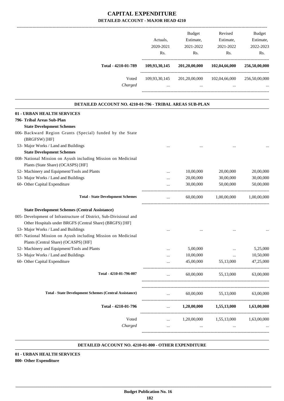|                     |               | <b>Budget</b> | Revised       | <b>Budget</b> |
|---------------------|---------------|---------------|---------------|---------------|
|                     | Actuals.      | Estimate,     | Estimate,     | Estimate,     |
|                     | 2020-2021     | 2021-2022     | 2021-2022     | 2022-2023     |
|                     | Rs.           | Rs.           | Rs.           | Rs.           |
| Total - 4210-01-789 | 109,93,30,145 | 201,20,00,000 | 102,04,66,000 | 256,50,00,000 |
| Voted               | 109,93,30,145 | 201,20,00,000 | 102,04,66,000 | 256,50,00,000 |
| Charged             | $\cdots$      | $\cdots$      | $\cdots$      | $\cdots$      |
|                     |               |               |               |               |
|                     |               |               |               |               |

.

.

| <b>DETAILED ACCOUNT NO. 4210-01-796 - TRIBAL AREAS SUB-PLAN</b>    |           |             |                               |             |
|--------------------------------------------------------------------|-----------|-------------|-------------------------------|-------------|
| 01 - URBAN HEALTH SERVICES                                         |           |             |                               |             |
| 796- Tribal Areas Sub-Plan                                         |           |             |                               |             |
| <b>State Development Schemes</b>                                   |           |             |                               |             |
| 006- Backward Region Grants (Special) funded by the State          |           |             |                               |             |
| (BRGFSW) [HF]                                                      |           |             |                               |             |
| 53- Major Works / Land and Buildings                               |           |             |                               |             |
| <b>State Development Schemes</b>                                   |           |             |                               |             |
| 008- National Mission on Ayush including Mission on Medicinal      |           |             |                               |             |
| Plants (State Share) (OCASPS) [HF]                                 |           |             |                               |             |
| 52- Machinery and Equipment/Tools and Plants                       | $\ddotsc$ | 10,00,000   | 20,00,000                     | 20,00,000   |
| 53- Major Works / Land and Buildings                               |           | 20,00,000   | 30,00,000                     | 30,00,000   |
| 60- Other Capital Expenditure                                      |           | 30,00,000   | 50,00,000                     | 50,00,000   |
| <b>Total - State Development Schemes</b>                           |           | 60,00,000   | 1,00,00,000                   | 1.00.00.000 |
| <b>State Development Schemes (Central Assistance)</b>              |           |             |                               |             |
| 005- Development of Infrastructure of District, Sub-Divisional and |           |             |                               |             |
| Other Hospitals under BRGFS (Central Share) (BRGFS) [HF]           |           |             |                               |             |
| 53- Major Works / Land and Buildings                               |           |             |                               |             |
| 007- National Mission on Ayush including Mission on Medicinal      |           |             |                               |             |
| Plants (Central Share) (OCASPS) [HF]                               |           |             |                               |             |
| 52- Machinery and Equipment/Tools and Plants                       |           | 5,00,000    |                               | 5,25,000    |
| 53- Major Works / Land and Buildings                               | $\ddotsc$ | 10,00,000   | $\cdots$                      | 10,50,000   |
| 60- Other Capital Expenditure                                      |           | 45,00,000   | 55,13,000                     | 47,25,000   |
| Total - 4210-01-796-007                                            | $\cdots$  | 60,00,000   | 55,13,000                     | 63,00,000   |
| <b>Total - State Development Schemes (Central Assistance)</b>      | $\cdots$  |             | 60,00,000 55,13,000 63,00,000 |             |
| Total - 4210-01-796                                                | $\cdots$  | 1,20,00,000 | 1,55,13,000                   | 1,63,00,000 |
|                                                                    |           |             |                               |             |
| Voted                                                              | $\cdots$  |             | $1,20,00,000$ $1,55,13,000$   | 1,63,00,000 |
| Charged                                                            |           |             |                               |             |
|                                                                    |           |             |                               |             |

#### **DETAILED ACCOUNT NO. 4210-01-800 - OTHER EXPENDITURE .**

**01 - URBAN HEALTH SERVICES 800- Other Expenditure**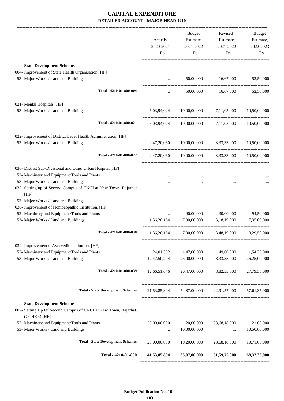|                                                                                                                     |                                          | Actuals,<br>2020-2021 | <b>Budget</b><br>Estimate,<br>2021-2022 | Revised<br>Estimate,<br>2021-2022                                                                                     | Budget<br>Estimate,<br>2022-2023 |
|---------------------------------------------------------------------------------------------------------------------|------------------------------------------|-----------------------|-----------------------------------------|-----------------------------------------------------------------------------------------------------------------------|----------------------------------|
|                                                                                                                     |                                          | Rs.                   | Rs.                                     | Rs.                                                                                                                   | Rs.                              |
| <b>State Development Schemes</b>                                                                                    |                                          |                       |                                         |                                                                                                                       |                                  |
| 004- Improvement of State Health Organisation [HF]                                                                  |                                          |                       |                                         |                                                                                                                       |                                  |
| 53- Major Works / Land and Buildings                                                                                |                                          | $\cdots$              | 50,00,000                               | 16,67,000                                                                                                             | 52,50,000                        |
|                                                                                                                     | Total - 4210-01-800-004                  | $\cdots$              |                                         | 50,00,000 16,67,000                                                                                                   | 52,50,000                        |
|                                                                                                                     |                                          |                       |                                         |                                                                                                                       |                                  |
| 021- Mental Hospitals [HF]                                                                                          |                                          |                       |                                         |                                                                                                                       |                                  |
| 53- Major Works / Land and Buildings                                                                                |                                          |                       | 5,03,94,024 10,00,00,000 7,11,05,000    |                                                                                                                       | 10,50,00,000                     |
|                                                                                                                     | Total - 4210-01-800-021                  | 5,03,94,024           |                                         | $10,00,00,000$ $7,11,05,000$ $10,50,00,000$                                                                           |                                  |
| 022- Improvement of District Level Health Administration [HF]                                                       |                                          |                       |                                         |                                                                                                                       |                                  |
| 53- Major Works / Land and Buildings                                                                                |                                          |                       |                                         | 2,47,20,060 10,00,00,000 3,33,33,000 10,50,00,000                                                                     |                                  |
|                                                                                                                     | Total - 4210-01-800-022                  |                       |                                         | 2,47,20,060 10,00,00,000 3,33,33,000 10,50,00,000                                                                     |                                  |
| 036- District Sub-Divisional and Other Urban Hospital [HF]                                                          |                                          |                       |                                         |                                                                                                                       |                                  |
| 52- Machinery and Equipment/Tools and Plants                                                                        |                                          |                       |                                         |                                                                                                                       |                                  |
| 53- Major Works / Land and Buildings                                                                                |                                          |                       |                                         |                                                                                                                       |                                  |
| 037- Setting up of Second Campus of CNCI at New Town, Rajarhat<br>[HF]                                              |                                          |                       |                                         |                                                                                                                       |                                  |
| 53- Major Works / Land and Buildings                                                                                |                                          |                       |                                         |                                                                                                                       |                                  |
| 038- Improvement of Homoeopathic Institution. [HF]                                                                  |                                          |                       |                                         |                                                                                                                       |                                  |
| 52- Machinery and Equipment/Tools and Plants                                                                        |                                          | $\cdots$              | 90,00,000                               | 30,00,000                                                                                                             | 94,50,000                        |
| 53- Major Works / Land and Buildings                                                                                |                                          | 1,36,20,164           | 7,00,00,000                             | 3,18,19,000                                                                                                           | 7,35,00,000                      |
|                                                                                                                     | Total - 4210-01-800-038                  | 1,36,20,164           | 7,90,00,000                             | 3,48,19,000                                                                                                           | 8,29,50,000                      |
| 039- Improvement of Ayurvedic Institution. [HF]                                                                     |                                          |                       |                                         |                                                                                                                       |                                  |
| 52- Machinery and Equipment/Tools and Plants                                                                        |                                          |                       | 24,01,352 1,47,00,000                   | 49,00,000                                                                                                             | 1,54,35,000                      |
| 53- Major Works / Land and Buildings                                                                                |                                          |                       | 12,42,50,294 25,00,00,000               | 8,33,33,000                                                                                                           | 26,25,00,000                     |
|                                                                                                                     | Total - 4210-01-800-039                  |                       |                                         | 12,66,51,646  26,47,00,000  8,82,33,000  27,79,35,000                                                                 |                                  |
|                                                                                                                     | <b>Total - State Development Schemes</b> |                       |                                         | 21,53,85,894 54,87,00,000 22,91,57,000                                                                                | 57,61,35,000                     |
|                                                                                                                     |                                          |                       |                                         |                                                                                                                       |                                  |
| <b>State Development Schemes</b><br>002- Setting Up Of Second Campus of CNCI at New Town, Rajarhat.<br>(OTHER) [HF] |                                          |                       |                                         |                                                                                                                       |                                  |
| 52- Machinery and Equipment/Tools and Plants                                                                        |                                          | 20,00,00,000          | 20,00,000                               | 28,68,18,000                                                                                                          | 21,00,000                        |
| 53- Major Works / Land and Buildings                                                                                |                                          | $\cdots$              | 10,00,00,000                            | <u>and the community of the community of the community of the community of the community of the community of the </u> | 10,50,00,000                     |
|                                                                                                                     | <b>Total - State Development Schemes</b> |                       |                                         | 20,00,00,000 10,20,00,000 28,68,18,000 10,71,00,000                                                                   |                                  |
|                                                                                                                     | Total - 4210-01-800                      |                       |                                         | 41,53,85,894 65,07,00,000 51,59,75,000 68,32,35,000                                                                   |                                  |
|                                                                                                                     |                                          |                       |                                         |                                                                                                                       |                                  |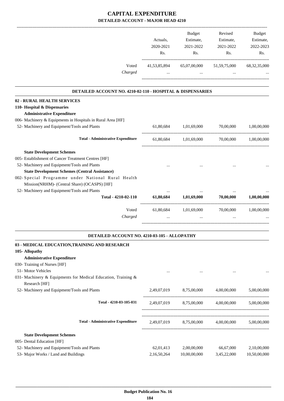|                                                               | Actuals,<br>2020-2021<br>Rs. | Budget<br>Estimate,<br>2021-2022<br>Rs.         | Revised<br>Estimate,<br>2021-2022<br>Rs. | <b>Budget</b><br>Estimate,<br>2022-2023<br>Rs. |
|---------------------------------------------------------------|------------------------------|-------------------------------------------------|------------------------------------------|------------------------------------------------|
| Voted<br>Charged                                              | 41,53,85,894                 | 65,07,00,000<br>$\cdots$                        | 51,59,75,000                             | 68, 32, 35, 000                                |
|                                                               |                              |                                                 |                                          |                                                |
| DETAILED ACCOUNT NO. 4210-02-110 - HOSPITAL & DISPENSARIES    |                              |                                                 |                                          |                                                |
| 02 - RURAL HEALTH SERVICES                                    |                              |                                                 |                                          |                                                |
| 110- Hospital & Dispensaries                                  |                              |                                                 |                                          |                                                |
| <b>Administrative Expenditure</b>                             |                              |                                                 |                                          |                                                |
| 006- Machinery & Equipments in Hospitals in Rural Area [HF]   |                              |                                                 |                                          |                                                |
| 52- Machinery and Equipment/Tools and Plants                  | 61,80,684                    | 1,01,69,000                                     | 70,00,000                                | 1.00.00.000                                    |
| <b>Total - Administrative Expenditure</b>                     | 61,80,684                    | 1,01,69,000                                     | 70,00,000                                | 1,00,00,000                                    |
| <b>State Development Schemes</b>                              |                              |                                                 |                                          |                                                |
| 005- Establishment of Cancer Treatment Centres [HF]           |                              |                                                 |                                          |                                                |
| 52- Machinery and Equipment/Tools and Plants                  |                              |                                                 |                                          |                                                |
| <b>State Development Schemes (Central Assistance)</b>         |                              |                                                 |                                          |                                                |
| 002- Special Programme under National Rural Health            |                              |                                                 |                                          |                                                |
| Mission(NRHM)- (Central Share) (OCASPS) [HF]                  |                              |                                                 |                                          |                                                |
| 52- Machinery and Equipment/Tools and Plants                  |                              |                                                 |                                          |                                                |
| Total - 4210-02-110                                           | 61,80,684                    | 1,01,69,000                                     | 70,00,000                                | 1,00,00,000                                    |
| Voted                                                         |                              | 61,80,684 1,01,69,000                           | 70,00,000                                | 1,00,00,000                                    |
| Charged                                                       |                              |                                                 |                                          |                                                |
|                                                               |                              |                                                 |                                          |                                                |
| DETAILED ACCOUNT NO. 4210-03-105 - ALLOPATHY                  |                              |                                                 |                                          |                                                |
| 03 - MEDICAL EDUCATION, TRAINING AND RESEARCH                 |                              |                                                 |                                          |                                                |
| 105- Allopathy                                                |                              |                                                 |                                          |                                                |
| <b>Administrative Expenditure</b>                             |                              |                                                 |                                          |                                                |
| 030- Training of Nurses [HF]                                  |                              |                                                 |                                          |                                                |
| 51- Motor Vehicles                                            |                              |                                                 |                                          |                                                |
| 031- Machinery & Equipments for Medical Education, Training & |                              |                                                 |                                          |                                                |
| Research [HF]                                                 |                              |                                                 |                                          |                                                |
| 52- Machinery and Equipment/Tools and Plants                  | 2,49,07,019                  | 8,75,00,000                                     | 4,00,00,000                              | 5,00,00,000                                    |
| Total - 4210-03-105-031                                       |                              | 2,49,07,019 8,75,00,000 4,00,00,000 5,00,00,000 |                                          |                                                |
|                                                               |                              |                                                 |                                          |                                                |
| <b>Total - Administrative Expenditure</b>                     |                              | 2,49,07,019 8,75,00,000 4,00,00,000 5,00,00,000 |                                          |                                                |
| <b>State Development Schemes</b>                              |                              |                                                 |                                          |                                                |
| 005- Dental Education [HF]                                    |                              |                                                 |                                          |                                                |
| 52- Machinery and Equipment/Tools and Plants                  | 62,01,413                    | 2,00,00,000                                     | 66,67,000                                | 2,10,00,000                                    |
| 53- Major Works / Land and Buildings                          | 2,16,50,264                  | 10,00,00,000                                    | 3,45,22,000                              | 10,50,00,000                                   |

 **Budget Publication No. 16 184**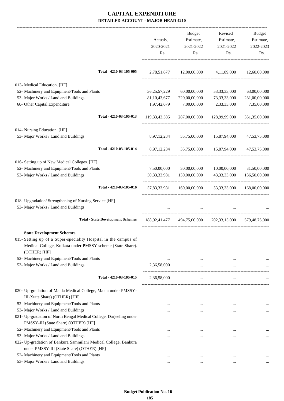|                                                                                                                                               |                                          | Actuals,<br>2020-2021<br>Rs. | Budget<br>Estimate,<br>2021-2022<br>Rs.            | Revised<br>Estimate,<br>2021-2022<br>Rs. | Budget<br>Estimate,<br>2022-2023<br>Rs. |
|-----------------------------------------------------------------------------------------------------------------------------------------------|------------------------------------------|------------------------------|----------------------------------------------------|------------------------------------------|-----------------------------------------|
|                                                                                                                                               | Total - 4210-03-105-005                  |                              | 2,78,51,677 12,00,00,000 4,11,89,000 12,60,00,000  |                                          |                                         |
| 013- Medical Education. [HF]                                                                                                                  |                                          |                              |                                                    |                                          |                                         |
| 52- Machinery and Equipment/Tools and Plants                                                                                                  |                                          | 36, 25, 57, 229              | 60,00,00,000                                       | 53, 33, 33, 000                          | 63,00,00,000                            |
| 53- Major Works / Land and Buildings                                                                                                          |                                          | 81, 10, 43, 677              | 220,00,00,000                                      | 73, 33, 33, 000                          | 281,00,00,000                           |
| 60- Other Capital Expenditure                                                                                                                 |                                          | 1,97,42,679                  | 7,00,00,000                                        | 2,33,33,000                              | 7,35,00,000                             |
|                                                                                                                                               | Total - 4210-03-105-013                  | 119,33,43,585                | 287,00,00,000                                      | 128,99,99,000                            | 351,35,00,000                           |
| 014- Nursing Education. [HF]                                                                                                                  |                                          |                              |                                                    |                                          |                                         |
| 53- Major Works / Land and Buildings                                                                                                          |                                          | 8,97,12,234                  |                                                    | 35,75,00,000 15,87,94,000 47,53,75,000   |                                         |
|                                                                                                                                               | Total - 4210-03-105-014                  |                              | 8,97,12,234 35,75,00,000 15,87,94,000 47,53,75,000 |                                          |                                         |
| 016- Setting up of New Medical Colleges. [HF]                                                                                                 |                                          |                              |                                                    |                                          |                                         |
| 52- Machinery and Equipment/Tools and Plants                                                                                                  |                                          | 7,50,00,000                  | 30,00,00,000                                       | 10,00,00,000                             | 31,50,00,000                            |
| 53- Major Works / Land and Buildings                                                                                                          |                                          | 50, 33, 33, 981              | 130,00,00,000                                      | 43, 33, 33, 000                          | 136,50,00,000                           |
|                                                                                                                                               | Total - 4210-03-105-016                  |                              | 57,83,33,981 160,00,00,000                         |                                          | 53, 33, 33, 000 168, 00, 00, 000        |
| 018- Upgradation/ Strengthening of Nursing Service [HF]<br>53- Major Works / Land and Buildings                                               |                                          | $\cdots$                     | $\cdots$                                           |                                          |                                         |
|                                                                                                                                               | <b>Total - State Development Schemes</b> |                              | 188,92,41,477 494,75,00,000                        | 202, 33, 15, 000                         | 579,48,75,000                           |
| <b>State Development Schemes</b>                                                                                                              |                                          |                              |                                                    |                                          |                                         |
| 015- Setting up of a Super-speciality Hospital in the campus of<br>Medical College, Kolkata under PMSSY scheme (State Share).<br>(OTHER) [HF] |                                          |                              |                                                    |                                          |                                         |
| 52- Machinery and Equipment/Tools and Plants                                                                                                  |                                          | $\cdots$                     | $\cdots$                                           | $\ddotsc$                                |                                         |
| 53- Major Works / Land and Buildings                                                                                                          |                                          | 2,36,58,000                  | $\cdots$                                           |                                          |                                         |
|                                                                                                                                               | Total - 4210-03-105-015                  | 2,36,58,000                  | $\cdots$                                           |                                          |                                         |
| 020- Up-gradation of Malda Medical College, Malda under PMSSY-<br>III (State Share) (OTHER) [HF]                                              |                                          |                              |                                                    |                                          |                                         |
| 52- Machinery and Equipment/Tools and Plants                                                                                                  |                                          | $\cdots$                     | $\cdots$                                           |                                          |                                         |
| 53- Major Works / Land and Buildings                                                                                                          |                                          | $\cdots$                     | $\cdots$                                           | $\cdots$                                 | $\cdots$                                |
| 021- Up-gradation of North Bengal Medical College, Darjeeling under<br>PMSSY-III (State Share) (OTHER) [HF]                                   |                                          |                              |                                                    |                                          |                                         |
| 52- Machinery and Equipment/Tools and Plants                                                                                                  |                                          |                              |                                                    |                                          |                                         |
| 53- Major Works / Land and Buildings                                                                                                          |                                          | $\cdots$<br>$\cdots$         | $\cdots$<br>$\cdots$                               | $\cdots$<br>$\cdots$                     | $\cdots$                                |
| 022- Up-gradation of Bankura Sammilani Medical College, Bankura<br>under PMSSY-III (State Share) (OTHER) [HF]                                 |                                          |                              |                                                    |                                          |                                         |
| 52- Machinery and Equipment/Tools and Plants                                                                                                  |                                          | $\ddotsc$                    | $\cdots$                                           | $\cdots$                                 |                                         |
| 53- Major Works / Land and Buildings                                                                                                          |                                          | $\cdots$                     |                                                    | $\cdots$                                 |                                         |
|                                                                                                                                               |                                          |                              |                                                    |                                          |                                         |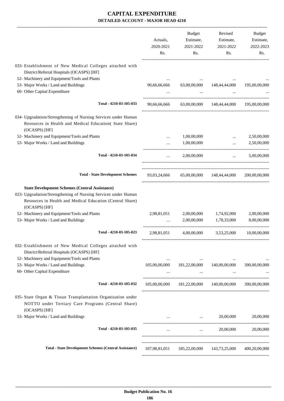|                                                                                                                                                                                                       | Actuals,<br>2020-2021<br>Rs. | Budget<br>Estimate,<br>2021-2022<br>Rs.             | Revised<br>Estimate,<br>2021-2022<br>Rs.                | Budget<br>Estimate,<br>2022-2023<br>Rs. |
|-------------------------------------------------------------------------------------------------------------------------------------------------------------------------------------------------------|------------------------------|-----------------------------------------------------|---------------------------------------------------------|-----------------------------------------|
| 033- Establishment of New Medical Colleges attached with<br>District/Referral Hospitals (OCASPS) [HF]                                                                                                 |                              |                                                     |                                                         |                                         |
| 52- Machinery and Equipment/Tools and Plants                                                                                                                                                          |                              |                                                     |                                                         |                                         |
| 53- Major Works / Land and Buildings                                                                                                                                                                  | 90,66,66,666                 | 63,00,00,000                                        | 148,44,44,000                                           | 195,00,00,000                           |
| 60- Other Capital Expenditure                                                                                                                                                                         |                              | $\cdots$                                            |                                                         |                                         |
| Total - 4210-03-105-033                                                                                                                                                                               | 90,66,66,666                 |                                                     | 63,00,00,000 148,44,44,000 195,00,00,000                |                                         |
| 034- Upgradation/Strengthening of Nursing Services under Human<br>Resources in Health and Medical Education(State Share)<br>(OCASPS) [HF]                                                             |                              |                                                     |                                                         |                                         |
| 52- Machinery and Equipment/Tools and Plants                                                                                                                                                          | $\cdots$                     | 1,00,00,000                                         | $\cdots$                                                | 2,50,00,000                             |
| 53- Major Works / Land and Buildings                                                                                                                                                                  |                              | 1,00,00,000                                         | $\cdots$                                                | 2,50,00,000                             |
| Total - 4210-03-105-034                                                                                                                                                                               | $\cdots$                     | 2,00,00,000                                         | $\mathbf{r}$ . The state $\mathbf{r}$                   | 5,00,00,000                             |
| <b>Total - State Development Schemes</b>                                                                                                                                                              |                              |                                                     | 93,03,24,666 65,00,00,000 148,44,44,000                 | 200,00,00,000                           |
| <b>State Development Schemes (Central Assistance)</b><br>023- Upgradation/Strengthening of Nursing Services under Human<br>Resources in Health and Medical Education (Central Share)<br>(OCASPS) [HF] |                              |                                                     |                                                         |                                         |
| 52- Machinery and Equipment/Tools and Plants<br>53- Major Works / Land and Buildings                                                                                                                  | 2,98,81,051<br>$\ddots$      | 2,00,00,000<br>2,00,00,000                          | 1,74,92,000<br>1,78,33,000                              | 2,00,00,000<br>8,00,00,000              |
| Total - 4210-03-105-023                                                                                                                                                                               | 2.98.81.051                  | 4,00,00,000                                         | 3,53,25,000                                             | 10,00,00,000                            |
| 032- Establishment of New Medical Colleges attached with<br>District/Referral Hospitals (OCASPS) [HF]                                                                                                 |                              |                                                     |                                                         |                                         |
| 52- Machinery and Equipment/Tools and Plants                                                                                                                                                          |                              | the contract of the contract of the contract of the | $\cdots$                                                | $\cdots$                                |
| 53- Major Works / Land and Buildings                                                                                                                                                                  |                              |                                                     | 105,00,00,000 181,22,00,000 140,00,00,000               | 390,00,00,000                           |
| 60- Other Capital Expenditure                                                                                                                                                                         |                              |                                                     | and the state of the state<br>$\cdots$                  |                                         |
| Total - 4210-03-105-032                                                                                                                                                                               |                              |                                                     | 105,00,00,000 181,22,00,000 140,00,00,000 390,00,00,000 |                                         |
| 035- State Organ & Tissue Transplantation Organization under<br>NOTTO under Tertiary Care Programs (Central Share)<br>(OCASPS) [HF]                                                                   |                              |                                                     |                                                         |                                         |
| 53- Major Works / Land and Buildings                                                                                                                                                                  |                              | and the company of the                              | 20,00,000                                               | 20,00,000                               |
| Total - 4210-03-105-035                                                                                                                                                                               |                              | and the state of the state                          |                                                         | 20,00,000 20,00,000                     |
| <b>Total - State Development Schemes (Central Assistance)</b>                                                                                                                                         |                              |                                                     | 107,98,81,051  185,22,00,000  143,73,25,000             | 400,20,00,000                           |
|                                                                                                                                                                                                       |                              |                                                     |                                                         |                                         |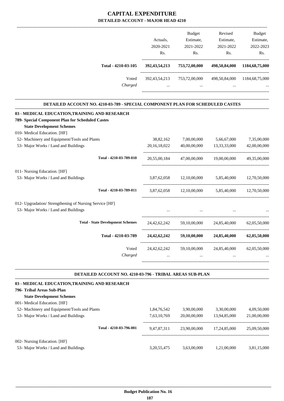|                                                                                |                  | <b>Budget</b> | Revised                  | <b>Budget</b>     |
|--------------------------------------------------------------------------------|------------------|---------------|--------------------------|-------------------|
|                                                                                | Actuals,         | Estimate,     | Estimate,                | Estimate,         |
|                                                                                | 2020-2021        | 2021-2022     | 2021-2022                | 2022-2023         |
|                                                                                | Rs.              | Rs.           | Rs.                      | Rs.               |
| Total - 4210-03-105                                                            | 392, 43, 54, 213 | 753,72,00,000 | 498,50,84,000            | 1184, 68, 75, 000 |
| Voted<br>Charged                                                               | 392, 43, 54, 213 | 753,72,00,000 | 498,50,84,000            | 1184,68,75,000    |
| DETAILED ACCOUNT NO. 4210-03-789 - SPECIAL COMPONENT PLAN FOR SCHEDULED CASTES |                  |               |                          |                   |
| 03 - MEDICAL EDUCATION, TRAINING AND RESEARCH                                  |                  |               |                          |                   |
| 789- Special Component Plan for Scheduled Castes                               |                  |               |                          |                   |
| <b>State Development Schemes</b>                                               |                  |               |                          |                   |
| 010- Medical Education. [HF]                                                   |                  |               |                          |                   |
| 52- Machinery and Equipment/Tools and Plants                                   | 38,82,162        | 7,00,00,000   | 5,66,67,000              | 7,35,00,000       |
| 53- Major Works / Land and Buildings                                           | 20, 16, 18, 022  | 40,00,00,000  | 13,33,33,000             | 42,00,00,000      |
| Total - 4210-03-789-010                                                        | 20,55,00,184     | 47,00,00,000  | 19,00,00,000             | 49,35,00,000      |
| 011- Nursing Education. [HF]                                                   |                  |               |                          |                   |
| 53- Major Works / Land and Buildings                                           | 3,87,62,058      | 12,10,00,000  | 5,85,40,000              | 12,70,50,000      |
| Total - 4210-03-789-011                                                        | 3,87,62,058      |               | 12,10,00,000 5,85,40,000 | 12.70.50.000      |
| 012- Upgradation/ Strengthening of Nursing Service [HF]                        |                  |               |                          |                   |
| 53- Major Works / Land and Buildings                                           |                  |               |                          |                   |
| <b>Total - State Development Schemes</b>                                       | 24, 42, 62, 242  | 59,10,00,000  | 24,85,40,000             | 62,05,50,000      |
| Total - 4210-03-789                                                            | 24, 42, 62, 242  | 59,10,00,000  | 24,85,40,000             | 62,05,50,000      |
| Voted                                                                          | 24, 42, 62, 242  | 59,10,00,000  | 24,85,40,000             | 62,05,50,000      |
| Charged                                                                        |                  |               |                          |                   |
|                                                                                |                  |               |                          |                   |

| <b>DETAILED ACCOUNT NO. 4210-03-796 - TRIBAL AREAS SUB-PLAN</b> |
|-----------------------------------------------------------------|
|-----------------------------------------------------------------|

| 03 - MEDICAL EDUCATION, TRAINING AND RESEARCH                        |                |              |              |              |
|----------------------------------------------------------------------|----------------|--------------|--------------|--------------|
| 796- Tribal Areas Sub-Plan                                           |                |              |              |              |
| <b>State Development Schemes</b>                                     |                |              |              |              |
| 001- Medical Education. [HF]                                         |                |              |              |              |
| 52- Machinery and Equipment/Tools and Plants                         | 1.84.76.542    | 3.90.00.000  | 3.30.00.000  | 4.09.50.000  |
| 53- Major Works / Land and Buildings                                 | 7,63,10,769    | 20,00,00,000 | 13.94.85.000 | 21,00,00,000 |
| Total - 4210-03-796-001                                              | 9,47,87,311    | 23,90,00,000 | 17.24.85.000 | 25,09,50,000 |
| 002- Nursing Education. [HF]<br>53- Major Works / Land and Buildings | 3, 20, 55, 475 | 3.63,00,000  | 1.21.00.000  | 3.81.15.000  |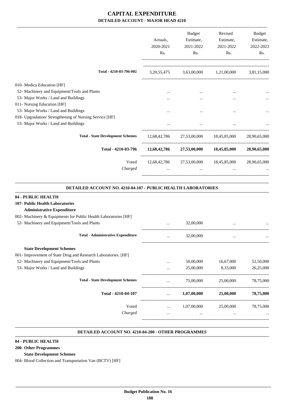|                                                         | Actuals.<br>2020-2021<br>Rs. | <b>Budget</b><br>Estimate,<br>2021-2022<br>Rs. | Revised<br>Estimate,<br>2021-2022<br>Rs. | Budget<br>Estimate,<br>2022-2023<br>Rs. |
|---------------------------------------------------------|------------------------------|------------------------------------------------|------------------------------------------|-----------------------------------------|
| Total - 4210-03-796-002                                 | 3, 20, 55, 475               |                                                | 3,63,00,000 1,21,00,000                  | 3,81,15,000                             |
| 010- Medica Education [HF]                              |                              |                                                |                                          |                                         |
| 52- Machinery and Equipment/Tools and Plants            | $\cdots$                     |                                                | $\cdots$                                 |                                         |
| 53- Major Works / Land and Buildings                    |                              |                                                | $\cdots$                                 |                                         |
| 011- Nursing Education [HF]                             |                              |                                                |                                          |                                         |
| 53- Major Works / Land and Buildings                    | $\cdots$                     |                                                | $\cdots$                                 |                                         |
| 018- Upgradation/ Strengthening of Nursing Service [HF] |                              |                                                |                                          |                                         |
| 53- Major Works / Land and Buildings                    |                              |                                                |                                          |                                         |
| <b>Total - State Development Schemes</b>                |                              |                                                | 12,68,42,786 27,53,00,000 18,45,85,000   | 28,90,65,000                            |
| Total - 4210-03-796                                     | 12,68,42,786                 |                                                | 27,53,00,000 18,45,85,000                | 28,90,65,000                            |
| Voted                                                   |                              | 12,68,42,786 27,53,00,000                      | 18,45,85,000                             | 28,90,65,000                            |
| Charged                                                 |                              |                                                | $\cdots$                                 |                                         |

### **DETAILED ACCOUNT NO. 4210-04-107 - PUBLIC HEALTH LABORATORIES**

.

.

| 04 - PUBLIC HEALTH                                              |          |             |           |           |
|-----------------------------------------------------------------|----------|-------------|-----------|-----------|
| 107- Public Health Laboratories                                 |          |             |           |           |
| <b>Administrative Expenditure</b>                               |          |             |           |           |
| 002- Machinery & Equipments for Public Health Laboratories [HF] |          |             |           |           |
| 52- Machinery and Equipment/Tools and Plants                    |          | 32,00,000   |           |           |
| <b>Total - Administrative Expenditure</b>                       | $\cdots$ | 32,00,000   | $\cdots$  |           |
| <b>State Development Schemes</b>                                |          |             |           |           |
| 001- Improvement of State Drug and Research Laboratories. [HF]  |          |             |           |           |
| 52- Machinery and Equipment/Tools and Plants                    | $\cdots$ | 50,00,000   | 16,67,000 | 52,50,000 |
| 53- Major Works / Land and Buildings                            | $\cdots$ | 25,00,000   | 8,33,000  | 26,25,000 |
| <b>Total - State Development Schemes</b>                        | $\cdots$ | 75,00,000   | 25,00,000 | 78,75,000 |
| Total - 4210-04-107                                             | $\cdots$ | 1,07,00,000 | 25,00,000 | 78,75,000 |
| Voted                                                           | $\cdots$ | 1,07,00,000 | 25,00,000 | 78,75,000 |
| Charged                                                         | $\cdots$ | $\cdots$    | $\cdots$  |           |
|                                                                 |          |             |           |           |

#### **DETAILED ACCOUNT NO. 4210-04-200 - OTHER PROGRAMMES .**

**04 - PUBLIC HEALTH**

**200- Other Programmes**

#### **State Development Schemes**

004- Blood Collection and Transportation Van (BCTV) [HF]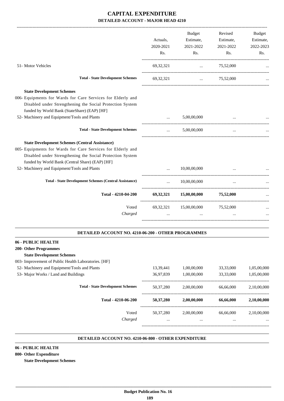|                                                                                                                                                                                                                                      | Actuals,<br>2020-2021<br>Rs. | Budget<br>Estimate,<br>2021-2022<br>Rs. | Revised<br>Estimate,<br>2021-2022<br>Rs. | Budget<br>Estimate,<br>2022-2023<br>Rs. |
|--------------------------------------------------------------------------------------------------------------------------------------------------------------------------------------------------------------------------------------|------------------------------|-----------------------------------------|------------------------------------------|-----------------------------------------|
| 51- Motor Vehicles                                                                                                                                                                                                                   | 69, 32, 321                  | $\cdots$                                | 75,52,000                                |                                         |
| <b>Total - State Development Schemes</b>                                                                                                                                                                                             | 69, 32, 321                  |                                         | $\ldots$ 75,52,000                       |                                         |
| <b>State Development Schemes</b>                                                                                                                                                                                                     |                              |                                         |                                          |                                         |
| 006- Equipments for Wards for Care Services for Elderly and<br>Disabled under Strengthening the Social Protection System<br>funded by World Bank (StateShare) (EAP) [HF]                                                             |                              |                                         |                                          |                                         |
| 52- Machinery and Equipment/Tools and Plants                                                                                                                                                                                         | $\ddots$                     | 5,00,00,000                             |                                          |                                         |
| <b>Total - State Development Schemes</b>                                                                                                                                                                                             | $\cdots$                     | 5,00,00,000                             | $\cdots$                                 |                                         |
| <b>State Development Schemes (Central Assistance)</b><br>005- Equipments for Wards for Care Services for Elderly and<br>Disabled under Strengthening the Social Protection System<br>funded by World Bank (Central Share) (EAP) [HF] |                              |                                         |                                          |                                         |
| 52- Machinery and Equipment/Tools and Plants                                                                                                                                                                                         | $\cdots$                     | 10,00,00,000                            |                                          |                                         |
| <b>Total - State Development Schemes (Central Assistance)</b>                                                                                                                                                                        | $\cdots$                     | 10,00,00,000                            |                                          |                                         |
| Total - 4210-04-200                                                                                                                                                                                                                  |                              | 69,32,321 15,00,00,000 75,52,000        |                                          |                                         |
| Voted<br>Charged                                                                                                                                                                                                                     |                              | 69,32,321 15,00,00,000<br>$\cdots$      | 75,52,000                                |                                         |
| DETAILED ACCOUNT NO. 4210-06-200 - OTHER PROGRAMMES                                                                                                                                                                                  |                              |                                         |                                          |                                         |
| 06 - PUBLIC HEALTH                                                                                                                                                                                                                   |                              |                                         |                                          |                                         |
| <b>200- Other Programmes</b><br><b>State Development Schemes</b>                                                                                                                                                                     |                              |                                         |                                          |                                         |
| 003- Improvement of Public Health Laboratories. [HF]                                                                                                                                                                                 |                              |                                         |                                          |                                         |
| 52- Machinery and Equipment/Tools and Plants                                                                                                                                                                                         | 13,39,441                    | 1,00,00,000                             | 33,33,000                                | 1,05,00,000                             |
| 53- Major Works / Land and Buildings                                                                                                                                                                                                 | 36,97,839                    | 1,00,00,000                             | 33,33,000                                | 1,05,00,000                             |
| <b>Total - State Development Schemes</b>                                                                                                                                                                                             | 50,37,280                    | 2,00,00,000                             | 66,66,000                                | 2,10,00,000                             |
| Total - 4210-06-200                                                                                                                                                                                                                  | 50,37,280                    | 2,00,00,000                             | 66,66,000                                | 2,10,00,000                             |
| Voted<br>Charged                                                                                                                                                                                                                     | 50, 37, 280<br>              | 2,00,00,000                             | 66,66,000                                | 2,10,00,000                             |
|                                                                                                                                                                                                                                      |                              |                                         |                                          |                                         |

#### **DETAILED ACCOUNT NO. 4210-06-800 - OTHER EXPENDITURE .**

.

### **06 - PUBLIC HEALTH**

## **800- Other Expenditure**

**State Development Schemes**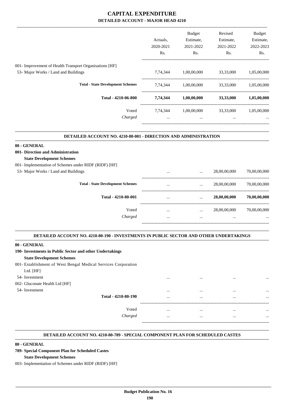| <b>Budget</b><br>Estimate,<br>Estimate,<br>2021-2022<br>2022-2023<br>Rs.<br>33,33,000<br>1,05,00,000 |
|------------------------------------------------------------------------------------------------------|
|                                                                                                      |
|                                                                                                      |
|                                                                                                      |
|                                                                                                      |
|                                                                                                      |
|                                                                                                      |
| 33,33,000<br>1,05,00,000                                                                             |
| 33,33,000<br>1,05,00,000                                                                             |
| 33,33,000<br>1,05,00,000                                                                             |
|                                                                                                      |
|                                                                                                      |
|                                                                                                      |
|                                                                                                      |
|                                                                                                      |
|                                                                                                      |
| 28,00,00,000<br>70,00,00,000                                                                         |
| 28,00,00,000<br>70,00,00,000                                                                         |
| 28,00,00,000<br>70,00,00,000                                                                         |
| 28,00,00,000<br>70,00,00,000                                                                         |
|                                                                                                      |
|                                                                                                      |
|                                                                                                      |

#### **DETAILED ACCOUNT NO. 4210-80-190 - INVESTMENTS IN PUBLIC SECTOR AND OTHER UNDERTAKINGS .**

| 80 - GENERAL |
|--------------|
|--------------|

| 190- Investments in Public Sector and other Undertakings |  |  |  |
|----------------------------------------------------------|--|--|--|
|                                                          |  |  |  |

## **State Development Schemes**

- 001- Establishment of West Bengal Medical Services Corporation
- Ltd. [HF]
- 
- 002- Gluconate Health Ltd [H
- 

| 54- Investment                 |                     | $\cdots$ | <br> | $\cdots$ |
|--------------------------------|---------------------|----------|------|----------|
| 002- Gluconate Health Ltd [HF] |                     |          |      |          |
| 54- Investment                 |                     | $\cdots$ | <br> | $\cdots$ |
|                                | Total - 4210-80-190 | $\cdots$ | <br> | $\cdots$ |
|                                |                     |          |      |          |
|                                | Voted               | $\cdots$ | <br> |          |
|                                | Charged             | $\cdots$ | <br> | $\cdots$ |
|                                |                     | ----     |      |          |

.

#### **DETAILED ACCOUNT NO. 4210-80-789 - SPECIAL COMPONENT PLAN FOR SCHEDULED CASTES .**

### **80 - GENERAL**

**789- Special Component Plan for Scheduled Castes**

## **State Development Schemes**

003- Implementation of Schemes under RIDF (RIDF) [HF]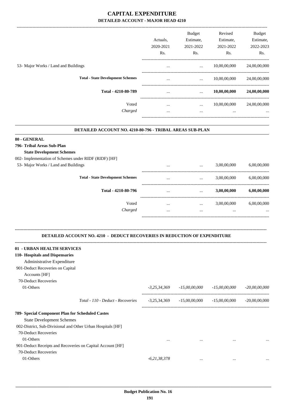|                                          |           | <b>Budget</b> | Revised      | Budget       |
|------------------------------------------|-----------|---------------|--------------|--------------|
|                                          | Actuals.  | Estimate,     | Estimate,    | Estimate,    |
|                                          | 2020-2021 | 2021-2022     | 2021-2022    | 2022-2023    |
|                                          | Rs.       | Rs.           | Rs.          | Rs.          |
| 53- Major Works / Land and Buildings     | $\cdots$  | $\cdots$      | 10,00,00,000 | 24,00,00,000 |
| <b>Total - State Development Schemes</b> | $\cdots$  | $\cdots$      | 10,00,00,000 | 24,00,00,000 |
| Total - 4210-80-789                      | $\cdots$  | $\cdots$      | 10,00,00,000 | 24,00,00,000 |
| Voted                                    | $\cdots$  | $\cdots$      | 10,00,00,000 | 24,00,00,000 |
| Charged                                  | $\cdots$  | $\cdots$      | $\cdots$     | $\cdots$     |
|                                          |           |               |              |              |

#### **DETAILED ACCOUNT NO. 4210-80-796 - TRIBAL AREAS SUB-PLAN .**

.

### **80 - GENERAL**

**796- Tribal Areas Sub-Plan**

### **State Development Schemes**

002- Implementation of Schemes under RIDF (RIDF) [HF]

| 53- Major Works / Land and Buildings     | $\cdots$             | $\cdots$             | 3,00,00,000             | 6,00,00,000             |
|------------------------------------------|----------------------|----------------------|-------------------------|-------------------------|
| <b>Total - State Development Schemes</b> | $\cdots$             | $\cdots$             | 3,00,00,000             | 6,00,00,000             |
| Total - 4210-80-796                      | $\cdots$             | $\cdots$             | 3,00,00,000             | 6,00,00,000             |
| Voted<br>Charged                         | $\cdots$<br>$\cdots$ | $\cdots$<br>$\cdots$ | 3,00,00,000<br>$\cdots$ | 6,00,00,000<br>$\cdots$ |
|                                          |                      |                      |                         |                         |

## **DETAILED ACCOUNT NO. 4210 - DEDUCT RECOVERIES IN REDUCTION OF EXPENDITURE**

**--------------------------------------------------------------------------------------------------------------------------------------------------------------------------------**

| 01 - URBAN HEALTH SERVICES                                  |                                   |                |                 |                 |                 |
|-------------------------------------------------------------|-----------------------------------|----------------|-----------------|-----------------|-----------------|
| 110- Hospitals and Dispensaries                             |                                   |                |                 |                 |                 |
| Administrative Expenditure                                  |                                   |                |                 |                 |                 |
| 901-Deduct Recoveries on Capital                            |                                   |                |                 |                 |                 |
| Accounts [HF]                                               |                                   |                |                 |                 |                 |
| 70-Deduct Recoveries                                        |                                   |                |                 |                 |                 |
| 01-Others                                                   |                                   | $-3,25,34,369$ | $-15,00,00,000$ | $-15,00,00,000$ | $-20,00,00,000$ |
|                                                             |                                   |                |                 |                 |                 |
|                                                             | Total - 110 - Deduct - Recoveries | $-3,25,34,369$ | $-15,00,00,000$ | $-15,00,00,000$ | $-20,00,00,000$ |
| 789- Special Component Plan for Scheduled Castes            |                                   |                |                 |                 |                 |
| <b>State Development Schemes</b>                            |                                   |                |                 |                 |                 |
| 002-District, Sub-Divisional and Other Urban Hospitals [HF] |                                   |                |                 |                 |                 |
| 70-Deduct Recoveries                                        |                                   |                |                 |                 |                 |
| 01-Others                                                   |                                   | $\cdots$       | $\cdots$        | $\cdots$        | $\ddotsc$       |
| 901-Deduct Receipts and Recoveries on Capital Account [HF]  |                                   |                |                 |                 |                 |
| 70-Deduct Recoveries                                        |                                   |                |                 |                 |                 |
| 01-Others                                                   |                                   | $-6,21,38,378$ | $\cdots$        | $\cdots$        | $\ddotsc$       |
|                                                             |                                   |                |                 |                 |                 |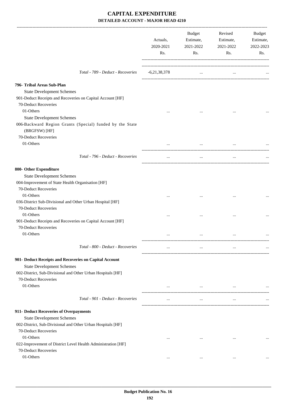|                                                                                                                                                                                                                                                                                                                                                                                                                                                                                                                                                             | Actuals,<br>2020-2021<br>Rs. | Budget<br>Estimate,<br>2021-2022<br>Rs. | Revised<br>Estimate,<br>2021-2022<br>Rs. | Budget<br>Estimate,<br>2022-2023<br>Rs. |
|-------------------------------------------------------------------------------------------------------------------------------------------------------------------------------------------------------------------------------------------------------------------------------------------------------------------------------------------------------------------------------------------------------------------------------------------------------------------------------------------------------------------------------------------------------------|------------------------------|-----------------------------------------|------------------------------------------|-----------------------------------------|
| Total - 789 - Deduct - Recoveries                                                                                                                                                                                                                                                                                                                                                                                                                                                                                                                           | $-6,21,38,378$               | $\cdots$                                | $\cdots$                                 |                                         |
| 796- Tribal Areas Sub-Plan<br><b>State Development Schemes</b><br>901-Deduct Receipts and Recoveries on Capital Account [HF]                                                                                                                                                                                                                                                                                                                                                                                                                                |                              |                                         |                                          |                                         |
| 70-Deduct Recoveries<br>01-Others<br><b>State Development Schemes</b>                                                                                                                                                                                                                                                                                                                                                                                                                                                                                       | $\cdots$                     | $\cdots$                                |                                          |                                         |
| 006-Backward Region Grants (Special) funded by the State<br>(BRGFSW) [HF]                                                                                                                                                                                                                                                                                                                                                                                                                                                                                   |                              |                                         |                                          |                                         |
| 70-Deduct Recoveries<br>01-Others                                                                                                                                                                                                                                                                                                                                                                                                                                                                                                                           |                              |                                         |                                          |                                         |
| Total - 796 - Deduct - Recoveries                                                                                                                                                                                                                                                                                                                                                                                                                                                                                                                           | $\cdots$                     | $\ddotsc$                               | $\cdots$                                 |                                         |
| 800- Other Expenditure<br><b>State Development Schemes</b><br>004-Improvement of State Health Organisation [HF]<br>70-Deduct Recoveries<br>01-Others<br>036-District Sub-Divisional and Other Urban Hospital [HF]<br>70-Deduct Recoveries<br>01-Others<br>901-Deduct Receipts and Recoveries on Capital Account [HF]<br>70-Deduct Recoveries<br>01-Others<br>Total - 800 - Deduct - Recoveries<br>901- Deduct Receipts and Recoveries on Capital Account<br><b>State Development Schemes</b><br>002-District, Sub-Divisional and Other Urban Hospitals [HF] | <br>$\cdots$<br><br>$\cdots$ | <br><br>$\cdots$                        | <br>$\cdots$<br>$\cdots$<br>$\cdots$     |                                         |
| 70-Deduct Recoveries<br>01-Others                                                                                                                                                                                                                                                                                                                                                                                                                                                                                                                           | $\cdots$                     | $\cdots$                                | $\cdots$                                 |                                         |
| Total - 901 - Deduct - Recoveries                                                                                                                                                                                                                                                                                                                                                                                                                                                                                                                           | $\cdots$                     | $\cdots$                                | $\cdots$                                 |                                         |
| 911- Deduct Recoveries of Overpayments<br><b>State Development Schemes</b><br>002-District, Sub-Divisional and Other Urban Hospitals [HF]<br>70-Deduct Recoveries<br>01-Others<br>022-Improvement of District Level Health Administration [HF]<br>70-Deduct Recoveries<br>01-Others                                                                                                                                                                                                                                                                         | $\cdots$<br>$\cdots$         | $\cdots$<br>$\cdots$                    | $\cdots$<br>$\cdots$                     |                                         |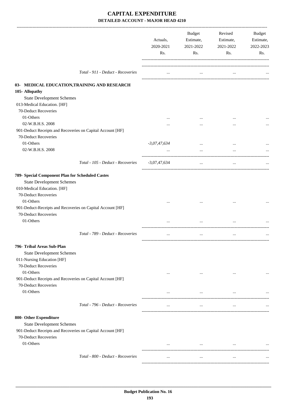|                                                                | Actuals,<br>2020-2021<br>Rs. | Budget<br>Estimate,<br>2021-2022<br>Rs. | Revised<br>Estimate,<br>2021-2022<br>Rs. | Budget<br>Estimate,<br>2022-2023<br>Rs. |
|----------------------------------------------------------------|------------------------------|-----------------------------------------|------------------------------------------|-----------------------------------------|
| Total - 911 - Deduct - Recoveries                              | $\cdots$                     | $\cdots$                                | $\cdots$                                 |                                         |
| 03- MEDICAL EDUCATION, TRAINING AND RESEARCH                   |                              |                                         |                                          |                                         |
| 105- Allopathy                                                 |                              |                                         |                                          |                                         |
| <b>State Development Schemes</b>                               |                              |                                         |                                          |                                         |
| 013-Medical Education. [HF]                                    |                              |                                         |                                          |                                         |
| 70-Deduct Recoveries                                           |                              |                                         |                                          |                                         |
| 01-Others                                                      |                              |                                         |                                          |                                         |
| 02-W.B.H.S. 2008                                               |                              |                                         |                                          |                                         |
| 901-Deduct Receipts and Recoveries on Capital Account [HF]     |                              |                                         |                                          |                                         |
| 70-Deduct Recoveries                                           |                              |                                         |                                          |                                         |
| 01-Others                                                      | $-3,07,47,634$               |                                         |                                          |                                         |
| 02-W.B.H.S. 2008                                               | $\cdots$                     | $\cdots$                                | $\cdots$                                 |                                         |
| Total - 105 - Deduct - Recoveries                              | $-3,07,47,634$               | $\cdots$                                | $\ldots$                                 |                                         |
| 789- Special Component Plan for Scheduled Castes               |                              |                                         |                                          |                                         |
| <b>State Development Schemes</b>                               |                              |                                         |                                          |                                         |
| 010-Medical Education. [HF]                                    |                              |                                         |                                          |                                         |
| 70-Deduct Recoveries                                           |                              |                                         |                                          |                                         |
| 01-Others                                                      | $\cdots$                     |                                         |                                          |                                         |
| 901-Deduct-Receipts and Recoveries on Capital Account [HF]     |                              |                                         |                                          |                                         |
| 70-Deduct Recoveries                                           |                              |                                         |                                          |                                         |
| 01-Others                                                      |                              |                                         |                                          |                                         |
| Total - 789 - Deduct - Recoveries                              | $\cdots$                     | $\ddotsc$                               | $\cdots$                                 |                                         |
|                                                                |                              |                                         |                                          |                                         |
| 796- Tribal Areas Sub-Plan                                     |                              |                                         |                                          |                                         |
| <b>State Development Schemes</b><br>011-Nursing Education [HF] |                              |                                         |                                          |                                         |
| 70-Deduct Recoveries                                           |                              |                                         |                                          |                                         |
| 01-Others                                                      | $\cdots$                     | $\cdots$                                | $\ddotsc$                                |                                         |
| 901-Deduct Receipts and Recoveries on Capital Account [HF]     |                              |                                         |                                          |                                         |
| 70-Deduct Recoveries                                           |                              |                                         |                                          |                                         |
| 01-Others                                                      | $\cdots$                     | $\cdots$                                | $\cdots$                                 |                                         |
|                                                                |                              |                                         |                                          |                                         |
| Total - 796 - Deduct - Recoveries                              |                              | $\cdots$                                | $\cdots$                                 |                                         |
| 800- Other Expenditure                                         |                              |                                         |                                          |                                         |
| <b>State Development Schemes</b>                               |                              |                                         |                                          |                                         |
| 901-Deduct Receipts and Recoveries on Capital Account [HF]     |                              |                                         |                                          |                                         |
| 70-Deduct Recoveries                                           |                              |                                         |                                          |                                         |
| 01-Others                                                      | $\cdots$                     | $\cdots$                                | $\cdots$                                 |                                         |
|                                                                |                              |                                         |                                          |                                         |
| Total - 800 - Deduct - Recoveries                              | $\cdots$                     | $\ddotsc$                               | $\cdots$                                 |                                         |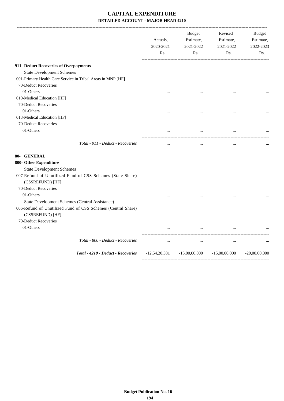|                                                                                                                                    | Actuals,<br>2020-2021<br>Rs. | <b>Budget</b><br>Estimate,<br>2021-2022<br>Rs.  | Revised<br>Estimate,<br>2021-2022<br>Rs. | <b>Budget</b><br>Estimate,<br>2022-2023<br>Rs. |
|------------------------------------------------------------------------------------------------------------------------------------|------------------------------|-------------------------------------------------|------------------------------------------|------------------------------------------------|
| 911- Deduct Recoveries of Overpayments                                                                                             |                              |                                                 |                                          |                                                |
| <b>State Development Schemes</b>                                                                                                   |                              |                                                 |                                          |                                                |
| 001-Primary Health Care Service in Tribal Areas in MNP [HF]                                                                        |                              |                                                 |                                          |                                                |
| 70-Deduct Recoveries                                                                                                               |                              |                                                 |                                          |                                                |
| 01-Others                                                                                                                          | $\cdots$                     |                                                 | $\cdots$                                 |                                                |
| 010-Medical Education [HF]                                                                                                         |                              |                                                 |                                          |                                                |
| 70-Deduct Recoveries                                                                                                               |                              |                                                 |                                          |                                                |
| 01-Others                                                                                                                          |                              |                                                 |                                          |                                                |
| 013-Medical Education [HF]                                                                                                         |                              |                                                 |                                          |                                                |
| 70-Deduct Recoveries                                                                                                               |                              |                                                 |                                          |                                                |
| 01-Others                                                                                                                          |                              | $\cdots$                                        | $\cdots$                                 |                                                |
| Total - 911 - Deduct - Recoveries                                                                                                  |                              | $\cdots$                                        |                                          |                                                |
| 80- GENERAL                                                                                                                        |                              |                                                 |                                          |                                                |
| 800- Other Expenditure                                                                                                             |                              |                                                 |                                          |                                                |
| <b>State Development Schemes</b>                                                                                                   |                              |                                                 |                                          |                                                |
| 007-Refund of Unutilized Fund of CSS Schemes (State Share)<br>(CSSREFUND) [HF]                                                     |                              |                                                 |                                          |                                                |
| 70-Deduct Recoveries                                                                                                               |                              |                                                 |                                          |                                                |
| 01-Others                                                                                                                          | $\cdot \cdot$                |                                                 | $\cdots$                                 |                                                |
| State Development Schemes (Central Assistance)<br>006-Refund of Unutilized Fund of CSS Schemes (Central Share)<br>(CSSREFUND) [HF] |                              |                                                 |                                          |                                                |
| 70-Deduct Recoveries                                                                                                               |                              |                                                 |                                          |                                                |
| 01-Others                                                                                                                          |                              | $\cdots$                                        |                                          |                                                |
| Total - 800 - Deduct - Recoveries                                                                                                  | $\cdots$                     | $\cdots$                                        | $\cdots$                                 |                                                |
| Total - 4210 - Deduct - Recoveries                                                                                                 |                              | $-12,54,20,381$ $-15,00,00,000$ $-15,00,00,000$ |                                          | $-20,00,00,000$                                |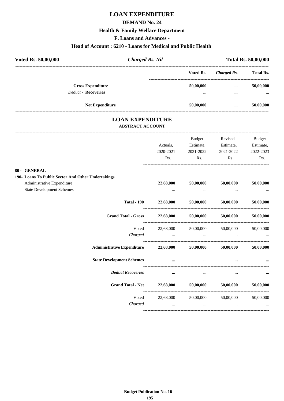# **LOAN EXPENDITURE**

## **DEMAND No. 24**

## **Health & Family Welfare Department**

**F. Loans and Advances -**

### **Head of Account : 6210 - Loans for Medical and Public Health**

| Voted Rs. 50,00,000 | <b>Charged Rs. Nil</b>                                 |  | <b>Total Rs. 50,00,000</b>           |                      |                       |
|---------------------|--------------------------------------------------------|--|--------------------------------------|----------------------|-----------------------|
|                     |                                                        |  | Voted Rs.                            | Charged Rs.          | <b>Total Rs.</b>      |
|                     | <b>Gross Expenditure</b><br><b>Deduct - Recoveries</b> |  | 50,00,000<br>$\bullet\bullet\bullet$ | $\cdots$<br>$\cdots$ | 50,00,000<br>$\cdots$ |
|                     | <b>Net Expenditure</b>                                 |  | 50,00,000                            | $\cdots$             | 50,00,000             |

## **LOAN EXPENDITURE ABSTRACT ACCOUNT**

|                                                          |                                                                                     | <b>Budget</b>                      | Revised                                         | <b>Budget</b>                                                                                                                                                                                                                    |
|----------------------------------------------------------|-------------------------------------------------------------------------------------|------------------------------------|-------------------------------------------------|----------------------------------------------------------------------------------------------------------------------------------------------------------------------------------------------------------------------------------|
|                                                          | Actuals,                                                                            | Estimate,                          | Estimate,                                       | Estimate,                                                                                                                                                                                                                        |
|                                                          | 2020-2021                                                                           | 2021-2022                          | 2021-2022                                       | 2022-2023                                                                                                                                                                                                                        |
|                                                          | Rs.                                                                                 | $\mathbf{Rs.}$                     | Rs.                                             | Rs.                                                                                                                                                                                                                              |
| 80 - GENERAL                                             |                                                                                     |                                    |                                                 |                                                                                                                                                                                                                                  |
| 190- Loans To Public Sector And Other Undertakings       |                                                                                     |                                    |                                                 |                                                                                                                                                                                                                                  |
| Administrative Expenditure                               |                                                                                     |                                    | $22,68,000$ $50,00,000$ $50,00,000$ $50,00,000$ |                                                                                                                                                                                                                                  |
| <b>State Development Schemes</b>                         |                                                                                     |                                    |                                                 |                                                                                                                                                                                                                                  |
| <b>Total - 190</b>                                       |                                                                                     |                                    | 22,68,000 50,00,000 50,00,000 50,00,000         |                                                                                                                                                                                                                                  |
| <b>Grand Total - Gross</b>                               |                                                                                     |                                    | $22,68,000$ $50,00,000$ $50,00,000$             | 50,00,000                                                                                                                                                                                                                        |
| Voted                                                    |                                                                                     |                                    | 22,68,000 50,00,000 50,00,000 50,00,000         |                                                                                                                                                                                                                                  |
| Charged                                                  |                                                                                     |                                    |                                                 |                                                                                                                                                                                                                                  |
| Administrative Expenditure 22,68,000 50,00,000 50,00,000 |                                                                                     |                                    |                                                 | 50,00,000                                                                                                                                                                                                                        |
| <b>State Development Schemes</b>                         |                                                                                     | $\cdots$ and $\cdots$ are $\cdots$ |                                                 |                                                                                                                                                                                                                                  |
| <b>Deduct Recoveries</b>                                 | $\cdots$                                                                            | $\cdots$                           |                                                 |                                                                                                                                                                                                                                  |
| Grand Total - Net 22,68,000 50,00,000 50,00,000          |                                                                                     |                                    |                                                 | 50,00,000                                                                                                                                                                                                                        |
|                                                          |                                                                                     |                                    | Voted 22,68,000 50,00,000 50,00,000 50,00,000   |                                                                                                                                                                                                                                  |
| Charged                                                  | the contract of the contract of the contract of the contract of the contract of the |                                    |                                                 | $\mathbf{r}$ , and the set of the set of the set of the set of the set of the set of the set of the set of the set of the set of the set of the set of the set of the set of the set of the set of the set of the set of the set |
|                                                          |                                                                                     |                                    |                                                 |                                                                                                                                                                                                                                  |